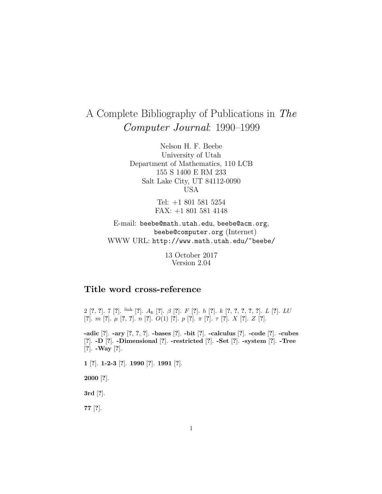# A Complete Bibliography of Publications in The Computer Journal: 1990–1999

Nelson H. F. Beebe University of Utah Department of Mathematics, 110 LCB 155 S 1400 E RM 233 Salt Lake City, UT 84112-0090 USA

> Tel: +1 801 581 5254 FAX: +1 801 581 4148

E-mail: beebe@math.utah.edu, beebe@acm.org, beebe@computer.org (Internet) WWW URL: http://www.math.utah.edu/~beebe/

> 13 October 2017 Version 2.04

## **Title word cross-reference**

2 [**?**, **?**]. 7 [**?**]. link [**?**]. A<sup>k</sup> [**?**]. β [**?**]. F [**?**]. h [**?**]. k [**?**, **?**, **?**, **?**, **?**]. L [**?**]. LU [**?**]. m [**?**]. µ [**?**, **?**]. n [**?**]. O(1) [**?**]. p [**?**]. π [**?**]. τ [**?**]. X [**?**]. Z [**?**].

**-adic** [**?**]. **-ary** [**?**, **?**, **?**]. **-bases** [**?**]. **-bit** [**?**]. **-calculus** [**?**]. **-code** [**?**]. **-cubes** [**?**]. **-D** [**?**]. **-Dimensional** [**?**]. **-restricted** [**?**]. **-Set** [**?**]. **-system** [**?**]. **-Tree** [**?**]. **-Way** [**?**].

**1** [**?**]. **1-2-3** [**?**]. **1990** [**?**]. **1991** [**?**].

**2000** [**?**].

**3rd** [**?**].

**77** [**?**].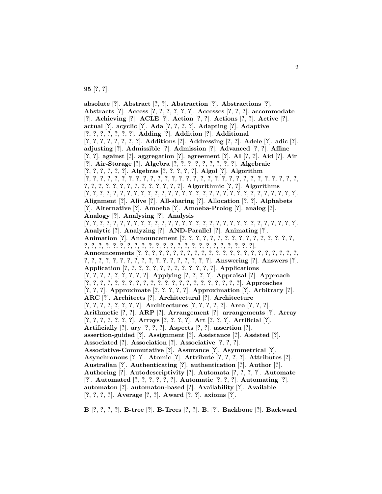**95** [**?**, **?**].

**absolute** [**?**]. **Abstract** [**?**, **?**]. **Abstraction** [**?**]. **Abstractions** [**?**]. **Abstracts** [**?**]. **Access** [**?**, **?**, **?**, **?**, **?**, **?**]. **Accesses** [**?**, **?**, **?**]. **accommodate** [**?**]. **Achieving** [**?**]. **ACLE** [**?**]. **Action** [**?**, **?**]. **Actions** [**?**, **?**]. **Active** [**?**]. **actual** [**?**]. **acyclic** [**?**]. **Ada** [**?**, **?**, **?**, **?**]. **Adapting** [**?**]. **Adaptive** [**?**, **?**, **?**, **?**, **?**, **?**, **?**]. **Adding** [**?**]. **Addition** [**?**]. **Additional** [**?**, **?**, **?**, **?**, **?**, **?**, **?**, **?**]. **Additions** [**?**]. **Addressing** [**?**, **?**]. **Adele** [**?**]. **adic** [**?**]. **adjusting** [**?**]. **Admissible** [**?**]. **Admission** [**?**]. **Advanced** [**?**, **?**]. **Affine** [**?**, **?**]. **against** [**?**]. **aggregation** [**?**]. **agreement** [**?**]. **AI** [**?**, **?**]. **Aid** [**?**]. **Air** [**?**]. **Air-Storage** [**?**]. **Algebra** [**?**, **?**, **?**, **?**, **?**, **?**, **?**, **?**, **?**]. **Algebraic** [**?**, **?**, **?**, **?**, **?**, **?**]. **Algebras** [**?**, **?**, **?**, **?**, **?**]. **Algol** [**?**]. **Algorithm** [**?**, **?**, **?**, **?**, **?**, **?**, **?**, **?**, **?**, **?**, **?**, **?**, **?**, **?**, **?**, **?**, **?**, **?**, **?**, **?**, **?**, **?**, **?**, **?**, **?**, **?**, **?**, **?**, **?**, **?**, **?**, **?**, **?**, **?**, **?**, **?**, **?**, **?**, **?**, **?**, **?**, **?**, **?**, **?**]. **Algorithmic** [**?**, **?**]. **Algorithms** [**?**, **?**, **?**, **?**, **?**, **?**, **?**, **?**, **?**, **?**, **?**, **?**, **?**, **?**, **?**, **?**, **?**, **?**, **?**, **?**, **?**, **?**, **?**, **?**, **?**, **?**, **?**, **?**, **?**, **?**, **?**]. **Alignment** [**?**]. **Alive** [**?**]. **All-sharing** [**?**]. **Allocation** [**?**, **?**]. **Alphabets** [**?**]. **Alternative** [**?**]. **Amoeba** [**?**]. **Amoeba-Prolog** [**?**]. **analog** [**?**]. **Analogy** [**?**]. **Analysing** [**?**]. **Analysis** [**?**, **?**, **?**, **?**, **?**, **?**, **?**, **?**, **?**, **?**, **?**, **?**, **?**, **?**, **?**, **?**, **?**, **?**, **?**, **?**, **?**, **?**, **?**, **?**, **?**, **?**, **?**, **?**, **?**, **?**, **?**]. **Analytic** [**?**]. **Analyzing** [**?**]. **AND-Parallel** [**?**]. **Animating** [**?**]. **Animation** [**?**]. **Announcement** [**?**, **?**, **?**, **?**, **?**, **?**, **?**, **?**, **?**, **?**, **?**, **?**, **?**, **?**, **?**, **?**, **?**, **?**, **?**, **?**, **?**, **?**, **?**, **?**, **?**, **?**, **?**, **?**, **?**, **?**, **?**, **?**, **?**, **?**, **?**, **?**, **?**, **?**, **?**, **?**]. **Announcements** [**?**, **?**, **?**, **?**, **?**, **?**, **?**, **?**, **?**, **?**, **?**, **?**, **?**, **?**, **?**, **?**, **?**, **?**, **?**, **?**, **?**, **?**, **?**, **?**, **?**, **?**, **?**, **?**, **?**, **?**, **?**, **?**, **?**, **?**, **?**, **?**, **?**, **?**, **?**, **?**, **?**]. **Answering** [**?**]. **Answers** [**?**]. **Application** [**?**, **?**, **?**, **?**, **?**, **?**, **?**, **?**, **?**, **?**, **?**, **?**, **?**]. **Applications** [**?**, **?**, **?**, **?**, **?**, **?**, **?**, **?**, **?**]. **Applying** [**?**, **?**, **?**, **?**]. **Appraisal** [**?**]. **Approach** [**?**, **?**, **?**, **?**, **?**, **?**, **?**, **?**, **?**, **?**, **?**, **?**, **?**, **?**, **?**, **?**, **?**, **?**, **?**, **?**, **?**, **?**]. **Approaches** [**?**, **?**, **?**]. **Approximate** [**?**, **?**, **?**, **?**, **?**]. **Approximation** [**?**]. **Arbitrary** [**?**]. **ARC** [**?**]. **Architects** [**?**]. **Architectural** [**?**]. **Architecture** [**?**, **?**, **?**, **?**, **?**, **?**, **?**, **?**]. **Architectures** [**?**, **?**, **?**, **?**, **?**]. **Area** [**?**, **?**, **?**]. **Arithmetic** [**?**, **?**]. **ARP** [**?**]. **Arrangement** [**?**]. **arrangements** [**?**]. **Array** [**?**, **?**, **?**, **?**, **?**, **?**, **?**]. **Arrays** [**?**, **?**, **?**, **?**]. **Art** [**?**, **?**, **?**]. **Artificial** [**?**]. **Artificially** [**?**]. **ary** [**?**, **?**, **?**]. **Aspects** [**?**, **?**]. **assertion** [**?**]. **assertion-guided** [**?**]. **Assignment** [**?**]. **Assistance** [**?**]. **Assisted** [**?**]. **Associated** [**?**]. **Association** [**?**]. **Associative** [**?**, **?**, **?**]. **Associative-Commutative** [**?**]. **Assurance** [**?**]. **Asymmetrical** [**?**]. **Asynchronous** [**?**, **?**]. **Atomic** [**?**]. **Attribute** [**?**, **?**, **?**, **?**]. **Attributes** [**?**]. **Australian** [**?**]. **Authenticating** [**?**]. **authentication** [**?**]. **Author** [**?**]. **Authoring** [**?**]. **Autodescriptivity** [**?**]. **Automata** [**?**, **?**, **?**, **?**]. **Automate** [**?**]. **Automated** [**?**, **?**, **?**, **?**, **?**, **?**]. **Automatic** [**?**, **?**, **?**]. **Automating** [**?**]. **automaton** [**?**]. **automaton-based** [**?**]. **Availability** [**?**]. **Available** [**?**, **?**, **?**, **?**]. **Average** [**?**, **?**]. **Award** [**?**, **?**]. **axioms** [**?**].

**B** [**?**, **?**, **?**, **?**]. **B-tree** [**?**]. **B-Trees** [**?**, **?**]. **B.** [**?**]. **Backbone** [**?**]. **Backward**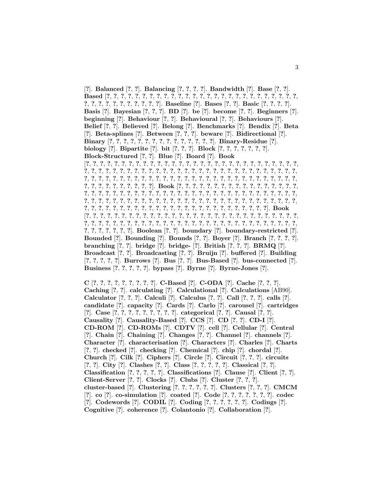[**?**]. **Balanced** [**?**, **?**]. **Balancing** [**?**, **?**, **?**, **?**]. **Bandwidth** [**?**]. **Base** [**?**, **?**]. **Based** [**?**, **?**, **?**, **?**, **?**, **?**, **?**, **?**, **?**, **?**, **?**, **?**, **?**, **?**, **?**, **?**, **?**, **?**, **?**, **?**, **?**, **?**, **?**, **?**, **?**, **?**, **?**, ?, ?, ?, ?, ?, ?, ?, ?, ?, ?, ?]. Baseline [?]. Bases [?, ?]. Basic [?, ?, ?, ?]. **Basis** [**?**]. **Bayesian** [**?**, **?**, **?**]. **BD** [**?**]. **be** [**?**]. **become** [**?**, **?**]. **Beginners** [**?**]. **beginning** [**?**]. **Behaviour** [**?**, **?**]. **Behavioural** [**?**, **?**]. **Behaviours** [**?**]. **Belief** [**?**, **?**]. **Believed** [**?**]. **Belong** [**?**]. **Benchmarks** [**?**]. **Bendix** [**?**]. **Beta** [**?**]. **Beta-splines** [**?**]. **Between** [**?**, **?**, **?**]. **beware** [**?**]. **Bidirectional** [**?**]. **Binary** [**?**, **?**, **?**, **?**, **?**, **?**, **?**, **?**, **?**, **?**, **?**, **?**, **?**, **?**, **?**]. **Binary-Residue** [**?**]. **biology** [**?**]. **Bipartite** [**?**]. **bit** [**?**, **?**, **?**]. **Block** [**?**, **?**, **?**, **?**, **?**, **?**, **?**]. **Block-Structured** [**?**, **?**]. **Blue** [**?**]. **Board** [**?**]. **Book** [**?**, **?**, **?**, **?**, **?**, **?**, **?**, **?**, **?**, **?**, **?**, **?**, **?**, **?**, **?**, **?**, **?**, **?**, **?**, **?**, **?**, **?**, **?**, **?**, **?**, **?**, **?**, **?**, **?**, **?**, **?**, **?**, **?**, **?**, **?**, **?**, **?**, **?**, **?**, **?**, **?**, **?**, **?**, **?**, **?**, **?**, **?**, **?**, **?**, **?**, **?**, **?**, **?**, **?**, **?**, **?**, **?**, **?**, **?**, **?**, **?**, **?**, **?**, **?**, **?**, **?**, **?**, **?**, **?**, **?**, **?**, **?**, **?**, **?**, **?**, **?**, **?**, **?**, **?**, **?**, **?**, **?**, **?**, **?**, **?**, **?**, **?**, **?**, **?**, **?**, **?**, **?**, **?**, **?**, **?**, **?**, **?**, **?**, **?**, **?**]. **Book** [**?**, **?**, **?**, **?**, **?**, **?**, **?**, **?**, **?**, **?**, **?**, **?**, **?**, **?**, **?**, **?**, **?**, **?**, **?**, **?**, **?**, **?**, **?**, **?**, **?**, **?**, **?**, **?**, **?**, **?**, **?**, **?**, **?**, **?**, **?**, **?**, **?**, **?**, **?**, **?**, **?**, **?**, **?**, **?**, **?**, **?**, **?**, **?**, **?**, **?**, **?**, **?**, **?**, **?**, **?**, **?**, **?**, **?**, **?**, **?**, **?**, **?**, **?**, **?**, **?**, **?**, **?**, **?**, **?**, **?**, **?**, **?**, **?**, **?**, **?**, **?**, **?**, **?**, **?**, **?**, **?**, **?**, **?**, **?**, **?**, **?**, **?**, **?**, **?**, **?**, **?**, **?**, **?**, **?**, **?**, **?**, **?**, **?**, **?**, **?**, **?**, **?**, **?**]. **Book** [**?**, **?**, **?**, **?**, **?**, **?**, **?**, **?**, **?**, **?**, **?**, **?**, **?**, **?**, **?**, **?**, **?**, **?**, **?**, **?**, **?**, **?**, **?**, **?**, **?**, **?**, **?**, **?**, **?**, **?**, **?**, **?**, **?**, **?**, **?**, **?**, **?**, **?**, **?**, **?**, **?**, **?**, **?**, **?**, **?**, **?**, **?**, **?**, **?**, **?**, **?**, **?**, **?**, **?**, **?**, **?**, **?**, **?**, **?**, **?**, **?**, **?**, **?**, **?**, **?**, **?**, **?**]. **Boolean** [**?**, **?**]. **boundary** [**?**]. **boundary-restricted** [**?**]. **Bounded** [**?**]. **Bounding** [**?**]. **Bounds** [**?**, **?**]. **Boyer** [**?**]. **Branch** [**?**, **?**, **?**, **?**]. **branching** [**?**, **?**]. **bridge** [**?**]. **bridge-** [**?**]. **British** [**?**, **?**, **?**]. **BRMQ** [**?**]. **Broadcast** [**?**, **?**]. **Broadcasting** [**?**, **?**]. **Bruijn** [**?**]. **buffered** [**?**]. **Building** [**?**, **?**, **?**, **?**, **?**]. **Burrows** [**?**]. **Bus** [**?**, **?**]. **Bus-Based** [**?**]. **bus-connected** [**?**]. **Business** [**?**, **?**, **?**, **?**, **?**]. **bypass** [**?**]. **Byrne** [**?**]. **Byrne-Jones** [**?**].

**C** [**?**, **?**, **?**, **?**, **?**, **?**, **?**, **?**, **?**]. **C-Based** [**?**]. **C-ODA** [**?**]. **Cache** [**?**, **?**, **?**]. **Caching** [**?**, **?**]. **calculating** [**?**]. **Calculational** [**?**]. **Calculations** [AB90]. **Calculator** [**?**, **?**, **?**]. **Calculi** [**?**]. **Calculus** [**?**, **?**]. **Call** [**?**, **?**, **?**]. **calls** [**?**]. **candidate** [**?**]. **capacity** [**?**]. **Cards** [**?**]. **Carlo** [**?**]. **carousel** [**?**]. **cartridges** [**?**]. **Case** [**?**, **?**, **?**, **?**, **?**, **?**, **?**, **?**, **?**]. **categorical** [**?**, **?**]. **Causal** [**?**, **?**]. **Causality** [**?**]. **Causality-Based** [**?**]. **CCS** [**?**]. **CD** [**?**, **?**]. **CD-I** [**?**]. **CD-ROM** [**?**]. **CD-ROMs** [**?**]. **CDTV** [**?**]. **cell** [**?**]. **Cellular** [**?**]. **Central** [**?**]. **Chain** [**?**]. **Chaining** [**?**]. **Changes** [**?**, **?**]. **Channel** [**?**]. **channels** [**?**]. **Character** [**?**]. **characterisation** [**?**]. **Characters** [**?**]. **Charles** [**?**]. **Charts** [**?**, **?**]. **checked** [**?**]. **checking** [**?**]. **Chemical** [**?**]. **chip** [**?**]. **chordal** [**?**]. **Church** [**?**]. **Cilk** [**?**]. **Ciphers** [**?**]. **Circle** [**?**]. **Circuit** [**?**, **?**, **?**]. **circuits** [**?**, **?**]. **City** [**?**]. **Clashes** [**?**, **?**]. **Class** [**?**, **?**, **?**, **?**, **?**]. **Classical** [**?**, **?**]. **Classification** [**?**, **?**, **?**, **?**, **?**]. **Classifications** [**?**]. **Clause** [**?**]. **Client** [**?**, **?**]. **Client-Server** [**?**, **?**]. **Clocks** [**?**]. **Clubs** [**?**]. **Cluster** [**?**, **?**, **?**]. **cluster-based** [**?**]. **Clustering** [**?**, **?**, **?**, **?**, **?**, **?**]. **Clusters** [**?**, **?**, **?**]. **CMCM** [**?**]. **co** [**?**]. **co-simulation** [**?**]. **coated** [**?**]. **Code** [**?**, **?**, **?**, **?**, **?**, **?**, **?**]. **codec** [**?**]. **Codewords** [**?**]. **CODIL** [**?**]. **Coding** [**?**, **?**, **?**, **?**, **?**, **?**]. **Codings** [**?**]. **Cognitive** [**?**]. **coherence** [**?**]. **Colantonio** [**?**]. **Collaboration** [**?**].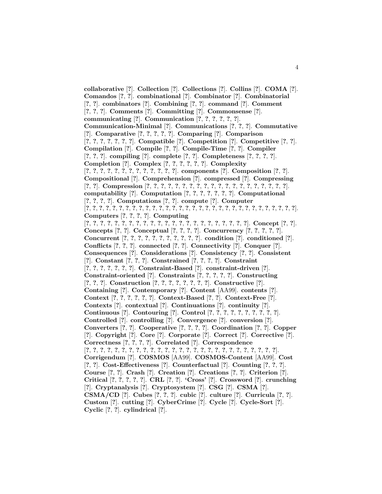**collaborative** [**?**]. **Collection** [**?**]. **Collections** [**?**]. **Collins** [**?**]. **COMA** [**?**]. **Comandos** [**?**, **?**]. **combinational** [**?**]. **Combinator** [**?**]. **Combinatorial** [**?**, **?**]. **combinators** [**?**]. **Combining** [**?**, **?**]. **command** [**?**]. **Comment** [**?**, **?**, **?**]. **Comments** [**?**]. **Committing** [**?**]. **Commonsense** [**?**]. **communicating** [**?**]. **Communication** [**?**, **?**, **?**, **?**, **?**, **?**]. **Communication-Minimal** [**?**]. **Communications** [**?**, **?**, **?**]. **Commutative** [**?**]. **Comparative** [**?**, **?**, **?**, **?**, **?**]. **Comparing** [**?**]. **Comparison** [**?**, **?**, **?**, **?**, **?**, **?**, **?**]. **Compatible** [**?**]. **Competition** [**?**]. **Competitive** [**?**, **?**]. **Compilation** [**?**]. **Compile** [**?**, **?**]. **Compile-Time** [**?**, **?**]. **Compiler** [**?**, **?**, **?**]. **compiling** [**?**]. **complete** [**?**, **?**]. **Completeness** [**?**, **?**, **?**, **?**]. **Completion** [**?**]. **Complex** [**?**, **?**, **?**, **?**, **?**, **?**]. **Complexity** [**?**, **?**, **?**, **?**, **?**, **?**, **?**, **?**, **?**, **?**, **?**, **?**, **?**]. **components** [**?**]. **Composition** [**?**, **?**]. **Compositional** [**?**]. **Comprehension** [**?**]. **compressed** [**?**]. **Compressing** [**?**, **?**]. **Compression** [**?**, **?**, **?**, **?**, **?**, **?**, **?**, **?**, **?**, **?**, **?**, **?**, **?**, **?**, **?**, **?**, **?**, **?**, **?**, **?**]. **computability** [**?**]. **Computation** [**?**, **?**, **?**, **?**, **?**, **?**, **?**]. **Computational** [**?**, **?**, **?**, **?**]. **Computations** [**?**, **?**]. **compute** [**?**]. **Computer** [**?**, **?**, **?**, **?**, **?**, **?**, **?**, **?**, **?**, **?**, **?**, **?**, **?**, **?**, **?**, **?**, **?**, **?**, **?**, **?**, **?**, **?**, **?**, **?**, **?**, **?**, **?**, **?**, **?**, **?**, **?**, **?**]. **Computers** [**?**, **?**, **?**, **?**]. **Computing** [**?**, **?**, **?**, **?**, **?**, **?**, **?**, **?**, **?**, **?**, **?**, **?**, **?**, **?**, **?**, **?**, **?**, **?**, **?**, **?**, **?**, **?**, **?**]. **Concept** [**?**, **?**]. **Concepts** [**?**, **?**]. **Conceptual** [**?**, **?**, **?**, **?**]. **Concurrency** [**?**, **?**, **?**, **?**, **?**]. **Concurrent** [**?**, **?**, **?**, **?**, **?**, **?**, **?**, **?**, **?**, **?**, **?**]. **condition** [**?**]. **conditioned** [**?**]. **Conflicts** [**?**, **?**, **?**]. **connected** [**?**, **?**]. **Connectivity** [**?**]. **Conquer** [**?**]. **Consequences** [**?**]. **Considerations** [**?**]. **Consistency** [**?**, **?**]. **Consistent** [**?**]. **Constant** [**?**, **?**, **?**]. **Constrained** [**?**, **?**, **?**, **?**]. **Constraint** [**?**, **?**, **?**, **?**, **?**, **?**, **?**]. **Constraint-Based** [**?**]. **constraint-driven** [**?**]. **Constraint-oriented** [**?**]. **Constraints** [**?**, **?**, **?**, **?**, **?**]. **Constructing** [**?**, **?**, **?**]. **Construction** [**?**, **?**, **?**, **?**, **?**, **?**, **?**, **?**]. **Constructive** [**?**]. **Containing** [**?**]. **Contemporary** [**?**]. **Content** [AA99]. **contents** [**?**]. **Context** [**?**, **?**, **?**, **?**, **?**, **?**]. **Context-Based** [**?**, **?**]. **Context-Free** [**?**]. **Contexts** [**?**]. **contextual** [**?**]. **Continuations** [**?**]. **continuity** [**?**]. **Continuous** [**?**]. **Contouring** [**?**]. **Control** [**?**, **?**, **?**, **?**, **?**, **?**, **?**, **?**, **?**, **?**]. **Controlled** [**?**]. **controlling** [**?**]. **Convergence** [**?**]. **conversion** [**?**]. **Converters** [**?**, **?**]. **Cooperative** [**?**, **?**, **?**, **?**]. **Coordination** [**?**, **?**]. **Copper** [**?**]. **Copyright** [**?**]. **Core** [**?**]. **Corporate** [**?**]. **Correct** [**?**]. **Corrective** [**?**]. **Correctness** [**?**, **?**, **?**, **?**]. **Correlated** [**?**]. **Correspondence**  $[?,?,?,?,?,?,?,?,?,?,?,?,?,?,?,?,?,?,?,?,?,?,?,?,?,?,?,?,?,?,?,?,.),?$ **Corrigendum** [**?**]. **COSMOS** [AA99]. **COSMOS-Content** [AA99]. **Cost** [**?**, **?**]. **Cost-Effectiveness** [**?**]. **Counterfactual** [**?**]. **Counting** [**?**, **?**, **?**]. **Course** [**?**, **?**]. **Crash** [**?**]. **Creation** [**?**]. **Creations** [**?**, **?**]. **Criterion** [**?**]. **Critical** [**?**, **?**, **?**, **?**, **?**]. **CRL** [**?**, **?**]. **'Cross'** [**?**]. **Crossword** [**?**]. **crunching** [**?**]. **Cryptanalysis** [**?**]. **Cryptosystem** [**?**]. **CSG** [**?**]. **CSMA** [**?**]. **CSMA/CD** [**?**]. **Cubes** [**?**, **?**, **?**]. **cubic** [**?**]. **culture** [**?**]. **Curricula** [**?**, **?**]. **Custom** [**?**]. **cutting** [**?**]. **CyberCrime** [**?**]. **Cycle** [**?**]. **Cycle-Sort** [**?**]. **Cyclic** [**?**, **?**]. **cylindrical** [**?**].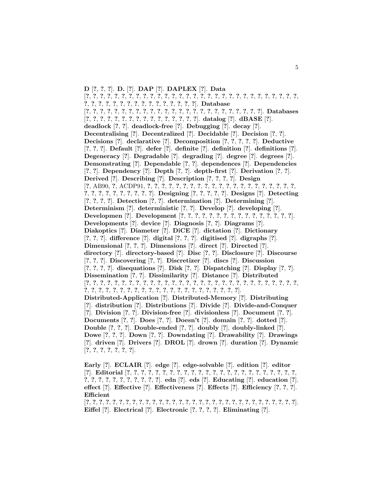**D** [**?**, **?**, **?**]. **D.** [**?**]. **DAP** [**?**]. **DAPLEX** [**?**]. **Data** [**?**, **?**, **?**, **?**, **?**, **?**, **?**, **?**, **?**, **?**, **?**, **?**, **?**, **?**, **?**, **?**, **?**, **?**, **?**, **?**, **?**, **?**, **?**, **?**, **?**, **?**, **?**, **?**, **?**, **?**, **?**, **?**, **?**, **?**, **?**, **?**, **?**, **?**, **?**, **?**, **?**, **?**, **?**, **?**, **?**, **?**]. **Database** [**?**, **?**, **?**, **?**, **?**, **?**, **?**, **?**, **?**, **?**, **?**, **?**, **?**, **?**, **?**, **?**, **?**, **?**, **?**, **?**, **?**, **?**, **?**, **?**, **?**]. **Databases** [**?**, **?**, **?**, **?**, **?**, **?**, **?**, **?**, **?**, **?**, **?**, **?**, **?**, **?**, **?**, **?**]. **datalog** [**?**]. **dBASE** [**?**]. **deadlock** [**?**, **?**]. **deadlock-free** [**?**]. **Debugging** [**?**]. **decay** [**?**]. **Decentralising** [**?**]. **Decentralized** [**?**]. **Decidable** [**?**]. **Decision** [**?**, **?**]. **Decisions** [**?**]. **declarative** [**?**]. **Decomposition** [**?**, **?**, **?**, **?**, **?**]. **Deductive** [**?**, **?**, **?**]. **Default** [**?**]. **defer** [**?**]. **definite** [**?**]. **definition** [**?**]. **definitions** [**?**]. **Degeneracy** [**?**]. **Degradable** [**?**]. **degrading** [**?**]. **degree** [**?**]. **degrees** [**?**]. **Demonstrating** [**?**]. **Dependable** [**?**, **?**]. **dependences** [**?**]. **Dependencies** [**?**, **?**]. **Dependency** [**?**]. **Depth** [**?**, **?**]. **depth-first** [**?**]. **Derivation** [**?**, **?**]. **Derived** [**?**]. **Describing** [**?**]. **Description** [**?**, **?**, **?**, **?**]. **Design** [**?**, AB90, **?**, ACDP91, **?**, **?**, **?**, **?**, **?**, **?**, **?**, **?**, **?**, **?**, **?**, **?**, **?**, **?**, **?**, **?**, **?**, **?**, **?**, **?**, **?**, **?**, **?**, **?**, **?**, **?**, **?**, **?**, **?**, **?**, **?**]. **Designing** [**?**, **?**, **?**, **?**, **?**]. **Designs** [**?**]. **Detecting** [**?**, **?**, **?**, **?**]. **Detection** [**?**, **?**]. **determination** [**?**]. **Determining** [**?**]. **Determinism** [**?**]. **deterministic** [**?**, **?**]. **Develop** [**?**]. **developing** [**?**]. **Developmen** [**?**]. **Development** [**?**, **?**, **?**, **?**, **?**, **?**, **?**, **?**, **?**, **?**, **?**, **?**, **?**, **?**, **?**, **?**]. **Developments** [**?**]. **device** [**?**]. **Diagnosis** [**?**, **?**]. **Diagrams** [**?**]. **Diakoptics** [**?**]. **Diameter** [**?**]. **DiCE** [**?**]. **dictation** [**?**]. **Dictionary** [**?**, **?**, **?**]. **difference** [**?**]. **digital** [**?**, **?**, **?**]. **digitised** [**?**]. **digraphs** [**?**]. **Dimensional** [**?**, **?**, **?**]. **Dimensions** [**?**]. **direct** [**?**]. **Directed** [**?**]. **directory** [**?**]. **directory-based** [**?**]. **Disc** [**?**, **?**]. **Disclosure** [**?**]. **Discourse** [**?**, **?**, **?**]. **Discovering** [**?**, **?**]. **Discretizer** [**?**]. **discs** [**?**]. **Discussion** [**?**, **?**, **?**, **?**]. **disequations** [**?**]. **Disk** [**?**, **?**]. **Dispatching** [**?**]. **Display** [**?**, **?**]. **Dissemination** [**?**, **?**]. **Dissimilarity** [**?**]. **Distance** [**?**]. **Distributed** [**?**, **?**, **?**, **?**, **?**, **?**, **?**, **?**, **?**, **?**, **?**, **?**, **?**, **?**, **?**, **?**, **?**, **?**, **?**, **?**, **?**, **?**, **?**, **?**, **?**, **?**, **?**, **?**, **?**, **?**, **?**, **?**, **?**, **?**, **?**, **?**, **?**, **?**, **?**, **?**, **?**, **?**, **?**, **?**, **?**, **?**, **?**, **?**, **?**, **?**, **?**, **?**]. **Distributed-Application** [**?**]. **Distributed-Memory** [**?**]. **Distributing** [**?**]. **distribution** [**?**]. **Distributions** [**?**]. **Divide** [**?**]. **Divide-and-Conquer** [**?**]. **Division** [**?**, **?**]. **Division-free** [**?**]. **divisionless** [**?**]. **Document** [**?**, **?**]. **Documents** [**?**, **?**]. **Does** [**?**, **?**]. **Doesn't** [**?**]. **domain** [**?**, **?**]. **dotted** [**?**]. **Double** [**?**, **?**, **?**]. **Double-ended** [**?**, **?**]. **doubly** [**?**]. **doubly-linked** [**?**]. **Dowe** [**?**, **?**, **?**]. **Down** [**?**, **?**]. **Downdating** [**?**]. **Drawability** [**?**]. **Drawings** [**?**]. **driven** [**?**]. **Drivers** [**?**]. **DROL** [**?**]. **drown** [**?**]. **duration** [**?**]. **Dynamic** [**?**, **?**, **?**, **?**, **?**, **?**, **?**].

**Early** [**?**]. **ECLAIR** [**?**]. **edge** [**?**]. **edge-solvable** [**?**]. **edition** [**?**]. **editor** [**?**]. **Editorial** [**?**, **?**, **?**, **?**, **?**, **?**, **?**, **?**, **?**, **?**, **?**, **?**, **?**, **?**, **?**, **?**, **?**, **?**, **?**, **?**, **?**, **?**, **?**, **?**, **?**, **?**, **?**, **?**, **?**, **?**, **?**, **?**, **?**, **?**, **?**]. **edn** [**?**]. **eds** [**?**]. **Educating** [**?**]. **education** [**?**]. **effect** [**?**]. **Effective** [**?**]. **Effectiveness** [**?**]. **Effects** [**?**]. **Efficiency** [**?**, **?**, **?**]. **Efficient**

[**?**, **?**, **?**, **?**, **?**, **?**, **?**, **?**, **?**, **?**, **?**, **?**, **?**, **?**, **?**, **?**, **?**, **?**, **?**, **?**, **?**, **?**, **?**, **?**, **?**, **?**, **?**, **?**, **?**, **?**, **?**, **?**]. **Eiffel** [**?**]. **Electrical** [**?**]. **Electronic** [**?**, **?**, **?**, **?**]. **Eliminating** [**?**].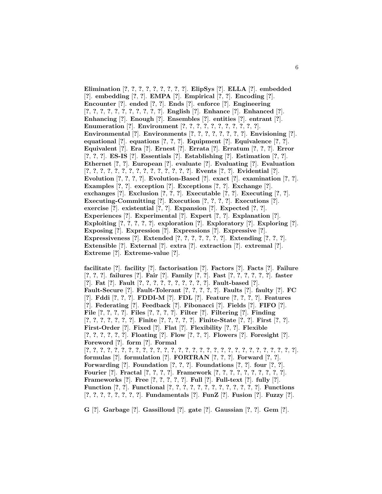**Elimination** [**?**, **?**, **?**, **?**, **?**, **?**, **?**, **?**, **?**]. **ElipSys** [**?**]. **ELLA** [**?**]. **embedded** [**?**]. **embedding** [**?**, **?**]. **EMPA** [**?**]. **Empirical** [**?**, **?**]. **Encoding** [**?**]. **Encounter** [**?**]. **ended** [**?**, **?**]. **Ends** [**?**]. **enforce** [**?**]. **Engineering** [**?**, **?**, **?**, **?**, **?**, **?**, **?**, **?**, **?**, **?**, **?**]. **English** [**?**]. **Enhance** [**?**]. **Enhanced** [**?**]. **Enhancing** [**?**]. **Enough** [**?**]. **Ensembles** [**?**]. **entities** [**?**]. **entrant** [**?**]. **Enumeration** [**?**]. **Environment** [**?**, **?**, **?**, **?**, **?**, **?**, **?**, **?**, **?**, **?**, **?**]. **Environmental** [**?**]. **Environments** [**?**, **?**, **?**, **?**, **?**, **?**, **?**, **?**]. **Envisioning** [**?**]. **equational** [**?**]. **equations** [**?**, **?**, **?**]. **Equipment** [**?**]. **Equivalence** [**?**, **?**]. **Equivalent** [**?**]. **Era** [**?**]. **Ernest** [**?**]. **Errata** [**?**]. **Erratum** [**?**, **?**, **?**]. **Error** [**?**, **?**, **?**]. **ES-IS** [**?**]. **Essentials** [**?**]. **Establishing** [**?**]. **Estimation** [**?**, **?**]. **Ethernet** [**?**, **?**]. **European** [**?**]. **evaluate** [**?**]. **Evaluating** [**?**]. **Evaluation** [**?**, **?**, **?**, **?**, **?**, **?**, **?**, **?**, **?**, **?**, **?**, **?**, **?**, **?**, **?**]. **Events** [**?**, **?**]. **Evidential** [**?**]. **Evolution** [**?**, **?**, **?**, **?**]. **Evolution-Based** [**?**]. **exact** [**?**]. **examination** [**?**, **?**]. **Examples** [**?**, **?**]. **exception** [**?**]. **Exceptions** [**?**, **?**]. **Exchange** [**?**]. **exchanges** [**?**]. **Exclusion** [**?**, **?**, **?**]. **Executable** [**?**, **?**]. **Executing** [**?**, **?**]. **Executing-Committing** [**?**]. **Execution** [**?**, **?**, **?**, **?**]. **Executions** [**?**]. **exercise** [**?**]. **existential** [**?**, **?**]. **Expansion** [**?**]. **Expected** [**?**, **?**]. **Experiences** [**?**]. **Experimental** [**?**]. **Expert** [**?**, **?**]. **Explanation** [**?**]. **Exploiting** [**?**, **?**, **?**, **?**, **?**]. **exploration** [**?**]. **Exploratory** [**?**]. **Exploring** [**?**]. **Exposing** [**?**]. **Expression** [**?**]. **Expressions** [**?**]. **Expressive** [**?**]. **Expressiveness** [**?**]. **Extended** [**?**, **?**, **?**, **?**, **?**, **?**, **?**]. **Extending** [**?**, **?**, **?**]. **Extensible** [**?**]. **External** [**?**]. **extra** [**?**]. **extraction** [**?**]. **extremal** [**?**]. **Extreme** [**?**]. **Extreme-value** [**?**].

**facilitate** [**?**]. **facility** [**?**]. **factorisation** [**?**]. **Factors** [**?**]. **Facts** [**?**]. **Failure** [**?**, **?**, **?**]. **failures** [**?**]. **Fair** [**?**]. **Family** [**?**, **?**]. **Fast** [**?**, **?**, **?**, **?**, **?**, **?**]. **faster** [**?**]. **Fat** [**?**]. **Fault** [**?**, **?**, **?**, **?**, **?**, **?**, **?**, **?**, **?**, **?**]. **Fault-based** [**?**]. **Fault-Secure** [**?**]. **Fault-Tolerant** [**?**, **?**, **?**, **?**, **?**]. **Faults** [**?**]. **faulty** [**?**]. **FC** [**?**]. **Fddi** [**?**, **?**, **?**]. **FDDI-M** [**?**]. **FDL** [**?**]. **Feature** [**?**, **?**, **?**, **?**]. **Features** [**?**]. **Federating** [**?**]. **Feedback** [**?**]. **Fibonacci** [**?**]. **Fields** [**?**]. **FIFO** [**?**]. **File** [**?**, **?**, **?**, **?**]. **Files** [**?**, **?**, **?**, **?**]. **Filter** [**?**]. **Filtering** [**?**]. **Finding** [**?**, **?**, **?**, **?**, **?**, **?**, **?**]. **Finite** [**?**, **?**, **?**, **?**, **?**]. **Finite-State** [**?**, **?**]. **First** [**?**, **?**]. **First-Order** [**?**]. **Fixed** [**?**]. **Flat** [**?**]. **Flexibility** [**?**, **?**]. **Flexible** [**?**, **?**, **?**, **?**, **?**, **?**]. **Floating** [**?**]. **Flow** [**?**, **?**, **?**]. **Flowers** [**?**]. **Foresight** [**?**]. **Foreword** [**?**]. **form** [**?**]. **Formal** [**?**, **?**, **?**, **?**, **?**, **?**, **?**, **?**, **?**, **?**, **?**, **?**, **?**, **?**, **?**, **?**, **?**, **?**, **?**, **?**, **?**, **?**, **?**, **?**, **?**, **?**, **?**, **?**, **?**, **?**]. **formulas** [**?**]. **formulation** [**?**]. **FORTRAN** [**?**, **?**, **?**]. **Forward** [**?**, **?**]. **Forwarding** [**?**]. **Foundation** [**?**, **?**, **?**]. **Foundations** [**?**, **?**]. **four** [**?**, **?**]. **Fourier** [**?**]. **Fractal** [**?**, **?**, **?**, **?**]. **Framework** [**?**, **?**, **?**, **?**, **?**, **?**, **?**, **?**, **?**, **?**]. **Frameworks** [**?**]. **Free** [**?**, **?**, **?**, **?**, **?**]. **Full** [**?**]. **Full-text** [**?**]. **fully** [**?**]. **Function** [**?**, **?**]. **Functional** [**?**, **?**, **?**, **?**, **?**, **?**, **?**, **?**, **?**, **?**, **?**, **?**, **?**]. **Functions** [**?**, **?**, **?**, **?**, **?**, **?**, **?**, **?**]. **Fundamentals** [**?**]. **FunZ** [**?**]. **Fusion** [**?**]. **Fuzzy** [**?**].

**G** [**?**]. **Garbage** [**?**]. **Gassilloud** [**?**]. **gate** [**?**]. **Gaussian** [**?**, **?**]. **Gem** [**?**].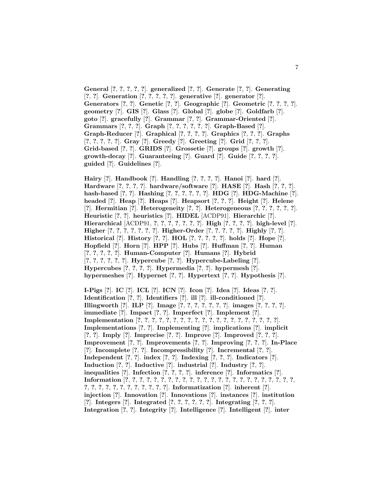**General** [**?**, **?**, **?**, **?**, **?**]. **generalized** [**?**, **?**]. **Generate** [**?**, **?**]. **Generating** [**?**, **?**]. **Generation** [**?**, **?**, **?**, **?**, **?**]. **generative** [**?**]. **generator** [**?**]. **Generators** [**?**, **?**]. **Genetic** [**?**, **?**]. **Geographic** [**?**]. **Geometric** [**?**, **?**, **?**, **?**]. **geometry** [**?**]. **GIS** [**?**]. **Glass** [**?**]. **Global** [**?**]. **globe** [**?**]. **Goldfarb** [**?**]. **goto** [**?**]. **gracefully** [**?**]. **Grammar** [**?**, **?**]. **Grammar-Oriented** [**?**]. **Grammars** [**?**, **?**, **?**]. **Graph** [**?**, **?**, **?**, **?**, **?**, **?**]. **Graph-Based** [**?**]. **Graph-Reducer** [**?**]. **Graphical** [**?**, **?**, **?**, **?**]. **Graphics** [**?**, **?**, **?**]. **Graphs** [**?**, **?**, **?**, **?**, **?**]. **Gray** [**?**]. **Greedy** [**?**]. **Greeting** [**?**]. **Grid** [**?**, **?**, **?**]. **Grid-based** [**?**, **?**]. **GRIDS** [**?**]. **Grossetie** [**?**]. **groups** [**?**]. **growth** [**?**]. **growth-decay** [**?**]. **Guaranteeing** [**?**]. **Guard** [**?**]. **Guide** [**?**, **?**, **?**, **?**]. **guided** [**?**]. **Guidelines** [**?**].

**Hairy** [**?**]. **Handbook** [**?**]. **Handling** [**?**, **?**, **?**, **?**]. **Hanoi** [**?**]. **hard** [**?**]. **Hardware** [**?**, **?**, **?**, **?**]. **hardware/software** [**?**]. **HASE** [**?**]. **Hash** [**?**, **?**, **?**]. **hash-based** [**?**, **?**]. **Hashing** [**?**, **?**, **?**, **?**, **?**, **?**]. **HDG** [**?**]. **HDG-Machine** [**?**]. **headed** [**?**]. **Heap** [**?**]. **Heaps** [**?**]. **Heapsort** [**?**, **?**, **?**]. **Height** [**?**]. **Helene** [**?**]. **Hermitian** [**?**]. **Heterogeneity** [**?**, **?**]. **Heterogeneous** [**?**, **?**, **?**, **?**, **?**, **?**]. **Heuristic** [**?**, **?**]. **heuristics** [**?**]. **HIDEL** [ACDP91]. **Hierarchic** [**?**]. **Hierarchical** [ACDP91, **?**, **?**, **?**, **?**, **?**, **?**, **?**]. **High** [**?**, **?**, **?**, **?**]. **high-level** [**?**]. **Higher** [**?**, **?**, **?**, **?**, **?**, **?**, **?**]. **Higher-Order** [**?**, **?**, **?**, **?**, **?**]. **Highly** [**?**, **?**]. **Historical** [**?**]. **History** [**?**, **?**]. **HOL** [**?**, **?**, **?**, **?**, **?**]. **holds** [**?**]. **Hope** [**?**]. **Hopfield** [**?**]. **Horn** [**?**]. **HPP** [**?**]. **Hubs** [**?**]. **Huffman** [**?**, **?**]. **Human** [**?**, **?**, **?**, **?**, **?**]. **Human-Computer** [**?**]. **Humans** [**?**]. **Hybrid** [**?**, **?**, **?**, **?**, **?**, **?**]. **Hypercube** [**?**, **?**]. **Hypercube-Labeling** [**?**]. **Hypercubes** [**?**, **?**, **?**, **?**]. **Hypermedia** [**?**, **?**]. **hypermesh** [**?**]. **hypermeshes** [**?**]. **Hypernet** [**?**, **?**]. **Hypertext** [**?**, **?**]. **Hypothesis** [**?**].

**I-Pigs** [**?**]. **IC** [**?**]. **ICL** [**?**]. **ICN** [**?**]. **Icon** [**?**]. **Idea** [**?**]. **Ideas** [**?**, **?**]. **Identification** [**?**, **?**]. **Identifiers** [**?**]. **ill** [**?**]. **ill-conditioned** [**?**]. **Illingworth** [**?**]. **ILP** [**?**]. **Image** [**?**, **?**, **?**, **?**, **?**, **?**, **?**]. **images** [**?**, **?**, **?**, **?**]. **immediate** [**?**]. **Impact** [**?**, **?**]. **Imperfect** [**?**]. **Implement** [**?**]. **Implementation** [**?**, **?**, **?**, **?**, **?**, **?**, **?**, **?**, **?**, **?**, **?**, **?**, **?**, **?**, **?**, **?**, **?**, **?**, **?**, **?**]. **Implementations** [**?**, **?**]. **Implementing** [**?**]. **implications** [**?**]. **implicit** [**?**, **?**]. **Imply** [**?**]. **Imprecise** [**?**, **?**]. **Improve** [**?**]. **Improved** [**?**, **?**, **?**]. **Improvement** [**?**, **?**]. **Improvements** [**?**, **?**]. **Improving** [**?**, **?**, **?**]. **In-Place** [**?**]. **Incomplete** [**?**, **?**]. **Incompressibility** [**?**]. **Incremental** [**?**, **?**]. **Independent** [**?**, **?**]. **index** [**?**, **?**]. **Indexing** [**?**, **?**, **?**]. **Indicators** [**?**]. **Induction** [**?**, **?**]. **Inductive** [**?**]. **industrial** [**?**]. **Industry** [**?**, **?**]. **inequalities** [**?**]. **Infection** [**?**, **?**, **?**, **?**]. **inference** [**?**]. **Informatics** [**?**]. **Information** [**?**, **?**, **?**, **?**, **?**, **?**, **?**, **?**, **?**, **?**, **?**, **?**, **?**, **?**, **?**, **?**, **?**, **?**, **?**, **?**, **?**, **?**, **?**, **?**, **?**, **?**, **?**, **?**, **?**, **?**, **?**, **?**, **?**, **?**, **?**, **?**]. **Informatization** [**?**]. **inherent** [**?**]. **injection** [**?**]. **Innovation** [**?**]. **Innovations** [**?**]. **instances** [**?**]. **institution** [**?**]. **Integers** [**?**]. **Integrated** [**?**, **?**, **?**, **?**, **?**, **?**]. **Integrating** [**?**, **?**, **?**]. **Integration** [**?**, **?**]. **Integrity** [**?**]. **Intelligence** [**?**]. **Intelligent** [**?**]. **inter**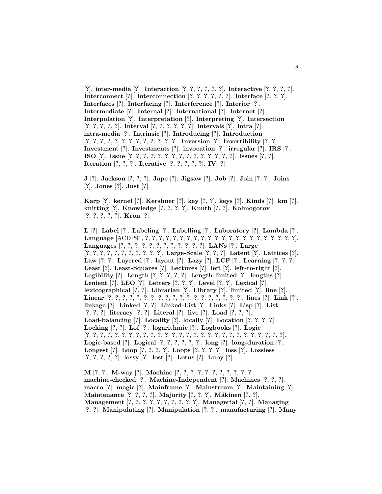[**?**]. **inter-media** [**?**]. **Interaction** [**?**, **?**, **?**, **?**, **?**, **?**]. **Interactive** [**?**, **?**, **?**, **?**]. **Interconnect** [**?**]. **Interconnection** [**?**, **?**, **?**, **?**, **?**, **?**]. **Interface** [**?**, **?**, **?**]. **Interfaces** [**?**]. **Interfacing** [**?**]. **Interference** [**?**]. **Interior** [**?**]. **Intermediate** [**?**]. **Internal** [**?**]. **International** [**?**]. **Internet** [**?**]. **Interpolation** [**?**]. **Interpretation** [**?**]. **Interpreting** [**?**]. **Intersection** [**?**, **?**, **?**, **?**, **?**]. **Interval** [**?**, **?**, **?**, **?**, **?**, **?**]. **intervals** [**?**]. **intra** [**?**]. **intra-media** [**?**]. **Intrinsic** [**?**]. **Introducing** [**?**]. **Introduction** [**?**, **?**, **?**, **?**, **?**, **?**, **?**, **?**, **?**, **?**, **?**, **?**, **?**]. **Inversion** [**?**]. **Invertibility** [**?**, **?**]. **Investment** [**?**]. **Investments** [**?**]. **invocation** [**?**]. **irregular** [**?**]. **IRS** [**?**]. **ISO** [**?**]. **Issue** [**?**, **?**, **?**, **?**, **?**, **?**, **?**, **?**, **?**, **?**, **?**, **?**, **?**, **?**, **?**]. **Issues** [**?**, **?**]. **Iteration** [**?**, **?**, **?**]. **Iterative** [**?**, **?**, **?**, **?**, **?**]. **IV** [**?**].

**J** [**?**]. **Jackson** [**?**, **?**, **?**]. **Jape** [**?**]. **Jigsaw** [**?**]. **Job** [**?**]. **Join** [**?**, **?**]. **Joins** [**?**]. **Jones** [**?**]. **Just** [**?**].

**Karp** [**?**]. **kernel** [**?**]. **Kershner** [**?**]. **key** [**?**, **?**]. **keys** [**?**]. **Kinds** [**?**]. **km** [**?**]. **knitting** [**?**]. **Knowledge** [**?**, **?**, **?**, **?**]. **Knuth** [**?**, **?**]. **Kolmogorov** [**?**, **?**, **?**, **?**, **?**]. **Kron** [**?**].

**L** [**?**]. **Label** [**?**]. **Labeling** [**?**]. **Labelling** [**?**]. **Laboratory** [**?**]. **Lambda** [**?**]. **Language** [ACDP91, **?**, **?**, **?**, **?**, **?**, **?**, **?**, **?**, **?**, **?**, **?**, **?**, **?**, **?**, **?**, **?**, **?**, **?**, **?**, **?**, **?**, **?**]. **Languages** [**?**, **?**, **?**, **?**, **?**, **?**, **?**, **?**, **?**, **?**, **?**, **?**]. **LANs** [**?**]. **Large** [**?**, **?**, **?**, **?**, **?**, **?**, **?**, **?**, **?**, **?**, **?**]. **Large-Scale** [**?**, **?**, **?**]. **Latent** [**?**]. **Lattices** [**?**]. **Law** [**?**, **?**]. **Layered** [**?**]. **layout** [**?**]. **Lazy** [**?**]. **LCF** [**?**]. **Learning** [**?**, **?**, **?**]. **Least** [**?**]. **Least-Squares** [**?**]. **Lectures** [**?**]. **left** [**?**]. **left-to-right** [**?**]. **Legibility** [**?**]. **Length** [**?**, **?**, **?**, **?**, **?**]. **Length-limited** [**?**]. **lengths** [**?**]. **Lenient** [**?**]. **LEO** [**?**]. **Letters** [**?**, **?**, **?**]. **Level** [**?**, **?**]. **Lexical** [**?**]. **lexicographical** [**?**, **?**]. **Librarian** [**?**]. **Library** [**?**]. **limited** [**?**]. **line** [**?**]. **Linear** [**?**, **?**, **?**, **?**, **?**, **?**, **?**, **?**, **?**, **?**, **?**, **?**, **?**, **?**, **?**, **?**, **?**, **?**, **?**]. **lines** [**?**]. **Link** [**?**]. **linkage** [**?**]. **Linked** [**?**, **?**]. **Linked-List** [**?**]. **Links** [**?**]. **Lisp** [**?**]. **List** [**?**, **?**, **?**]. **literacy** [**?**, **?**]. **Literal** [**?**]. **live** [**?**]. **Load** [**?**, **?**, **?**]. **Load-balancing** [**?**]. **Locality** [**?**]. **locally** [**?**]. **Location** [**?**, **?**, **?**, **?**]. **Locking** [**?**, **?**]. **Lof** [**?**]. **logarithmic** [**?**]. **Logbooks** [**?**]. **Logic** [**?**, **?**, **?**, **?**, **?**, **?**, **?**, **?**, **?**, **?**, **?**, **?**, **?**, **?**, **?**, **?**, **?**, **?**, **?**, **?**, **?**, **?**, **?**, **?**, **?**, **?**, **?**, **?**]. **Logic-based** [**?**]. **Logical** [**?**, **?**, **?**, **?**, **?**, **?**]. **long** [**?**]. **long-duration** [**?**]. **Longest** [**?**]. **Loop** [**?**, **?**, **?**, **?**]. **Loops** [**?**, **?**, **?**, **?**]. **loss** [**?**]. **Lossless** [**?**, **?**, **?**, **?**, **?**]. **lossy** [**?**]. **lost** [**?**]. **Lotus** [**?**]. **Luby** [**?**].

**M** [**?**, **?**]. **M-way** [**?**]. **Machine** [**?**, **?**, **?**, **?**, **?**, **?**, **?**, **?**, **?**, **?**, **?**]. **machine-checked** [**?**]. **Machine-Independent** [**?**]. **Machines** [**?**, **?**, **?**]. **macro** [**?**]. **magic** [**?**]. **Mainframe** [**?**]. **Mainstream** [**?**]. **Maintaining** [**?**]. **Maintenance** [**?**, **?**, **?**, **?**]. **Majority** [**?**, **?**, **?**]. **M¨akinen** [**?**, **?**]. **Management** [**?**, **?**, **?**, **?**, **?**, **?**, **?**, **?**, **?**, **?**]. **Managerial** [**?**, **?**]. **Managing** [**?**, **?**]. **Manipulating** [**?**]. **Manipulation** [**?**, **?**]. **manufacturing** [**?**]. **Many**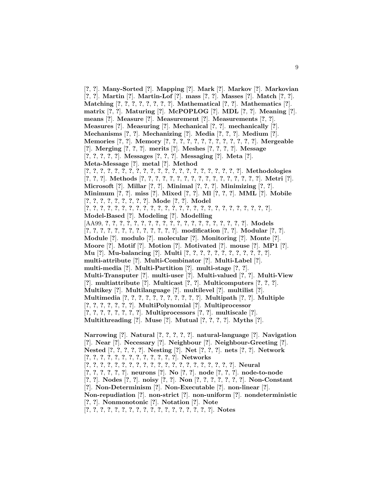[**?**, **?**]. **Many-Sorted** [**?**]. **Mapping** [**?**]. **Mark** [**?**]. **Markov** [**?**]. **Markovian** [**?**, **?**]. **Martin** [**?**]. **Martin-Lof** [**?**]. **mass** [**?**, **?**]. **Masses** [**?**]. **Match** [**?**, **?**]. **Matching** [**?**, **?**, **?**, **?**, **?**, **?**, **?**, **?**]. **Mathematical** [**?**, **?**]. **Mathematics** [**?**]. **matrix** [**?**, **?**]. **Maturing** [**?**]. **McPOPLOG** [**?**]. **MDL** [**?**, **?**]. **Meaning** [**?**]. **means** [**?**]. **Measure** [**?**]. **Measurement** [**?**]. **Measurements** [**?**, **?**]. **Measures** [**?**]. **Measuring** [**?**]. **Mechanical** [**?**, **?**]. **mechanically** [**?**]. **Mechanisms** [**?**, **?**]. **Mechanizing** [**?**]. **Media** [**?**, **?**, **?**]. **Medium** [**?**]. **Memories** [**?**, **?**]. **Memory** [**?**, **?**, **?**, **?**, **?**, **?**, **?**, **?**, **?**, **?**, **?**, **?**, **?**]. **Mergeable** [**?**]. **Merging** [**?**, **?**, **?**]. **merits** [**?**]. **Meshes** [**?**, **?**, **?**, **?**]. **Message** [**?**, **?**, **?**, **?**, **?**]. **Messages** [**?**, **?**, **?**]. **Messaging** [**?**]. **Meta** [**?**]. **Meta-Message** [**?**]. **metal** [**?**]. **Method**  $[?,?,?,?,?,?,?,?,?,?,?,?,?,?,?,?,?,?,?,?,?,?,?,?,?,],$  Methodologies  $[?, ?, ?]$ . Methods  $[?, ?, ?, ?, ?, ?, ?, ?, ?, ?, ?, ?, ?, ?, ?]$ . Metri  $[?]$ . **Microsoft** [**?**]. **Millar** [**?**, **?**]. **Minimal** [**?**, **?**, **?**]. **Minimizing** [**?**, **?**]. **Minimum** [**?**, **?**]. **miss** [**?**]. **Mixed** [**?**, **?**]. **Ml** [**?**, **?**, **?**]. **MML** [**?**]. **Mobile** [**?**, **?**, **?**, **?**, **?**, **?**, **?**, **?**, **?**]. **Mode** [**?**, **?**]. **Model** [**?**, **?**, **?**, **?**, **?**, **?**, **?**, **?**, **?**, **?**, **?**, **?**, **?**, **?**, **?**, **?**, **?**, **?**, **?**, **?**, **?**, **?**, **?**, **?**, **?**, **?**]. **Model-Based** [**?**]. **Modeling** [**?**]. **Modelling** [AA99, **?**, **?**, **?**, **?**, **?**, **?**, **?**, **?**, **?**, **?**, **?**, **?**, **?**, **?**, **?**, **?**, **?**, **?**, **?**, **?**]. **Models** [**?**, **?**, **?**, **?**, **?**, **?**, **?**, **?**, **?**, **?**, **?**, **?**, **?**]. **modification** [**?**, **?**]. **Modular** [**?**, **?**]. **Module** [**?**]. **modulo** [**?**]. **molecular** [**?**]. **Monitoring** [**?**]. **Monte** [**?**]. **Moore** [**?**]. **Motif** [**?**]. **Motion** [**?**]. **Motivated** [**?**]. **mouse** [**?**]. **MP1** [**?**]. **Mu** [**?**]. **Mu-balancing** [**?**]. **Multi** [**?**, **?**, **?**, **?**, **?**, **?**, **?**, **?**, **?**, **?**, **?**, **?**]. **multi-attribute** [**?**]. **Multi-Combinator** [**?**]. **Multi-Label** [**?**]. **multi-media** [**?**]. **Multi-Partition** [**?**]. **multi-stage** [**?**, **?**]. **Multi-Transputer** [**?**]. **multi-user** [**?**]. **Multi-valued** [**?**, **?**]. **Multi-View** [**?**]. **multiattribute** [**?**]. **Multicast** [**?**, **?**]. **Multicomputers** [**?**, **?**, **?**]. **Multikey** [**?**]. **Multilanguage** [**?**]. **multilevel** [**?**]. **multilist** [**?**]. **Multimedia** [**?**, **?**, **?**, **?**, **?**, **?**, **?**, **?**, **?**, **?**, **?**]. **Multipath** [**?**, **?**]. **Multiple** [**?**, **?**, **?**, **?**, **?**, **?**, **?**]. **MultiPolynomial** [**?**]. **Multiprocessor** [**?**, **?**, **?**, **?**, **?**, **?**, **?**, **?**]. **Multiprocessors** [**?**, **?**]. **multiscale** [**?**]. **Multithreading** [**?**]. **Muse** [**?**]. **Mutual** [**?**, **?**, **?**, **?**]. **Myths** [**?**].

**Narrowing** [**?**]. **Natural** [**?**, **?**, **?**, **?**, **?**]. **natural-language** [**?**]. **Navigation** [**?**]. **Near** [**?**]. **Necessary** [**?**]. **Neighbour** [**?**]. **Neighbour-Greeting** [**?**]. **Nested** [**?**, **?**, **?**, **?**, **?**]. **Nesting** [**?**]. **Net** [**?**, **?**, **?**]. **nets** [**?**, **?**]. **Network** [**?**, **?**, **?**, **?**, **?**, **?**, **?**, **?**, **?**, **?**, **?**, **?**, **?**]. **Networks**  $[?, ?, ?, ?, ?, ?, ?, ?, ?, ?, ?, ?, ?, ?, ?, ?, ?, ?, ?]$ . Neural [**?**, **?**, **?**, **?**, **?**, **?**]. **neurons** [**?**]. **No** [**?**, **?**]. **node** [**?**, **?**, **?**]. **node-to-node** [**?**, **?**]. **Nodes** [**?**, **?**]. **noisy** [**?**, **?**]. **Non** [**?**, **?**, **?**, **?**, **?**, **?**, **?**]. **Non-Constant** [**?**]. **Non-Determinism** [**?**]. **Non-Executable** [**?**]. **non-linear** [**?**]. **Non-repudiation** [**?**]. **non-strict** [**?**]. **non-uniform** [**?**]. **nondeterministic** [**?**, **?**]. **Nonmonotonic** [**?**]. **Notation** [**?**]. **Note** [**?**, **?**, **?**, **?**, **?**, **?**, **?**, **?**, **?**, **?**, **?**, **?**, **?**, **?**, **?**, **?**, **?**, **?**]. **Notes**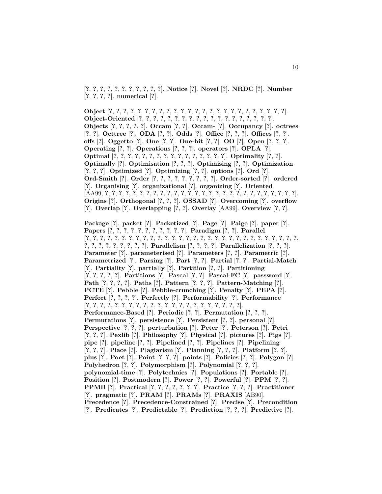[**?**, **?**, **?**, **?**, **?**, **?**, **?**, **?**, **?**, **?**, **?**]. **Notice** [**?**]. **Novel** [**?**]. **NRDC** [**?**]. **Number** [**?**, **?**, **?**, **?**]. **numerical** [**?**].

**Object** [**?**, **?**, **?**, **?**, **?**, **?**, **?**, **?**, **?**, **?**, **?**, **?**, **?**, **?**, **?**, **?**, **?**, **?**, **?**, **?**, **?**, **?**, **?**, **?**, **?**]. **Object-Oriented** [**?**, **?**, **?**, **?**, **?**, **?**, **?**, **?**, **?**, **?**, **?**, **?**, **?**, **?**, **?**, **?**, **?**, **?**, **?**]. **Objects** [**?**, **?**, **?**, **?**, **?**]. **Occam** [**?**, **?**]. **Occam-** [**?**]. **Occupancy** [**?**]. **octrees** [**?**, **?**]. **Octtree** [**?**]. **ODA** [**?**, **?**]. **Odds** [**?**]. **Office** [**?**, **?**, **?**]. **Offices** [**?**, **?**]. **offs** [**?**]. **Oggetto** [**?**]. **One** [**?**, **?**]. **One-bit** [**?**, **?**]. **OO** [**?**]. **Open** [**?**, **?**, **?**]. **Operating** [**?**, **?**]. **Operations** [**?**, **?**, **?**]. **operators** [**?**]. **OPLA** [**?**]. **Optimal** [**?**, **?**, **?**, **?**, **?**, **?**, **?**, **?**, **?**, **?**, **?**, **?**, **?**, **?**, **?**, **?**]. **Optimality** [**?**, **?**]. **Optimally** [**?**]. **Optimisation** [**?**, **?**, **?**]. **Optimising** [**?**, **?**]. **Optimization** [**?**, **?**, **?**]. **Optimized** [**?**]. **Optimizing** [**?**, **?**]. **options** [**?**]. **Ord** [**?**]. **Ord-Smith** [**?**]. **Order** [**?**, **?**, **?**, **?**, **?**, **?**, **?**, **?**, **?**]. **Order-sorted** [**?**]. **ordered** [**?**]. **Organising** [**?**]. **organizational** [**?**]. **organizing** [**?**]. **Oriented** [AA99, **?**, **?**, **?**, **?**, **?**, **?**, **?**, **?**, **?**, **?**, **?**, **?**, **?**, **?**, **?**, **?**, **?**, **?**, **?**, **?**, **?**, **?**, **?**, **?**, **?**, **?**, **?**, **?**]. **Origins** [**?**]. **Orthogonal** [**?**, **?**, **?**]. **OSSAD** [**?**]. **Overcoming** [**?**]. **overflow** [**?**]. **Overlap** [**?**]. **Overlapping** [**?**, **?**]. **Overlay** [AA99]. **Overview** [**?**, **?**].

**Package** [**?**]. **packet** [**?**]. **Packetized** [**?**]. **Page** [**?**]. **Paige** [**?**]. **paper** [**?**]. **Papers** [**?**, **?**, **?**, **?**, **?**, **?**, **?**, **?**, **?**, **?**, **?**]. **Paradigm** [**?**, **?**]. **Parallel** [**?**, **?**, **?**, **?**, **?**, **?**, **?**, **?**, **?**, **?**, **?**, **?**, **?**, **?**, **?**, **?**, **?**, **?**, **?**, **?**, **?**, **?**, **?**, **?**, **?**, **?**, **?**, **?**, **?**, **?**, **?**, **?**, **?**, **?**, **?**, **?**, **?**, **?**, **?**]. **Parallelism** [**?**, **?**, **?**, **?**]. **Parallelization** [**?**, **?**, **?**]. **Parameter** [**?**]. **parameterised** [**?**]. **Parameters** [**?**, **?**]. **Parametric** [**?**]. **Parametrized** [**?**]. **Parsing** [**?**]. **Part** [**?**, **?**]. **Partial** [**?**, **?**]. **Partial-Match** [**?**]. **Partiality** [**?**]. **partially** [**?**]. **Partition** [**?**, **?**]. **Partitioning** [**?**, **?**, **?**, **?**, **?**]. **Partitions** [**?**]. **Pascal** [**?**, **?**]. **Pascal-FC** [**?**]. **password** [**?**]. **Path** [**?**, **?**, **?**, **?**]. **Paths** [**?**]. **Pattern** [**?**, **?**, **?**]. **Pattern-Matching** [**?**]. **PCTE** [**?**]. **Pebble** [**?**]. **Pebble-crunching** [**?**]. **Penalty** [**?**]. **PEPA** [**?**]. **Perfect** [**?**, **?**, **?**, **?**]. **Perfectly** [**?**]. **Performability** [**?**]. **Performance** [**?**, **?**, **?**, **?**, **?**, **?**, **?**, **?**, **?**, **?**, **?**, **?**, **?**, **?**, **?**, **?**, **?**, **?**, **?**, **?**, **?**, **?**]. **Performance-Based** [**?**]. **Periodic** [**?**, **?**]. **Permutation** [**?**, **?**, **?**]. **Permutations** [**?**]. **persistence** [**?**]. **Persistent** [**?**, **?**]. **personal** [**?**]. **Perspective** [**?**, **?**, **?**]. **perturbation** [**?**]. **Peter** [**?**]. **Peterson** [**?**]. **Petri** [**?**, **?**, **?**]. **Pexlib** [**?**]. **Philosophy** [**?**]. **Physical** [**?**]. **pictures** [**?**]. **Pigs** [**?**]. **pipe** [**?**]. **pipeline** [**?**, **?**]. **Pipelined** [**?**, **?**]. **Pipelines** [**?**]. **Pipelining** [**?**, **?**, **?**]. **Place** [**?**]. **Plagiarism** [**?**]. **Planning** [**?**, **?**, **?**]. **Platform** [**?**, **?**]. **plus** [**?**]. **Poet** [**?**]. **Point** [**?**, **?**, **?**]. **points** [**?**]. **Policies** [**?**, **?**]. **Polygon** [**?**]. **Polyhedron** [**?**, **?**]. **Polymorphism** [**?**]. **Polynomial** [**?**, **?**, **?**]. **polynomial-time** [**?**]. **Polytechnics** [**?**]. **Populations** [**?**]. **Portable** [**?**]. **Position** [**?**]. **Postmodern** [**?**]. **Power** [**?**, **?**]. **Powerful** [**?**]. **PPM** [**?**, **?**]. **PPMB** [**?**]. **Practical** [**?**, **?**, **?**, **?**, **?**, **?**, **?**]. **Practice** [**?**, **?**, **?**]. **Practitioner** [**?**]. **pragmatic** [**?**]. **PRAM** [**?**]. **PRAMs** [**?**]. **PRAXIS** [AB90]. **Precedence** [**?**]. **Precedence-Constrained** [**?**]. **Precise** [**?**]. **Precondition** [**?**]. **Predicates** [**?**]. **Predictable** [**?**]. **Prediction** [**?**, **?**, **?**]. **Predictive** [**?**].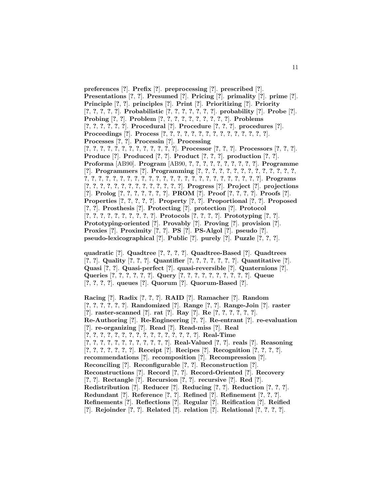**preferences** [**?**]. **Prefix** [**?**]. **preprocessing** [**?**]. **prescribed** [**?**]. **Presentations** [**?**, **?**]. **Presumed** [**?**]. **Pricing** [**?**]. **primality** [**?**]. **prime** [**?**]. **Principle** [**?**, **?**]. **principles** [**?**]. **Print** [**?**]. **Prioritizing** [**?**]. **Priority** [**?**, **?**, **?**, **?**, **?**]. **Probabilistic** [**?**, **?**, **?**, **?**, **?**, **?**, **?**]. **probability** [**?**]. **Probe** [**?**]. **Probing** [**?**, **?**]. **Problem** [**?**, **?**, **?**, **?**, **?**, **?**, **?**, **?**, **?**, **?**]. **Problems** [**?**, **?**, **?**, **?**, **?**, **?**]. **Procedural** [**?**]. **Procedure** [**?**, **?**, **?**]. **procedures** [**?**]. **Proceedings** [**?**]. **Process** [**?**, **?**, **?**, **?**, **?**, **?**, **?**, **?**, **?**, **?**, **?**, **?**, **?**, **?**, **?**]. **Processes** [**?**, **?**]. **Processin** [**?**]. **Processing**  $[?,?,?,?,?,?,?,?,?,?,?,?,?,?,?]$ . Processor  $[?,?,?]$ . Processors  $[?,?,?,?]$ . **Produce** [**?**]. **Produced** [**?**, **?**]. **Product** [**?**, **?**, **?**]. **production** [**?**, **?**]. **Proforma** [AB90]. **Program** [AB90, **?**, **?**, **?**, **?**, **?**, **?**, **?**, **?**, **?**, **?**]. **Programme** [**?**]. **Programmers** [**?**]. **Programming** [**?**, **?**, **?**, **?**, **?**, **?**, **?**, **?**, **?**, **?**, **?**, **?**, **?**, **?**, **?**, **?**, **?**, **?**, **?**, **?**, **?**, **?**, **?**, **?**, **?**, **?**, **?**, **?**, **?**, **?**, **?**, **?**, **?**, **?**, **?**, **?**, **?**, **?**, **?**]. **Programs** [**?**, **?**, **?**, **?**, **?**, **?**, **?**, **?**, **?**, **?**, **?**, **?**, **?**, **?**]. **Progress** [**?**]. **Project** [**?**]. **projections** [**?**]. **Prolog** [**?**, **?**, **?**, **?**, **?**, **?**, **?**]. **PROM** [**?**]. **Proof** [**?**, **?**, **?**, **?**]. **Proofs** [**?**]. **Properties** [**?**, **?**, **?**, **?**, **?**]. **Property** [**?**, **?**]. **Proportional** [**?**, **?**]. **Proposed** [**?**, **?**]. **Prosthesis** [**?**]. **Protecting** [**?**]. **protection** [**?**]. **Protocol** [**?**, **?**, **?**, **?**, **?**, **?**, **?**, **?**, **?**, **?**]. **Protocols** [**?**, **?**, **?**, **?**]. **Prototyping** [**?**, **?**]. **Prototyping-oriented** [**?**]. **Provably** [**?**]. **Proving** [**?**]. **provision** [**?**]. **Proxies** [**?**]. **Proximity** [**?**, **?**]. **PS** [**?**]. **PS-Algol** [**?**]. **pseudo** [**?**]. **pseudo-lexicographical** [**?**]. **Public** [**?**]. **purely** [**?**]. **Puzzle** [**?**, **?**, **?**].

**quadratic** [**?**]. **Quadtree** [**?**, **?**, **?**, **?**]. **Quadtree-Based** [**?**]. **Quadtrees** [**?**, **?**]. **Quality** [**?**, **?**, **?**]. **Quantifier** [**?**, **?**, **?**, **?**, **?**, **?**, **?**]. **Quantitative** [**?**]. **Quasi** [**?**, **?**]. **Quasi-perfect** [**?**]. **quasi-reversible** [**?**]. **Quaternions** [**?**]. **Queries** [**?**, **?**, **?**, **?**, **?**, **?**]. **Query** [**?**, **?**, **?**, **?**, **?**, **?**, **?**, **?**, **?**, **?**]. **Queue** [**?**, **?**, **?**, **?**]. **queues** [**?**]. **Quorum** [**?**]. **Quorum-Based** [**?**].

**Racing** [**?**]. **Radix** [**?**, **?**, **?**]. **RAID** [**?**]. **Ramacher** [**?**]. **Random** [**?**, **?**, **?**, **?**, **?**, **?**]. **Randomized** [**?**]. **Range** [**?**, **?**]. **Range-Join** [**?**]. **raster** [**?**]. **raster-scanned** [**?**]. **rat** [**?**]. **Ray** [**?**]. **Re** [**?**, **?**, **?**, **?**, **?**, **?**]. **Re-Authoring** [**?**]. **Re-Engineering** [**?**, **?**]. **Re-entrant** [**?**]. **re-evaluation** [**?**]. **re-organizing** [**?**]. **Read** [**?**]. **Read-miss** [**?**]. **Real** [**?**, **?**, **?**, **?**, **?**, **?**, **?**, **?**, **?**, **?**, **?**, **?**, **?**, **?**, **?**, **?**]. **Real-Time** [**?**, **?**, **?**, **?**, **?**, **?**, **?**, **?**, **?**, **?**, **?**, **?**]. **Real-Valued** [**?**, **?**]. **reals** [**?**]. **Reasoning** [**?**, **?**, **?**, **?**, **?**, **?**, **?**]. **Receipt** [**?**]. **Recipes** [**?**]. **Recognition** [**?**, **?**, **?**, **?**]. **recommendations** [**?**]. **recomposition** [**?**]. **Recompression** [**?**]. **Reconciling** [**?**]. **Reconfigurable** [**?**, **?**]. **Reconstruction** [**?**]. **Reconstructions** [**?**]. **Record** [**?**, **?**]. **Record-Oriented** [**?**]. **Recovery** [**?**, **?**]. **Rectangle** [**?**]. **Recursion** [**?**, **?**]. **recursive** [**?**]. **Red** [**?**]. **Redistribution** [**?**]. **Reducer** [**?**]. **Reducing** [**?**, **?**]. **Reduction** [**?**, **?**, **?**]. **Redundant** [**?**]. **Reference** [**?**, **?**]. **Refined** [**?**]. **Refinement** [**?**, **?**, **?**]. **Refinements** [**?**]. **Reflections** [**?**]. **Regular** [**?**]. **Reification** [**?**]. **Reified** [**?**]. **Rejoinder** [**?**, **?**]. **Related** [**?**]. **relation** [**?**]. **Relational** [**?**, **?**, **?**, **?**].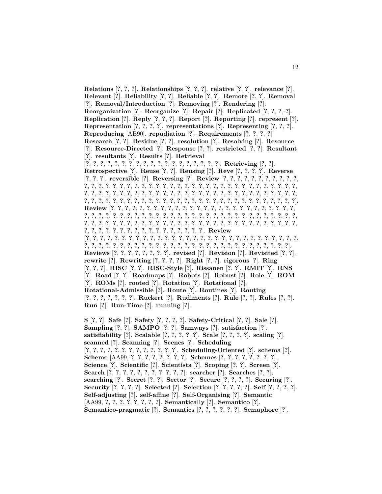**Relations** [**?**, **?**, **?**]. **Relationships** [**?**, **?**, **?**]. **relative** [**?**, **?**]. **relevance** [**?**]. **Relevant** [**?**]. **Reliability** [**?**, **?**]. **Reliable** [**?**, **?**]. **Remote** [**?**, **?**]. **Removal** [**?**]. **Removal/Introduction** [**?**]. **Removing** [**?**]. **Rendering** [**?**]. **Reorganization** [**?**]. **Reorganize** [**?**]. **Repair** [**?**]. **Replicated** [**?**, **?**, **?**, **?**]. **Replication** [**?**]. **Reply** [**?**, **?**, **?**]. **Report** [**?**]. **Reporting** [**?**]. **represent** [**?**]. **Representation** [**?**, **?**, **?**, **?**]. **representations** [**?**]. **Representing** [**?**, **?**, **?**]. **Reproducing** [AB90]. **repudiation** [**?**]. **Requirements** [**?**, **?**, **?**, **?**]. **Research** [**?**, **?**]. **Residue** [**?**, **?**]. **resolution** [**?**]. **Resolving** [**?**]. **Resource** [**?**]. **Resource-Directed** [**?**]. **Response** [**?**, **?**]. **restricted** [**?**, **?**]. **Resultant** [**?**]. **resultants** [**?**]. **Results** [**?**]. **Retrieval**  $[?, ?, ?, ?, ?, ?, ?, ?, ?, ?, ?, ?, ?, ?, ?, ?, ?]$ . Retrieving [?, ?]. **Retrospective** [**?**]. **Reuse** [**?**, **?**]. **Reusing** [**?**]. **Reve** [**?**, **?**, **?**, **?**]. **Reverse** [**?**, **?**, **?**]. **reversible** [**?**]. **Reversing** [**?**]. **Review** [**?**, **?**, **?**, **?**, **?**, **?**, **?**, **?**, **?**, **?**, **?**, **?**, **?**, **?**, **?**, **?**, **?**, **?**, **?**, **?**, **?**, **?**, **?**, **?**, **?**, **?**, **?**, **?**, **?**, **?**, **?**, **?**, **?**, **?**, **?**, **?**, **?**, **?**, **?**, **?**, **?**, **?**, **?**, **?**, **?**, **?**, **?**, **?**, **?**, **?**, **?**, **?**, **?**, **?**, **?**, **?**, **?**, **?**, **?**, **?**, **?**, **?**, **?**, **?**, **?**, **?**, **?**, **?**, **?**, **?**, **?**, **?**, **?**, **?**, **?**, **?**, **?**, **?**, **?**, **?**, **?**, **?**, **?**, **?**, **?**, **?**, **?**, **?**, **?**, **?**, **?**, **?**, **?**, **?**, **?**, **?**, **?**, **?**, **?**, **?**, **?**]. **Review** [**?**, **?**, **?**, **?**, **?**, **?**, **?**, **?**, **?**, **?**, **?**, **?**, **?**, **?**, **?**, **?**, **?**, **?**, **?**, **?**, **?**, **?**, **?**, **?**, **?**, **?**, **?**, **?**, **?**, **?**, **?**, **?**, **?**, **?**, **?**, **?**, **?**, **?**, **?**, **?**, **?**, **?**, **?**, **?**, **?**, **?**, **?**, **?**, **?**, **?**, **?**, **?**, **?**, **?**, **?**, **?**, **?**, **?**, **?**, **?**, **?**, **?**, **?**, **?**, **?**, **?**, **?**, **?**, **?**, **?**, **?**, **?**, **?**, **?**, **?**, **?**, **?**, **?**, **?**, **?**, **?**, **?**, **?**, **?**, **?**, **?**, **?**, **?**, **?**, **?**, **?**, **?**, **?**, **?**, **?**, **?**, **?**, **?**, **?**, **?**, **?**, **?**, **?**]. **Review** [**?**, **?**, **?**, **?**, **?**, **?**, **?**, **?**, **?**, **?**, **?**, **?**, **?**, **?**, **?**, **?**, **?**, **?**, **?**, **?**, **?**, **?**, **?**, **?**, **?**, **?**, **?**, **?**, **?**, **?**, **?**, **?**, **?**, **?**, **?**, **?**, **?**, **?**, **?**, **?**, **?**, **?**, **?**, **?**, **?**, **?**, **?**, **?**, **?**, **?**, **?**, **?**, **?**, **?**, **?**, **?**, **?**, **?**, **?**]. **Reviews** [**?**, **?**, **?**, **?**, **?**, **?**, **?**, **?**]. **revised** [**?**]. **Revision** [**?**]. **Revisited** [**?**, **?**]. **rewrite** [**?**]. **Rewriting** [**?**, **?**, **?**, **?**]. **Right** [**?**, **?**]. **rigorous** [**?**]. **Ring** [**?**, **?**, **?**]. **RISC** [**?**, **?**]. **RISC-Style** [**?**]. **Rissanen** [**?**, **?**]. **RMIT** [**?**]. **RNS** [**?**]. **Road** [**?**, **?**]. **Roadmaps** [**?**]. **Robots** [**?**]. **Robust** [**?**]. **Role** [**?**]. **ROM** [**?**]. **ROMs** [**?**]. **rooted** [**?**]. **Rotation** [**?**]. **Rotational** [**?**]. **Rotational-Admissible** [**?**]. **Route** [**?**]. **Routines** [**?**]. **Routing** [**?**, **?**, **?**, **?**, **?**, **?**, **?**]. **Ruckert** [**?**]. **Rudiments** [**?**]. **Rule** [**?**, **?**]. **Rules** [**?**, **?**]. **Run** [**?**]. **Run-Time** [**?**]. **running** [**?**]. **S** [**?**, **?**]. **Safe** [**?**]. **Safety** [**?**, **?**, **?**, **?**]. **Safety-Critical** [**?**, **?**]. **Sale** [**?**]. **Sampling** [**?**, **?**]. **SAMPO** [**?**, **?**]. **Samways** [**?**]. **satisfaction** [**?**]. **satisfiability** [**?**]. **Scalable** [**?**, **?**, **?**, **?**, **?**]. **Scale** [**?**, **?**, **?**, **?**]. **scaling** [**?**]. **scanned** [**?**]. **Scanning** [**?**]. **Scenes** [**?**]. **Scheduling** [**?**, **?**, **?**, **?**, **?**, **?**, **?**, **?**, **?**, **?**, **?**, **?**, **?**]. **Scheduling-Oriented** [**?**]. **schema** [**?**]. **Scheme** [AA99, **?**, **?**, **?**, **?**, **?**, **?**, **?**, **?**]. **Schemes** [**?**, **?**, **?**, **?**, **?**, **?**, **?**, **?**]. **Science** [**?**]. **Scientific** [**?**]. **Scientists** [**?**]. **Scoping** [**?**, **?**]. **Screen** [**?**].

**Search** [**?**, **?**, **?**, **?**, **?**, **?**, **?**, **?**, **?**, **?**, **?**]. **searcher** [**?**]. **Searches** [**?**, **?**]. **searching** [**?**]. **Secret** [**?**, **?**]. **Sector** [**?**]. **Secure** [**?**, **?**, **?**, **?**]. **Securing** [**?**]. **Security** [**?**, **?**, **?**, **?**]. **Selected** [**?**]. **Selection** [**?**, **?**, **?**, **?**, **?**]. **Self** [**?**, **?**, **?**, **?**]. **Self-adjusting** [**?**]. **self-affine** [**?**]. **Self-Organising** [**?**]. **Semantic**

[AA99, **?**, **?**, **?**, **?**, **?**, **?**, **?**, **?**]. **Semantically** [**?**]. **Semantico** [**?**].

**Semantico-pragmatic** [**?**]. **Semantics** [**?**, **?**, **?**, **?**, **?**, **?**]. **Semaphore** [**?**].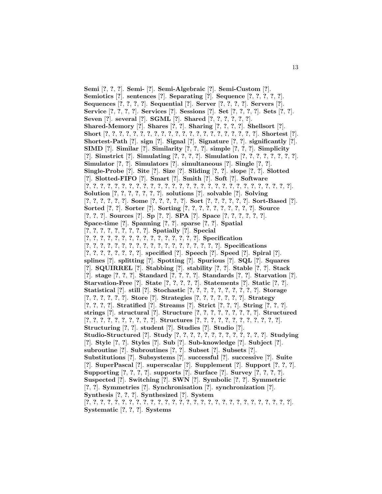**Semi** [**?**, **?**, **?**]. **Semi-** [**?**]. **Semi-Algebraic** [**?**]. **Semi-Custom** [**?**]. **Semiotics** [**?**]. **sentences** [**?**]. **Separating** [**?**]. **Sequence** [**?**, **?**, **?**, **?**, **?**]. **Sequences** [**?**, **?**, **?**, **?**]. **Sequential** [**?**]. **Server** [**?**, **?**, **?**, **?**]. **Servers** [**?**]. **Service** [**?**, **?**, **?**, **?**]. **Services** [**?**]. **Sessions** [**?**]. **Set** [**?**, **?**, **?**, **?**]. **Sets** [**?**, **?**]. **Seven** [**?**]. **several** [**?**]. **SGML** [**?**]. **Shared** [**?**, **?**, **?**, **?**, **?**, **?**]. **Shared-Memory** [**?**]. **Shares** [**?**, **?**]. **Sharing** [**?**, **?**, **?**, **?**]. **Shellsort** [**?**]. **Short** [**?**, **?**, **?**, **?**, **?**, **?**, **?**, **?**, **?**, **?**, **?**, **?**, **?**, **?**, **?**, **?**, **?**, **?**, **?**, **?**, **?**, **?**]. **Shortest** [**?**]. **Shortest-Path** [**?**]. **sign** [**?**]. **Signal** [**?**]. **Signature** [**?**, **?**]. **significantly** [**?**]. **SIMD** [**?**]. **Similar** [**?**]. **Similarity** [**?**, **?**, **?**]. **simple** [**?**, **?**, **?**]. **Simplicity** [**?**]. **Simstrict** [**?**]. **Simulating** [**?**, **?**, **?**, **?**]. **Simulation** [**?**, **?**, **?**, **?**, **?**, **?**, **?**, **?**]. **Simulator** [**?**, **?**]. **Simulators** [**?**]. **simultaneous** [**?**]. **Single** [**?**, **?**]. **Single-Probe** [**?**]. **Site** [**?**]. **Size** [**?**]. **Sliding** [**?**, **?**]. **slope** [**?**, **?**]. **Slotted** [**?**]. **Slotted-FIFO** [**?**]. **Smart** [**?**]. **Smith** [**?**]. **Soft** [**?**]. **Software** [**?**, **?**, **?**, **?**, **?**, **?**, **?**, **?**, **?**, **?**, **?**, **?**, **?**, **?**, **?**, **?**, **?**, **?**, **?**, **?**, **?**, **?**, **?**, **?**, **?**, **?**, **?**, **?**, **?**]. **Solution** [**?**, **?**, **?**, **?**, **?**, **?**, **?**]. **solutions** [**?**]. **solvable** [**?**]. **Solving**  $[?,?,?,?,?,?]$ . Some  $[?,?,?,?,?,$   $]$ . Sort  $[?,?,?,?,?,$   $]$ . Sort-Based  $[?]$ . **Sorted** [**?**, **?**]. **Sorter** [**?**]. **Sorting** [**?**, **?**, **?**, **?**, **?**, **?**, **?**, **?**, **?**, **?**]. **Source** [**?**, **?**, **?**]. **Sources** [**?**]. **Sp** [**?**, **?**]. **SPA** [**?**]. **Space** [**?**, **?**, **?**, **?**, **?**, **?**]. **Space-time** [**?**]. **Spanning** [**?**, **?**]. **sparse** [**?**, **?**]. **Spatial** [**?**, **?**, **?**, **?**, **?**, **?**, **?**, **?**, **?**]. **Spatially** [**?**]. **Special** [**?**, **?**, **?**, **?**, **?**, **?**, **?**, **?**, **?**, **?**, **?**, **?**, **?**, **?**, **?**, **?**]. **Specification** [**?**, **?**, **?**, **?**, **?**, **?**, **?**, **?**, **?**, **?**, **?**, **?**, **?**, **?**, **?**, **?**, **?**, **?**, **?**]. **Specifications** [**?**, **?**, **?**, **?**, **?**, **?**, **?**, **?**]. **specified** [**?**]. **Speech** [**?**]. **Speed** [**?**]. **Spiral** [**?**]. **splines** [**?**]. **splitting** [**?**]. **Spotting** [**?**]. **Spurious** [**?**]. **SQL** [**?**]. **Squares** [**?**]. **SQUIRREL** [**?**]. **Stabbing** [**?**]. **stability** [**?**, **?**]. **Stable** [**?**, **?**]. **Stack** [**?**]. **stage** [**?**, **?**, **?**]. **Standard** [**?**, **?**, **?**, **?**]. **Standards** [**?**, **?**]. **Starvation** [**?**]. **Starvation-Free** [**?**]. **State** [**?**, **?**, **?**, **?**, **?**]. **Statements** [**?**]. **Static** [**?**, **?**]. **Statistical** [**?**]. **still** [**?**]. **Stochastic** [**?**, **?**, **?**, **?**, **?**, **?**, **?**, **?**, **?**, **?**]. **Storage** [**?**, **?**, **?**, **?**, **?**, **?**]. **Store** [**?**]. **Strategies** [**?**, **?**, **?**, **?**, **?**, **?**, **?**]. **Strategy** [**?**, **?**, **?**, **?**]. **Stratified** [**?**]. **Streams** [**?**]. **Strict** [**?**, **?**, **?**]. **String** [**?**, **?**, **?**]. **strings** [**?**]. **structural** [**?**]. **Structure** [**?**, **?**, **?**, **?**, **?**, **?**, **?**, **?**, **?**]. **Structured**  $[?, ?, ?, ?, ?, ?, ?, ?, ?]$ . Structures  $[?, ?, ?, ?, ?, ?, ?, ?, ?, ?, ?]$ . **Structuring** [**?**, **?**]. **student** [**?**]. **Studies** [**?**]. **Studio** [**?**]. **Studio-Structured** [**?**]. **Study** [**?**, **?**, **?**, **?**, **?**, **?**, **?**, **?**, **?**, **?**, **?**, **?**, **?**]. **Studying** [**?**]. **Style** [**?**, **?**]. **Styles** [**?**]. **Sub** [**?**]. **Sub-knowledge** [**?**]. **Subject** [**?**]. **subroutine** [**?**]. **Subroutines** [**?**, **?**]. **Subset** [**?**]. **Subsets** [**?**]. **Substitutions** [**?**]. **Subsystems** [**?**]. **successful** [**?**]. **successive** [**?**]. **Suite** [**?**]. **SuperPascal** [**?**]. **superscalar** [**?**]. **Supplement** [**?**]. **Support** [**?**, **?**, **?**]. **Supporting** [**?**, **?**, **?**, **?**]. **supports** [**?**]. **Surface** [**?**]. **Survey** [**?**, **?**, **?**, **?**]. **Suspected** [**?**]. **Switching** [**?**]. **SWN** [**?**]. **Symbolic** [**?**, **?**]. **Symmetric** [**?**, **?**]. **Symmetries** [**?**]. **Synchronisation** [**?**]. **synchronization** [**?**]. **Synthesis** [**?**, **?**, **?**]. **Synthesized** [**?**]. **System** [**?**, **?**, **?**, **?**, **?**, **?**, **?**, **?**, **?**, **?**, **?**, **?**, **?**, **?**, **?**, **?**, **?**, **?**, **?**, **?**, **?**, **?**, **?**, **?**, **?**, **?**, **?**, **?**, **?**]. **Systematic** [**?**, **?**, **?**]. **Systems**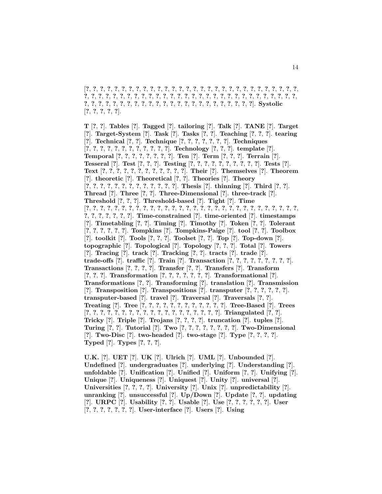[**?**, **?**, **?**, **?**, **?**, **?**, **?**, **?**, **?**, **?**, **?**, **?**, **?**, **?**, **?**, **?**, **?**, **?**, **?**, **?**, **?**, **?**, **?**, **?**, **?**, **?**, **?**, **?**, **?**, **?**, **?**, **?**, **?**, **?**, **?**, **?**, **?**, **?**, **?**, **?**, **?**, **?**, **?**, **?**, **?**, **?**, **?**, **?**, **?**, **?**, **?**, **?**, **?**, **?**, **?**, **?**, **?**, **?**, **?**, **?**, **?**, **?**, **?**, **?**, **?**, **?**, **?**, **?**, **?**, **?**, **?**, **?**, **?**, **?**, **?**, **?**, **?**, **?**, **?**, **?**, **?**, **?**, **?**, **?**]. **Systolic** [**?**, **?**, **?**, **?**, **?**].

**T** [**?**, **?**]. **Tables** [**?**]. **Tagged** [**?**]. **tailoring** [**?**]. **Talk** [**?**]. **TANE** [**?**]. **Target** [**?**]. **Target-System** [**?**]. **Task** [**?**]. **Tasks** [**?**, **?**]. **Teaching** [**?**, **?**, **?**]. **tearing** [**?**]. **Technical** [**?**, **?**]. **Technique** [**?**, **?**, **?**, **?**, **?**, **?**, **?**]. **Techniques** [**?**, **?**, **?**, **?**, **?**, **?**, **?**, **?**, **?**, **?**, **?**, **?**]. **Technology** [**?**, **?**, **?**]. **template** [**?**]. **Temporal** [**?**, **?**, **?**, **?**, **?**, **?**, **?**, **?**]. **Ten** [**?**]. **Term** [**?**, **?**, **?**]. **Terrain** [**?**]. **Tesseral** [**?**]. **Test** [**?**, **?**, **?**]. **Testing** [**?**, **?**, **?**, **?**, **?**, **?**, **?**, **?**, **?**, **?**]. **Tests** [**?**]. **Text** [**?**, **?**, **?**, **?**, **?**, **?**, **?**, **?**, **?**, **?**, **?**, **?**]. **Their** [**?**]. **Themselves** [**?**]. **Theorem** [**?**]. **theoretic** [**?**]. **Theoretical** [**?**, **?**]. **Theories** [**?**]. **Theory** [**?**, **?**, **?**, **?**, **?**, **?**, **?**, **?**, **?**, **?**, **?**, **?**, **?**]. **Thesis** [**?**]. **thinning** [**?**]. **Third** [**?**, **?**]. **Thread** [**?**]. **Three** [**?**, **?**]. **Three-Dimensional** [**?**]. **three-track** [**?**]. **Threshold** [**?**, **?**, **?**]. **Threshold-based** [**?**]. **Tight** [**?**]. **Time** [**?**, **?**, **?**, **?**, **?**, **?**, **?**, **?**, **?**, **?**, **?**, **?**, **?**, **?**, **?**, **?**, **?**, **?**, **?**, **?**, **?**, **?**, **?**, **?**, **?**, **?**, **?**, **?**, **?**, **?**, **?**, **?**, **?**, **?**, **?**, **?**, **?**]. **Time-constrained** [**?**]. **time-oriented** [**?**]. **timestamps** [**?**]. **Timetabling** [**?**, **?**]. **Timing** [**?**]. **Timothy** [**?**]. **Token** [**?**, **?**]. **Tolerant** [**?**, **?**, **?**, **?**, **?**, **?**]. **Tompkins** [**?**]. **Tompkins-Paige** [**?**]. **tool** [**?**, **?**]. **Toolbox** [**?**]. **toolkit** [**?**]. **Tools** [**?**, **?**, **?**]. **Toolset** [**?**, **?**]. **Top** [**?**]. **Top-down** [**?**]. **topographic** [**?**]. **Topological** [**?**]. **Topology** [**?**, **?**, **?**]. **Total** [**?**]. **Towers** [**?**]. **Tracing** [**?**]. **track** [**?**]. **Tracking** [**?**, **?**]. **tracts** [**?**]. **trade** [**?**]. **trade-offs** [**?**]. **traffic** [**?**]. **Train** [**?**]. **Transaction** [**?**, **?**, **?**, **?**, **?**, **?**, **?**, **?**, **?**]. **Transactions** [**?**, **?**, **?**, **?**]. **Transfer** [**?**, **?**]. **Transfers** [**?**]. **Transform** [**?**, **?**, **?**]. **Transformation** [**?**, **?**, **?**, **?**, **?**, **?**, **?**]. **Transformational** [**?**]. **Transformations** [**?**, **?**]. **Transforming** [**?**]. **translation** [**?**]. **Transmission** [**?**]. **Transposition** [**?**]. **Transpositions** [**?**]. **transputer** [**?**, **?**, **?**, **?**, **?**, **?**]. **transputer-based** [**?**]. **travel** [**?**]. **Traversal** [**?**]. **Traversals** [**?**, **?**]. **Treating** [**?**]. **Tree** [**?**, **?**, **?**, **?**, **?**, **?**, **?**, **?**, **?**, **?**, **?**, **?**]. **Tree-Based** [**?**]. **Trees**  $[?, ?, ?, ?, ?, ?, ?, ?, ?, ?, ?, ?, ?, ?, ?, ?, ?]$ . Triangulated  $[?, ?]$ . **Tricky** [**?**]. **Triple** [**?**]. **Trojans** [**?**, **?**, **?**, **?**]. **truncation** [**?**]. **tuples** [**?**]. **Turing** [**?**, **?**]. **Tutorial** [**?**]. **Two** [**?**, **?**, **?**, **?**, **?**, **?**, **?**, **?**]. **Two-Dimensional** [**?**]. **Two-Disc** [**?**]. **two-headed** [**?**]. **two-stage** [**?**]. **Type** [**?**, **?**, **?**, **?**]. **Typed** [**?**]. **Types** [**?**, **?**, **?**].

**U.K.** [**?**]. **UET** [**?**]. **UK** [**?**]. **Ulrich** [**?**]. **UML** [**?**]. **Unbounded** [**?**]. **Undefined** [**?**]. **undergraduates** [**?**]. **underlying** [**?**]. **Understanding** [**?**]. **unfoldable** [**?**]. **Unification** [**?**]. **Unified** [**?**]. **Uniform** [**?**, **?**]. **Unifying** [**?**]. **Unique** [**?**]. **Uniqueness** [**?**]. **Uniquest** [**?**]. **Unity** [**?**]. **universal** [**?**]. **Universities** [**?**, **?**, **?**, **?**]. **University** [**?**]. **Unix** [**?**]. **unpredictability** [**?**]. **unranking** [**?**]. **unsuccessful** [**?**]. **Up/Down** [**?**]. **Update** [**?**, **?**]. **updating** [**?**]. **URPC** [**?**]. **Usability** [**?**, **?**]. **Usable** [**?**]. **Use** [**?**, **?**, **?**, **?**, **?**, **?**]. **User** [**?**, **?**, **?**, **?**, **?**, **?**, **?**]. **User-interface** [**?**]. **Users** [**?**]. **Using**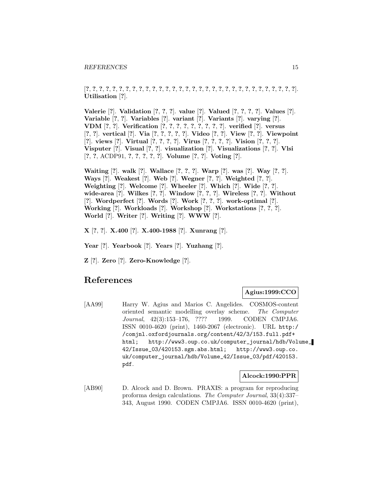[**?**, **?**, **?**, **?**, **?**, **?**, **?**, **?**, **?**, **?**, **?**, **?**, **?**, **?**, **?**, **?**, **?**, **?**, **?**, **?**, **?**, **?**, **?**, **?**, **?**, **?**, **?**, **?**, **?**, **?**, **?**, **?**]. **Utilisation** [**?**].

**Valerie** [**?**]. **Validation** [**?**, **?**, **?**]. **value** [**?**]. **Valued** [**?**, **?**, **?**, **?**]. **Values** [**?**]. **Variable** [**?**, **?**]. **Variables** [**?**]. **variant** [**?**]. **Variants** [**?**]. **varying** [**?**]. **VDM** [**?**, **?**]. **Verification** [**?**, **?**, **?**, **?**, **?**, **?**, **?**, **?**, **?**]. **verified** [**?**]. **versus** [**?**, **?**]. **vertical** [**?**]. **Via** [**?**, **?**, **?**, **?**, **?**]. **Video** [**?**, **?**]. **View** [**?**, **?**]. **Viewpoint** [**?**]. **views** [**?**]. **Virtual** [**?**, **?**, **?**, **?**]. **Virus** [**?**, **?**, **?**, **?**]. **Vision** [**?**, **?**, **?**]. **Visputer** [**?**]. **Visual** [**?**, **?**]. **visualization** [**?**]. **Visualizations** [**?**, **?**]. **Vlsi** [**?**, **?**, ACDP91, **?**, **?**, **?**, **?**, **?**]. **Volume** [**?**, **?**]. **Voting** [**?**].

**Waiting** [**?**]. **walk** [**?**]. **Wallace** [**?**, **?**, **?**]. **Warp** [**?**]. **was** [**?**]. **Way** [**?**, **?**]. **Ways** [**?**]. **Weakest** [**?**]. **Web** [**?**]. **Wegner** [**?**, **?**]. **Weighted** [**?**, **?**]. **Weighting** [**?**]. **Welcome** [**?**]. **Wheeler** [**?**]. **Which** [**?**]. **Wide** [**?**, **?**]. **wide-area** [**?**]. **Wilkes** [**?**, **?**]. **Window** [**?**, **?**, **?**]. **Wireless** [**?**, **?**]. **Without** [**?**]. **Wordperfect** [**?**]. **Words** [**?**]. **Work** [**?**, **?**, **?**]. **work-optimal** [**?**]. **Working** [**?**]. **Workloads** [**?**]. **Workshop** [**?**]. **Workstations** [**?**, **?**, **?**]. **World** [**?**]. **Writer** [**?**]. **Writing** [**?**]. **WWW** [**?**].

**X** [**?**, **?**]. **X.400** [**?**]. **X.400-1988** [**?**]. **Xunrang** [**?**].

**Year** [**?**]. **Yearbook** [**?**]. **Years** [**?**]. **Yuzhang** [**?**].

**Z** [**?**]. **Zero** [**?**]. **Zero-Knowledge** [**?**].

## **References**

### **Agius:1999:CCO**

[AA99] Harry W. Agius and Marios C. Angelides. COSMOS-content oriented semantic modelling overlay scheme. The Computer Journal, 42(3):153–176, ???? 1999. CODEN CMPJA6. ISSN 0010-4620 (print), 1460-2067 (electronic). URL http:/ /comjnl.oxfordjournals.org/content/42/3/153.full.pdf+ html; http://www3.oup.co.uk/computer\_journal/hdb/Volume\_ 42/Issue\_03/420153.sgm.abs.html; http://www3.oup.co. uk/computer\_journal/hdb/Volume\_42/Issue\_03/pdf/420153. pdf.

#### **Alcock:1990:PPR**

[AB90] D. Alcock and D. Brown. PRAXIS: a program for reproducing proforma design calculations. The Computer Journal, 33(4):337– 343, August 1990. CODEN CMPJA6. ISSN 0010-4620 (print),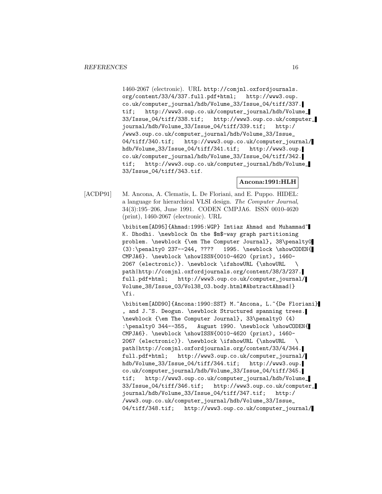1460-2067 (electronic). URL http://comjnl.oxfordjournals. org/content/33/4/337.full.pdf+html; http://www3.oup. co.uk/computer\_journal/hdb/Volume\_33/Issue\_04/tiff/337. tif; http://www3.oup.co.uk/computer\_journal/hdb/Volume\_ 33/Issue\_04/tiff/338.tif; http://www3.oup.co.uk/computer\_ journal/hdb/Volume\_33/Issue\_04/tiff/339.tif; http:/ /www3.oup.co.uk/computer\_journal/hdb/Volume\_33/Issue\_ 04/tiff/340.tif; http://www3.oup.co.uk/computer\_journal/ hdb/Volume\_33/Issue\_04/tiff/341.tif; http://www3.oup. co.uk/computer\_journal/hdb/Volume\_33/Issue\_04/tiff/342. tif; http://www3.oup.co.uk/computer\_journal/hdb/Volume\_ 33/Issue\_04/tiff/343.tif.

**Ancona:1991:HLH**

[ACDP91] M. Ancona, A. Clematis, L. De Floriani, and E. Puppo. HIDEL: a language for hierarchical VLSI design. The Computer Journal, 34(3):195–206, June 1991. CODEN CMPJA6. ISSN 0010-4620 (print), 1460-2067 (electronic). URL

> \bibitem[AD95]{Ahmad:1995:WGP} Imtiaz Ahmad and Muhammad~ K. Dhodhi. \newblock On the \$m\$-way graph partitioning problem. \newblock {\em The Computer Journal}, 38\penalty0 (3):\penalty0 237--244, ???? 1995. \newblock \showCODEN{ CMPJA6}. \newblock \showISSN{0010-4620 (print), 1460- 2067 (electronic)}. \newblock \ifshowURL {\showURL \ path|http://comjnl.oxfordjournals.org/content/38/3/237. full.pdf+html; http://www3.oup.co.uk/computer\_journal/ Volume\_38/Issue\_03/Vol38\_03.body.html#AbstractAhmad|} \fi.

\bibitem[ADD90]{Ancona:1990:SST} M.~Ancona, L.~{De Floriani} , and J.~S. Deogun. \newblock Structured spanning trees. \newblock {\em The Computer Journal}, 33\penalty0 (4) :\penalty0 344--355, August 1990. \newblock \showCODEN{ CMPJA6}. \newblock \showISSN{0010-4620 (print), 1460- 2067 (electronic)}. \newblock \ifshowURL {\showURL \ path|http://comjnl.oxfordjournals.org/content/33/4/344. full.pdf+html; http://www3.oup.co.uk/computer\_journal/ hdb/Volume\_33/Issue\_04/tiff/344.tif; http://www3.oup. co.uk/computer\_journal/hdb/Volume\_33/Issue\_04/tiff/345. tif; http://www3.oup.co.uk/computer\_journal/hdb/Volume\_ 33/Issue\_04/tiff/346.tif; http://www3.oup.co.uk/computer\_ journal/hdb/Volume\_33/Issue\_04/tiff/347.tif; http:/ /www3.oup.co.uk/computer\_journal/hdb/Volume\_33/Issue\_ 04/tiff/348.tif; http://www3.oup.co.uk/computer\_journal/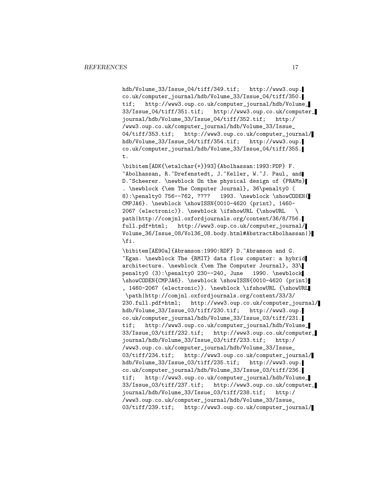hdb/Volume\_33/Issue\_04/tiff/349.tif; http://www3.oup. co.uk/computer\_journal/hdb/Volume\_33/Issue\_04/tiff/350. tif; http://www3.oup.co.uk/computer\_journal/hdb/Volume\_ 33/Issue\_04/tiff/351.tif; http://www3.oup.co.uk/computer\_ journal/hdb/Volume\_33/Issue\_04/tiff/352.tif; http:/ /www3.oup.co.uk/computer\_journal/hdb/Volume\_33/Issue\_ 04/tiff/353.tif; http://www3.oup.co.uk/computer\_journal/ hdb/Volume\_33/Issue\_04/tiff/354.tif; http://www3.oup. co.uk/computer\_journal/hdb/Volume\_33/Issue\_04/tiff/355. t.

\bibitem[ADK{\etalchar{+}}93]{Abolhassan:1993:PDP} F. ~Abolhassan, R.~Drefenstedt, J.~Keller, W.~J. Paul, and D.~Scheerer. \newblock On the physical design of {PRAMs} . \newblock {\em The Computer Journal}, 36\penalty0 ( 8):\penalty0 756--762, ???? 1993. \newblock \showCODEN{ CMPJA6}. \newblock \showISSN{0010-4620 (print), 1460- 2067 (electronic)}. \newblock \ifshowURL {\showURL \ path|http://comjnl.oxfordjournals.org/content/36/8/756. full.pdf+html; http://www3.oup.co.uk/computer\_journal/ Volume\_36/Issue\_08/Vol36\_08.body.html#AbstractAbolhassan|} \fi.

\bibitem[AE90a]{Abramson:1990:RDF} D.~Abramson and G. ~Egan. \newblock The {RMIT} data flow computer: a hybrid architecture. \newblock {\em The Computer Journal}, 33\ penalty0 (3):\penalty0 230--240, June 1990. \newblock \showCODEN{CMPJA6}. \newblock \showISSN{0010-4620 (print) , 1460-2067 (electronic)}. \newblock \ifshowURL {\showURL \path|http://comjnl.oxfordjournals.org/content/33/3/ 230.full.pdf+html; http://www3.oup.co.uk/computer\_journal/ hdb/Volume\_33/Issue\_03/tiff/230.tif; http://www3.oup. co.uk/computer\_journal/hdb/Volume\_33/Issue\_03/tiff/231. tif; http://www3.oup.co.uk/computer\_journal/hdb/Volume\_ 33/Issue\_03/tiff/232.tif; http://www3.oup.co.uk/computer\_ journal/hdb/Volume\_33/Issue\_03/tiff/233.tif; http:/ /www3.oup.co.uk/computer\_journal/hdb/Volume\_33/Issue\_ 03/tiff/234.tif; http://www3.oup.co.uk/computer\_journal/ hdb/Volume\_33/Issue\_03/tiff/235.tif; http://www3.oup. co.uk/computer\_journal/hdb/Volume\_33/Issue\_03/tiff/236. tif; http://www3.oup.co.uk/computer\_journal/hdb/Volume\_ 33/Issue\_03/tiff/237.tif; http://www3.oup.co.uk/computer\_ journal/hdb/Volume\_33/Issue\_03/tiff/238.tif; http:/ /www3.oup.co.uk/computer\_journal/hdb/Volume\_33/Issue\_ 03/tiff/239.tif; http://www3.oup.co.uk/computer\_journal/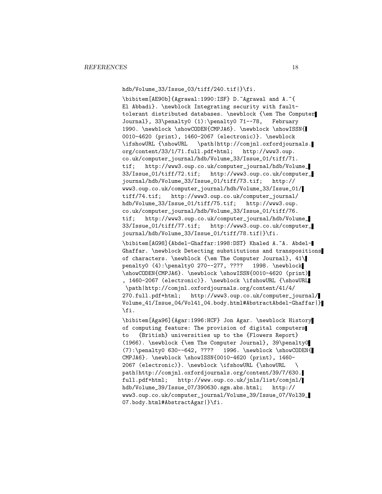hdb/Volume\_33/Issue\_03/tiff/240.tif|}\fi.

\bibitem[AE90b]{Agrawal:1990:ISF} D.~Agrawal and A.~{ El Abbadi}. \newblock Integrating security with faulttolerant distributed databases. \newblock {\em The Computer Journal}, 33\penalty0 (1):\penalty0 71--78, February 1990. \newblock \showCODEN{CMPJA6}. \newblock \showISSN{ 0010-4620 (print), 1460-2067 (electronic)}. \newblock \ifshowURL {\showURL \path|http://comjnl.oxfordjournals. org/content/33/1/71.full.pdf+html; http://www3.oup. co.uk/computer\_journal/hdb/Volume\_33/Issue\_01/tiff/71. tif; http://www3.oup.co.uk/computer\_journal/hdb/Volume\_ 33/Issue\_01/tiff/72.tif; http://www3.oup.co.uk/computer\_ journal/hdb/Volume\_33/Issue\_01/tiff/73.tif; http:// www3.oup.co.uk/computer\_journal/hdb/Volume\_33/Issue\_01/ tiff/74.tif; http://www3.oup.co.uk/computer\_journal/ hdb/Volume\_33/Issue\_01/tiff/75.tif; http://www3.oup. co.uk/computer\_journal/hdb/Volume\_33/Issue\_01/tiff/76. tif; http://www3.oup.co.uk/computer\_journal/hdb/Volume\_ 33/Issue\_01/tiff/77.tif; http://www3.oup.co.uk/computer\_ journal/hdb/Volume\_33/Issue\_01/tiff/78.tif|}\fi.

\bibitem[AG98]{Abdel-Ghaffar:1998:DST} Khaled A.~A. Abdel-Ghaffar. \newblock Detecting substitutions and transpositions of characters. \newblock {\em The Computer Journal}, 41\ penalty0 (4):\penalty0 270--277, ???? 1998. \newblock \showCODEN{CMPJA6}. \newblock \showISSN{0010-4620 (print) , 1460-2067 (electronic)}. \newblock \ifshowURL {\showURL \path|http://comjnl.oxfordjournals.org/content/41/4/ 270.full.pdf+html; http://www3.oup.co.uk/computer\_journal/ Volume\_41/Issue\_04/Vol41\_04.body.html#AbstractAbdel-Ghaffar|} \fi.

\bibitem[Aga96]{Agar:1996:HCF} Jon Agar. \newblock History of computing feature: The provision of digital computers to {British} universities up to the {Flowers Report} (1966). \newblock {\em The Computer Journal}, 39\penalty0 (7):\penalty0 630--642, ???? 1996. \newblock \showCODEN{ CMPJA6}. \newblock \showISSN{0010-4620 (print), 1460- 2067 (electronic)}. \newblock \ifshowURL {\showURL \ path|http://comjnl.oxfordjournals.org/content/39/7/630. full.pdf+html; http://www.oup.co.uk/jnls/list/comjnl/ hdb/Volume\_39/Issue\_07/390630.sgm.abs.html; http:// www3.oup.co.uk/computer\_journal/Volume\_39/Issue\_07/Vol39\_ 07.body.html#AbstractAgar|}\fi.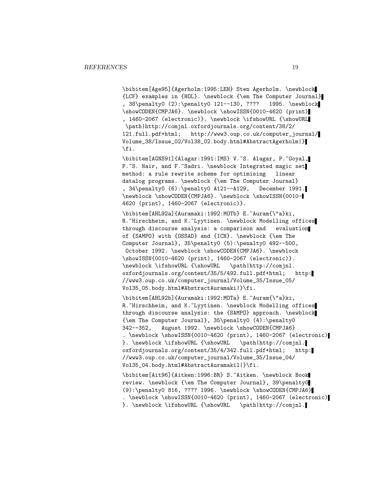\bibitem[Age95]{Agerholm:1995:LEH} Sten Agerholm. \newblock {LCF} examples in {HOL}. \newblock {\em The Computer Journal} , 38\penalty0 (2):\penalty0 121--130, ???? 1995. \newblock \showCODEN{CMPJA6}. \newblock \showISSN{0010-4620 (print) , 1460-2067 (electronic)}. \newblock \ifshowURL {\showURL \path|http://comjnl.oxfordjournals.org/content/38/2/ 121.full.pdf+html; http://www3.oup.co.uk/computer\_journal/ Volume\_38/Issue\_02/Vol38\_02.body.html#AbstractAgerholm|} \fi.

\bibitem[AGNS91]{Alagar:1991:IMS} V.~S. Alagar, P.~Goyal, P.~S. Nair, and F.~Sadri. \newblock Integrated magic set method: a rule rewrite scheme for optimising linear datalog programs. \newblock {\em The Computer Journal} , 34\penalty0 (6):\penalty0 A121--A129, December 1991. \newblock \showCODEN{CMPJA6}. \newblock \showISSN{0010- 4620 (print), 1460-2067 (electronic)}.

\bibitem[AHL92a]{Auramaki:1992:MOTb} E.~Auram{\"a}ki, R. "Hirschheim, and K. "Lyytinen. \newblock Modelling offices through discourse analysis: a comparison and evaluation of {SAMPO} with {OSSAD} and {ICN}. \newblock {\em The Computer Journal}, 35\penalty0 (5):\penalty0 492--500, October 1992. \newblock \showCODEN{CMPJA6}. \newblock \showISSN{0010-4620 (print), 1460-2067 (electronic)}. \newblock \ifshowURL {\showURL \path|http://comjnl. oxfordjournals.org/content/35/5/492.full.pdf+html; http: //www3.oup.co.uk/computer\_journal/Volume\_35/Issue\_05/ Vol35\_05.body.html#AbstractAuramaki|}\fi.

\bibitem[AHL92b]{Auramaki:1992:MOTa} E.~Auram{\"a}ki, R. Hirschheim, and K. Lyytinen. \newblock Modelling offices through discourse analysis: the {SAMPO} approach. \newblock {\em The Computer Journal}, 35\penalty0 (4):\penalty0 342--352, August 1992. \newblock \showCODEN{CMPJA6} . \newblock \showISSN{0010-4620 (print), 1460-2067 (electronic) }. \newblock \ifshowURL {\showURL \path|http://comjnl. oxfordjournals.org/content/35/4/342.full.pdf+html; http: //www3.oup.co.uk/computer\_journal/Volume\_35/Issue\_04/ Vol35\_04.body.html#AbstractAuramakil|}\fi.

\bibitem[Ait96]{Aitken:1996:BR} S.~Aitken. \newblock Book review. \newblock {\em The Computer Journal}, 39\penalty0 (9):\penalty0 816, ???? 1996. \newblock \showCODEN{CMPJA6} . \newblock \showISSN{0010-4620 (print), 1460-2067 (electronic) }. \newblock \ifshowURL {\showURL \path|http://comjnl.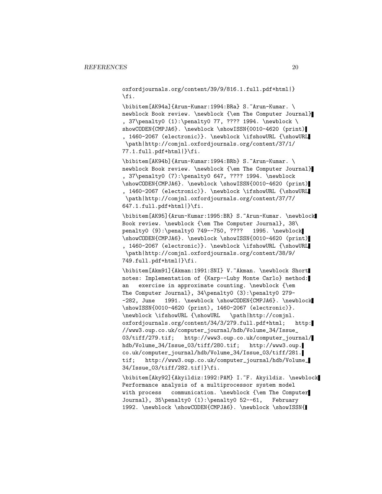oxfordjournals.org/content/39/9/816.1.full.pdf+html|} \fi.

\bibitem[AK94a]{Arun-Kumar:1994:BRa} S.~Arun-Kumar. \ newblock Book review. \newblock {\em The Computer Journal} , 37\penalty0 (1):\penalty0 77, ???? 1994. \newblock \ showCODEN{CMPJA6}. \newblock \showISSN{0010-4620 (print) , 1460-2067 (electronic)}. \newblock \ifshowURL {\showURL \path|http://comjnl.oxfordjournals.org/content/37/1/ 77.1.full.pdf+html|}\fi.

\bibitem[AK94b]{Arun-Kumar:1994:BRb} S.~Arun-Kumar. \ newblock Book review. \newblock {\em The Computer Journal} , 37\penalty0 (7):\penalty0 647, ???? 1994. \newblock \showCODEN{CMPJA6}. \newblock \showISSN{0010-4620 (print) , 1460-2067 (electronic)}. \newblock \ifshowURL {\showURL \path|http://comjnl.oxfordjournals.org/content/37/7/ 647.1.full.pdf+html|}\fi.

\bibitem[AK95]{Arun-Kumar:1995:BR} S.~Arun-Kumar. \newblock Book review. \newblock {\em The Computer Journal}, 38\ penalty0 (9):\penalty0 749--750, ???? 1995. \newblock \showCODEN{CMPJA6}. \newblock \showISSN{0010-4620 (print) , 1460-2067 (electronic)}. \newblock \ifshowURL {\showURL \path|http://comjnl.oxfordjournals.org/content/38/9/ 749.full.pdf+html|}\fi.

\bibitem[Akm91]{Akman:1991:SNI} V.~Akman. \newblock Short notes: Implementation of {Karp--Luby Monte Carlo} method: an exercise in approximate counting. \newblock {\em The Computer Journal}, 34\penalty0 (3):\penalty0 279- -282, June 1991. \newblock \showCODEN{CMPJA6}. \newblock \showISSN{0010-4620 (print), 1460-2067 (electronic)}. \newblock \ifshowURL {\showURL \path|http://comjnl. oxfordjournals.org/content/34/3/279.full.pdf+html; http: //www3.oup.co.uk/computer\_journal/hdb/Volume\_34/Issue\_ 03/tiff/279.tif; http://www3.oup.co.uk/computer\_journal/ hdb/Volume\_34/Issue\_03/tiff/280.tif; http://www3.oup. co.uk/computer\_journal/hdb/Volume\_34/Issue\_03/tiff/281. tif; http://www3.oup.co.uk/computer\_journal/hdb/Volume\_ 34/Issue\_03/tiff/282.tif|}\fi.

\bibitem[Aky92]{Akyildiz:1992:PAM} I.~F. Akyildiz. \newblock Performance analysis of a multiprocessor system model with process communication. \newblock {\em The Computer Journal}, 35\penalty0 (1):\penalty0 52--61, February 1992. \newblock \showCODEN{CMPJA6}. \newblock \showISSN{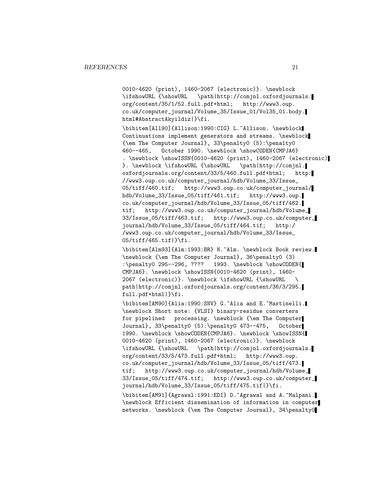0010-4620 (print), 1460-2067 (electronic)}. \newblock \ifshowURL {\showURL \path|http://comjnl.oxfordjournals. org/content/35/1/52.full.pdf+html; http://www3.oup. co.uk/computer\_journal/Volume\_35/Issue\_01/Vol35\_01.body. html#AbstractAkyildiz|}\fi.

\bibitem[All90]{Allison:1990:CIG} L.~Allison. \newblock Continuations implement generators and streams. \newblock {\em The Computer Journal}, 33\penalty0 (5):\penalty0 460--465, October 1990. \newblock \showCODEN{CMPJA6} . \newblock \showISSN{0010-4620 (print), 1460-2067 (electronic) }. \newblock \ifshowURL {\showURL \path|http://comjnl. oxfordjournals.org/content/33/5/460.full.pdf+html; http: //www3.oup.co.uk/computer\_journal/hdb/Volume\_33/Issue\_ 05/tiff/460.tif; http://www3.oup.co.uk/computer\_journal/ hdb/Volume\_33/Issue\_05/tiff/461.tif; http://www3.oup. co.uk/computer\_journal/hdb/Volume\_33/Issue\_05/tiff/462. tif; http://www3.oup.co.uk/computer\_journal/hdb/Volume\_ 33/Issue\_05/tiff/463.tif; http://www3.oup.co.uk/computer\_ journal/hdb/Volume\_33/Issue\_05/tiff/464.tif; http:/ /www3.oup.co.uk/computer\_journal/hdb/Volume\_33/Issue\_ 05/tiff/465.tif|}\fi.

\bibitem[Alm93]{Alm:1993:BR} N.~Alm. \newblock Book review. \newblock {\em The Computer Journal}, 36\penalty0 (3) :\penalty0 295--296, ???? 1993. \newblock \showCODEN{ CMPJA6}. \newblock \showISSN{0010-4620 (print), 1460- 2067 (electronic)}. \newblock \ifshowURL {\showURL \ path|http://comjnl.oxfordjournals.org/content/36/3/295. full.pdf+html|}\fi.

\bibitem[AM90]{Alia:1990:SNV} G.~Alia and E.~Martinelli. \newblock Short note: {VLSI} binary-residue converters for pipelined processing. \newblock {\em The Computer Journal}, 33\penalty0 (5):\penalty0 473--475, October 1990. \newblock \showCODEN{CMPJA6}. \newblock \showISSN{ 0010-4620 (print), 1460-2067 (electronic)}. \newblock \ifshowURL {\showURL \path|http://comjnl.oxfordjournals. org/content/33/5/473.full.pdf+html; http://www3.oup. co.uk/computer\_journal/hdb/Volume\_33/Issue\_05/tiff/473. tif; http://www3.oup.co.uk/computer\_journal/hdb/Volume\_ 33/Issue\_05/tiff/474.tif; http://www3.oup.co.uk/computer\_ journal/hdb/Volume\_33/Issue\_05/tiff/475.tif|}\fi. \bibitem[AM91]{Agrawal:1991:EDI} D.~Agrawal and A.~Malpani. \newblock Efficient dissemination of information in computer networks. \newblock {\em The Computer Journal}, 34\penalty0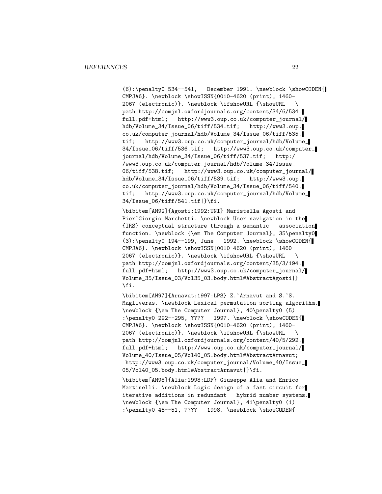(6):\penalty0 534--541, December 1991. \newblock \showCODEN{ CMPJA6}. \newblock \showISSN{0010-4620 (print), 1460- 2067 (electronic)}. \newblock \ifshowURL {\showURL \ path|http://comjnl.oxfordjournals.org/content/34/6/534. full.pdf+html; http://www3.oup.co.uk/computer\_journal/ hdb/Volume\_34/Issue\_06/tiff/534.tif; http://www3.oup. co.uk/computer\_journal/hdb/Volume\_34/Issue\_06/tiff/535. tif; http://www3.oup.co.uk/computer\_journal/hdb/Volume\_ 34/Issue\_06/tiff/536.tif; http://www3.oup.co.uk/computer\_ journal/hdb/Volume\_34/Issue\_06/tiff/537.tif; http:/ /www3.oup.co.uk/computer\_journal/hdb/Volume\_34/Issue\_ 06/tiff/538.tif; http://www3.oup.co.uk/computer\_journal/ hdb/Volume\_34/Issue\_06/tiff/539.tif; http://www3.oup. co.uk/computer\_journal/hdb/Volume\_34/Issue\_06/tiff/540. tif; http://www3.oup.co.uk/computer\_journal/hdb/Volume\_ 34/Issue\_06/tiff/541.tif|}\fi.

\bibitem[AM92]{Agosti:1992:UNI} Maristella Agosti and Pier~Giorgio Marchetti. \newblock User navigation in the {IRS} conceptual structure through a semantic association function. \newblock {\em The Computer Journal}, 35\penalty0  $(3): \penalty0 194--199, June 1992. \newblock \showCODEN{$ CMPJA6}. \newblock \showISSN{0010-4620 (print), 1460- 2067 (electronic)}. \newblock \ifshowURL {\showURL \ path|http://comjnl.oxfordjournals.org/content/35/3/194. full.pdf+html; http://www3.oup.co.uk/computer\_journal/ Volume\_35/Issue\_03/Vol35\_03.body.html#AbstractAgosti|} \fi.

\bibitem[AM97]{Arnavut:1997:LPS} Z.~Arnavut and S.~S. Magliveras. \newblock Lexical permutation sorting algorithm. \newblock {\em The Computer Journal}, 40\penalty0 (5) :\penalty0 292--295, ???? 1997. \newblock \showCODEN{ CMPJA6}. \newblock \showISSN{0010-4620 (print), 1460- 2067 (electronic)}. \newblock \ifshowURL {\showURL \ path|http://comjnl.oxfordjournals.org/content/40/5/292. full.pdf+html; http://www.oup.co.uk/computer\_journal/ Volume\_40/Issue\_05/Vol40\_05.body.html#AbstractArnavut; http://www3.oup.co.uk/computer\_journal/Volume\_40/Issue\_ 05/Vol40\_05.body.html#AbstractArnavut|}\fi.

\bibitem[AM98]{Alia:1998:LDF} Giuseppe Alia and Enrico Martinelli. \newblock Logic design of a fast circuit for iterative additions in redundant hybrid number systems. \newblock {\em The Computer Journal}, 41\penalty0 (1) :\penalty0 45--51, ???? 1998. \newblock \showCODEN{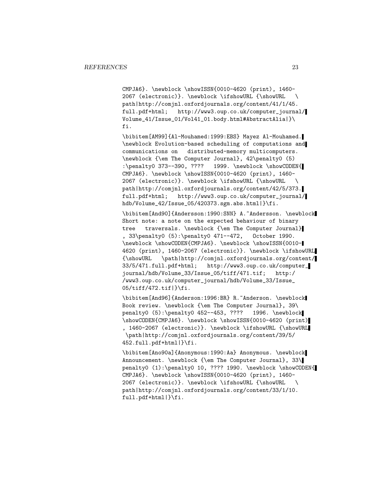CMPJA6}. \newblock \showISSN{0010-4620 (print), 1460- 2067 (electronic)}. \newblock \ifshowURL {\showURL \ path|http://comjnl.oxfordjournals.org/content/41/1/45. full.pdf+html; http://www3.oup.co.uk/computer\_journal/ Volume\_41/Issue\_01/Vol41\_01.body.html#AbstractAlia|}\ fi.

\bibitem[AM99]{Al-Mouhamed:1999:EBS} Mayez Al-Mouhamed. \newblock Evolution-based scheduling of computations and communications on distributed-memory multicomputers. \newblock {\em The Computer Journal}, 42\penalty0 (5) :\penalty0 373--390, ???? 1999. \newblock \showCODEN{ CMPJA6}. \newblock \showISSN{0010-4620 (print), 1460- 2067 (electronic)}. \newblock \ifshowURL {\showURL \ path|http://comjnl.oxfordjournals.org/content/42/5/373. full.pdf+html; http://www3.oup.co.uk/computer\_journal/ hdb/Volume\_42/Issue\_05/420373.sgm.abs.html|}\fi.

\bibitem[And90]{Andersson:1990:SNN} A.~Andersson. \newblock Short note: a note on the expected behaviour of binary tree traversals. \newblock {\em The Computer Journal} , 33\penalty0 (5):\penalty0 471--472, October 1990. \newblock \showCODEN{CMPJA6}. \newblock \showISSN{0010- 4620 (print), 1460-2067 (electronic)}. \newblock \ifshowURL {\showURL \path|http://comjnl.oxfordjournals.org/content/ 33/5/471.full.pdf+html; http://www3.oup.co.uk/computer\_ journal/hdb/Volume\_33/Issue\_05/tiff/471.tif; http:/ /www3.oup.co.uk/computer\_journal/hdb/Volume\_33/Issue\_ 05/tiff/472.tif|}\fi.

\bibitem[And96]{Anderson:1996:BR} R.~Anderson. \newblock Book review. \newblock {\em The Computer Journal}, 39\ penalty0 (5):\penalty0 452--453, ???? 1996. \newblock \showCODEN{CMPJA6}. \newblock \showISSN{0010-4620 (print) , 1460-2067 (electronic)}. \newblock \ifshowURL {\showURL \path|http://comjnl.oxfordjournals.org/content/39/5/ 452.full.pdf+html|}\fi.

\bibitem[Ano90a]{Anonymous:1990:Aa} Anonymous. \newblock Announcement. \newblock {\em The Computer Journal}, 33\ penalty0 (1):\penalty0 10, ???? 1990. \newblock \showCODEN{ CMPJA6}. \newblock \showISSN{0010-4620 (print), 1460- 2067 (electronic)}. \newblock \ifshowURL {\showURL \ path|http://comjnl.oxfordjournals.org/content/33/1/10. full.pdf+html|}\fi.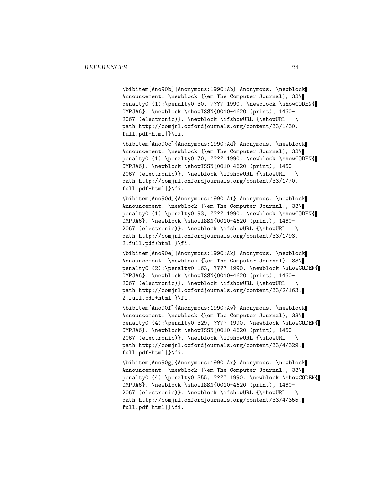\bibitem[Ano90b]{Anonymous:1990:Ab} Anonymous. \newblock Announcement. \newblock {\em The Computer Journal}, 33\ penalty0 (1):\penalty0 30, ???? 1990. \newblock \showCODEN{ CMPJA6}. \newblock \showISSN{0010-4620 (print), 1460- 2067 (electronic)}. \newblock \ifshowURL {\showURL \ path|http://comjnl.oxfordjournals.org/content/33/1/30. full.pdf+html|}\fi.

\bibitem[Ano90c]{Anonymous:1990:Ad} Anonymous. \newblock Announcement. \newblock {\em The Computer Journal}, 33\ penalty0 (1):\penalty0 70, ???? 1990. \newblock \showCODEN{ CMPJA6}. \newblock \showISSN{0010-4620 (print), 1460- 2067 (electronic)}. \newblock \ifshowURL {\showURL \ path|http://comjnl.oxfordjournals.org/content/33/1/70. full.pdf+html|}\fi.

\bibitem[Ano90d]{Anonymous:1990:Af} Anonymous. \newblock Announcement. \newblock {\em The Computer Journal}, 33\ penalty0 (1):\penalty0 93, ???? 1990. \newblock \showCODEN{ CMPJA6}. \newblock \showISSN{0010-4620 (print), 1460- 2067 (electronic)}. \newblock \ifshowURL {\showURL \ path|http://comjnl.oxfordjournals.org/content/33/1/93. 2.full.pdf+html|}\fi.

\bibitem[Ano90e]{Anonymous:1990:Ak} Anonymous. \newblock Announcement. \newblock {\em The Computer Journal}, 33\ penalty0 (2):\penalty0 163, ???? 1990. \newblock \showCODEN{ CMPJA6}. \newblock \showISSN{0010-4620 (print), 1460- 2067 (electronic)}. \newblock \ifshowURL {\showURL \ path|http://comjnl.oxfordjournals.org/content/33/2/163. 2.full.pdf+html|}\fi.

\bibitem[Ano90f]{Anonymous:1990:Aw} Anonymous. \newblock Announcement. \newblock {\em The Computer Journal}, 33\ penalty0 (4):\penalty0 329, ???? 1990. \newblock \showCODEN{ CMPJA6}. \newblock \showISSN{0010-4620 (print), 1460- 2067 (electronic)}. \newblock \ifshowURL {\showURL \ path|http://comjnl.oxfordjournals.org/content/33/4/329. full.pdf+html|}\fi.

\bibitem[Ano90g]{Anonymous:1990:Ax} Anonymous. \newblock Announcement. \newblock {\em The Computer Journal}, 33\ penalty0 (4):\penalty0 355, ???? 1990. \newblock \showCODEN{ CMPJA6}. \newblock \showISSN{0010-4620 (print), 1460- 2067 (electronic)}. \newblock \ifshowURL {\showURL \ path|http://comjnl.oxfordjournals.org/content/33/4/355. full.pdf+html|}\fi.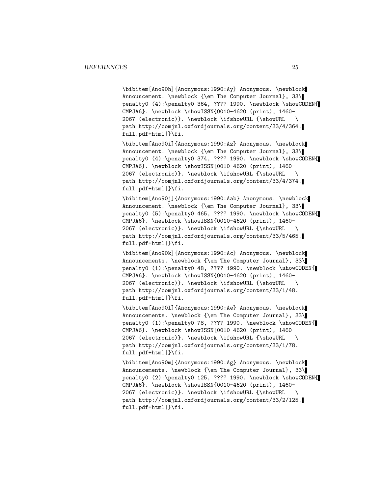\bibitem[Ano90h]{Anonymous:1990:Ay} Anonymous. \newblock Announcement. \newblock {\em The Computer Journal}, 33\ penalty0 (4):\penalty0 364, ???? 1990. \newblock \showCODEN{ CMPJA6}. \newblock \showISSN{0010-4620 (print), 1460- 2067 (electronic)}. \newblock \ifshowURL {\showURL \ path|http://comjnl.oxfordjournals.org/content/33/4/364. full.pdf+html|}\fi.

\bibitem[Ano90i]{Anonymous:1990:Az} Anonymous. \newblock Announcement. \newblock {\em The Computer Journal}, 33\ penalty0 (4):\penalty0 374, ???? 1990. \newblock \showCODEN{ CMPJA6}. \newblock \showISSN{0010-4620 (print), 1460- 2067 (electronic)}. \newblock \ifshowURL {\showURL \ path|http://comjnl.oxfordjournals.org/content/33/4/374. full.pdf+html|}\fi.

\bibitem[Ano90j]{Anonymous:1990:Aab} Anonymous. \newblock Announcement. \newblock {\em The Computer Journal}, 33\ penalty0 (5):\penalty0 465, ???? 1990. \newblock \showCODEN{ CMPJA6}. \newblock \showISSN{0010-4620 (print), 1460- 2067 (electronic)}. \newblock \ifshowURL {\showURL \ path|http://comjnl.oxfordjournals.org/content/33/5/465. full.pdf+html|}\fi.

\bibitem[Ano90k]{Anonymous:1990:Ac} Anonymous. \newblock Announcements. \newblock {\em The Computer Journal}, 33\ penalty0 (1):\penalty0 48, ???? 1990. \newblock \showCODEN{ CMPJA6}. \newblock \showISSN{0010-4620 (print), 1460- 2067 (electronic)}. \newblock \ifshowURL {\showURL \ path|http://comjnl.oxfordjournals.org/content/33/1/48. full.pdf+html|}\fi.

\bibitem[Ano90l]{Anonymous:1990:Ae} Anonymous. \newblock Announcements. \newblock {\em The Computer Journal}, 33\ penalty0 (1):\penalty0 78, ???? 1990. \newblock \showCODEN{ CMPJA6}. \newblock \showISSN{0010-4620 (print), 1460- 2067 (electronic)}. \newblock \ifshowURL {\showURL \ path|http://comjnl.oxfordjournals.org/content/33/1/78. full.pdf+html|}\fi.

\bibitem[Ano90m]{Anonymous:1990:Ag} Anonymous. \newblock Announcements. \newblock {\em The Computer Journal}, 33\ penalty0 (2):\penalty0 125, ???? 1990. \newblock \showCODEN{ CMPJA6}. \newblock \showISSN{0010-4620 (print), 1460- 2067 (electronic)}. \newblock \ifshowURL {\showURL \ path|http://comjnl.oxfordjournals.org/content/33/2/125. full.pdf+html|}\fi.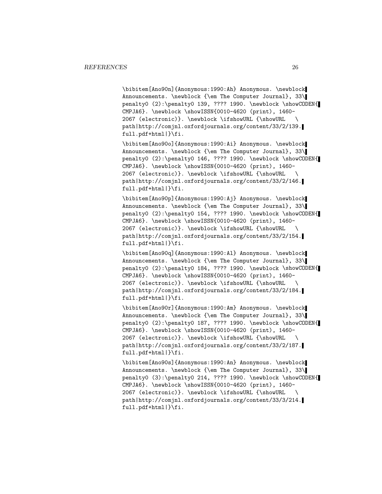\bibitem[Ano90n]{Anonymous:1990:Ah} Anonymous. \newblock Announcements. \newblock {\em The Computer Journal}, 33\ penalty0 (2):\penalty0 139, ???? 1990. \newblock \showCODEN{ CMPJA6}. \newblock \showISSN{0010-4620 (print), 1460- 2067 (electronic)}. \newblock \ifshowURL {\showURL \ path|http://comjnl.oxfordjournals.org/content/33/2/139. full.pdf+html|}\fi.

\bibitem[Ano90o]{Anonymous:1990:Ai} Anonymous. \newblock Announcements. \newblock {\em The Computer Journal}, 33\ penalty0 (2):\penalty0 146, ???? 1990. \newblock \showCODEN{ CMPJA6}. \newblock \showISSN{0010-4620 (print), 1460- 2067 (electronic)}. \newblock \ifshowURL {\showURL \ path|http://comjnl.oxfordjournals.org/content/33/2/146. full.pdf+html|}\fi.

\bibitem[Ano90p]{Anonymous:1990:Aj} Anonymous. \newblock Announcements. \newblock {\em The Computer Journal}, 33\ penalty0 (2):\penalty0 154, ???? 1990. \newblock \showCODEN{ CMPJA6}. \newblock \showISSN{0010-4620 (print), 1460- 2067 (electronic)}. \newblock \ifshowURL {\showURL \ path|http://comjnl.oxfordjournals.org/content/33/2/154. full.pdf+html|}\fi.

\bibitem[Ano90q]{Anonymous:1990:Al} Anonymous. \newblock Announcements. \newblock {\em The Computer Journal}, 33\ penalty0 (2):\penalty0 184, ???? 1990. \newblock \showCODEN{ CMPJA6}. \newblock \showISSN{0010-4620 (print), 1460- 2067 (electronic)}. \newblock \ifshowURL {\showURL \ path|http://comjnl.oxfordjournals.org/content/33/2/184. full.pdf+html|}\fi.

\bibitem[Ano90r]{Anonymous:1990:Am} Anonymous. \newblock Announcements. \newblock {\em The Computer Journal}, 33\ penalty0 (2):\penalty0 187, ???? 1990. \newblock \showCODEN{ CMPJA6}. \newblock \showISSN{0010-4620 (print), 1460- 2067 (electronic)}. \newblock \ifshowURL {\showURL \ path|http://comjnl.oxfordjournals.org/content/33/2/187. full.pdf+html|}\fi.

\bibitem[Ano90s]{Anonymous:1990:An} Anonymous. \newblock Announcements. \newblock {\em The Computer Journal}, 33\ penalty0 (3):\penalty0 214, ???? 1990. \newblock \showCODEN{ CMPJA6}. \newblock \showISSN{0010-4620 (print), 1460- 2067 (electronic)}. \newblock \ifshowURL {\showURL \ path|http://comjnl.oxfordjournals.org/content/33/3/214. full.pdf+html|}\fi.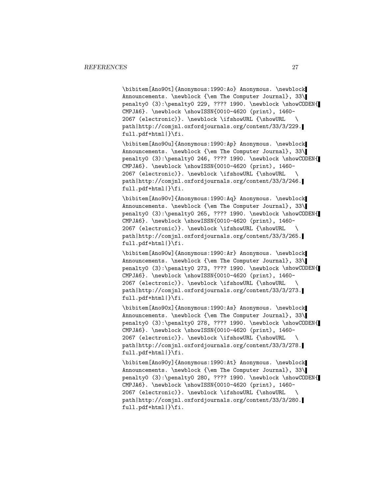\bibitem[Ano90t]{Anonymous:1990:Ao} Anonymous. \newblock Announcements. \newblock {\em The Computer Journal}, 33\ penalty0 (3):\penalty0 229, ???? 1990. \newblock \showCODEN{ CMPJA6}. \newblock \showISSN{0010-4620 (print), 1460- 2067 (electronic)}. \newblock \ifshowURL {\showURL \ path|http://comjnl.oxfordjournals.org/content/33/3/229. full.pdf+html|}\fi.

\bibitem[Ano90u]{Anonymous:1990:Ap} Anonymous. \newblock Announcements. \newblock {\em The Computer Journal}, 33\ penalty0 (3):\penalty0 246, ???? 1990. \newblock \showCODEN{ CMPJA6}. \newblock \showISSN{0010-4620 (print), 1460- 2067 (electronic)}. \newblock \ifshowURL {\showURL \ path|http://comjnl.oxfordjournals.org/content/33/3/246. full.pdf+html|}\fi.

\bibitem[Ano90v]{Anonymous:1990:Aq} Anonymous. \newblock Announcements. \newblock {\em The Computer Journal}, 33\ penalty0 (3):\penalty0 265, ???? 1990. \newblock \showCODEN{ CMPJA6}. \newblock \showISSN{0010-4620 (print), 1460- 2067 (electronic)}. \newblock \ifshowURL {\showURL \ path|http://comjnl.oxfordjournals.org/content/33/3/265. full.pdf+html|}\fi.

\bibitem[Ano90w]{Anonymous:1990:Ar} Anonymous. \newblock Announcements. \newblock {\em The Computer Journal}, 33\ penalty0 (3):\penalty0 273, ???? 1990. \newblock \showCODEN{ CMPJA6}. \newblock \showISSN{0010-4620 (print), 1460- 2067 (electronic)}. \newblock \ifshowURL {\showURL \ path|http://comjnl.oxfordjournals.org/content/33/3/273. full.pdf+html|}\fi.

\bibitem[Ano90x]{Anonymous:1990:As} Anonymous. \newblock Announcements. \newblock {\em The Computer Journal}, 33\ penalty0 (3):\penalty0 278, ???? 1990. \newblock \showCODEN{ CMPJA6}. \newblock \showISSN{0010-4620 (print), 1460- 2067 (electronic)}. \newblock \ifshowURL {\showURL \ path|http://comjnl.oxfordjournals.org/content/33/3/278. full.pdf+html|}\fi.

\bibitem[Ano90y]{Anonymous:1990:At} Anonymous. \newblock Announcements. \newblock {\em The Computer Journal}, 33\ penalty0 (3):\penalty0 280, ???? 1990. \newblock \showCODEN{ CMPJA6}. \newblock \showISSN{0010-4620 (print), 1460- 2067 (electronic)}. \newblock \ifshowURL {\showURL \ path|http://comjnl.oxfordjournals.org/content/33/3/280. full.pdf+html|}\fi.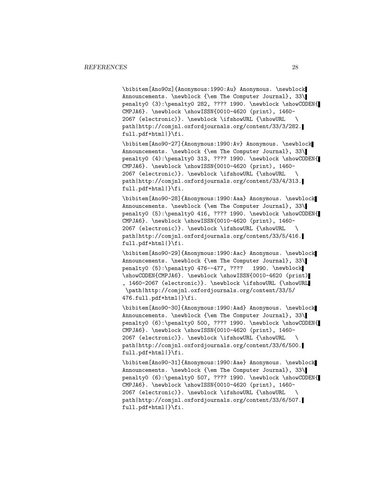\bibitem[Ano90z]{Anonymous:1990:Au} Anonymous. \newblock Announcements. \newblock {\em The Computer Journal}, 33\ penalty0 (3):\penalty0 282, ???? 1990. \newblock \showCODEN{ CMPJA6}. \newblock \showISSN{0010-4620 (print), 1460- 2067 (electronic)}. \newblock \ifshowURL {\showURL \ path|http://comjnl.oxfordjournals.org/content/33/3/282. full.pdf+html|}\fi.

\bibitem[Ano90-27]{Anonymous:1990:Av} Anonymous. \newblock Announcements. \newblock {\em The Computer Journal}, 33\ penalty0 (4):\penalty0 313, ???? 1990. \newblock \showCODEN{ CMPJA6}. \newblock \showISSN{0010-4620 (print), 1460- 2067 (electronic)}. \newblock \ifshowURL {\showURL \ path|http://comjnl.oxfordjournals.org/content/33/4/313. full.pdf+html|}\fi.

\bibitem[Ano90-28]{Anonymous:1990:Aaa} Anonymous. \newblock Announcements. \newblock {\em The Computer Journal}, 33\ penalty0 (5):\penalty0 416, ???? 1990. \newblock \showCODEN{ CMPJA6}. \newblock \showISSN{0010-4620 (print), 1460- 2067 (electronic)}. \newblock \ifshowURL {\showURL \ path|http://comjnl.oxfordjournals.org/content/33/5/416. full.pdf+html|}\fi.

\bibitem[Ano90-29]{Anonymous:1990:Aac} Anonymous. \newblock Announcements. \newblock {\em The Computer Journal}, 33\ penalty0 (5):\penalty0 476--477, ???? 1990. \newblock \showCODEN{CMPJA6}. \newblock \showISSN{0010-4620 (print) , 1460-2067 (electronic)}. \newblock \ifshowURL {\showURL \path|http://comjnl.oxfordjournals.org/content/33/5/ 476.full.pdf+html|}\fi.

\bibitem[Ano90-30]{Anonymous:1990:Aad} Anonymous. \newblock Announcements. \newblock {\em The Computer Journal}, 33\ penalty0 (6):\penalty0 500, ???? 1990. \newblock \showCODEN{ CMPJA6}. \newblock \showISSN{0010-4620 (print), 1460- 2067 (electronic)}. \newblock \ifshowURL {\showURL \ path|http://comjnl.oxfordjournals.org/content/33/6/500. full.pdf+html|}\fi.

\bibitem[Ano90-31]{Anonymous:1990:Aae} Anonymous. \newblock Announcements. \newblock {\em The Computer Journal}, 33\ penalty0 (6):\penalty0 507, ???? 1990. \newblock \showCODEN{ CMPJA6}. \newblock \showISSN{0010-4620 (print), 1460- 2067 (electronic)}. \newblock \ifshowURL {\showURL \ path|http://comjnl.oxfordjournals.org/content/33/6/507. full.pdf+html|}\fi.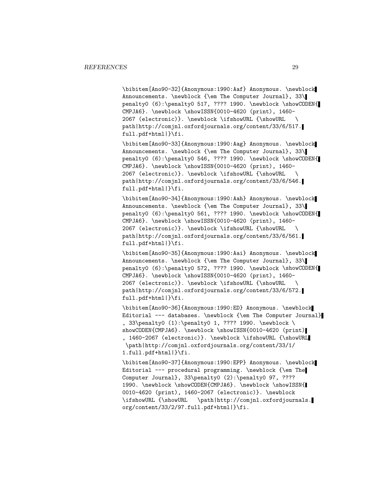\bibitem[Ano90-32]{Anonymous:1990:Aaf} Anonymous. \newblock Announcements. \newblock {\em The Computer Journal}, 33\ penalty0 (6):\penalty0 517, ???? 1990. \newblock \showCODEN{ CMPJA6}. \newblock \showISSN{0010-4620 (print), 1460- 2067 (electronic)}. \newblock \ifshowURL {\showURL \ path|http://comjnl.oxfordjournals.org/content/33/6/517. full.pdf+html|}\fi.

\bibitem[Ano90-33]{Anonymous:1990:Aag} Anonymous. \newblock Announcements. \newblock {\em The Computer Journal}, 33\ penalty0 (6):\penalty0 546, ???? 1990. \newblock \showCODEN{ CMPJA6}. \newblock \showISSN{0010-4620 (print), 1460- 2067 (electronic)}. \newblock \ifshowURL {\showURL \ path|http://comjnl.oxfordjournals.org/content/33/6/546. full.pdf+html|}\fi.

\bibitem[Ano90-34]{Anonymous:1990:Aah} Anonymous. \newblock Announcements. \newblock {\em The Computer Journal}, 33\ penalty0 (6):\penalty0 561, ???? 1990. \newblock \showCODEN{ CMPJA6}. \newblock \showISSN{0010-4620 (print), 1460- 2067 (electronic)}. \newblock \ifshowURL {\showURL \ path|http://comjnl.oxfordjournals.org/content/33/6/561. full.pdf+html|}\fi.

\bibitem[Ano90-35]{Anonymous:1990:Aai} Anonymous. \newblock Announcements. \newblock {\em The Computer Journal}, 33\ penalty0 (6):\penalty0 572, ???? 1990. \newblock \showCODEN{ CMPJA6}. \newblock \showISSN{0010-4620 (print), 1460- 2067 (electronic)}. \newblock \ifshowURL {\showURL \ path|http://comjnl.oxfordjournals.org/content/33/6/572. full.pdf+html|}\fi.

\bibitem[Ano90-36]{Anonymous:1990:ED} Anonymous. \newblock Editorial --- databases. \newblock {\em The Computer Journal} , 33\penalty0 (1):\penalty0 1, ???? 1990. \newblock \ showCODEN{CMPJA6}. \newblock \showISSN{0010-4620 (print)| , 1460-2067 (electronic)}. \newblock \ifshowURL {\showURL \path|http://comjnl.oxfordjournals.org/content/33/1/ 1.full.pdf+html|}\fi.

\bibitem[Ano90-37]{Anonymous:1990:EPP} Anonymous. \newblock Editorial --- procedural programming. \newblock {\em The Computer Journal}, 33\penalty0 (2):\penalty0 97, ???? 1990. \newblock \showCODEN{CMPJA6}. \newblock \showISSN{ 0010-4620 (print), 1460-2067 (electronic)}. \newblock \ifshowURL {\showURL \path|http://comjnl.oxfordjournals. org/content/33/2/97.full.pdf+html|}\fi.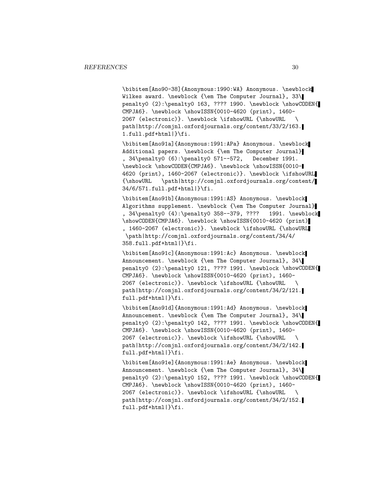\bibitem[Ano90-38]{Anonymous:1990:WA} Anonymous. \newblock Wilkes award. \newblock {\em The Computer Journal}, 33\ penalty0 (2):\penalty0 163, ???? 1990. \newblock \showCODEN{ CMPJA6}. \newblock \showISSN{0010-4620 (print), 1460- 2067 (electronic)}. \newblock \ifshowURL {\showURL \ path|http://comjnl.oxfordjournals.org/content/33/2/163. 1.full.pdf+html|}\fi.

\bibitem[Ano91a]{Anonymous:1991:APa} Anonymous. \newblock Additional papers. \newblock {\em The Computer Journal} , 34\penalty0 (6):\penalty0 571--572, December 1991. \newblock \showCODEN{CMPJA6}. \newblock \showISSN{0010- 4620 (print), 1460-2067 (electronic)}. \newblock \ifshowURL {\showURL \path|http://comjnl.oxfordjournals.org/content/ 34/6/571.full.pdf+html|}\fi.

\bibitem[Ano91b]{Anonymous:1991:AS} Anonymous. \newblock Algorithms supplement. \newblock {\em The Computer Journal} , 34\penalty0 (4):\penalty0 358--379, ???? 1991. \newblock \showCODEN{CMPJA6}. \newblock \showISSN{0010-4620 (print) , 1460-2067 (electronic)}. \newblock \ifshowURL {\showURL \path|http://comjnl.oxfordjournals.org/content/34/4/ 358.full.pdf+html|}\fi.

\bibitem[Ano91c]{Anonymous:1991:Ac} Anonymous. \newblock Announcement. \newblock {\em The Computer Journal}, 34\ penalty0 (2):\penalty0 121, ???? 1991. \newblock \showCODEN{ CMPJA6}. \newblock \showISSN{0010-4620 (print), 1460- 2067 (electronic)}. \newblock \ifshowURL {\showURL \ path|http://comjnl.oxfordjournals.org/content/34/2/121. full.pdf+html|}\fi.

\bibitem[Ano91d]{Anonymous:1991:Ad} Anonymous. \newblock Announcement. \newblock {\em The Computer Journal}, 34\ penalty0 (2):\penalty0 142, ???? 1991. \newblock \showCODEN{ CMPJA6}. \newblock \showISSN{0010-4620 (print), 1460- 2067 (electronic)}. \newblock \ifshowURL {\showURL \ path|http://comjnl.oxfordjournals.org/content/34/2/142. full.pdf+html|}\fi.

\bibitem[Ano91e]{Anonymous:1991:Ae} Anonymous. \newblock Announcement. \newblock {\em The Computer Journal}, 34\ penalty0 (2):\penalty0 152, ???? 1991. \newblock \showCODEN{ CMPJA6}. \newblock \showISSN{0010-4620 (print), 1460- 2067 (electronic)}. \newblock \ifshowURL {\showURL \ path|http://comjnl.oxfordjournals.org/content/34/2/152. full.pdf+html|}\fi.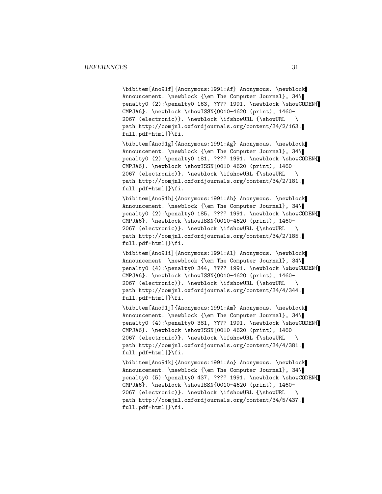\bibitem[Ano91f]{Anonymous:1991:Af} Anonymous. \newblock Announcement. \newblock {\em The Computer Journal}, 34\ penalty0 (2):\penalty0 163, ???? 1991. \newblock \showCODEN{ CMPJA6}. \newblock \showISSN{0010-4620 (print), 1460- 2067 (electronic)}. \newblock \ifshowURL {\showURL \ path|http://comjnl.oxfordjournals.org/content/34/2/163. full.pdf+html|}\fi.

\bibitem[Ano91g]{Anonymous:1991:Ag} Anonymous. \newblock Announcement. \newblock {\em The Computer Journal}, 34\ penalty0 (2):\penalty0 181, ???? 1991. \newblock \showCODEN{ CMPJA6}. \newblock \showISSN{0010-4620 (print), 1460- 2067 (electronic)}. \newblock \ifshowURL {\showURL \ path|http://comjnl.oxfordjournals.org/content/34/2/181. full.pdf+html|}\fi.

\bibitem[Ano91h]{Anonymous:1991:Ah} Anonymous. \newblock Announcement. \newblock {\em The Computer Journal}, 34\ penalty0 (2):\penalty0 185, ???? 1991. \newblock \showCODEN{ CMPJA6}. \newblock \showISSN{0010-4620 (print), 1460- 2067 (electronic)}. \newblock \ifshowURL {\showURL \ path|http://comjnl.oxfordjournals.org/content/34/2/185. full.pdf+html|}\fi.

\bibitem[Ano91i]{Anonymous:1991:Al} Anonymous. \newblock Announcement. \newblock {\em The Computer Journal}, 34\ penalty0 (4):\penalty0 344, ???? 1991. \newblock \showCODEN{ CMPJA6}. \newblock \showISSN{0010-4620 (print), 1460- 2067 (electronic)}. \newblock \ifshowURL {\showURL \ path|http://comjnl.oxfordjournals.org/content/34/4/344. full.pdf+html|}\fi.

\bibitem[Ano91j]{Anonymous:1991:Am} Anonymous. \newblock Announcement. \newblock {\em The Computer Journal}, 34\ penalty0 (4):\penalty0 381, ???? 1991. \newblock \showCODEN{ CMPJA6}. \newblock \showISSN{0010-4620 (print), 1460- 2067 (electronic)}. \newblock \ifshowURL {\showURL \ path|http://comjnl.oxfordjournals.org/content/34/4/381. full.pdf+html|}\fi.

\bibitem[Ano91k]{Anonymous:1991:Ao} Anonymous. \newblock Announcement. \newblock {\em The Computer Journal}, 34\ penalty0 (5):\penalty0 437, ???? 1991. \newblock \showCODEN{ CMPJA6}. \newblock \showISSN{0010-4620 (print), 1460- 2067 (electronic)}. \newblock \ifshowURL {\showURL \ path|http://comjnl.oxfordjournals.org/content/34/5/437. full.pdf+html|}\fi.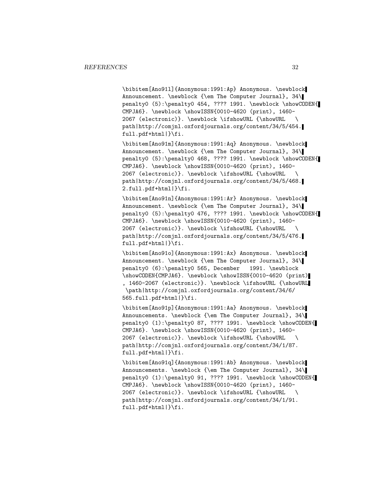\bibitem[Ano91l]{Anonymous:1991:Ap} Anonymous. \newblock Announcement. \newblock {\em The Computer Journal}, 34\ penalty0 (5):\penalty0 454, ???? 1991. \newblock \showCODEN{ CMPJA6}. \newblock \showISSN{0010-4620 (print), 1460- 2067 (electronic)}. \newblock \ifshowURL {\showURL \ path|http://comjnl.oxfordjournals.org/content/34/5/454. full.pdf+html|}\fi.

\bibitem[Ano91m]{Anonymous:1991:Aq} Anonymous. \newblock Announcement. \newblock {\em The Computer Journal}, 34\ penalty0 (5):\penalty0 468, ???? 1991. \newblock \showCODEN{ CMPJA6}. \newblock \showISSN{0010-4620 (print), 1460- 2067 (electronic)}. \newblock \ifshowURL {\showURL \ path|http://comjnl.oxfordjournals.org/content/34/5/468. 2.full.pdf+html|}\fi.

\bibitem[Ano91n]{Anonymous:1991:Ar} Anonymous. \newblock Announcement. \newblock {\em The Computer Journal}, 34\ penalty0 (5):\penalty0 476, ???? 1991. \newblock \showCODEN{ CMPJA6}. \newblock \showISSN{0010-4620 (print), 1460- 2067 (electronic)}. \newblock \ifshowURL {\showURL \ path|http://comjnl.oxfordjournals.org/content/34/5/476. full.pdf+html|}\fi.

\bibitem[Ano91o]{Anonymous:1991:Ax} Anonymous. \newblock Announcement. \newblock {\em The Computer Journal}, 34\ penalty0 (6):\penalty0 565, December 1991. \newblock \showCODEN{CMPJA6}. \newblock \showISSN{0010-4620 (print) , 1460-2067 (electronic)}. \newblock \ifshowURL {\showURL \path|http://comjnl.oxfordjournals.org/content/34/6/ 565.full.pdf+html|}\fi.

\bibitem[Ano91p]{Anonymous:1991:Aa} Anonymous. \newblock Announcements. \newblock {\em The Computer Journal}, 34\ penalty0 (1):\penalty0 87, ???? 1991. \newblock \showCODEN{ CMPJA6}. \newblock \showISSN{0010-4620 (print), 1460- 2067 (electronic)}. \newblock \ifshowURL {\showURL \ path|http://comjnl.oxfordjournals.org/content/34/1/87. full.pdf+html|}\fi.

\bibitem[Ano91q]{Anonymous:1991:Ab} Anonymous. \newblock Announcements. \newblock {\em The Computer Journal}, 34\ penalty0 (1):\penalty0 91, ???? 1991. \newblock \showCODEN{ CMPJA6}. \newblock \showISSN{0010-4620 (print), 1460- 2067 (electronic)}. \newblock \ifshowURL {\showURL \ path|http://comjnl.oxfordjournals.org/content/34/1/91. full.pdf+html|}\fi.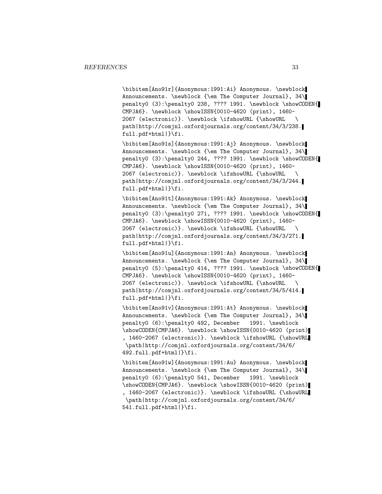\bibitem[Ano91r]{Anonymous:1991:Ai} Anonymous. \newblock Announcements. \newblock {\em The Computer Journal}, 34\ penalty0 (3):\penalty0 238, ???? 1991. \newblock \showCODEN{ CMPJA6}. \newblock \showISSN{0010-4620 (print), 1460- 2067 (electronic)}. \newblock \ifshowURL {\showURL \ path|http://comjnl.oxfordjournals.org/content/34/3/238. full.pdf+html|}\fi.

\bibitem[Ano91s]{Anonymous:1991:Aj} Anonymous. \newblock Announcements. \newblock {\em The Computer Journal}, 34\ penalty0 (3):\penalty0 244, ???? 1991. \newblock \showCODEN{ CMPJA6}. \newblock \showISSN{0010-4620 (print), 1460- 2067 (electronic)}. \newblock \ifshowURL {\showURL \ path|http://comjnl.oxfordjournals.org/content/34/3/244. full.pdf+html|}\fi.

\bibitem[Ano91t]{Anonymous:1991:Ak} Anonymous. \newblock Announcements. \newblock {\em The Computer Journal}, 34\ penalty0 (3):\penalty0 271, ???? 1991. \newblock \showCODEN{ CMPJA6}. \newblock \showISSN{0010-4620 (print), 1460- 2067 (electronic)}. \newblock \ifshowURL {\showURL \ path|http://comjnl.oxfordjournals.org/content/34/3/271. full.pdf+html|}\fi.

\bibitem[Ano91u]{Anonymous:1991:An} Anonymous. \newblock Announcements. \newblock {\em The Computer Journal}, 34\ penalty0 (5):\penalty0 414, ???? 1991. \newblock \showCODEN{ CMPJA6}. \newblock \showISSN{0010-4620 (print), 1460- 2067 (electronic)}. \newblock \ifshowURL {\showURL \ path|http://comjnl.oxfordjournals.org/content/34/5/414. full.pdf+html|}\fi.

\bibitem[Ano91v]{Anonymous:1991:At} Anonymous. \newblock Announcements. \newblock {\em The Computer Journal}, 34\ penalty0 (6):\penalty0 492, December 1991. \newblock \showCODEN{CMPJA6}. \newblock \showISSN{0010-4620 (print) , 1460-2067 (electronic)}. \newblock \ifshowURL {\showURL \path|http://comjnl.oxfordjournals.org/content/34/6/ 492.full.pdf+html|}\fi.

\bibitem[Ano91w]{Anonymous:1991:Au} Anonymous. \newblock Announcements. \newblock {\em The Computer Journal}, 34\ penalty0 (6):\penalty0 541, December 1991. \newblock \showCODEN{CMPJA6}. \newblock \showISSN{0010-4620 (print) , 1460-2067 (electronic)}. \newblock \ifshowURL {\showURL \path|http://comjnl.oxfordjournals.org/content/34/6/ 541.full.pdf+html|}\fi.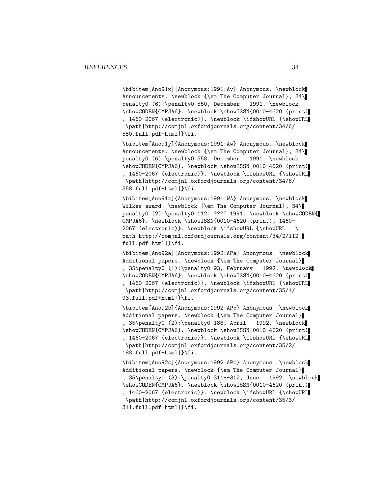\bibitem[Ano91x]{Anonymous:1991:Av} Anonymous. \newblock Announcements. \newblock {\em The Computer Journal}, 34\ penalty0 (6):\penalty0 550, December 1991. \newblock \showCODEN{CMPJA6}. \newblock \showISSN{0010-4620 (print) , 1460-2067 (electronic)}. \newblock \ifshowURL {\showURL \path|http://comjnl.oxfordjournals.org/content/34/6/ 550.full.pdf+html|}\fi.

\bibitem[Ano91y]{Anonymous:1991:Aw} Anonymous. \newblock Announcements. \newblock {\em The Computer Journal}, 34\ penalty0 (6):\penalty0 558, December 1991. \newblock \showCODEN{CMPJA6}. \newblock \showISSN{0010-4620 (print) , 1460-2067 (electronic)}. \newblock \ifshowURL {\showURL \path|http://comjnl.oxfordjournals.org/content/34/6/ 558.full.pdf+html|}\fi.

\bibitem[Ano91z]{Anonymous:1991:WA} Anonymous. \newblock Wilkes award. \newblock {\em The Computer Journal}, 34\ penalty0 (2):\penalty0 112, ???? 1991. \newblock \showCODEN{ CMPJA6}. \newblock \showISSN{0010-4620 (print), 1460- 2067 (electronic)}. \newblock \ifshowURL {\showURL \ path|http://comjnl.oxfordjournals.org/content/34/2/112. full.pdf+html|}\fi.

\bibitem[Ano92a]{Anonymous:1992:APa} Anonymous. \newblock Additional papers. \newblock {\em The Computer Journal} , 35\penalty0 (1):\penalty0 93, February 1992. \newblock \showCODEN{CMPJA6}. \newblock \showISSN{0010-4620 (print) , 1460-2067 (electronic)}. \newblock \ifshowURL {\showURL \path|http://comjnl.oxfordjournals.org/content/35/1/ 93.full.pdf+html|}\fi.

\bibitem[Ano92b]{Anonymous:1992:APb} Anonymous. \newblock Additional papers. \newblock {\em The Computer Journal} , 35\penalty0 (2):\penalty0 188, April 1992. \newblock \showCODEN{CMPJA6}. \newblock \showISSN{0010-4620 (print) , 1460-2067 (electronic)}. \newblock \ifshowURL {\showURL \path|http://comjnl.oxfordjournals.org/content/35/2/ 188.full.pdf+html|}\fi.

\bibitem[Ano92c]{Anonymous:1992:APc} Anonymous. \newblock Additional papers. \newblock {\em The Computer Journal} , 35\penalty0 (3):\penalty0 311--312, June 1992. \newblock \showCODEN{CMPJA6}. \newblock \showISSN{0010-4620 (print) , 1460-2067 (electronic)}. \newblock \ifshowURL {\showURL \path|http://comjnl.oxfordjournals.org/content/35/3/ 311.full.pdf+html|}\fi.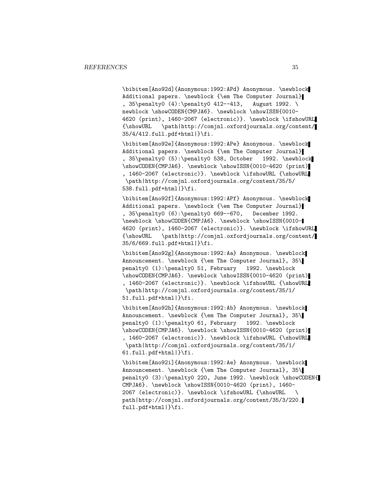\bibitem[Ano92d]{Anonymous:1992:APd} Anonymous. \newblock Additional papers. \newblock {\em The Computer Journal} , 35\penalty0 (4):\penalty0 412--413, August 1992. \ newblock \showCODEN{CMPJA6}. \newblock \showISSN{0010-4620 (print), 1460-2067 (electronic)}. \newblock \ifshowURL {\showURL \path|http://comjnl.oxfordjournals.org/content/ 35/4/412.full.pdf+html|}\fi.

\bibitem[Ano92e]{Anonymous:1992:APe} Anonymous. \newblock Additional papers. \newblock {\em The Computer Journal} , 35\penalty0 (5):\penalty0 538, October 1992. \newblock \showCODEN{CMPJA6}. \newblock \showISSN{0010-4620 (print) , 1460-2067 (electronic)}. \newblock \ifshowURL {\showURL \path|http://comjnl.oxfordjournals.org/content/35/5/ 538.full.pdf+html|}\fi.

\bibitem[Ano92f]{Anonymous:1992:APf} Anonymous. \newblock Additional papers. \newblock {\em The Computer Journal} , 35\penalty0 (6):\penalty0 669--670, December 1992. \newblock \showCODEN{CMPJA6}. \newblock \showISSN{0010- 4620 (print), 1460-2067 (electronic)}. \newblock \ifshowURL {\showURL \path|http://comjnl.oxfordjournals.org/content/ 35/6/669.full.pdf+html|}\fi.

\bibitem[Ano92g]{Anonymous:1992:Aa} Anonymous. \newblock Announcement. \newblock {\em The Computer Journal}, 35\ penalty0 (1):\penalty0 51, February 1992. \newblock \showCODEN{CMPJA6}. \newblock \showISSN{0010-4620 (print) , 1460-2067 (electronic)}. \newblock \ifshowURL {\showURL \path|http://comjnl.oxfordjournals.org/content/35/1/ 51.full.pdf+html|}\fi.

\bibitem[Ano92h]{Anonymous:1992:Ab} Anonymous. \newblock Announcement. \newblock {\em The Computer Journal}, 35\ penalty0 (1):\penalty0 61, February 1992. \newblock \showCODEN{CMPJA6}. \newblock \showISSN{0010-4620 (print) , 1460-2067 (electronic)}. \newblock \ifshowURL {\showURL \path|http://comjnl.oxfordjournals.org/content/35/1/ 61.full.pdf+html|}\fi.

\bibitem[Ano92i]{Anonymous:1992:Ae} Anonymous. \newblock Announcement. \newblock {\em The Computer Journal}, 35\ penalty0 (3):\penalty0 220, June 1992. \newblock \showCODEN{ CMPJA6}. \newblock \showISSN{0010-4620 (print), 1460- 2067 (electronic)}. \newblock \ifshowURL {\showURL \ path|http://comjnl.oxfordjournals.org/content/35/3/220. full.pdf+html|}\fi.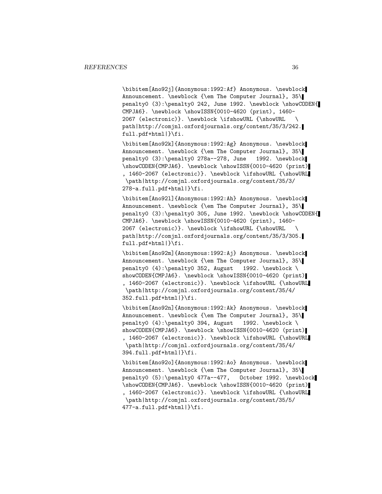\bibitem[Ano92j]{Anonymous:1992:Af} Anonymous. \newblock Announcement. \newblock {\em The Computer Journal}, 35\ penalty0 (3):\penalty0 242, June 1992. \newblock \showCODEN{ CMPJA6}. \newblock \showISSN{0010-4620 (print), 1460- 2067 (electronic)}. \newblock \ifshowURL {\showURL \ path|http://comjnl.oxfordjournals.org/content/35/3/242. full.pdf+html|}\fi.

\bibitem[Ano92k]{Anonymous:1992:Ag} Anonymous. \newblock Announcement. \newblock {\em The Computer Journal}, 35\ penalty0 (3):\penalty0 278a--278, June 1992. \newblock \showCODEN{CMPJA6}. \newblock \showISSN{0010-4620 (print) , 1460-2067 (electronic)}. \newblock \ifshowURL {\showURL \path|http://comjnl.oxfordjournals.org/content/35/3/ 278-a.full.pdf+html|}\fi.

\bibitem[Ano92l]{Anonymous:1992:Ah} Anonymous. \newblock Announcement. \newblock {\em The Computer Journal}, 35\ penalty0 (3):\penalty0 305, June 1992. \newblock \showCODEN{ CMPJA6}. \newblock \showISSN{0010-4620 (print), 1460- 2067 (electronic)}. \newblock \ifshowURL {\showURL \ path|http://comjnl.oxfordjournals.org/content/35/3/305. full.pdf+html|}\fi.

\bibitem[Ano92m]{Anonymous:1992:Aj} Anonymous. \newblock Announcement. \newblock {\em The Computer Journal}, 35\ penalty0 (4):\penalty0 352, August 1992. \newblock \ showCODEN{CMPJA6}. \newblock \showISSN{0010-4620 (print) , 1460-2067 (electronic)}. \newblock \ifshowURL {\showURL \path|http://comjnl.oxfordjournals.org/content/35/4/ 352.full.pdf+html|}\fi.

\bibitem[Ano92n]{Anonymous:1992:Ak} Anonymous. \newblock Announcement. \newblock {\em The Computer Journal}, 35\ penalty0 (4):\penalty0 394, August 1992. \newblock \ showCODEN{CMPJA6}. \newblock \showISSN{0010-4620 (print) , 1460-2067 (electronic)}. \newblock \ifshowURL {\showURL \path|http://comjnl.oxfordjournals.org/content/35/4/ 394.full.pdf+html|}\fi.

\bibitem[Ano92o]{Anonymous:1992:Ao} Anonymous. \newblock Announcement. \newblock {\em The Computer Journal}, 35\ penalty0 (5):\penalty0 477a--477, October 1992. \newblock \showCODEN{CMPJA6}. \newblock \showISSN{0010-4620 (print) , 1460-2067 (electronic)}. \newblock \ifshowURL {\showURL \path|http://comjnl.oxfordjournals.org/content/35/5/ 477-a.full.pdf+html|}\fi.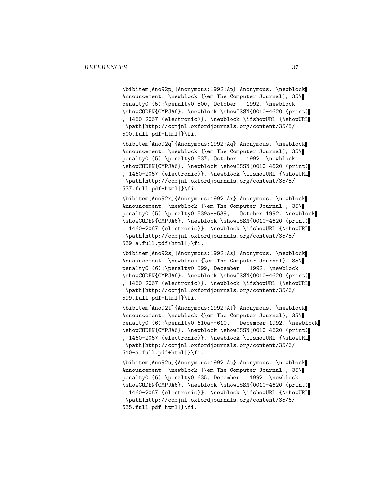\bibitem[Ano92p]{Anonymous:1992:Ap} Anonymous. \newblock Announcement. \newblock {\em The Computer Journal}, 35\ penalty0 (5):\penalty0 500, October 1992. \newblock \showCODEN{CMPJA6}. \newblock \showISSN{0010-4620 (print) , 1460-2067 (electronic)}. \newblock \ifshowURL {\showURL \path|http://comjnl.oxfordjournals.org/content/35/5/ 500.full.pdf+html|}\fi.

\bibitem[Ano92q]{Anonymous:1992:Aq} Anonymous. \newblock Announcement. \newblock {\em The Computer Journal}, 35\ penalty0 (5):\penalty0 537, October 1992. \newblock \showCODEN{CMPJA6}. \newblock \showISSN{0010-4620 (print) , 1460-2067 (electronic)}. \newblock \ifshowURL {\showURL \path|http://comjnl.oxfordjournals.org/content/35/5/ 537.full.pdf+html|}\fi.

\bibitem[Ano92r]{Anonymous:1992:Ar} Anonymous. \newblock Announcement. \newblock {\em The Computer Journal}, 35\ penalty0 (5):\penalty0 539a--539, October 1992. \newblock \showCODEN{CMPJA6}. \newblock \showISSN{0010-4620 (print) , 1460-2067 (electronic)}. \newblock \ifshowURL {\showURL \path|http://comjnl.oxfordjournals.org/content/35/5/ 539-a.full.pdf+html|}\fi.

\bibitem[Ano92s]{Anonymous:1992:As} Anonymous. \newblock Announcement. \newblock {\em The Computer Journal}, 35\ penalty0 (6):\penalty0 599, December 1992. \newblock \showCODEN{CMPJA6}. \newblock \showISSN{0010-4620 (print) , 1460-2067 (electronic)}. \newblock \ifshowURL {\showURL \path|http://comjnl.oxfordjournals.org/content/35/6/ 599.full.pdf+html|}\fi.

\bibitem[Ano92t]{Anonymous:1992:At} Anonymous. \newblock Announcement. \newblock {\em The Computer Journal}, 35\ penalty0 (6):\penalty0 610a--610, December 1992. \newblock \showCODEN{CMPJA6}. \newblock \showISSN{0010-4620 (print) , 1460-2067 (electronic)}. \newblock \ifshowURL {\showURL \path|http://comjnl.oxfordjournals.org/content/35/6/ 610-a.full.pdf+html|}\fi.

\bibitem[Ano92u]{Anonymous:1992:Au} Anonymous. \newblock Announcement. \newblock {\em The Computer Journal}, 35\ penalty0 (6):\penalty0 635, December 1992. \newblock \showCODEN{CMPJA6}. \newblock \showISSN{0010-4620 (print) , 1460-2067 (electronic)}. \newblock \ifshowURL {\showURL \path|http://comjnl.oxfordjournals.org/content/35/6/ 635.full.pdf+html|}\fi.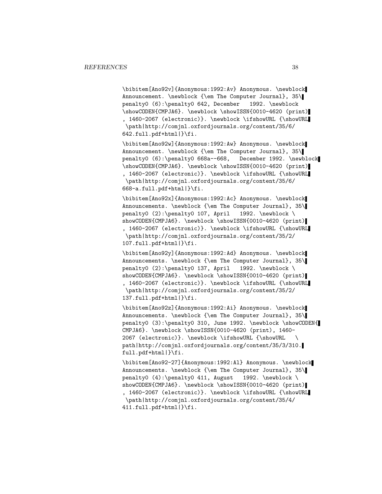\bibitem[Ano92v]{Anonymous:1992:Av} Anonymous. \newblock Announcement. \newblock {\em The Computer Journal}, 35\ penalty0 (6):\penalty0 642, December 1992. \newblock \showCODEN{CMPJA6}. \newblock \showISSN{0010-4620 (print) , 1460-2067 (electronic)}. \newblock \ifshowURL {\showURL \path|http://comjnl.oxfordjournals.org/content/35/6/ 642.full.pdf+html|}\fi.

\bibitem[Ano92w]{Anonymous:1992:Aw} Anonymous. \newblock Announcement. \newblock {\em The Computer Journal}, 35\ penalty0 (6):\penalty0 668a--668, December 1992. \newblock \showCODEN{CMPJA6}. \newblock \showISSN{0010-4620 (print) , 1460-2067 (electronic)}. \newblock \ifshowURL {\showURL \path|http://comjnl.oxfordjournals.org/content/35/6/ 668-a.full.pdf+html|}\fi.

\bibitem[Ano92x]{Anonymous:1992:Ac} Anonymous. \newblock Announcements. \newblock {\em The Computer Journal}, 35\ penalty0 (2):\penalty0 107, April 1992. \newblock \ showCODEN{CMPJA6}. \newblock \showISSN{0010-4620 (print) , 1460-2067 (electronic)}. \newblock \ifshowURL {\showURL \path|http://comjnl.oxfordjournals.org/content/35/2/ 107.full.pdf+html|}\fi.

\bibitem[Ano92y]{Anonymous:1992:Ad} Anonymous. \newblock Announcements. \newblock {\em The Computer Journal}, 35\ penalty0 (2):\penalty0 137, April 1992. \newblock \ showCODEN{CMPJA6}. \newblock \showISSN{0010-4620 (print) , 1460-2067 (electronic)}. \newblock \ifshowURL {\showURL \path|http://comjnl.oxfordjournals.org/content/35/2/ 137.full.pdf+html|}\fi.

\bibitem[Ano92z]{Anonymous:1992:Ai} Anonymous. \newblock Announcements. \newblock {\em The Computer Journal}, 35\ penalty0 (3):\penalty0 310, June 1992. \newblock \showCODEN{ CMPJA6}. \newblock \showISSN{0010-4620 (print), 1460- 2067 (electronic)}. \newblock \ifshowURL {\showURL \ path|http://comjnl.oxfordjournals.org/content/35/3/310. full.pdf+html|}\fi.

\bibitem[Ano92-27]{Anonymous:1992:Al} Anonymous. \newblock Announcements. \newblock {\em The Computer Journal}, 35\ penalty0 (4):\penalty0 411, August 1992. \newblock \ showCODEN{CMPJA6}. \newblock \showISSN{0010-4620 (print) , 1460-2067 (electronic)}. \newblock \ifshowURL {\showURL \path|http://comjnl.oxfordjournals.org/content/35/4/ 411.full.pdf+html|}\fi.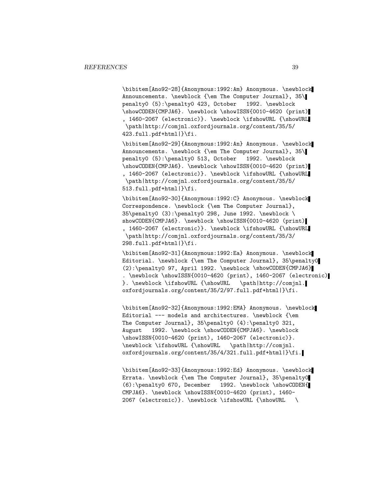\bibitem[Ano92-28]{Anonymous:1992:Am} Anonymous. \newblock Announcements. \newblock {\em The Computer Journal}, 35\ penalty0 (5):\penalty0 423, October 1992. \newblock \showCODEN{CMPJA6}. \newblock \showISSN{0010-4620 (print) , 1460-2067 (electronic)}. \newblock \ifshowURL {\showURL \path|http://comjnl.oxfordjournals.org/content/35/5/ 423.full.pdf+html|}\fi.

\bibitem[Ano92-29]{Anonymous:1992:An} Anonymous. \newblock Announcements. \newblock {\em The Computer Journal}, 35\ penalty0 (5):\penalty0 513, October 1992. \newblock \showCODEN{CMPJA6}. \newblock \showISSN{0010-4620 (print) , 1460-2067 (electronic)}. \newblock \ifshowURL {\showURL \path|http://comjnl.oxfordjournals.org/content/35/5/ 513.full.pdf+html|}\fi.

\bibitem[Ano92-30]{Anonymous:1992:C} Anonymous. \newblock Correspondence. \newblock {\em The Computer Journal}, 35\penalty0 (3):\penalty0 298, June 1992. \newblock \ showCODEN{CMPJA6}. \newblock \showISSN{0010-4620 (print) , 1460-2067 (electronic)}. \newblock \ifshowURL {\showURL \path|http://comjnl.oxfordjournals.org/content/35/3/ 298.full.pdf+html|}\fi.

\bibitem[Ano92-31]{Anonymous:1992:Ea} Anonymous. \newblock Editorial. \newblock {\em The Computer Journal}, 35\penalty0 (2):\penalty0 97, April 1992. \newblock \showCODEN{CMPJA6} . \newblock \showISSN{0010-4620 (print), 1460-2067 (electronic) }. \newblock \ifshowURL {\showURL \path|http://comjnl. oxfordjournals.org/content/35/2/97.full.pdf+html|}\fi.

\bibitem[Ano92-32]{Anonymous:1992:EMA} Anonymous. \newblock Editorial --- models and architectures. \newblock {\em The Computer Journal}, 35\penalty0 (4):\penalty0 321, August 1992. \newblock \showCODEN{CMPJA6}. \newblock \showISSN{0010-4620 (print), 1460-2067 (electronic)}. \newblock \ifshowURL {\showURL \path|http://comjnl. oxfordjournals.org/content/35/4/321.full.pdf+html|}\fi.

\bibitem[Ano92-33]{Anonymous:1992:Ed} Anonymous. \newblock Errata. \newblock {\em The Computer Journal}, 35\penalty0 (6):\penalty0 670, December 1992. \newblock \showCODEN{ CMPJA6}. \newblock \showISSN{0010-4620 (print), 1460- 2067 (electronic)}. \newblock \ifshowURL {\showURL \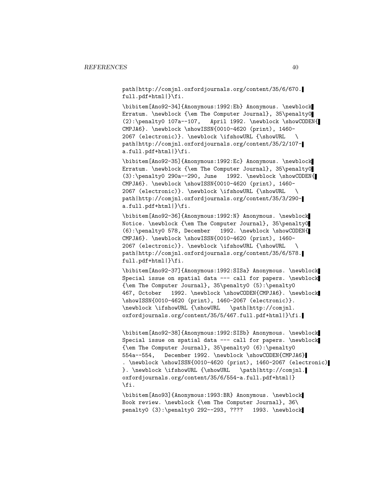path|http://comjnl.oxfordjournals.org/content/35/6/670. full.pdf+html|}\fi.

\bibitem[Ano92-34]{Anonymous:1992:Eb} Anonymous. \newblock Erratum. \newblock {\em The Computer Journal}, 35\penalty0 (2):\penalty0 107a--107, April 1992. \newblock \showCODEN{ CMPJA6}. \newblock \showISSN{0010-4620 (print), 1460- 2067 (electronic)}. \newblock \ifshowURL {\showURL \ path|http://comjnl.oxfordjournals.org/content/35/2/107 a.full.pdf+html|}\fi.

\bibitem[Ano92-35]{Anonymous:1992:Ec} Anonymous. \newblock Erratum. \newblock {\em The Computer Journal}, 35\penalty0  $(3): \penalty0 290a--290$ , June 1992. \newblock \showCODEN{ CMPJA6}. \newblock \showISSN{0010-4620 (print), 1460- 2067 (electronic)}. \newblock \ifshowURL {\showURL \ path|http://comjnl.oxfordjournals.org/content/35/3/290 a.full.pdf+html|}\fi.

\bibitem[Ano92-36]{Anonymous:1992:N} Anonymous. \newblock Notice. \newblock {\em The Computer Journal}, 35\penalty0 (6):\penalty0 578, December 1992. \newblock \showCODEN{ CMPJA6}. \newblock \showISSN{0010-4620 (print), 1460- 2067 (electronic)}. \newblock \ifshowURL {\showURL \ path|http://comjnl.oxfordjournals.org/content/35/6/578. full.pdf+html|}\fi.

\bibitem[Ano92-37]{Anonymous:1992:SISa} Anonymous. \newblock Special issue on spatial data --- call for papers. \newblock {\em The Computer Journal}, 35\penalty0 (5):\penalty0 467, October 1992. \newblock \showCODEN{CMPJA6}. \newblock \showISSN{0010-4620 (print), 1460-2067 (electronic)}. \newblock \ifshowURL {\showURL \path|http://comjnl. oxfordjournals.org/content/35/5/467.full.pdf+html|}\fi.

\bibitem[Ano92-38]{Anonymous:1992:SISb} Anonymous. \newblock Special issue on spatial data --- call for papers. \newblock {\em The Computer Journal}, 35\penalty0 (6):\penalty0 554a--554, December 1992. \newblock \showCODEN{CMPJA6} . \newblock \showISSN{0010-4620 (print), 1460-2067 (electronic) }. \newblock \ifshowURL {\showURL \path|http://comjnl. oxfordjournals.org/content/35/6/554-a.full.pdf+html|} \fi.

\bibitem[Ano93]{Anonymous:1993:BR} Anonymous. \newblock Book review. \newblock {\em The Computer Journal}, 36\ penalty0 (3):\penalty0 292--293, ???? 1993. \newblock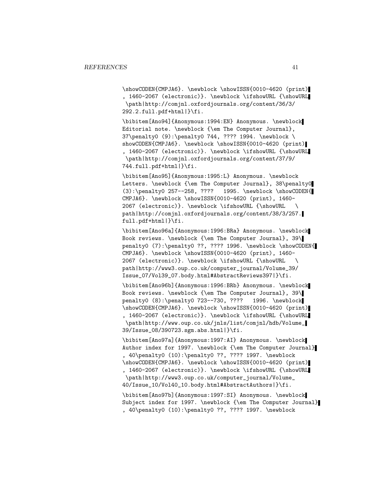\showCODEN{CMPJA6}. \newblock \showISSN{0010-4620 (print) , 1460-2067 (electronic)}. \newblock \ifshowURL {\showURL \path|http://comjnl.oxfordjournals.org/content/36/3/ 292.2.full.pdf+html|}\fi.

\bibitem[Ano94]{Anonymous:1994:EN} Anonymous. \newblock Editorial note. \newblock {\em The Computer Journal}, 37\penalty0 (9):\penalty0 744, ???? 1994. \newblock \ showCODEN{CMPJA6}. \newblock \showISSN{0010-4620 (print) , 1460-2067 (electronic)}. \newblock \ifshowURL {\showURL \path|http://comjnl.oxfordjournals.org/content/37/9/ 744.full.pdf+html|}\fi.

\bibitem[Ano95]{Anonymous:1995:L} Anonymous. \newblock Letters. \newblock {\em The Computer Journal}, 38\penalty0 (3):\penalty0 257--258, ???? 1995. \newblock \showCODEN{ CMPJA6}. \newblock \showISSN{0010-4620 (print), 1460- 2067 (electronic)}. \newblock \ifshowURL {\showURL \ path|http://comjnl.oxfordjournals.org/content/38/3/257. full.pdf+html|}\fi.

\bibitem[Ano96a]{Anonymous:1996:BRa} Anonymous. \newblock Book reviews. \newblock {\em The Computer Journal}, 39\ penalty0 (7):\penalty0 ??, ???? 1996. \newblock \showCODEN{ CMPJA6}. \newblock \showISSN{0010-4620 (print), 1460- 2067 (electronic)}. \newblock \ifshowURL {\showURL \ path|http://www3.oup.co.uk/computer\_journal/Volume\_39/ Issue\_07/Vol39\_07.body.html#AbstractReviews397|}\fi.

\bibitem[Ano96b]{Anonymous:1996:BRb} Anonymous. \newblock Book reviews. \newblock {\em The Computer Journal}, 39\ penalty0 (8):\penalty0 723--730, ???? 1996. \newblock \showCODEN{CMPJA6}. \newblock \showISSN{0010-4620 (print) , 1460-2067 (electronic)}. \newblock \ifshowURL {\showURL \path|http://www.oup.co.uk/jnls/list/comjnl/hdb/Volume\_ 39/Issue\_08/390723.sgm.abs.html|}\fi.

\bibitem[Ano97a]{Anonymous:1997:AI} Anonymous. \newblock Author index for 1997. \newblock {\em The Computer Journal} , 40\penalty0 (10):\penalty0 ??, ???? 1997. \newblock \showCODEN{CMPJA6}. \newblock \showISSN{0010-4620 (print) , 1460-2067 (electronic)}. \newblock \ifshowURL {\showURL \path|http://www3.oup.co.uk/computer\_journal/Volume\_ 40/Issue\_10/Vol40\_10.body.html#AbstractAuthors|}\fi.

\bibitem[Ano97b]{Anonymous:1997:SI} Anonymous. \newblock Subject index for 1997. \newblock {\em The Computer Journal} , 40\penalty0 (10):\penalty0 ??, ???? 1997. \newblock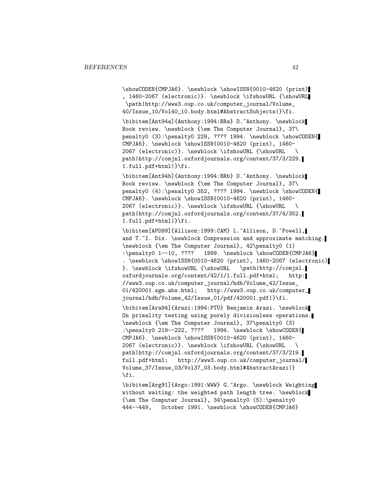\showCODEN{CMPJA6}. \newblock \showISSN{0010-4620 (print) , 1460-2067 (electronic)}. \newblock \ifshowURL {\showURL \path|http://www3.oup.co.uk/computer\_journal/Volume\_ 40/Issue\_10/Vol40\_10.body.html#AbstractSubjects|}\fi.

\bibitem[Ant94a]{Anthony:1994:BRa} D.~Anthony. \newblock Book review. \newblock {\em The Computer Journal}, 37\ penalty0 (3):\penalty0 229, ???? 1994. \newblock \showCODEN{ CMPJA6}. \newblock \showISSN{0010-4620 (print), 1460- 2067 (electronic)}. \newblock \ifshowURL {\showURL \ path|http://comjnl.oxfordjournals.org/content/37/3/229. 1.full.pdf+html|}\fi.

\bibitem[Ant94b]{Anthony:1994:BRb} D.~Anthony. \newblock Book review. \newblock {\em The Computer Journal}, 37\ penalty0 (4):\penalty0 352, ???? 1994. \newblock \showCODEN{ CMPJA6}. \newblock \showISSN{0010-4620 (print), 1460- 2067 (electronic)}. \newblock \ifshowURL {\showURL \ path|http://comjnl.oxfordjournals.org/content/37/4/352. 1.full.pdf+html|}\fi.

\bibitem[APD99]{Allison:1999:CAM} L.~Allison, D.~Powell, and T.~I. Dix. \newblock Compression and approximate matching. \newblock {\em The Computer Journal}, 42\penalty0 (1) :\penalty0 1--10, ???? 1999. \newblock \showCODEN{CMPJA6} . \newblock \showISSN{0010-4620 (print), 1460-2067 (electronic) }. \newblock \ifshowURL {\showURL \path|http://comjnl. oxfordjournals.org/content/42/1/1.full.pdf+html; http: //www3.oup.co.uk/computer\_journal/hdb/Volume\_42/Issue\_ 01/420001.sgm.abs.html; http://www3.oup.co.uk/computer\_ journal/hdb/Volume\_42/Issue\_01/pdf/420001.pdf|}\fi.

\bibitem[Ara94]{Arazi:1994:PTU} Benjamin Arazi. \newblock On primality testing using purely divisionless operations. \newblock {\em The Computer Journal}, 37\penalty0 (3) :\penalty0 219--222, ???? 1994. \newblock \showCODEN{ CMPJA6}. \newblock \showISSN{0010-4620 (print), 1460- 2067 (electronic)}. \newblock \ifshowURL {\showURL \ path|http://comjnl.oxfordjournals.org/content/37/3/219. full.pdf+html; http://www3.oup.co.uk/computer\_journal/ Volume\_37/Issue\_03/Vol37\_03.body.html#AbstractArazi|} \fi.

\bibitem[Arg91]{Argo:1991:WWW} G.~Argo. \newblock Weighting without waiting: the weighted path length tree. \newblock {\em The Computer Journal}, 34\penalty0 (5):\penalty0 444--449, October 1991. \newblock \showCODEN{CMPJA6}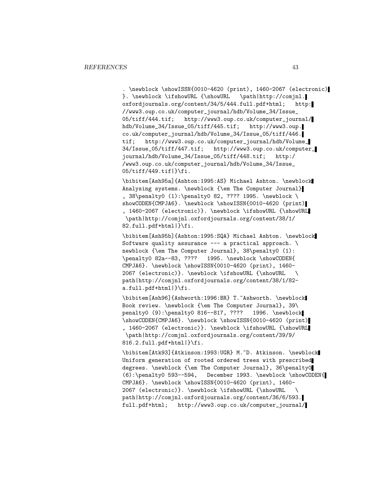. \newblock \showISSN{0010-4620 (print), 1460-2067 (electronic) }. \newblock \ifshowURL {\showURL \path|http://comjnl. oxfordjournals.org/content/34/5/444.full.pdf+html; http: //www3.oup.co.uk/computer\_journal/hdb/Volume\_34/Issue\_ http://www3.oup.co.uk/computer\_journal/ hdb/Volume\_34/Issue\_05/tiff/445.tif; http://www3.oup. co.uk/computer\_journal/hdb/Volume\_34/Issue\_05/tiff/446. tif; http://www3.oup.co.uk/computer\_journal/hdb/Volume\_ 34/Issue\_05/tiff/447.tif; http://www3.oup.co.uk/computer\_ journal/hdb/Volume\_34/Issue\_05/tiff/448.tif; http:/ /www3.oup.co.uk/computer\_journal/hdb/Volume\_34/Issue\_ 05/tiff/449.tif|}\fi.

\bibitem[Ash95a]{Ashton:1995:AS} Michael Ashton. \newblock Analysing systems. \newblock {\em The Computer Journal} , 38\penalty0 (1):\penalty0 82, ???? 1995. \newblock \ showCODEN{CMPJA6}. \newblock \showISSN{0010-4620 (print) , 1460-2067 (electronic)}. \newblock \ifshowURL {\showURL \path|http://comjnl.oxfordjournals.org/content/38/1/ 82.full.pdf+html|}\fi.

\bibitem[Ash95b]{Ashton:1995:SQA} Michael Ashton. \newblock Software quality assurance --- a practical approach.  $\setminus$ newblock {\em The Computer Journal}, 38\penalty0 (1): \penalty0 82a--83, ???? 1995. \newblock \showCODEN{ CMPJA6}. \newblock \showISSN{0010-4620 (print), 1460- 2067 (electronic)}. \newblock \ifshowURL {\showURL \ path|http://comjnl.oxfordjournals.org/content/38/1/82 a.full.pdf+html|}\fi.

\bibitem[Ash96]{Ashworth:1996:BR} T.~Ashworth. \newblock Book review. \newblock {\em The Computer Journal}, 39\ penalty0 (9):\penalty0 816--817, ???? 1996. \newblock \showCODEN{CMPJA6}. \newblock \showISSN{0010-4620 (print) , 1460-2067 (electronic)}. \newblock \ifshowURL {\showURL \path|http://comjnl.oxfordjournals.org/content/39/9/ 816.2.full.pdf+html|}\fi.

\bibitem[Atk93]{Atkinson:1993:UGR} M.~D. Atkinson. \newblock Uniform generation of rooted ordered trees with prescribed degrees. \newblock {\em The Computer Journal}, 36\penalty0 (6):\penalty0 593--594, December 1993. \newblock \showCODEN{ CMPJA6}. \newblock \showISSN{0010-4620 (print), 1460- 2067 (electronic)}. \newblock \ifshowURL {\showURL \ path|http://comjnl.oxfordjournals.org/content/36/6/593. full.pdf+html; http://www3.oup.co.uk/computer\_journal/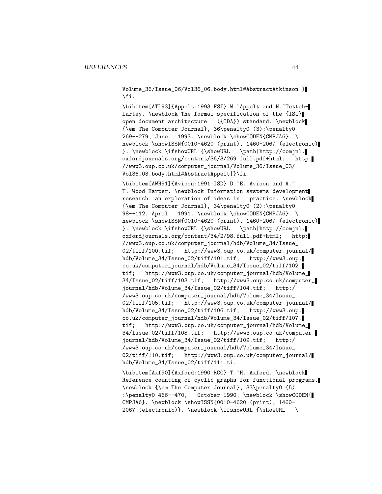Volume\_36/Issue\_06/Vol36\_06.body.html#AbstractAtkinson|} \fi.

\bibitem[ATL93]{Appelt:1993:FSI} W.~Appelt and N.~Tetteh-Lartey. \newblock The formal specification of the {ISO} open document architecture ({ODA}) standard. \newblock {\em The Computer Journal}, 36\penalty0 (3):\penalty0 269--279, June 1993. \newblock \showCODEN{CMPJA6}. \ newblock \showISSN{0010-4620 (print), 1460-2067 (electronic) }. \newblock \ifshowURL {\showURL \path|http://comjnl. oxfordjournals.org/content/36/3/269.full.pdf+html; http: //www3.oup.co.uk/computer\_journal/Volume\_36/Issue\_03/ Vol36\_03.body.html#AbstractAppelt|}\fi.

\bibitem[AWH91]{Avison:1991:ISD} D.~E. Avison and A.~ T. Wood-Harper. \newblock Information systems development research: an exploration of ideas in practice. \newblock {\em The Computer Journal}, 34\penalty0 (2):\penalty0 98--112, April 1991. \newblock \showCODEN{CMPJA6}. \ newblock \showISSN{0010-4620 (print), 1460-2067 (electronic) }. \newblock \ifshowURL {\showURL \path|http://comjnl. oxfordjournals.org/content/34/2/98.full.pdf+html; http: //www3.oup.co.uk/computer\_journal/hdb/Volume\_34/Issue\_ 02/tiff/100.tif; http://www3.oup.co.uk/computer\_journal/ hdb/Volume\_34/Issue\_02/tiff/101.tif; http://www3.oup. co.uk/computer\_journal/hdb/Volume\_34/Issue\_02/tiff/102. tif; http://www3.oup.co.uk/computer\_journal/hdb/Volume\_ 34/Issue\_02/tiff/103.tif; http://www3.oup.co.uk/computer\_ journal/hdb/Volume\_34/Issue\_02/tiff/104.tif; http:/ /www3.oup.co.uk/computer\_journal/hdb/Volume\_34/Issue\_ 02/tiff/105.tif; http://www3.oup.co.uk/computer\_journal/ hdb/Volume\_34/Issue\_02/tiff/106.tif; http://www3.oup. co.uk/computer\_journal/hdb/Volume\_34/Issue\_02/tiff/107. tif; http://www3.oup.co.uk/computer\_journal/hdb/Volume\_ 34/Issue\_02/tiff/108.tif; http://www3.oup.co.uk/computer\_ journal/hdb/Volume\_34/Issue\_02/tiff/109.tif; http:/ /www3.oup.co.uk/computer\_journal/hdb/Volume\_34/Issue\_ 02/tiff/110.tif; http://www3.oup.co.uk/computer\_journal/ hdb/Volume\_34/Issue\_02/tiff/111.ti.

\bibitem[Axf90]{Axford:1990:RCC} T.~H. Axford. \newblock Reference counting of cyclic graphs for functional programs. \newblock {\em The Computer Journal}, 33\penalty0 (5) :\penalty0 466--470, October 1990. \newblock \showCODEN{ CMPJA6}. \newblock \showISSN{0010-4620 (print), 1460- 2067 (electronic)}. \newblock \ifshowURL {\showURL \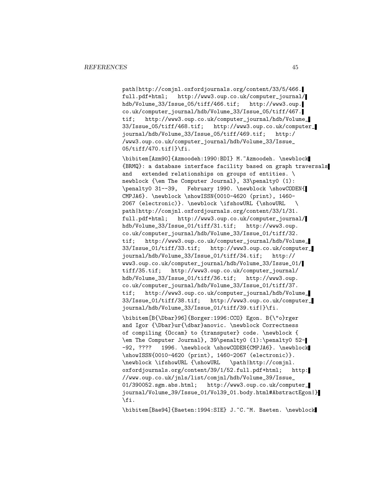path|http://comjnl.oxfordjournals.org/content/33/5/466. full.pdf+html; http://www3.oup.co.uk/computer\_journal/ hdb/Volume\_33/Issue\_05/tiff/466.tif; http://www3.oup. co.uk/computer\_journal/hdb/Volume\_33/Issue\_05/tiff/467. tif; http://www3.oup.co.uk/computer\_journal/hdb/Volume\_ 33/Issue\_05/tiff/468.tif; http://www3.oup.co.uk/computer\_ journal/hdb/Volume\_33/Issue\_05/tiff/469.tif; http:/ /www3.oup.co.uk/computer\_journal/hdb/Volume\_33/Issue\_ 05/tiff/470.tif|}\fi.

\bibitem[Azm90]{Azmoodeh:1990:BDI} M.~Azmoodeh. \newblock {BRMQ}: a database interface facility based on graph traversals and extended relationships on groups of entities. \ newblock {\em The Computer Journal}, 33\penalty0 (1): \penalty0 31--39, February 1990. \newblock \showCODEN{ CMPJA6}. \newblock \showISSN{0010-4620 (print), 1460- 2067 (electronic)}. \newblock \ifshowURL {\showURL \ path|http://comjnl.oxfordjournals.org/content/33/1/31. full.pdf+html; http://www3.oup.co.uk/computer\_journal/ hdb/Volume\_33/Issue\_01/tiff/31.tif; http://www3.oup. co.uk/computer\_journal/hdb/Volume\_33/Issue\_01/tiff/32. tif; http://www3.oup.co.uk/computer\_journal/hdb/Volume\_ 33/Issue\_01/tiff/33.tif; http://www3.oup.co.uk/computer\_ journal/hdb/Volume\_33/Issue\_01/tiff/34.tif; http:// www3.oup.co.uk/computer\_journal/hdb/Volume\_33/Issue\_01/ tiff/35.tif; http://www3.oup.co.uk/computer\_journal/ hdb/Volume\_33/Issue\_01/tiff/36.tif; http://www3.oup. co.uk/computer\_journal/hdb/Volume\_33/Issue\_01/tiff/37. tif; http://www3.oup.co.uk/computer\_journal/hdb/Volume\_ 33/Issue\_01/tiff/38.tif; http://www3.oup.co.uk/computer\_ journal/hdb/Volume\_33/Issue\_01/tiff/39.tif|}\fi.

\bibitem[B{\Dbar}96]{Borger:1996:CCO} Egon. B{\"o}rger and Igor {\Dbar}ur{\dbar}anovic. \newblock Correctness of compiling {Occam} to {transputer} code. \newblock { \em The Computer Journal}, 39\penalty0 (1):\penalty0 52- -92, ???? 1996. \newblock \showCODEN{CMPJA6}. \newblock \showISSN{0010-4620 (print), 1460-2067 (electronic)}. \newblock \ifshowURL {\showURL \path|http://comjnl. oxfordjournals.org/content/39/1/52.full.pdf+html; http: //www.oup.co.uk/jnls/list/comjnl/hdb/Volume\_39/Issue\_ 01/390052.sgm.abs.html; http://www3.oup.co.uk/computer\_ journal/Volume\_39/Issue\_01/Vol39\_01.body.html#AbstractEgon|} \fi.

\bibitem[Bae94]{Baeten:1994:SIE} J.~C.~M. Baeten. \newblock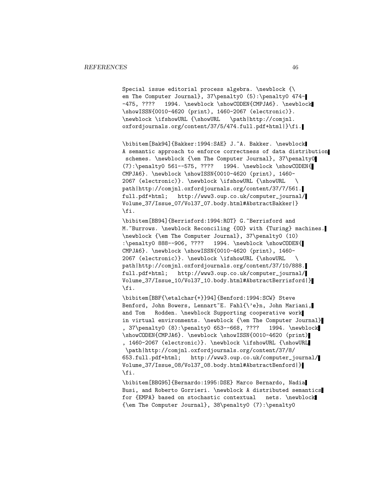Special issue editorial process algebra. \newblock {\ em The Computer Journal}, 37\penalty0 (5):\penalty0 474--475, ???? 1994. \newblock \showCODEN{CMPJA6}. \newblock \showISSN{0010-4620 (print), 1460-2067 (electronic)}.<br>\newblock \ifshowURL {\showURL \path|http://comjnl.  $\newblock \ifmmode \else$  \newblock \ifshowURL {\showURL oxfordjournals.org/content/37/5/474.full.pdf+html|}\fi.

\bibitem[Bak94]{Bakker:1994:SAE} J.~A. Bakker. \newblock A semantic approach to enforce correctness of data distribution schemes. \newblock {\em The Computer Journal}, 37\penalty0 (7):\penalty0 561--575, ???? 1994. \newblock \showCODEN{ CMPJA6}. \newblock \showISSN{0010-4620 (print), 1460- 2067 (electronic)}. \newblock \ifshowURL {\showURL \ path|http://comjnl.oxfordjournals.org/content/37/7/561. full.pdf+html; http://www3.oup.co.uk/computer\_journal/ Volume\_37/Issue\_07/Vol37\_07.body.html#AbstractBakker|} \fi.

\bibitem[BB94]{Berrisford:1994:ROT} G. "Berrisford and M. "Burrows. \newblock Reconciling {00} with {Turing} machines. \newblock {\em The Computer Journal}, 37\penalty0 (10) :\penalty0 888--906, ???? 1994. \newblock \showCODEN{ CMPJA6}. \newblock \showISSN{0010-4620 (print), 1460- 2067 (electronic)}. \newblock \ifshowURL {\showURL \ path|http://comjnl.oxfordjournals.org/content/37/10/888. full.pdf+html; http://www3.oup.co.uk/computer\_journal/ Volume\_37/Issue\_10/Vol37\_10.body.html#AbstractBerrisford|} \fi.

\bibitem[BBF{\etalchar{+}}94]{Benford:1994:SCW} Steve Benford, John Bowers, Lennart~E. Fahl{\'e}n, John Mariani, and Tom Rodden. \newblock Supporting cooperative work in virtual environments. \newblock {\em The Computer Journal} , 37\penalty0 (8):\penalty0 653--668, ???? 1994. \newblock \showCODEN{CMPJA6}. \newblock \showISSN{0010-4620 (print) , 1460-2067 (electronic)}. \newblock \ifshowURL {\showURL \path|http://comjnl.oxfordjournals.org/content/37/8/ 653.full.pdf+html; http://www3.oup.co.uk/computer\_journal/ Volume\_37/Issue\_08/Vol37\_08.body.html#AbstractBenford|} \fi.

\bibitem[BBG95]{Bernardo:1995:DSE} Marco Bernardo, Nadia Busi, and Roberto Gorrieri. \newblock A distributed semantics for {EMPA} based on stochastic contextual nets. \newblock {\em The Computer Journal}, 38\penalty0 (7):\penalty0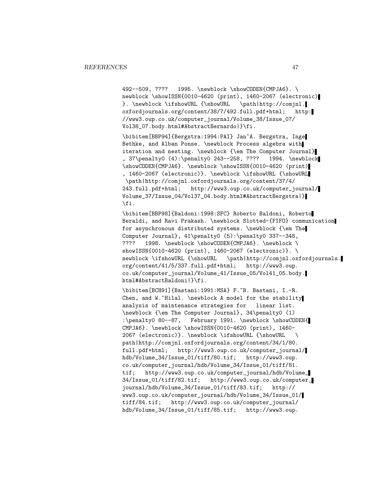492--509, ???? 1995. \newblock \showCODEN{CMPJA6}. \ newblock \showISSN{0010-4620 (print), 1460-2067 (electronic) }. \newblock \ifshowURL {\showURL \path|http://comjnl. oxfordjournals.org/content/38/7/492.full.pdf+html; http: //www3.oup.co.uk/computer\_journal/Volume\_38/Issue\_07/ Vol38\_07.body.html#AbstractBernardo|}\fi.

\bibitem[BBP94]{Bergstra:1994:PAI} Jan~A. Bergstra, Inge Bethke, and Alban Ponse. \newblock Process algebra with iteration and nesting. \newblock {\em The Computer Journal} , 37\penalty0 (4):\penalty0 243--258, ???? 1994. \newblock \showCODEN{CMPJA6}. \newblock \showISSN{0010-4620 (print) , 1460-2067 (electronic)}. \newblock \ifshowURL {\showURL \path|http://comjnl.oxfordjournals.org/content/37/4/ 243.full.pdf+html; http://www3.oup.co.uk/computer\_journal/ Volume\_37/Issue\_04/Vol37\_04.body.html#AbstractBergstra|} \fi.

\bibitem[BBP98]{Baldoni:1998:SFC} Roberto Baldoni, Roberto Beraldi, and Ravi Prakash. \newblock Slotted-{FIFO} communication for asynchronous distributed systems. \newblock {\em The Computer Journal}, 41\penalty0 (5):\penalty0 337--348, ???? 1998. \newblock \showCODEN{CMPJA6}. \newblock \ showISSN{0010-4620 (print), 1460-2067 (electronic)}. \ newblock \ifshowURL {\showURL \path|http://comjnl.oxfordjournals. org/content/41/5/337.full.pdf+html; http://www3.oup. co.uk/computer\_journal/Volume\_41/Issue\_05/Vol41\_05.body. html#AbstractBaldoni|}\fi.

\bibitem[BCH91]{Bastani:1991:MSA} F.~B. Bastani, I.-R. Chen, and W.~Hilal. \newblock A model for the stability analysis of maintenance strategies for linear list. \newblock {\em The Computer Journal}, 34\penalty0 (1) :\penalty0 80--87, February 1991. \newblock \showCODEN{ CMPJA6}. \newblock \showISSN{0010-4620 (print), 1460- 2067 (electronic)}. \newblock \ifshowURL {\showURL \ path|http://comjnl.oxfordjournals.org/content/34/1/80. full.pdf+html; http://www3.oup.co.uk/computer\_journal/ hdb/Volume\_34/Issue\_01/tiff/80.tif; http://www3.oup. co.uk/computer\_journal/hdb/Volume\_34/Issue\_01/tiff/81. tif; http://www3.oup.co.uk/computer\_journal/hdb/Volume\_ 34/Issue\_01/tiff/82.tif; http://www3.oup.co.uk/computer\_ journal/hdb/Volume\_34/Issue\_01/tiff/83.tif; http:// www3.oup.co.uk/computer\_journal/hdb/Volume\_34/Issue\_01/ tiff/84.tif; http://www3.oup.co.uk/computer\_journal/ hdb/Volume\_34/Issue\_01/tiff/85.tif; http://www3.oup.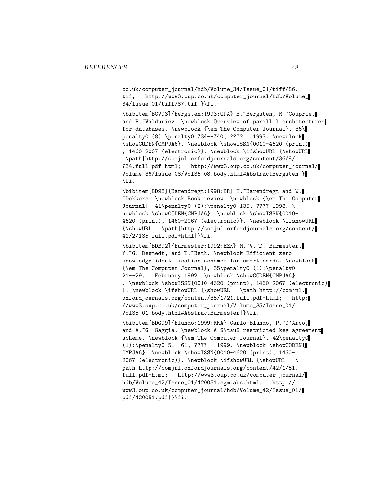co.uk/computer\_journal/hdb/Volume\_34/Issue\_01/tiff/86. tif; http://www3.oup.co.uk/computer\_journal/hdb/Volume\_ 34/Issue\_01/tiff/87.tif|}\fi.

\bibitem[BCV93]{Bergsten:1993:OPA} B.~Bergsten, M.~Couprie, and P.~Valduriez. \newblock Overview of parallel architectures for databases. \newblock {\em The Computer Journal}, 36\ penalty0 (8):\penalty0 734--740, ???? 1993. \newblock \showCODEN{CMPJA6}. \newblock \showISSN{0010-4620 (print) , 1460-2067 (electronic)}. \newblock \ifshowURL {\showURL \path|http://comjnl.oxfordjournals.org/content/36/8/ 734.full.pdf+html; http://www3.oup.co.uk/computer\_journal/ Volume\_36/Issue\_08/Vol36\_08.body.html#AbstractBergsten|} \fi.

\bibitem[BD98]{Barendregt:1998:BR} H.~Barendregt and W. ~Dekkers. \newblock Book review. \newblock {\em The Computer Journal}, 41\penalty0 (2):\penalty0 135, ???? 1998. \ newblock \showCODEN{CMPJA6}. \newblock \showISSN{0010-4620 (print), 1460-2067 (electronic)}. \newblock \ifshowURL {\showURL \path|http://comjnl.oxfordjournals.org/content/ 41/2/135.full.pdf+html|}\fi.

\bibitem[BDB92]{Burmester:1992:EZK} M.~V.~D. Burmester, Y. "G. Desmedt, and T. "Beth. \newblock Efficient zeroknowledge identification schemes for smart cards. \newblock {\em The Computer Journal}, 35\penalty0 (1):\penalty0 21--29, February 1992. \newblock \showCODEN{CMPJA6} . \newblock \showISSN{0010-4620 (print), 1460-2067 (electronic) }. \newblock \ifshowURL {\showURL \path|http://comjnl. oxfordjournals.org/content/35/1/21.full.pdf+html; http: //www3.oup.co.uk/computer\_journal/Volume\_35/Issue\_01/ Vol35\_01.body.html#AbstractBurmester|}\fi.

\bibitem[BDG99]{Blundo:1999:RKA} Carlo Blundo, P.~D'Arco, and A.~G. Gaggia. \newblock A \$\tau\$-restricted key agreement scheme. \newblock {\em The Computer Journal}, 42\penalty0  $(1): \penalty0 51--61, ???? 1999. \newblock \showCODEN{$ CMPJA6}. \newblock \showISSN{0010-4620 (print), 1460- 2067 (electronic)}. \newblock \ifshowURL {\showURL \ path|http://comjnl.oxfordjournals.org/content/42/1/51. full.pdf+html; http://www3.oup.co.uk/computer\_journal/ hdb/Volume\_42/Issue\_01/420051.sgm.abs.html; http:// www3.oup.co.uk/computer\_journal/hdb/Volume\_42/Issue\_01/ pdf/420051.pdf|}\fi.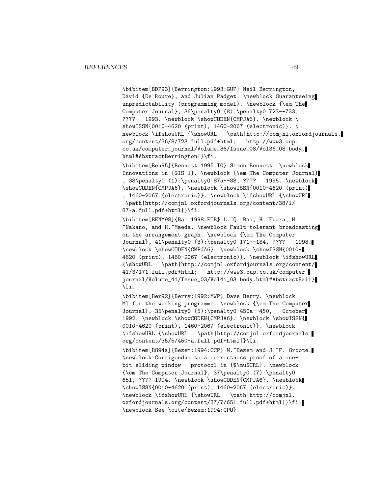\bibitem[BDP93]{Berrington:1993:GUP} Neil Berrington, David {De Roure}, and Julian Padget. \newblock Guaranteeing unpredictability (programming model). \newblock {\em The Computer Journal}, 36\penalty0 (8):\penalty0 723--733, ???? 1993. \newblock \showCODEN{CMPJA6}. \newblock \ showISSN{0010-4620 (print), 1460-2067 (electronic)}. \ newblock \ifshowURL {\showURL \path|http://comjnl.oxfordjournals. org/content/36/8/723.full.pdf+html; http://www3.oup. co.uk/computer\_journal/Volume\_36/Issue\_08/Vol36\_08.body. html#AbstractBerrington|}\fi.

\bibitem[Ben95]{Bennett:1995:IG} Simon Bennett. \newblock Innovations in {GIS 1}. \newblock {\em The Computer Journal} , 38\penalty0 (1):\penalty0 87a--88, ???? 1995. \newblock \showCODEN{CMPJA6}. \newblock \showISSN{0010-4620 (print) , 1460-2067 (electronic)}. \newblock \ifshowURL {\showURL \path|http://comjnl.oxfordjournals.org/content/38/1/ 87-a.full.pdf+html|}\fi.

\bibitem[BENM98]{Bai:1998:FTB} L.~Q. Bai, H.~Ebara, H. ~Nakano, and H.~Maeda. \newblock Fault-tolerant broadcasting on the arrangement graph. \newblock {\em The Computer Journal}, 41\penalty0 (3):\penalty0 171--184, ???? 1998. \newblock \showCODEN{CMPJA6}. \newblock \showISSN{0010- 4620 (print), 1460-2067 (electronic)}. \newblock \ifshowURL {\showURL \path|http://comjnl.oxfordjournals.org/content/ 41/3/171.full.pdf+html; http://www3.oup.co.uk/computer\_ journal/Volume\_41/Issue\_03/Vol41\_03.body.html#AbstractBai|} \fi.

\bibitem[Ber92]{Berry:1992:MWP} Dave Berry. \newblock Ml for the working programme. \newblock {\em The Computer Journal}, 35\penalty0 (5):\penalty0 450a--450, October 1992. \newblock \showCODEN{CMPJA6}. \newblock \showISSN{ 0010-4620 (print), 1460-2067 (electronic)}. \newblock \ifshowURL {\showURL \path|http://comjnl.oxfordjournals. org/content/35/5/450-a.full.pdf+html|}\fi.

\bibitem[BG94a]{Bezem:1994:CCP} M.~Bezem and J.~F. Groote. \newblock Corrigendum to a correctness proof of a onebit sliding window protocol in {\$\mu\$CRL}. \newblock {\em The Computer Journal}, 37\penalty0 (7):\penalty0 651, ???? 1994. \newblock \showCODEN{CMPJA6}. \newblock \showISSN{0010-4620 (print), 1460-2067 (electronic)}. \newblock \ifshowURL {\showURL \path|http://comjnl. oxfordjournals.org/content/37/7/651.full.pdf+html|}\fi. \newblock See \cite{Bezem:1994:CPO}.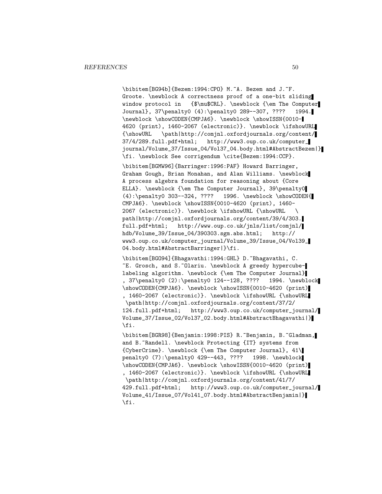\bibitem[BG94b]{Bezem:1994:CPO} M.~A. Bezem and J.~F. Groote. \newblock A correctness proof of a one-bit sliding window protocol in {\$\mu\$CRL}. \newblock {\em The Computer Journal}, 37\penalty0 (4):\penalty0 289--307, ???? 1994. \newblock \showCODEN{CMPJA6}. \newblock \showISSN{0010- 4620 (print), 1460-2067 (electronic)}. \newblock \ifshowURL {\showURL \path|http://comjnl.oxfordjournals.org/content/ 37/4/289.full.pdf+html; http://www3.oup.co.uk/computer\_ journal/Volume\_37/Issue\_04/Vol37\_04.body.html#AbstractBezem|} \fi. \newblock See corrigendum \cite{Bezem:1994:CCP}.

\bibitem[BGMW96]{Barringer:1996:PAF} Howard Barringer, Graham Gough, Brian Monahan, and Alan Williams. \newblock A process algebra foundation for reasoning about {Core ELLA}. \newblock {\em The Computer Journal}, 39\penalty0 (4):\penalty0 303--324, ???? 1996. \newblock \showCODEN{ CMPJA6}. \newblock \showISSN{0010-4620 (print), 1460- 2067 (electronic)}. \newblock \ifshowURL {\showURL \ path|http://comjnl.oxfordjournals.org/content/39/4/303. full.pdf+html; http://www.oup.co.uk/jnls/list/comjnl/ hdb/Volume\_39/Issue\_04/390303.sgm.abs.html; http:// www3.oup.co.uk/computer\_journal/Volume\_39/Issue\_04/Vol39\_ 04.body.html#AbstractBarringer|}\fi.

\bibitem[BGO94]{Bhagavathi:1994:GHL} D.~Bhagavathi, C. ~E. Grosch, and S.~Olariu. \newblock A greedy hypercubelabeling algorithm. \newblock {\em The Computer Journal} , 37\penalty0 (2):\penalty0 124--128, ???? 1994. \newblock \showCODEN{CMPJA6}. \newblock \showISSN{0010-4620 (print) , 1460-2067 (electronic)}. \newblock \ifshowURL {\showURL \path|http://comjnl.oxfordjournals.org/content/37/2/ 124.full.pdf+html; http://www3.oup.co.uk/computer\_journal/ Volume\_37/Issue\_02/Vol37\_02.body.html#AbstractBhagavathi|} \fi.

\bibitem[BGR98]{Benjamin:1998:PIS} R.~Benjamin, B.~Gladman, and B. "Randell. \newblock Protecting {IT} systems from {CyberCrime}. \newblock {\em The Computer Journal}, 41\ penalty0 (7):\penalty0 429--443, ???? 1998. \newblock \showCODEN{CMPJA6}. \newblock \showISSN{0010-4620 (print) , 1460-2067 (electronic)}. \newblock \ifshowURL {\showURL \path|http://comjnl.oxfordjournals.org/content/41/7/ 429.full.pdf+html; http://www3.oup.co.uk/computer\_journal/ Volume\_41/Issue\_07/Vol41\_07.body.html#AbstractBenjamin|} \fi.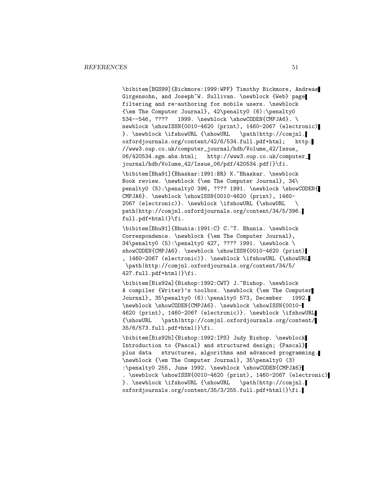\bibitem[BGS99]{Bickmore:1999:WPF} Timothy Bickmore, Andreas Girgensohn, and Joseph~W. Sullivan. \newblock {Web} page filtering and re-authoring for mobile users. \newblock {\em The Computer Journal}, 42\penalty0 (6):\penalty0 534--546, ???? 1999. \newblock \showCODEN{CMPJA6}. \ newblock \showISSN{0010-4620 (print), 1460-2067 (electronic) }. \newblock \ifshowURL {\showURL \path|http://comjnl. oxfordjournals.org/content/42/6/534.full.pdf+html; http: //www3.oup.co.uk/computer\_journal/hdb/Volume\_42/Issue\_ 06/420534.sgm.abs.html; http://www3.oup.co.uk/computer\_ journal/hdb/Volume\_42/Issue\_06/pdf/420534.pdf|}\fi.

\bibitem[Bha91]{Bhaskar:1991:BR} K.~Bhaskar. \newblock Book review. \newblock {\em The Computer Journal}, 34\ penalty0 (5):\penalty0 396, ???? 1991. \newblock \showCODEN{ CMPJA6}. \newblock \showISSN{0010-4620 (print), 1460- 2067 (electronic)}. \newblock \ifshowURL {\showURL path|http://comjnl.oxfordjournals.org/content/34/5/396. full.pdf+html|}\fi.

\bibitem[Bhu91]{Bhunia:1991:C} C.~T. Bhunia. \newblock Correspondence. \newblock {\em The Computer Journal}, 34\penalty0 (5):\penalty0 427, ???? 1991. \newblock \ showCODEN{CMPJA6}. \newblock \showISSN{0010-4620 (print) , 1460-2067 (electronic)}. \newblock \ifshowURL {\showURL \path|http://comjnl.oxfordjournals.org/content/34/5/ 427.full.pdf+html|}\fi.

\bibitem[Bis92a]{Bishop:1992:CWT} J.~Bishop. \newblock A compiler {Writer}'s toolbox. \newblock {\em The Computer Journal}, 35\penalty0 (6):\penalty0 573, December 1992. \newblock \showCODEN{CMPJA6}. \newblock \showISSN{0010- 4620 (print), 1460-2067 (electronic)}. \newblock \ifshowURL {\showURL \path|http://comjnl.oxfordjournals.org/content/ 35/6/573.full.pdf+html|}\fi.

\bibitem[Bis92b]{Bishop:1992:IPS} Judy Bishop. \newblock Introduction to {Pascal} and structured design; {Pascal} plus data structures, algorithms and advanced programming. \newblock {\em The Computer Journal}, 35\penalty0 (3) :\penalty0 255, June 1992. \newblock \showCODEN{CMPJA6} . \newblock \showISSN{0010-4620 (print), 1460-2067 (electronic) }. \newblock \ifshowURL {\showURL \path|http://comjnl. oxfordjournals.org/content/35/3/255.full.pdf+html|}\fi.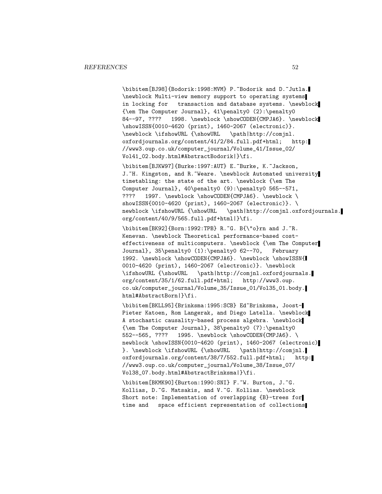\bibitem[BJ98]{Bodorik:1998:MVM} P.~Bodorik and D.~Jutla. \newblock Multi-view memory support to operating systems in locking for transaction and database systems. \newblock {\em The Computer Journal}, 41\penalty0 (2):\penalty0 84--97, ???? 1998. \newblock \showCODEN{CMPJA6}. \newblock \showISSN{0010-4620 (print), 1460-2067 (electronic)}. \newblock \ifshowURL {\showURL \path|http://comjnl. oxfordjournals.org/content/41/2/84.full.pdf+html; http: //www3.oup.co.uk/computer\_journal/Volume\_41/Issue\_02/ Vol41\_02.body.html#AbstractBodorik|}\fi.

\bibitem[BJKW97]{Burke:1997:AUT} E.~Burke, K.~Jackson, J. H. Kingston, and R. Weare. \newblock Automated university timetabling: the state of the art. \newblock {\em The Computer Journal}, 40\penalty0 (9):\penalty0 565--571, ???? 1997. \newblock \showCODEN{CMPJA6}. \newblock \ showISSN{0010-4620 (print), 1460-2067 (electronic)}. \ newblock \ifshowURL {\showURL \path|http://comjnl.oxfordjournals. org/content/40/9/565.full.pdf+html|}\fi.

\bibitem[BK92]{Born:1992:TPB} R.~G. B{\"o}rn and J.~R. Kenevan. \newblock Theoretical performance-based costeffectiveness of multicomputers. \newblock {\em The Computer Journal}, 35\penalty0 (1):\penalty0 62--70, February 1992. \newblock \showCODEN{CMPJA6}. \newblock \showISSN{ 0010-4620 (print), 1460-2067 (electronic)}. \newblock \ifshowURL {\showURL \path|http://comjnl.oxfordjournals. org/content/35/1/62.full.pdf+html; http://www3.oup. co.uk/computer\_journal/Volume\_35/Issue\_01/Vol35\_01.body. html#AbstractBorn|}\fi.

\bibitem[BKLL95]{Brinksma:1995:SCB} Ed~Brinksma, Joost-Pieter Katoen, Rom Langerak, and Diego Latella. \newblock A stochastic causality-based process algebra. \newblock {\em The Computer Journal}, 38\penalty0 (7):\penalty0 552--565, ???? 1995. \newblock \showCODEN{CMPJA6}. \ newblock \showISSN{0010-4620 (print), 1460-2067 (electronic) }. \newblock \ifshowURL {\showURL \path|http://comjnl. oxfordjournals.org/content/38/7/552.full.pdf+html; http: //www3.oup.co.uk/computer\_journal/Volume\_38/Issue\_07/ Vol38\_07.body.html#AbstractBrinksma|}\fi.

\bibitem[BKMK90]{Burton:1990:SNI} F.~W. Burton, J.~G. Kollias, D.~G. Matsakis, and V.~G. Kollias. \newblock Short note: Implementation of overlapping {B}-trees for time and space efficient representation of collections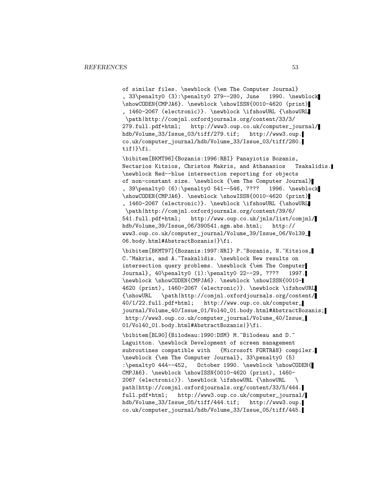of similar files. \newblock {\em The Computer Journal} , 33\penalty0 (3):\penalty0 279--280, June 1990. \newblock \showCODEN{CMPJA6}. \newblock \showISSN{0010-4620 (print) , 1460-2067 (electronic)}. \newblock \ifshowURL {\showURL \path|http://comjnl.oxfordjournals.org/content/33/3/ 279.full.pdf+html; http://www3.oup.co.uk/computer\_journal/ hdb/Volume\_33/Issue\_03/tiff/279.tif; http://www3.oup. co.uk/computer\_journal/hdb/Volume\_33/Issue\_03/tiff/280. tif|}\fi.

\bibitem[BKMT96]{Bozanis:1996:RBI} Panayiotis Bozanis, Nectarios Kitsios, Christos Makris, and Athanasios Tsakalidis. \newblock Red--blue intersection reporting for objects of non-constant size. \newblock {\em The Computer Journal} , 39\penalty0 (6):\penalty0 541--546, ???? 1996. \newblock \showCODEN{CMPJA6}. \newblock \showISSN{0010-4620 (print) , 1460-2067 (electronic)}. \newblock \ifshowURL {\showURL

\path|http://comjnl.oxfordjournals.org/content/39/6/ 541.full.pdf+html; http://www.oup.co.uk/jnls/list/comjnl/ hdb/Volume\_39/Issue\_06/390541.sgm.abs.html; http:// www3.oup.co.uk/computer\_journal/Volume\_39/Issue\_06/Vol39\_ 06.body.html#AbstractBozanis|}\fi.

\bibitem[BKMT97]{Bozanis:1997:NRI} P.~Bozanis, N.~Kitsios, C. "Makris, and A. "Tsakalidis. \newblock New results on intersection query problems. \newblock {\em The Computer Journal}, 40\penalty0 (1):\penalty0 22--29, ???? 1997. \newblock \showCODEN{CMPJA6}. \newblock \showISSN{0010- 4620 (print), 1460-2067 (electronic)}. \newblock \ifshowURL {\showURL \path|http://comjnl.oxfordjournals.org/content/ 40/1/22.full.pdf+html; http://www.oup.co.uk/computer\_ journal/Volume\_40/Issue\_01/Vol40\_01.body.html#AbstractBozanis; http://www3.oup.co.uk/computer\_journal/Volume\_40/Issue\_ 01/Vol40\_01.body.html#AbstractBozanis|}\fi.

\bibitem[BL90]{Bilodeau:1990:DSM} M.~Bilodeau and D.~ Laguitton. \newblock Development of screen management subroutines compatible with {Microsoft FORTRAN} compiler. \newblock {\em The Computer Journal}, 33\penalty0 (5) :\penalty0 444--452, October 1990. \newblock \showCODEN{ CMPJA6}. \newblock \showISSN{0010-4620 (print), 1460- 2067 (electronic)}. \newblock \ifshowURL {\showURL \ path|http://comjnl.oxfordjournals.org/content/33/5/444. full.pdf+html; http://www3.oup.co.uk/computer\_journal/ hdb/Volume\_33/Issue\_05/tiff/444.tif; http://www3.oup. co.uk/computer\_journal/hdb/Volume\_33/Issue\_05/tiff/445.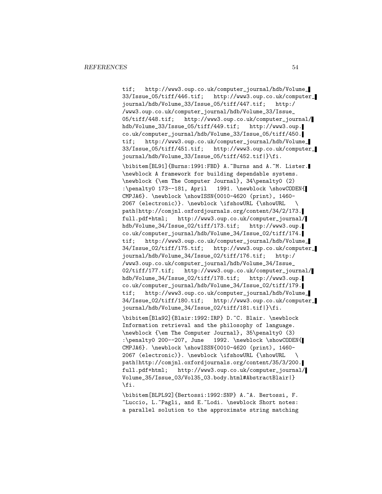tif; http://www3.oup.co.uk/computer\_journal/hdb/Volume\_ 33/Issue\_05/tiff/446.tif; http://www3.oup.co.uk/computer\_ journal/hdb/Volume\_33/Issue\_05/tiff/447.tif; http:/ /www3.oup.co.uk/computer\_journal/hdb/Volume\_33/Issue\_ 05/tiff/448.tif; http://www3.oup.co.uk/computer\_journal/ hdb/Volume\_33/Issue\_05/tiff/449.tif; http://www3.oup. co.uk/computer\_journal/hdb/Volume\_33/Issue\_05/tiff/450. tif; http://www3.oup.co.uk/computer\_journal/hdb/Volume\_ 33/Issue\_05/tiff/451.tif; http://www3.oup.co.uk/computer\_ journal/hdb/Volume\_33/Issue\_05/tiff/452.tif|}\fi.

\bibitem[BL91]{Burns:1991:FBD} A.~Burns and A.~M. Lister. \newblock A framework for building dependable systems. \newblock {\em The Computer Journal}, 34\penalty0 (2) :\penalty0 173--181, April 1991. \newblock \showCODEN{ CMPJA6}. \newblock \showISSN{0010-4620 (print), 1460- 2067 (electronic)}. \newblock \ifshowURL {\showURL \ path|http://comjnl.oxfordjournals.org/content/34/2/173. full.pdf+html; http://www3.oup.co.uk/computer\_journal/ hdb/Volume\_34/Issue\_02/tiff/173.tif; http://www3.oup. co.uk/computer\_journal/hdb/Volume\_34/Issue\_02/tiff/174. tif; http://www3.oup.co.uk/computer\_journal/hdb/Volume\_ 34/Issue\_02/tiff/175.tif; http://www3.oup.co.uk/computer\_ journal/hdb/Volume\_34/Issue\_02/tiff/176.tif; http:/ /www3.oup.co.uk/computer\_journal/hdb/Volume\_34/Issue\_ 02/tiff/177.tif; http://www3.oup.co.uk/computer\_journal/ hdb/Volume\_34/Issue\_02/tiff/178.tif; http://www3.oup. co.uk/computer\_journal/hdb/Volume\_34/Issue\_02/tiff/179. tif; http://www3.oup.co.uk/computer\_journal/hdb/Volume\_ 34/Issue\_02/tiff/180.tif; http://www3.oup.co.uk/computer\_ journal/hdb/Volume\_34/Issue\_02/tiff/181.tif|}\fi.

\bibitem[Bla92]{Blair:1992:IRP} D.~C. Blair. \newblock Information retrieval and the philosophy of language. \newblock {\em The Computer Journal}, 35\penalty0 (3) :\penalty0 200--207, June 1992. \newblock \showCODEN{ CMPJA6}. \newblock \showISSN{0010-4620 (print), 1460- 2067 (electronic)}. \newblock \ifshowURL {\showURL \ path|http://comjnl.oxfordjournals.org/content/35/3/200. full.pdf+html; http://www3.oup.co.uk/computer\_journal/ Volume\_35/Issue\_03/Vol35\_03.body.html#AbstractBlair|} \fi.

\bibitem[BLPL92]{Bertossi:1992:SNP} A.~A. Bertossi, F. ~Luccio, L.~Pagli, and E.~Lodi. \newblock Short notes: a parallel solution to the approximate string matching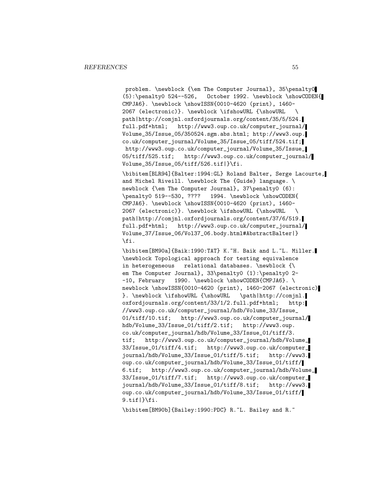problem. \newblock {\em The Computer Journal}, 35\penalty0 (5):\penalty0 524--526, October 1992. \newblock \showCODEN{ CMPJA6}. \newblock \showISSN{0010-4620 (print), 1460- 2067 (electronic)}. \newblock \ifshowURL {\showURL \ path|http://comjnl.oxfordjournals.org/content/35/5/524. full.pdf+html; http://www3.oup.co.uk/computer\_journal/ Volume\_35/Issue\_05/350524.sgm.abs.html; http://www3.oup. co.uk/computer\_journal/Volume\_35/Issue\_05/tiff/524.tif; http://www3.oup.co.uk/computer\_journal/Volume\_35/Issue\_ 05/tiff/525.tif; http://www3.oup.co.uk/computer\_journal/ Volume\_35/Issue\_05/tiff/526.tif|}\fi.

\bibitem[BLR94]{Balter:1994:GL} Roland Balter, Serge Lacourte, and Michel Riveill. \newblock The {Guide} language. \ newblock {\em The Computer Journal}, 37\penalty0 (6): \penalty0 519--530, ???? 1994. \newblock \showCODEN{ CMPJA6}. \newblock \showISSN{0010-4620 (print), 1460- 2067 (electronic)}. \newblock \ifshowURL {\showURL \ path|http://comjnl.oxfordjournals.org/content/37/6/519. full.pdf+html; http://www3.oup.co.uk/computer\_journal/ Volume\_37/Issue\_06/Vol37\_06.body.html#AbstractBalter|} \fi.

\bibitem[BM90a]{Baik:1990:TAT} K.~H. Baik and L.~L. Miller. \newblock Topological approach for testing equivalence in heterogeneous relational databases. \newblock {\ em The Computer Journal}, 33\penalty0 (1):\penalty0 2- -10, February 1990. \newblock \showCODEN{CMPJA6}. \ newblock \showISSN{0010-4620 (print), 1460-2067 (electronic) }. \newblock \ifshowURL {\showURL \path|http://comjnl. oxfordjournals.org/content/33/1/2.full.pdf+html; http: //www3.oup.co.uk/computer\_journal/hdb/Volume\_33/Issue\_ 01/tiff/10.tif; http://www3.oup.co.uk/computer\_journal/ hdb/Volume\_33/Issue\_01/tiff/2.tif; http://www3.oup. co.uk/computer\_journal/hdb/Volume\_33/Issue\_01/tiff/3. tif; http://www3.oup.co.uk/computer\_journal/hdb/Volume\_ 33/Issue\_01/tiff/4.tif; http://www3.oup.co.uk/computer\_ journal/hdb/Volume\_33/Issue\_01/tiff/5.tif; http://www3. oup.co.uk/computer\_journal/hdb/Volume\_33/Issue\_01/tiff/ 6.tif; http://www3.oup.co.uk/computer\_journal/hdb/Volume\_ 33/Issue\_01/tiff/7.tif; http://www3.oup.co.uk/computer\_ journal/hdb/Volume\_33/Issue\_01/tiff/8.tif; http://www3. oup.co.uk/computer\_journal/hdb/Volume\_33/Issue\_01/tiff/ 9.tif|}\fi.

\bibitem[BM90b]{Bailey:1990:PDC} R.~L. Bailey and R.~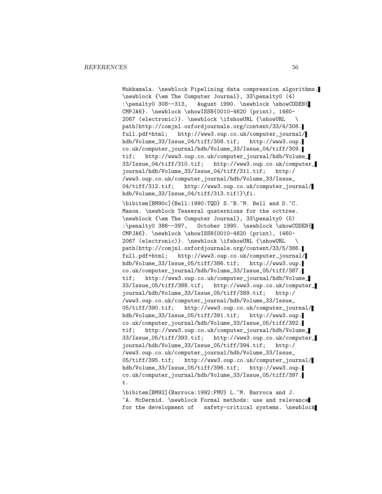Mukkamala. \newblock Pipelining data compression algorithms. \newblock {\em The Computer Journal}, 33\penalty0 (4) :\penalty0 308--313, August 1990. \newblock \showCODEN{ CMPJA6}. \newblock \showISSN{0010-4620 (print), 1460- 2067 (electronic)}. \newblock \ifshowURL {\showURL \ path|http://comjnl.oxfordjournals.org/content/33/4/308. full.pdf+html; http://www3.oup.co.uk/computer\_journal/ hdb/Volume\_33/Issue\_04/tiff/308.tif; http://www3.oup. co.uk/computer\_journal/hdb/Volume\_33/Issue\_04/tiff/309. tif; http://www3.oup.co.uk/computer\_journal/hdb/Volume\_ 33/Issue\_04/tiff/310.tif; http://www3.oup.co.uk/computer\_ journal/hdb/Volume\_33/Issue\_04/tiff/311.tif; http:/ /www3.oup.co.uk/computer\_journal/hdb/Volume\_33/Issue\_ 04/tiff/312.tif; http://www3.oup.co.uk/computer\_journal/ hdb/Volume\_33/Issue\_04/tiff/313.tif|}\fi. \bibitem[BM90c]{Bell:1990:TQO} S.~B.~M. Bell and D.~C. Mason. \newblock Tesseral quaternions for the octtree. \newblock {\em The Computer Journal}, 33\penalty0 (5) :\penalty0 386--397, October 1990. \newblock \showCODEN{ CMPJA6}. \newblock \showISSN{0010-4620 (print), 1460- 2067 (electronic)}. \newblock \ifshowURL {\showURL \ path|http://comjnl.oxfordjournals.org/content/33/5/386. full.pdf+html; http://www3.oup.co.uk/computer\_journal/ hdb/Volume\_33/Issue\_05/tiff/386.tif; http://www3.oup. co.uk/computer\_journal/hdb/Volume\_33/Issue\_05/tiff/387. tif; http://www3.oup.co.uk/computer\_journal/hdb/Volume\_ 33/Issue\_05/tiff/388.tif; http://www3.oup.co.uk/computer\_ journal/hdb/Volume\_33/Issue\_05/tiff/389.tif; http:/ /www3.oup.co.uk/computer\_journal/hdb/Volume\_33/Issue\_ 05/tiff/390.tif; http://www3.oup.co.uk/computer\_journal/ hdb/Volume\_33/Issue\_05/tiff/391.tif; http://www3.oup. co.uk/computer\_journal/hdb/Volume\_33/Issue\_05/tiff/392. tif; http://www3.oup.co.uk/computer\_journal/hdb/Volume\_ 33/Issue\_05/tiff/393.tif; http://www3.oup.co.uk/computer\_ journal/hdb/Volume\_33/Issue\_05/tiff/394.tif; http:/ /www3.oup.co.uk/computer\_journal/hdb/Volume\_33/Issue\_ 05/tiff/395.tif; http://www3.oup.co.uk/computer\_journal/ hdb/Volume\_33/Issue\_05/tiff/396.tif; http://www3.oup. co.uk/computer\_journal/hdb/Volume\_33/Issue\_05/tiff/397. t.

\bibitem[BM92]{Barroca:1992:FMU} L.~M. Barroca and J. ~A. McDermid. \newblock Formal methods: use and relevance for the development of safety-critical systems. \newblock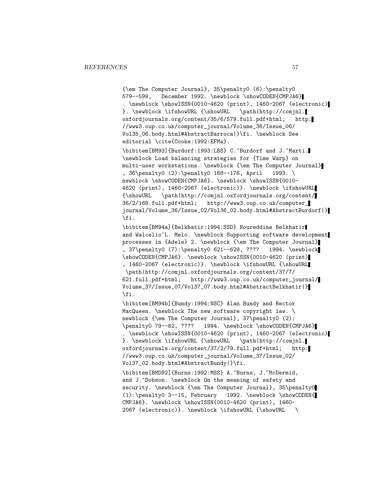{\em The Computer Journal}, 35\penalty0 (6):\penalty0 579--599, December 1992. \newblock \showCODEN{CMPJA6} . \newblock \showISSN{0010-4620 (print), 1460-2067 (electronic) }. \newblock \ifshowURL {\showURL \path|http://comjnl. oxfordjournals.org/content/35/6/579.full.pdf+html; http: //www3.oup.co.uk/computer\_journal/Volume\_36/Issue\_06/ Vol35\_06.body.html#AbstractBarroca|}\fi. \newblock See editorial \cite{Cooke:1992:EFMa}.

\bibitem[BM93]{Burdorf:1993:LBS} C.~Burdorf and J.~Marti. \newblock Load balancing strategies for {Time Warp} on multi-user workstations. \newblock {\em The Computer Journal} , 36\penalty0 (2):\penalty0 168--176, April 1993. \ newblock \showCODEN{CMPJA6}. \newblock \showISSN{0010-4620 (print), 1460-2067 (electronic)}. \newblock \ifshowURL {\showURL \path|http://comjnl.oxfordjournals.org/content/ 36/2/168.full.pdf+html; http://www3.oup.co.uk/computer\_ journal/Volume\_36/Issue\_02/Vol36\_02.body.html#AbstractBurdorf|} \fi.

\bibitem[BM94a]{Belkhatir:1994:SSD} Noureddine Belkhatir and Walcelio<sup>~</sup>L. Melo. \newblock Supporting software development processes in {Adele} 2. \newblock {\em The Computer Journal} , 37\penalty0 (7):\penalty0 621--628, ???? 1994. \newblock \showCODEN{CMPJA6}. \newblock \showISSN{0010-4620 (print) , 1460-2067 (electronic)}. \newblock \ifshowURL {\showURL \path|http://comjnl.oxfordjournals.org/content/37/7/ 621.full.pdf+html; http://www3.oup.co.uk/computer\_journal/ Volume\_37/Issue\_07/Vol37\_07.body.html#AbstractBelkhatir|} \fi.

\bibitem[BM94b]{Bundy:1994:NSC} Alan Bundy and Hector MacQueen. \newblock The new software copyright law. \ newblock {\em The Computer Journal}, 37\penalty0 (2): \penalty0 79--82, ???? 1994. \newblock \showCODEN{CMPJA6} . \newblock \showISSN{0010-4620 (print), 1460-2067 (electronic) }. \newblock \ifshowURL {\showURL \path|http://comjnl. oxfordjournals.org/content/37/2/79.full.pdf+html; http: //www3.oup.co.uk/computer\_journal/Volume\_37/Issue\_02/ Vol37\_02.body.html#AbstractBundy|}\fi.

\bibitem[BMD92]{Burns:1992:MSS} A.~Burns, J.~McDermid, and J. Dobson. \newblock On the meaning of safety and security. \newblock {\em The Computer Journal}, 35\penalty0 (1):\penalty0 3--15, February 1992. \newblock \showCODEN{ CMPJA6}. \newblock \showISSN{0010-4620 (print), 1460- 2067 (electronic)}. \newblock \ifshowURL {\showURL \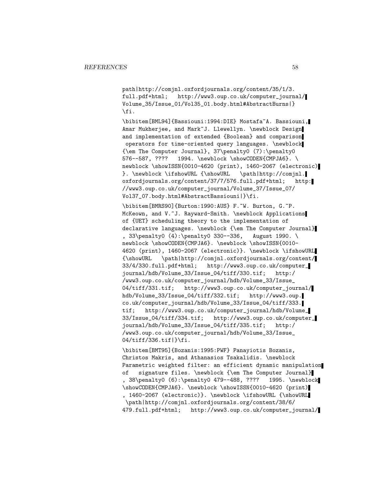path|http://comjnl.oxfordjournals.org/content/35/1/3. full.pdf+html; http://www3.oup.co.uk/computer\_journal/ Volume\_35/Issue\_01/Vol35\_01.body.html#AbstractBurns|} \fi.

\bibitem[BML94]{Bassiouni:1994:DIE} Mostafa~A. Bassiouni, Amar Mukherjee, and Mark~J. Llewellyn. \newblock Design and implementation of extended {Boolean} and comparison operators for time-oriented query languages. \newblock {\em The Computer Journal}, 37\penalty0 (7):\penalty0 576--587, ???? 1994. \newblock \showCODEN{CMPJA6}. \ newblock \showISSN{0010-4620 (print), 1460-2067 (electronic) }. \newblock \ifshowURL {\showURL \path|http://comjnl. oxfordjournals.org/content/37/7/576.full.pdf+html; http: //www3.oup.co.uk/computer\_journal/Volume\_37/Issue\_07/ Vol37\_07.body.html#AbstractBassiouni|}\fi.

\bibitem[BMRS90]{Burton:1990:AUS} F.~W. Burton, G.~P. McKeown, and V.~J. Rayward-Smith. \newblock Applications of {UET} scheduling theory to the implementation of declarative languages. \newblock {\em The Computer Journal} , 33\penalty0 (4):\penalty0 330--336, August 1990. \ newblock \showCODEN{CMPJA6}. \newblock \showISSN{0010-4620 (print), 1460-2067 (electronic)}. \newblock \ifshowURL {\showURL \path|http://comjnl.oxfordjournals.org/content/ 33/4/330.full.pdf+html; http://www3.oup.co.uk/computer\_ journal/hdb/Volume\_33/Issue\_04/tiff/330.tif; http:/ /www3.oup.co.uk/computer\_journal/hdb/Volume\_33/Issue\_ 04/tiff/331.tif; http://www3.oup.co.uk/computer\_journal/ hdb/Volume\_33/Issue\_04/tiff/332.tif; http://www3.oup. co.uk/computer\_journal/hdb/Volume\_33/Issue\_04/tiff/333. tif; http://www3.oup.co.uk/computer\_journal/hdb/Volume\_ 33/Issue\_04/tiff/334.tif; http://www3.oup.co.uk/computer\_ journal/hdb/Volume\_33/Issue\_04/tiff/335.tif; http:/ /www3.oup.co.uk/computer\_journal/hdb/Volume\_33/Issue\_ 04/tiff/336.tif|}\fi.

\bibitem[BMT95]{Bozanis:1995:PWF} Panayiotis Bozanis, Christos Makris, and Athanasios Tsakalidis. \newblock Parametric weighted filter: an efficient dynamic manipulation of signature files. \newblock {\em The Computer Journal} , 38\penalty0 (6):\penalty0 479--488, ???? 1995. \newblock \showCODEN{CMPJA6}. \newblock \showISSN{0010-4620 (print) , 1460-2067 (electronic)}. \newblock \ifshowURL {\showURL \path|http://comjnl.oxfordjournals.org/content/38/6/ 479.full.pdf+html; http://www3.oup.co.uk/computer\_journal/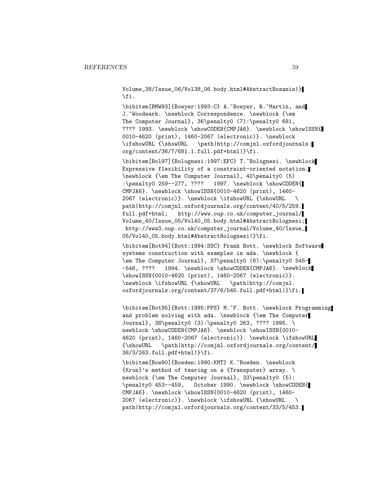Volume\_38/Issue\_06/Vol38\_06.body.html#AbstractBozanis|} \fi.

\bibitem[BMW93]{Bowyer:1993:C} A.~Bowyer, R.~Martin, and J. "Woodwark. \newblock Correspondence. \newblock {\em The Computer Journal}, 36\penalty0 (7):\penalty0 681, ???? 1993. \newblock \showCODEN{CMPJA6}. \newblock \showISSN{ 0010-4620 (print), 1460-2067 (electronic)}. \newblock \ifshowURL {\showURL \path|http://comjnl.oxfordjournals. org/content/36/7/681.1.full.pdf+html|}\fi.

\bibitem[Bol97]{Bolognesi:1997:EFC} T.~Bolognesi. \newblock Expressive flexibility of a constraint-oriented notation. \newblock {\em The Computer Journal}, 40\penalty0 (5) :\penalty0 259--277, ???? 1997. \newblock \showCODEN{ CMPJA6}. \newblock \showISSN{0010-4620 (print), 1460- 2067 (electronic)}. \newblock \ifshowURL {\showURL \ path|http://comjnl.oxfordjournals.org/content/40/5/259. full.pdf+html; http://www.oup.co.uk/computer\_journal/ Volume\_40/Issue\_05/Vol40\_05.body.html#AbstractBolognesi; http://www3.oup.co.uk/computer\_journal/Volume\_40/Issue\_ 05/Vol40\_05.body.html#AbstractBolognesi|}\fi.

\bibitem[Bot94]{Bott:1994:SSC} Frank Bott. \newblock Software systems construction with examples in ada. \newblock { \em The Computer Journal}, 37\penalty0 (6):\penalty0 545- -546, ???? 1994. \newblock \showCODEN{CMPJA6}. \newblock \showISSN{0010-4620 (print), 1460-2067 (electronic)}. \newblock \ifshowURL {\showURL \path|http://comjnl. oxfordjournals.org/content/37/6/545.full.pdf+html|}\fi.

\bibitem[Bot95]{Bott:1995:PPS} M.~F. Bott. \newblock Programming and problem solving with ada. \newblock {\em The Computer Journal}, 38\penalty0 (3):\penalty0 263, ???? 1995. \ newblock \showCODEN{CMPJA6}. \newblock \showISSN{0010-4620 (print), 1460-2067 (electronic)}. \newblock \ifshowURL {\showURL \path|http://comjnl.oxfordjournals.org/content/ 38/3/263.full.pdf+html|}\fi.

\bibitem[Bow90]{Bowden:1990:KMT} K.~Bowden. \newblock {Kron}'s method of tearing on a {Transputer} array. \ newblock {\em The Computer Journal}, 33\penalty0 (5): \penalty0 453--459, October 1990. \newblock \showCODEN{ CMPJA6}. \newblock \showISSN{0010-4620 (print), 1460- 2067 (electronic)}. \newblock \ifshowURL {\showURL \ path|http://comjnl.oxfordjournals.org/content/33/5/453.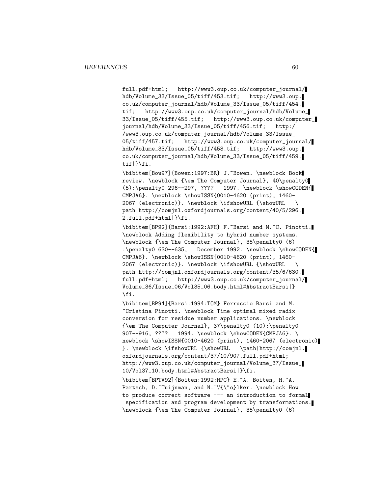full.pdf+html; http://www3.oup.co.uk/computer\_journal/ hdb/Volume\_33/Issue\_05/tiff/453.tif; http://www3.oup. co.uk/computer\_journal/hdb/Volume\_33/Issue\_05/tiff/454. tif; http://www3.oup.co.uk/computer\_journal/hdb/Volume\_ 33/Issue\_05/tiff/455.tif; http://www3.oup.co.uk/computer\_ journal/hdb/Volume\_33/Issue\_05/tiff/456.tif; http:/ /www3.oup.co.uk/computer\_journal/hdb/Volume\_33/Issue\_ 05/tiff/457.tif; http://www3.oup.co.uk/computer\_journal/ hdb/Volume\_33/Issue\_05/tiff/458.tif; http://www3.oup. co.uk/computer\_journal/hdb/Volume\_33/Issue\_05/tiff/459. tif|}\fi.

\bibitem[Bow97]{Bowen:1997:BR} J.~Bowen. \newblock Book review. \newblock {\em The Computer Journal}, 40\penalty0 (5):\penalty0 296--297, ???? 1997. \newblock \showCODEN{ CMPJA6}. \newblock \showISSN{0010-4620 (print), 1460- 2067 (electronic)}. \newblock \ifshowURL {\showURL \ path|http://comjnl.oxfordjournals.org/content/40/5/296. 2.full.pdf+html|}\fi.

\bibitem[BP92]{Barsi:1992:AFH} F.~Barsi and M.~C. Pinotti. \newblock Adding flexibility to hybrid number systems. \newblock {\em The Computer Journal}, 35\penalty0 (6) :\penalty0 630--635, December 1992. \newblock \showCODEN{ CMPJA6}. \newblock \showISSN{0010-4620 (print), 1460- 2067 (electronic)}. \newblock \ifshowURL {\showURL \ path|http://comjnl.oxfordjournals.org/content/35/6/630. full.pdf+html; http://www3.oup.co.uk/computer\_journal/ Volume\_36/Issue\_06/Vol35\_06.body.html#AbstractBarsi|} \fi.

\bibitem[BP94]{Barsi:1994:TOM} Ferruccio Barsi and M. ~Cristina Pinotti. \newblock Time optimal mixed radix conversion for residue number applications. \newblock {\em The Computer Journal}, 37\penalty0 (10):\penalty0 907--916, ???? 1994. \newblock \showCODEN{CMPJA6}. \ newblock \showISSN{0010-4620 (print), 1460-2067 (electronic) }. \newblock \ifshowURL {\showURL \path|http://comjnl. oxfordjournals.org/content/37/10/907.full.pdf+html; http://www3.oup.co.uk/computer\_journal/Volume\_37/Issue\_ 10/Vol37\_10.body.html#AbstractBarsi|}\fi.

\bibitem[BPTV92]{Boiten:1992:HPC} E.~A. Boiten, H.~A. Partsch, D.~Tuijnman, and N.~V{\"o}lker. \newblock How to produce correct software --- an introduction to formal specification and program development by transformations. \newblock {\em The Computer Journal}, 35\penalty0 (6)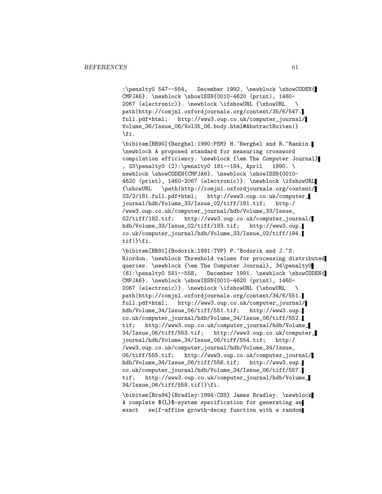:\penalty0 547--554, December 1992. \newblock \showCODEN{ CMPJA6}. \newblock \showISSN{0010-4620 (print), 1460- 2067 (electronic)}. \newblock \ifshowURL {\showURL \ path|http://comjnl.oxfordjournals.org/content/35/6/547. full.pdf+html; http://www3.oup.co.uk/computer\_journal/ Volume\_36/Issue\_06/Vol35\_06.body.html#AbstractBoiten|} \fi.

\bibitem[BR90]{Berghel:1990:PSM} H.~Berghel and R.~Rankin. \newblock A proposed standard for measuring crossword compilation efficiency. \newblock {\em The Computer Journal} , 33\penalty0 (2):\penalty0 181--184, April 1990. \ newblock \showCODEN{CMPJA6}. \newblock \showISSN{0010-4620 (print), 1460-2067 (electronic)}. \newblock \ifshowURL {\showURL \path|http://comjnl.oxfordjournals.org/content/ 33/2/181.full.pdf+html; http://www3.oup.co.uk/computer\_ journal/hdb/Volume\_33/Issue\_02/tiff/181.tif; http:/ /www3.oup.co.uk/computer\_journal/hdb/Volume\_33/Issue\_ 02/tiff/182.tif; http://www3.oup.co.uk/computer\_journal/ hdb/Volume\_33/Issue\_02/tiff/183.tif; http://www3.oup. co.uk/computer\_journal/hdb/Volume\_33/Issue\_02/tiff/184. tif|}\fi.

\bibitem[BR91]{Bodorik:1991:TVP} P.~Bodorik and J.~S. Riordon. \newblock Threshold values for processing distributed queries. \newblock {\em The Computer Journal}, 34\penalty0 (6):\penalty0 551--558, December 1991. \newblock \showCODEN{ CMPJA6}. \newblock \showISSN{0010-4620 (print), 1460- 2067 (electronic)}. \newblock \ifshowURL {\showURL \ path|http://comjnl.oxfordjournals.org/content/34/6/551. full.pdf+html; http://www3.oup.co.uk/computer\_journal/ hdb/Volume\_34/Issue\_06/tiff/551.tif; http://www3.oup. co.uk/computer\_journal/hdb/Volume\_34/Issue\_06/tiff/552. tif; http://www3.oup.co.uk/computer\_journal/hdb/Volume\_ 34/Issue\_06/tiff/553.tif; http://www3.oup.co.uk/computer\_ journal/hdb/Volume\_34/Issue\_06/tiff/554.tif; http:/ /www3.oup.co.uk/computer\_journal/hdb/Volume\_34/Issue\_ 06/tiff/555.tif; http://www3.oup.co.uk/computer\_journal/ hdb/Volume\_34/Issue\_06/tiff/556.tif; http://www3.oup. co.uk/computer\_journal/hdb/Volume\_34/Issue\_06/tiff/557. tif; http://www3.oup.co.uk/computer\_journal/hdb/Volume\_ 34/Issue\_06/tiff/558.tif|}\fi.

\bibitem[Bra94]{Bradley:1994:CSS} James Bradley. \newblock A complete \${L}\$-system specification for generating an exact self-affine growth-decay function with a random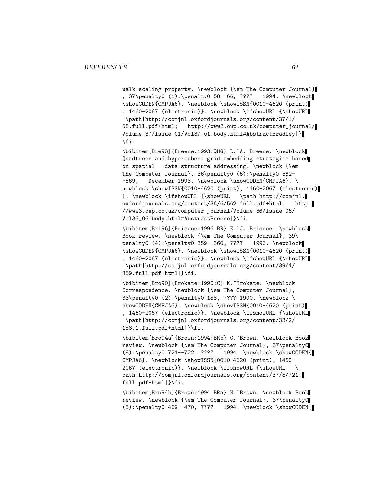walk scaling property. \newblock {\em The Computer Journal}<br>, 37\penalty0 (1):\penalty0 58--66, ???? 1994. \newblock , 37\penalty0 (1):\penalty0 58--66, ???? \showCODEN{CMPJA6}. \newblock \showISSN{0010-4620 (print) , 1460-2067 (electronic)}. \newblock \ifshowURL {\showURL \path|http://comjnl.oxfordjournals.org/content/37/1/ 58.full.pdf+html; http://www3.oup.co.uk/computer\_journal/ Volume\_37/Issue\_01/Vol37\_01.body.html#AbstractBradley|} \fi.

\bibitem[Bre93]{Breene:1993:QHG} L.~A. Breene. \newblock Quadtrees and hypercubes: grid embedding strategies based on spatial data structure addressing. \newblock {\em The Computer Journal}, 36\penalty0 (6):\penalty0 562- -569, December 1993. \newblock \showCODEN{CMPJA6}. \ newblock \showISSN{0010-4620 (print), 1460-2067 (electronic) }. \newblock \ifshowURL {\showURL \path|http://comjnl. oxfordjournals.org/content/36/6/562.full.pdf+html; http: //www3.oup.co.uk/computer\_journal/Volume\_36/Issue\_06/ Vol36\_06.body.html#AbstractBreene|}\fi.

\bibitem[Bri96]{Briscoe:1996:BR} E.~J. Briscoe. \newblock Book review. \newblock {\em The Computer Journal}, 39\ penalty0 (4):\penalty0 359--360, ???? 1996. \newblock \showCODEN{CMPJA6}. \newblock \showISSN{0010-4620 (print) , 1460-2067 (electronic)}. \newblock \ifshowURL {\showURL \path|http://comjnl.oxfordjournals.org/content/39/4/ 359.full.pdf+html|}\fi.

\bibitem[Bro90]{Brokate:1990:C} K.~Brokate. \newblock Correspondence. \newblock {\em The Computer Journal}, 33\penalty0 (2):\penalty0 188, ???? 1990. \newblock \ showCODEN{CMPJA6}. \newblock \showISSN{0010-4620 (print) , 1460-2067 (electronic)}. \newblock \ifshowURL {\showURL \path|http://comjnl.oxfordjournals.org/content/33/2/ 188.1.full.pdf+html|}\fi.

\bibitem[Bro94a]{Brown:1994:BRb} C.~Brown. \newblock Book review. \newblock {\em The Computer Journal}, 37\penalty0 (8):\penalty0 721--722, ???? 1994. \newblock \showCODEN{ CMPJA6}. \newblock \showISSN{0010-4620 (print), 1460- 2067 (electronic)}. \newblock \ifshowURL {\showURL \ path|http://comjnl.oxfordjournals.org/content/37/8/721. full.pdf+html|}\fi.

\bibitem[Bro94b]{Brown:1994:BRa} H.~Brown. \newblock Book review. \newblock {\em The Computer Journal}, 37\penalty0 (5):\penalty0 469--470, ???? 1994. \newblock \showCODEN{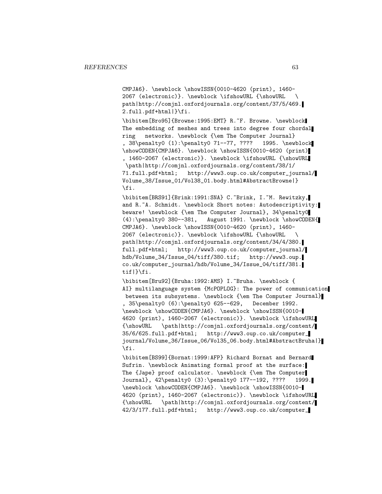CMPJA6}. \newblock \showISSN{0010-4620 (print), 1460- 2067 (electronic)}. \newblock \ifshowURL {\showURL \ path|http://comjnl.oxfordjournals.org/content/37/5/469. 2.full.pdf+html|}\fi.

\bibitem[Bro95]{Browne:1995:EMT} R.~F. Browne. \newblock The embedding of meshes and trees into degree four chordal ring networks. \newblock {\em The Computer Journal} , 38\penalty0 (1):\penalty0 71--77, ???? 1995. \newblock \showCODEN{CMPJA6}. \newblock \showISSN{0010-4620 (print) , 1460-2067 (electronic)}. \newblock \ifshowURL {\showURL \path|http://comjnl.oxfordjournals.org/content/38/1/ 71.full.pdf+html; http://www3.oup.co.uk/computer\_journal/ Volume\_38/Issue\_01/Vol38\_01.body.html#AbstractBrowne|} \fi.

\bibitem[BRS91]{Brink:1991:SNA} C.~Brink, I.~M. Rewitzky, and R.~A. Schmidt. \newblock Short notes: Autodescriptivity: beware! \newblock {\em The Computer Journal}, 34\penalty0 (4):\penalty0 380--381, August 1991. \newblock \showCODEN{ CMPJA6}. \newblock \showISSN{0010-4620 (print), 1460- 2067 (electronic)}. \newblock \ifshowURL {\showURL \ path|http://comjnl.oxfordjournals.org/content/34/4/380. full.pdf+html; http://www3.oup.co.uk/computer\_journal/ hdb/Volume\_34/Issue\_04/tiff/380.tif; http://www3.oup. co.uk/computer\_journal/hdb/Volume\_34/Issue\_04/tiff/381. tif|}\fi.

\bibitem[Bru92]{Bruha:1992:AMS} I.~Bruha. \newblock { AI} multilanguage system {McPOPLOG}: The power of communication between its subsystems. \newblock {\em The Computer Journal} , 35\penalty0 (6):\penalty0 625--629, December 1992. \newblock \showCODEN{CMPJA6}. \newblock \showISSN{0010- 4620 (print), 1460-2067 (electronic)}. \newblock \ifshowURL {\showURL \path|http://comjnl.oxfordjournals.org/content/ 35/6/625.full.pdf+html; http://www3.oup.co.uk/computer\_ journal/Volume\_36/Issue\_06/Vol35\_06.body.html#AbstractBruha|} \fi.

\bibitem[BS99]{Bornat:1999:AFP} Richard Bornat and Bernard Sufrin. \newblock Animating formal proof at the surface: The {Jape} proof calculator. \newblock {\em The Computer Journal}, 42\penalty0 (3):\penalty0 177--192, ???? 1999. \newblock \showCODEN{CMPJA6}. \newblock \showISSN{0010- 4620 (print), 1460-2067 (electronic)}. \newblock \ifshowURL {\showURL \path|http://comjnl.oxfordjournals.org/content/ 42/3/177.full.pdf+html; http://www3.oup.co.uk/computer\_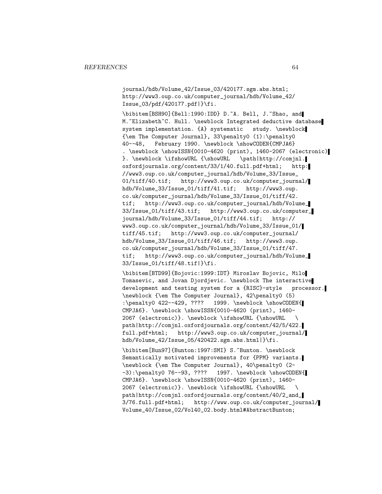journal/hdb/Volume\_42/Issue\_03/420177.sgm.abs.html; http://www3.oup.co.uk/computer\_journal/hdb/Volume\_42/ Issue\_03/pdf/420177.pdf|}\fi.

\bibitem[BSH90]{Bell:1990:IDD} D.~A. Bell, J.~Shao, and M. "Elizabeth"C. Hull. \newblock Integrated deductive database system implementation. {A} systematic study. \newblock {\em The Computer Journal}, 33\penalty0 (1):\penalty0 40--48, February 1990. \newblock \showCODEN{CMPJA6} . \newblock \showISSN{0010-4620 (print), 1460-2067 (electronic) }. \newblock \ifshowURL {\showURL \path|http://comjnl. oxfordjournals.org/content/33/1/40.full.pdf+html; http: //www3.oup.co.uk/computer\_journal/hdb/Volume\_33/Issue\_ 01/tiff/40.tif; http://www3.oup.co.uk/computer\_journal/ hdb/Volume\_33/Issue\_01/tiff/41.tif; http://www3.oup. co.uk/computer\_journal/hdb/Volume\_33/Issue\_01/tiff/42. tif; http://www3.oup.co.uk/computer\_journal/hdb/Volume\_ 33/Issue\_01/tiff/43.tif; http://www3.oup.co.uk/computer\_ journal/hdb/Volume\_33/Issue\_01/tiff/44.tif; http:// www3.oup.co.uk/computer\_journal/hdb/Volume\_33/Issue\_01/ tiff/45.tif; http://www3.oup.co.uk/computer\_journal/ hdb/Volume\_33/Issue\_01/tiff/46.tif; http://www3.oup. co.uk/computer\_journal/hdb/Volume\_33/Issue\_01/tiff/47. tif; http://www3.oup.co.uk/computer\_journal/hdb/Volume\_ 33/Issue\_01/tiff/48.tif|}\fi.

\bibitem[BTD99]{Bojovic:1999:IDT} Miroslav Bojovic, Milo Tomasevic, and Jovan Djordjevic. \newblock The interactive development and testing system for a {RISC}-style processor. \newblock {\em The Computer Journal}, 42\penalty0 (5) :\penalty0 422--429, ???? 1999. \newblock \showCODEN{ CMPJA6}. \newblock \showISSN{0010-4620 (print), 1460- 2067 (electronic)}. \newblock \ifshowURL {\showURL \ path|http://comjnl.oxfordjournals.org/content/42/5/422. full.pdf+html; http://www3.oup.co.uk/computer\_journal/ hdb/Volume\_42/Issue\_05/420422.sgm.abs.html|}\fi.

\bibitem[Bun97]{Bunton:1997:SMI} S.~Bunton. \newblock Semantically motivated improvements for {PPM} variants. \newblock {\em The Computer Journal}, 40\penalty0 (2- -3):\penalty0 76--93, ???? 1997. \newblock \showCODEN{ CMPJA6}. \newblock \showISSN{0010-4620 (print), 1460- 2067 (electronic)}. \newblock \ifshowURL {\showURL \ path|http://comjnl.oxfordjournals.org/content/40/2\_and\_ 3/76.full.pdf+html; http://www.oup.co.uk/computer\_journal/ Volume\_40/Issue\_02/Vol40\_02.body.html#AbstractBunton;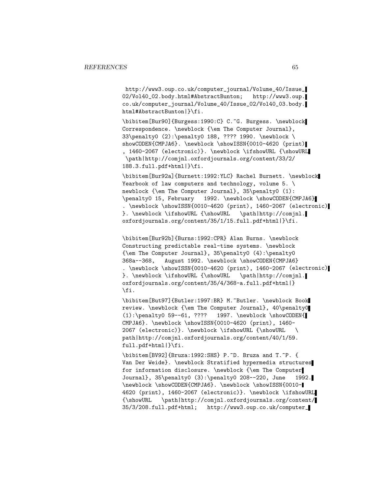http://www3.oup.co.uk/computer\_journal/Volume\_40/Issue\_ 02/Vol40\_02.body.html#AbstractBunton; http://www3.oup. co.uk/computer\_journal/Volume\_40/Issue\_02/Vol40\_03.body. html#AbstractBunton|}\fi.

\bibitem[Bur90]{Burgess:1990:C} C.~G. Burgess. \newblock Correspondence. \newblock {\em The Computer Journal}, 33\penalty0 (2):\penalty0 188, ???? 1990. \newblock \ showCODEN{CMPJA6}. \newblock \showISSN{0010-4620 (print) , 1460-2067 (electronic)}. \newblock \ifshowURL {\showURL \path|http://comjnl.oxfordjournals.org/content/33/2/ 188.3.full.pdf+html|}\fi.

\bibitem[Bur92a]{Burnett:1992:YLC} Rachel Burnett. \newblock Yearbook of law computers and technology, volume  $5. \setminus$ newblock {\em The Computer Journal}, 35\penalty0 (1): \penalty0 15, February 1992. \newblock \showCODEN{CMPJA6} . \newblock \showISSN{0010-4620 (print), 1460-2067 (electronic) }. \newblock \ifshowURL {\showURL \path|http://comjnl. oxfordjournals.org/content/35/1/15.full.pdf+html|}\fi.

\bibitem[Bur92b]{Burns:1992:CPR} Alan Burns. \newblock Constructing predictable real-time systems. \newblock {\em The Computer Journal}, 35\penalty0 (4):\penalty0 368a--368, August 1992. \newblock \showCODEN{CMPJA6} . \newblock \showISSN{0010-4620 (print), 1460-2067 (electronic) }. \newblock \ifshowURL {\showURL \path|http://comjnl. oxfordjournals.org/content/35/4/368-a.full.pdf+html|} \fi.

\bibitem[But97]{Butler:1997:BR} M.~Butler. \newblock Book review. \newblock {\em The Computer Journal}, 40\penalty0 (1):\penalty0 59--61, ???? 1997. \newblock \showCODEN{ CMPJA6}. \newblock \showISSN{0010-4620 (print), 1460- 2067 (electronic)}. \newblock \ifshowURL {\showURL \ path|http://comjnl.oxfordjournals.org/content/40/1/59. full.pdf+html|}\fi.

\bibitem[BV92]{Bruza:1992:SHS} P.~D. Bruza and T.~P. { Van Der Weide}. \newblock Stratified hypermedia structures for information disclosure. \newblock {\em The Computer Journal}, 35\penalty0 (3):\penalty0 208--220, June 1992. \newblock \showCODEN{CMPJA6}. \newblock \showISSN{0010- 4620 (print), 1460-2067 (electronic)}. \newblock \ifshowURL {\showURL \path|http://comjnl.oxfordjournals.org/content/ 35/3/208.full.pdf+html; http://www3.oup.co.uk/computer\_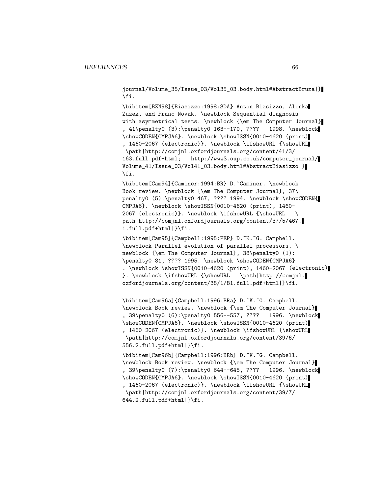journal/Volume\_35/Issue\_03/Vol35\_03.body.html#AbstractBruza|} \fi.

\bibitem[BZN98]{Biasizzo:1998:SDA} Anton Biasizzo, Alenka Zuzek, and Franc Novak. \newblock Sequential diagnosis with asymmetrical tests. \newblock {\em The Computer Journal} , 41\penalty0 (3):\penalty0 163--170, ???? 1998. \newblock \showCODEN{CMPJA6}. \newblock \showISSN{0010-4620 (print) , 1460-2067 (electronic)}. \newblock \ifshowURL {\showURL \path|http://comjnl.oxfordjournals.org/content/41/3/ 163.full.pdf+html; http://www3.oup.co.uk/computer\_journal/ Volume\_41/Issue\_03/Vol41\_03.body.html#AbstractBiasizzo|} \fi.

\bibitem[Cam94]{Caminer:1994:BR} D.~Caminer. \newblock Book review. \newblock {\em The Computer Journal}, 37\ penalty0 (5):\penalty0 467, ???? 1994. \newblock \showCODEN{ CMPJA6}. \newblock \showISSN{0010-4620 (print), 1460- 2067 (electronic)}. \newblock \ifshowURL {\showURL \ path|http://comjnl.oxfordjournals.org/content/37/5/467. 1.full.pdf+html|}\fi.

\bibitem[Cam95]{Campbell:1995:PEP} D.~K.~G. Campbell. \newblock Parallel evolution of parallel processors. \ newblock {\em The Computer Journal}, 38\penalty0 (1): \penalty0 81, ???? 1995. \newblock \showCODEN{CMPJA6} . \newblock \showISSN{0010-4620 (print), 1460-2067 (electronic) }. \newblock \ifshowURL {\showURL \path|http://comjnl. oxfordjournals.org/content/38/1/81.full.pdf+html|}\fi.

\bibitem[Cam96a]{Campbell:1996:BRa} D.~K.~G. Campbell. \newblock Book review. \newblock {\em The Computer Journal} , 39\penalty0 (6):\penalty0 556--557, ???? 1996. \newblock \showCODEN{CMPJA6}. \newblock \showISSN{0010-4620 (print) , 1460-2067 (electronic)}. \newblock \ifshowURL {\showURL \path|http://comjnl.oxfordjournals.org/content/39/6/ 556.2.full.pdf+html|}\fi.

\bibitem[Cam96b]{Campbell:1996:BRb} D.~K.~G. Campbell. \newblock Book review. \newblock {\em The Computer Journal} , 39\penalty0 (7):\penalty0 644--645, ???? 1996. \newblock \showCODEN{CMPJA6}. \newblock \showISSN{0010-4620 (print) , 1460-2067 (electronic)}. \newblock \ifshowURL {\showURL \path|http://comjnl.oxfordjournals.org/content/39/7/  $644.2.full.pdf+html$ |}\fi.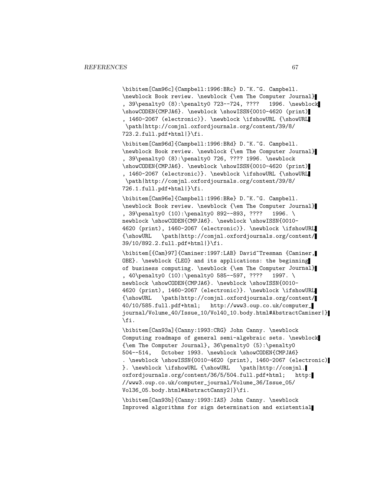\bibitem[Cam96c]{Campbell:1996:BRc} D.~K.~G. Campbell. \newblock Book review. \newblock {\em The Computer Journal} , 39\penalty0 (8):\penalty0 723--724, ???? 1996. \newblock \showCODEN{CMPJA6}. \newblock \showISSN{0010-4620 (print) , 1460-2067 (electronic)}. \newblock \ifshowURL {\showURL \path|http://comjnl.oxfordjournals.org/content/39/8/ 723.2.full.pdf+html|}\fi.

\bibitem[Cam96d]{Campbell:1996:BRd} D.~K.~G. Campbell. \newblock Book review. \newblock {\em The Computer Journal} , 39\penalty0 (8):\penalty0 726, ???? 1996. \newblock \showCODEN{CMPJA6}. \newblock \showISSN{0010-4620 (print) , 1460-2067 (electronic)}. \newblock \ifshowURL {\showURL \path|http://comjnl.oxfordjournals.org/content/39/8/ 726.1.full.pdf+html|}\fi.

\bibitem[Cam96e]{Campbell:1996:BRe} D.~K.~G. Campbell. \newblock Book review. \newblock {\em The Computer Journal} , 39\penalty0 (10):\penalty0 892--893, ???? 1996. \ newblock \showCODEN{CMPJA6}. \newblock \showISSN{0010-4620 (print), 1460-2067 (electronic)}. \newblock \ifshowURL {\showURL \path|http://comjnl.oxfordjournals.org/content/ 39/10/892.2.full.pdf+html|}\fi.

\bibitem[{Cam}97]{Caminer:1997:LAB} David~Tresman {Caminer, OBE}. \newblock {LEO} and its applications: the beginning of business computing. \newblock {\em The Computer Journal} , 40\penalty0 (10):\penalty0 585--597, ???? 1997. \ newblock \showCODEN{CMPJA6}. \newblock \showISSN{0010-4620 (print), 1460-2067 (electronic)}. \newblock \ifshowURL {\showURL \path|http://comjnl.oxfordjournals.org/content/ 40/10/585.full.pdf+html; http://www3.oup.co.uk/computer\_ journal/Volume\_40/Issue\_10/Vol40\_10.body.html#AbstractCaminer|} \fi.

\bibitem[Can93a]{Canny:1993:CRG} John Canny. \newblock Computing roadmaps of general semi-algebraic sets. \newblock {\em The Computer Journal}, 36\penalty0 (5):\penalty0 504--514, October 1993. \newblock \showCODEN{CMPJA6} . \newblock \showISSN{0010-4620 (print), 1460-2067 (electronic) }. \newblock \ifshowURL {\showURL \path|http://comjnl. oxfordjournals.org/content/36/5/504.full.pdf+html; http: //www3.oup.co.uk/computer\_journal/Volume\_36/Issue\_05/ Vol36\_05.body.html#AbstractCanny2|}\fi.

\bibitem[Can93b]{Canny:1993:IAS} John Canny. \newblock Improved algorithms for sign determination and existential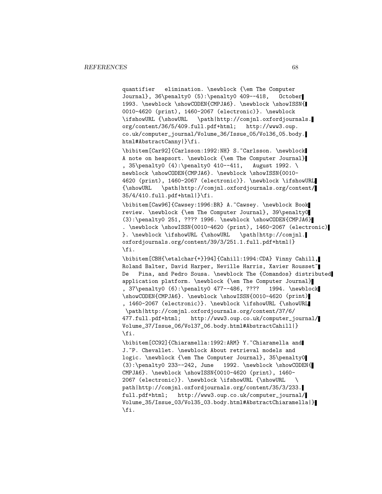quantifier elimination. \newblock {\em The Computer Journal}, 36\penalty0 (5):\penalty0 409--418, October 1993. \newblock \showCODEN{CMPJA6}. \newblock \showISSN{ 0010-4620 (print), 1460-2067 (electronic)}. \newblock \ifshowURL {\showURL \path|http://comjnl.oxfordjournals. org/content/36/5/409.full.pdf+html; http://www3.oup. co.uk/computer\_journal/Volume\_36/Issue\_05/Vol36\_05.body. html#AbstractCanny|}\fi.

\bibitem[Car92]{Carlsson:1992:NH} S.~Carlsson. \newblock A note on heapsort. \newblock {\em The Computer Journal} , 35\penalty0 (4):\penalty0 410--411, August 1992. \ newblock \showCODEN{CMPJA6}. \newblock \showISSN{0010-4620 (print), 1460-2067 (electronic)}. \newblock \ifshowURL {\showURL \path|http://comjnl.oxfordjournals.org/content/ 35/4/410.full.pdf+html|}\fi.

\bibitem[Caw96]{Cawsey:1996:BR} A.~Cawsey. \newblock Book review. \newblock {\em The Computer Journal}, 39\penalty0 (3):\penalty0 251, ???? 1996. \newblock \showCODEN{CMPJA6} . \newblock \showISSN{0010-4620 (print), 1460-2067 (electronic) }. \newblock \ifshowURL {\showURL \path|http://comjnl. oxfordjournals.org/content/39/3/251.1.full.pdf+html|} \fi.

\bibitem[CBH{\etalchar{+}}94]{Cahill:1994:CDA} Vinny Cahill, Roland Balter, David Harper, Neville Harris, Xavier Rousset~ De Pina, and Pedro Sousa. \newblock The {Comandos} distributed application platform. \newblock {\em The Computer Journal} , 37\penalty0 (6):\penalty0 477--486, ???? 1994. \newblock \showCODEN{CMPJA6}. \newblock \showISSN{0010-4620 (print) , 1460-2067 (electronic)}. \newblock \ifshowURL {\showURL \path|http://comjnl.oxfordjournals.org/content/37/6/ 477.full.pdf+html; http://www3.oup.co.uk/computer\_journal/ Volume\_37/Issue\_06/Vol37\_06.body.html#AbstractCahill|} \fi.

\bibitem[CC92]{Chiaramella:1992:ARM} Y.~Chiaramella and J. "P. Chevallet. \newblock About retrieval models and logic. \newblock {\em The Computer Journal}, 35\penalty0  $(3): \penalty0 233--242, June 1992. \newblock \showCODEN{$ CMPJA6}. \newblock \showISSN{0010-4620 (print), 1460- 2067 (electronic)}. \newblock \ifshowURL {\showURL \ path|http://comjnl.oxfordjournals.org/content/35/3/233. full.pdf+html; http://www3.oup.co.uk/computer\_journal/ Volume\_35/Issue\_03/Vol35\_03.body.html#AbstractChiaramella|} \fi.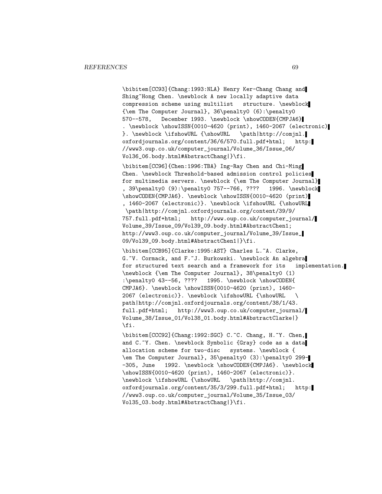\bibitem[CC93]{Chang:1993:NLA} Henry Ker-Chang Chang and Shing~Hong Chen. \newblock A new locally adaptive data compression scheme using multilist structure. \newblock {\em The Computer Journal}, 36\penalty0 (6):\penalty0 570--578, December 1993. \newblock \showCODEN{CMPJA6} . \newblock \showISSN{0010-4620 (print), 1460-2067 (electronic) }. \newblock \ifshowURL {\showURL \path|http://comjnl. oxfordjournals.org/content/36/6/570.full.pdf+html; http: //www3.oup.co.uk/computer\_journal/Volume\_36/Issue\_06/ Vol36\_06.body.html#AbstractChang|}\fi.

\bibitem[CC96]{Chen:1996:TBA} Ing-Ray Chen and Chi-Ming Chen. \newblock Threshold-based admission control policies for multimedia servers. \newblock {\em The Computer Journal} , 39\penalty0 (9):\penalty0 757--766, ???? 1996. \newblock \showCODEN{CMPJA6}. \newblock \showISSN{0010-4620 (print) , 1460-2067 (electronic)}. \newblock \ifshowURL {\showURL \path|http://comjnl.oxfordjournals.org/content/39/9/ 757.full.pdf+html; http://www.oup.co.uk/computer\_journal/ Volume\_39/Issue\_09/Vol39\_09.body.html#AbstractChen1;

http://www3.oup.co.uk/computer\_journal/Volume\_39/Issue\_ 09/Vol39\_09.body.html#AbstractChen1|}\fi.

\bibitem[CCB95]{Clarke:1995:AST} Charles L.~A. Clarke, G.~V. Cormack, and F.~J. Burkowski. \newblock An algebra for structured text search and a framework for its implementation. \newblock {\em The Computer Journal}, 38\penalty0 (1) :\penalty0 43--56, ???? 1995. \newblock \showCODEN{ CMPJA6}. \newblock \showISSN{0010-4620 (print), 1460- 2067 (electronic)}. \newblock \ifshowURL {\showURL \ path|http://comjnl.oxfordjournals.org/content/38/1/43. full.pdf+html; http://www3.oup.co.uk/computer\_journal/ Volume\_38/Issue\_01/Vol38\_01.body.html#AbstractClarke|} \fi.

\bibitem[CCC92]{Chang:1992:SGC} C.~C. Chang, H.~Y. Chen, and C.~Y. Chen. \newblock Symbolic {Gray} code as a data allocation scheme for two-disc systems. \newblock { \em The Computer Journal}, 35\penalty0 (3):\penalty0 299- -305, June 1992. \newblock \showCODEN{CMPJA6}. \newblock \showISSN{0010-4620 (print), 1460-2067 (electronic)}. \newblock \ifshowURL {\showURL \path|http://comjnl. oxfordjournals.org/content/35/3/299.full.pdf+html; http: //www3.oup.co.uk/computer\_journal/Volume\_35/Issue\_03/ Vol35\_03.body.html#AbstractChang|}\fi.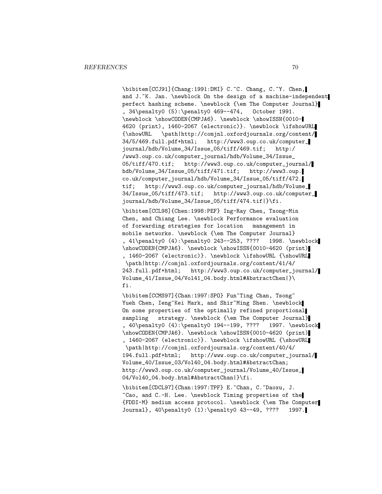\bibitem[CCJ91]{Chang:1991:DMI} C.~C. Chang, C.~Y. Chen, and J.~K. Jan. \newblock On the design of a machine-independent perfect hashing scheme. \newblock {\em The Computer Journal} , 34\penalty0 (5):\penalty0 469--474, October 1991. \newblock \showCODEN{CMPJA6}. \newblock \showISSN{0010- 4620 (print), 1460-2067 (electronic)}. \newblock \ifshowURL {\showURL \path|http://comjnl.oxfordjournals.org/content/ 34/5/469.full.pdf+html; http://www3.oup.co.uk/computer\_ journal/hdb/Volume\_34/Issue\_05/tiff/469.tif; http:/ /www3.oup.co.uk/computer\_journal/hdb/Volume\_34/Issue\_ 05/tiff/470.tif; http://www3.oup.co.uk/computer\_journal/ hdb/Volume\_34/Issue\_05/tiff/471.tif; http://www3.oup. co.uk/computer\_journal/hdb/Volume\_34/Issue\_05/tiff/472. tif; http://www3.oup.co.uk/computer\_journal/hdb/Volume\_ 34/Issue\_05/tiff/473.tif; http://www3.oup.co.uk/computer\_ journal/hdb/Volume\_34/Issue\_05/tiff/474.tif|}\fi.

\bibitem[CCL98]{Chen:1998:PEF} Ing-Ray Chen, Tsong-Min Chen, and Chiang Lee. \newblock Performance evaluation of forwarding strategies for location management in mobile networks. \newblock {\em The Computer Journal} , 41\penalty0 (4):\penalty0 243--253, ???? 1998. \newblock \showCODEN{CMPJA6}. \newblock \showISSN{0010-4620 (print) , 1460-2067 (electronic)}. \newblock \ifshowURL {\showURL \path|http://comjnl.oxfordjournals.org/content/41/4/ 243.full.pdf+html; http://www3.oup.co.uk/computer\_journal/ Volume\_41/Issue\_04/Vol41\_04.body.html#AbstractChen|}\ fi.

\bibitem[CCMS97]{Chan:1997:SPO} Fun~Ting Chan, Tsong~ Yueh Chen, Ieng~Kei Mark, and Shir~Ming Shen. \newblock On some properties of the optimally refined proportional sampling strategy. \newblock {\em The Computer Journal} , 40\penalty0 (4):\penalty0 194--199, ???? 1997. \newblock \showCODEN{CMPJA6}. \newblock \showISSN{0010-4620 (print) , 1460-2067 (electronic)}. \newblock \ifshowURL {\showURL \path|http://comjnl.oxfordjournals.org/content/40/4/ 194.full.pdf+html; http://www.oup.co.uk/computer\_journal/ Volume\_40/Issue\_03/Vol40\_04.body.html#AbstractChan; http://www3.oup.co.uk/computer\_journal/Volume\_40/Issue\_ 04/Vol40\_04.body.html#AbstractChan|}\fi.

\bibitem[CDCL97]{Chan:1997:TPF} E.~Chan, C.~Daoxu, J. ~Cao, and C.-H. Lee. \newblock Timing properties of the {FDDI-M} medium access protocol. \newblock {\em The Computer Journal}, 40\penalty0 (1):\penalty0 43--49, ???? 1997.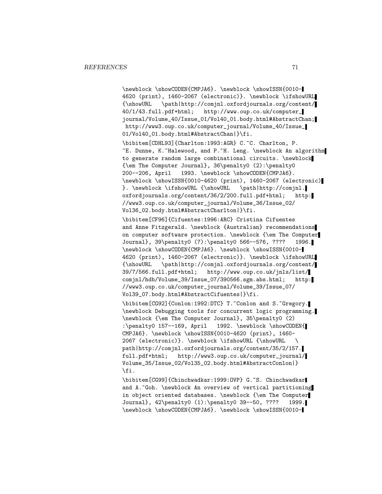\newblock \showCODEN{CMPJA6}. \newblock \showISSN{0010- 4620 (print), 1460-2067 (electronic)}. \newblock \ifshowURL {\showURL \path|http://comjnl.oxfordjournals.org/content/ 40/1/43.full.pdf+html; http://www.oup.co.uk/computer\_ journal/Volume\_40/Issue\_01/Vol40\_01.body.html#AbstractChan; http://www3.oup.co.uk/computer\_journal/Volume\_40/Issue\_ 01/Vol40\_01.body.html#AbstractChan|}\fi.

\bibitem[CDHL93]{Charlton:1993:AGR} C.~C. Charlton, P. ~E. Dunne, K.~Halewood, and P.~H. Leng. \newblock An algorithm to generate random large combinational circuits. \newblock {\em The Computer Journal}, 36\penalty0 (2):\penalty0 200--206, April 1993. \newblock \showCODEN{CMPJA6}. \newblock \showISSN{0010-4620 (print), 1460-2067 (electronic) }. \newblock \ifshowURL {\showURL \path|http://comjnl. oxfordjournals.org/content/36/2/200.full.pdf+html; http: //www3.oup.co.uk/computer\_journal/Volume\_36/Issue\_02/ Vol36\_02.body.html#AbstractCharlton|}\fi.

\bibitem[CF96]{Cifuentes:1996:ARC} Cristina Cifuentes and Anne Fitzgerald. \newblock {Australian} recommendations on computer software protection. \newblock {\em The Computer Journal}, 39\penalty0 (7):\penalty0 566--576, ???? 1996. \newblock \showCODEN{CMPJA6}. \newblock \showISSN{0010- 4620 (print), 1460-2067 (electronic)}. \newblock \ifshowURL {\showURL \path|http://comjnl.oxfordjournals.org/content/ 39/7/566.full.pdf+html; http://www.oup.co.uk/jnls/list/ comjnl/hdb/Volume\_39/Issue\_07/390566.sgm.abs.html; http: //www3.oup.co.uk/computer\_journal/Volume\_39/Issue\_07/ Vol39\_07.body.html#AbstractCifuentes|}\fi.

\bibitem[CG92]{Conlon:1992:DTC} T.~Conlon and S.~Gregory. \newblock Debugging tools for concurrent logic programming. \newblock {\em The Computer Journal}, 35\penalty0 (2) :\penalty0 157--169, April 1992. \newblock \showCODEN{ CMPJA6}. \newblock \showISSN{0010-4620 (print), 1460- 2067 (electronic)}. \newblock \ifshowURL {\showURL \ path|http://comjnl.oxfordjournals.org/content/35/2/157. full.pdf+html; http://www3.oup.co.uk/computer\_journal/ Volume\_35/Issue\_02/Vol35\_02.body.html#AbstractConlon|} \fi.

\bibitem[CG99]{Chinchwadkar:1999:OVP} G.~S. Chinchwadkar and A."Goh. \newblock An overview of vertical partitioning in object oriented databases. \newblock {\em The Computer Journal}, 42\penalty0 (1):\penalty0 39--50, ???? 1999. \newblock \showCODEN{CMPJA6}. \newblock \showISSN{0010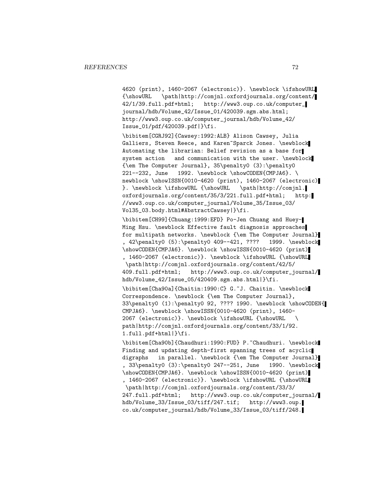4620 (print), 1460-2067 (electronic)}. \newblock \ifshowURL {\showURL \path|http://comjnl.oxfordjournals.org/content/ 42/1/39.full.pdf+html; http://www3.oup.co.uk/computer\_ journal/hdb/Volume\_42/Issue\_01/420039.sgm.abs.html; http://www3.oup.co.uk/computer\_journal/hdb/Volume\_42/ Issue\_01/pdf/420039.pdf|}\fi.

\bibitem[CGRJ92]{Cawsey:1992:ALB} Alison Cawsey, Julia Galliers, Steven Reece, and Karen~Sparck Jones. \newblock Automating the librarian: Belief revision as a base for system action and communication with the user. \newblock {\em The Computer Journal}, 35\penalty0 (3):\penalty0 221--232, June 1992. \newblock \showCODEN{CMPJA6}. \ newblock \showISSN{0010-4620 (print), 1460-2067 (electronic) }. \newblock \ifshowURL {\showURL \path|http://comjnl. oxfordjournals.org/content/35/3/221.full.pdf+html; http: //www3.oup.co.uk/computer\_journal/Volume\_35/Issue\_03/ Vol35\_03.body.html#AbstractCawsey|}\fi.

\bibitem[CH99]{Chuang:1999:EFD} Po-Jen Chuang and Huey-Ming Hsu. \newblock Effective fault diagnosis approaches for multipath networks. \newblock {\em The Computer Journal} , 42\penalty0 (5):\penalty0 409--421, ???? 1999. \newblock \showCODEN{CMPJA6}. \newblock \showISSN{0010-4620 (print) , 1460-2067 (electronic)}. \newblock \ifshowURL {\showURL \path|http://comjnl.oxfordjournals.org/content/42/5/ 409.full.pdf+html; http://www3.oup.co.uk/computer\_journal/ hdb/Volume\_42/Issue\_05/420409.sgm.abs.html|}\fi.

\bibitem[Cha90a]{Chaitin:1990:C} G.~J. Chaitin. \newblock Correspondence. \newblock {\em The Computer Journal}, 33\penalty0 (1):\penalty0 92, ???? 1990. \newblock \showCODEN{ CMPJA6}. \newblock \showISSN{0010-4620 (print), 1460- 2067 (electronic)}. \newblock \ifshowURL {\showURL \ path|http://comjnl.oxfordjournals.org/content/33/1/92. 1.full.pdf+html|}\fi.

\bibitem[Cha90b]{Chaudhuri:1990:FUD} P.~Chaudhuri. \newblock Finding and updating depth-first spanning trees of acyclic digraphs in parallel. \newblock {\em The Computer Journal} , 33\penalty0 (3):\penalty0 247--251, June 1990. \newblock \showCODEN{CMPJA6}. \newblock \showISSN{0010-4620 (print) , 1460-2067 (electronic)}. \newblock \ifshowURL {\showURL \path|http://comjnl.oxfordjournals.org/content/33/3/ 247.full.pdf+html; http://www3.oup.co.uk/computer\_journal/ hdb/Volume\_33/Issue\_03/tiff/247.tif; http://www3.oup. co.uk/computer\_journal/hdb/Volume\_33/Issue\_03/tiff/248.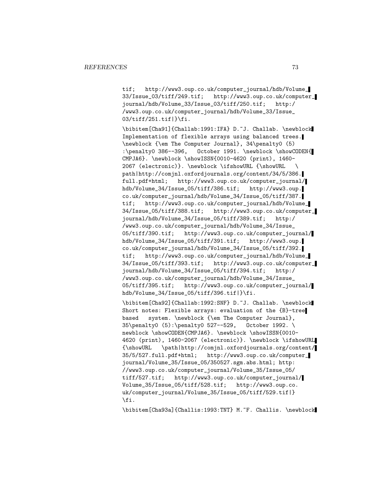tif; http://www3.oup.co.uk/computer\_journal/hdb/Volume\_ 33/Issue\_03/tiff/249.tif; http://www3.oup.co.uk/computer\_ journal/hdb/Volume\_33/Issue\_03/tiff/250.tif; http:/ /www3.oup.co.uk/computer\_journal/hdb/Volume\_33/Issue\_ 03/tiff/251.tif|}\fi.

\bibitem[Cha91]{Challab:1991:IFA} D.~J. Challab. \newblock Implementation of flexible arrays using balanced trees. \newblock {\em The Computer Journal}, 34\penalty0 (5) :\penalty0 386--396, October 1991. \newblock \showCODEN{ CMPJA6}. \newblock \showISSN{0010-4620 (print), 1460- 2067 (electronic)}. \newblock \ifshowURL {\showURL \ path|http://comjnl.oxfordjournals.org/content/34/5/386. full.pdf+html; http://www3.oup.co.uk/computer\_journal/ hdb/Volume\_34/Issue\_05/tiff/386.tif; http://www3.oup. co.uk/computer\_journal/hdb/Volume\_34/Issue\_05/tiff/387. tif; http://www3.oup.co.uk/computer\_journal/hdb/Volume\_ 34/Issue\_05/tiff/388.tif; http://www3.oup.co.uk/computer\_ journal/hdb/Volume\_34/Issue\_05/tiff/389.tif; http:/ /www3.oup.co.uk/computer\_journal/hdb/Volume\_34/Issue\_ 05/tiff/390.tif; http://www3.oup.co.uk/computer\_journal/ hdb/Volume\_34/Issue\_05/tiff/391.tif; http://www3.oup. co.uk/computer\_journal/hdb/Volume\_34/Issue\_05/tiff/392. tif; http://www3.oup.co.uk/computer\_journal/hdb/Volume\_ 34/Issue\_05/tiff/393.tif; http://www3.oup.co.uk/computer\_ journal/hdb/Volume\_34/Issue\_05/tiff/394.tif; http:/ /www3.oup.co.uk/computer\_journal/hdb/Volume\_34/Issue\_ 05/tiff/395.tif; http://www3.oup.co.uk/computer\_journal/ hdb/Volume\_34/Issue\_05/tiff/396.tif|}\fi.

\bibitem[Cha92]{Challab:1992:SNF} D.~J. Challab. \newblock Short notes: Flexible arrays: evaluation of the {B}-tree based system. \newblock {\em The Computer Journal}, 35\penalty0 (5):\penalty0 527--529, October 1992. \ newblock \showCODEN{CMPJA6}. \newblock \showISSN{0010-4620 (print), 1460-2067 (electronic)}. \newblock \ifshowURL {\showURL \path|http://comjnl.oxfordjournals.org/content/ 35/5/527.full.pdf+html; http://www3.oup.co.uk/computer\_ journal/Volume\_35/Issue\_05/350527.sgm.abs.html; http: //www3.oup.co.uk/computer\_journal/Volume\_35/Issue\_05/ tiff/527.tif; http://www3.oup.co.uk/computer\_journal/ Volume\_35/Issue\_05/tiff/528.tif; http://www3.oup.co. uk/computer\_journal/Volume\_35/Issue\_05/tiff/529.tif|} \fi.

\bibitem[Cha93a]{Challis:1993:TNT} M.~F. Challis. \newblock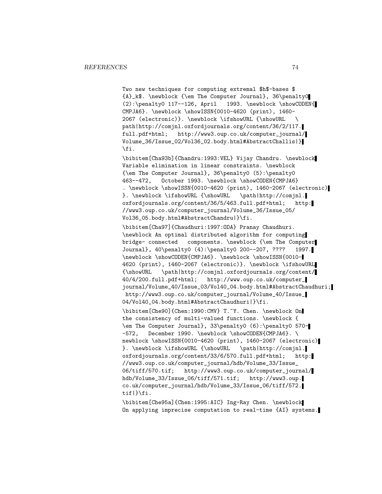Two new techniques for computing extremal \$h\$-bases \$ {A}\_k\$. \newblock {\em The Computer Journal}, 36\penalty0  $(2): \penalty0 117--126, April 1993. \newblock \showCODEN{$ CMPJA6}. \newblock \showISSN{0010-4620 (print), 1460- 2067 (electronic)}. \newblock \ifshowURL {\showURL \ path|http://comjnl.oxfordjournals.org/content/36/2/117. full.pdf+html; http://www3.oup.co.uk/computer\_journal/ Volume\_36/Issue\_02/Vol36\_02.body.html#AbstractChallis|} \fi. \bibitem[Cha93b]{Chandru:1993:VEL} Vijay Chandru. \newblock

Variable elimination in linear constraints. \newblock {\em The Computer Journal}, 36\penalty0 (5):\penalty0 463--472, October 1993. \newblock \showCODEN{CMPJA6} . \newblock \showISSN{0010-4620 (print), 1460-2067 (electronic) }. \newblock \ifshowURL {\showURL \path|http://comjnl. oxfordjournals.org/content/36/5/463.full.pdf+html; http: //www3.oup.co.uk/computer\_journal/Volume\_36/Issue\_05/ Vol36\_05.body.html#AbstractChandru|}\fi.

\bibitem[Cha97]{Chaudhuri:1997:ODA} Pranay Chaudhuri. \newblock An optimal distributed algorithm for computing bridge- connected components. \newblock {\em The Computer Journal}, 40\penalty0 (4):\penalty0 200--207, ???? 1997. \newblock \showCODEN{CMPJA6}. \newblock \showISSN{0010- 4620 (print), 1460-2067 (electronic)}. \newblock \ifshowURL {\showURL \path|http://comjnl.oxfordjournals.org/content/ 40/4/200.full.pdf+html; http://www.oup.co.uk/computer\_ journal/Volume\_40/Issue\_03/Vol40\_04.body.html#AbstractChaudhuri; http://www3.oup.co.uk/computer\_journal/Volume\_40/Issue\_ 04/Vol40\_04.body.html#AbstractChaudhuri|}\fi.

\bibitem[Che90]{Chen:1990:CMV} T.~Y. Chen. \newblock On the consistency of multi-valued functions. \newblock { \em The Computer Journal}, 33\penalty0 (6):\penalty0 570- -572, December 1990. \newblock \showCODEN{CMPJA6}. \ newblock \showISSN{0010-4620 (print), 1460-2067 (electronic) }. \newblock \ifshowURL {\showURL \path|http://comjnl. oxfordjournals.org/content/33/6/570.full.pdf+html; http: //www3.oup.co.uk/computer\_journal/hdb/Volume\_33/Issue\_ 06/tiff/570.tif; http://www3.oup.co.uk/computer\_journal/ hdb/Volume\_33/Issue\_06/tiff/571.tif; http://www3.oup. co.uk/computer\_journal/hdb/Volume\_33/Issue\_06/tiff/572. tif|}\fi.

\bibitem[Che95a]{Chen:1995:AIC} Ing-Ray Chen. \newblock On applying imprecise computation to real-time {AI} systems.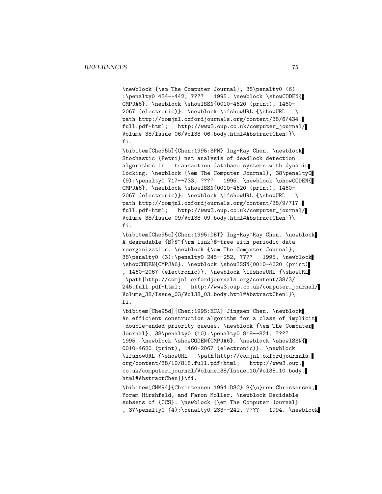\newblock {\em The Computer Journal}, 38\penalty0 (6) :\penalty0 434--442, ???? 1995. \newblock \showCODEN{ CMPJA6}. \newblock \showISSN{0010-4620 (print), 1460- 2067 (electronic)}. \newblock \ifshowURL {\showURL \ path|http://comjnl.oxfordjournals.org/content/38/6/434. full.pdf+html; http://www3.oup.co.uk/computer\_journal/ Volume\_38/Issue\_06/Vol38\_06.body.html#AbstractChen|}\ fi.

\bibitem[Che95b]{Chen:1995:SPN} Ing-Ray Chen. \newblock Stochastic {Petri} net analysis of deadlock detection algorithms in transaction database systems with dynamic locking. \newblock {\em The Computer Journal}, 38\penalty0 (9):\penalty0 717--733, ???? 1995. \newblock \showCODEN{ CMPJA6}. \newblock \showISSN{0010-4620 (print), 1460- 2067 (electronic)}. \newblock \ifshowURL {\showURL \ path|http://comjnl.oxfordjournals.org/content/38/9/717. full.pdf+html; http://www3.oup.co.uk/computer\_journal/ Volume\_38/Issue\_09/Vol38\_09.body.html#AbstractChen|}\ fi.

\bibitem[Che95c]{Chen:1995:DBT} Ing-Ray~Ray Chen. \newblock A degradable {B}\$^{\rm link}\$-tree with periodic data reorganization. \newblock {\em The Computer Journal}, 38\penalty0 (3):\penalty0 245--252, ???? 1995. \newblock \showCODEN{CMPJA6}. \newblock \showISSN{0010-4620 (print) , 1460-2067 (electronic)}. \newblock \ifshowURL {\showURL \path|http://comjnl.oxfordjournals.org/content/38/3/ 245.full.pdf+html; http://www3.oup.co.uk/computer\_journal/ Volume\_38/Issue\_03/Vol38\_03.body.html#AbstractChen|}\ fi.

\bibitem[Che95d]{Chen:1995:ECA} Jingsen Chen. \newblock An efficient construction algorithm for a class of implicit double-ended priority queues. \newblock {\em The Computer Journal}, 38\penalty0 (10):\penalty0 818--821, ???? 1995. \newblock \showCODEN{CMPJA6}. \newblock \showISSN{ 0010-4620 (print), 1460-2067 (electronic)}. \newblock \ifshowURL {\showURL \path|http://comjnl.oxfordjournals. org/content/38/10/818.full.pdf+html; http://www3.oup. co.uk/computer\_journal/Volume\_38/Issue\_10/Vol38\_10.body. html#AbstractChen|}\fi.

\bibitem[CHM94]{Christensen:1994:DSC} S{\o}ren Christensen, Yoram Hirshfeld, and Faron Moller. \newblock Decidable subsets of {CCS}. \newblock {\em The Computer Journal} , 37\penalty0 (4):\penalty0 233--242, ???? 1994. \newblock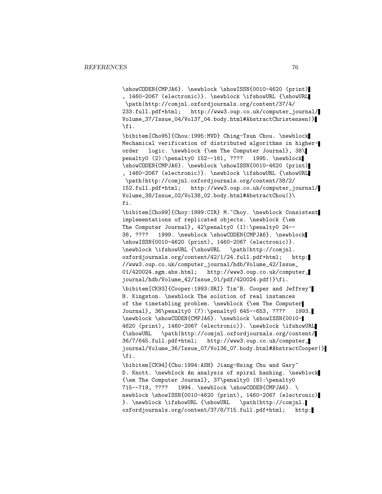\showCODEN{CMPJA6}. \newblock \showISSN{0010-4620 (print) , 1460-2067 (electronic)}. \newblock \ifshowURL {\showURL \path|http://comjnl.oxfordjournals.org/content/37/4/ 233.full.pdf+html; http://www3.oup.co.uk/computer\_journal/ Volume\_37/Issue\_04/Vol37\_04.body.html#AbstractChristensen|} \fi.

\bibitem[Cho95]{Chou:1995:MVD} Ching-Tsun Chou. \newblock Mechanical verification of distributed algorithms in higherorder logic. \newblock {\em The Computer Journal}, 38\ penalty0 (2):\penalty0 152--161, ???? 1995. \newblock \showCODEN{CMPJA6}. \newblock \showISSN{0010-4620 (print) , 1460-2067 (electronic)}. \newblock \ifshowURL {\showURL \path|http://comjnl.oxfordjournals.org/content/38/2/ 152.full.pdf+html; http://www3.oup.co.uk/computer\_journal/ Volume\_38/Issue\_02/Vol38\_02.body.html#AbstractChou|}\ fi.

\bibitem[Cho99]{Choy:1999:CIR} M.~Choy. \newblock Consistent implementations of replicated objects. \newblock {\em The Computer Journal}, 42\penalty0 (1):\penalty0 24-- 38, ???? 1999. \newblock \showCODEN{CMPJA6}. \newblock \showISSN{0010-4620 (print), 1460-2067 (electronic)}. \newblock \ifshowURL {\showURL \path|http://comjnl. oxfordjournals.org/content/42/1/24.full.pdf+html; http: //www3.oup.co.uk/computer\_journal/hdb/Volume\_42/Issue\_ 01/420024.sgm.abs.html; http://www3.oup.co.uk/computer\_ journal/hdb/Volume\_42/Issue\_01/pdf/420024.pdf|}\fi.

\bibitem[CK93]{Cooper:1993:SRI} Tim~B. Cooper and Jeffrey~ H. Kingston. \newblock The solution of real instances of the timetabling problem. \newblock {\em The Computer Journal}, 36\penalty0 (7):\penalty0 645--653, ???? 1993. \newblock \showCODEN{CMPJA6}. \newblock \showISSN{0010- 4620 (print), 1460-2067 (electronic)}. \newblock \ifshowURL {\showURL \path|http://comjnl.oxfordjournals.org/content/ 36/7/645.full.pdf+html; http://www3.oup.co.uk/computer\_ journal/Volume\_36/Issue\_07/Vol36\_07.body.html#AbstractCooper|} \fi.

\bibitem[CK94]{Chu:1994:ASH} Jiang-Hsing Chu and Gary~ D. Knott. \newblock An analysis of spiral hashing. \newblock  ${\text{Computer Journal}, 37\penalty0 (8):\penalty0\n715--719, ???? 1994. \newblock \showCODEN{CMPJAG}.$ 1994. \newblock \showCODEN{CMPJA6}. \ newblock \showISSN{0010-4620 (print), 1460-2067 (electronic) }. \newblock \ifshowURL {\showURL \path|http://comjnl. oxfordjournals.org/content/37/8/715.full.pdf+html; http: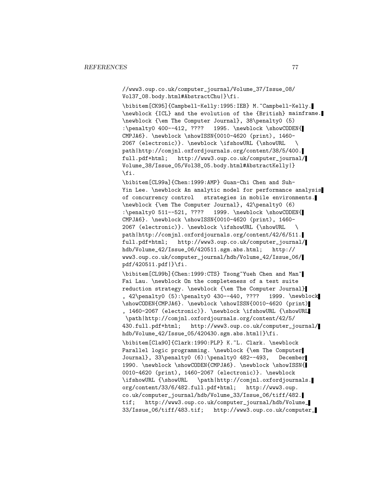//www3.oup.co.uk/computer\_journal/Volume\_37/Issue\_08/ Vol37\_08.body.html#AbstractChu|}\fi.

\bibitem[CK95]{Campbell-Kelly:1995:IEB} M.~Campbell-Kelly. \newblock {ICL} and the evolution of the {British} mainframe. \newblock {\em The Computer Journal}, 38\penalty0 (5) :\penalty0 400--412, ???? 1995. \newblock \showCODEN{ CMPJA6}. \newblock \showISSN{0010-4620 (print), 1460- 2067 (electronic)}. \newblock \ifshowURL {\showURL \ path|http://comjnl.oxfordjournals.org/content/38/5/400. full.pdf+html; http://www3.oup.co.uk/computer\_journal/ Volume\_38/Issue\_05/Vol38\_05.body.html#AbstractKelly|} \fi.

\bibitem[CL99a]{Chen:1999:AMP} Guan-Chi Chen and Suh-Yin Lee. \newblock An analytic model for performance analysis of concurrency control strategies in mobile environments. \newblock {\em The Computer Journal}, 42\penalty0 (6) :\penalty0 511--521, ???? 1999. \newblock \showCODEN{ CMPJA6}. \newblock \showISSN{0010-4620 (print), 1460- 2067 (electronic)}. \newblock \ifshowURL {\showURL \ path|http://comjnl.oxfordjournals.org/content/42/6/511. full.pdf+html; http://www3.oup.co.uk/computer\_journal/ hdb/Volume\_42/Issue\_06/420511.sgm.abs.html; http:// www3.oup.co.uk/computer\_journal/hdb/Volume\_42/Issue\_06/ pdf/420511.pdf|}\fi.

\bibitem[CL99b]{Chen:1999:CTS} Tsong~Yueh Chen and Man~ Fai Lau. \newblock On the completeness of a test suite reduction strategy. \newblock {\em The Computer Journal} , 42\penalty0 (5):\penalty0 430--440, ???? 1999. \newblock \showCODEN{CMPJA6}. \newblock \showISSN{0010-4620 (print) , 1460-2067 (electronic)}. \newblock \ifshowURL {\showURL \path|http://comjnl.oxfordjournals.org/content/42/5/ 430.full.pdf+html; http://www3.oup.co.uk/computer\_journal/ hdb/Volume\_42/Issue\_05/420430.sgm.abs.html|}\fi. \bibitem[Cla90]{Clark:1990:PLP} K.~L. Clark. \newblock Parallel logic programming. \newblock {\em The Computer Journal}, 33\penalty0 (6):\penalty0 482--493, December 1990. \newblock \showCODEN{CMPJA6}. \newblock \showISSN{ 0010-4620 (print), 1460-2067 (electronic)}. \newblock \ifshowURL {\showURL \path|http://comjnl.oxfordjournals. org/content/33/6/482.full.pdf+html; http://www3.oup. co.uk/computer\_journal/hdb/Volume\_33/Issue\_06/tiff/482. tif; http://www3.oup.co.uk/computer\_journal/hdb/Volume\_ 33/Issue\_06/tiff/483.tif; http://www3.oup.co.uk/computer\_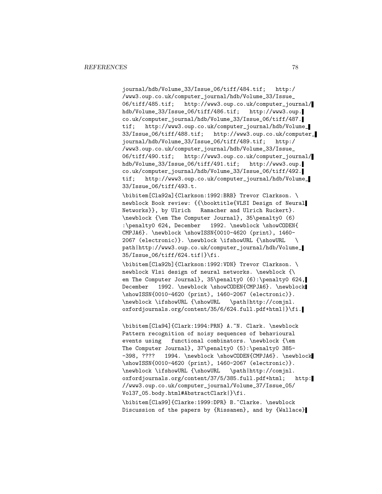journal/hdb/Volume\_33/Issue\_06/tiff/484.tif; http:/ /www3.oup.co.uk/computer\_journal/hdb/Volume\_33/Issue\_ 06/tiff/485.tif; http://www3.oup.co.uk/computer\_journal/ hdb/Volume\_33/Issue\_06/tiff/486.tif; http://www3.oup. co.uk/computer\_journal/hdb/Volume\_33/Issue\_06/tiff/487. tif; http://www3.oup.co.uk/computer\_journal/hdb/Volume\_ 33/Issue\_06/tiff/488.tif; http://www3.oup.co.uk/computer\_ journal/hdb/Volume\_33/Issue\_06/tiff/489.tif; http:/ /www3.oup.co.uk/computer\_journal/hdb/Volume\_33/Issue\_ 06/tiff/490.tif; http://www3.oup.co.uk/computer\_journal/ hdb/Volume\_33/Issue\_06/tiff/491.tif; http://www3.oup. co.uk/computer\_journal/hdb/Volume\_33/Issue\_06/tiff/492. tif; http://www3.oup.co.uk/computer\_journal/hdb/Volume\_ 33/Issue\_06/tiff/493.t.

\bibitem[Cla92a]{Clarkson:1992:BRB} Trevor Clarkson. \ newblock Book review: {{\booktitle{VLSI Design of Neural Networks}}, by Ulrich Ramacher and Ulrich Ruckert}. \newblock {\em The Computer Journal}, 35\penalty0 (6) :\penalty0 624, December 1992. \newblock \showCODEN{ CMPJA6}. \newblock \showISSN{0010-4620 (print), 1460- 2067 (electronic)}. \newblock \ifshowURL {\showURL \ path|http://www3.oup.co.uk/computer\_journal/hdb/Volume\_ 35/Issue\_06/tiff/624.tif|}\fi.

\bibitem[Cla92b]{Clarkson:1992:VDN} Trevor Clarkson. \ newblock Vlsi design of neural networks. \newblock {\ em The Computer Journal}, 35\penalty0 (6):\penalty0 624, December 1992. \newblock \showCODEN{CMPJA6}. \newblock \showISSN{0010-4620 (print), 1460-2067 (electronic)}. \newblock \ifshowURL {\showURL \path|http://comjnl. oxfordjournals.org/content/35/6/624.full.pdf+html|}\fi.

\bibitem[Cla94]{Clark:1994:PRN} A.~N. Clark. \newblock Pattern recognition of noisy sequences of behavioural events using functional combinators. \newblock {\em The Computer Journal}, 37\penalty0 (5):\penalty0 385- -398, ???? 1994. \newblock \showCODEN{CMPJA6}. \newblock \showISSN{0010-4620 (print), 1460-2067 (electronic)}. \newblock \ifshowURL {\showURL \path|http://comjnl. oxfordjournals.org/content/37/5/385.full.pdf+html; http: //www3.oup.co.uk/computer\_journal/Volume\_37/Issue\_05/ Vol37\_05.body.html#AbstractClark|}\fi.

\bibitem[Cla99]{Clarke:1999:DPR} B.~Clarke. \newblock Discussion of the papers by {Rissanen}, and by {Wallace}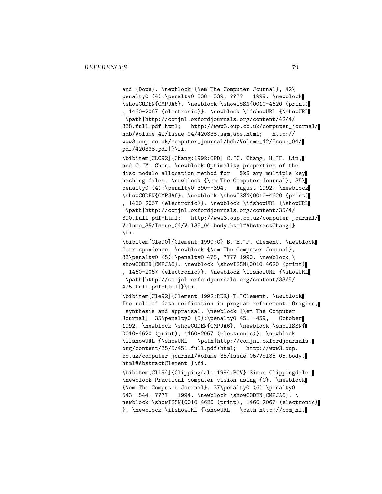and {Dowe}. \newblock {\em The Computer Journal}, 42\ penalty0 (4):\penalty0 338--339, ???? 1999. \newblock \showCODEN{CMPJA6}. \newblock \showISSN{0010-4620 (print) , 1460-2067 (electronic)}. \newblock \ifshowURL {\showURL \path|http://comjnl.oxfordjournals.org/content/42/4/ 338.full.pdf+html; http://www3.oup.co.uk/computer\_journal/ hdb/Volume\_42/Issue\_04/420338.sgm.abs.html; http:// www3.oup.co.uk/computer\_journal/hdb/Volume\_42/Issue\_04/ pdf/420338.pdf|}\fi.

\bibitem[CLC92]{Chang:1992:OPD} C.~C. Chang, H.~F. Lin, and C.~Y. Chen. \newblock Optimality properties of the disc modulo allocation method for \$k\$-ary multiple key hashing files. \newblock {\em The Computer Journal}, 35\ penalty0 (4):\penalty0 390--394, August 1992. \newblock \showCODEN{CMPJA6}. \newblock \showISSN{0010-4620 (print) , 1460-2067 (electronic)}. \newblock \ifshowURL {\showURL

\path|http://comjnl.oxfordjournals.org/content/35/4/ 390.full.pdf+html; http://www3.oup.co.uk/computer\_journal/ Volume\_35/Issue\_04/Vol35\_04.body.html#AbstractChang|} \fi.

\bibitem[Cle90]{Clement:1990:C} B.~E.~P. Clement. \newblock Correspondence. \newblock {\em The Computer Journal}, 33\penalty0 (5):\penalty0 475, ???? 1990. \newblock \ showCODEN{CMPJA6}. \newblock \showISSN{0010-4620 (print) , 1460-2067 (electronic)}. \newblock \ifshowURL {\showURL \path|http://comjnl.oxfordjournals.org/content/33/5/ 475.full.pdf+html|}\fi.

\bibitem[Cle92]{Clement:1992:RDR} T.~Clement. \newblock The role of data reification in program refinement: Origins, synthesis and appraisal. \newblock {\em The Computer Journal}, 35\penalty0 (5):\penalty0 451--459, October 1992. \newblock \showCODEN{CMPJA6}. \newblock \showISSN{ 0010-4620 (print), 1460-2067 (electronic)}. \newblock \ifshowURL {\showURL \path|http://comjnl.oxfordjournals. org/content/35/5/451.full.pdf+html; http://www3.oup. co.uk/computer\_journal/Volume\_35/Issue\_05/Vol35\_05.body. html#AbstractClement|}\fi.

\bibitem[Cli94]{Clippingdale:1994:PCV} Simon Clippingdale. \newblock Practical computer vision using {C}. \newblock {\em The Computer Journal}, 37\penalty0 (6):\penalty0 543--544, ???? 1994. \newblock \showCODEN{CMPJA6}. \ newblock \showISSN{0010-4620 (print), 1460-2067 (electronic) }. \newblock \ifshowURL {\showURL \path|http://comjnl.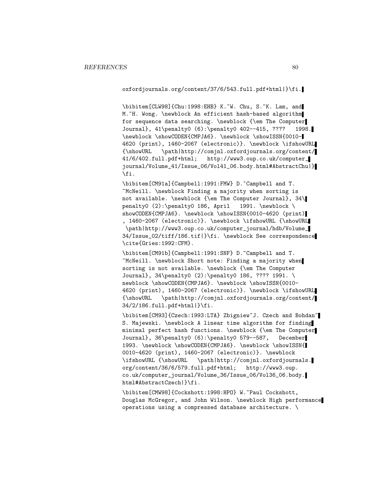oxfordjournals.org/content/37/6/543.full.pdf+html|}\fi.

\bibitem[CLW98]{Chu:1998:EHB} K.~W. Chu, S.~K. Lam, and M."H. Wong. \newblock An efficient hash-based algorithm for sequence data searching. \newblock {\em The Computer Journal}, 41\penalty0 (6):\penalty0 402--415, ???? 1998. \newblock \showCODEN{CMPJA6}. \newblock \showISSN{0010- 4620 (print), 1460-2067 (electronic)}. \newblock \ifshowURL {\showURL \path|http://comjnl.oxfordjournals.org/content/ 41/6/402.full.pdf+html; http://www3.oup.co.uk/computer\_ journal/Volume\_41/Issue\_06/Vol41\_06.body.html#AbstractChu|} \fi.

\bibitem[CM91a]{Campbell:1991:FMW} D.~Campbell and T. ~McNeill. \newblock Finding a majority when sorting is not available. \newblock {\em The Computer Journal}, 34\ penalty0 (2):\penalty0 186, April 1991. \newblock \ showCODEN{CMPJA6}. \newblock \showISSN{0010-4620 (print) , 1460-2067 (electronic)}. \newblock \ifshowURL {\showURL \path|http://www3.oup.co.uk/computer\_journal/hdb/Volume\_ 34/Issue\_02/tiff/186.tif|}\fi. \newblock See correspondence \cite{Gries:1992:CFM}.

\bibitem[CM91b]{Campbell:1991:SNF} D.~Campbell and T. ~McNeill. \newblock Short note: Finding a majority when sorting is not available. \newblock {\em The Computer Journal}, 34\penalty0 (2):\penalty0 186, ???? 1991. \ newblock \showCODEN{CMPJA6}. \newblock \showISSN{0010-4620 (print), 1460-2067 (electronic)}. \newblock \ifshowURL {\showURL \path|http://comjnl.oxfordjournals.org/content/ 34/2/186.full.pdf+html|}\fi.

\bibitem[CM93]{Czech:1993:LTA} Zbigniew~J. Czech and Bohdan~ S. Majewski. \newblock A linear time algorithm for finding minimal perfect hash functions. \newblock {\em The Computer Journal}, 36\penalty0 (6):\penalty0 579--587, December 1993. \newblock \showCODEN{CMPJA6}. \newblock \showISSN{ 0010-4620 (print), 1460-2067 (electronic)}. \newblock \ifshowURL {\showURL \path|http://comjnl.oxfordjournals. org/content/36/6/579.full.pdf+html; http://www3.oup. co.uk/computer\_journal/Volume\_36/Issue\_06/Vol36\_06.body. html#AbstractCzech|}\fi.

\bibitem[CMW98]{Cockshott:1998:HPO} W.~Paul Cockshott, Douglas McGregor, and John Wilson. \newblock High performance operations using a compressed database architecture. \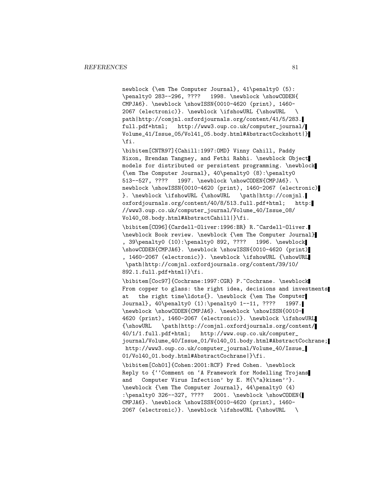newblock {\em The Computer Journal}, 41\penalty0 (5): \penalty0 283--296, ???? 1998. \newblock \showCODEN{ CMPJA6}. \newblock \showISSN{0010-4620 (print), 1460- 2067 (electronic)}. \newblock \ifshowURL {\showURL \ path|http://comjnl.oxfordjournals.org/content/41/5/283. full.pdf+html; http://www3.oup.co.uk/computer\_journal/ Volume\_41/Issue\_05/Vol41\_05.body.html#AbstractCockshott|} \fi.

\bibitem[CNTR97]{Cahill:1997:OMD} Vinny Cahill, Paddy Nixon, Brendan Tangney, and Fethi Rabhi. \newblock Object models for distributed or persistent programming. \newblock {\em The Computer Journal}, 40\penalty0 (8):\penalty0 513--527, ???? 1997. \newblock \showCODEN{CMPJA6}. \ newblock \showISSN{0010-4620 (print), 1460-2067 (electronic) }. \newblock \ifshowURL {\showURL \path|http://comjnl. oxfordjournals.org/content/40/8/513.full.pdf+html; http: //www3.oup.co.uk/computer\_journal/Volume\_40/Issue\_08/ Vol40\_08.body.html#AbstractCahill|}\fi.

\bibitem[CO96]{Cardell-Oliver:1996:BR} R.~Cardell-Oliver. \newblock Book review. \newblock {\em The Computer Journal} , 39\penalty0 (10):\penalty0 892, ???? 1996. \newblock \showCODEN{CMPJA6}. \newblock \showISSN{0010-4620 (print) , 1460-2067 (electronic)}. \newblock \ifshowURL {\showURL \path|http://comjnl.oxfordjournals.org/content/39/10/ 892.1.full.pdf+html|}\fi.

\bibitem[Coc97]{Cochrane:1997:CGR} P.~Cochrane. \newblock From copper to glass: the right idea, decisions and investments at the right time\ldots{}. \newblock {\em The Computer Journal}, 40\penalty0 (1):\penalty0 1--11, ???? 1997. \newblock \showCODEN{CMPJA6}. \newblock \showISSN{0010- 4620 (print), 1460-2067 (electronic)}. \newblock \ifshowURL {\showURL \path|http://comjnl.oxfordjournals.org/content/ 40/1/1.full.pdf+html; http://www.oup.co.uk/computer\_ journal/Volume\_40/Issue\_01/Vol40\_01.body.html#AbstractCochrane; http://www3.oup.co.uk/computer\_journal/Volume\_40/Issue\_ 01/Vol40\_01.body.html#AbstractCochrane|}\fi.

\bibitem[Coh01]{Cohen:2001:RCF} Fred Cohen. \newblock Reply to {''Comment on 'A Framework for Modelling Trojans and Computer Virus Infection' by E. M{\"a}kinen''}. \newblock {\em The Computer Journal}, 44\penalty0 (4) :\penalty0 326--327, ???? 2001. \newblock \showCODEN{ CMPJA6}. \newblock \showISSN{0010-4620 (print), 1460- 2067 (electronic)}. \newblock \ifshowURL {\showURL \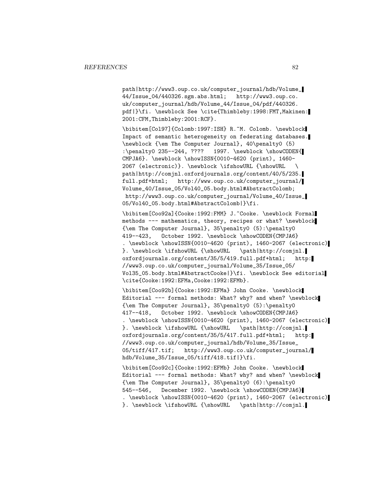path|http://www3.oup.co.uk/computer\_journal/hdb/Volume\_ 44/Issue\_04/440326.sgm.abs.html; http://www3.oup.co. uk/computer\_journal/hdb/Volume\_44/Issue\_04/pdf/440326. pdf|}\fi. \newblock See \cite{Thimbleby:1998:FMT,Makinen: 2001:CFM,Thimbleby:2001:RCF}.

\bibitem[Col97]{Colomb:1997:ISH} R.~M. Colomb. \newblock Impact of semantic heterogeneity on federating databases. \newblock {\em The Computer Journal}, 40\penalty0 (5) :\penalty0 235--244, ???? 1997. \newblock \showCODEN{ CMPJA6}. \newblock \showISSN{0010-4620 (print), 1460- 2067 (electronic)}. \newblock \ifshowURL {\showURL \ path|http://comjnl.oxfordjournals.org/content/40/5/235. full.pdf+html; http://www.oup.co.uk/computer\_journal/ Volume\_40/Issue\_05/Vol40\_05.body.html#AbstractColomb; http://www3.oup.co.uk/computer\_journal/Volume\_40/Issue\_ 05/Vol40\_05.body.html#AbstractColomb|}\fi.

\bibitem[Coo92a]{Cooke:1992:FMM} J.~Cooke. \newblock Formal methods --- mathematics, theory, recipes or what? \newblock {\em The Computer Journal}, 35\penalty0 (5):\penalty0 419--423, October 1992. \newblock \showCODEN{CMPJA6} . \newblock \showISSN{0010-4620 (print), 1460-2067 (electronic) }. \newblock \ifshowURL {\showURL \path|http://comjnl. oxfordjournals.org/content/35/5/419.full.pdf+html; http: //www3.oup.co.uk/computer\_journal/Volume\_35/Issue\_05/ Vol35\_05.body.html#AbstractCooke|}\fi. \newblock See editorial \cite{Cooke:1992:EFMa,Cooke:1992:EFMb}.

\bibitem[Coo92b]{Cooke:1992:EFMa} John Cooke. \newblock Editorial --- formal methods: What? why? and when? \newblock {\em The Computer Journal}, 35\penalty0 (5):\penalty0 417--418, October 1992. \newblock \showCODEN{CMPJA6} . \newblock \showISSN{0010-4620 (print), 1460-2067 (electronic) }. \newblock \ifshowURL {\showURL \path|http://comjnl. oxfordjournals.org/content/35/5/417.full.pdf+html; http: //www3.oup.co.uk/computer\_journal/hdb/Volume\_35/Issue\_ 05/tiff/417.tif; http://www3.oup.co.uk/computer\_journal/ hdb/Volume\_35/Issue\_05/tiff/418.tif|}\fi.

\bibitem[Coo92c]{Cooke:1992:EFMb} John Cooke. \newblock Editorial --- formal methods: What? why? and when? \newblock {\em The Computer Journal}, 35\penalty0 (6):\penalty0 545--546, December 1992. \newblock \showCODEN{CMPJA6} . \newblock \showISSN{0010-4620 (print), 1460-2067 (electronic) }. \newblock \ifshowURL {\showURL \path|http://comjnl.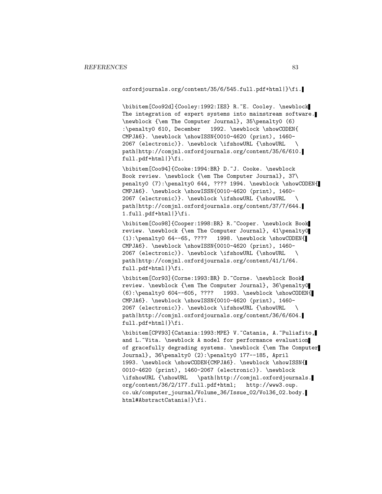oxfordjournals.org/content/35/6/545.full.pdf+html|}\fi.

\bibitem[Coo92d]{Cooley:1992:IES} R.~E. Cooley. \newblock The integration of expert systems into mainstream software. \newblock {\em The Computer Journal}, 35\penalty0 (6) :\penalty0 610, December 1992. \newblock \showCODEN{ CMPJA6}. \newblock \showISSN{0010-4620 (print), 1460- 2067 (electronic)}. \newblock \ifshowURL {\showURL \ path|http://comjnl.oxfordjournals.org/content/35/6/610. full.pdf+html|}\fi.

\bibitem[Coo94]{Cooke:1994:BR} D.~J. Cooke. \newblock Book review. \newblock {\em The Computer Journal}, 37\ penalty0 (7):\penalty0 644, ???? 1994. \newblock \showCODEN{ CMPJA6}. \newblock \showISSN{0010-4620 (print), 1460- 2067 (electronic)}. \newblock \ifshowURL {\showURL \ path|http://comjnl.oxfordjournals.org/content/37/7/644. 1.full.pdf+html|}\fi.

\bibitem[Coo98]{Cooper:1998:BR} R.~Cooper. \newblock Book review. \newblock {\em The Computer Journal}, 41\penalty0 (1):\penalty0 64--65, ???? 1998. \newblock \showCODEN{ CMPJA6}. \newblock \showISSN{0010-4620 (print), 1460- 2067 (electronic)}. \newblock \ifshowURL {\showURL \ path|http://comjnl.oxfordjournals.org/content/41/1/64. full.pdf+html|}\fi.

\bibitem[Cor93]{Corne:1993:BR} D.~Corne. \newblock Book review. \newblock {\em The Computer Journal}, 36\penalty0 (6):\penalty0 604--605, ???? 1993. \newblock \showCODEN{ CMPJA6}. \newblock \showISSN{0010-4620 (print), 1460- 2067 (electronic)}. \newblock \ifshowURL {\showURL \ path|http://comjnl.oxfordjournals.org/content/36/6/604. full.pdf+html|}\fi.

\bibitem[CPV93]{Catania:1993:MPE} V.~Catania, A.~Puliafito, and L.~Vita. \newblock A model for performance evaluation of gracefully degrading systems. \newblock {\em The Computer Journal}, 36\penalty0 (2):\penalty0 177--185, April 1993. \newblock \showCODEN{CMPJA6}. \newblock \showISSN{ 0010-4620 (print), 1460-2067 (electronic)}. \newblock \ifshowURL {\showURL \path|http://comjnl.oxfordjournals. org/content/36/2/177.full.pdf+html; http://www3.oup. co.uk/computer\_journal/Volume\_36/Issue\_02/Vol36\_02.body. html#AbstractCatania|}\fi.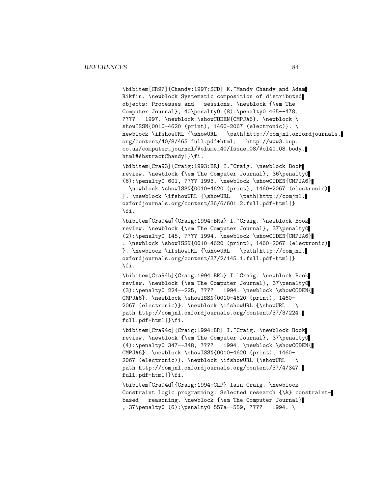\bibitem[CR97]{Chandy:1997:SCD} K.~Mandy Chandy and Adam Rikfin. \newblock Systematic composition of distributed objects: Processes and sessions. \newblock {\em The Computer Journal},  $40\pend{\theta(8)}:\penalty0 465--478$ , ???? 1997. \newblock \showCODEN{CMPJA6}. \newblock \ showISSN{0010-4620 (print), 1460-2067 (electronic)}. \<br>newblock \ifshowURL {\showURL \path|http://comjnl.ox  $\partial \phi$ org/content/40/8/465.full.pdf+html; http://www3.oup. co.uk/computer\_journal/Volume\_40/Issue\_08/Vol40\_08.body. html#AbstractChandy|}\fi.

\bibitem[Cra93]{Craig:1993:BR} I.~Craig. \newblock Book review. \newblock {\em The Computer Journal}, 36\penalty0 (6):\penalty0 601, ???? 1993. \newblock \showCODEN{CMPJA6} . \newblock \showISSN{0010-4620 (print), 1460-2067 (electronic) }. \newblock \ifshowURL {\showURL \path|http://comjnl. oxfordjournals.org/content/36/6/601.2.full.pdf+html|} \fi.

\bibitem[Cra94a]{Craig:1994:BRa} I.~Craig. \newblock Book review. \newblock {\em The Computer Journal}, 37\penalty0  $(2): \penalty0 145, ???? 1994. \newblock \showCODEN{CMDIAG}$ . \newblock \showISSN{0010-4620 (print), 1460-2067 (electronic) }. \newblock \ifshowURL {\showURL \path|http://comjnl. oxfordjournals.org/content/37/2/145.1.full.pdf+html|} \fi.

\bibitem[Cra94b]{Craig:1994:BRb} I.~Craig. \newblock Book review. \newblock {\em The Computer Journal}, 37\penalty0 (3):\penalty0 224--225, ???? 1994. \newblock \showCODEN{ CMPJA6}. \newblock \showISSN{0010-4620 (print), 1460- 2067 (electronic)}. \newblock \ifshowURL {\showURL \ path|http://comjnl.oxfordjournals.org/content/37/3/224. full.pdf+html|}\fi.

\bibitem[Cra94c]{Craig:1994:BR} I.~Craig. \newblock Book review. \newblock {\em The Computer Journal}, 37\penalty0 (4):\penalty0 347--348, ???? 1994. \newblock \showCODEN{ CMPJA6}. \newblock \showISSN{0010-4620 (print), 1460- 2067 (electronic)}. \newblock \ifshowURL {\showURL \ path|http://comjnl.oxfordjournals.org/content/37/4/347. full.pdf+html|}\fi.

\bibitem[Cra94d]{Craig:1994:CLP} Iain Craig. \newblock Constraint logic programming: Selected research {\&} constraintbased reasoning. \newblock {\em The Computer Journal} , 37\penalty0 (6):\penalty0 557a--559, ???? 1994. \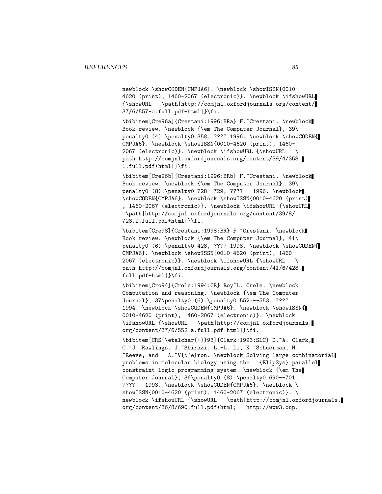newblock \showCODEN{CMPJA6}. \newblock \showISSN{0010-4620 (print), 1460-2067 (electronic)}. \newblock \ifshowURL {\showURL \path|http://comjnl.oxfordjournals.org/content/ 37/6/557-a.full.pdf+html|}\fi.

\bibitem[Cre96a]{Crestani:1996:BRa} F.~Crestani. \newblock Book review. \newblock {\em The Computer Journal}, 39\ penalty0 (4):\penalty0 358, ???? 1996. \newblock \showCODEN{ CMPJA6}. \newblock \showISSN{0010-4620 (print), 1460- 2067 (electronic)}. \newblock \ifshowURL {\showURL \ path|http://comjnl.oxfordjournals.org/content/39/4/358. 1.full.pdf+html|}\fi.

\bibitem[Cre96b]{Crestani:1996:BRb} F.~Crestani. \newblock Book review. \newblock {\em The Computer Journal}, 39\ penalty0 (8):\penalty0 728--729, ???? 1996. \newblock \showCODEN{CMPJA6}. \newblock \showISSN{0010-4620 (print) , 1460-2067 (electronic)}. \newblock \ifshowURL {\showURL \path|http://comjnl.oxfordjournals.org/content/39/8/ 728.2.full.pdf+html|}\fi.

\bibitem[Cre98]{Crestani:1998:BR} F.~Crestani. \newblock Book review. \newblock {\em The Computer Journal}, 41\ penalty0 (6):\penalty0 428, ???? 1998. \newblock \showCODEN{ CMPJA6}. \newblock \showISSN{0010-4620 (print), 1460- 2067 (electronic)}. \newblock \ifshowURL {\showURL \ path|http://comjnl.oxfordjournals.org/content/41/6/428. full.pdf+html|}\fi.

\bibitem[Cro94]{Crole:1994:CR} Roy~L. Crole. \newblock Computation and reasoning. \newblock {\em The Computer Journal}, 37\penalty0 (6):\penalty0 552a--553, ???? 1994. \newblock \showCODEN{CMPJA6}. \newblock \showISSN{ 0010-4620 (print), 1460-2067 (electronic)}. \newblock \ifshowURL {\showURL \path|http://comjnl.oxfordjournals. org/content/37/6/552-a.full.pdf+html|}\fi.

\bibitem[CRS{\etalchar{+}}93]{Clark:1993:SLC} D.~A. Clark, C.~J. Rawlings, J.~Shirazi, L.-L. Li, K.~Schuerman, M. ~Reeve, and A.~V{\'e}ron. \newblock Solving large combinatorial problems in molecular biology using the {ElipSys} parallel constraint logic programming system. \newblock {\em The Computer Journal}, 36\penalty0 (8):\penalty0 690--701, ???? 1993. \newblock \showCODEN{CMPJA6}. \newblock \ showISSN{0010-4620 (print), 1460-2067 (electronic)}. \ newblock \ifshowURL {\showURL \path|http://comjnl.oxfordjournals. org/content/36/8/690.full.pdf+html; http://www3.oup.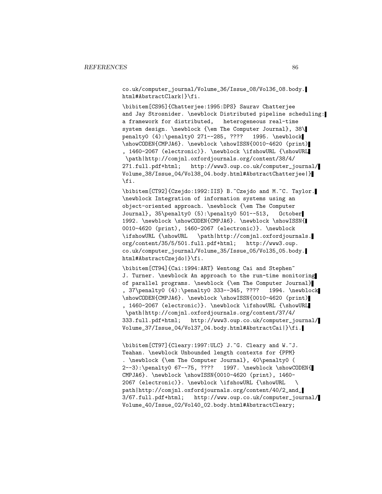co.uk/computer\_journal/Volume\_36/Issue\_08/Vol36\_08.body. html#AbstractClark|}\fi.

\bibitem[CS95]{Chatterjee:1995:DPS} Saurav Chatterjee and Jay Strosnider. \newblock Distributed pipeline scheduling: a framework for distributed, heterogeneous real-time system design. \newblock {\em The Computer Journal}, 38\ penalty0 (4):\penalty0 271--285, ???? 1995. \newblock \showCODEN{CMPJA6}. \newblock \showISSN{0010-4620 (print) , 1460-2067 (electronic)}. \newblock \ifshowURL {\showURL \path|http://comjnl.oxfordjournals.org/content/38/4/ 271.full.pdf+html; http://www3.oup.co.uk/computer\_journal/ Volume\_38/Issue\_04/Vol38\_04.body.html#AbstractChatterjee|} \fi.

\bibitem[CT92]{Czejdo:1992:IIS} B.~Czejdo and M.~C. Taylor. \newblock Integration of information systems using an object-oriented approach. \newblock {\em The Computer Journal}, 35\penalty0 (5):\penalty0 501--513, October 1992. \newblock \showCODEN{CMPJA6}. \newblock \showISSN{ 0010-4620 (print), 1460-2067 (electronic)}. \newblock \ifshowURL {\showURL \path|http://comjnl.oxfordjournals. org/content/35/5/501.full.pdf+html; http://www3.oup. co.uk/computer\_journal/Volume\_35/Issue\_05/Vol35\_05.body. html#AbstractCzejdo|}\fi.

\bibitem[CT94]{Cai:1994:ART} Wentong Cai and Stephen~ J. Turner. \newblock An approach to the run-time monitoring of parallel programs. \newblock {\em The Computer Journal} , 37\penalty0 (4):\penalty0 333--345, ???? 1994. \newblock \showCODEN{CMPJA6}. \newblock \showISSN{0010-4620 (print) , 1460-2067 (electronic)}. \newblock \ifshowURL {\showURL \path|http://comjnl.oxfordjournals.org/content/37/4/ 333.full.pdf+html; http://www3.oup.co.uk/computer\_journal/ Volume\_37/Issue\_04/Vol37\_04.body.html#AbstractCai|}\fi.

\bibitem[CT97]{Cleary:1997:ULC} J.~G. Cleary and W.~J. Teahan. \newblock Unbounded length contexts for {PPM} . \newblock {\em The Computer Journal}, 40\penalty0 ( 2--3):\penalty0 67--75, ???? 1997. \newblock \showCODEN{ CMPJA6}. \newblock \showISSN{0010-4620 (print), 1460- 2067 (electronic)}. \newblock \ifshowURL {\showURL \ path|http://comjnl.oxfordjournals.org/content/40/2\_and\_ 3/67.full.pdf+html; http://www.oup.co.uk/computer\_journal/ Volume\_40/Issue\_02/Vol40\_02.body.html#AbstractCleary;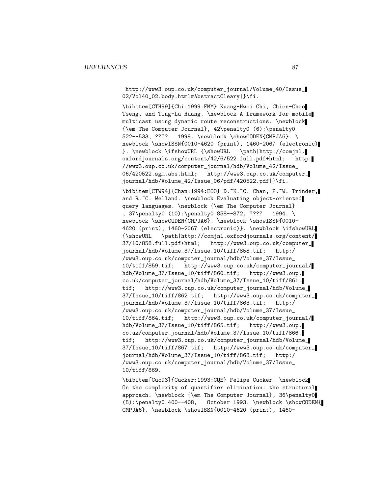http://www3.oup.co.uk/computer\_journal/Volume\_40/Issue\_ 02/Vol40\_02.body.html#AbstractCleary|}\fi.

\bibitem[CTH99]{Chi:1999:FMM} Kuang-Hwei Chi, Chien-Chao Tseng, and Ting-Lu Huang. \newblock A framework for mobile multicast using dynamic route reconstructions. \newblock {\em The Computer Journal}, 42\penalty0 (6):\penalty0 522--533, ???? 1999. \newblock \showCODEN{CMPJA6}. \ newblock \showISSN{0010-4620 (print), 1460-2067 (electronic) }. \newblock \ifshowURL {\showURL \path|http://comjnl. oxfordjournals.org/content/42/6/522.full.pdf+html; http: //www3.oup.co.uk/computer\_journal/hdb/Volume\_42/Issue\_ 06/420522.sgm.abs.html; http://www3.oup.co.uk/computer\_ journal/hdb/Volume\_42/Issue\_06/pdf/420522.pdf|}\fi.

\bibitem[CTW94]{Chan:1994:EOO} D.~K.~C. Chan, P.~W. Trinder, and R.~C. Welland. \newblock Evaluating object-oriented query languages. \newblock {\em The Computer Journal} , 37\penalty0 (10):\penalty0 858--872, ???? 1994. \ newblock \showCODEN{CMPJA6}. \newblock \showISSN{0010-4620 (print), 1460-2067 (electronic)}. \newblock \ifshowURL {\showURL \path|http://comjnl.oxfordjournals.org/content/ 37/10/858.full.pdf+html; http://www3.oup.co.uk/computer\_ journal/hdb/Volume\_37/Issue\_10/tiff/858.tif; http:/ /www3.oup.co.uk/computer\_journal/hdb/Volume\_37/Issue\_ 10/tiff/859.tif; http://www3.oup.co.uk/computer\_journal/ hdb/Volume\_37/Issue\_10/tiff/860.tif; http://www3.oup. co.uk/computer\_journal/hdb/Volume\_37/Issue\_10/tiff/861. tif; http://www3.oup.co.uk/computer\_journal/hdb/Volume\_ 37/Issue\_10/tiff/862.tif; http://www3.oup.co.uk/computer\_ journal/hdb/Volume\_37/Issue\_10/tiff/863.tif; http:/ /www3.oup.co.uk/computer\_journal/hdb/Volume\_37/Issue\_ 10/tiff/864.tif; http://www3.oup.co.uk/computer\_journal/ hdb/Volume\_37/Issue\_10/tiff/865.tif; http://www3.oup. co.uk/computer\_journal/hdb/Volume\_37/Issue\_10/tiff/866. tif; http://www3.oup.co.uk/computer\_journal/hdb/Volume\_ 37/Issue\_10/tiff/867.tif; http://www3.oup.co.uk/computer\_ journal/hdb/Volume\_37/Issue\_10/tiff/868.tif; http:/ /www3.oup.co.uk/computer\_journal/hdb/Volume\_37/Issue\_ 10/tiff/869.

\bibitem[Cuc93]{Cucker:1993:CQE} Felipe Cucker. \newblock On the complexity of quantifier elimination: the structural approach. \newblock {\em The Computer Journal}, 36\penalty0 (5):\penalty0 400--408, October 1993. \newblock \showCODEN{ CMPJA6}. \newblock \showISSN{0010-4620 (print), 1460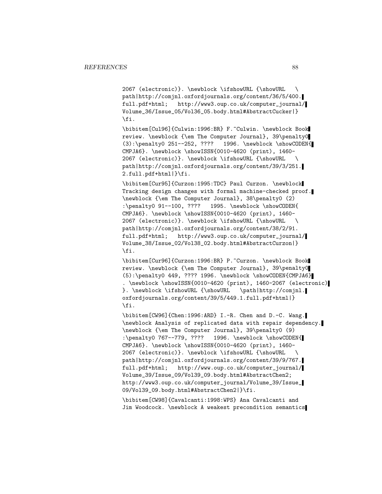2067 (electronic)}. \newblock \ifshowURL {\showURL \ path|http://comjnl.oxfordjournals.org/content/36/5/400. full.pdf+html; http://www3.oup.co.uk/computer\_journal/ Volume\_36/Issue\_05/Vol36\_05.body.html#AbstractCucker|} \fi.

\bibitem[Cul96]{Culwin:1996:BR} F.~Culwin. \newblock Book review. \newblock {\em The Computer Journal}, 39\penalty0 (3):\penalty0 251--252, ???? 1996. \newblock \showCODEN{ CMPJA6}. \newblock \showISSN{0010-4620 (print), 1460- 2067 (electronic)}. \newblock \ifshowURL {\showURL \ path|http://comjnl.oxfordjournals.org/content/39/3/251. 2.full.pdf+html|}\fi.

\bibitem[Cur95]{Curzon:1995:TDC} Paul Curzon. \newblock Tracking design changes with formal machine-checked proof. \newblock {\em The Computer Journal}, 38\penalty0 (2) :\penalty0 91--100, ???? 1995. \newblock \showCODEN{ CMPJA6}. \newblock \showISSN{0010-4620 (print), 1460- 2067 (electronic)}. \newblock \ifshowURL {\showURL \ path|http://comjnl.oxfordjournals.org/content/38/2/91. full.pdf+html; http://www3.oup.co.uk/computer\_journal/ Volume\_38/Issue\_02/Vol38\_02.body.html#AbstractCurzon|} \fi.

\bibitem[Cur96]{Curzon:1996:BR} P.~Curzon. \newblock Book review. \newblock {\em The Computer Journal}, 39\penalty0  $(5): \penalty0 449, ???? 1996. \newblock \showCODEN{CMPJA6}$ . \newblock \showISSN{0010-4620 (print), 1460-2067 (electronic) }. \newblock \ifshowURL {\showURL \path|http://comjnl. oxfordjournals.org/content/39/5/449.1.full.pdf+html|} \fi.

\bibitem[CW96]{Chen:1996:ARD} I.-R. Chen and D.-C. Wang. \newblock Analysis of replicated data with repair dependency. \newblock {\em The Computer Journal}, 39\penalty0 (9) :\penalty0 767--779, ???? 1996. \newblock \showCODEN{ CMPJA6}. \newblock \showISSN{0010-4620 (print), 1460- 2067 (electronic)}. \newblock \ifshowURL {\showURL \ path|http://comjnl.oxfordjournals.org/content/39/9/767. full.pdf+html; http://www.oup.co.uk/computer\_journal/ Volume\_39/Issue\_09/Vol39\_09.body.html#AbstractChen2; http://www3.oup.co.uk/computer\_journal/Volume\_39/Issue\_ 09/Vol39\_09.body.html#AbstractChen2|}\fi.

\bibitem[CW98]{Cavalcanti:1998:WPS} Ana Cavalcanti and Jim Woodcock. \newblock A weakest precondition semantics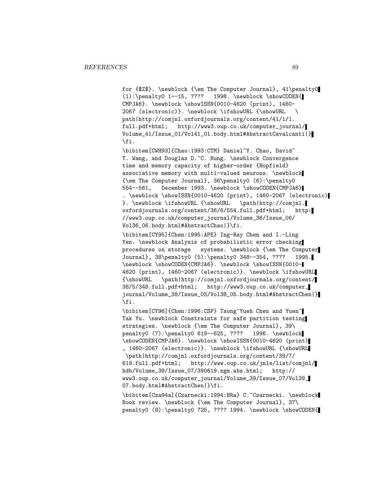for {\$Z\$}. \newblock {\em The Computer Journal}, 41\penalty0 (1):\penalty0 1--15, ???? 1998. \newblock \showCODEN{ CMPJA6}. \newblock \showISSN{0010-4620 (print), 1460- 2067 (electronic)}. \newblock \ifshowURL {\showURL \ path|http://comjnl.oxfordjournals.org/content/41/1/1. full.pdf+html; http://www3.oup.co.uk/computer\_journal/ Volume\_41/Issue\_01/Vol41\_01.body.html#AbstractCavalcanti|} \fi.

\bibitem[CWH93]{Chao:1993:CTM} Daniel~Y. Chao, David~ T. Wang, and Douglas D. C. Hung. \newblock Convergence time and memory capacity of higher-order {Hopfield} associative memory with multi-valued neurons. \newblock {\em The Computer Journal}, 36\penalty0 (6):\penalty0 554--561, December 1993. \newblock \showCODEN{CMPJA6} . \newblock \showISSN{0010-4620 (print), 1460-2067 (electronic) }. \newblock \ifshowURL {\showURL \path|http://comjnl. oxfordjournals.org/content/36/6/554.full.pdf+html; http: //www3.oup.co.uk/computer\_journal/Volume\_36/Issue\_06/ Vol36\_06.body.html#AbstractChao|}\fi.

\bibitem[CY95]{Chen:1995:APE} Ing-Ray Chen and I.-Ling Yen. \newblock Analysis of probabilistic error checking procedures on storage systems. \newblock {\em The Computer Journal}, 38\penalty0 (5):\penalty0 348--354, ???? 1995. \newblock \showCODEN{CMPJA6}. \newblock \showISSN{0010- 4620 (print), 1460-2067 (electronic)}. \newblock \ifshowURL {\showURL \path|http://comjnl.oxfordjournals.org/content/ 38/5/348.full.pdf+html; http://www3.oup.co.uk/computer\_ journal/Volume\_38/Issue\_05/Vol38\_05.body.html#AbstractChen|} \fi.

\bibitem[CY96]{Chen:1996:CSP} Tsong~Yueh Chen and Yuen~ Tak Yu. \newblock Constraints for safe partition testing strategies. \newblock {\em The Computer Journal}, 39\ penalty0 (7):\penalty0 619--625, ???? 1996. \newblock \showCODEN{CMPJA6}. \newblock \showISSN{0010-4620 (print) , 1460-2067 (electronic)}. \newblock \ifshowURL {\showURL \path|http://comjnl.oxfordjournals.org/content/39/7/ 619.full.pdf+html; http://www.oup.co.uk/jnls/list/comjnl/ hdb/Volume\_39/Issue\_07/390619.sgm.abs.html; http:// www3.oup.co.uk/computer\_journal/Volume\_39/Issue\_07/Vol39\_ 07.body.html#AbstractChen|}\fi.

\bibitem[Cza94a]{Czarnecki:1994:BRa} C.~Czarnecki. \newblock Book review. \newblock {\em The Computer Journal}, 37\ penalty0 (8):\penalty0 725, ???? 1994. \newblock \showCODEN{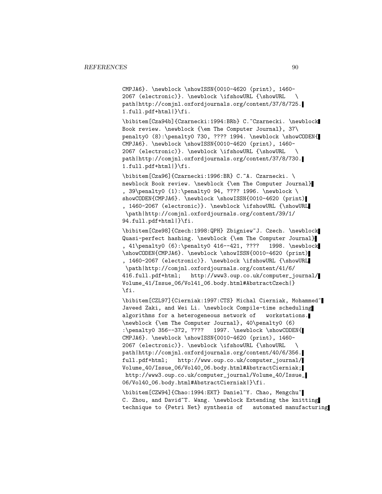CMPJA6}. \newblock \showISSN{0010-4620 (print), 1460- 2067 (electronic)}. \newblock \ifshowURL {\showURL \ path|http://comjnl.oxfordjournals.org/content/37/8/725. 1.full.pdf+html|}\fi.

\bibitem[Cza94b]{Czarnecki:1994:BRb} C.~Czarnecki. \newblock Book review. \newblock {\em The Computer Journal}, 37\ penalty0 (8):\penalty0 730, ???? 1994. \newblock \showCODEN{ CMPJA6}. \newblock \showISSN{0010-4620 (print), 1460- 2067 (electronic)}. \newblock \ifshowURL {\showURL \ path|http://comjnl.oxfordjournals.org/content/37/8/730. 1.full.pdf+html|}\fi.

\bibitem[Cza96]{Czarnecki:1996:BR} C.~A. Czarnecki. \ newblock Book review. \newblock {\em The Computer Journal} , 39\penalty0 (1):\penalty0 94, ???? 1996. \newblock \ showCODEN{CMPJA6}. \newblock \showISSN{0010-4620 (print) , 1460-2067 (electronic)}. \newblock \ifshowURL {\showURL \path|http://comjnl.oxfordjournals.org/content/39/1/ 94.full.pdf+html|}\fi.

\bibitem[Cze98]{Czech:1998:QPH} Zbigniew~J. Czech. \newblock Quasi-perfect hashing. \newblock {\em The Computer Journal} , 41\penalty0 (6):\penalty0 416--421, ???? 1998. \newblock \showCODEN{CMPJA6}. \newblock \showISSN{0010-4620 (print) , 1460-2067 (electronic)}. \newblock \ifshowURL {\showURL \path|http://comjnl.oxfordjournals.org/content/41/6/ 416.full.pdf+html; http://www3.oup.co.uk/computer\_journal/ Volume\_41/Issue\_06/Vol41\_06.body.html#AbstractCzech|} \fi.

\bibitem[CZL97]{Cierniak:1997:CTS} Michal Cierniak, Mohammed~ Javeed Zaki, and Wei Li. \newblock Compile-time scheduling algorithms for a heterogeneous network of workstations. \newblock {\em The Computer Journal}, 40\penalty0 (6) :\penalty0 356--372, ???? 1997. \newblock \showCODEN{ CMPJA6}. \newblock \showISSN{0010-4620 (print), 1460- 2067 (electronic)}. \newblock \ifshowURL {\showURL \ path|http://comjnl.oxfordjournals.org/content/40/6/356. full.pdf+html; http://www.oup.co.uk/computer\_journal/ Volume\_40/Issue\_06/Vol40\_06.body.html#AbstractCierniak; http://www3.oup.co.uk/computer\_journal/Volume\_40/Issue\_ 06/Vol40\_06.body.html#AbstractCierniak|}\fi.

\bibitem[CZW94]{Chao:1994:EKT} Daniel~Y. Chao, Mengchu~ C. Zhou, and David~T. Wang. \newblock Extending the knitting technique to {Petri Net} synthesis of automated manufacturing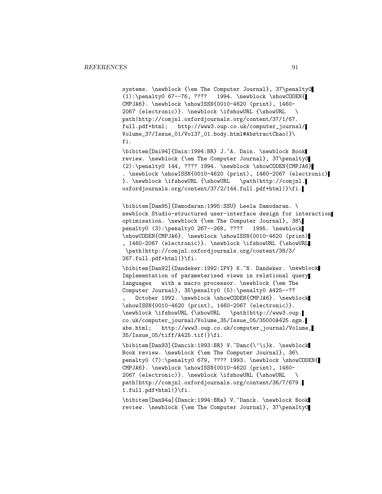systems. \newblock {\em The Computer Journal}, 37\penalty0 (1):\penalty0 67--76, ???? 1994. \newblock \showCODEN{ CMPJA6}. \newblock \showISSN{0010-4620 (print), 1460- 2067 (electronic)}. \newblock \ifshowURL {\showURL \ path|http://comjnl.oxfordjournals.org/content/37/1/67. full.pdf+html; http://www3.oup.co.uk/computer\_journal/ Volume\_37/Issue\_01/Vol37\_01.body.html#AbstractChao|}\ fi.

\bibitem[Dai94]{Dain:1994:BR} J.~A. Dain. \newblock Book review. \newblock {\em The Computer Journal}, 37\penalty0  $(2):\penalty0 144, ???? 1994. \newblock \showCODEN{CMDIA6}$ . \newblock \showISSN{0010-4620 (print), 1460-2067 (electronic) }. \newblock \ifshowURL {\showURL \path|http://comjnl. oxfordjournals.org/content/37/2/144.full.pdf+html|}\fi.

\bibitem[Dam95]{Damodaran:1995:SSU} Leela Damodaran. \ newblock Studio-structured user-interface design for interaction optimisation. \newblock {\em The Computer Journal}, 38\ penalty0 (3):\penalty0 267--268, ???? 1995. \newblock \showCODEN{CMPJA6}. \newblock \showISSN{0010-4620 (print) , 1460-2067 (electronic)}. \newblock \ifshowURL {\showURL \path|http://comjnl.oxfordjournals.org/content/38/3/ 267.full.pdf+html|}\fi.

\bibitem[Dan92]{Dandeker:1992:IPV} K.~N. Dandeker. \newblock Implementation of parameterised views in relational query languages with a macro processor. \newblock {\em The Computer Journal}, 35\penalty0 (5):\penalty0 A425--??

, October 1992. \newblock \showCODEN{CMPJA6}. \newblock \showISSN{0010-4620 (print), 1460-2067 (electronic)}. \newblock \ifshowURL {\showURL \path|http://www3.oup. co.uk/computer\_journal/Volume\_35/Issue\_05/35000A425.sgm. abs.html; http://www3.oup.co.uk/computer\_journal/Volume\_ 35/Issue\_05/tiff/A425.tif|}\fi.

\bibitem[Dan93]{Dancik:1993:BR} V.~Danc{\'\i}k. \newblock Book review. \newblock {\em The Computer Journal}, 36\ penalty0 (7):\penalty0 679, ???? 1993. \newblock \showCODEN{ CMPJA6}. \newblock \showISSN{0010-4620 (print), 1460- 2067 (electronic)}. \newblock \ifshowURL {\showURL path|http://comjnl.oxfordjournals.org/content/36/7/679. 1.full.pdf+html|}\fi.

\bibitem[Dan94a]{Danck:1994:BRa} V.~Danck. \newblock Book review. \newblock {\em The Computer Journal}, 37\penalty0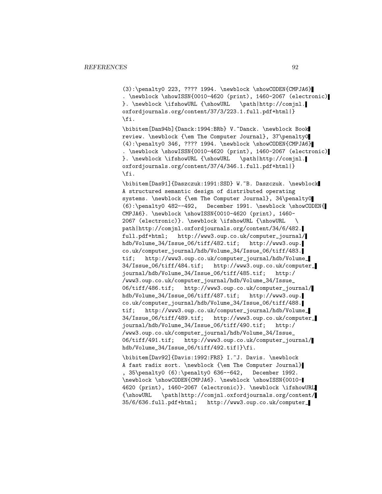(3):\penalty0 223, ???? 1994. \newblock \showCODEN{CMPJA6} . \newblock \showISSN{0010-4620 (print), 1460-2067 (electronic) }. \newblock \ifshowURL {\showURL \path|http://comjnl. oxfordjournals.org/content/37/3/223.1.full.pdf+html|} \fi.

\bibitem[Dan94b]{Danck:1994:BRb} V.~Danck. \newblock Book review. \newblock {\em The Computer Journal}, 37\penalty0 (4):\penalty0 346, ???? 1994. \newblock \showCODEN{CMPJA6} . \newblock \showISSN{0010-4620 (print), 1460-2067 (electronic) }. \newblock \ifshowURL {\showURL \path|http://comjnl. oxfordjournals.org/content/37/4/346.1.full.pdf+html|} \fi.

\bibitem[Das91]{Daszczuk:1991:SSD} W.~B. Daszczuk. \newblock A structured semantic design of distributed operating systems. \newblock {\em The Computer Journal}, 34\penalty0 (6):\penalty0 482--492, December 1991. \newblock \showCODEN{ CMPJA6}. \newblock \showISSN{0010-4620 (print), 1460- 2067 (electronic)}. \newblock \ifshowURL {\showURL \ path|http://comjnl.oxfordjournals.org/content/34/6/482. full.pdf+html; http://www3.oup.co.uk/computer\_journal/ hdb/Volume\_34/Issue\_06/tiff/482.tif; http://www3.oup. co.uk/computer\_journal/hdb/Volume\_34/Issue\_06/tiff/483. tif; http://www3.oup.co.uk/computer\_journal/hdb/Volume\_ 34/Issue\_06/tiff/484.tif; http://www3.oup.co.uk/computer\_ journal/hdb/Volume\_34/Issue\_06/tiff/485.tif; http:/ /www3.oup.co.uk/computer\_journal/hdb/Volume\_34/Issue\_ 06/tiff/486.tif; http://www3.oup.co.uk/computer\_journal/ hdb/Volume\_34/Issue\_06/tiff/487.tif; http://www3.oup. co.uk/computer\_journal/hdb/Volume\_34/Issue\_06/tiff/488. tif; http://www3.oup.co.uk/computer\_journal/hdb/Volume\_ 34/Issue\_06/tiff/489.tif; http://www3.oup.co.uk/computer\_ journal/hdb/Volume\_34/Issue\_06/tiff/490.tif; http:/ /www3.oup.co.uk/computer\_journal/hdb/Volume\_34/Issue\_ 06/tiff/491.tif; http://www3.oup.co.uk/computer\_journal/ hdb/Volume\_34/Issue\_06/tiff/492.tif|}\fi.

\bibitem[Dav92]{Davis:1992:FRS} I.~J. Davis. \newblock A fast radix sort. \newblock {\em The Computer Journal} , 35\penalty0 (6):\penalty0 636--642, December 1992. \newblock \showCODEN{CMPJA6}. \newblock \showISSN{0010- 4620 (print), 1460-2067 (electronic)}. \newblock \ifshowURL {\showURL \path|http://comjnl.oxfordjournals.org/content/ 35/6/636.full.pdf+html; http://www3.oup.co.uk/computer\_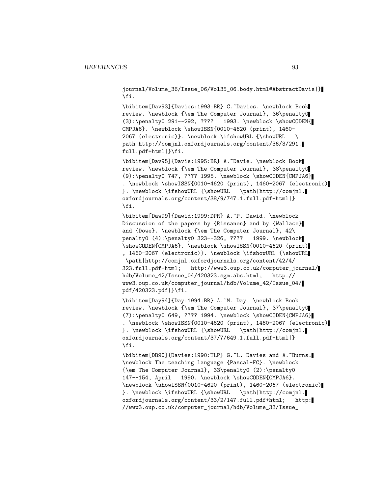journal/Volume\_36/Issue\_06/Vol35\_06.body.html#AbstractDavis|} \fi.

\bibitem[Dav93]{Davies:1993:BR} C.~Davies. \newblock Book review. \newblock {\em The Computer Journal}, 36\penalty0 (3):\penalty0 291--292, ???? 1993. \newblock \showCODEN{ CMPJA6}. \newblock \showISSN{0010-4620 (print), 1460- 2067 (electronic)}. \newblock \ifshowURL {\showURL \ path|http://comjnl.oxfordjournals.org/content/36/3/291. full.pdf+html|}\fi.

\bibitem[Dav95]{Davie:1995:BR} A.~Davie. \newblock Book review. \newblock {\em The Computer Journal}, 38\penalty0 (9):\penalty0 747, ???? 1995. \newblock \showCODEN{CMPJA6} . \newblock \showISSN{0010-4620 (print), 1460-2067 (electronic) }. \newblock \ifshowURL {\showURL \path|http://comjnl. oxfordjournals.org/content/38/9/747.1.full.pdf+html|} \fi.

\bibitem[Daw99]{Dawid:1999:DPR} A.~P. Dawid. \newblock Discussion of the papers by {Rissanen} and by {Wallace} and {Dowe}. \newblock {\em The Computer Journal}, 42\ penalty0 (4):\penalty0 323--326, ???? 1999. \newblock \showCODEN{CMPJA6}. \newblock \showISSN{0010-4620 (print) , 1460-2067 (electronic)}. \newblock \ifshowURL {\showURL \path|http://comjnl.oxfordjournals.org/content/42/4/ 323.full.pdf+html; http://www3.oup.co.uk/computer\_journal/ hdb/Volume\_42/Issue\_04/420323.sgm.abs.html; http:// www3.oup.co.uk/computer\_journal/hdb/Volume\_42/Issue\_04/ pdf/420323.pdf|}\fi.

\bibitem[Day94]{Day:1994:BR} A.~M. Day. \newblock Book review. \newblock {\em The Computer Journal}, 37\penalty0 (7):\penalty0 649, ???? 1994. \newblock \showCODEN{CMPJA6} . \newblock \showISSN{0010-4620 (print), 1460-2067 (electronic) }. \newblock \ifshowURL {\showURL \path|http://comjnl. oxfordjournals.org/content/37/7/649.1.full.pdf+html|} \fi.

\bibitem[DB90]{Davies:1990:TLP} G.~L. Davies and A.~Burns. \newblock The teaching language {Pascal-FC}. \newblock {\em The Computer Journal}, 33\penalty0 (2):\penalty0 147--154, April 1990. \newblock \showCODEN{CMPJA6}. \newblock \showISSN{0010-4620 (print), 1460-2067 (electronic) }. \newblock \ifshowURL {\showURL \path|http://comjnl. oxfordjournals.org/content/33/2/147.full.pdf+html; http: //www3.oup.co.uk/computer\_journal/hdb/Volume\_33/Issue\_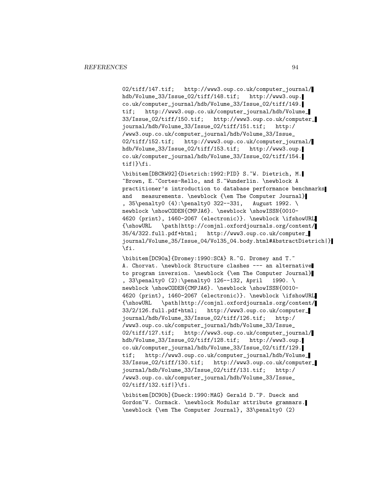02/tiff/147.tif; http://www3.oup.co.uk/computer\_journal/ hdb/Volume\_33/Issue\_02/tiff/148.tif; http://www3.oup. co.uk/computer\_journal/hdb/Volume\_33/Issue\_02/tiff/149. tif; http://www3.oup.co.uk/computer\_journal/hdb/Volume\_ 33/Issue\_02/tiff/150.tif; http://www3.oup.co.uk/computer\_ journal/hdb/Volume\_33/Issue\_02/tiff/151.tif; http:/ /www3.oup.co.uk/computer\_journal/hdb/Volume\_33/Issue\_ 02/tiff/152.tif; http://www3.oup.co.uk/computer\_journal/ hdb/Volume\_33/Issue\_02/tiff/153.tif; http://www3.oup. co.uk/computer\_journal/hdb/Volume\_33/Issue\_02/tiff/154. tif|}\fi.

\bibitem[DBCRW92]{Dietrich:1992:PID} S.~W. Dietrich, M. ~Brown, E.~Cortes-Rello, and S.~Wunderlin. \newblock A practitioner's introduction to database performance benchmarks and measurements. \newblock {\em The Computer Journal} , 35\penalty0 (4):\penalty0 322--331, August 1992. \ newblock \showCODEN{CMPJA6}. \newblock \showISSN{0010-4620 (print), 1460-2067 (electronic)}. \newblock \ifshowURL {\showURL \path|http://comjnl.oxfordjournals.org/content/ 35/4/322.full.pdf+html; http://www3.oup.co.uk/computer\_ journal/Volume\_35/Issue\_04/Vol35\_04.body.html#AbstractDietrich|} \fi.

\bibitem[DC90a]{Dromey:1990:SCA} R.~G. Dromey and T.~ A. Chorvat. \newblock Structure clashes --- an alternative to program inversion. \newblock {\em The Computer Journal} , 33\penalty0 (2):\penalty0 126--132, April 1990. \ newblock \showCODEN{CMPJA6}. \newblock \showISSN{0010-4620 (print), 1460-2067 (electronic)}. \newblock \ifshowURL {\showURL \path|http://comjnl.oxfordjournals.org/content/ 33/2/126.full.pdf+html; http://www3.oup.co.uk/computer\_ journal/hdb/Volume\_33/Issue\_02/tiff/126.tif; http:/ /www3.oup.co.uk/computer\_journal/hdb/Volume\_33/Issue\_ 02/tiff/127.tif; http://www3.oup.co.uk/computer\_journal/ hdb/Volume\_33/Issue\_02/tiff/128.tif; http://www3.oup. co.uk/computer\_journal/hdb/Volume\_33/Issue\_02/tiff/129. tif; http://www3.oup.co.uk/computer\_journal/hdb/Volume\_ 33/Issue\_02/tiff/130.tif; http://www3.oup.co.uk/computer\_ journal/hdb/Volume\_33/Issue\_02/tiff/131.tif; http:/ /www3.oup.co.uk/computer\_journal/hdb/Volume\_33/Issue\_ 02/tiff/132.tif|}\fi.

\bibitem[DC90b]{Dueck:1990:MAG} Gerald D.~P. Dueck and Gordon~V. Cormack. \newblock Modular attribute grammars. \newblock {\em The Computer Journal}, 33\penalty0 (2)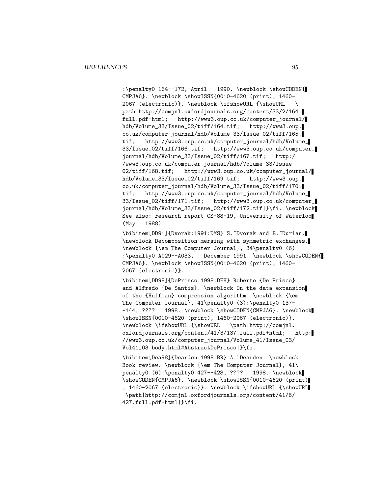:\penalty0 164--172, April 1990. \newblock \showCODEN{ CMPJA6}. \newblock \showISSN{0010-4620 (print), 1460- 2067 (electronic)}. \newblock \ifshowURL {\showURL \ path|http://comjnl.oxfordjournals.org/content/33/2/164. full.pdf+html; http://www3.oup.co.uk/computer\_journal/ hdb/Volume\_33/Issue\_02/tiff/164.tif; http://www3.oup. co.uk/computer\_journal/hdb/Volume\_33/Issue\_02/tiff/165. tif; http://www3.oup.co.uk/computer\_journal/hdb/Volume\_ 33/Issue\_02/tiff/166.tif; http://www3.oup.co.uk/computer\_ journal/hdb/Volume\_33/Issue\_02/tiff/167.tif; http:/ /www3.oup.co.uk/computer\_journal/hdb/Volume\_33/Issue\_ 02/tiff/168.tif; http://www3.oup.co.uk/computer\_journal/ hdb/Volume\_33/Issue\_02/tiff/169.tif; http://www3.oup. co.uk/computer\_journal/hdb/Volume\_33/Issue\_02/tiff/170. tif; http://www3.oup.co.uk/computer\_journal/hdb/Volume\_ 33/Issue\_02/tiff/171.tif; http://www3.oup.co.uk/computer\_ journal/hdb/Volume\_33/Issue\_02/tiff/172.tif|}\fi. \newblock See also: research report CS-88-19, University of Waterloo (May 1988).

\bibitem[DD91]{Dvorak:1991:DMS} S.~Dvorak and B.~Durian. \newblock Decomposition merging with symmetric exchanges. \newblock {\em The Computer Journal}, 34\penalty0 (6) :\penalty0 A029--A033, December 1991. \newblock \showCODEN{ CMPJA6}. \newblock \showISSN{0010-4620 (print), 1460- 2067 (electronic)}.

\bibitem[DD98]{DePrisco:1998:DEH} Roberto {De Prisco} and Alfredo {De Santis}. \newblock On the data expansion of the {Huffman} compression algorithm. \newblock {\em The Computer Journal}, 41\penalty0 (3):\penalty0 137- -144, ???? 1998. \newblock \showCODEN{CMPJA6}. \newblock \showISSN{0010-4620 (print), 1460-2067 (electronic)}. \newblock \ifshowURL {\showURL \path|http://comjnl. oxfordjournals.org/content/41/3/137.full.pdf+html; http: //www3.oup.co.uk/computer\_journal/Volume\_41/Issue\_03/ Vol41\_03.body.html#AbstractDePrisco|}\fi.

\bibitem[Dea98]{Dearden:1998:BR} A.~Dearden. \newblock Book review. \newblock {\em The Computer Journal}, 41\ penalty0 (6):\penalty0 427--428, ???? 1998. \newblock \showCODEN{CMPJA6}. \newblock \showISSN{0010-4620 (print) , 1460-2067 (electronic)}. \newblock \ifshowURL {\showURL \path|http://comjnl.oxfordjournals.org/content/41/6/ 427.full.pdf+html|}\fi.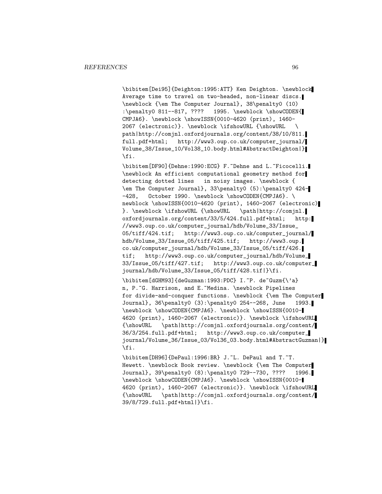\bibitem[Dei95]{Deighton:1995:ATT} Ken Deighton. \newblock Average time to travel on two-headed, non-linear discs. \newblock {\em The Computer Journal}, 38\penalty0 (10) :\penalty0 811--817, ???? 1995. \newblock \showCODEN{ CMPJA6}. \newblock \showISSN{0010-4620 (print), 1460- 2067 (electronic)}. \newblock \ifshowURL {\showURL \ path|http://comjnl.oxfordjournals.org/content/38/10/811. full.pdf+html; http://www3.oup.co.uk/computer\_journal/ Volume\_38/Issue\_10/Vol38\_10.body.html#AbstractDeighton|} \fi.

\bibitem[DF90]{Dehne:1990:ECG} F.~Dehne and L.~Ficocelli. \newblock An efficient computational geometry method for detecting dotted lines in noisy images. \newblock { \em The Computer Journal}, 33\penalty0 (5):\penalty0 424- -428, October 1990. \newblock \showCODEN{CMPJA6}. \ newblock \showISSN{0010-4620 (print), 1460-2067 (electronic) }. \newblock \ifshowURL {\showURL \path|http://comjnl. oxfordjournals.org/content/33/5/424.full.pdf+html; http: //www3.oup.co.uk/computer\_journal/hdb/Volume\_33/Issue\_ 05/tiff/424.tif; http://www3.oup.co.uk/computer\_journal/ hdb/Volume\_33/Issue\_05/tiff/425.tif; http://www3.oup. co.uk/computer\_journal/hdb/Volume\_33/Issue\_05/tiff/426. tif; http://www3.oup.co.uk/computer\_journal/hdb/Volume\_ 33/Issue\_05/tiff/427.tif; http://www3.oup.co.uk/computer\_ journal/hdb/Volume\_33/Issue\_05/tiff/428.tif|}\fi.

\bibitem[dGHM93]{deGuzman:1993:PDC} I.~P. de~Guzm{\'a} n, P.~G. Harrison, and E.~Medina. \newblock Pipelines for divide-and-conquer functions. \newblock {\em The Computer Journal}, 36\penalty0 (3):\penalty0 254--268, June 1993. \newblock \showCODEN{CMPJA6}. \newblock \showISSN{0010- 4620 (print), 1460-2067 (electronic)}. \newblock \ifshowURL {\showURL \path|http://comjnl.oxfordjournals.org/content/ 36/3/254.full.pdf+html; http://www3.oup.co.uk/computer\_ journal/Volume\_36/Issue\_03/Vol36\_03.body.html#AbstractGuzman|} \fi.

\bibitem[DH96]{DePaul:1996:BR} J.~L. DePaul and T.~T. Hewett. \newblock Book review. \newblock {\em The Computer Journal}, 39\penalty0 (8):\penalty0 729--730, ???? 1996. \newblock \showCODEN{CMPJA6}. \newblock \showISSN{0010- 4620 (print), 1460-2067 (electronic)}. \newblock \ifshowURL {\showURL \path|http://comjnl.oxfordjournals.org/content/ 39/8/729.full.pdf+html|}\fi.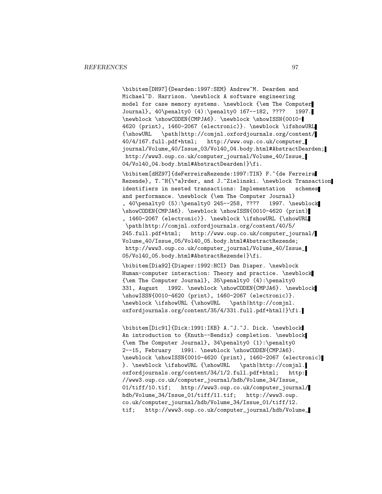\bibitem[DH97]{Dearden:1997:SEM} Andrew~M. Dearden and Michael~D. Harrison. \newblock A software engineering model for case memory systems. \newblock {\em The Computer Journal}, 40\penalty0 (4):\penalty0 167--182, ???? 1997. \newblock \showCODEN{CMPJA6}. \newblock \showISSN{0010- 4620 (print), 1460-2067 (electronic)}. \newblock \ifshowURL {\showURL \path|http://comjnl.oxfordjournals.org/content/ 40/4/167.full.pdf+html; http://www.oup.co.uk/computer\_ journal/Volume\_40/Issue\_03/Vol40\_04.body.html#AbstractDearden; http://www3.oup.co.uk/computer\_journal/Volume\_40/Issue\_ 04/Vol40\_04.body.html#AbstractDearden|}\fi.

\bibitem[dHZ97]{deFerreiraRezende:1997:TIN} F.~{de Ferreira Rezende}, T.~H{\"a}rder, and J.~Zielinski. \newblock Transaction identifiers in nested transactions: Implementation schemes and performance. \newblock {\em The Computer Journal} , 40\penalty0 (5):\penalty0 245--258, ???? 1997. \newblock \showCODEN{CMPJA6}. \newblock \showISSN{0010-4620 (print) , 1460-2067 (electronic)}. \newblock \ifshowURL {\showURL \path|http://comjnl.oxfordjournals.org/content/40/5/ 245.full.pdf+html; http://www.oup.co.uk/computer\_journal/ Volume\_40/Issue\_05/Vol40\_05.body.html#AbstractRezende; http://www3.oup.co.uk/computer\_journal/Volume\_40/Issue\_ 05/Vol40\_05.body.html#AbstractRezende|}\fi.

\bibitem[Dia92]{Diaper:1992:HCI} Dan Diaper. \newblock Human-computer interaction: Theory and practice. \newblock {\em The Computer Journal}, 35\penalty0 (4):\penalty0 331, August 1992. \newblock \showCODEN{CMPJA6}. \newblock \showISSN{0010-4620 (print), 1460-2067 (electronic)}. \newblock \ifshowURL {\showURL \path|http://comjnl. oxfordjournals.org/content/35/4/331.full.pdf+html|}\fi.

\bibitem[Dic91]{Dick:1991:IKB} A.~J.~J. Dick. \newblock An introduction to {Knuth--Bendix} completion. \newblock {\em The Computer Journal}, 34\penalty0 (1):\penalty0 2--15, February 1991. \newblock \showCODEN{CMPJA6}. \newblock \showISSN{0010-4620 (print), 1460-2067 (electronic) }. \newblock \ifshowURL {\showURL \path|http://comjnl. oxfordjournals.org/content/34/1/2.full.pdf+html; http: //www3.oup.co.uk/computer\_journal/hdb/Volume\_34/Issue\_ 01/tiff/10.tif; http://www3.oup.co.uk/computer\_journal/ hdb/Volume\_34/Issue\_01/tiff/11.tif; http://www3.oup. co.uk/computer\_journal/hdb/Volume\_34/Issue\_01/tiff/12. tif; http://www3.oup.co.uk/computer\_journal/hdb/Volume\_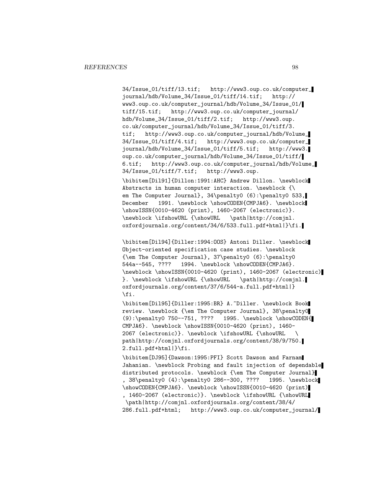34/Issue\_01/tiff/13.tif; http://www3.oup.co.uk/computer\_<br>journal/hdb/Volume\_34/Issue\_01/tiff/14.tif; http:// journal/hdb/Volume\_34/Issue\_01/tiff/14.tif; www3.oup.co.uk/computer\_journal/hdb/Volume\_34/Issue\_01/ tiff/15.tif; http://www3.oup.co.uk/computer\_journal/ hdb/Volume\_34/Issue\_01/tiff/2.tif; http://www3.oup. co.uk/computer\_journal/hdb/Volume\_34/Issue\_01/tiff/3. tif; http://www3.oup.co.uk/computer\_journal/hdb/Volume\_ 34/Issue\_01/tiff/4.tif; http://www3.oup.co.uk/computer\_ journal/hdb/Volume\_34/Issue\_01/tiff/5.tif; http://www3. oup.co.uk/computer\_journal/hdb/Volume\_34/Issue\_01/tiff/ 6.tif; http://www3.oup.co.uk/computer\_journal/hdb/Volume\_ 34/Issue\_01/tiff/7.tif; http://www3.oup.

\bibitem[Dil91]{Dillon:1991:AHC} Andrew Dillon. \newblock Abstracts in human computer interaction. \newblock {\ em The Computer Journal}, 34\penalty0 (6):\penalty0 533, December 1991. \newblock \showCODEN{CMPJA6}. \newblock \showISSN{0010-4620 (print), 1460-2067 (electronic)}. \newblock \ifshowURL {\showURL \path|http://comjnl. oxfordjournals.org/content/34/6/533.full.pdf+html|}\fi.

\bibitem[Dil94]{Diller:1994:OOS} Antoni Diller. \newblock Object-oriented specification case studies. \newblock {\em The Computer Journal}, 37\penalty0 (6):\penalty0 544a--545, ???? 1994. \newblock \showCODEN{CMPJA6}. \newblock \showISSN{0010-4620 (print), 1460-2067 (electronic) }. \newblock \ifshowURL {\showURL \path|http://comjnl. oxfordjournals.org/content/37/6/544-a.full.pdf+html|} \fi.

\bibitem[Dil95]{Diller:1995:BR} A.~Diller. \newblock Book review. \newblock {\em The Computer Journal}, 38\penalty0 (9):\penalty0 750--751, ???? 1995. \newblock \showCODEN{ CMPJA6}. \newblock \showISSN{0010-4620 (print), 1460- 2067 (electronic)}. \newblock \ifshowURL {\showURL \ path|http://comjnl.oxfordjournals.org/content/38/9/750. 2.full.pdf+html|}\fi.

\bibitem[DJ95]{Dawson:1995:PFI} Scott Dawson and Farnam Jahanian. \newblock Probing and fault injection of dependable distributed protocols. \newblock {\em The Computer Journal} , 38\penalty0 (4):\penalty0 286--300, ???? 1995. \newblock \showCODEN{CMPJA6}. \newblock \showISSN{0010-4620 (print) , 1460-2067 (electronic)}. \newblock \ifshowURL {\showURL \path|http://comjnl.oxfordjournals.org/content/38/4/ 286.full.pdf+html; http://www3.oup.co.uk/computer\_journal/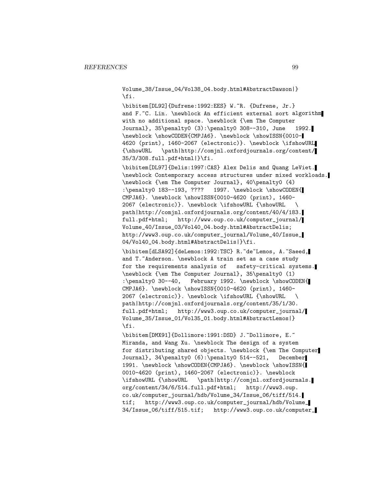Volume\_38/Issue\_04/Vol38\_04.body.html#AbstractDawson|} \fi.

\bibitem[DL92]{Dufrene:1992:EES} W.~R. {Dufrene, Jr.} and F.~C. Lin. \newblock An efficient external sort algorithm with no additional space. \newblock {\em The Computer Journal}, 35\penalty0 (3):\penalty0 308--310, June 1992. \newblock \showCODEN{CMPJA6}. \newblock \showISSN{0010- 4620 (print), 1460-2067 (electronic)}. \newblock \ifshowURL {\showURL \path|http://comjnl.oxfordjournals.org/content/ 35/3/308.full.pdf+html|}\fi.

\bibitem[DL97]{Delis:1997:CAS} Alex Delis and Quang LeViet. \newblock Contemporary access structures under mixed workloads. \newblock {\em The Computer Journal}, 40\penalty0 (4) :\penalty0 183--193, ???? 1997. \newblock \showCODEN{ CMPJA6}. \newblock \showISSN{0010-4620 (print), 1460- 2067 (electronic)}. \newblock \ifshowURL {\showURL \ path|http://comjnl.oxfordjournals.org/content/40/4/183. full.pdf+html; http://www.oup.co.uk/computer\_journal/ Volume\_40/Issue\_03/Vol40\_04.body.html#AbstractDelis; http://www3.oup.co.uk/computer\_journal/Volume\_40/Issue\_ 04/Vol40\_04.body.html#AbstractDelis|}\fi.

\bibitem[dLSA92]{deLemos:1992:TSC} R.~de~Lemos, A.~Saeed, and T. Anderson. \newblock A train set as a case study for the requirements analysis of safety-critical systems. \newblock {\em The Computer Journal}, 35\penalty0 (1) :\penalty0 30--40, February 1992. \newblock \showCODEN{ CMPJA6}. \newblock \showISSN{0010-4620 (print), 1460- 2067 (electronic)}. \newblock \ifshowURL {\showURL \ path|http://comjnl.oxfordjournals.org/content/35/1/30. full.pdf+html; http://www3.oup.co.uk/computer\_journal/ Volume\_35/Issue\_01/Vol35\_01.body.html#AbstractLemos|} \fi.

\bibitem[DMX91]{Dollimore:1991:DSD} J.~Dollimore, E.~ Miranda, and Wang Xu. \newblock The design of a system for distributing shared objects. \newblock {\em The Computer Journal}, 34\penalty0 (6):\penalty0 514--521, December 1991. \newblock \showCODEN{CMPJA6}. \newblock \showISSN{ 0010-4620 (print), 1460-2067 (electronic)}. \newblock \ifshowURL {\showURL \path|http://comjnl.oxfordjournals. org/content/34/6/514.full.pdf+html; http://www3.oup. co.uk/computer\_journal/hdb/Volume\_34/Issue\_06/tiff/514. tif; http://www3.oup.co.uk/computer\_journal/hdb/Volume\_ 34/Issue\_06/tiff/515.tif; http://www3.oup.co.uk/computer\_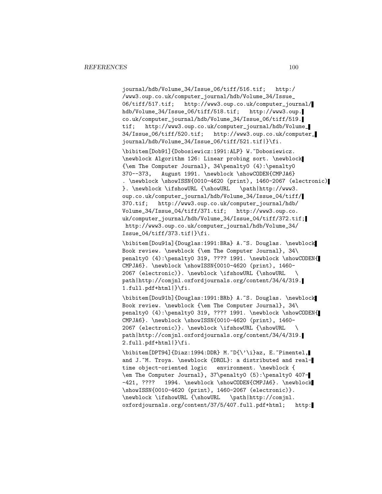journal/hdb/Volume\_34/Issue\_06/tiff/516.tif; http:/ /www3.oup.co.uk/computer\_journal/hdb/Volume\_34/Issue\_ 06/tiff/517.tif; http://www3.oup.co.uk/computer\_journal/ hdb/Volume\_34/Issue\_06/tiff/518.tif; http://www3.oup. co.uk/computer\_journal/hdb/Volume\_34/Issue\_06/tiff/519. tif; http://www3.oup.co.uk/computer\_journal/hdb/Volume\_ 34/Issue\_06/tiff/520.tif; http://www3.oup.co.uk/computer\_ journal/hdb/Volume\_34/Issue\_06/tiff/521.tif|}\fi.

\bibitem[Dob91]{Dobosiewicz:1991:ALP} W.~Dobosiewicz. \newblock Algorithm 126: Linear probing sort. \newblock {\em The Computer Journal}, 34\penalty0 (4):\penalty0 370--373, August 1991. \newblock \showCODEN{CMPJA6} . \newblock \showISSN{0010-4620 (print), 1460-2067 (electronic) }. \newblock \ifshowURL {\showURL \path|http://www3. oup.co.uk/computer\_journal/hdb/Volume\_34/Issue\_04/tiff/ 370.tif; http://www3.oup.co.uk/computer\_journal/hdb/ Volume\_34/Issue\_04/tiff/371.tif; http://www3.oup.co. uk/computer\_journal/hdb/Volume\_34/Issue\_04/tiff/372.tif; http://www3.oup.co.uk/computer\_journal/hdb/Volume\_34/ Issue\_04/tiff/373.tif|}\fi.

\bibitem[Dou91a]{Douglas:1991:BRa} A.~S. Douglas. \newblock Book review. \newblock {\em The Computer Journal}, 34\ penalty0 (4):\penalty0 319, ???? 1991. \newblock \showCODEN{ CMPJA6}. \newblock \showISSN{0010-4620 (print), 1460- 2067 (electronic)}. \newblock \ifshowURL {\showURL \ path|http://comjnl.oxfordjournals.org/content/34/4/319. 1.full.pdf+html|}\fi.

\bibitem[Dou91b]{Douglas:1991:BRb} A.~S. Douglas. \newblock Book review. \newblock {\em The Computer Journal}, 34\ penalty0 (4):\penalty0 319, ???? 1991. \newblock \showCODEN{ CMPJA6}. \newblock \showISSN{0010-4620 (print), 1460- 2067 (electronic)}. \newblock \ifshowURL {\showURL \ path|http://comjnl.oxfordjournals.org/content/34/4/319. 2.full.pdf+html|}\fi.

\bibitem[DPT94]{Diaz:1994:DDR} M.~D{\'\i}az, E.~Pimentel, and J.~M. Troya. \newblock {DROL}: a distributed and realtime object-oriented logic environment. \newblock { \em The Computer Journal}, 37\penalty0 (5):\penalty0 407- -421, ???? 1994. \newblock \showCODEN{CMPJA6}. \newblock \showISSN{0010-4620 (print), 1460-2067 (electronic)}. \newblock \ifshowURL {\showURL \path|http://comjnl. oxfordjournals.org/content/37/5/407.full.pdf+html; http: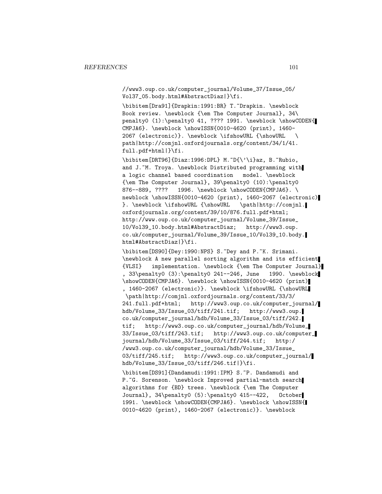//www3.oup.co.uk/computer\_journal/Volume\_37/Issue\_05/ Vol37\_05.body.html#AbstractDiaz|}\fi.

\bibitem[Dra91]{Drapkin:1991:BR} T.~Drapkin. \newblock Book review. \newblock {\em The Computer Journal}, 34\ penalty0 (1):\penalty0 41, ???? 1991. \newblock \showCODEN{ CMPJA6}. \newblock \showISSN{0010-4620 (print), 1460- 2067 (electronic)}. \newblock \ifshowURL {\showURL \ path|http://comjnl.oxfordjournals.org/content/34/1/41. full.pdf+html|}\fi.

\bibitem[DRT96]{Diaz:1996:DPL} M.~D{\'\i}az, B.~Rubio, and J.~M. Troya. \newblock Distributed programming with a logic channel based coordination model. \newblock {\em The Computer Journal}, 39\penalty0 (10):\penalty0 876--889, ???? 1996. \newblock \showCODEN{CMPJA6}. \ newblock \showISSN{0010-4620 (print), 1460-2067 (electronic) }. \newblock \ifshowURL {\showURL \path|http://comjnl. oxfordjournals.org/content/39/10/876.full.pdf+html; http://www.oup.co.uk/computer\_journal/Volume\_39/Issue\_ 10/Vol39\_10.body.html#AbstractDiaz; http://www3.oup. co.uk/computer\_journal/Volume\_39/Issue\_10/Vol39\_10.body. html#AbstractDiaz|}\fi.

\bibitem[DS90]{Dey:1990:NPS} S.~Dey and P.~K. Srimani. \newblock A new parallel sorting algorithm and its efficient {VLSI} implementation. \newblock {\em The Computer Journal} , 33\penalty0 (3):\penalty0 241--246, June 1990. \newblock \showCODEN{CMPJA6}. \newblock \showISSN{0010-4620 (print) , 1460-2067 (electronic)}. \newblock \ifshowURL {\showURL \path|http://comjnl.oxfordjournals.org/content/33/3/ 241.full.pdf+html; http://www3.oup.co.uk/computer\_journal/ hdb/Volume\_33/Issue\_03/tiff/241.tif; http://www3.oup. co.uk/computer\_journal/hdb/Volume\_33/Issue\_03/tiff/242. tif; http://www3.oup.co.uk/computer\_journal/hdb/Volume\_ 33/Issue\_03/tiff/243.tif; http://www3.oup.co.uk/computer\_ journal/hdb/Volume\_33/Issue\_03/tiff/244.tif; http:/ /www3.oup.co.uk/computer\_journal/hdb/Volume\_33/Issue\_ 03/tiff/245.tif; http://www3.oup.co.uk/computer\_journal/ hdb/Volume\_33/Issue\_03/tiff/246.tif|}\fi.

\bibitem[DS91]{Dandamudi:1991:IPM} S.~P. Dandamudi and P.~G. Sorenson. \newblock Improved partial-match search algorithms for {BD} trees. \newblock {\em The Computer Journal}, 34\penalty0 (5):\penalty0 415--422, October 1991. \newblock \showCODEN{CMPJA6}. \newblock \showISSN{ 0010-4620 (print), 1460-2067 (electronic)}. \newblock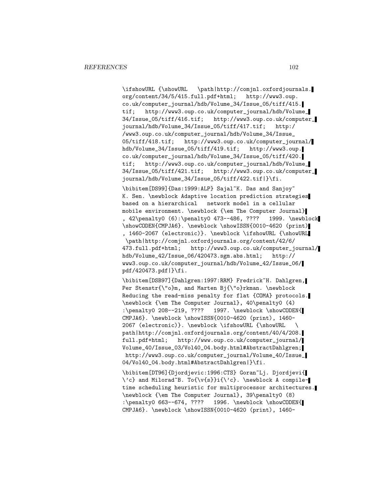\ifshowURL {\showURL \path|http://comjnl.oxfordjournals. org/content/34/5/415.full.pdf+html; http://www3.oup. co.uk/computer\_journal/hdb/Volume\_34/Issue\_05/tiff/415. tif; http://www3.oup.co.uk/computer\_journal/hdb/Volume\_ 34/Issue\_05/tiff/416.tif; http://www3.oup.co.uk/computer\_ journal/hdb/Volume\_34/Issue\_05/tiff/417.tif; http:/ /www3.oup.co.uk/computer\_journal/hdb/Volume\_34/Issue\_ 05/tiff/418.tif; http://www3.oup.co.uk/computer\_journal/ hdb/Volume\_34/Issue\_05/tiff/419.tif; http://www3.oup. co.uk/computer\_journal/hdb/Volume\_34/Issue\_05/tiff/420. tif; http://www3.oup.co.uk/computer\_journal/hdb/Volume\_ 34/Issue\_05/tiff/421.tif; http://www3.oup.co.uk/computer\_ journal/hdb/Volume\_34/Issue\_05/tiff/422.tif|}\fi.

\bibitem[DS99]{Das:1999:ALP} Sajal~K. Das and Sanjoy~ K. Sen. \newblock Adaptive location prediction strategies based on a hierarchical network model in a cellular mobile environment. \newblock {\em The Computer Journal} , 42\penalty0 (6):\penalty0 473--486, ???? 1999. \newblock \showCODEN{CMPJA6}. \newblock \showISSN{0010-4620 (print) , 1460-2067 (electronic)}. \newblock \ifshowURL {\showURL \path|http://comjnl.oxfordjournals.org/content/42/6/ 473.full.pdf+html; http://www3.oup.co.uk/computer\_journal/ hdb/Volume\_42/Issue\_06/420473.sgm.abs.html; http:// www3.oup.co.uk/computer\_journal/hdb/Volume\_42/Issue\_06/ pdf/420473.pdf|}\fi.

\bibitem[DSB97]{Dahlgren:1997:RRM} Fredrick~H. Dahlgren, Per Stenstr{\"o}m, and Marten Bj{\"o}rkman. \newblock Reducing the read-miss penalty for flat {COMA} protocols. \newblock {\em The Computer Journal}, 40\penalty0 (4) :\penalty0 208--219, ???? 1997. \newblock \showCODEN{ CMPJA6}. \newblock \showISSN{0010-4620 (print), 1460- 2067 (electronic)}. \newblock \ifshowURL {\showURL \ path|http://comjnl.oxfordjournals.org/content/40/4/208. full.pdf+html; http://www.oup.co.uk/computer\_journal/ Volume\_40/Issue\_03/Vol40\_04.body.html#AbstractDahlgren; http://www3.oup.co.uk/computer\_journal/Volume\_40/Issue\_ 04/Vol40\_04.body.html#AbstractDahlgren|}\fi.

\bibitem[DT96]{Djordjevic:1996:CTS} Goran~Lj. Djordjevi{ \'c} and Milorad~B. To{\v{s}}i{\'c}. \newblock A compiletime scheduling heuristic for multiprocessor architectures. \newblock {\em The Computer Journal}, 39\penalty0 (8) :\penalty0 663--674, ???? 1996. \newblock \showCODEN{ CMPJA6}. \newblock \showISSN{0010-4620 (print), 1460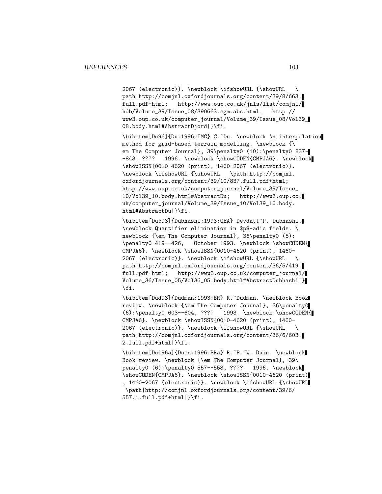2067 (electronic)}. \newblock \ifshowURL {\showURL \ path|http://comjnl.oxfordjournals.org/content/39/8/663. full.pdf+html; http://www.oup.co.uk/jnls/list/comjnl/ hdb/Volume\_39/Issue\_08/390663.sgm.abs.html; http:// www3.oup.co.uk/computer\_journal/Volume\_39/Issue\_08/Vol39\_ 08.body.html#AbstractDjord|}\fi.

\bibitem[Du96]{Du:1996:IMG} C.~Du. \newblock An interpolation method for grid-based terrain modelling. \newblock {\ em The Computer Journal}, 39\penalty0 (10):\penalty0 837--843, ???? 1996. \newblock \showCODEN{CMPJA6}. \newblock \showISSN{0010-4620 (print), 1460-2067 (electronic)}. \newblock \ifshowURL {\showURL \path|http://comjnl. oxfordjournals.org/content/39/10/837.full.pdf+html; http://www.oup.co.uk/computer\_journal/Volume\_39/Issue\_ 10/Vol39\_10.body.html#AbstractDu; http://www3.oup.co. uk/computer\_journal/Volume\_39/Issue\_10/Vol39\_10.body. html#AbstractDu|}\fi.

\bibitem[Dub93]{Dubhashi:1993:QEA} Devdatt~P. Dubhashi. \newblock Quantifier elimination in \$p\$-adic fields. \ newblock {\em The Computer Journal}, 36\penalty0 (5): \penalty0 419--426, October 1993. \newblock \showCODEN{ CMPJA6}. \newblock \showISSN{0010-4620 (print), 1460- 2067 (electronic)}. \newblock \ifshowURL {\showURL \ path|http://comjnl.oxfordjournals.org/content/36/5/419. full.pdf+html; http://www3.oup.co.uk/computer\_journal/ Volume\_36/Issue\_05/Vol36\_05.body.html#AbstractDubhashi|} \fi.

\bibitem[Dud93]{Dudman:1993:BR} K.~Dudman. \newblock Book review. \newblock {\em The Computer Journal}, 36\penalty0 (6):\penalty0 603--604, ???? 1993. \newblock \showCODEN{ CMPJA6}. \newblock \showISSN{0010-4620 (print), 1460- 2067 (electronic)}. \newblock \ifshowURL {\showURL \ path|http://comjnl.oxfordjournals.org/content/36/6/603. 2.full.pdf+html|}\fi.

\bibitem[Dui96a]{Duin:1996:BRa} R.~P.~W. Duin. \newblock Book review. \newblock {\em The Computer Journal}, 39\ penalty0 (6):\penalty0 557--558, ???? 1996. \newblock \showCODEN{CMPJA6}. \newblock \showISSN{0010-4620 (print) , 1460-2067 (electronic)}. \newblock \ifshowURL {\showURL \path|http://comjnl.oxfordjournals.org/content/39/6/ 557.1.full.pdf+html|}\fi.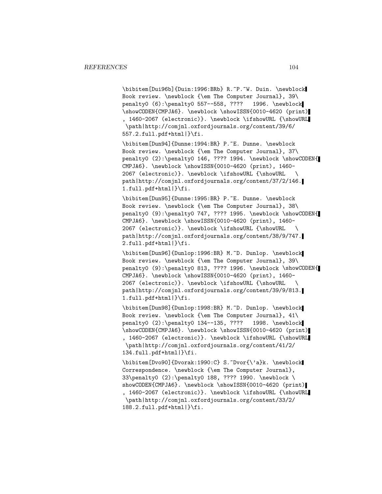\bibitem[Dui96b]{Duin:1996:BRb} R.~P.~W. Duin. \newblock Book review. \newblock {\em The Computer Journal}, 39\ penalty0 (6):\penalty0 557--558, ???? 1996. \newblock \showCODEN{CMPJA6}. \newblock \showISSN{0010-4620 (print) , 1460-2067 (electronic)}. \newblock \ifshowURL {\showURL \path|http://comjnl.oxfordjournals.org/content/39/6/ 557.2.full.pdf+html|}\fi.

\bibitem[Dun94]{Dunne:1994:BR} P.~E. Dunne. \newblock Book review. \newblock {\em The Computer Journal}, 37\ penalty0 (2):\penalty0 146, ???? 1994. \newblock \showCODEN{ CMPJA6}. \newblock \showISSN{0010-4620 (print), 1460- 2067 (electronic)}. \newblock \ifshowURL {\showURL \ path|http://comjnl.oxfordjournals.org/content/37/2/146. 1.full.pdf+html|}\fi.

\bibitem[Dun95]{Dunne:1995:BR} P.~E. Dunne. \newblock Book review. \newblock {\em The Computer Journal}, 38\ penalty0 (9):\penalty0 747, ???? 1995. \newblock \showCODEN{ CMPJA6}. \newblock \showISSN{0010-4620 (print), 1460- 2067 (electronic)}. \newblock \ifshowURL {\showURL \ path|http://comjnl.oxfordjournals.org/content/38/9/747. 2.full.pdf+html|}\fi.

\bibitem[Dun96]{Dunlop:1996:BR} M.~D. Dunlop. \newblock Book review. \newblock {\em The Computer Journal}, 39\ penalty0 (9):\penalty0 813, ???? 1996. \newblock \showCODEN{ CMPJA6}. \newblock \showISSN{0010-4620 (print), 1460- 2067 (electronic)}. \newblock \ifshowURL {\showURL \ path|http://comjnl.oxfordjournals.org/content/39/9/813. 1.full.pdf+html|}\fi.

\bibitem[Dun98]{Dunlop:1998:BR} M.~D. Dunlop. \newblock Book review. \newblock {\em The Computer Journal}, 41\ penalty0 (2):\penalty0 134--135, ???? 1998. \newblock \showCODEN{CMPJA6}. \newblock \showISSN{0010-4620 (print) , 1460-2067 (electronic)}. \newblock \ifshowURL {\showURL \path|http://comjnl.oxfordjournals.org/content/41/2/ 134.full.pdf+html|}\fi.

\bibitem[Dvo90]{Dvorak:1990:C} S.~Dvor{\'a}k. \newblock Correspondence. \newblock {\em The Computer Journal}, 33\penalty0 (2):\penalty0 188, ???? 1990. \newblock \ showCODEN{CMPJA6}. \newblock \showISSN{0010-4620 (print) , 1460-2067 (electronic)}. \newblock \ifshowURL {\showURL \path|http://comjnl.oxfordjournals.org/content/33/2/ 188.2.full.pdf+html|}\fi.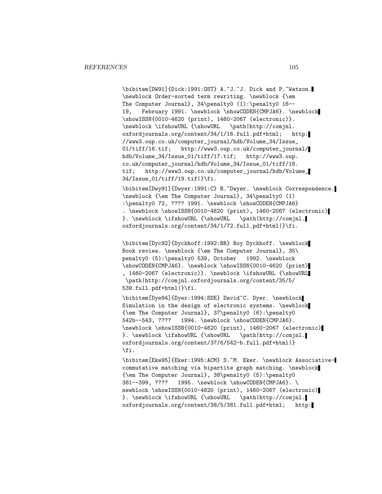\bibitem[DW91]{Dick:1991:OST} A.~J.~J. Dick and P.~Watson. \newblock Order-sorted term rewriting. \newblock {\em The Computer Journal}, 34\penalty0 (1):\penalty0 16-- 19, February 1991. \newblock \showCODEN{CMPJA6}. \newblock \showISSN{0010-4620 (print), 1460-2067 (electronic)}. \newblock \ifshowURL {\showURL \path|http://comjnl. oxfordjournals.org/content/34/1/16.full.pdf+html; http: //www3.oup.co.uk/computer\_journal/hdb/Volume\_34/Issue\_ 01/tiff/16.tif; http://www3.oup.co.uk/computer\_journal/ hdb/Volume\_34/Issue\_01/tiff/17.tif; http://www3.oup. co.uk/computer\_journal/hdb/Volume\_34/Issue\_01/tiff/18. tif; http://www3.oup.co.uk/computer\_journal/hdb/Volume\_ 34/Issue\_01/tiff/19.tif|}\fi.

\bibitem[Dwy91]{Dwyer:1991:C} B.~Dwyer. \newblock Correspondence. \newblock {\em The Computer Journal}, 34\penalty0 (1) :\penalty0 72, ???? 1991. \newblock \showCODEN{CMPJA6} . \newblock \showISSN{0010-4620 (print), 1460-2067 (electronic) }. \newblock \ifshowURL {\showURL \path|http://comjnl. oxfordjournals.org/content/34/1/72.full.pdf+html|}\fi.

\bibitem[Dyc92]{Dyckhoff:1992:BR} Roy Dyckhoff. \newblock Book review. \newblock {\em The Computer Journal}, 35\ penalty0 (5):\penalty0 539, October 1992. \newblock \showCODEN{CMPJA6}. \newblock \showISSN{0010-4620 (print) , 1460-2067 (electronic)}. \newblock \ifshowURL {\showURL \path|http://comjnl.oxfordjournals.org/content/35/5/ 539.full.pdf+html|}\fi.

\bibitem[Dye94]{Dyer:1994:SDE} David~C. Dyer. \newblock Simulation in the design of electronic systems. \newblock {\em The Computer Journal}, 37\penalty0 (6):\penalty0 542b--543, ???? 1994. \newblock \showCODEN{CMPJA6}. \newblock \showISSN{0010-4620 (print), 1460-2067 (electronic) }. \newblock \ifshowURL {\showURL \path|http://comjnl. oxfordjournals.org/content/37/6/542-b.full.pdf+html|} \fi.

\bibitem[Eke95]{Eker:1995:ACM} S.~M. Eker. \newblock Associativecommutative matching via bipartite graph matching. \newblock {\em The Computer Journal}, 38\penalty0 (5):\penalty0 381--399, ???? 1995. \newblock \showCODEN{CMPJA6}. \ newblock \showISSN{0010-4620 (print), 1460-2067 (electronic) }. \newblock \ifshowURL {\showURL \path|http://comjnl. oxfordjournals.org/content/38/5/381.full.pdf+html; http: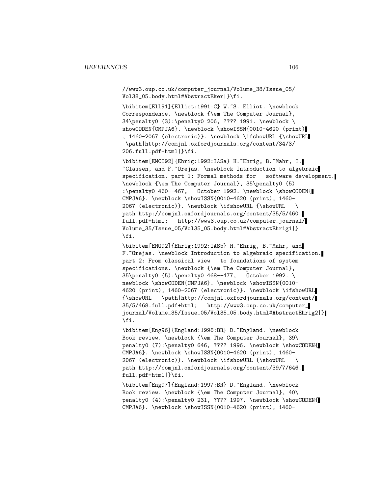//www3.oup.co.uk/computer\_journal/Volume\_38/Issue\_05/ Vol38\_05.body.html#AbstractEker|}\fi.

\bibitem[Ell91]{Elliot:1991:C} W.~S. Elliot. \newblock Correspondence. \newblock {\em The Computer Journal}, 34\penalty0 (3):\penalty0 206, ???? 1991. \newblock \ showCODEN{CMPJA6}. \newblock \showISSN{0010-4620 (print) , 1460-2067 (electronic)}. \newblock \ifshowURL {\showURL \path|http://comjnl.oxfordjournals.org/content/34/3/ 206.full.pdf+html|}\fi.

\bibitem[EMCO92]{Ehrig:1992:IASa} H.~Ehrig, B.~Mahr, I. ~Classen, and F.~Orejas. \newblock Introduction to algebraic specification. part 1: Formal methods for software development. \newblock {\em The Computer Journal}, 35\penalty0 (5) :\penalty0 460--467, October 1992. \newblock \showCODEN{ CMPJA6}. \newblock \showISSN{0010-4620 (print), 1460- 2067 (electronic)}. \newblock \ifshowURL {\showURL \ path|http://comjnl.oxfordjournals.org/content/35/5/460. full.pdf+html; http://www3.oup.co.uk/computer\_journal/ Volume\_35/Issue\_05/Vol35\_05.body.html#AbstractEhrig1|} \fi.

\bibitem[EMO92]{Ehrig:1992:IASb} H.~Ehrig, B.~Mahr, and F. "Orejas. \newblock Introduction to algebraic specification. part 2: From classical view to foundations of system specifications. \newblock {\em The Computer Journal}, 35\penalty0 (5):\penalty0 468--477, October 1992. \ newblock \showCODEN{CMPJA6}. \newblock \showISSN{0010-4620 (print), 1460-2067 (electronic)}. \newblock \ifshowURL {\showURL \path|http://comjnl.oxfordjournals.org/content/ 35/5/468.full.pdf+html; http://www3.oup.co.uk/computer\_ journal/Volume\_35/Issue\_05/Vol35\_05.body.html#AbstractEhrig2|} \fi.

\bibitem[Eng96]{England:1996:BR} D.~England. \newblock Book review. \newblock {\em The Computer Journal}, 39\ penalty0 (7):\penalty0 646, ???? 1996. \newblock \showCODEN{ CMPJA6}. \newblock \showISSN{0010-4620 (print), 1460- 2067 (electronic)}. \newblock \ifshowURL {\showURL \ path|http://comjnl.oxfordjournals.org/content/39/7/646. full.pdf+html|}\fi.

\bibitem[Eng97]{England:1997:BR} D.~England. \newblock Book review. \newblock {\em The Computer Journal}, 40\ penalty0 (4):\penalty0 231, ???? 1997. \newblock \showCODEN{ CMPJA6}. \newblock \showISSN{0010-4620 (print), 1460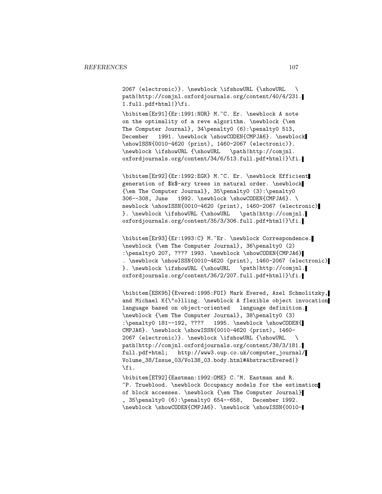2067 (electronic)}. \newblock \ifshowURL {\showURL \ path|http://comjnl.oxfordjournals.org/content/40/4/231. 1.full.pdf+html|}\fi.

\bibitem[Er91]{Er:1991:NOR} M.~C. Er. \newblock A note on the optimality of a reve algorithm. \newblock {\em The Computer Journal}, 34\penalty0 (6):\penalty0 513, December 1991. \newblock \showCODEN{CMPJA6}. \newblock \showISSN{0010-4620 (print), 1460-2067 (electronic)}. \newblock \ifshowURL {\showURL \path|http://comjnl. oxfordjournals.org/content/34/6/513.full.pdf+html|}\fi.

\bibitem[Er92]{Er:1992:EGK} M.~C. Er. \newblock Efficient generation of \$k\$-ary trees in natural order. \newblock {\em The Computer Journal}, 35\penalty0 (3):\penalty0 306--308, June 1992. \newblock \showCODEN{CMPJA6}. \ newblock \showISSN{0010-4620 (print), 1460-2067 (electronic) }. \newblock \ifshowURL {\showURL \path|http://comjnl. oxfordjournals.org/content/35/3/306.full.pdf+html|}\fi.

\bibitem[Er93]{Er:1993:C} M.~Er. \newblock Correspondence. \newblock {\em The Computer Journal}, 36\penalty0 (2) :\penalty0 207, ???? 1993. \newblock \showCODEN{CMPJA6} . \newblock \showISSN{0010-4620 (print), 1460-2067 (electronic) }. \newblock \ifshowURL {\showURL \path|http://comjnl. oxfordjournals.org/content/36/2/207.full.pdf+html|}\fi.

\bibitem[ESK95]{Evered:1995:FOI} Mark Evered, Axel Schmolitzky, and Michael K{\"o}lling. \newblock A flexible object invocation language based on object-oriented language definition. \newblock {\em The Computer Journal}, 38\penalty0 (3) :\penalty0 181--192, ???? 1995. \newblock \showCODEN{ CMPJA6}. \newblock \showISSN{0010-4620 (print), 1460- 2067 (electronic)}. \newblock \ifshowURL {\showURL \ path|http://comjnl.oxfordjournals.org/content/38/3/181. full.pdf+html; http://www3.oup.co.uk/computer\_journal/ Volume\_38/Issue\_03/Vol38\_03.body.html#AbstractEvered|} \fi.

\bibitem[ET92]{Eastman:1992:OME} C.~M. Eastman and R. ~P. Trueblood. \newblock Occupancy models for the estimation of block accesses. \newblock {\em The Computer Journal} , 35\penalty0 (6):\penalty0 654--658, December 1992. \newblock \showCODEN{CMPJA6}. \newblock \showISSN{0010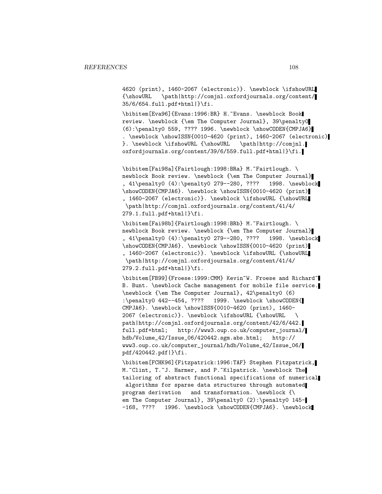4620 (print), 1460-2067 (electronic)}. \newblock \ifshowURL {\showURL \path|http://comjnl.oxfordjournals.org/content/ 35/6/654.full.pdf+html|}\fi.

\bibitem[Eva96]{Evans:1996:BR} H.~Evans. \newblock Book review. \newblock {\em The Computer Journal}, 39\penalty0 (6):\penalty0 559, ???? 1996. \newblock \showCODEN{CMPJA6} . \newblock \showISSN{0010-4620 (print), 1460-2067 (electronic) }. \newblock \ifshowURL {\showURL \path|http://comjnl. oxfordjournals.org/content/39/6/559.full.pdf+html|}\fi.

\bibitem[Fai98a]{Fairtlough:1998:BRa} M.~Fairtlough. \ newblock Book review. \newblock {\em The Computer Journal} , 41\penalty0 (4):\penalty0 279--280, ???? 1998. \newblock \showCODEN{CMPJA6}. \newblock \showISSN{0010-4620 (print) , 1460-2067 (electronic)}. \newblock \ifshowURL {\showURL \path|http://comjnl.oxfordjournals.org/content/41/4/ 279.1.full.pdf+html|}\fi.

\bibitem[Fai98b]{Fairtlough:1998:BRb} M.~Fairtlough. \ newblock Book review. \newblock {\em The Computer Journal} , 41\penalty0 (4):\penalty0 279--280, ???? 1998. \newblock \showCODEN{CMPJA6}. \newblock \showISSN{0010-4620 (print) , 1460-2067 (electronic)}. \newblock \ifshowURL {\showURL \path|http://comjnl.oxfordjournals.org/content/41/4/ 279.2.full.pdf+html|}\fi.

\bibitem[FB99]{Froese:1999:CMM} Kevin~W. Froese and Richard~ B. Bunt. \newblock Cache management for mobile file service. \newblock {\em The Computer Journal}, 42\penalty0 (6) :\penalty0 442--454, ???? 1999. \newblock \showCODEN{ CMPJA6}. \newblock \showISSN{0010-4620 (print), 1460- 2067 (electronic)}. \newblock \ifshowURL {\showURL \ path|http://comjnl.oxfordjournals.org/content/42/6/442. full.pdf+html; http://www3.oup.co.uk/computer\_journal/ hdb/Volume\_42/Issue\_06/420442.sgm.abs.html; http:// www3.oup.co.uk/computer\_journal/hdb/Volume\_42/Issue\_06/ pdf/420442.pdf|}\fi.

\bibitem[FCHK96]{Fitzpatrick:1996:TAF} Stephen Fitzpatrick, M. "Clint, T. "J. Harmer, and P. "Kilpatrick. \newblock The tailoring of abstract functional specifications of numerical algorithms for sparse data structures through automated program derivation and transformation. \newblock {\ em The Computer Journal}, 39\penalty0 (2):\penalty0 145--168, ???? 1996. \newblock \showCODEN{CMPJA6}. \newblock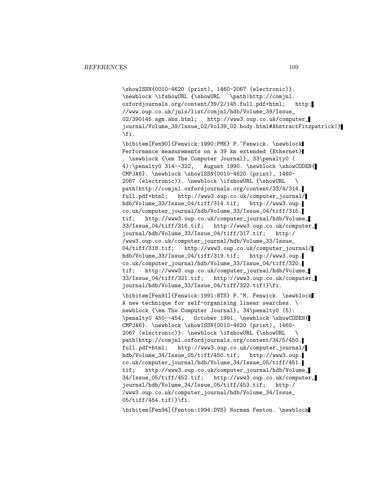\showISSN{0010-4620 (print), 1460-2067 (electronic)}. \newblock \ifshowURL {\showURL \path|http://comjnl. oxfordjournals.org/content/39/2/145.full.pdf+html; http: //www.oup.co.uk/jnls/list/comjnl/hdb/Volume\_39/Issue\_ 02/390145.sgm.abs.html; http://www3.oup.co.uk/computer\_ journal/Volume\_39/Issue\_02/Vol39\_02.body.html#AbstractFitzpatrick|} \fi.

\bibitem[Fen90]{Fenwick:1990:PMK} P.~Fenwick. \newblock Performance measurements on a 39 km extended {Ethernet} . \newblock {\em The Computer Journal}, 33\penalty0 ( 4):\penalty0 314--322, August 1990. \newblock \showCODEN{ CMPJA6}. \newblock \showISSN{0010-4620 (print), 1460- 2067 (electronic)}. \newblock \ifshowURL {\showURL \ path|http://comjnl.oxfordjournals.org/content/33/4/314. full.pdf+html; http://www3.oup.co.uk/computer\_journal/ hdb/Volume\_33/Issue\_04/tiff/314.tif; http://www3.oup. co.uk/computer\_journal/hdb/Volume\_33/Issue\_04/tiff/315. tif; http://www3.oup.co.uk/computer\_journal/hdb/Volume\_ 33/Issue\_04/tiff/316.tif; http://www3.oup.co.uk/computer\_ journal/hdb/Volume\_33/Issue\_04/tiff/317.tif; http:/ /www3.oup.co.uk/computer\_journal/hdb/Volume\_33/Issue\_ 04/tiff/318.tif; http://www3.oup.co.uk/computer\_journal/ hdb/Volume\_33/Issue\_04/tiff/319.tif; http://www3.oup. co.uk/computer\_journal/hdb/Volume\_33/Issue\_04/tiff/320. tif; http://www3.oup.co.uk/computer\_journal/hdb/Volume\_ 33/Issue\_04/tiff/321.tif; http://www3.oup.co.uk/computer\_ journal/hdb/Volume\_33/Issue\_04/tiff/322.tif|}\fi.

\bibitem[Fen91]{Fenwick:1991:NTS} P.~M. Fenwick. \newblock A new technique for self-organising linear searches. \ newblock {\em The Computer Journal}, 34\penalty0 (5): \penalty0 450--454, October 1991. \newblock \showCODEN{ CMPJA6}. \newblock \showISSN{0010-4620 (print), 1460- 2067 (electronic)}. \newblock \ifshowURL {\showURL \ path|http://comjnl.oxfordjournals.org/content/34/5/450. full.pdf+html; http://www3.oup.co.uk/computer\_journal/ hdb/Volume\_34/Issue\_05/tiff/450.tif; http://www3.oup. co.uk/computer\_journal/hdb/Volume\_34/Issue\_05/tiff/451. tif; http://www3.oup.co.uk/computer\_journal/hdb/Volume\_ 34/Issue\_05/tiff/452.tif; http://www3.oup.co.uk/computer\_ journal/hdb/Volume\_34/Issue\_05/tiff/453.tif; http:/ /www3.oup.co.uk/computer\_journal/hdb/Volume\_34/Issue\_ 05/tiff/454.tif|}\fi.

\bibitem[Fen94]{Fenton:1994:DVS} Norman Fenton. \newblock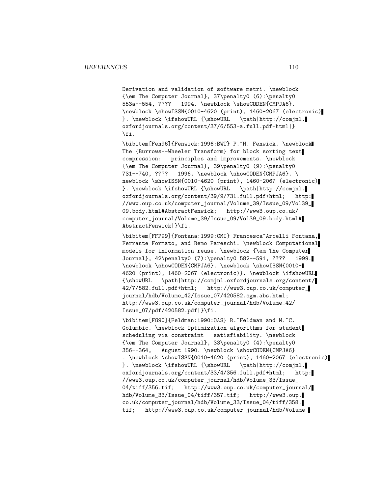Derivation and validation of software metri. \newblock {\em The Computer Journal}, 37\penalty0 (6):\penalty0 553a--554, ???? 1994. \newblock \showCODEN{CMPJA6}. \newblock \showISSN{0010-4620 (print), 1460-2067 (electronic) }. \newblock \ifshowURL {\showURL \path|http://comjnl. oxfordjournals.org/content/37/6/553-a.full.pdf+html|} \fi.

\bibitem[Fen96]{Fenwick:1996:BWT} P.~M. Fenwick. \newblock The {Burrows--Wheeler Transform} for block sorting text compression: principles and improvements. \newblock {\em The Computer Journal}, 39\penalty0 (9):\penalty0 731--740, ???? 1996. \newblock \showCODEN{CMPJA6}. \ newblock \showISSN{0010-4620 (print), 1460-2067 (electronic) }. \newblock \ifshowURL {\showURL \path|http://comjnl. oxfordjournals.org/content/39/9/731.full.pdf+html; http: //www.oup.co.uk/computer\_journal/Volume\_39/Issue\_09/Vol39\_ 09.body.html#AbstractFenwick; http://www3.oup.co.uk/ computer\_journal/Volume\_39/Issue\_09/Vol39\_09.body.html# AbstractFenwick|}\fi.

\bibitem[FFP99]{Fontana:1999:CMI} Francesca~Arcelli Fontana, Ferrante Formato, and Remo Pareschi. \newblock Computational models for information reuse. \newblock {\em The Computer Journal}, 42\penalty0 (7):\penalty0 582--591, ???? 1999. \newblock \showCODEN{CMPJA6}. \newblock \showISSN{0010- 4620 (print), 1460-2067 (electronic)}. \newblock \ifshowURL {\showURL \path|http://comjnl.oxfordjournals.org/content/ 42/7/582.full.pdf+html; http://www3.oup.co.uk/computer\_ journal/hdb/Volume\_42/Issue\_07/420582.sgm.abs.html; http://www3.oup.co.uk/computer\_journal/hdb/Volume\_42/ Issue\_07/pdf/420582.pdf|}\fi.

\bibitem[FG90]{Feldman:1990:OAS} R.~Feldman and M.~C. Golumbic. \newblock Optimization algorithms for student scheduling via constraint satisfiability. \newblock {\em The Computer Journal}, 33\penalty0 (4):\penalty0 356--364, August 1990. \newblock \showCODEN{CMPJA6} . \newblock \showISSN{0010-4620 (print), 1460-2067 (electronic) }. \newblock \ifshowURL {\showURL \path|http://comjnl. oxfordjournals.org/content/33/4/356.full.pdf+html; http: //www3.oup.co.uk/computer\_journal/hdb/Volume\_33/Issue\_ 04/tiff/356.tif; http://www3.oup.co.uk/computer\_journal/ hdb/Volume\_33/Issue\_04/tiff/357.tif; http://www3.oup. co.uk/computer\_journal/hdb/Volume\_33/Issue\_04/tiff/358. tif; http://www3.oup.co.uk/computer\_journal/hdb/Volume\_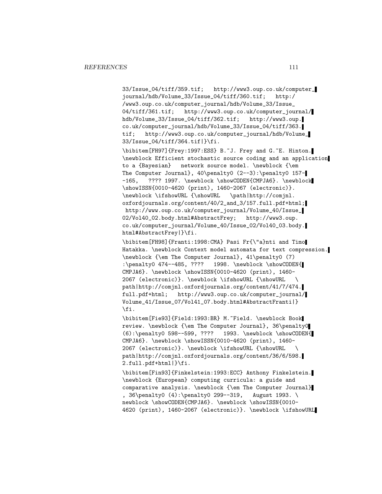33/Issue\_04/tiff/359.tif; http://www3.oup.co.uk/computer\_ journal/hdb/Volume\_33/Issue\_04/tiff/360.tif; http:/ /www3.oup.co.uk/computer\_journal/hdb/Volume\_33/Issue\_ 04/tiff/361.tif; http://www3.oup.co.uk/computer\_journal/ hdb/Volume\_33/Issue\_04/tiff/362.tif; http://www3.oup. co.uk/computer\_journal/hdb/Volume\_33/Issue\_04/tiff/363. tif; http://www3.oup.co.uk/computer\_journal/hdb/Volume\_ 33/Issue\_04/tiff/364.tif|}\fi.

\bibitem[FH97]{Frey:1997:ESS} B.~J. Frey and G.~E. Hinton. \newblock Efficient stochastic source coding and an application to a {Bayesian} network source model. \newblock {\em The Computer Journal}, 40\penalty0 (2--3):\penalty0 157--165, ???? 1997. \newblock \showCODEN{CMPJA6}. \newblock \showISSN{0010-4620 (print), 1460-2067 (electronic)}. \newblock \ifshowURL {\showURL \path|http://comjnl. oxfordjournals.org/content/40/2\_and\_3/157.full.pdf+html; http://www.oup.co.uk/computer\_journal/Volume\_40/Issue\_ 02/Vol40\_02.body.html#AbstractFrey; http://www3.oup. co.uk/computer\_journal/Volume\_40/Issue\_02/Vol40\_03.body. html#AbstractFrey|}\fi.

\bibitem[FH98]{Franti:1998:CMA} Pasi Fr{\"a}nti and Timo Hatakka. \newblock Context model automata for text compression. \newblock {\em The Computer Journal}, 41\penalty0 (7) :\penalty0 474--485, ???? 1998. \newblock \showCODEN{ CMPJA6}. \newblock \showISSN{0010-4620 (print), 1460- 2067 (electronic)}. \newblock \ifshowURL {\showURL \ path|http://comjnl.oxfordjournals.org/content/41/7/474. full.pdf+html; http://www3.oup.co.uk/computer\_journal/ Volume\_41/Issue\_07/Vol41\_07.body.html#AbstractFranti|} \fi.

\bibitem[Fie93]{Field:1993:BR} M.~Field. \newblock Book review. \newblock {\em The Computer Journal}, 36\penalty0 (6):\penalty0 598--599, ???? 1993. \newblock \showCODEN{ CMPJA6}. \newblock \showISSN{0010-4620 (print), 1460- 2067 (electronic)}. \newblock \ifshowURL {\showURL \ path|http://comjnl.oxfordjournals.org/content/36/6/598. 2.full.pdf+html|}\fi.

\bibitem[Fin93]{Finkelstein:1993:ECC} Anthony Finkelstein. \newblock {European} computing curricula: a guide and comparative analysis. \newblock {\em The Computer Journal} , 36\penalty0 (4):\penalty0 299--319, August 1993. \ newblock \showCODEN{CMPJA6}. \newblock \showISSN{0010-4620 (print), 1460-2067 (electronic)}. \newblock \ifshowURL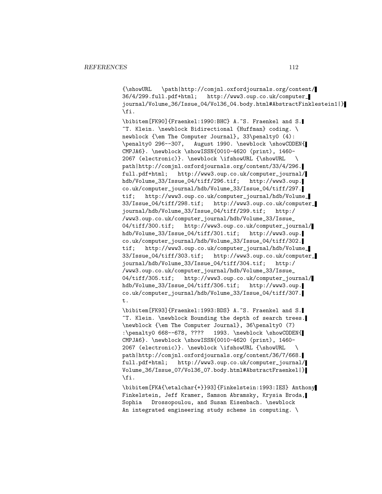{\showURL \path|http://comjnl.oxfordjournals.org/content/ 36/4/299.full.pdf+html; http://www3.oup.co.uk/computer\_ journal/Volume\_36/Issue\_04/Vol36\_04.body.html#AbstractFinklestein1|} \fi.

\bibitem[FK90]{Fraenkel:1990:BHC} A.~S. Fraenkel and S. ~T. Klein. \newblock Bidirectional {Huffman} coding. \ newblock {\em The Computer Journal}, 33\penalty0 (4): \penalty0 296--307, August 1990. \newblock \showCODEN{ CMPJA6}. \newblock \showISSN{0010-4620 (print), 1460- 2067 (electronic)}. \newblock \ifshowURL {\showURL \ path|http://comjnl.oxfordjournals.org/content/33/4/296. full.pdf+html; http://www3.oup.co.uk/computer\_journal/ hdb/Volume\_33/Issue\_04/tiff/296.tif; http://www3.oup. co.uk/computer\_journal/hdb/Volume\_33/Issue\_04/tiff/297. tif; http://www3.oup.co.uk/computer\_journal/hdb/Volume\_ 33/Issue\_04/tiff/298.tif; http://www3.oup.co.uk/computer\_ journal/hdb/Volume\_33/Issue\_04/tiff/299.tif; http:/ /www3.oup.co.uk/computer\_journal/hdb/Volume\_33/Issue\_ 04/tiff/300.tif; http://www3.oup.co.uk/computer\_journal/ hdb/Volume\_33/Issue\_04/tiff/301.tif; http://www3.oup. co.uk/computer\_journal/hdb/Volume\_33/Issue\_04/tiff/302. tif; http://www3.oup.co.uk/computer\_journal/hdb/Volume\_ 33/Issue\_04/tiff/303.tif; http://www3.oup.co.uk/computer\_ journal/hdb/Volume\_33/Issue\_04/tiff/304.tif; http:/ /www3.oup.co.uk/computer\_journal/hdb/Volume\_33/Issue\_ 04/tiff/305.tif; http://www3.oup.co.uk/computer\_journal/ hdb/Volume\_33/Issue\_04/tiff/306.tif; http://www3.oup. co.uk/computer\_journal/hdb/Volume\_33/Issue\_04/tiff/307. t.

\bibitem[FK93]{Fraenkel:1993:BDS} A.~S. Fraenkel and S. ~T. Klein. \newblock Bounding the depth of search trees. \newblock {\em The Computer Journal}, 36\penalty0 (7) :\penalty0 668--678, ???? 1993. \newblock \showCODEN{ CMPJA6}. \newblock \showISSN{0010-4620 (print), 1460- 2067 (electronic)}. \newblock \ifshowURL {\showURL \ path|http://comjnl.oxfordjournals.org/content/36/7/668. full.pdf+html; http://www3.oup.co.uk/computer\_journal/ Volume\_36/Issue\_07/Vol36\_07.body.html#AbstractFraenkel|} \fi.

\bibitem[FKA{\etalchar{+}}93]{Finkelstein:1993:IES} Anthony Finkelstein, Jeff Kramer, Samson Abramsky, Krysia Broda, Sophia Drossopoulou, and Susan Eisenbach. \newblock An integrated engineering study scheme in computing. \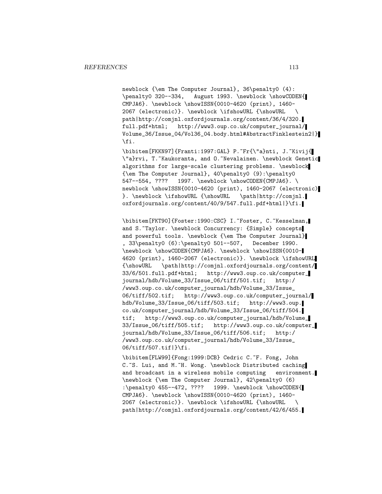newblock {\em The Computer Journal}, 36\penalty0 (4): \penalty0 320--334, August 1993. \newblock \showCODEN{ CMPJA6}. \newblock \showISSN{0010-4620 (print), 1460- 2067 (electronic)}. \newblock \ifshowURL {\showURL \ path|http://comjnl.oxfordjournals.org/content/36/4/320. full.pdf+html; http://www3.oup.co.uk/computer\_journal/ Volume\_36/Issue\_04/Vol36\_04.body.html#AbstractFinklestein2|} \fi.

\bibitem[FKKN97]{Franti:1997:GAL} P.~Fr{\"a}nti, J.~Kivij{ \"a}rvi, T.~Kaukoranta, and O.~Nevalainen. \newblock Genetic algorithms for large-scale clustering problems. \newblock {\em The Computer Journal}, 40\penalty0 (9):\penalty0 547--554, ???? 1997. \newblock \showCODEN{CMPJA6}. \ newblock \showISSN{0010-4620 (print), 1460-2067 (electronic) }. \newblock \ifshowURL {\showURL \path|http://comjnl. oxfordjournals.org/content/40/9/547.full.pdf+html|}\fi.

\bibitem[FKT90]{Foster:1990:CSC} I. "Foster, C. "Kesselman, and S. Taylor. \newblock Concurrency: {Simple} concepts and powerful tools. \newblock {\em The Computer Journal} , 33\penalty0 (6):\penalty0 501--507, December 1990. \newblock \showCODEN{CMPJA6}. \newblock \showISSN{0010- 4620 (print), 1460-2067 (electronic)}. \newblock \ifshowURL {\showURL \path|http://comjnl.oxfordjournals.org/content/ 33/6/501.full.pdf+html; http://www3.oup.co.uk/computer\_ journal/hdb/Volume\_33/Issue\_06/tiff/501.tif; http:/ /www3.oup.co.uk/computer\_journal/hdb/Volume\_33/Issue\_ 06/tiff/502.tif; http://www3.oup.co.uk/computer\_journal/ hdb/Volume\_33/Issue\_06/tiff/503.tif; http://www3.oup. co.uk/computer\_journal/hdb/Volume\_33/Issue\_06/tiff/504. tif; http://www3.oup.co.uk/computer\_journal/hdb/Volume\_ 33/Issue\_06/tiff/505.tif; http://www3.oup.co.uk/computer\_ journal/hdb/Volume\_33/Issue\_06/tiff/506.tif; http:/ /www3.oup.co.uk/computer\_journal/hdb/Volume\_33/Issue\_ 06/tiff/507.tif|}\fi.

\bibitem[FLW99]{Fong:1999:DCB} Cedric C.~F. Fong, John C.~S. Lui, and M.~H. Wong. \newblock Distributed caching and broadcast in a wireless mobile computing environment. \newblock {\em The Computer Journal}, 42\penalty0 (6) :\penalty0 455--472, ???? 1999. \newblock \showCODE 1999. \newblock \showCODEN{ CMPJA6}. \newblock \showISSN{0010-4620 (print), 1460- 2067 (electronic)}. \newblock \ifshowURL {\showURL \ path|http://comjnl.oxfordjournals.org/content/42/6/455.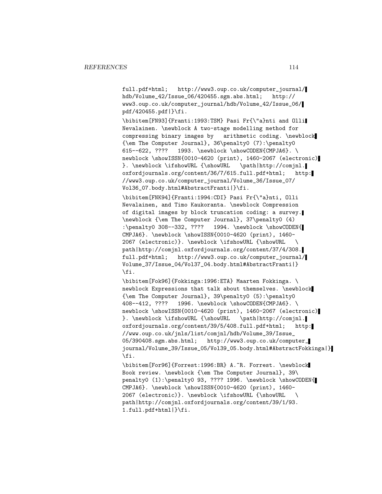full.pdf+html; http://www3.oup.co.uk/computer\_journal/ hdb/Volume\_42/Issue\_06/420455.sgm.abs.html; http:// www3.oup.co.uk/computer\_journal/hdb/Volume\_42/Issue\_06/ pdf/420455.pdf|}\fi.

\bibitem[FN93]{Franti:1993:TSM} Pasi Fr{\"a}nti and Olli Nevalainen. \newblock A two-stage modelling method for compressing binary images by arithmetic coding. \newblock  ${\text{Computer Journal}, 36\penalty0 (7):\penalty0\n615--622, ???? 1993. \newblock \showCODEN{CMPJAG}.$ 1993. \newblock \showCODEN{CMPJA6}. \ newblock \showISSN{0010-4620 (print), 1460-2067 (electronic) }. \newblock \ifshowURL {\showURL \path|http://comjnl. oxfordjournals.org/content/36/7/615.full.pdf+html; http: //www3.oup.co.uk/computer\_journal/Volume\_36/Issue\_07/ Vol36\_07.body.html#AbstractFranti|}\fi.

\bibitem[FNK94]{Franti:1994:CDI} Pasi Fr{\"a}nti, Olli Nevalainen, and Timo Kaukoranta. \newblock Compression of digital images by block truncation coding: a survey. \newblock {\em The Computer Journal}, 37\penalty0 (4) :\penalty0 308--332, ???? 1994. \newblock \showCODEN{ CMPJA6}. \newblock \showISSN{0010-4620 (print), 1460- 2067 (electronic)}. \newblock \ifshowURL {\showURL \ path|http://comjnl.oxfordjournals.org/content/37/4/308. full.pdf+html; http://www3.oup.co.uk/computer\_journal/ Volume\_37/Issue\_04/Vol37\_04.body.html#AbstractFranti|} \fi.

\bibitem[Fok96]{Fokkinga:1996:ETA} Maarten Fokkinga. \ newblock Expressions that talk about themselves. \newblock {\em The Computer Journal}, 39\penalty0 (5):\penalty0 408--412, ???? 1996. \newblock \showCODEN{CMPJA6}. \ newblock \showISSN{0010-4620 (print), 1460-2067 (electronic) }. \newblock \ifshowURL {\showURL \path|http://comjnl. oxfordjournals.org/content/39/5/408.full.pdf+html; http: //www.oup.co.uk/jnls/list/comjnl/hdb/Volume\_39/Issue\_ 05/390408.sgm.abs.html; http://www3.oup.co.uk/computer\_ journal/Volume\_39/Issue\_05/Vol39\_05.body.html#AbstractFokkinga|} \fi.

\bibitem[For96]{Forrest:1996:BR} A.~R. Forrest. \newblock Book review. \newblock {\em The Computer Journal}, 39\ penalty0 (1):\penalty0 93, ???? 1996. \newblock \showCODEN{ CMPJA6}. \newblock \showISSN{0010-4620 (print), 1460- 2067 (electronic)}. \newblock \ifshowURL {\showURL \ path|http://comjnl.oxfordjournals.org/content/39/1/93. 1.full.pdf+html|}\fi.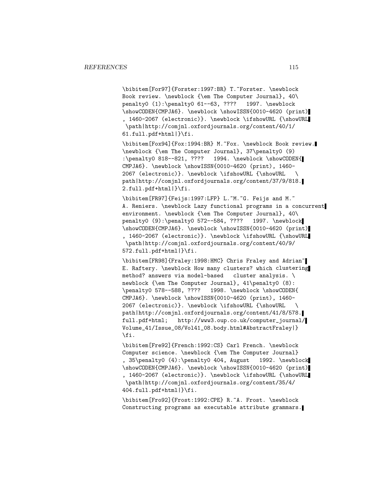\bibitem[For97]{Forster:1997:BR} T.~Forster. \newblock Book review. \newblock {\em The Computer Journal}, 40\ penalty0 (1):\penalty0 61--63, ???? 1997. \newblock \showCODEN{CMPJA6}. \newblock \showISSN{0010-4620 (print) , 1460-2067 (electronic)}. \newblock \ifshowURL {\showURL \path|http://comjnl.oxfordjournals.org/content/40/1/ 61.full.pdf+html|}\fi.

\bibitem[Fox94]{Fox:1994:BR} M.~Fox. \newblock Book review. \newblock {\em The Computer Journal}, 37\penalty0 (9) :\penalty0 818--821, ???? 1994. \newblock \showCODEN{ CMPJA6}. \newblock \showISSN{0010-4620 (print), 1460- 2067 (electronic)}. \newblock \ifshowURL {\showURL \ path|http://comjnl.oxfordjournals.org/content/37/9/818. 2.full.pdf+html|}\fi.

\bibitem[FR97]{Feijs:1997:LFP} L.~M.~G. Feijs and M.~ A. Reniers. \newblock Lazy functional programs in a concurrent environment. \newblock {\em The Computer Journal}, 40\ penalty0 (9):\penalty0 572--584, ???? 1997. \newblock \showCODEN{CMPJA6}. \newblock \showISSN{0010-4620 (print) , 1460-2067 (electronic)}. \newblock \ifshowURL {\showURL \path|http://comjnl.oxfordjournals.org/content/40/9/ 572.full.pdf+html|}\fi.

\bibitem[FR98]{Fraley:1998:HMC} Chris Fraley and Adrian~ E. Raftery. \newblock How many clusters? which clustering method? answers via model-based cluster analysis. \ newblock {\em The Computer Journal}, 41\penalty0 (8): \penalty0 578--588, ???? 1998. \newblock \showCODEN{ CMPJA6}. \newblock \showISSN{0010-4620 (print), 1460- 2067 (electronic)}. \newblock \ifshowURL {\showURL \ path|http://comjnl.oxfordjournals.org/content/41/8/578. full.pdf+html; http://www3.oup.co.uk/computer\_journal/ Volume\_41/Issue\_08/Vol41\_08.body.html#AbstractFraley|} \fi.

\bibitem[Fre92]{French:1992:CS} Carl French. \newblock Computer science. \newblock {\em The Computer Journal} , 35\penalty0 (4):\penalty0 404, August 1992. \newblock \showCODEN{CMPJA6}. \newblock \showISSN{0010-4620 (print) , 1460-2067 (electronic)}. \newblock \ifshowURL {\showURL \path|http://comjnl.oxfordjournals.org/content/35/4/ 404.full.pdf+html|}\fi.

\bibitem[Fro92]{Frost:1992:CPE} R.~A. Frost. \newblock Constructing programs as executable attribute grammars.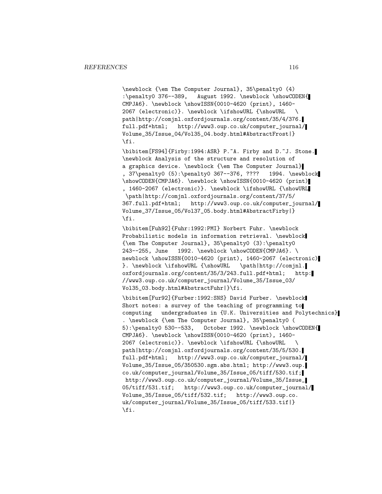\newblock {\em The Computer Journal}, 35\penalty0 (4) :\penalty0 376--389, August 1992. \newblock \showCODEN{ CMPJA6}. \newblock \showISSN{0010-4620 (print), 1460- 2067 (electronic)}. \newblock \ifshowURL {\showURL \ path|http://comjnl.oxfordjournals.org/content/35/4/376. full.pdf+html; http://www3.oup.co.uk/computer\_journal/ Volume\_35/Issue\_04/Vol35\_04.body.html#AbstractFrost|} \fi.

\bibitem[FS94]{Firby:1994:ASR} P.~A. Firby and D.~J. Stone. \newblock Analysis of the structure and resolution of a graphics device. \newblock {\em The Computer Journal} , 37\penalty0 (5):\penalty0 367--376, ???? 1994. \newblock \showCODEN{CMPJA6}. \newblock \showISSN{0010-4620 (print) , 1460-2067 (electronic)}. \newblock \ifshowURL {\showURL \path|http://comjnl.oxfordjournals.org/content/37/5/ 367.full.pdf+html; http://www3.oup.co.uk/computer\_journal/ Volume\_37/Issue\_05/Vol37\_05.body.html#AbstractFirby|} \fi.

\bibitem[Fuh92]{Fuhr:1992:PMI} Norbert Fuhr. \newblock Probabilistic models in information retrieval. \newblock {\em The Computer Journal}, 35\penalty0 (3):\penalty0 243--255, June 1992. \newblock \showCODEN{CMPJA6}. \ newblock \showISSN{0010-4620 (print), 1460-2067 (electronic) }. \newblock \ifshowURL {\showURL \path|http://comjnl. oxfordjournals.org/content/35/3/243.full.pdf+html; http: //www3.oup.co.uk/computer\_journal/Volume\_35/Issue\_03/ Vol35\_03.body.html#AbstractFuhr|}\fi.

\bibitem[Fur92]{Furber:1992:SNS} David Furber. \newblock Short notes: a survey of the teaching of programming to computing undergraduates in {U.K. Universities and Polytechnics} . \newblock {\em The Computer Journal}, 35\penalty0 ( 5):\penalty0 530--533, October 1992. \newblock \showCODEN{ CMPJA6}. \newblock \showISSN{0010-4620 (print), 1460- 2067 (electronic)}. \newblock \ifshowURL {\showURL \ path|http://comjnl.oxfordjournals.org/content/35/5/530. full.pdf+html; http://www3.oup.co.uk/computer\_journal/ Volume\_35/Issue\_05/350530.sgm.abs.html; http://www3.oup. co.uk/computer\_journal/Volume\_35/Issue\_05/tiff/530.tif; http://www3.oup.co.uk/computer\_journal/Volume\_35/Issue\_ 05/tiff/531.tif; http://www3.oup.co.uk/computer\_journal/ Volume\_35/Issue\_05/tiff/532.tif; http://www3.oup.co. uk/computer\_journal/Volume\_35/Issue\_05/tiff/533.tif|} \fi.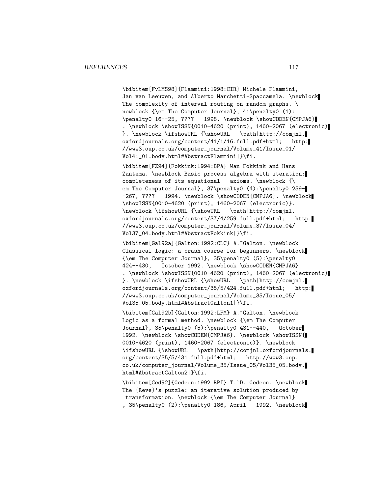\bibitem[FvLMS98]{Flammini:1998:CIR} Michele Flammini, Jan van Leeuwen, and Alberto Marchetti-Spaccamela. \newblock The complexity of interval routing on random graphs.  $\setminus$ newblock {\em The Computer Journal}, 41\penalty0 (1): \penalty0 16--25, ???? 1998. \newblock \showCODEN{CMPJA6} . \newblock \showISSN{0010-4620 (print), 1460-2067 (electronic) }. \newblock \ifshowURL {\showURL \path|http://comjnl. oxfordjournals.org/content/41/1/16.full.pdf+html; http: //www3.oup.co.uk/computer\_journal/Volume\_41/Issue\_01/ Vol41\_01.body.html#AbstractFlammini|}\fi.

\bibitem[FZ94]{Fokkink:1994:BPA} Wan Fokkink and Hans Zantema. \newblock Basic process algebra with iteration: completeness of its equational axioms. \newblock {\ em The Computer Journal}, 37\penalty0 (4):\penalty0 259--267, ???? 1994. \newblock \showCODEN{CMPJA6}. \newblock \showISSN{0010-4620 (print), 1460-2067 (electronic)}. \newblock \ifshowURL {\showURL \path|http://comjnl. oxfordjournals.org/content/37/4/259.full.pdf+html; http: //www3.oup.co.uk/computer\_journal/Volume\_37/Issue\_04/ Vol37\_04.body.html#AbstractFokkink|}\fi.

\bibitem[Gal92a]{Galton:1992:CLC} A.~Galton. \newblock Classical logic: a crash course for beginners. \newblock {\em The Computer Journal}, 35\penalty0 (5):\penalty0 424--430, October 1992. \newblock \showCODEN{CMPJA6} . \newblock \showISSN{0010-4620 (print), 1460-2067 (electronic) }. \newblock \ifshowURL {\showURL \path|http://comjnl. oxfordjournals.org/content/35/5/424.full.pdf+html; http: //www3.oup.co.uk/computer\_journal/Volume\_35/Issue\_05/ Vol35\_05.body.html#AbstractGalton1|}\fi.

\bibitem[Gal92b]{Galton:1992:LFM} A.~Galton. \newblock Logic as a formal method. \newblock {\em The Computer Journal}, 35\penalty0 (5):\penalty0 431--440, October 1992. \newblock \showCODEN{CMPJA6}. \newblock \showISSN{ 0010-4620 (print), 1460-2067 (electronic)}. \newblock \ifshowURL {\showURL \path|http://comjnl.oxfordjournals. org/content/35/5/431.full.pdf+html; http://www3.oup. co.uk/computer\_journal/Volume\_35/Issue\_05/Vol35\_05.body. html#AbstractGalton2|}\fi.

\bibitem[Ged92]{Gedeon:1992:RPI} T.~D. Gedeon. \newblock The {Reve}'s puzzle: an iterative solution produced by transformation. \newblock {\em The Computer Journal} , 35\penalty0 (2):\penalty0 186, April 1992. \newblock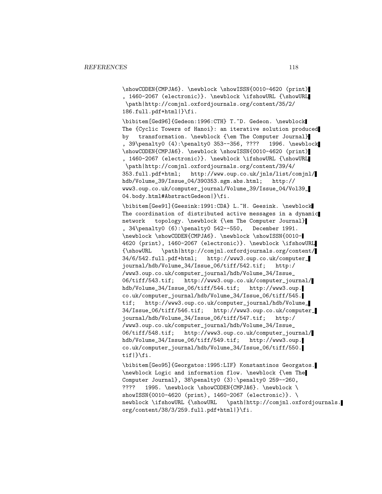\showCODEN{CMPJA6}. \newblock \showISSN{0010-4620 (print) , 1460-2067 (electronic)}. \newblock \ifshowURL {\showURL \path|http://comjnl.oxfordjournals.org/content/35/2/ 186.full.pdf+html|}\fi.

\bibitem[Ged96]{Gedeon:1996:CTH} T.~D. Gedeon. \newblock The {Cyclic Towers of Hanoi}: an iterative solution produced by transformation. \newblock {\em The Computer Journal} , 39\penalty0 (4):\penalty0 353--356, ???? 1996. \newblock \showCODEN{CMPJA6}. \newblock \showISSN{0010-4620 (print) , 1460-2067 (electronic)}. \newblock \ifshowURL {\showURL \path|http://comjnl.oxfordjournals.org/content/39/4/ 353.full.pdf+html; http://www.oup.co.uk/jnls/list/comjnl/ hdb/Volume\_39/Issue\_04/390353.sgm.abs.html; http:// www3.oup.co.uk/computer\_journal/Volume\_39/Issue\_04/Vol39\_ 04.body.html#AbstractGedeon|}\fi.

\bibitem[Gee91]{Geesink:1991:CDA} L.~H. Geesink. \newblock The coordination of distributed active messages in a dynamic network topology. \newblock {\em The Computer Journal} , 34\penalty0 (6):\penalty0 542--550, December 1991. \newblock \showCODEN{CMPJA6}. \newblock \showISSN{0010- 4620 (print), 1460-2067 (electronic)}. \newblock \ifshowURL {\showURL \path|http://comjnl.oxfordjournals.org/content/ 34/6/542.full.pdf+html; http://www3.oup.co.uk/computer\_ journal/hdb/Volume\_34/Issue\_06/tiff/542.tif; http:/ /www3.oup.co.uk/computer\_journal/hdb/Volume\_34/Issue\_ 06/tiff/543.tif; http://www3.oup.co.uk/computer\_journal/ hdb/Volume\_34/Issue\_06/tiff/544.tif; http://www3.oup. co.uk/computer\_journal/hdb/Volume\_34/Issue\_06/tiff/545. tif; http://www3.oup.co.uk/computer\_journal/hdb/Volume\_ 34/Issue\_06/tiff/546.tif; http://www3.oup.co.uk/computer\_ journal/hdb/Volume\_34/Issue\_06/tiff/547.tif; http:/ /www3.oup.co.uk/computer\_journal/hdb/Volume\_34/Issue\_ 06/tiff/548.tif; http://www3.oup.co.uk/computer\_journal/ hdb/Volume\_34/Issue\_06/tiff/549.tif; http://www3.oup. co.uk/computer\_journal/hdb/Volume\_34/Issue\_06/tiff/550. tif|}\fi.

\bibitem[Geo95]{Georgatos:1995:LIF} Konstantinos Georgatos. \newblock Logic and information flow. \newblock {\em The Computer Journal}, 38\penalty0 (3):\penalty0 259--260, ???? 1995. \newblock \showCODEN{CMPJA6}. \newblock \ showISSN{0010-4620 (print), 1460-2067 (electronic)}. \ newblock \ifshowURL {\showURL \path|http://comjnl.oxfordjournals. org/content/38/3/259.full.pdf+html|}\fi.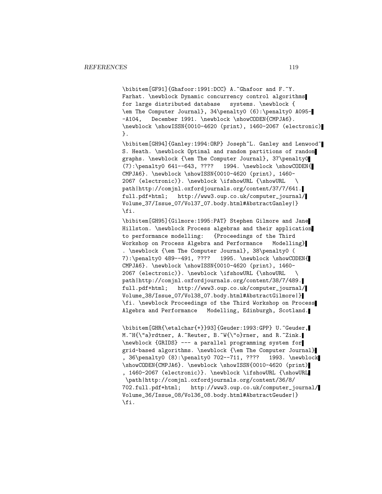\bibitem[GF91]{Ghafoor:1991:DCC} A.~Ghafoor and F.~Y. Farhat. \newblock Dynamic concurrency control algorithms for large distributed database systems. \newblock { \em The Computer Journal}, 34\penalty0 (6):\penalty0 A095- -A104, December 1991. \newblock \showCODEN{CMPJA6}. \newblock \showISSN{0010-4620 (print), 1460-2067 (electronic) }.

\bibitem[GH94]{Ganley:1994:ORP} Joseph~L. Ganley and Lenwood~ S. Heath. \newblock Optimal and random partitions of random graphs. \newblock {\em The Computer Journal}, 37\penalty0 (7):\penalty0 641--643, ???? 1994. \newblock \showCODEN{ CMPJA6}. \newblock \showISSN{0010-4620 (print), 1460- 2067 (electronic)}. \newblock \ifshowURL {\showURL \ path|http://comjnl.oxfordjournals.org/content/37/7/641. full.pdf+html; http://www3.oup.co.uk/computer\_journal/ Volume\_37/Issue\_07/Vol37\_07.body.html#AbstractGanley|} \fi.

\bibitem[GH95]{Gilmore:1995:PAT} Stephen Gilmore and Jane Hillston. \newblock Process algebras and their application to performance modelling: {Proceedings of the Third Workshop on Process Algebra and Performance Modelling} . \newblock {\em The Computer Journal}, 38\penalty0 ( 7):\penalty0 489--491, ???? 1995. \newblock \showCODEN{ CMPJA6}. \newblock \showISSN{0010-4620 (print), 1460- 2067 (electronic)}. \newblock \ifshowURL {\showURL \ path|http://comjnl.oxfordjournals.org/content/38/7/489. full.pdf+html; http://www3.oup.co.uk/computer\_journal/ Volume\_38/Issue\_07/Vol38\_07.body.html#AbstractGilmore|} \fi. \newblock Proceedings of the Third Workshop on Process Algebra and Performance Modelling, Edinburgh, Scotland.

\bibitem[GHR{\etalchar{+}}93]{Geuder:1993:GPP} U.~Geuder, M. H{\"a}rdtner, A. Aeuter, B. W{\"o}rner, and R. Zink. \newblock {GRIDS} --- a parallel programming system for grid-based algorithms. \newblock {\em The Computer Journal} , 36\penalty0 (8):\penalty0 702--711, ???? 1993. \newblock \showCODEN{CMPJA6}. \newblock \showISSN{0010-4620 (print) , 1460-2067 (electronic)}. \newblock \ifshowURL {\showURL \path|http://comjnl.oxfordjournals.org/content/36/8/ 702.full.pdf+html; http://www3.oup.co.uk/computer\_journal/ Volume\_36/Issue\_08/Vol36\_08.body.html#AbstractGeuder|} \fi.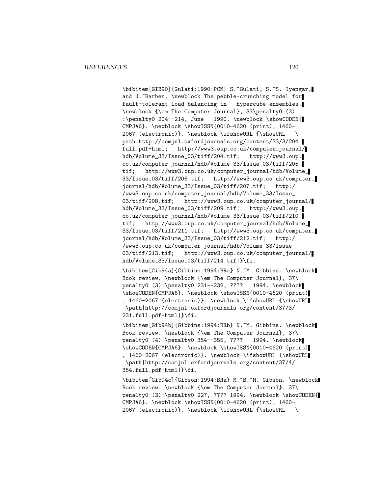\bibitem[GIB90]{Gulati:1990:PCM} S.~Gulati, S.~S. Iyengar, and J. "Barhen. \newblock The pebble-crunching model for fault-tolerant load balancing in hypercube ensembles. \newblock {\em The Computer Journal}, 33\penalty0 (3) :\penalty0 204--214, June 1990. \newblock \showCODEN{ CMPJA6}. \newblock \showISSN{0010-4620 (print), 1460- 2067 (electronic)}. \newblock \ifshowURL {\showURL \ path|http://comjnl.oxfordjournals.org/content/33/3/204. full.pdf+html; http://www3.oup.co.uk/computer\_journal/ hdb/Volume\_33/Issue\_03/tiff/204.tif; http://www3.oup. co.uk/computer\_journal/hdb/Volume\_33/Issue\_03/tiff/205. tif; http://www3.oup.co.uk/computer\_journal/hdb/Volume\_ 33/Issue\_03/tiff/206.tif; http://www3.oup.co.uk/computer\_ journal/hdb/Volume\_33/Issue\_03/tiff/207.tif; http:/ /www3.oup.co.uk/computer\_journal/hdb/Volume\_33/Issue\_ 03/tiff/208.tif; http://www3.oup.co.uk/computer\_journal/ hdb/Volume\_33/Issue\_03/tiff/209.tif; http://www3.oup. co.uk/computer\_journal/hdb/Volume\_33/Issue\_03/tiff/210. tif; http://www3.oup.co.uk/computer\_journal/hdb/Volume\_ 33/Issue\_03/tiff/211.tif; http://www3.oup.co.uk/computer\_ journal/hdb/Volume\_33/Issue\_03/tiff/212.tif; http:/ /www3.oup.co.uk/computer\_journal/hdb/Volume\_33/Issue\_ 03/tiff/213.tif; http://www3.oup.co.uk/computer\_journal/ hdb/Volume\_33/Issue\_03/tiff/214.tif|}\fi.

\bibitem[Gib94a]{Gibbins:1994:BRa} N.~M. Gibbins. \newblock Book review. \newblock {\em The Computer Journal}, 37\ penalty0 (3):\penalty0 231--232, ???? 1994. \newblock \showCODEN{CMPJA6}. \newblock \showISSN{0010-4620 (print) , 1460-2067 (electronic)}. \newblock \ifshowURL {\showURL \path|http://comjnl.oxfordjournals.org/content/37/3/ 231.full.pdf+html|}\fi.

\bibitem[Gib94b]{Gibbins:1994:BRb} N.~M. Gibbins. \newblock Book review. \newblock {\em The Computer Journal}, 37\ penalty0 (4):\penalty0 354--355, ???? 1994. \newblock \showCODEN{CMPJA6}. \newblock \showISSN{0010-4620 (print) , 1460-2067 (electronic)}. \newblock \ifshowURL {\showURL \path|http://comjnl.oxfordjournals.org/content/37/4/ 354.full.pdf+html|}\fi.

\bibitem[Gib94c]{Gibson:1994:BRa} M.~B.~M. Gibson. \newblock Book review. \newblock {\em The Computer Journal}, 37\ penalty0 (3):\penalty0 227, ???? 1994. \newblock \showCODEN{ CMPJA6}. \newblock \showISSN{0010-4620 (print), 1460- 2067 (electronic)}. \newblock \ifshowURL {\showURL \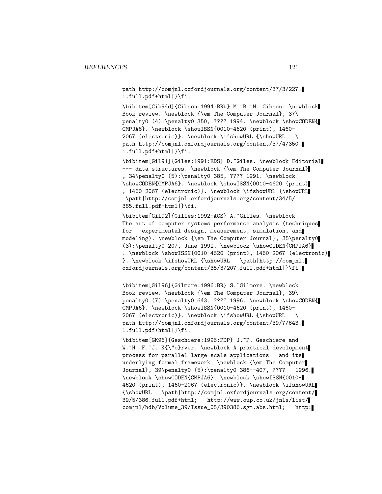path|http://comjnl.oxfordjournals.org/content/37/3/227. 1.full.pdf+html|}\fi.

\bibitem[Gib94d]{Gibson:1994:BRb} M.~B.~M. Gibson. \newblock Book review. \newblock {\em The Computer Journal}, 37\ penalty0 (4):\penalty0 350, ???? 1994. \newblock \showCODEN{ CMPJA6}. \newblock \showISSN{0010-4620 (print), 1460- 2067 (electronic)}. \newblock \ifshowURL {\showURL \ path|http://comjnl.oxfordjournals.org/content/37/4/350. 1.full.pdf+html|}\fi.

\bibitem[Gil91]{Giles:1991:EDS} D.~Giles. \newblock Editorial --- data structures. \newblock {\em The Computer Journal} , 34\penalty0 (5):\penalty0 385, ???? 1991. \newblock \showCODEN{CMPJA6}. \newblock \showISSN{0010-4620 (print) , 1460-2067 (electronic)}. \newblock \ifshowURL {\showURL \path|http://comjnl.oxfordjournals.org/content/34/5/ 385.full.pdf+html|}\fi.

\bibitem[Gil92]{Gilles:1992:ACS} A.~Gilles. \newblock The art of computer systems performance analysis (techniques for experimental design, measurement, simulation, and modeling). \newblock {\em The Computer Journal}, 35\penalty0 (3):\penalty0 207, June 1992. \newblock \showCODEN{CMPJA6} . \newblock \showISSN{0010-4620 (print), 1460-2067 (electronic) }. \newblock \ifshowURL {\showURL \path|http://comjnl. oxfordjournals.org/content/35/3/207.full.pdf+html|}\fi.

\bibitem[Gil96]{Gilmore:1996:BR} S.~Gilmore. \newblock Book review. \newblock {\em The Computer Journal}, 39\ penalty0 (7):\penalty0 643, ???? 1996. \newblock \showCODEN{ CMPJA6}. \newblock \showISSN{0010-4620 (print), 1460- 2067 (electronic)}. \newblock \ifshowURL {\showURL \ path|http://comjnl.oxfordjournals.org/content/39/7/643. 1.full.pdf+html|}\fi.

\bibitem[GK96]{Geschiere:1996:PDP} J.~P. Geschiere and W.~H. F.~J. K{\"o}rver. \newblock A practical development process for parallel large-scale applications and its underlying formal framework. \newblock {\em The Computer Journal}, 39\penalty0 (5):\penalty0 386--407, ???? 1996. \newblock \showCODEN{CMPJA6}. \newblock \showISSN{0010- 4620 (print), 1460-2067 (electronic)}. \newblock \ifshowURL {\showURL \path|http://comjnl.oxfordjournals.org/content/ 39/5/386.full.pdf+html; http://www.oup.co.uk/jnls/list/ comjnl/hdb/Volume\_39/Issue\_05/390386.sgm.abs.html; http: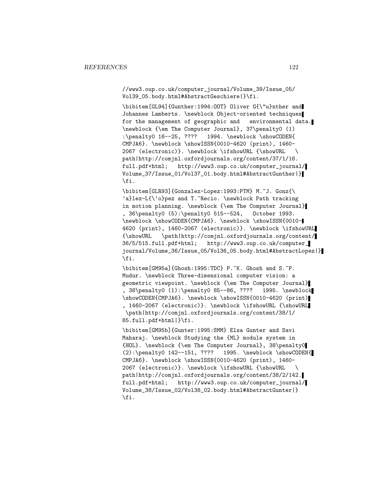//www3.oup.co.uk/computer\_journal/Volume\_39/Issue\_05/ Vol39\_05.body.html#AbstractGeschiere|}\fi.

\bibitem[GL94]{Gunther:1994:00T} Oliver G{\"u}nther and Johannes Lamberts. \newblock Object-oriented techniques for the management of geographic and environmental data. \newblock {\em The Computer Journal}, 37\penalty0 (1) :\penalty0 16--25, ???? 1994. \newblock \showCODEN{ CMPJA6}. \newblock \showISSN{0010-4620 (print), 1460- 2067 (electronic)}. \newblock \ifshowURL {\showURL \ path|http://comjnl.oxfordjournals.org/content/37/1/16. full.pdf+html; http://www3.oup.co.uk/computer\_journal/ Volume\_37/Issue\_01/Vol37\_01.body.html#AbstractGunther|} \fi.

\bibitem[GLR93]{Gonzalez-Lopez:1993:PTM} M.~J. Gonz{\ 'a}lez-L{\'o}pez and T.~Recio. \newblock Path tracking in motion planning. \newblock {\em The Computer Journal} , 36\penalty0 (5):\penalty0 515--524, October 1993. \newblock \showCODEN{CMPJA6}. \newblock \showISSN{0010- 4620 (print), 1460-2067 (electronic)}. \newblock \ifshowURL {\showURL \path|http://comjnl.oxfordjournals.org/content/ 36/5/515.full.pdf+html; http://www3.oup.co.uk/computer\_ journal/Volume\_36/Issue\_05/Vol36\_05.body.html#AbstractLopez|} \fi.

\bibitem[GM95a]{Ghosh:1995:TDC} P.~K. Ghosh and S.~P. Mudur. \newblock Three-dimensional computer vision: a geometric viewpoint. \newblock {\em The Computer Journal} , 38\penalty0 (1):\penalty0 85--86, ???? 1995. \newblock \showCODEN{CMPJA6}. \newblock \showISSN{0010-4620 (print) , 1460-2067 (electronic)}. \newblock \ifshowURL {\showURL \path|http://comjnl.oxfordjournals.org/content/38/1/ 85.full.pdf+html|}\fi.

\bibitem[GM95b]{Gunter:1995:SMM} Elsa Gunter and Savi Maharaj. \newblock Studying the {ML} module system in {HOL}. \newblock {\em The Computer Journal}, 38\penalty0 (2):\penalty0 142--151, ???? 1995. \newblock \showCODEN{ CMPJA6}. \newblock \showISSN{0010-4620 (print), 1460- 2067 (electronic)}. \newblock \ifshowURL {\showURL \ path|http://comjnl.oxfordjournals.org/content/38/2/142. full.pdf+html; http://www3.oup.co.uk/computer\_journal/ Volume\_38/Issue\_02/Vol38\_02.body.html#AbstractGunter|} \fi.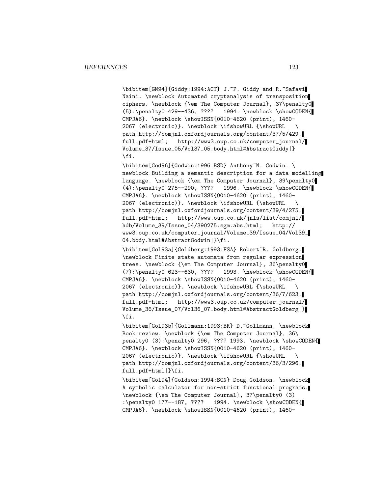\bibitem[GN94]{Giddy:1994:ACT} J.~P. Giddy and R.~Safavi Naini. \newblock Automated cryptanalysis of transposition ciphers. \newblock {\em The Computer Journal}, 37\penalty0  $(5): \penalty0 429--436, ???? 1994. \newblock \showCODEN{$ CMPJA6}. \newblock \showISSN{0010-4620 (print), 1460- 2067 (electronic)}. \newblock \ifshowURL {\showURL \ path|http://comjnl.oxfordjournals.org/content/37/5/429. full.pdf+html; http://www3.oup.co.uk/computer\_journal/ Volume\_37/Issue\_05/Vol37\_05.body.html#AbstractGiddy|} \fi.

\bibitem[God96]{Godwin:1996:BSD} Anthony~N. Godwin. \ newblock Building a semantic description for a data modelling language. \newblock {\em The Computer Journal}, 39\penalty0 (4):\penalty0 275--290, ???? 1996. \newblock \showCODEN{ CMPJA6}. \newblock \showISSN{0010-4620 (print), 1460- 2067 (electronic)}. \newblock \ifshowURL {\showURL \ path|http://comjnl.oxfordjournals.org/content/39/4/275. full.pdf+html; http://www.oup.co.uk/jnls/list/comjnl/ hdb/Volume\_39/Issue\_04/390275.sgm.abs.html; http:// www3.oup.co.uk/computer\_journal/Volume\_39/Issue\_04/Vol39\_ 04.body.html#AbstractGodwin|}\fi.

\bibitem[Gol93a]{Goldberg:1993:FSA} Robert~R. Goldberg. \newblock Finite state automata from regular expression trees. \newblock {\em The Computer Journal}, 36\penalty0  $(7): \penalty0 623--630, ???? 1993. \newblock \showCODEN{$ CMPJA6}. \newblock \showISSN{0010-4620 (print), 1460- 2067 (electronic)}. \newblock \ifshowURL {\showURL \ path|http://comjnl.oxfordjournals.org/content/36/7/623. full.pdf+html; http://www3.oup.co.uk/computer\_journal/ Volume\_36/Issue\_07/Vol36\_07.body.html#AbstractGoldberg|} \fi.

\bibitem[Gol93b]{Gollmann:1993:BR} D.~Gollmann. \newblock Book review. \newblock {\em The Computer Journal}, 36\ penalty0 (3):\penalty0 296, ???? 1993. \newblock \showCODEN{ CMPJA6}. \newblock \showISSN{0010-4620 (print), 1460- 2067 (electronic)}. \newblock \ifshowURL {\showURL \ path|http://comjnl.oxfordjournals.org/content/36/3/296. full.pdf+html|}\fi.

\bibitem[Gol94]{Goldson:1994:SCN} Doug Goldson. \newblock A symbolic calculator for non-strict functional programs. \newblock {\em The Computer Journal}, 37\penalty0 (3) :\penalty0 177--187, ???? 1994. \newblock \showCODEN{ CMPJA6}. \newblock \showISSN{0010-4620 (print), 1460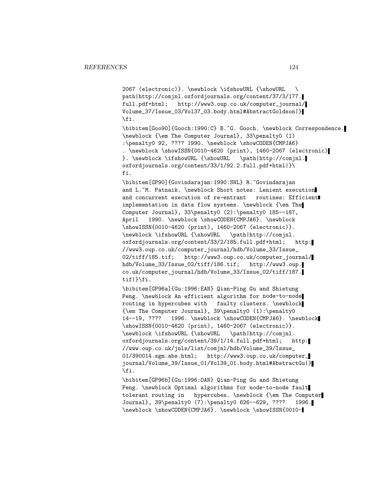2067 (electronic)}. \newblock \ifshowURL {\showURL \ path|http://comjnl.oxfordjournals.org/content/37/3/177. full.pdf+html; http://www3.oup.co.uk/computer\_journal/ Volume\_37/Issue\_03/Vol37\_03.body.html#AbstractGoldson|} \fi.

\bibitem[Goo90]{Gooch:1990:C} B.~G. Gooch. \newblock Correspondence. \newblock {\em The Computer Journal}, 33\penalty0 (1) :\penalty0 92, ???? 1990. \newblock \showCODEN{CMPJA6} . \newblock \showISSN{0010-4620 (print), 1460-2067 (electronic) }. \newblock \ifshowURL {\showURL \path|http://comjnl. oxfordjournals.org/content/33/1/92.2.full.pdf+html|}\ fi.

\bibitem[GP90]{Govindarajan:1990:SNL} R.~Govindarajan and L.~M. Patnaik. \newblock Short notes: Lenient execution and concurrent execution of re-entrant routines: Efficient implementation in data flow systems. \newblock {\em The Computer Journal}, 33\penalty0 (2):\penalty0 185--187, April 1990. \newblock \showCODEN{CMPJA6}. \newblock \showISSN{0010-4620 (print), 1460-2067 (electronic)}. \newblock \ifshowURL {\showURL \path|http://comjnl. oxfordjournals.org/content/33/2/185.full.pdf+html; http: //www3.oup.co.uk/computer\_journal/hdb/Volume\_33/Issue\_ 02/tiff/185.tif; http://www3.oup.co.uk/computer\_journal/ hdb/Volume\_33/Issue\_02/tiff/186.tif; http://www3.oup. co.uk/computer\_journal/hdb/Volume\_33/Issue\_02/tiff/187. tif|}\fi.

\bibitem[GP96a]{Gu:1996:EAN} Qian-Ping Gu and Shietung Peng. \newblock An efficient algorithm for node-to-node routing in hypercubes with faulty clusters. \newblock {\em The Computer Journal}, 39\penalty0 (1):\penalty0 14--19, ???? 1996. \newblock \showCODEN{CMPJA6}. \newblock \showISSN{0010-4620 (print), 1460-2067 (electronic)}. \newblock \ifshowURL {\showURL \path|http://comjnl. oxfordjournals.org/content/39/1/14.full.pdf+html; http: //www.oup.co.uk/jnls/list/comjnl/hdb/Volume\_39/Issue\_ 01/390014.sgm.abs.html; http://www3.oup.co.uk/computer\_ journal/Volume\_39/Issue\_01/Vol39\_01.body.html#AbstractGu|} \fi.

\bibitem[GP96b]{Gu:1996:OAN} Qian-Ping Gu and Shietung Peng. \newblock Optimal algorithms for node-to-node fault tolerant routing in hypercubes. \newblock {\em The Computer Journal}, 39\penalty0 (7):\penalty0 626--629, ???? 1996. \newblock \showCODEN{CMPJA6}. \newblock \showISSN{0010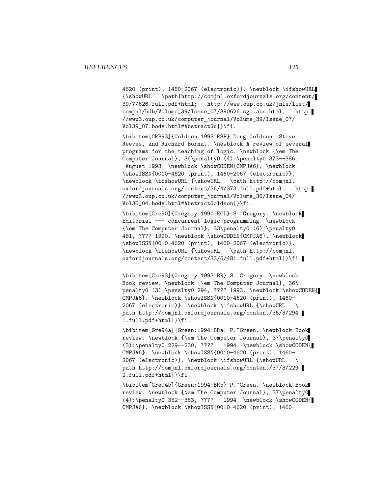4620 (print), 1460-2067 (electronic)}. \newblock \ifshowURL {\showURL \path|http://comjnl.oxfordjournals.org/content/ 39/7/626.full.pdf+html; http://www.oup.co.uk/jnls/list/ comjnl/hdb/Volume\_39/Issue\_07/390626.sgm.abs.html; http: //www3.oup.co.uk/computer\_journal/Volume\_39/Issue\_07/ Vol39\_07.body.html#AbstractGu|}\fi.

\bibitem[GRB93]{Goldson:1993:RSP} Doug Goldson, Steve Reeves, and Richard Bornat. \newblock A review of several programs for the teaching of logic. \newblock {\em The Computer Journal}, 36\penalty0 (4):\penalty0 373--386, August 1993. \newblock \showCODEN{CMPJA6}. \newblock \showISSN{0010-4620 (print), 1460-2067 (electronic)}. \newblock \ifshowURL {\showURL \path|http://comjnl. oxfordjournals.org/content/36/4/373.full.pdf+html; http: //www3.oup.co.uk/computer\_journal/Volume\_36/Issue\_04/ Vol36\_04.body.html#AbstractGoldson|}\fi.

\bibitem[Gre90]{Gregory:1990:ECL} S.~Gregory. \newblock Editorial --- concurrent logic programming. \newblock {\em The Computer Journal}, 33\penalty0 (6):\penalty0 481, ???? 1990. \newblock \showCODEN{CMPJA6}. \newblock \showISSN{0010-4620 (print), 1460-2067 (electronic)}. \newblock \ifshowURL {\showURL \path|http://comjnl. oxfordjournals.org/content/33/6/481.full.pdf+html|}\fi.

\bibitem[Gre93]{Gregory:1993:BR} S.~Gregory. \newblock Book review. \newblock {\em The Computer Journal}, 36\ penalty0 (3):\penalty0 294, ???? 1993. \newblock \showCODEN{ CMPJA6}. \newblock \showISSN{0010-4620 (print), 1460- 2067 (electronic)}. \newblock \ifshowURL {\showURL \ path|http://comjnl.oxfordjournals.org/content/36/3/294. 1.full.pdf+html|}\fi.

\bibitem[Gre94a]{Green:1994:BRa} P.~Green. \newblock Book review. \newblock {\em The Computer Journal}, 37\penalty0 (3):\penalty0 229--230, ???? 1994. \newblock \showCODEN{ CMPJA6}. \newblock \showISSN{0010-4620 (print), 1460- 2067 (electronic)}. \newblock \ifshowURL {\showURL \ path|http://comjnl.oxfordjournals.org/content/37/3/229. 2.full.pdf+html|}\fi.

\bibitem[Gre94b]{Green:1994:BRb} P.~Green. \newblock Book review. \newblock {\em The Computer Journal}, 37\penalty0 (4):\penalty0 352--353, ???? 1994. \newblock \showCODEN{ CMPJA6}. \newblock \showISSN{0010-4620 (print), 1460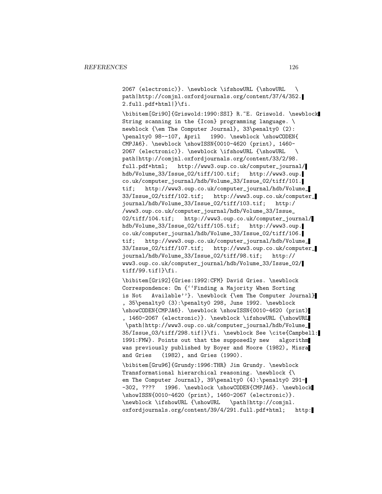2067 (electronic)}. \newblock \ifshowURL {\showURL \ path|http://comjnl.oxfordjournals.org/content/37/4/352. 2.full.pdf+html|}\fi.

\bibitem[Gri90]{Griswold:1990:SSI} R.~E. Griswold. \newblock String scanning in the {Icon} programming language. \ newblock {\em The Computer Journal}, 33\penalty0 (2): \penalty0 98--107, April 1990. \newblock \showCODEN{ CMPJA6}. \newblock \showISSN{0010-4620 (print), 1460- 2067 (electronic)}. \newblock \ifshowURL {\showURL \ path|http://comjnl.oxfordjournals.org/content/33/2/98. full.pdf+html; http://www3.oup.co.uk/computer\_journal/ hdb/Volume\_33/Issue\_02/tiff/100.tif; http://www3.oup. co.uk/computer\_journal/hdb/Volume\_33/Issue\_02/tiff/101. tif; http://www3.oup.co.uk/computer\_journal/hdb/Volume\_ 33/Issue\_02/tiff/102.tif; http://www3.oup.co.uk/computer\_ journal/hdb/Volume\_33/Issue\_02/tiff/103.tif; http:/ /www3.oup.co.uk/computer\_journal/hdb/Volume\_33/Issue\_ 02/tiff/104.tif; http://www3.oup.co.uk/computer\_journal/ hdb/Volume\_33/Issue\_02/tiff/105.tif; http://www3.oup. co.uk/computer\_journal/hdb/Volume\_33/Issue\_02/tiff/106. tif; http://www3.oup.co.uk/computer\_journal/hdb/Volume\_ 33/Issue\_02/tiff/107.tif; http://www3.oup.co.uk/computer\_ journal/hdb/Volume\_33/Issue\_02/tiff/98.tif; http:// www3.oup.co.uk/computer\_journal/hdb/Volume\_33/Issue\_02/ tiff/99.tif|}\fi.

\bibitem[Gri92]{Gries:1992:CFM} David Gries. \newblock Correspondence: On {''Finding a Majority When Sorting is Not Available''}. \newblock {\em The Computer Journal} , 35\penalty0 (3):\penalty0 298, June 1992. \newblock \showCODEN{CMPJA6}. \newblock \showISSN{0010-4620 (print) , 1460-2067 (electronic)}. \newblock \ifshowURL {\showURL \path|http://www3.oup.co.uk/computer\_journal/hdb/Volume\_ 35/Issue\_03/tiff/298.tif|}\fi. \newblock See \cite{Campbell: 1991:FMW}. Points out that the supposedly new algorithm was previously published by Boyer and Moore (1982), Misra and Gries (1982), and Gries (1990).

\bibitem[Gru96]{Grundy:1996:THR} Jim Grundy. \newblock Transformational hierarchical reasoning. \newblock {\ em The Computer Journal}, 39\penalty0 (4):\penalty0 291--302, ???? 1996. \newblock \showCODEN{CMPJA6}. \newblock \showISSN{0010-4620 (print), 1460-2067 (electronic)}. \newblock \ifshowURL {\showURL \path|http://comjnl. oxfordjournals.org/content/39/4/291.full.pdf+html; http: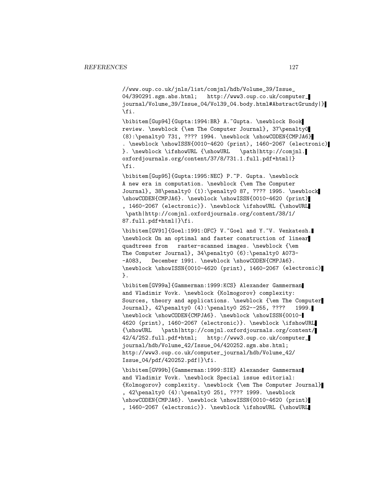//www.oup.co.uk/jnls/list/comjnl/hdb/Volume\_39/Issue\_ 04/390291.sgm.abs.html; http://www3.oup.co.uk/computer\_ journal/Volume\_39/Issue\_04/Vol39\_04.body.html#AbstractGrundy|} \fi.

\bibitem[Gup94]{Gupta:1994:BR} A.~Gupta. \newblock Book review. \newblock {\em The Computer Journal}, 37\penalty0 (8):\penalty0 731, ???? 1994. \newblock \showCODEN{CMPJA6} . \newblock \showISSN{0010-4620 (print), 1460-2067 (electronic) }. \newblock \ifshowURL {\showURL \path|http://comjnl. oxfordjournals.org/content/37/8/731.1.full.pdf+html|} \fi.

\bibitem[Gup95]{Gupta:1995:NEC} P.~P. Gupta. \newblock A new era in computation. \newblock {\em The Computer Journal}, 38\penalty0 (1):\penalty0 87, ???? 1995. \newblock \showCODEN{CMPJA6}. \newblock \showISSN{0010-4620 (print) , 1460-2067 (electronic)}. \newblock \ifshowURL {\showURL \path|http://comjnl.oxfordjournals.org/content/38/1/ 87.full.pdf+html|}\fi.

\bibitem[GV91]{Goel:1991:OFC} V.~Goel and Y.~V. Venkatesh. \newblock On an optimal and faster construction of linear quadtrees from raster-scanned images. \newblock {\em The Computer Journal}, 34\penalty0 (6):\penalty0 A073- -A083, December 1991. \newblock \showCODEN{CMPJA6}. \newblock \showISSN{0010-4620 (print), 1460-2067 (electronic) }.

\bibitem[GV99a]{Gammerman:1999:KCS} Alexander Gammerman and Vladimir Vovk. \newblock {Kolmogorov} complexity: Sources, theory and applications. \newblock {\em The Computer Journal}, 42\penalty0 (4):\penalty0 252--255, ???? 1999. \newblock \showCODEN{CMPJA6}. \newblock \showISSN{0010- 4620 (print), 1460-2067 (electronic)}. \newblock \ifshowURL {\showURL \path|http://comjnl.oxfordjournals.org/content/ 42/4/252.full.pdf+html; http://www3.oup.co.uk/computer\_ journal/hdb/Volume\_42/Issue\_04/420252.sgm.abs.html; http://www3.oup.co.uk/computer\_journal/hdb/Volume\_42/ Issue\_04/pdf/420252.pdf|}\fi.

\bibitem[GV99b]{Gammerman:1999:SIE} Alexander Gammerman and Vladimir Vovk. \newblock Special issue editorial: {Kolmogorov} complexity. \newblock {\em The Computer Journal} , 42\penalty0 (4):\penalty0 251, ???? 1999. \newblock \showCODEN{CMPJA6}. \newblock \showISSN{0010-4620 (print) , 1460-2067 (electronic)}. \newblock \ifshowURL {\showURL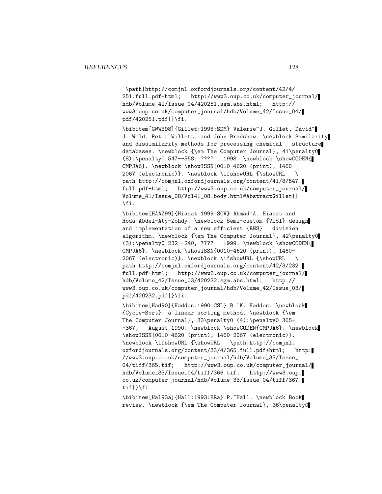\path|http://comjnl.oxfordjournals.org/content/42/4/ 251.full.pdf+html; http://www3.oup.co.uk/computer\_journal/ hdb/Volume\_42/Issue\_04/420251.sgm.abs.html; http:// www3.oup.co.uk/computer\_journal/hdb/Volume\_42/Issue\_04/ pdf/420251.pdf|}\fi.

\bibitem[GWWB98]{Gillet:1998:SDM} Valerie~J. Gillet, David~ J. Wild, Peter Willett, and John Bradshaw. \newblock Similarity and dissimilarity methods for processing chemical structure databases. \newblock {\em The Computer Journal}, 41\penalty0 (8):\penalty0 547--558, ???? 1998. \newblock \showCODEN{ CMPJA6}. \newblock \showISSN{0010-4620 (print), 1460- 2067 (electronic)}. \newblock \ifshowURL {\showURL \ path|http://comjnl.oxfordjournals.org/content/41/8/547. full.pdf+html; http://www3.oup.co.uk/computer\_journal/ Volume\_41/Issue\_08/Vol41\_08.body.html#AbstractGillet|} \fi.

\bibitem[HAAZ99]{Hiasat:1999:SCV} Ahmad~A. Hiasat and Hoda Abdel-Aty-Zohdy. \newblock Semi-custom {VLSI} design and implementation of a new efficient {RNS} division algorithm. \newblock {\em The Computer Journal}, 42\penalty0 (3):\penalty0 232--240, ???? 1999. \newblock \showCODEN{ CMPJA6}. \newblock \showISSN{0010-4620 (print), 1460- 2067 (electronic)}. \newblock \ifshowURL {\showURL \ path|http://comjnl.oxfordjournals.org/content/42/3/232. full.pdf+html; http://www3.oup.co.uk/computer\_journal/ hdb/Volume\_42/Issue\_03/420232.sgm.abs.html; http:// www3.oup.co.uk/computer\_journal/hdb/Volume\_42/Issue\_03/ pdf/420232.pdf|}\fi.

\bibitem[Had90]{Haddon:1990:CSL} B.~K. Haddon. \newblock {Cycle-Sort}: a linear sorting method. \newblock {\em The Computer Journal}, 33\penalty0 (4):\penalty0 365- -367, August 1990. \newblock \showCODEN{CMPJA6}. \newblock \showISSN{0010-4620 (print), 1460-2067 (electronic)}. \newblock \ifshowURL {\showURL \path|http://comjnl. oxfordjournals.org/content/33/4/365.full.pdf+html; http: //www3.oup.co.uk/computer\_journal/hdb/Volume\_33/Issue\_ 04/tiff/365.tif; http://www3.oup.co.uk/computer\_journal/ hdb/Volume\_33/Issue\_04/tiff/366.tif; http://www3.oup. co.uk/computer\_journal/hdb/Volume\_33/Issue\_04/tiff/367. tif|}\fi.

\bibitem[Hal93a]{Hall:1993:BRa} P.~Hall. \newblock Book review. \newblock {\em The Computer Journal}, 36\penalty0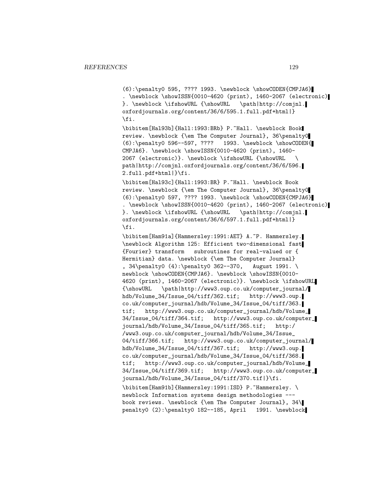(6):\penalty0 595, ???? 1993. \newblock \showCODEN{CMPJA6} . \newblock \showISSN{0010-4620 (print), 1460-2067 (electronic) }. \newblock \ifshowURL {\showURL \path|http://comjnl. oxfordjournals.org/content/36/6/595.1.full.pdf+html|} \fi.

\bibitem[Hal93b]{Hall:1993:BRb} P.~Hall. \newblock Book review. \newblock {\em The Computer Journal}, 36\penalty0 (6):\penalty0 596--597, ???? 1993. \newblock \showCODEN{ CMPJA6}. \newblock \showISSN{0010-4620 (print), 1460- 2067 (electronic)}. \newblock \ifshowURL {\showURL \ path|http://comjnl.oxfordjournals.org/content/36/6/596. 2.full.pdf+html|}\fi.

\bibitem[Hal93c]{Hall:1993:BR} P.~Hall. \newblock Book review. \newblock {\em The Computer Journal}, 36\penalty0  $(6): \penalty0 597, ???? 1993. \newblock \showCODEN{CMPJAG}$ . \newblock \showISSN{0010-4620 (print), 1460-2067 (electronic) }. \newblock \ifshowURL {\showURL \path|http://comjnl. oxfordjournals.org/content/36/6/597.1.full.pdf+html|} \fi.

\bibitem[Ham91a]{Hammersley:1991:AET} A.~P. Hammersley. \newblock Algorithm 125: Efficient two-dimensional fast {Fourier} transform subroutines for real-valued or { Hermitian} data. \newblock {\em The Computer Journal} , 34\penalty0 (4):\penalty0 362--370, August 1991. \ newblock \showCODEN{CMPJA6}. \newblock \showISSN{0010-4620 (print), 1460-2067 (electronic)}. \newblock \ifshowURL {\showURL \path|http://www3.oup.co.uk/computer\_journal/ hdb/Volume\_34/Issue\_04/tiff/362.tif; http://www3.oup. co.uk/computer\_journal/hdb/Volume\_34/Issue\_04/tiff/363. tif; http://www3.oup.co.uk/computer\_journal/hdb/Volume\_ 34/Issue\_04/tiff/364.tif; http://www3.oup.co.uk/computer\_ journal/hdb/Volume\_34/Issue\_04/tiff/365.tif; http:/ /www3.oup.co.uk/computer\_journal/hdb/Volume\_34/Issue\_ 04/tiff/366.tif; http://www3.oup.co.uk/computer\_journal/ hdb/Volume\_34/Issue\_04/tiff/367.tif; http://www3.oup. co.uk/computer\_journal/hdb/Volume\_34/Issue\_04/tiff/368. tif; http://www3.oup.co.uk/computer\_journal/hdb/Volume\_ 34/Issue\_04/tiff/369.tif; http://www3.oup.co.uk/computer\_ journal/hdb/Volume\_34/Issue\_04/tiff/370.tif|}\fi. \bibitem[Ham91b]{Hammersley:1991:ISD} P.~Hammersley. \ newblock Information systems design methodologies -- book reviews. \newblock {\em The Computer Journal}, 34\ penalty0 (2):\penalty0 182--185, April 1991. \newblock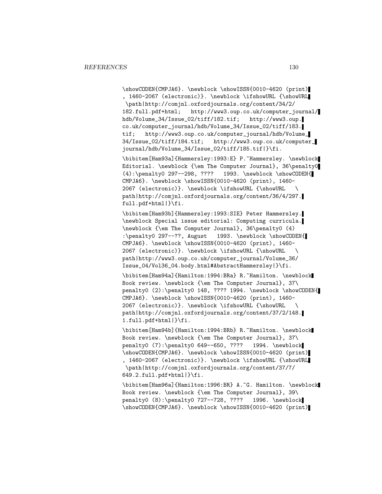\showCODEN{CMPJA6}. \newblock \showISSN{0010-4620 (print) , 1460-2067 (electronic)}. \newblock \ifshowURL {\showURL \path|http://comjnl.oxfordjournals.org/content/34/2/ 182.full.pdf+html; http://www3.oup.co.uk/computer\_journal/ hdb/Volume\_34/Issue\_02/tiff/182.tif; http://www3.oup. co.uk/computer\_journal/hdb/Volume\_34/Issue\_02/tiff/183. tif; http://www3.oup.co.uk/computer\_journal/hdb/Volume\_ 34/Issue\_02/tiff/184.tif; http://www3.oup.co.uk/computer\_ journal/hdb/Volume\_34/Issue\_02/tiff/185.tif|}\fi.

\bibitem[Ham93a]{Hammersley:1993:E} P.~Hammersley. \newblock Editorial. \newblock {\em The Computer Journal}, 36\penalty0 (4):\penalty0 297--298, ???? 1993. \newblock \showCODEN{ CMPJA6}. \newblock \showISSN{0010-4620 (print), 1460- 2067 (electronic)}. \newblock \ifshowURL {\showURL \ path|http://comjnl.oxfordjournals.org/content/36/4/297. full.pdf+html|}\fi.

\bibitem[Ham93b]{Hammersley:1993:SIE} Peter Hammersley. \newblock Special issue editorial: Computing curricula. \newblock {\em The Computer Journal}, 36\penalty0 (4) :\penalty0 297--??, August 1993. \newblock \showCODEN{ CMPJA6}. \newblock \showISSN{0010-4620 (print), 1460- 2067 (electronic)}. \newblock \ifshowURL {\showURL \ path|http://www3.oup.co.uk/computer\_journal/Volume\_36/ Issue\_04/Vol36\_04.body.html#AbstractHammersley|}\fi.

\bibitem[Ham94a]{Hamilton:1994:BRa} R.~Hamilton. \newblock Book review. \newblock {\em The Computer Journal}, 37\ penalty0 (2):\penalty0 148, ???? 1994. \newblock \showCODEN{ CMPJA6}. \newblock \showISSN{0010-4620 (print), 1460- 2067 (electronic)}. \newblock \ifshowURL {\showURL \ path|http://comjnl.oxfordjournals.org/content/37/2/148. 1.full.pdf+html|}\fi.

\bibitem[Ham94b]{Hamilton:1994:BRb} R.~Hamilton. \newblock Book review. \newblock {\em The Computer Journal}, 37\ penalty0 (7):\penalty0 649--650, ???? 1994. \newblock \showCODEN{CMPJA6}. \newblock \showISSN{0010-4620 (print) , 1460-2067 (electronic)}. \newblock \ifshowURL {\showURL \path|http://comjnl.oxfordjournals.org/content/37/7/ 649.2.full.pdf+html|}\fi.

\bibitem[Ham96a]{Hamilton:1996:BR} A.~G. Hamilton. \newblock Book review. \newblock {\em The Computer Journal}, 39\ penalty0 (8):\penalty0 727--728, ???? 1996. \newblock \showCODEN{CMPJA6}. \newblock \showISSN{0010-4620 (print)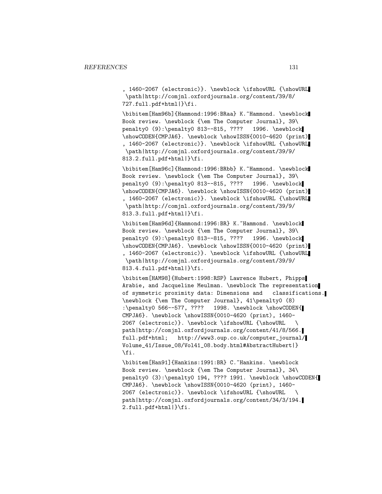, 1460-2067 (electronic)}. \newblock \ifshowURL {\showURL \path|http://comjnl.oxfordjournals.org/content/39/8/ 727.full.pdf+html|}\fi.

\bibitem[Ham96b]{Hammond:1996:BRaa} K.~Hammond. \newblock Book review. \newblock {\em The Computer Journal}, 39\ penalty0 (9):\penalty0 813--815, ???? 1996. \newblock \showCODEN{CMPJA6}. \newblock \showISSN{0010-4620 (print) , 1460-2067 (electronic)}. \newblock \ifshowURL {\showURL \path|http://comjnl.oxfordjournals.org/content/39/9/ 813.2.full.pdf+html|}\fi.

\bibitem[Ham96c]{Hammond:1996:BRbb} K.~Hammond. \newblock Book review. \newblock {\em The Computer Journal}, 39\ penalty0 (9):\penalty0 813--815, ???? 1996. \newblock \showCODEN{CMPJA6}. \newblock \showISSN{0010-4620 (print) , 1460-2067 (electronic)}. \newblock \ifshowURL {\showURL \path|http://comjnl.oxfordjournals.org/content/39/9/ 813.3.full.pdf+html|}\fi.

\bibitem[Ham96d]{Hammond:1996:BR} K.~Hammond. \newblock Book review. \newblock {\em The Computer Journal}, 39\ penalty0 (9):\penalty0 813--815, ???? 1996. \newblock \showCODEN{CMPJA6}. \newblock \showISSN{0010-4620 (print) , 1460-2067 (electronic)}. \newblock \ifshowURL {\showURL \path|http://comjnl.oxfordjournals.org/content/39/9/ 813.4.full.pdf+html|}\fi.

\bibitem[HAM98]{Hubert:1998:RSP} Lawrence Hubert, Phipps Arabie, and Jacqueline Meulman. \newblock The representation of symmetric proximity data: Dimensions and classifications. \newblock {\em The Computer Journal}, 41\penalty0 (8) :\penalty0 566--577, ???? 1998. \newblock \showCODEN{ CMPJA6}. \newblock \showISSN{0010-4620 (print), 1460- 2067 (electronic)}. \newblock \ifshowURL {\showURL \ path|http://comjnl.oxfordjournals.org/content/41/8/566. full.pdf+html; http://www3.oup.co.uk/computer\_journal/ Volume\_41/Issue\_08/Vol41\_08.body.html#AbstractHubert|} \fi.

\bibitem[Han91]{Hankins:1991:BR} C.~Hankins. \newblock Book review. \newblock {\em The Computer Journal}, 34\ penalty0 (3):\penalty0 194, ???? 1991. \newblock \showCODEN{ CMPJA6}. \newblock \showISSN{0010-4620 (print), 1460- 2067 (electronic)}. \newblock \ifshowURL {\showURL \ path|http://comjnl.oxfordjournals.org/content/34/3/194. 2.full.pdf+html|}\fi.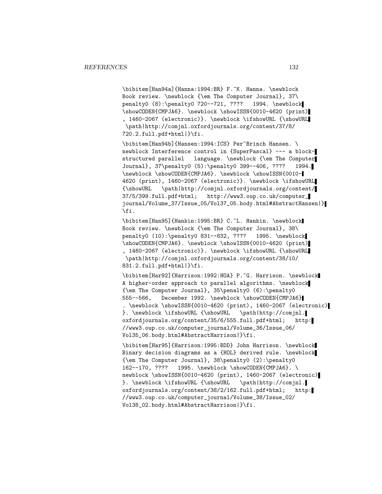\bibitem[Han94a]{Hanna:1994:BR} F.~K. Hanna. \newblock Book review. \newblock {\em The Computer Journal}, 37\ penalty0 (8):\penalty0 720--721, ???? 1994. \newblock \showCODEN{CMPJA6}. \newblock \showISSN{0010-4620 (print) , 1460-2067 (electronic)}. \newblock \ifshowURL {\showURL \path|http://comjnl.oxfordjournals.org/content/37/8/ 720.2.full.pdf+html|}\fi.

\bibitem[Han94b]{Hansen:1994:ICS} Per~Brinch Hansen. \ newblock Interference control in {SuperPascal} --- a blockstructured parallel language. \newblock {\em The Computer Journal}, 37\penalty0 (5):\penalty0 399--406, ???? 1994. \newblock \showCODEN{CMPJA6}. \newblock \showISSN{0010- 4620 (print), 1460-2067 (electronic)}. \newblock \ifshowURL {\showURL \path|http://comjnl.oxfordjournals.org/content/ 37/5/399.full.pdf+html; http://www3.oup.co.uk/computer\_ journal/Volume\_37/Issue\_05/Vol37\_05.body.html#AbstractHansen|} \fi.

\bibitem[Han95]{Hankin:1995:BR} C.~L. Hankin. \newblock Book review. \newblock {\em The Computer Journal}, 38\ penalty0 (10):\penalty0 831--832, ???? 1995. \newblock \showCODEN{CMPJA6}. \newblock \showISSN{0010-4620 (print) , 1460-2067 (electronic)}. \newblock \ifshowURL {\showURL \path|http://comjnl.oxfordjournals.org/content/38/10/ 831.2.full.pdf+html|}\fi.

\bibitem[Har92]{Harrison:1992:HOA} P.~G. Harrison. \newblock A higher-order approach to parallel algorithms. \newblock {\em The Computer Journal}, 35\penalty0 (6):\penalty0 555--566, December 1992. \newblock \showCODEN{CMPJA6} . \newblock \showISSN{0010-4620 (print), 1460-2067 (electronic) }. \newblock \ifshowURL {\showURL \path|http://comjnl. oxfordjournals.org/content/35/6/555.full.pdf+html; http: //www3.oup.co.uk/computer\_journal/Volume\_36/Issue\_06/ Vol35\_06.body.html#AbstractHarrison|}\fi.

\bibitem[Har95]{Harrison:1995:BDD} John Harrison. \newblock Binary decision diagrams as a {HOL} derived rule. \newblock {\em The Computer Journal}, 38\penalty0 (2):\penalty0 162--170, ???? 1995. \newblock \showCODEN{CMPJA6}. \ newblock \showISSN{0010-4620 (print), 1460-2067 (electronic) }. \newblock \ifshowURL {\showURL \path|http://comjnl. oxfordjournals.org/content/38/2/162.full.pdf+html; http: //www3.oup.co.uk/computer\_journal/Volume\_38/Issue\_02/ Vol38\_02.body.html#AbstractHarrison|}\fi.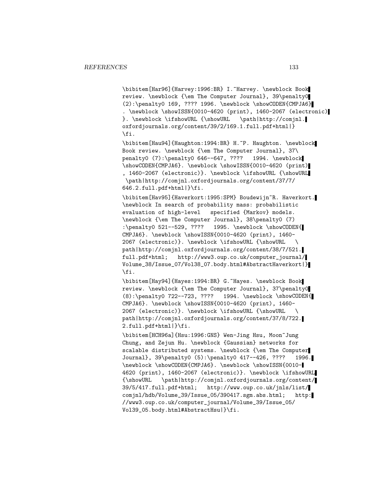\bibitem[Har96]{Harvey:1996:BR} I. Harvey. \newblock Book review. \newblock {\em The Computer Journal}, 39\penalty0  $(2): \penalty0 169, ???? 1996. \newblock \showCODEN{CMDIAG}$ . \newblock \showISSN{0010-4620 (print), 1460-2067 (electronic) }. \newblock \ifshowURL {\showURL \path|http://comjnl. oxfordjournals.org/content/39/2/169.1.full.pdf+html|} \fi.

\bibitem[Hau94]{Haughton:1994:BR} H.~P. Haughton. \newblock Book review. \newblock {\em The Computer Journal}, 37\ penalty0 (7):\penalty0 646--647, ???? 1994. \newblock \showCODEN{CMPJA6}. \newblock \showISSN{0010-4620 (print) , 1460-2067 (electronic)}. \newblock \ifshowURL {\showURL \path|http://comjnl.oxfordjournals.org/content/37/7/  $646.2.full.pdf+html$ |}\fi.

\bibitem[Hav95]{Haverkort:1995:SPM} Boudewijn~R. Haverkort. \newblock In search of probability mass: probabilistic evaluation of high-level specified {Markov} models. \newblock {\em The Computer Journal}, 38\penalty0 (7) :\penalty0 521--529, ???? 1995. \newblock \showCODEN{ CMPJA6}. \newblock \showISSN{0010-4620 (print), 1460- 2067 (electronic)}. \newblock \ifshowURL {\showURL \ path|http://comjnl.oxfordjournals.org/content/38/7/521. full.pdf+html; http://www3.oup.co.uk/computer\_journal/ Volume\_38/Issue\_07/Vol38\_07.body.html#AbstractHaverkort|} \fi.

\bibitem[Hay94]{Hayes:1994:BR} G.~Hayes. \newblock Book review. \newblock {\em The Computer Journal}, 37\penalty0  $(8): \penalty0 722--723, ???? 1994. \newblock \showCODEN{$ CMPJA6}. \newblock \showISSN{0010-4620 (print), 1460- 2067 (electronic)}. \newblock \ifshowURL {\showURL \ path|http://comjnl.oxfordjournals.org/content/37/8/722. 2.full.pdf+html|}\fi.

\bibitem[HCH96a]{Hsu:1996:GNS} Wen-Jing Hsu, Moon~Jung Chung, and Zejun Hu. \newblock {Gaussian} networks for scalable distributed systems. \newblock {\em The Computer Journal}, 39\penalty0 (5):\penalty0 417--426, ???? 1996. \newblock \showCODEN{CMPJA6}. \newblock \showISSN{0010- 4620 (print), 1460-2067 (electronic)}. \newblock \ifshowURL {\showURL \path|http://comjnl.oxfordjournals.org/content/ 39/5/417.full.pdf+html; http://www.oup.co.uk/jnls/list/ comjnl/hdb/Volume\_39/Issue\_05/390417.sgm.abs.html; http: //www3.oup.co.uk/computer\_journal/Volume\_39/Issue\_05/ Vol39\_05.body.html#AbstractHsu|}\fi.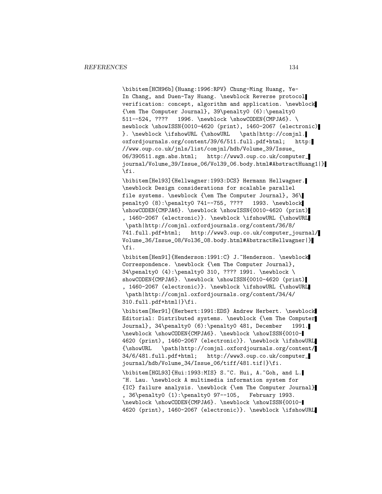\bibitem[HCH96b]{Huang:1996:RPV} Chung-Ming Huang, Ye-In Chang, and Duen-Tay Huang. \newblock Reverse protocol verification: concept, algorithm and application. \newblock {\em The Computer Journal}, 39\penalty0 (6):\penalty0 511--524, ???? 1996. \newblock \showCODEN{CMPJA6}. \ newblock \showISSN{0010-4620 (print), 1460-2067 (electronic) }. \newblock \ifshowURL {\showURL \path|http://comjnl. oxfordjournals.org/content/39/6/511.full.pdf+html; http: //www.oup.co.uk/jnls/list/comjnl/hdb/Volume\_39/Issue\_ 06/390511.sgm.abs.html; http://www3.oup.co.uk/computer\_ journal/Volume\_39/Issue\_06/Vol39\_06.body.html#AbstractHuang1|} \fi.

\bibitem[Hel93]{Hellwagner:1993:DCS} Hermann Hellwagner. \newblock Design considerations for scalable parallel file systems. \newblock {\em The Computer Journal}, 36\ penalty0 (8):\penalty0 741--755, ???? 1993. \newblock \showCODEN{CMPJA6}. \newblock \showISSN{0010-4620 (print) , 1460-2067 (electronic)}. \newblock \ifshowURL {\showURL \path|http://comjnl.oxfordjournals.org/content/36/8/ 741.full.pdf+html; http://www3.oup.co.uk/computer\_journal/ Volume\_36/Issue\_08/Vol36\_08.body.html#AbstractHellwagner|} \fi.

\bibitem[Hen91]{Henderson:1991:C} J.~Henderson. \newblock Correspondence. \newblock {\em The Computer Journal}, 34\penalty0 (4):\penalty0 310, ???? 1991. \newblock \ showCODEN{CMPJA6}. \newblock \showISSN{0010-4620 (print) , 1460-2067 (electronic)}. \newblock \ifshowURL {\showURL \path|http://comjnl.oxfordjournals.org/content/34/4/ 310.full.pdf+html|}\fi.

\bibitem[Her91]{Herbert:1991:EDS} Andrew Herbert. \newblock Editorial: Distributed systems. \newblock {\em The Computer Journal}, 34\penalty0 (6):\penalty0 481, December 1991. \newblock \showCODEN{CMPJA6}. \newblock \showISSN{0010- 4620 (print), 1460-2067 (electronic)}. \newblock \ifshowURL {\showURL \path|http://comjnl.oxfordjournals.org/content/ 34/6/481.full.pdf+html; http://www3.oup.co.uk/computer\_ journal/hdb/Volume\_34/Issue\_06/tiff/481.tif|}\fi. \bibitem[HGL93]{Hui:1993:MIS} S.~C. Hui, A.~Goh, and L. ~H. Lau. \newblock A multimedia information system for {IC} failure analysis. \newblock {\em The Computer Journal} , 36\penalty0 (1):\penalty0 97--105, February 1993. \newblock \showCODEN{CMPJA6}. \newblock \showISSN{0010- 4620 (print), 1460-2067 (electronic)}. \newblock \ifshowURL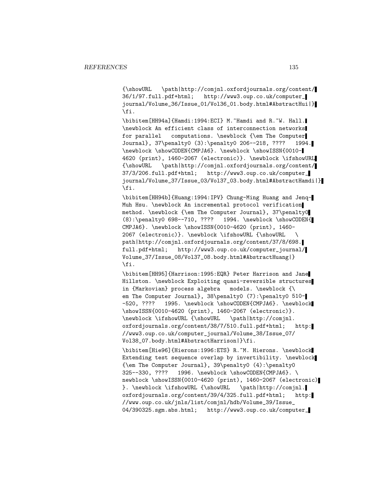{\showURL \path|http://comjnl.oxfordjournals.org/content/ 36/1/97.full.pdf+html; http://www3.oup.co.uk/computer\_ journal/Volume\_36/Issue\_01/Vol36\_01.body.html#AbstractHui|} \fi.

\bibitem[HH94a]{Hamdi:1994:ECI} M.~Hamdi and R.~W. Hall. \newblock An efficient class of interconnection networks for parallel computations. \newblock {\em The Computer Journal}, 37\penalty0 (3):\penalty0 206--218, ???? 1994. \newblock \showCODEN{CMPJA6}. \newblock \showISSN{0010- 4620 (print), 1460-2067 (electronic)}. \newblock \ifshowURL {\showURL \path|http://comjnl.oxfordjournals.org/content/ 37/3/206.full.pdf+html; http://www3.oup.co.uk/computer\_ journal/Volume\_37/Issue\_03/Vol37\_03.body.html#AbstractHamdi|} \fi.

\bibitem[HH94b]{Huang:1994:IPV} Chung-Ming Huang and Jenq-Muh Hsu. \newblock An incremental protocol verification method. \newblock {\em The Computer Journal}, 37\penalty0 (8):\penalty0 698--710, ???? 1994. \newblock \showCODEN{ CMPJA6}. \newblock \showISSN{0010-4620 (print), 1460- 2067 (electronic)}. \newblock \ifshowURL {\showURL \ path|http://comjnl.oxfordjournals.org/content/37/8/698. full.pdf+html; http://www3.oup.co.uk/computer\_journal/ Volume\_37/Issue\_08/Vol37\_08.body.html#AbstractHuang|} \fi.

\bibitem[HH95]{Harrison:1995:EQR} Peter Harrison and Jane Hillston. \newblock Exploiting quasi-reversible structures in {Markovian} process algebra models. \newblock {\ em The Computer Journal}, 38\penalty0 (7):\penalty0 510--520, ???? 1995. \newblock \showCODEN{CMPJA6}. \newblock \showISSN{0010-4620 (print), 1460-2067 (electronic)}. \newblock \ifshowURL {\showURL \path|http://comjnl. oxfordjournals.org/content/38/7/510.full.pdf+html; http: //www3.oup.co.uk/computer\_journal/Volume\_38/Issue\_07/ Vol38\_07.body.html#AbstractHarrison|}\fi.

\bibitem[Hie96]{Hierons:1996:ETS} R.~M. Hierons. \newblock Extending test sequence overlap by invertibility. \newblock {\em The Computer Journal}, 39\penalty0 (4):\penalty0 325--330, ???? 1996. \newblock \showCODEN{CMPJA6}. \ newblock \showISSN{0010-4620 (print), 1460-2067 (electronic) }. \newblock \ifshowURL {\showURL \path|http://comjnl. oxfordjournals.org/content/39/4/325.full.pdf+html; http: //www.oup.co.uk/jnls/list/comjnl/hdb/Volume\_39/Issue\_ 04/390325.sgm.abs.html; http://www3.oup.co.uk/computer\_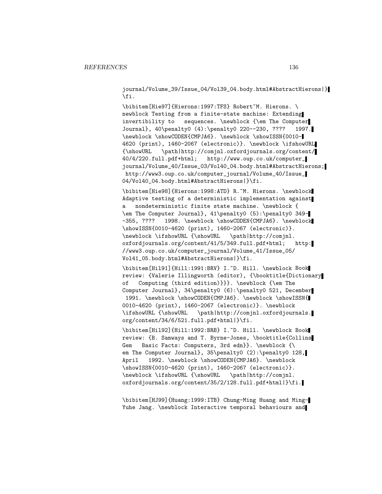journal/Volume\_39/Issue\_04/Vol39\_04.body.html#AbstractHierons|} \fi.

\bibitem[Hie97]{Hierons:1997:TFS} Robert~M. Hierons. \ newblock Testing from a finite-state machine: Extending invertibility to sequences. \newblock {\em The Computer Journal}, 40\penalty0 (4):\penalty0 220--230, ???? 1997. \newblock \showCODEN{CMPJA6}. \newblock \showISSN{0010- 4620 (print), 1460-2067 (electronic)}. \newblock \ifshowURL {\showURL \path|http://comjnl.oxfordjournals.org/content/ 40/4/220.full.pdf+html; http://www.oup.co.uk/computer\_ journal/Volume\_40/Issue\_03/Vol40\_04.body.html#AbstractHierons; http://www3.oup.co.uk/computer\_journal/Volume\_40/Issue\_ 04/Vol40\_04.body.html#AbstractHierons|}\fi.

\bibitem[Hie98]{Hierons:1998:ATD} R.~M. Hierons. \newblock Adaptive testing of a deterministic implementation against a nondeterministic finite state machine. \newblock { \em The Computer Journal}, 41\penalty0 (5):\penalty0 349- -355, ???? 1998. \newblock \showCODEN{CMPJA6}. \newblock \showISSN{0010-4620 (print), 1460-2067 (electronic)}. \newblock \ifshowURL {\showURL \path|http://comjnl. oxfordjournals.org/content/41/5/349.full.pdf+html; http: //www3.oup.co.uk/computer\_journal/Volume\_41/Issue\_05/ Vol41\_05.body.html#AbstractHierons|}\fi.

\bibitem[Hil91]{Hill:1991:BRV} I.~D. Hill. \newblock Book review: {Valerie Illingworth (editor), {\booktitle{Dictionary of Computing (third edition)}}}. \newblock {\em The Computer Journal}, 34\penalty0 (6):\penalty0 521, December 1991. \newblock \showCODEN{CMPJA6}. \newblock \showISSN{ 0010-4620 (print), 1460-2067 (electronic)}. \newblock \ifshowURL {\showURL \path|http://comjnl.oxfordjournals. org/content/34/6/521.full.pdf+html|}\fi.

\bibitem[Hil92]{Hill:1992:BRB} I.~D. Hill. \newblock Book review: {B. Samways and T. Byrne-Jones, \booktitle{Collins Gem Basic Facts: Computers, 3rd edn}}. \newblock {\ em The Computer Journal}, 35\penalty0 (2):\penalty0 128, April 1992. \newblock \showCODEN{CMPJA6}. \newblock \showISSN{0010-4620 (print), 1460-2067 (electronic)}. \newblock \ifshowURL {\showURL \path|http://comjnl. oxfordjournals.org/content/35/2/128.full.pdf+html|}\fi.

\bibitem[HJ99]{Huang:1999:ITB} Chung-Ming Huang and Ming-Yuhe Jang. \newblock Interactive temporal behaviours and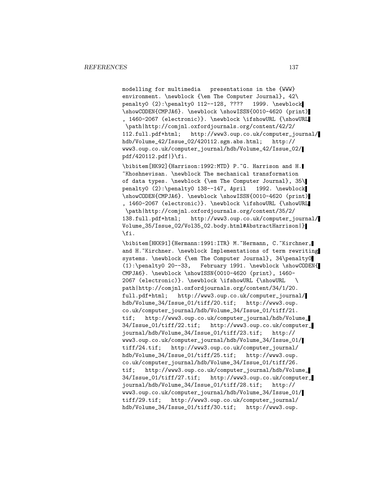modelling for multimedia presentations in the {WWW} environment. \newblock {\em The Computer Journal}, 42\ penalty0 (2):\penalty0 112--128, ???? 1999. \newblock \showCODEN{CMPJA6}. \newblock \showISSN{0010-4620 (print) , 1460-2067 (electronic)}. \newblock \ifshowURL {\showURL \path|http://comjnl.oxfordjournals.org/content/42/2/ 112.full.pdf+html; http://www3.oup.co.uk/computer\_journal/ hdb/Volume\_42/Issue\_02/420112.sgm.abs.html; http:// www3.oup.co.uk/computer\_journal/hdb/Volume\_42/Issue\_02/ pdf/420112.pdf|}\fi.

\bibitem[HK92]{Harrison:1992:MTD} P.~G. Harrison and H. ~Khoshnevisan. \newblock The mechanical transformation of data types. \newblock {\em The Computer Journal}, 35\ penalty0 (2):\penalty0 138--147, April 1992. \newblock \showCODEN{CMPJA6}. \newblock \showISSN{0010-4620 (print) , 1460-2067 (electronic)}. \newblock \ifshowURL {\showURL \path|http://comjnl.oxfordjournals.org/content/35/2/ 138.full.pdf+html; http://www3.oup.co.uk/computer\_journal/ Volume\_35/Issue\_02/Vol35\_02.body.html#AbstractHarrison|} \fi.

\bibitem[HKK91]{Hermann:1991:ITR} M.~Hermann, C.~Kirchner, and H. "Kirchner. \newblock Implementations of term rewriting systems. \newblock {\em The Computer Journal}, 34\penalty0 (1):\penalty0 20--33, February 1991. \newblock \showCODEN{ CMPJA6}. \newblock \showISSN{0010-4620 (print), 1460- 2067 (electronic)}. \newblock \ifshowURL {\showURL \ path|http://comjnl.oxfordjournals.org/content/34/1/20. full.pdf+html; http://www3.oup.co.uk/computer\_journal/ hdb/Volume\_34/Issue\_01/tiff/20.tif; http://www3.oup. co.uk/computer\_journal/hdb/Volume\_34/Issue\_01/tiff/21. tif; http://www3.oup.co.uk/computer\_journal/hdb/Volume\_ 34/Issue\_01/tiff/22.tif; http://www3.oup.co.uk/computer\_ journal/hdb/Volume\_34/Issue\_01/tiff/23.tif; http:// www3.oup.co.uk/computer\_journal/hdb/Volume\_34/Issue\_01/ tiff/24.tif; http://www3.oup.co.uk/computer\_journal/ hdb/Volume\_34/Issue\_01/tiff/25.tif; http://www3.oup. co.uk/computer\_journal/hdb/Volume\_34/Issue\_01/tiff/26. tif; http://www3.oup.co.uk/computer\_journal/hdb/Volume\_ 34/Issue\_01/tiff/27.tif; http://www3.oup.co.uk/computer\_ journal/hdb/Volume\_34/Issue\_01/tiff/28.tif; http:// www3.oup.co.uk/computer\_journal/hdb/Volume\_34/Issue\_01/ tiff/29.tif; http://www3.oup.co.uk/computer\_journal/ hdb/Volume\_34/Issue\_01/tiff/30.tif; http://www3.oup.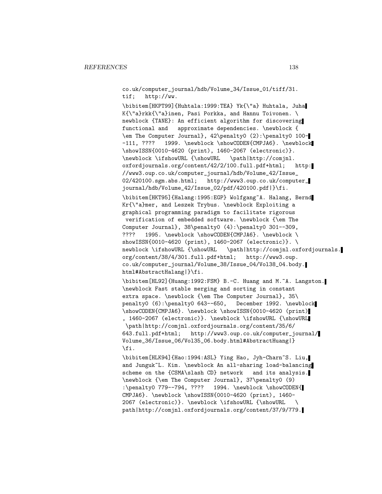co.uk/computer\_journal/hdb/Volume\_34/Issue\_01/tiff/31. tif; http://ww.

\bibitem[HKPT99]{Huhtala:1999:TEA} Yk{\"a} Huhtala, Juha K{\"a}rkk{\"a}inen, Pasi Porkka, and Hannu Toivonen. \ newblock {TANE}: An efficient algorithm for discovering functional and approximate dependencies. \newblock { \em The Computer Journal}, 42\penalty0 (2):\penalty0 100- -111, ???? 1999. \newblock \showCODEN{CMPJA6}. \newblock \showISSN{0010-4620 (print), 1460-2067 (electronic)}. \newblock \ifshowURL {\showURL \path|http://comjnl. oxfordjournals.org/content/42/2/100.full.pdf+html; http: //www3.oup.co.uk/computer\_journal/hdb/Volume\_42/Issue\_ 02/420100.sgm.abs.html; http://www3.oup.co.uk/computer\_ journal/hdb/Volume\_42/Issue\_02/pdf/420100.pdf|}\fi. \bibitem[HKT95]{Halang:1995:EGP} Wolfgang~A. Halang, Bernd Kr{\"a}mer, and Leszek Trybus. \newblock Exploiting a graphical programming paradigm to facilitate rigorous verification of embedded software. \newblock {\em The Computer Journal}, 38\penalty0 (4):\penalty0 301--309, ???? 1995. \newblock \showCODEN{CMPJA6}. \newblock \ showISSN{0010-4620 (print), 1460-2067 (electronic)}. \ newblock \ifshowURL {\showURL \path|http://comjnl.oxfordjournals. org/content/38/4/301.full.pdf+html; http://www3.oup. co.uk/computer\_journal/Volume\_38/Issue\_04/Vol38\_04.body. html#AbstractHalang|}\fi.

\bibitem[HL92]{Huang:1992:FSM} B.-C. Huang and M.~A. Langston. \newblock Fast stable merging and sorting in constant extra space. \newblock {\em The Computer Journal}, 35\ penalty0 (6):\penalty0 643--650, December 1992. \newblock \showCODEN{CMPJA6}. \newblock \showISSN{0010-4620 (print) , 1460-2067 (electronic)}. \newblock \ifshowURL {\showURL \path|http://comjnl.oxfordjournals.org/content/35/6/ 643.full.pdf+html; http://www3.oup.co.uk/computer\_journal/ Volume\_36/Issue\_06/Vol35\_06.body.html#AbstractHuang|} \fi.

\bibitem[HLK94]{Hao:1994:ASL} Ying Hao, Jyh-Charn~S. Liu, and Junguk~L. Kim. \newblock An all-sharing load-balancing scheme on the {CSMA\slash CD} network and its analysis. \newblock {\em The Computer Journal}, 37\penalty0 (9) :\penalty0 779--794, ???? 1994. \newblock \showCODE 1994. \newblock \showCODEN{ CMPJA6}. \newblock \showISSN{0010-4620 (print), 1460- 2067 (electronic)}. \newblock \ifshowURL {\showURL \ path|http://comjnl.oxfordjournals.org/content/37/9/779.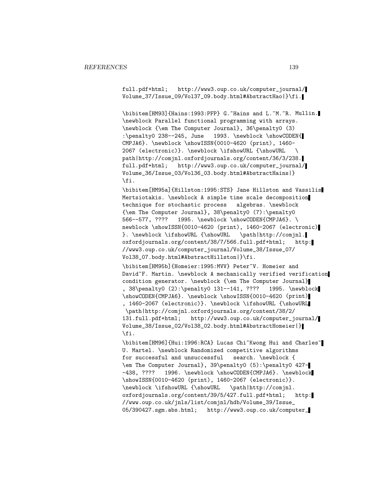full.pdf+html; http://www3.oup.co.uk/computer\_journal/ Volume\_37/Issue\_09/Vol37\_09.body.html#AbstractHao|}\fi.

\bibitem[HM93]{Hains:1993:PFP} G.~Hains and L.~M.~R. Mullin. \newblock Parallel functional programming with arrays. \newblock {\em The Computer Journal}, 36\penalty0 (3) :\penalty0 238--245, June 1993. \newblock \showCODEN{ CMPJA6}. \newblock \showISSN{0010-4620 (print), 1460- 2067 (electronic)}. \newblock \ifshowURL {\showURL \ path|http://comjnl.oxfordjournals.org/content/36/3/238. full.pdf+html; http://www3.oup.co.uk/computer\_journal/ Volume\_36/Issue\_03/Vol36\_03.body.html#AbstractHains|} \fi.

\bibitem[HM95a]{Hillston:1995:STS} Jane Hillston and Vassilis Mertsiotakis. \newblock A simple time scale decomposition technique for stochastic process algebras. \newblock {\em The Computer Journal}, 38\penalty0 (7):\penalty0 566--577, ???? 1995. \newblock \showCODEN{CMPJA6}. \ newblock \showISSN{0010-4620 (print), 1460-2067 (electronic) }. \newblock \ifshowURL {\showURL \path|http://comjnl. oxfordjournals.org/content/38/7/566.full.pdf+html; http: //www3.oup.co.uk/computer\_journal/Volume\_38/Issue\_07/ Vol38\_07.body.html#AbstractHillston|}\fi.

\bibitem[HM95b]{Homeier:1995:MVV} Peter~V. Homeier and David~F. Martin. \newblock A mechanically verified verification condition generator. \newblock {\em The Computer Journal} , 38\penalty0 (2):\penalty0 131--141, ???? 1995. \newblock \showCODEN{CMPJA6}. \newblock \showISSN{0010-4620 (print) , 1460-2067 (electronic)}. \newblock \ifshowURL {\showURL \path|http://comjnl.oxfordjournals.org/content/38/2/ 131.full.pdf+html; http://www3.oup.co.uk/computer\_journal/ Volume\_38/Issue\_02/Vol38\_02.body.html#AbstractHomeier|} \fi.

\bibitem[HM96]{Hui:1996:RCA} Lucas Chi~Kwong Hui and Charles~ U. Martel. \newblock Randomized competitive algorithms for successful and unsuccessful search. \newblock { \em The Computer Journal}, 39\penalty0 (5):\penalty0 427- -438, ???? 1996. \newblock \showCODEN{CMPJA6}. \newblock \showISSN{0010-4620 (print), 1460-2067 (electronic)}. \newblock \ifshowURL {\showURL \path|http://comjnl. oxfordjournals.org/content/39/5/427.full.pdf+html; http: //www.oup.co.uk/jnls/list/comjnl/hdb/Volume\_39/Issue\_ 05/390427.sgm.abs.html; http://www3.oup.co.uk/computer\_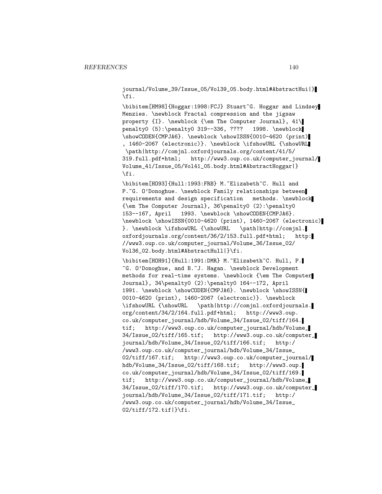journal/Volume\_39/Issue\_05/Vol39\_05.body.html#AbstractHui|} \fi.

\bibitem[HM98]{Hoggar:1998:FCJ} Stuart~G. Hoggar and Lindsey Menzies. \newblock Fractal compression and the jigsaw property {I}. \newblock {\em The Computer Journal}, 41\ penalty0 (5):\penalty0 319--336, ???? 1998. \newblock \showCODEN{CMPJA6}. \newblock \showISSN{0010-4620 (print) , 1460-2067 (electronic)}. \newblock \ifshowURL {\showURL \path|http://comjnl.oxfordjournals.org/content/41/5/ 319.full.pdf+html; http://www3.oup.co.uk/computer\_journal/ Volume\_41/Issue\_05/Vol41\_05.body.html#AbstractHoggar|} \fi.

\bibitem[HO93]{Hull:1993:FRB} M.~Elizabeth~C. Hull and P.~G. O'Donoghue. \newblock Family relationships between requirements and design specification methods. \newblock {\em The Computer Journal}, 36\penalty0 (2):\penalty0 153--167, April 1993. \newblock \showCODEN{CMPJA6}. \newblock \showISSN{0010-4620 (print), 1460-2067 (electronic) }. \newblock \ifshowURL {\showURL \path|http://comjnl. oxfordjournals.org/content/36/2/153.full.pdf+html; http: //www3.oup.co.uk/computer\_journal/Volume\_36/Issue\_02/ Vol36\_02.body.html#AbstractHull|}\fi.

\bibitem[HOH91]{Hull:1991:DMR} M.~Elizabeth~C. Hull, P. ~G. O'Donoghue, and B.~J. Hagan. \newblock Development methods for real-time systems. \newblock {\em The Computer Journal}, 34\penalty0 (2):\penalty0 164--172, April 1991. \newblock \showCODEN{CMPJA6}. \newblock \showISSN{ 0010-4620 (print), 1460-2067 (electronic)}. \newblock \ifshowURL {\showURL \path|http://comjnl.oxfordjournals. org/content/34/2/164.full.pdf+html; http://www3.oup. co.uk/computer\_journal/hdb/Volume\_34/Issue\_02/tiff/164. tif; http://www3.oup.co.uk/computer\_journal/hdb/Volume\_ 34/Issue\_02/tiff/165.tif; http://www3.oup.co.uk/computer\_ journal/hdb/Volume\_34/Issue\_02/tiff/166.tif; http:/ /www3.oup.co.uk/computer\_journal/hdb/Volume\_34/Issue\_ 02/tiff/167.tif; http://www3.oup.co.uk/computer\_journal/ hdb/Volume\_34/Issue\_02/tiff/168.tif; http://www3.oup. co.uk/computer\_journal/hdb/Volume\_34/Issue\_02/tiff/169. tif; http://www3.oup.co.uk/computer\_journal/hdb/Volume\_ 34/Issue\_02/tiff/170.tif; http://www3.oup.co.uk/computer\_ journal/hdb/Volume\_34/Issue\_02/tiff/171.tif; http:/ /www3.oup.co.uk/computer\_journal/hdb/Volume\_34/Issue\_ 02/tiff/172.tif|}\fi.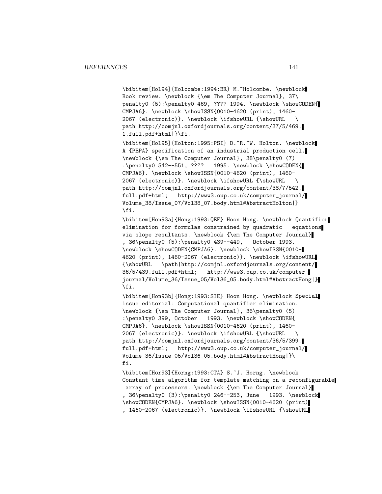\bibitem[Hol94]{Holcombe:1994:BR} M.~Holcombe. \newblock Book review. \newblock {\em The Computer Journal}, 37\ penalty0 (5):\penalty0 469, ???? 1994. \newblock \showCODEN{ CMPJA6}. \newblock \showISSN{0010-4620 (print), 1460- 2067 (electronic)}. \newblock \ifshowURL {\showURL \ path|http://comjnl.oxfordjournals.org/content/37/5/469. 1.full.pdf+html|}\fi.

\bibitem[Hol95]{Holton:1995:PSI} D.~R.~W. Holton. \newblock A {PEPA} specification of an industrial production cell. \newblock {\em The Computer Journal}, 38\penalty0 (7) :\penalty0 542--551, ???? 1995. \newblock \showCODEN{ CMPJA6}. \newblock \showISSN{0010-4620 (print), 1460- 2067 (electronic)}. \newblock \ifshowURL {\showURL \ path|http://comjnl.oxfordjournals.org/content/38/7/542. full.pdf+html; http://www3.oup.co.uk/computer\_journal/ Volume\_38/Issue\_07/Vol38\_07.body.html#AbstractHolton|} \fi.

\bibitem[Hon93a]{Hong:1993:QEF} Hoon Hong. \newblock Quantifier elimination for formulas constrained by quadratic equations via slope resultants. \newblock {\em The Computer Journal} , 36\penalty0 (5):\penalty0 439--449, October 1993. \newblock \showCODEN{CMPJA6}. \newblock \showISSN{0010- 4620 (print), 1460-2067 (electronic)}. \newblock \ifshowURL<br>{\showURL \path|http://comjnl.oxfordjournals.org/content/ {\showURL \path|http://comjnl.oxfordjournals.org/content/ 36/5/439.full.pdf+html; http://www3.oup.co.uk/computer\_ journal/Volume\_36/Issue\_05/Vol36\_05.body.html#AbstractHong|} \fi.

\bibitem[Hon93b]{Hong:1993:SIE} Hoon Hong. \newblock Special issue editorial: Computational quantifier elimination. \newblock {\em The Computer Journal}, 36\penalty0 (5) :\penalty0 399, October 1993. \newblock \showCODEN{ CMPJA6}. \newblock \showISSN{0010-4620 (print), 1460- 2067 (electronic)}. \newblock \ifshowURL {\showURL \ path|http://comjnl.oxfordjournals.org/content/36/5/399. full.pdf+html; http://www3.oup.co.uk/computer\_journal/ Volume\_36/Issue\_05/Vol36\_05.body.html#AbstractHong|}\ fi.

\bibitem[Hor93]{Horng:1993:CTA} S.~J. Horng. \newblock Constant time algorithm for template matching on a reconfigurable array of processors. \newblock {\em The Computer Journal} , 36\penalty0 (3):\penalty0 246--253, June 1993. \newblock \showCODEN{CMPJA6}. \newblock \showISSN{0010-4620 (print) , 1460-2067 (electronic)}. \newblock \ifshowURL {\showURL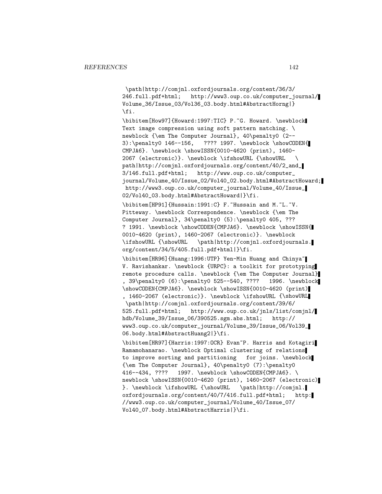\path|http://comjnl.oxfordjournals.org/content/36/3/ 246.full.pdf+html; http://www3.oup.co.uk/computer\_journal/ Volume\_36/Issue\_03/Vol36\_03.body.html#AbstractHorng|} \fi.

\bibitem[How97]{Howard:1997:TIC} P.~G. Howard. \newblock Text image compression using soft pattern matching. \ newblock {\em The Computer Journal}, 40\penalty0 (2-- 3):\penalty0 146--156, ???? 1997. \newblock \showCODEN{ CMPJA6}. \newblock \showISSN{0010-4620 (print), 1460- 2067 (electronic)}. \newblock \ifshowURL {\showURL \ path|http://comjnl.oxfordjournals.org/content/40/2\_and\_ 3/146.full.pdf+html; http://www.oup.co.uk/computer\_ journal/Volume\_40/Issue\_02/Vol40\_02.body.html#AbstractHoward; http://www3.oup.co.uk/computer\_journal/Volume\_40/Issue\_ 02/Vol40\_03.body.html#AbstractHoward|}\fi.

\bibitem[HP91]{Hussain:1991:C} F.~Hussain and M.~L.~V. Pitteway. \newblock Correspondence. \newblock {\em The Computer Journal}, 34\penalty0 (5):\penalty0 405, ??? ? 1991. \newblock \showCODEN{CMPJA6}. \newblock \showISSN{ 0010-4620 (print), 1460-2067 (electronic)}. \newblock \ifshowURL {\showURL \path|http://comjnl.oxfordjournals. org/content/34/5/405.full.pdf+html|}\fi.

\bibitem[HR96]{Huang:1996:UTP} Yen-Min Huang and Chinya~ V. Ravishankar. \newblock {URPC}: a toolkit for prototyping remote procedure calls. \newblock {\em The Computer Journal} , 39\penalty0 (6):\penalty0 525--540, ???? 1996. \newblock \showCODEN{CMPJA6}. \newblock \showISSN{0010-4620 (print) , 1460-2067 (electronic)}. \newblock \ifshowURL {\showURL \path|http://comjnl.oxfordjournals.org/content/39/6/ 525.full.pdf+html; http://www.oup.co.uk/jnls/list/comjnl/ hdb/Volume\_39/Issue\_06/390525.sgm.abs.html; http:// www3.oup.co.uk/computer\_journal/Volume\_39/Issue\_06/Vol39\_

06.body.html#AbstractHuang2|}\fi.

\bibitem[HR97]{Harris:1997:OCR} Evan~P. Harris and Kotagiri Ramamohanarao. \newblock Optimal clustering of relations to improve sorting and partitioning for joins. \newblock {\em The Computer Journal}, 40\penalty0 (7):\penalty0 416--434, ???? 1997. \newblock \showCODEN{CMPJA6}. \ newblock \showISSN{0010-4620 (print), 1460-2067 (electronic) }. \newblock \ifshowURL {\showURL \path|http://comjnl. oxfordjournals.org/content/40/7/416.full.pdf+html; http: //www3.oup.co.uk/computer\_journal/Volume\_40/Issue\_07/ Vol40\_07.body.html#AbstractHarris|}\fi.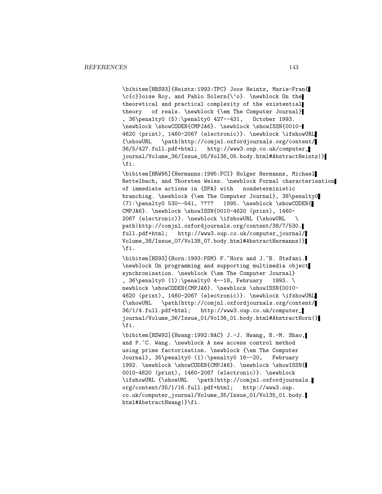\bibitem[HRS93]{Heintz:1993:TPC} Joos Heintz, Marie-Fran{ \c{c}}oise Roy, and Pablo Solern{\'o}. \newblock On the theoretical and practical complexity of the existential theory of reals. \newblock {\em The Computer Journal} , 36\penalty0 (5):\penalty0 427--431, October 1993. \newblock \showCODEN{CMPJA6}. \newblock \showISSN{0010- 4620 (print), 1460-2067 (electronic)}. \newblock \ifshowURL {\showURL \path|http://comjnl.oxfordjournals.org/content/ 36/5/427.full.pdf+html; http://www3.oup.co.uk/computer\_ journal/Volume\_36/Issue\_05/Vol36\_05.body.html#AbstractHeintz|} \fi.

\bibitem[HRW95]{Hermanns:1995:FCI} Holger Hermanns, Michael Rettelbach, and Thorsten Weiss. \newblock Formal characterisation of immediate actions in {SPA} with nondeterministic branching. \newblock {\em The Computer Journal}, 38\penalty0  $(7): \penalty0 530--541, ???? 1995. \newblock \showCODEN{$ CMPJA6}. \newblock \showISSN{0010-4620 (print), 1460- 2067 (electronic)}. \newblock \ifshowURL {\showURL \ path|http://comjnl.oxfordjournals.org/content/38/7/530. full.pdf+html; http://www3.oup.co.uk/computer\_journal/ Volume\_38/Issue\_07/Vol38\_07.body.html#AbstractHermanns|} \fi.

\bibitem[HS93]{Horn:1993:PSM} F.~Horn and J.~B. Stefani. \newblock On programming and supporting multimedia object synchronisation. \newblock {\em The Computer Journal} , 36\penalty0 (1):\penalty0 4--18, February 1993. \ newblock \showCODEN{CMPJA6}. \newblock \showISSN{0010-4620 (print), 1460-2067 (electronic)}. \newblock \ifshowURL {\showURL \path|http://comjnl.oxfordjournals.org/content/ 36/1/4.full.pdf+html; http://www3.oup.co.uk/computer\_ journal/Volume\_36/Issue\_01/Vol36\_01.body.html#AbstractHorn|} \fi.

\bibitem[HSW92]{Hwang:1992:NAC} J.-J. Hwang, B.-M. Shao, and P.~C. Wang. \newblock A new access control method using prime factorisation. \newblock {\em The Computer Journal}, 35\penalty0 (1):\penalty0 16--20, February 1992. \newblock \showCODEN{CMPJA6}. \newblock \showISSN{ 0010-4620 (print), 1460-2067 (electronic)}. \newblock \ifshowURL {\showURL \path|http://comjnl.oxfordjournals. org/content/35/1/16.full.pdf+html; http://www3.oup. co.uk/computer\_journal/Volume\_35/Issue\_01/Vol35\_01.body. html#AbstractHwang|}\fi.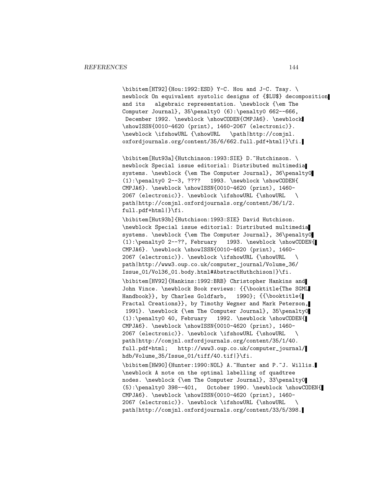\bibitem[HT92]{Hou:1992:ESD} Y-C. Hou and J-C. Tsay. \ newblock On equivalent systolic designs of {\$LU\$} decomposition and its algebraic representation. \newblock {\em The Computer Journal},  $35\penalty0 (6):\penalty0 662--666,$ December 1992. \newblock \showCODEN{CMPJA6}. \newblock \showISSN{0010-4620 (print), 1460-2067 (electronic)}. \newblock \ifshowURL {\showURL \path|http://comjnl. oxfordjournals.org/content/35/6/662.full.pdf+html|}\fi.

\bibitem[Hut93a]{Hutchinson:1993:SIE} D.~Hutchinson. \ newblock Special issue editorial: Distributed multimedia systems. \newblock {\em The Computer Journal}, 36\penalty0 (1):\penalty0 2--3, ???? 1993. \newblock \showCODEN{ CMPJA6}. \newblock \showISSN{0010-4620 (print), 1460- 2067 (electronic)}. \newblock \ifshowURL {\showURL \ path|http://comjnl.oxfordjournals.org/content/36/1/2. full.pdf+html|}\fi.

\bibitem[Hut93b]{Hutchison:1993:SIE} David Hutchison. \newblock Special issue editorial: Distributed multimedia systems. \newblock {\em The Computer Journal}, 36\penalty0 (1):\penalty0 2--??, February 1993. \newblock \showCODEN{ CMPJA6}. \newblock \showISSN{0010-4620 (print), 1460- 2067 (electronic)}. \newblock \ifshowURL {\showURL \ path|http://www3.oup.co.uk/computer\_journal/Volume\_36/ Issue\_01/Vol36\_01.body.html#AbstractHuthchison|}\fi. \bibitem[HV92]{Hankins:1992:BRB} Christopher Hankins and John Vince. \newblock Book reviews: {{\booktitle{The SGML Handbook}}, by Charles Goldfarb, 1990}; {{\booktitle{ Fractal Creations}}, by Timothy Wegner and Mark Peterson, 1991}. \newblock {\em The Computer Journal}, 35\penalty0 (1):\penalty0 40, February 1992. \newblock \showCODEN{ CMPJA6}. \newblock \showISSN{0010-4620 (print), 1460- 2067 (electronic)}. \newblock \ifshowURL {\showURL \ path|http://comjnl.oxfordjournals.org/content/35/1/40. full.pdf+html; http://www3.oup.co.uk/computer\_journal/ hdb/Volume\_35/Issue\_01/tiff/40.tif|}\fi.

\bibitem[HW90]{Hunter:1990:NOL} A.~Hunter and P.~J. Willis. \newblock A note on the optimal labelling of quadtree nodes. \newblock {\em The Computer Journal}, 33\penalty0 (5):\penalty0 398--401, October 1990. \newblock \showCODEN{ CMPJA6}. \newblock \showISSN{0010-4620 (print), 1460- 2067 (electronic)}. \newblock \ifshowURL {\showURL \ path|http://comjnl.oxfordjournals.org/content/33/5/398.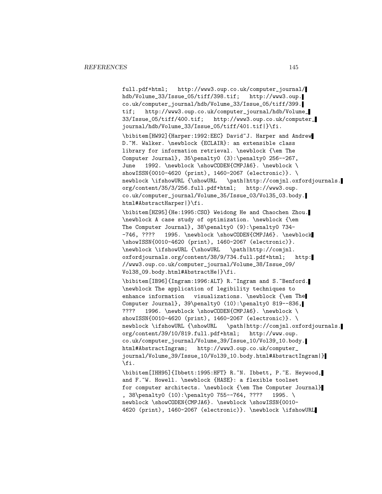full.pdf+html; http://www3.oup.co.uk/computer\_journal/ hdb/Volume\_33/Issue\_05/tiff/398.tif; http://www3.oup. co.uk/computer\_journal/hdb/Volume\_33/Issue\_05/tiff/399. tif; http://www3.oup.co.uk/computer\_journal/hdb/Volume\_ 33/Issue\_05/tiff/400.tif; http://www3.oup.co.uk/computer\_ journal/hdb/Volume\_33/Issue\_05/tiff/401.tif|}\fi. \bibitem[HW92]{Harper:1992:EEC} David~J. Harper and Andrew D.~M. Walker. \newblock {ECLAIR}: an extensible class library for information retrieval. \newblock {\em The Computer Journal}, 35\penalty0 (3):\penalty0 256--267, June 1992. \newblock \showCODEN{CMPJA6}. \newblock \ showISSN{0010-4620 (print), 1460-2067 (electronic)}. \ newblock \ifshowURL {\showURL \path|http://comjnl.oxfordjournals. org/content/35/3/256.full.pdf+html; http://www3.oup. co.uk/computer\_journal/Volume\_35/Issue\_03/Vol35\_03.body. html#AbstractHarper|}\fi. \bibitem[HZ95]{He:1995:CSO} Weidong He and Chaochen Zhou. \newblock A case study of optimization. \newblock {\em The Computer Journal}, 38\penalty0 (9):\penalty0 734- -746, ???? 1995. \newblock \showCODEN{CMPJA6}. \newblock \showISSN{0010-4620 (print), 1460-2067 (electronic)}. \newblock \ifshowURL {\showURL \path|http://comjnl. oxfordjournals.org/content/38/9/734.full.pdf+html; http: //www3.oup.co.uk/computer\_journal/Volume\_38/Issue\_09/ Vol38\_09.body.html#AbstractHe|}\fi. \bibitem[IB96]{Ingram:1996:ALT} R.~Ingram and S.~Benford. \newblock The application of legibility techniques to enhance information visualizations. \newblock {\em The Computer Journal}, 39\penalty0 (10):\penalty0 819--836, ???? 1996. \newblock \showCODEN{CMPJA6}. \newblock \ showISSN{0010-4620 (print), 1460-2067 (electronic)}. \ newblock \ifshowURL {\showURL \path|http://comjnl.oxfordjournals. org/content/39/10/819.full.pdf+html; http://www.oup. co.uk/computer\_journal/Volume\_39/Issue\_10/Vol39\_10.body. html#AbstractIngram; http://www3.oup.co.uk/computer\_ journal/Volume\_39/Issue\_10/Vol39\_10.body.html#AbstractIngram|} \fi. \bibitem[IHH95]{Ibbett:1995:HFT} R.~N. Ibbett, P.~E. Heywood, and F.~W. Howell. \newblock {HASE}: a flexible toolset for computer architects. \newblock {\em The Computer Journal} , 38\penalty0 (10):\penalty0 755--764, ???? 1995. \ newblock \showCODEN{CMPJA6}. \newblock \showISSN{0010-4620 (print), 1460-2067 (electronic)}. \newblock \ifshowURL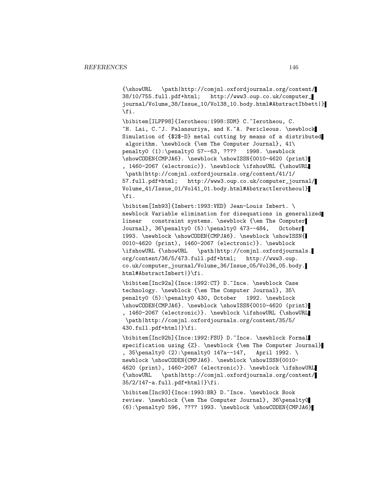{\showURL \path|http://comjnl.oxfordjournals.org/content/ 38/10/755.full.pdf+html; http://www3.oup.co.uk/computer\_ journal/Volume\_38/Issue\_10/Vol38\_10.body.html#AbstractIbbett|} \fi.

\bibitem[ILPP98]{Ierotheou:1998:SDM} C.~Ierotheou, C. ~H. Lai, C.~J. Palansuriya, and K.~A. Pericleous. \newblock Simulation of {\$2\$-D} metal cutting by means of a distributed algorithm. \newblock {\em The Computer Journal}, 41\ penalty0 (1):\penalty0 57--63, ???? 1998. \newblock \showCODEN{CMPJA6}. \newblock \showISSN{0010-4620 (print) , 1460-2067 (electronic)}. \newblock \ifshowURL {\showURL \path|http://comjnl.oxfordjournals.org/content/41/1/ 57.full.pdf+html; http://www3.oup.co.uk/computer\_journal/ Volume\_41/Issue\_01/Vol41\_01.body.html#AbstractIerotheou|} \fi.

\bibitem[Imb93]{Imbert:1993:VED} Jean-Louis Imbert. \ newblock Variable elimination for disequations in generalized linear constraint systems. \newblock {\em The Computer Journal}, 36\penalty0 (5):\penalty0 473--484, October 1993. \newblock \showCODEN{CMPJA6}. \newblock \showISSN{ 0010-4620 (print), 1460-2067 (electronic)}. \newblock \ifshowURL {\showURL \path|http://comjnl.oxfordjournals. org/content/36/5/473.full.pdf+html; http://www3.oup. co.uk/computer\_journal/Volume\_36/Issue\_05/Vol36\_05.body. html#AbstractImbert|}\fi.

\bibitem[Inc92a]{Ince:1992:CT} D.~Ince. \newblock Case technology. \newblock {\em The Computer Journal}, 35\ penalty0 (5):\penalty0 430, October 1992. \newblock \showCODEN{CMPJA6}. \newblock \showISSN{0010-4620 (print) , 1460-2067 (electronic)}. \newblock \ifshowURL {\showURL \path|http://comjnl.oxfordjournals.org/content/35/5/ 430.full.pdf+html|}\fi.

\bibitem[Inc92b]{Ince:1992:FSU} D.~Ince. \newblock Formal specification using {Z}. \newblock {\em The Computer Journal} , 35\penalty0 (2):\penalty0 147a--147, April 1992. \ newblock \showCODEN{CMPJA6}. \newblock \showISSN{0010-4620 (print), 1460-2067 (electronic)}. \newblock \ifshowURL {\showURL \path|http://comjnl.oxfordjournals.org/content/ 35/2/147-a.full.pdf+html|}\fi.

\bibitem[Inc93]{Ince:1993:BR} D.~Ince. \newblock Book review. \newblock {\em The Computer Journal}, 36\penalty0 (6):\penalty0 596, ???? 1993. \newblock \showCODEN{CMPJA6}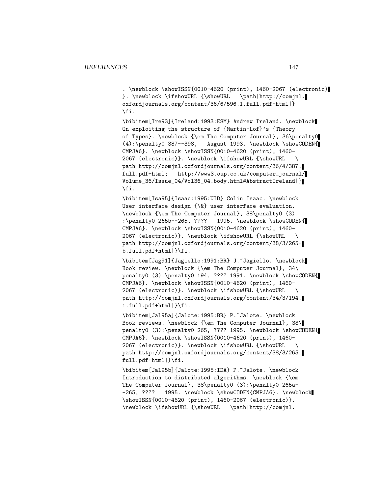. \newblock \showISSN{0010-4620 (print), 1460-2067 (electronic) }. \newblock \ifshowURL {\showURL \path|http://comjnl. oxfordjournals.org/content/36/6/596.1.full.pdf+html|} \fi.

\bibitem[Ire93]{Ireland:1993:ESM} Andrew Ireland. \newblock On exploiting the structure of {Martin-Lof}'s {Theory of Types}. \newblock {\em The Computer Journal}, 36\penalty0 (4):\penalty0 387--398, August 1993. \newblock \showCODEN{ CMPJA6}. \newblock \showISSN{0010-4620 (print), 1460- 2067 (electronic)}. \newblock \ifshowURL {\showURL \ path|http://comjnl.oxfordjournals.org/content/36/4/387. full.pdf+html; http://www3.oup.co.uk/computer\_journal/ Volume\_36/Issue\_04/Vol36\_04.body.html#AbstractIreland|} \fi.

\bibitem[Isa95]{Isaac:1995:UID} Colin Isaac. \newblock User interface design {\&} user interface evaluation. \newblock {\em The Computer Journal}, 38\penalty0 (3) :\penalty0 265b--265, ???? 1995. \newblock \showCODEN{ CMPJA6}. \newblock \showISSN{0010-4620 (print), 1460- 2067 (electronic)}. \newblock \ifshowURL {\showURL \ path|http://comjnl.oxfordjournals.org/content/38/3/265 b.full.pdf+html|}\fi.

\bibitem[Jag91]{Jagiello:1991:BR} J.~Jagiello. \newblock Book review. \newblock {\em The Computer Journal}, 34\ penalty0 (3):\penalty0 194, ???? 1991. \newblock \showCODEN{ CMPJA6}. \newblock \showISSN{0010-4620 (print), 1460- 2067 (electronic)}. \newblock \ifshowURL {\showURL \ path|http://comjnl.oxfordjournals.org/content/34/3/194. 1.full.pdf+html|}\fi.

\bibitem[Jal95a]{Jalote:1995:BR} P.~Jalote. \newblock Book reviews. \newblock {\em The Computer Journal}, 38\ penalty0 (3):\penalty0 265, ???? 1995. \newblock \showCODEN{ CMPJA6}. \newblock \showISSN{0010-4620 (print), 1460- 2067 (electronic)}. \newblock \ifshowURL {\showURL \ path|http://comjnl.oxfordjournals.org/content/38/3/265. full.pdf+html|}\fi.

\bibitem[Jal95b]{Jalote:1995:IDA} P.~Jalote. \newblock Introduction to distributed algorithms. \newblock {\em The Computer Journal}, 38\penalty0 (3):\penalty0 265a- -265, ???? 1995. \newblock \showCODEN{CMPJA6}. \newblock \showISSN{0010-4620 (print), 1460-2067 (electronic)}. \newblock \ifshowURL {\showURL \path|http://comjnl.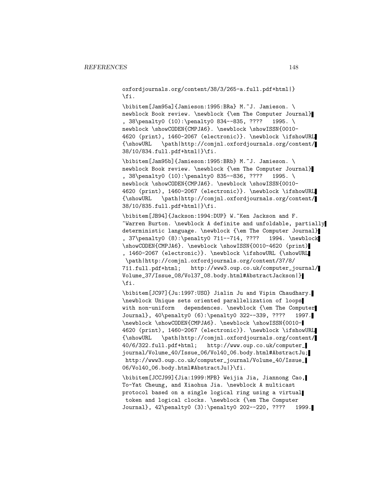oxfordjournals.org/content/38/3/265-a.full.pdf+html|} \fi.

\bibitem[Jam95a]{Jamieson:1995:BRa} M.~J. Jamieson. \ newblock Book review. \newblock {\em The Computer Journal} , 38\penalty0 (10):\penalty0 834--835, ???? 1995. \ newblock \showCODEN{CMPJA6}. \newblock \showISSN{0010-4620 (print), 1460-2067 (electronic)}. \newblock \ifshowURL {\showURL \path|http://comjnl.oxfordjournals.org/content/ 38/10/834.full.pdf+html|}\fi.

\bibitem[Jam95b]{Jamieson:1995:BRb} M.~J. Jamieson. \ newblock Book review. \newblock {\em The Computer Journal} , 38\penalty0 (10):\penalty0 835--836, ???? 1995. \ newblock \showCODEN{CMPJA6}. \newblock \showISSN{0010-4620 (print), 1460-2067 (electronic)}. \newblock \ifshowURL {\showURL \path|http://comjnl.oxfordjournals.org/content/ 38/10/835.full.pdf+html|}\fi.

\bibitem[JB94]{Jackson:1994:DUP} W.~Ken Jackson and F. ~Warren Burton. \newblock A definite and unfoldable, partially deterministic language. \newblock {\em The Computer Journal} , 37\penalty0 (8):\penalty0 711--714, ???? 1994. \newblock \showCODEN{CMPJA6}. \newblock \showISSN{0010-4620 (print) , 1460-2067 (electronic)}. \newblock \ifshowURL {\showURL \path|http://comjnl.oxfordjournals.org/content/37/8/ 711.full.pdf+html; http://www3.oup.co.uk/computer\_journal/ Volume\_37/Issue\_08/Vol37\_08.body.html#AbstractJackson|} \fi.

\bibitem[JC97]{Ju:1997:USO} Jialin Ju and Vipin Chaudhary. \newblock Unique sets oriented parallelization of loops with non-uniform dependences. \newblock {\em The Computer Journal}, 40\penalty0 (6):\penalty0 322--339, ???? 1997. \newblock \showCODEN{CMPJA6}. \newblock \showISSN{0010- 4620 (print), 1460-2067 (electronic)}. \newblock \ifshowURL {\showURL \path|http://comjnl.oxfordjournals.org/content/ 40/6/322.full.pdf+html; http://www.oup.co.uk/computer\_ journal/Volume\_40/Issue\_06/Vol40\_06.body.html#AbstractJu; http://www3.oup.co.uk/computer\_journal/Volume\_40/Issue\_ 06/Vol40\_06.body.html#AbstractJu|}\fi.

\bibitem[JCCJ99]{Jia:1999:MPB} Weijia Jia, Jiannong Cao, To-Yat Cheung, and Xiaohua Jia. \newblock A multicast protocol based on a single logical ring using a virtual token and logical clocks. \newblock {\em The Computer Journal}, 42\penalty0 (3):\penalty0 202--220, ???? 1999.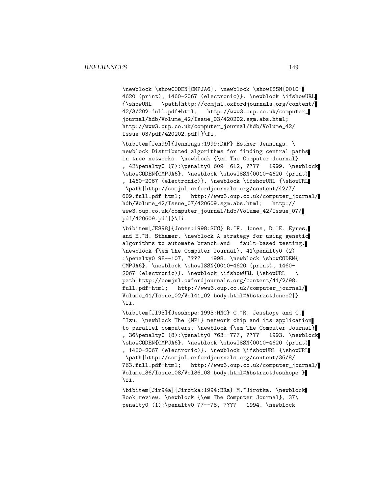\newblock \showCODEN{CMPJA6}. \newblock \showISSN{0010- 4620 (print), 1460-2067 (electronic)}. \newblock \ifshowURL {\showURL \path|http://comjnl.oxfordjournals.org/content/ 42/3/202.full.pdf+html; http://www3.oup.co.uk/computer\_ journal/hdb/Volume\_42/Issue\_03/420202.sgm.abs.html; http://www3.oup.co.uk/computer\_journal/hdb/Volume\_42/ Issue\_03/pdf/420202.pdf|}\fi.

\bibitem[Jen99]{Jennings:1999:DAF} Esther Jennings. \ newblock Distributed algorithms for finding central paths in tree networks. \newblock {\em The Computer Journal} , 42\penalty0 (7):\penalty0 609--612, ???? 1999. \newblock \showCODEN{CMPJA6}. \newblock \showISSN{0010-4620 (print) , 1460-2067 (electronic)}. \newblock \ifshowURL {\showURL \path|http://comjnl.oxfordjournals.org/content/42/7/ 609.full.pdf+html; http://www3.oup.co.uk/computer\_journal/ hdb/Volume\_42/Issue\_07/420609.sgm.abs.html; http:// www3.oup.co.uk/computer\_journal/hdb/Volume\_42/Issue\_07/ pdf/420609.pdf|}\fi.

\bibitem[JES98]{Jones:1998:SUG} B.~F. Jones, D.~E. Eyres, and H.~H. Sthamer. \newblock A strategy for using genetic algorithms to automate branch and fault-based testing. \newblock {\em The Computer Journal}, 41\penalty0 (2) :\penalty0 98--107, ???? 1998. \newblock \showCODEN{ CMPJA6}. \newblock \showISSN{0010-4620 (print), 1460- 2067 (electronic)}. \newblock \ifshowURL {\showURL \ path|http://comjnl.oxfordjournals.org/content/41/2/98. full.pdf+html; http://www3.oup.co.uk/computer\_journal/ Volume\_41/Issue\_02/Vol41\_02.body.html#AbstractJones2|} \fi.

\bibitem[JI93]{Jesshope:1993:MNC} C.~R. Jesshope and C. ~Izu. \newblock The {MP1} network chip and its application to parallel computers. \newblock {\em The Computer Journal} , 36\penalty0 (8):\penalty0 763--777, ???? 1993. \newblock \showCODEN{CMPJA6}. \newblock \showISSN{0010-4620 (print) , 1460-2067 (electronic)}. \newblock \ifshowURL {\showURL \path|http://comjnl.oxfordjournals.org/content/36/8/ 763.full.pdf+html; http://www3.oup.co.uk/computer\_journal/ Volume\_36/Issue\_08/Vol36\_08.body.html#AbstractJesshope|} \fi.

\bibitem[Jir94a]{Jirotka:1994:BRa} M.~Jirotka. \newblock Book review. \newblock {\em The Computer Journal}, 37\ penalty0 (1):\penalty0 77--78, ???? 1994. \newblock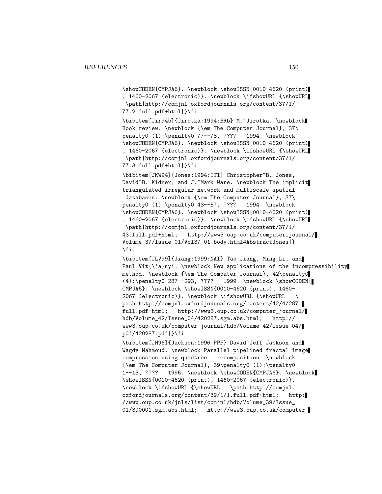\showCODEN{CMPJA6}. \newblock \showISSN{0010-4620 (print) , 1460-2067 (electronic)}. \newblock \ifshowURL {\showURL \path|http://comjnl.oxfordjournals.org/content/37/1/ 77.2.full.pdf+html|}\fi.

\bibitem[Jir94b]{Jirotka:1994:BRb} M.~Jirotka. \newblock Book review. \newblock {\em The Computer Journal}, 37\ penalty0 (1):\penalty0 77--78, ???? 1994. \newblock \showCODEN{CMPJA6}. \newblock \showISSN{0010-4620 (print) , 1460-2067 (electronic)}. \newblock \ifshowURL {\showURL \path|http://comjnl.oxfordjournals.org/content/37/1/ 77.3.full.pdf+html|}\fi.

\bibitem[JKW94]{Jones:1994:ITI} Christopher~B. Jones, David~B. Kidner, and J.~Mark Ware. \newblock The implicit triangulated irregular network and multiscale spatial databases. \newblock {\em The Computer Journal}, 37\ penalty0 (1):\penalty0 43--57, ???? 1994. \newblock \showCODEN{CMPJA6}. \newblock \showISSN{0010-4620 (print) , 1460-2067 (electronic)}. \newblock \ifshowURL {\showURL \path|http://comjnl.oxfordjournals.org/content/37/1/ 43.full.pdf+html; http://www3.oup.co.uk/computer\_journal/ Volume\_37/Issue\_01/Vol37\_01.body.html#AbstractJones|} \fi.

\bibitem[JLV99]{Jiang:1999:NAI} Tao Jiang, Ming Li, and Paul Vit{\'a}nyi. \newblock New applications of the incompressibility method. \newblock {\em The Computer Journal}, 42\penalty0 (4):\penalty0 287--293, ???? 1999. \newblock \showCODEN{ CMPJA6}. \newblock \showISSN{0010-4620 (print), 1460- 2067 (electronic)}. \newblock \ifshowURL {\showURL \ path|http://comjnl.oxfordjournals.org/content/42/4/287. full.pdf+html; http://www3.oup.co.uk/computer\_journal/ hdb/Volume\_42/Issue\_04/420287.sgm.abs.html; http:// www3.oup.co.uk/computer\_journal/hdb/Volume\_42/Issue\_04/ pdf/420287.pdf|}\fi.

\bibitem[JM96]{Jackson:1996:PPF} David~Jeff Jackson and Wagdy Mahmoud. \newblock Parallel pipelined fractal image compression using quadtree recomposition. \newblock {\em The Computer Journal}, 39\penalty0 (1):\penalty0 1--13, ???? 1996. \newblock \showCODEN{CMPJA6}. \newblock \showISSN{0010-4620 (print), 1460-2067 (electronic)}. \newblock \ifshowURL {\showURL \path|http://comjnl. oxfordjournals.org/content/39/1/1.full.pdf+html; http: //www.oup.co.uk/jnls/list/comjnl/hdb/Volume\_39/Issue\_ 01/390001.sgm.abs.html; http://www3.oup.co.uk/computer\_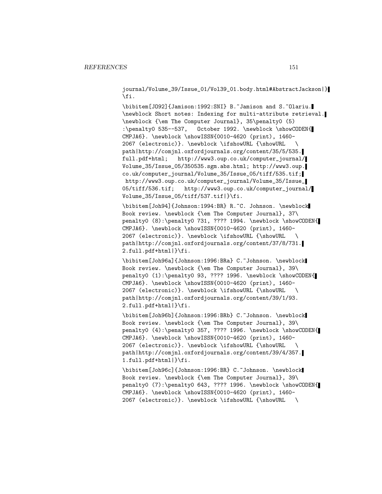journal/Volume\_39/Issue\_01/Vol39\_01.body.html#AbstractJackson|} \fi.

\bibitem[JO92]{Jamison:1992:SNI} B.~Jamison and S.~Olariu. \newblock Short notes: Indexing for multi-attribute retrieval. \newblock {\em The Computer Journal}, 35\penalty0 (5) :\penalty0 535--537, October 1992. \newblock \showCODEN{ CMPJA6}. \newblock \showISSN{0010-4620 (print), 1460- 2067 (electronic)}. \newblock \ifshowURL {\showURL \ path|http://comjnl.oxfordjournals.org/content/35/5/535. full.pdf+html; http://www3.oup.co.uk/computer\_journal/ Volume\_35/Issue\_05/350535.sgm.abs.html; http://www3.oup. co.uk/computer\_journal/Volume\_35/Issue\_05/tiff/535.tif; http://www3.oup.co.uk/computer\_journal/Volume\_35/Issue\_ 05/tiff/536.tif; http://www3.oup.co.uk/computer\_journal/ Volume\_35/Issue\_05/tiff/537.tif|}\fi.

\bibitem[Joh94]{Johnson:1994:BR} R.~C. Johnson. \newblock Book review. \newblock {\em The Computer Journal}, 37\ penalty0 (8):\penalty0 731, ???? 1994. \newblock \showCODEN{ CMPJA6}. \newblock \showISSN{0010-4620 (print), 1460- 2067 (electronic)}. \newblock \ifshowURL {\showURL \ path|http://comjnl.oxfordjournals.org/content/37/8/731. 2.full.pdf+html|}\fi.

\bibitem[Joh96a]{Johnson:1996:BRa} C.~Johnson. \newblock Book review. \newblock {\em The Computer Journal}, 39\ penalty0 (1):\penalty0 93, ???? 1996. \newblock \showCODEN{ CMPJA6}. \newblock \showISSN{0010-4620 (print), 1460- 2067 (electronic)}. \newblock \ifshowURL {\showURL \ path|http://comjnl.oxfordjournals.org/content/39/1/93. 2.full.pdf+html|}\fi.

\bibitem[Joh96b]{Johnson:1996:BRb} C.~Johnson. \newblock Book review. \newblock {\em The Computer Journal}, 39\ penalty0 (4):\penalty0 357, ???? 1996. \newblock \showCODEN{ CMPJA6}. \newblock \showISSN{0010-4620 (print), 1460- 2067 (electronic)}. \newblock \ifshowURL {\showURL \ path|http://comjnl.oxfordjournals.org/content/39/4/357. 1.full.pdf+html|}\fi.

\bibitem[Joh96c]{Johnson:1996:BR} C.~Johnson. \newblock Book review. \newblock {\em The Computer Journal}, 39\ penalty0 (7):\penalty0 643, ???? 1996. \newblock \showCODEN{ CMPJA6}. \newblock \showISSN{0010-4620 (print), 1460- 2067 (electronic)}. \newblock \ifshowURL {\showURL \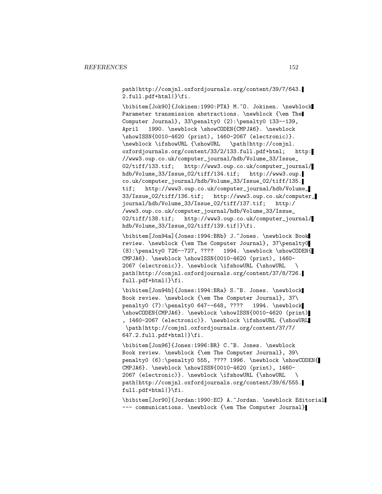path|http://comjnl.oxfordjournals.org/content/39/7/643. 2.full.pdf+html|}\fi.

\bibitem[Jok90]{Jokinen:1990:PTA} M.~O. Jokinen. \newblock Parameter transmission abstractions. \newblock {\em The Computer Journal}, 33\penalty0 (2):\penalty0 133--139, April 1990. \newblock \showCODEN{CMPJA6}. \newblock \showISSN{0010-4620 (print), 1460-2067 (electronic)}. \newblock \ifshowURL {\showURL \path|http://comjnl. oxfordjournals.org/content/33/2/133.full.pdf+html; http: //www3.oup.co.uk/computer\_journal/hdb/Volume\_33/Issue\_ 02/tiff/133.tif; http://www3.oup.co.uk/computer\_journal/ hdb/Volume\_33/Issue\_02/tiff/134.tif; http://www3.oup. co.uk/computer\_journal/hdb/Volume\_33/Issue\_02/tiff/135. tif; http://www3.oup.co.uk/computer\_journal/hdb/Volume\_ 33/Issue\_02/tiff/136.tif; http://www3.oup.co.uk/computer\_ journal/hdb/Volume\_33/Issue\_02/tiff/137.tif; http:/ /www3.oup.co.uk/computer\_journal/hdb/Volume\_33/Issue\_ 02/tiff/138.tif; http://www3.oup.co.uk/computer\_journal/ hdb/Volume\_33/Issue\_02/tiff/139.tif|}\fi.

\bibitem[Jon94a]{Jones:1994:BRb} J.~Jones. \newblock Book review. \newblock {\em The Computer Journal}, 37\penalty0 (8):\penalty0 726--727, ???? 1994. \newblock \showCODEN{ CMPJA6}. \newblock \showISSN{0010-4620 (print), 1460- 2067 (electronic)}. \newblock \ifshowURL {\showURL \ path|http://comjnl.oxfordjournals.org/content/37/8/726. full.pdf+html|}\fi.

\bibitem[Jon94b]{Jones:1994:BRa} S.~B. Jones. \newblock Book review. \newblock {\em The Computer Journal}, 37\ penalty0 (7):\penalty0 647--648, ???? 1994. \newblock \showCODEN{CMPJA6}. \newblock \showISSN{0010-4620 (print) , 1460-2067 (electronic)}. \newblock \ifshowURL {\showURL \path|http://comjnl.oxfordjournals.org/content/37/7/ 647.2.full.pdf+html|}\fi.

\bibitem[Jon96]{Jones:1996:BR} C.~B. Jones. \newblock Book review. \newblock {\em The Computer Journal}, 39\ penalty0 (6):\penalty0 555, ???? 1996. \newblock \showCODEN{ CMPJA6}. \newblock \showISSN{0010-4620 (print), 1460- 2067 (electronic)}. \newblock \ifshowURL {\showURL \ path|http://comjnl.oxfordjournals.org/content/39/6/555. full.pdf+html|}\fi.

\bibitem[Jor90]{Jordan:1990:EC} A.~Jordan. \newblock Editorial --- communications. \newblock {\em The Computer Journal}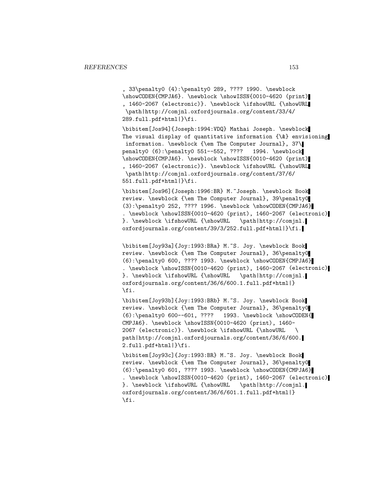, 33\penalty0 (4):\penalty0 289, ???? 1990. \newblock \showCODEN{CMPJA6}. \newblock \showISSN{0010-4620 (print) , 1460-2067 (electronic)}. \newblock \ifshowURL {\showURL \path|http://comjnl.oxfordjournals.org/content/33/4/ 289.full.pdf+html|}\fi.

\bibitem[Jos94]{Joseph:1994:VDQ} Mathai Joseph. \newblock The visual display of quantitative information  $\{\&\}$  envisioning information. \newblock {\em The Computer Journal}, 37\ penalty0 (6):\penalty0 551--552, ???? 1994. \newblock \showCODEN{CMPJA6}. \newblock \showISSN{0010-4620 (print) , 1460-2067 (electronic)}. \newblock \ifshowURL {\showURL \path|http://comjnl.oxfordjournals.org/content/37/6/ 551.full.pdf+html|}\fi.

\bibitem[Jos96]{Joseph:1996:BR} M.~Joseph. \newblock Book review. \newblock {\em The Computer Journal}, 39\penalty0 (3):\penalty0 252, ???? 1996. \newblock \showCODEN{CMPJA6} . \newblock \showISSN{0010-4620 (print), 1460-2067 (electronic) }. \newblock \ifshowURL {\showURL \path|http://comjnl. oxfordjournals.org/content/39/3/252.full.pdf+html|}\fi.

\bibitem[Joy93a]{Joy:1993:BRa} M.~S. Joy. \newblock Book review. \newblock {\em The Computer Journal}, 36\penalty0 (6):\penalty0 600, ???? 1993. \newblock \showCODEN{CMPJA6} . \newblock \showISSN{0010-4620 (print), 1460-2067 (electronic) }. \newblock \ifshowURL {\showURL \path|http://comjnl. oxfordjournals.org/content/36/6/600.1.full.pdf+html|} \fi.

\bibitem[Joy93b]{Joy:1993:BRb} M.~S. Joy. \newblock Book review. \newblock {\em The Computer Journal}, 36\penalty0 (6):\penalty0 600--601, ???? 1993. \newblock \showCODEN{ CMPJA6}. \newblock \showISSN{0010-4620 (print), 1460- 2067 (electronic)}. \newblock \ifshowURL {\showURL \ path|http://comjnl.oxfordjournals.org/content/36/6/600. 2.full.pdf+html|}\fi.

\bibitem[Joy93c]{Joy:1993:BR} M.~S. Joy. \newblock Book review. \newblock {\em The Computer Journal}, 36\penalty0 (6):\penalty0 601, ???? 1993. \newblock \showCODEN{CMPJA6} . \newblock \showISSN{0010-4620 (print), 1460-2067 (electronic) }. \newblock \ifshowURL {\showURL \path|http://comjnl. oxfordjournals.org/content/36/6/601.1.full.pdf+html|} \fi.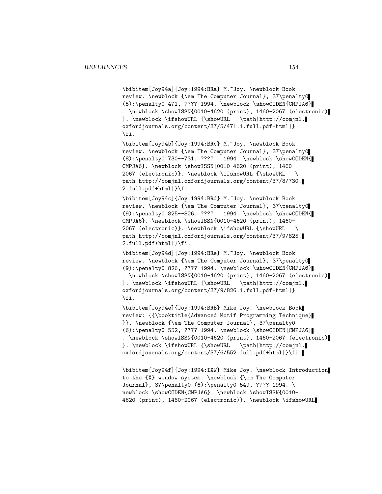\bibitem[Joy94a]{Joy:1994:BRa} M.~Joy. \newblock Book review. \newblock {\em The Computer Journal}, 37\penalty0  $(5): \penalty0 471, ???? 1994. \newblock \showCODEN{CMDIAG}$ . \newblock \showISSN{0010-4620 (print), 1460-2067 (electronic) }. \newblock \ifshowURL {\showURL \path|http://comjnl. oxfordjournals.org/content/37/5/471.1.full.pdf+html|} \fi.

\bibitem[Joy94b]{Joy:1994:BRc} M.~Joy. \newblock Book review. \newblock {\em The Computer Journal}, 37\penalty0 (8):\penalty0 730--731, ???? 1994. \newblock \showCODEN{ CMPJA6}. \newblock \showISSN{0010-4620 (print), 1460- 2067 (electronic)}. \newblock \ifshowURL {\showURL \ path|http://comjnl.oxfordjournals.org/content/37/8/730. 2.full.pdf+html|}\fi.

\bibitem[Joy94c]{Joy:1994:BRd} M.~Joy. \newblock Book review. \newblock {\em The Computer Journal}, 37\penalty0 (9):\penalty0 825--826, ???? 1994. \newblock \showCODEN{ CMPJA6}. \newblock \showISSN{0010-4620 (print), 1460- 2067 (electronic)}. \newblock \ifshowURL {\showURL \ path|http://comjnl.oxfordjournals.org/content/37/9/825. 2.full.pdf+html|}\fi.

\bibitem[Joy94d]{Joy:1994:BRe} M.~Joy. \newblock Book review. \newblock {\em The Computer Journal}, 37\penalty0 (9):\penalty0 826, ???? 1994. \newblock \showCODEN{CMPJA6} . \newblock \showISSN{0010-4620 (print), 1460-2067 (electronic) }. \newblock \ifshowURL {\showURL \path|http://comjnl. oxfordjournals.org/content/37/9/826.1.full.pdf+html|} \fi.

\bibitem[Joy94e]{Joy:1994:BRB} Mike Joy. \newblock Book review: {{\booktitle{Advanced Motif Programming Technique} }}. \newblock {\em The Computer Journal}, 37\penalty0 (6):\penalty0 552, ???? 1994. \newblock \showCODEN{CMPJA6} . \newblock \showISSN{0010-4620 (print), 1460-2067 (electronic) }. \newblock \ifshowURL {\showURL \path|http://comjnl. oxfordjournals.org/content/37/6/552.full.pdf+html|}\fi.

\bibitem[Joy94f]{Joy:1994:IXW} Mike Joy. \newblock Introduction to the {X} window system. \newblock {\em The Computer Journal}, 37\penalty0 (6):\penalty0 549, ???? 1994. \ newblock \showCODEN{CMPJA6}. \newblock \showISSN{0010-4620 (print), 1460-2067 (electronic)}. \newblock \ifshowURL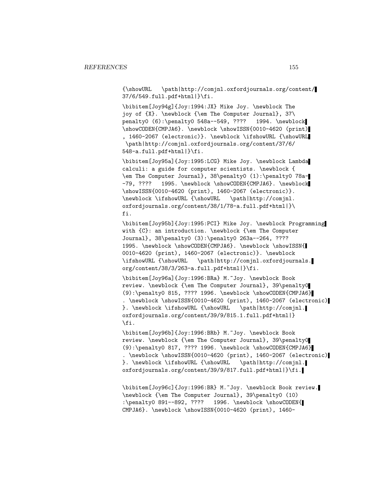{\showURL \path|http://comjnl.oxfordjournals.org/content/ 37/6/549.full.pdf+html|}\fi.

\bibitem[Joy94g]{Joy:1994:JX} Mike Joy. \newblock The joy of {X}. \newblock {\em The Computer Journal}, 37\ penalty0 (6):\penalty0 548a--549, ???? 1994. \newblock \showCODEN{CMPJA6}. \newblock \showISSN{0010-4620 (print) , 1460-2067 (electronic)}. \newblock \ifshowURL {\showURL \path|http://comjnl.oxfordjournals.org/content/37/6/ 548-a.full.pdf+html|}\fi.

\bibitem[Joy95a]{Joy:1995:LCG} Mike Joy. \newblock Lambda calculi: a guide for computer scientists. \newblock { \em The Computer Journal}, 38\penalty0 (1):\penalty0 78a- -79, ???? 1995. \newblock \showCODEN{CMPJA6}. \newblock \showISSN{0010-4620 (print), 1460-2067 (electronic)}. \newblock \ifshowURL {\showURL \path|http://comjnl. oxfordjournals.org/content/38/1/78-a.full.pdf+html|}\ fi.

\bibitem[Joy95b]{Joy:1995:PCI} Mike Joy. \newblock Programming with {C}: an introduction. \newblock {\em The Computer Journal}, 38\penalty0 (3):\penalty0 263a--264, ???? 1995. \newblock \showCODEN{CMPJA6}. \newblock \showISSN{ 0010-4620 (print), 1460-2067 (electronic)}. \newblock \ifshowURL {\showURL \path|http://comjnl.oxfordjournals. org/content/38/3/263-a.full.pdf+html|}\fi.

\bibitem[Joy96a]{Joy:1996:BRa} M.~Joy. \newblock Book review. \newblock {\em The Computer Journal}, 39\penalty0 (9):\penalty0 815, ???? 1996. \newblock \showCODEN{CMPJA6} . \newblock \showISSN{0010-4620 (print), 1460-2067 (electronic) }. \newblock \ifshowURL {\showURL \path|http://comjnl. oxfordjournals.org/content/39/9/815.1.full.pdf+html|} \fi.

\bibitem[Joy96b]{Joy:1996:BRb} M.~Joy. \newblock Book review. \newblock {\em The Computer Journal}, 39\penalty0 (9):\penalty0 817, ???? 1996. \newblock \showCODEN{CMPJA6} . \newblock \showISSN{0010-4620 (print), 1460-2067 (electronic) }. \newblock \ifshowURL {\showURL \path|http://comjnl. oxfordjournals.org/content/39/9/817.full.pdf+html|}\fi.

\bibitem[Joy96c]{Joy:1996:BR} M.~Joy. \newblock Book review. \newblock {\em The Computer Journal}, 39\penalty0 (10) :\penalty0 891--892, ???? 1996. \newblock \showCODEN{ CMPJA6}. \newblock \showISSN{0010-4620 (print), 1460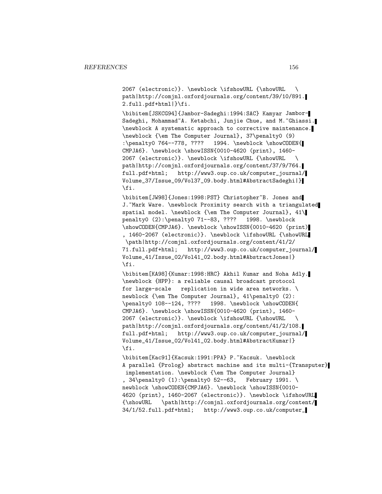2067 (electronic)}. \newblock \ifshowURL {\showURL \ path|http://comjnl.oxfordjournals.org/content/39/10/891. 2.full.pdf+html|}\fi.

\bibitem[JSKCG94]{Jambor-Sadeghi:1994:SAC} Kamyar Jambor-Sadeghi, Mohammad~A. Ketabchi, Junjie Chue, and M.~Ghiassi. \newblock A systematic approach to corrective maintenance. \newblock {\em The Computer Journal}, 37\penalty0 (9) :\penalty0 764--778, ???? 1994. \newblock \showCODEN{ CMPJA6}. \newblock \showISSN{0010-4620 (print), 1460- 2067 (electronic)}. \newblock \ifshowURL {\showURL \ path|http://comjnl.oxfordjournals.org/content/37/9/764. full.pdf+html; http://www3.oup.co.uk/computer\_journal/ Volume\_37/Issue\_09/Vol37\_09.body.html#AbstractSadeghi|} \fi.

\bibitem[JW98]{Jones:1998:PST} Christopher~B. Jones and J. "Mark Ware. \newblock Proximity search with a triangulated spatial model. \newblock {\em The Computer Journal}, 41\ penalty0 (2):\penalty0 71--83, ???? 1998. \newblock \showCODEN{CMPJA6}. \newblock \showISSN{0010-4620 (print) , 1460-2067 (electronic)}. \newblock \ifshowURL {\showURL \path|http://comjnl.oxfordjournals.org/content/41/2/ 71.full.pdf+html; http://www3.oup.co.uk/computer\_journal/ Volume\_41/Issue\_02/Vol41\_02.body.html#AbstractJones|} \fi.

\bibitem[KA98]{Kumar:1998:HRC} Akhil Kumar and Noha Adly. \newblock {HPP}: a reliable causal broadcast protocol for large-scale replication in wide area networks. \ newblock {\em The Computer Journal}, 41\penalty0 (2): \penalty0 108--124, ???? 1998. \newblock \showCODEN{ CMPJA6}. \newblock \showISSN{0010-4620 (print), 1460- 2067 (electronic)}. \newblock \ifshowURL {\showURL \ path|http://comjnl.oxfordjournals.org/content/41/2/108. full.pdf+html; http://www3.oup.co.uk/computer\_journal/ Volume\_41/Issue\_02/Vol41\_02.body.html#AbstractKumar|} \fi.

\bibitem[Kac91]{Kacsuk:1991:PPA} P.~Kacsuk. \newblock A parallel {Prolog} abstract machine and its multi-{Transputer} implementation. \newblock {\em The Computer Journal} , 34\penalty0 (1):\penalty0 52--63, February 1991. \ newblock \showCODEN{CMPJA6}. \newblock \showISSN{0010-4620 (print), 1460-2067 (electronic)}. \newblock \ifshowURL {\showURL \path|http://comjnl.oxfordjournals.org/content/ 34/1/52.full.pdf+html; http://www3.oup.co.uk/computer\_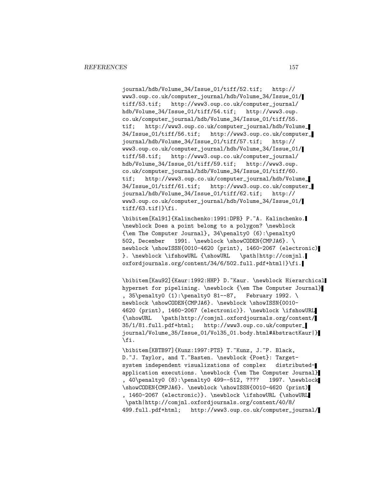journal/hdb/Volume\_34/Issue\_01/tiff/52.tif; http:// www3.oup.co.uk/computer\_journal/hdb/Volume\_34/Issue\_01/ tiff/53.tif; http://www3.oup.co.uk/computer\_journal/ hdb/Volume\_34/Issue\_01/tiff/54.tif; http://www3.oup. co.uk/computer\_journal/hdb/Volume\_34/Issue\_01/tiff/55. tif; http://www3.oup.co.uk/computer\_journal/hdb/Volume\_ 34/Issue\_01/tiff/56.tif; http://www3.oup.co.uk/computer\_ journal/hdb/Volume\_34/Issue\_01/tiff/57.tif; http:// www3.oup.co.uk/computer\_journal/hdb/Volume\_34/Issue\_01/ tiff/58.tif; http://www3.oup.co.uk/computer\_journal/ hdb/Volume\_34/Issue\_01/tiff/59.tif; http://www3.oup. co.uk/computer\_journal/hdb/Volume\_34/Issue\_01/tiff/60. tif; http://www3.oup.co.uk/computer\_journal/hdb/Volume\_ 34/Issue\_01/tiff/61.tif; http://www3.oup.co.uk/computer\_ journal/hdb/Volume\_34/Issue\_01/tiff/62.tif; http:// www3.oup.co.uk/computer\_journal/hdb/Volume\_34/Issue\_01/  $\text{tf}/63.\text{tf}$ }\fi.

\bibitem[Kal91]{Kalinchenko:1991:DPB} P.~A. Kalinchenko. \newblock Does a point belong to a polygon? \newblock {\em The Computer Journal}, 34\penalty0 (6):\penalty0 502, December 1991. \newblock \showCODEN{CMPJA6}. \ newblock \showISSN{0010-4620 (print), 1460-2067 (electronic) }. \newblock \ifshowURL {\showURL \path|http://comjnl. oxfordjournals.org/content/34/6/502.full.pdf+html|}\fi.

\bibitem[Kau92]{Kaur:1992:HHP} D.~Kaur. \newblock Hierarchical hypernet for pipelining. \newblock {\em The Computer Journal} , 35\penalty0 (1):\penalty0 81--87, February 1992. \ newblock \showCODEN{CMPJA6}. \newblock \showISSN{0010-4620 (print), 1460-2067 (electronic)}. \newblock \ifshowURL {\showURL \path|http://comjnl.oxfordjournals.org/content/ 35/1/81.full.pdf+html; http://www3.oup.co.uk/computer\_ journal/Volume\_35/Issue\_01/Vol35\_01.body.html#AbstractKaur|} \fi.

\bibitem[KBTB97]{Kunz:1997:PTS} T.~Kunz, J.~P. Black, D.~J. Taylor, and T.~Basten. \newblock {Poet}: Targetsystem independent visualizations of complex distributedapplication executions. \newblock {\em The Computer Journal} , 40\penalty0 (8):\penalty0 499--512, ???? 1997. \newblock \showCODEN{CMPJA6}. \newblock \showISSN{0010-4620 (print) , 1460-2067 (electronic)}. \newblock \ifshowURL {\showURL \path|http://comjnl.oxfordjournals.org/content/40/8/ 499.full.pdf+html; http://www3.oup.co.uk/computer\_journal/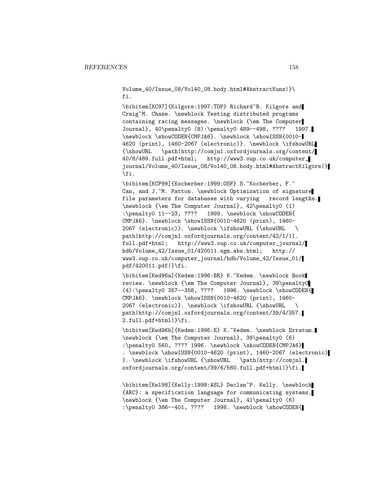Volume\_40/Issue\_08/Vol40\_08.body.html#AbstractKunz|}\ fi.

\bibitem[KC97]{Kilgore:1997:TDP} Richard~B. Kilgore and Craig~M. Chase. \newblock Testing distributed programs containing racing messages. \newblock {\em The Computer Journal}, 40\penalty0 (8):\penalty0 489--498, ???? 1997. \newblock \showCODEN{CMPJA6}. \newblock \showISSN{0010- 4620 (print), 1460-2067 (electronic)}. \newblock \ifshowURL {\showURL \path|http://comjnl.oxfordjournals.org/content/ 40/8/489.full.pdf+html; http://www3.oup.co.uk/computer\_ journal/Volume\_40/Issue\_08/Vol40\_08.body.html#AbstractKilgore|} \fi.

\bibitem[KCP99]{Kocberber:1999:OSF} S.~Kocberber, F.~ Can, and J.~M. Patton. \newblock Optimization of signature file parameters for databases with varying record lengths. \newblock {\em The Computer Journal}, 42\penalty0 (1) :\penalty0 11--23, ???? 1999. \newblock \showCODEN{ CMPJA6}. \newblock \showISSN{0010-4620 (print), 1460- 2067 (electronic)}. \newblock \ifshowURL {\showURL \ path|http://comjnl.oxfordjournals.org/content/42/1/11. full.pdf+html; http://www3.oup.co.uk/computer\_journal/ hdb/Volume\_42/Issue\_01/420011.sgm.abs.html; http:// www3.oup.co.uk/computer\_journal/hdb/Volume\_42/Issue\_01/ pdf/420011.pdf|}\fi.

\bibitem[Ked96a]{Kedem:1996:BR} K.~Kedem. \newblock Book review. \newblock {\em The Computer Journal}, 39\penalty0 (4):\penalty0 357--358, ???? 1996. \newblock \showCODEN{ CMPJA6}. \newblock \showISSN{0010-4620 (print), 1460- 2067 (electronic)}. \newblock \ifshowURL {\showURL \ path|http://comjnl.oxfordjournals.org/content/39/4/357. 2.full.pdf+html|}\fi.

\bibitem[Ked96b]{Kedem:1996:E} K.~Kedem. \newblock Erratum. \newblock {\em The Computer Journal}, 39\penalty0 (6) :\penalty0 560, ???? 1996. \newblock \showCODEN{CMPJA6} . \newblock \showISSN{0010-4620 (print), 1460-2067 (electronic) }. \newblock \ifshowURL {\showURL \path|http://comjnl. oxfordjournals.org/content/39/6/560.full.pdf+html|}\fi.

\bibitem[Kel98]{Kelly:1998:ASL} Declan~P. Kelly. \newblock {ARC}: a specification language for communicating systems. \newblock {\em The Computer Journal}, 41\penalty0 (6) :\penalty0 386--401, ???? 1998. \newblock \showCODEN{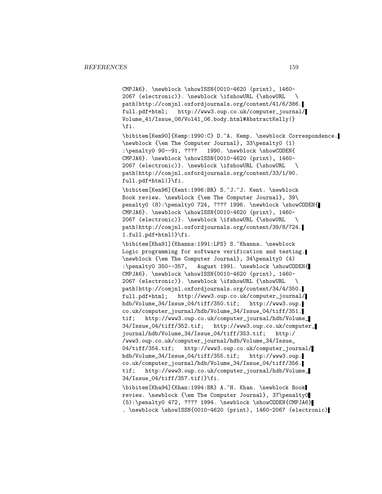CMPJA6}. \newblock \showISSN{0010-4620 (print), 1460- 2067 (electronic)}. \newblock \ifshowURL {\showURL \ path|http://comjnl.oxfordjournals.org/content/41/6/386. full.pdf+html; http://www3.oup.co.uk/computer\_journal/ Volume\_41/Issue\_06/Vol41\_06.body.html#AbstractKelly|} \fi.

\bibitem[Kem90]{Kemp:1990:C} D.~A. Kemp. \newblock Correspondence. \newblock {\em The Computer Journal}, 33\penalty0 (1) :\penalty0 90--91, ???? 1990. \newblock \showCODEN{ CMPJA6}. \newblock \showISSN{0010-4620 (print), 1460- 2067 (electronic)}. \newblock \ifshowURL {\showURL \ path|http://comjnl.oxfordjournals.org/content/33/1/90. full.pdf+html|}\fi.

\bibitem[Ken96]{Kent:1996:BR} S.~J.~J. Kent. \newblock Book review. \newblock {\em The Computer Journal}, 39\ penalty0 (8):\penalty0 724, ???? 1996. \newblock \showCODEN{ CMPJA6}. \newblock \showISSN{0010-4620 (print), 1460- 2067 (electronic)}. \newblock \ifshowURL {\showURL \ path|http://comjnl.oxfordjournals.org/content/39/8/724. 1.full.pdf+html|}\fi.

\bibitem[Kha91]{Khanna:1991:LPS} S.~Khanna. \newblock Logic programming for software verification and testing. \newblock {\em The Computer Journal}, 34\penalty0 (4) :\penalty0 350--357, August 1991. \newblock \showCODEN{ CMPJA6}. \newblock \showISSN{0010-4620 (print), 1460- 2067 (electronic)}. \newblock \ifshowURL {\showURL \ path|http://comjnl.oxfordjournals.org/content/34/4/350. full.pdf+html; http://www3.oup.co.uk/computer\_journal/ hdb/Volume\_34/Issue\_04/tiff/350.tif; http://www3.oup. co.uk/computer\_journal/hdb/Volume\_34/Issue\_04/tiff/351. tif; http://www3.oup.co.uk/computer\_journal/hdb/Volume\_ 34/Issue\_04/tiff/352.tif; http://www3.oup.co.uk/computer\_ journal/hdb/Volume\_34/Issue\_04/tiff/353.tif; http:/ /www3.oup.co.uk/computer\_journal/hdb/Volume\_34/Issue\_ 04/tiff/354.tif; http://www3.oup.co.uk/computer\_journal/ hdb/Volume\_34/Issue\_04/tiff/355.tif; http://www3.oup. co.uk/computer\_journal/hdb/Volume\_34/Issue\_04/tiff/356. tif; http://www3.oup.co.uk/computer\_journal/hdb/Volume\_ 34/Issue\_04/tiff/357.tif|}\fi.

\bibitem[Kha94]{Khan:1994:BR} A.~H. Khan. \newblock Book review. \newblock {\em The Computer Journal}, 37\penalty0 (5):\penalty0 472, ???? 1994. \newblock \showCODEN{CMPJA6} . \newblock \showISSN{0010-4620 (print), 1460-2067 (electronic)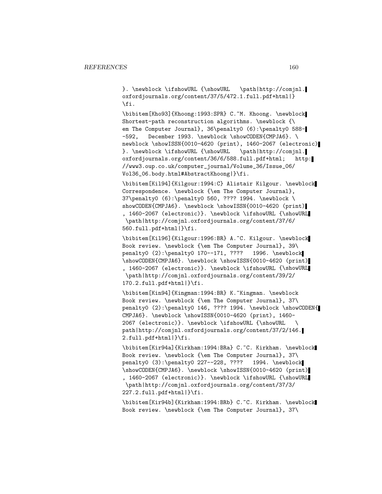}. \newblock \ifshowURL {\showURL \path|http://comjnl. oxfordjournals.org/content/37/5/472.1.full.pdf+html|} \fi.

\bibitem[Kho93]{Khoong:1993:SPR} C.~M. Khoong. \newblock Shortest-path reconstruction algorithms. \newblock {\ em The Computer Journal}, 36\penalty0 (6):\penalty0 588--592, December 1993. \newblock \showCODEN{CMPJA6}. \ newblock \showISSN{0010-4620 (print), 1460-2067 (electronic) }. \newblock \ifshowURL {\showURL \path|http://comjnl. oxfordjournals.org/content/36/6/588.full.pdf+html; http: //www3.oup.co.uk/computer\_journal/Volume\_36/Issue\_06/ Vol36\_06.body.html#AbstractKhoong|}\fi.

\bibitem[Kil94]{Kilgour:1994:C} Alistair Kilgour. \newblock Correspondence. \newblock {\em The Computer Journal}, 37\penalty0 (6):\penalty0 560, ???? 1994. \newblock \ showCODEN{CMPJA6}. \newblock \showISSN{0010-4620 (print) , 1460-2067 (electronic)}. \newblock \ifshowURL {\showURL \path|http://comjnl.oxfordjournals.org/content/37/6/ 560.full.pdf+html|}\fi.

\bibitem[Kil96]{Kilgour:1996:BR} A.~C. Kilgour. \newblock Book review. \newblock {\em The Computer Journal}, 39\ penalty0 (2):\penalty0 170--171, ???? 1996. \newblock \showCODEN{CMPJA6}. \newblock \showISSN{0010-4620 (print) , 1460-2067 (electronic)}. \newblock \ifshowURL {\showURL \path|http://comjnl.oxfordjournals.org/content/39/2/ 170.2.full.pdf+html|}\fi.

\bibitem[Kin94]{Kingman:1994:BR} K.~Kingman. \newblock Book review. \newblock {\em The Computer Journal}, 37\ penalty0 (2):\penalty0 146, ???? 1994. \newblock \showCODEN{ CMPJA6}. \newblock \showISSN{0010-4620 (print), 1460- 2067 (electronic)}. \newblock \ifshowURL {\showURL \ path|http://comjnl.oxfordjournals.org/content/37/2/146. 2.full.pdf+html|}\fi.

\bibitem[Kir94a]{Kirkham:1994:BRa} C.~C. Kirkham. \newblock Book review. \newblock {\em The Computer Journal}, 37\ penalty0 (3):\penalty0 227--228, ???? 1994. \newblock \showCODEN{CMPJA6}. \newblock \showISSN{0010-4620 (print) , 1460-2067 (electronic)}. \newblock \ifshowURL {\showURL \path|http://comjnl.oxfordjournals.org/content/37/3/ 227.2.full.pdf+html|}\fi.

\bibitem[Kir94b]{Kirkham:1994:BRb} C.~C. Kirkham. \newblock Book review. \newblock {\em The Computer Journal}, 37\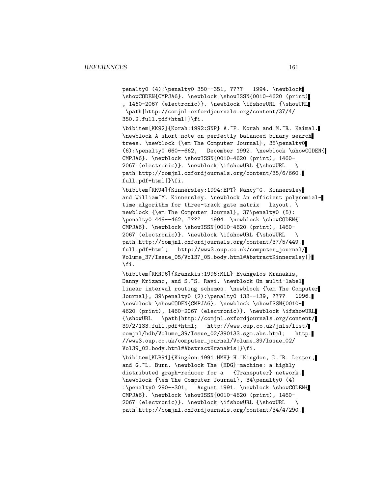penalty0 (4):\penalty0 350--351, ???? 1994. \newblock \showCODEN{CMPJA6}. \newblock \showISSN{0010-4620 (print) , 1460-2067 (electronic)}. \newblock \ifshowURL {\showURL \path|http://comjnl.oxfordjournals.org/content/37/4/ 350.2.full.pdf+html|}\fi.

\bibitem[KK92]{Korah:1992:SNP} A.~P. Korah and M.~R. Kaimal. \newblock A short note on perfectly balanced binary search trees. \newblock {\em The Computer Journal}, 35\penalty0 (6):\penalty0 660--662, December 1992. \newblock \showCODEN{ CMPJA6}. \newblock \showISSN{0010-4620 (print), 1460- 2067 (electronic)}. \newblock \ifshowURL {\showURL \ path|http://comjnl.oxfordjournals.org/content/35/6/660. full.pdf+html|}\fi.

\bibitem[KK94]{Kinnersley:1994:EPT} Nancy~G. Kinnersley and William~M. Kinnersley. \newblock An efficient polynomialtime algorithm for three-track gate matrix layout. \ newblock {\em The Computer Journal}, 37\penalty0 (5): \penalty0 449--462, ???? 1994. \newblock \showCODEN{ CMPJA6}. \newblock \showISSN{0010-4620 (print), 1460- 2067 (electronic)}. \newblock \ifshowURL {\showURL \ path|http://comjnl.oxfordjournals.org/content/37/5/449. full.pdf+html; http://www3.oup.co.uk/computer\_journal/ Volume\_37/Issue\_05/Vol37\_05.body.html#AbstractKinnersley|} \fi.

\bibitem[KKR96]{Kranakis:1996:MLL} Evangelos Kranakis, Danny Krizanc, and S.~S. Ravi. \newblock On multi-label linear interval routing schemes. \newblock {\em The Computer Journal}, 39\penalty0 (2):\penalty0 133--139, ???? 1996. \newblock \showCODEN{CMPJA6}. \newblock \showISSN{0010- 4620 (print), 1460-2067 (electronic)}. \newblock \ifshowURL {\showURL \path|http://comjnl.oxfordjournals.org/content/ 39/2/133.full.pdf+html; http://www.oup.co.uk/jnls/list/ comjnl/hdb/Volume\_39/Issue\_02/390133.sgm.abs.html; http: //www3.oup.co.uk/computer\_journal/Volume\_39/Issue\_02/ Vol39\_02.body.html#AbstractKranakis|}\fi.

\bibitem[KLB91]{Kingdon:1991:HMH} H.~Kingdon, D.~R. Lester, and G.~L. Burn. \newblock The {HDG}-machine: a highly distributed graph-reducer for a {Transputer} network. \newblock {\em The Computer Journal}, 34\penalty0 (4) :\penalty0 290--301, August 1991. \newblock \showCODEN{ CMPJA6}. \newblock \showISSN{0010-4620 (print), 1460- 2067 (electronic)}. \newblock \ifshowURL {\showURL \ path|http://comjnl.oxfordjournals.org/content/34/4/290.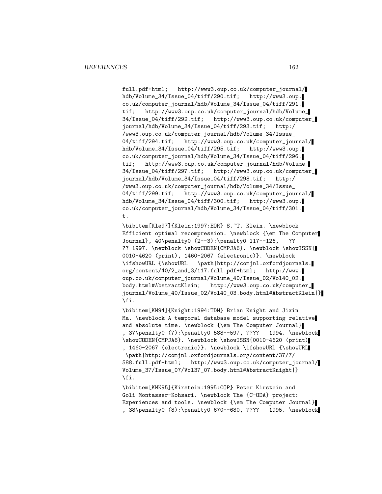full.pdf+html; http://www3.oup.co.uk/computer\_journal/ hdb/Volume\_34/Issue\_04/tiff/290.tif; http://www3.oup. co.uk/computer\_journal/hdb/Volume\_34/Issue\_04/tiff/291. tif; http://www3.oup.co.uk/computer\_journal/hdb/Volume\_ 34/Issue\_04/tiff/292.tif; http://www3.oup.co.uk/computer\_ journal/hdb/Volume\_34/Issue\_04/tiff/293.tif; http:/ /www3.oup.co.uk/computer\_journal/hdb/Volume\_34/Issue\_ 04/tiff/294.tif; http://www3.oup.co.uk/computer\_journal/ hdb/Volume\_34/Issue\_04/tiff/295.tif; http://www3.oup. co.uk/computer\_journal/hdb/Volume\_34/Issue\_04/tiff/296. tif; http://www3.oup.co.uk/computer\_journal/hdb/Volume\_ 34/Issue\_04/tiff/297.tif; http://www3.oup.co.uk/computer\_ journal/hdb/Volume\_34/Issue\_04/tiff/298.tif; http:/ /www3.oup.co.uk/computer\_journal/hdb/Volume\_34/Issue\_ 04/tiff/299.tif; http://www3.oup.co.uk/computer\_journal/ hdb/Volume\_34/Issue\_04/tiff/300.tif; http://www3.oup. co.uk/computer\_journal/hdb/Volume\_34/Issue\_04/tiff/301. t.

\bibitem[Kle97]{Klein:1997:EOR} S.~T. Klein. \newblock Efficient optimal recompression. \newblock {\em The Computer Journal}, 40\penalty0 (2--3):\penalty0 117--126, ?? ?? 1997. \newblock \showCODEN{CMPJA6}. \newblock \showISSN{ 0010-4620 (print), 1460-2067 (electronic)}. \newblock \ifshowURL {\showURL \path|http://comjnl.oxfordjournals. org/content/40/2\_and\_3/117.full.pdf+html; http://www. oup.co.uk/computer\_journal/Volume\_40/Issue\_02/Vol40\_02. body.html#AbstractKlein; http://www3.oup.co.uk/computer\_ journal/Volume\_40/Issue\_02/Vol40\_03.body.html#AbstractKlein|} \fi.

\bibitem[KM94]{Knight:1994:TDM} Brian Knight and Jixin Ma. \newblock A temporal database model supporting relative and absolute time. \newblock {\em The Computer Journal} , 37\penalty0 (7):\penalty0 588--597, ???? 1994. \newblock \showCODEN{CMPJA6}. \newblock \showISSN{0010-4620 (print) , 1460-2067 (electronic)}. \newblock \ifshowURL {\showURL \path|http://comjnl.oxfordjournals.org/content/37/7/ 588.full.pdf+html; http://www3.oup.co.uk/computer\_journal/ Volume\_37/Issue\_07/Vol37\_07.body.html#AbstractKnight|} \fi.

\bibitem[KMK95]{Kirstein:1995:COP} Peter Kirstein and Goli Montasser-Kohsari. \newblock The {C-ODA} project: Experiences and tools. \newblock {\em The Computer Journal} , 38\penalty0 (8):\penalty0 670--680, ???? 1995. \newblock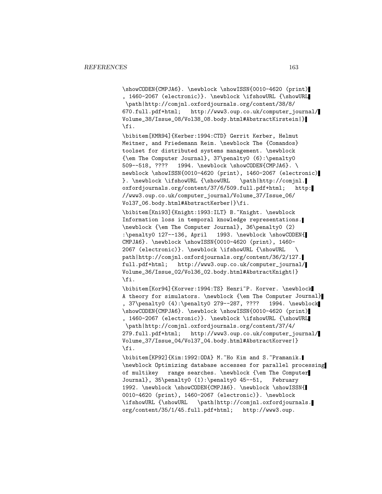\showCODEN{CMPJA6}. \newblock \showISSN{0010-4620 (print) , 1460-2067 (electronic)}. \newblock \ifshowURL {\showURL \path|http://comjnl.oxfordjournals.org/content/38/8/ 670.full.pdf+html; http://www3.oup.co.uk/computer\_journal/ Volume\_38/Issue\_08/Vol38\_08.body.html#AbstractKirstein|} \fi.

\bibitem[KMR94]{Kerber:1994:CTD} Gerrit Kerber, Helmut Meitner, and Friedemann Reim. \newblock The {Comandos} toolset for distributed systems management. \newblock {\em The Computer Journal}, 37\penalty0 (6):\penalty0 509--518, ???? 1994. \newblock \showCODEN{CMPJA6}. \ newblock \showISSN{0010-4620 (print), 1460-2067 (electronic) }. \newblock \ifshowURL {\showURL \path|http://comjnl. oxfordjournals.org/content/37/6/509.full.pdf+html; http: //www3.oup.co.uk/computer\_journal/Volume\_37/Issue\_06/ Vol37\_06.body.html#AbstractKerber|}\fi.

\bibitem[Kni93]{Knight:1993:ILT} B.~Knight. \newblock Information loss in temporal knowledge representations. \newblock {\em The Computer Journal}, 36\penalty0 (2) :\penalty0 127--136, April 1993. \newblock \showCODEN{ CMPJA6}. \newblock \showISSN{0010-4620 (print), 1460- 2067 (electronic)}. \newblock \ifshowURL {\showURL \ path|http://comjnl.oxfordjournals.org/content/36/2/127. full.pdf+html; http://www3.oup.co.uk/computer\_journal/ Volume\_36/Issue\_02/Vol36\_02.body.html#AbstractKnight|} \fi.

\bibitem[Kor94]{Korver:1994:TS} Henri~P. Korver. \newblock A theory for simulators. \newblock {\em The Computer Journal} , 37\penalty0 (4):\penalty0 279--287, ???? 1994. \newblock \showCODEN{CMPJA6}. \newblock \showISSN{0010-4620 (print) , 1460-2067 (electronic)}. \newblock \ifshowURL {\showURL \path|http://comjnl.oxfordjournals.org/content/37/4/ 279.full.pdf+html; http://www3.oup.co.uk/computer\_journal/ Volume\_37/Issue\_04/Vol37\_04.body.html#AbstractKorver|} \fi.

\bibitem[KP92]{Kim:1992:ODA} M.~Ho Kim and S.~Pramanik. \newblock Optimizing database accesses for parallel processing of multikey range searches. \newblock {\em The Computer Journal}, 35\penalty0 (1):\penalty0 45--51, February 1992. \newblock \showCODEN{CMPJA6}. \newblock \showISSN{ 0010-4620 (print), 1460-2067 (electronic)}. \newblock \ifshowURL {\showURL \path|http://comjnl.oxfordjournals. org/content/35/1/45.full.pdf+html; http://www3.oup.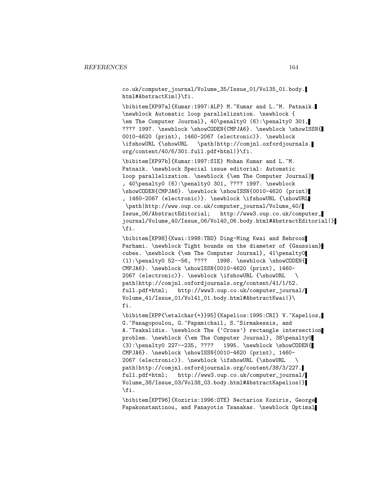co.uk/computer\_journal/Volume\_35/Issue\_01/Vol35\_01.body. html#AbstractKim|}\fi.

\bibitem[KP97a]{Kumar:1997:ALP} M.~Kumar and L.~M. Patnaik. \newblock Automatic loop parallelization. \newblock { \em The Computer Journal}, 40\penalty0 (6):\penalty0 301, ???? 1997. \newblock \showCODEN{CMPJA6}. \newblock \showISSN{ 0010-4620 (print), 1460-2067 (electronic)}. \newblock \ifshowURL {\showURL \path|http://comjnl.oxfordjournals. org/content/40/6/301.full.pdf+html|}\fi.

\bibitem[KP97b]{Kumar:1997:SIE} Mohan Kumar and L.~M. Patnaik. \newblock Special issue editorial: Automatic loop parallelization. \newblock {\em The Computer Journal} , 40\penalty0 (6):\penalty0 301, ???? 1997. \newblock \showCODEN{CMPJA6}. \newblock \showISSN{0010-4620 (print) , 1460-2067 (electronic)}. \newblock \ifshowURL {\showURL \path|http://www.oup.co.uk/computer\_journal/Volume\_40/ Issue\_06/AbstractEditorial; http://www3.oup.co.uk/computer\_ journal/Volume\_40/Issue\_06/Vol40\_06.body.html#AbstractEditorial|} \fi.

\bibitem[KP98]{Kwai:1998:TBD} Ding-Ming Kwai and Behrooz Parhami. \newblock Tight bounds on the diameter of {Gaussian} cubes. \newblock {\em The Computer Journal}, 41\penalty0 (1):\penalty0 52--56, ???? 1998. \newblock \showCODEN{ CMPJA6}. \newblock \showISSN{0010-4620 (print), 1460- 2067 (electronic)}. \newblock \ifshowURL {\showURL \ path|http://comjnl.oxfordjournals.org/content/41/1/52. full.pdf+html; http://www3.oup.co.uk/computer\_journal/ Volume\_41/Issue\_01/Vol41\_01.body.html#AbstractKwai|}\ fi.

\bibitem[KPP{\etalchar{+}}95]{Kapelios:1995:CRI} V.~Kapelios, G.~Panagopoulou, G.~Papamichail, S.~Sirmakessis, and A. "Tsakalidis. \newblock The {'Cross'} rectangle intersection problem. \newblock {\em The Computer Journal}, 38\penalty0 (3):\penalty0 227--235, ???? 1995. \newblock \showCODEN{ CMPJA6}. \newblock \showISSN{0010-4620 (print), 1460- 2067 (electronic)}. \newblock \ifshowURL {\showURL \ path|http://comjnl.oxfordjournals.org/content/38/3/227. full.pdf+html; http://www3.oup.co.uk/computer\_journal/ Volume\_38/Issue\_03/Vol38\_03.body.html#AbstractKapelios|} \fi.

\bibitem[KPT96]{Koziris:1996:OTE} Nectarios Koziris, George Papakonstantinou, and Panayotis Tsanakas. \newblock Optimal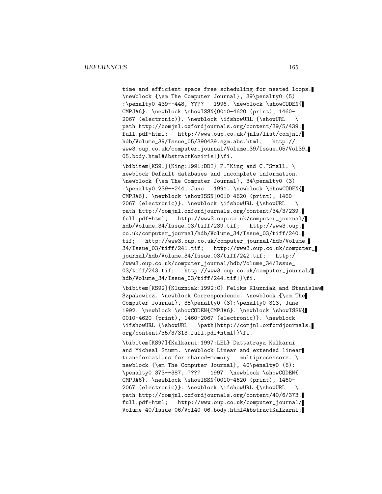time and efficient space free scheduling for nested loops. \newblock {\em The Computer Journal}, 39\penalty0 (5) :\penalty0 439--448, ???? 1996. \newblock \showCODEN{ CMPJA6}. \newblock \showISSN{0010-4620 (print), 1460- 2067 (electronic)}. \newblock \ifshowURL {\showURL \ path|http://comjnl.oxfordjournals.org/content/39/5/439. full.pdf+html; http://www.oup.co.uk/jnls/list/comjnl/ hdb/Volume\_39/Issue\_05/390439.sgm.abs.html; http:// www3.oup.co.uk/computer\_journal/Volume\_39/Issue\_05/Vol39\_ 05.body.html#AbstractKoziris|}\fi.

 $\big\{\begin{bmatrix} KS91 \end{bmatrix}\begin{bmatrix} King:1991:DDI \end{bmatrix} P.$  King and C. Small.  $\big\}$ newblock Default databases and incomplete information. \newblock {\em The Computer Journal}, 34\penalty0 (3) :\penalty0 239--244, June 1991. \newblock \showCODEN{ CMPJA6}. \newblock \showISSN{0010-4620 (print), 1460- 2067 (electronic)}. \newblock \ifshowURL {\showURL \ path|http://comjnl.oxfordjournals.org/content/34/3/239. full.pdf+html; http://www3.oup.co.uk/computer\_journal/ hdb/Volume\_34/Issue\_03/tiff/239.tif; http://www3.oup. co.uk/computer\_journal/hdb/Volume\_34/Issue\_03/tiff/240. tif; http://www3.oup.co.uk/computer\_journal/hdb/Volume\_ 34/Issue\_03/tiff/241.tif; http://www3.oup.co.uk/computer\_ journal/hdb/Volume\_34/Issue\_03/tiff/242.tif; http:/ /www3.oup.co.uk/computer\_journal/hdb/Volume\_34/Issue\_ 03/tiff/243.tif; http://www3.oup.co.uk/computer\_journal/ hdb/Volume\_34/Issue\_03/tiff/244.tif|}\fi.

\bibitem[KS92]{Kluzniak:1992:C} Feliks Kluzniak and Stanislaw Szpakowicz. \newblock Correspondence. \newblock {\em The Computer Journal}, 35\penalty0 (3):\penalty0 313, June 1992. \newblock \showCODEN{CMPJA6}. \newblock \showISSN{ 0010-4620 (print), 1460-2067 (electronic)}. \newblock \ifshowURL {\showURL \path|http://comjnl.oxfordjournals. org/content/35/3/313.full.pdf+html|}\fi.

\bibitem[KS97]{Kulkarni:1997:LEL} Dattatraya Kulkarni and Micheal Stumm. \newblock Linear and extended linear transformations for shared-memory multiprocessors. \ newblock {\em The Computer Journal}, 40\penalty0 (6): \penalty0 373--387, ???? 1997. \newblock \showCODEN{ CMPJA6}. \newblock \showISSN{0010-4620 (print), 1460- 2067 (electronic)}. \newblock \ifshowURL {\showURL \ path|http://comjnl.oxfordjournals.org/content/40/6/373. full.pdf+html; http://www.oup.co.uk/computer\_journal/ Volume\_40/Issue\_06/Vol40\_06.body.html#AbstractKulkarni;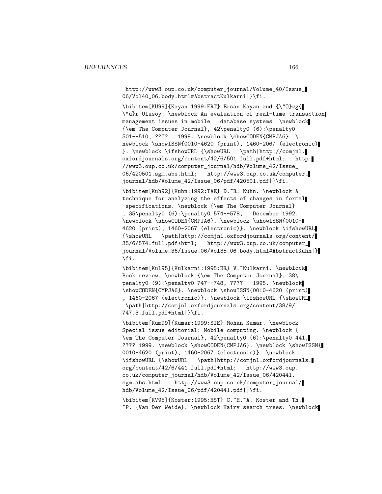http://www3.oup.co.uk/computer\_journal/Volume\_40/Issue\_ 06/Vol40\_06.body.html#AbstractKulkarni|}\fi.

\bibitem[KU99]{Kayan:1999:ERT} Ersan Kayan and {\"O}zg{ \"u}r Ulusoy. \newblock An evaluation of real-time transaction management issues in mobile database systems. \newblock {\em The Computer Journal}, 42\penalty0 (6):\penalty0 501--510, ???? 1999. \newblock \showCODEN{CMPJA6}. \ newblock \showISSN{0010-4620 (print), 1460-2067 (electronic) }. \newblock \ifshowURL {\showURL \path|http://comjnl. oxfordjournals.org/content/42/6/501.full.pdf+html; http: //www3.oup.co.uk/computer\_journal/hdb/Volume\_42/Issue\_ 06/420501.sgm.abs.html; http://www3.oup.co.uk/computer\_ journal/hdb/Volume\_42/Issue\_06/pdf/420501.pdf|}\fi.

\bibitem[Kuh92]{Kuhn:1992:TAE} D.~R. Kuhn. \newblock A technique for analyzing the effects of changes in formal specifications. \newblock {\em The Computer Journal} , 35\penalty0 (6):\penalty0 574--578, December 1992. \newblock \showCODEN{CMPJA6}. \newblock \showISSN{0010- 4620 (print), 1460-2067 (electronic)}. \newblock \ifshowURL {\showURL \path|http://comjnl.oxfordjournals.org/content/ 35/6/574.full.pdf+html; http://www3.oup.co.uk/computer\_ journal/Volume\_36/Issue\_06/Vol35\_06.body.html#AbstractKuhn|} \fi.

\bibitem[Kul95]{Kulkarni:1995:BR} V.~Kulkarni. \newblock Book review. \newblock {\em The Computer Journal}, 38\ penalty0 (9):\penalty0 747--748, ???? 1995. \newblock \showCODEN{CMPJA6}. \newblock \showISSN{0010-4620 (print) , 1460-2067 (electronic)}. \newblock \ifshowURL {\showURL \path|http://comjnl.oxfordjournals.org/content/38/9/ 747.3.full.pdf+html|}\fi.

\bibitem[Kum99]{Kumar:1999:SIE} Mohan Kumar. \newblock Special issue editorial: Mobile computing. \newblock { \em The Computer Journal}, 42\penalty0 (6):\penalty0 441, ???? 1999. \newblock \showCODEN{CMPJA6}. \newblock \showISSN{ 0010-4620 (print), 1460-2067 (electronic)}. \newblock \ifshowURL {\showURL \path|http://comjnl.oxfordjournals. org/content/42/6/441.full.pdf+html; http://www3.oup. co.uk/computer\_journal/hdb/Volume\_42/Issue\_06/420441. sgm.abs.html; http://www3.oup.co.uk/computer\_journal/ hdb/Volume\_42/Issue\_06/pdf/420441.pdf|}\fi.

\bibitem[KV95]{Koster:1995:HST} C.~H.~A. Koster and Th. ~P. {Van Der Weide}. \newblock Hairy search trees. \newblock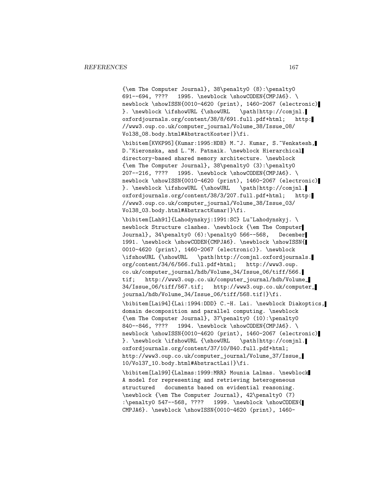{\em The Computer Journal}, 38\penalty0 (8):\penalty0 691--694, ???? 1995. \newblock \showCODEN{CMPJA6}. \ newblock \showISSN{0010-4620 (print), 1460-2067 (electronic) }. \newblock \ifshowURL {\showURL \path|http://comjnl. oxfordjournals.org/content/38/8/691.full.pdf+html; http: //www3.oup.co.uk/computer\_journal/Volume\_38/Issue\_08/ Vol38\_08.body.html#AbstractKoster|}\fi.

\bibitem[KVKP95]{Kumar:1995:HDB} M.~J. Kumar, S.~Venkatesh, D. Kieronska, and L. M. Patnaik. \newblock Hierarchical directory-based shared memory architecture. \newblock {\em The Computer Journal}, 38\penalty0 (3):\penalty0 207--216, ???? 1995. \newblock \showCODEN{CMPJA6}. \ newblock \showISSN{0010-4620 (print), 1460-2067 (electronic) }. \newblock \ifshowURL {\showURL \path|http://comjnl. oxfordjournals.org/content/38/3/207.full.pdf+html; http: //www3.oup.co.uk/computer\_journal/Volume\_38/Issue\_03/ Vol38\_03.body.html#AbstractKumar|}\fi.

\bibitem[Lah91]{Lahodynskyj:1991:SC} Lu~Lahodynskyj. \ newblock Structure clashes. \newblock {\em The Computer Journal}, 34\penalty0 (6):\penalty0 566--568, December 1991. \newblock \showCODEN{CMPJA6}. \newblock \showISSN{ 0010-4620 (print), 1460-2067 (electronic)}. \newblock \ifshowURL {\showURL \path|http://comjnl.oxfordjournals. org/content/34/6/566.full.pdf+html; http://www3.oup. co.uk/computer\_journal/hdb/Volume\_34/Issue\_06/tiff/566. tif; http://www3.oup.co.uk/computer\_journal/hdb/Volume\_ 34/Issue\_06/tiff/567.tif; http://www3.oup.co.uk/computer\_ journal/hdb/Volume\_34/Issue\_06/tiff/568.tif|}\fi.

\bibitem[Lai94]{Lai:1994:DDD} C.-H. Lai. \newblock Diakoptics, domain decomposition and parallel computing. \newblock {\em The Computer Journal}, 37\penalty0 (10):\penalty0 840--846, ???? 1994. \newblock \showCODEN{CMPJA6}. \ newblock \showISSN{0010-4620 (print), 1460-2067 (electronic) }. \newblock \ifshowURL {\showURL \path|http://comjnl. oxfordjournals.org/content/37/10/840.full.pdf+html; http://www3.oup.co.uk/computer\_journal/Volume\_37/Issue\_ 10/Vol37\_10.body.html#AbstractLai|}\fi.

\bibitem[Lal99]{Lalmas:1999:MRR} Mounia Lalmas. \newblock A model for representing and retrieving heterogeneous structured documents based on evidential reasoning. \newblock {\em The Computer Journal}, 42\penalty0 (7) :\penalty0 547--568, ???? 1999. \newblock \showCODEN{ CMPJA6}. \newblock \showISSN{0010-4620 (print), 1460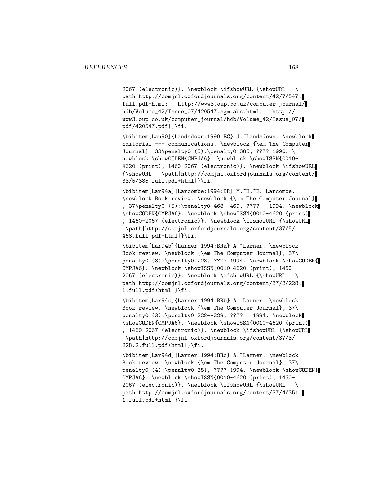2067 (electronic)}. \newblock \ifshowURL {\showURL \ path|http://comjnl.oxfordjournals.org/content/42/7/547. full.pdf+html; http://www3.oup.co.uk/computer\_journal/ hdb/Volume\_42/Issue\_07/420547.sgm.abs.html; http:// www3.oup.co.uk/computer\_journal/hdb/Volume\_42/Issue\_07/ pdf/420547.pdf|}\fi.

\bibitem[Lan90]{Landsdown:1990:EC} J.~Landsdown. \newblock Editorial --- communications. \newblock {\em The Computer Journal}, 33\penalty0 (5):\penalty0 385, ???? 1990. \ newblock \showCODEN{CMPJA6}. \newblock \showISSN{0010-4620 (print), 1460-2067 (electronic)}. \newblock \ifshowURL {\showURL \path|http://comjnl.oxfordjournals.org/content/ 33/5/385.full.pdf+html|}\fi.

\bibitem[Lar94a]{Larcombe:1994:BR} M.~H.~E. Larcombe. \newblock Book review. \newblock {\em The Computer Journal} , 37\penalty0 (5):\penalty0 468--469, ???? 1994. \newblock \showCODEN{CMPJA6}. \newblock \showISSN{0010-4620 (print) , 1460-2067 (electronic)}. \newblock \ifshowURL {\showURL \path|http://comjnl.oxfordjournals.org/content/37/5/ 468.full.pdf+html|}\fi.

\bibitem[Lar94b]{Larner:1994:BRa} A.~Larner. \newblock Book review. \newblock {\em The Computer Journal}, 37\ penalty0 (3):\penalty0 228, ???? 1994. \newblock \showCODEN{ CMPJA6}. \newblock \showISSN{0010-4620 (print), 1460- 2067 (electronic)}. \newblock \ifshowURL {\showURL \ path|http://comjnl.oxfordjournals.org/content/37/3/228. 1.full.pdf+html|}\fi.

\bibitem[Lar94c]{Larner:1994:BRb} A.~Larner. \newblock Book review. \newblock {\em The Computer Journal}, 37\ penalty0 (3):\penalty0 228--229, ???? 1994. \newblock \showCODEN{CMPJA6}. \newblock \showISSN{0010-4620 (print) , 1460-2067 (electronic)}. \newblock \ifshowURL {\showURL \path|http://comjnl.oxfordjournals.org/content/37/3/ 228.2.full.pdf+html|}\fi.

\bibitem[Lar94d]{Larner:1994:BRc} A.~Larner. \newblock Book review. \newblock {\em The Computer Journal}, 37\ penalty0 (4):\penalty0 351, ???? 1994. \newblock \showCODEN{ CMPJA6}. \newblock \showISSN{0010-4620 (print), 1460- 2067 (electronic)}. \newblock \ifshowURL {\showURL path|http://comjnl.oxfordjournals.org/content/37/4/351. 1.full.pdf+html|}\fi.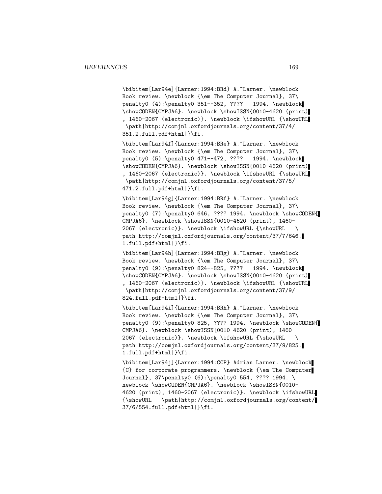\bibitem[Lar94e]{Larner:1994:BRd} A.~Larner. \newblock Book review. \newblock {\em The Computer Journal}, 37\ penalty0 (4):\penalty0 351--352, ???? 1994. \newblock \showCODEN{CMPJA6}. \newblock \showISSN{0010-4620 (print) , 1460-2067 (electronic)}. \newblock \ifshowURL {\showURL \path|http://comjnl.oxfordjournals.org/content/37/4/ 351.2.full.pdf+html|}\fi.

\bibitem[Lar94f]{Larner:1994:BRe} A.~Larner. \newblock Book review. \newblock {\em The Computer Journal}, 37\ penalty0 (5):\penalty0 471--472, ???? 1994. \newblock \showCODEN{CMPJA6}. \newblock \showISSN{0010-4620 (print) , 1460-2067 (electronic)}. \newblock \ifshowURL {\showURL \path|http://comjnl.oxfordjournals.org/content/37/5/ 471.2.full.pdf+html|}\fi.

\bibitem[Lar94g]{Larner:1994:BRf} A.~Larner. \newblock Book review. \newblock {\em The Computer Journal}, 37\ penalty0 (7):\penalty0 646, ???? 1994. \newblock \showCODEN{ CMPJA6}. \newblock \showISSN{0010-4620 (print), 1460- 2067 (electronic)}. \newblock \ifshowURL {\showURL \ path|http://comjnl.oxfordjournals.org/content/37/7/646. 1.full.pdf+html|}\fi.

\bibitem[Lar94h]{Larner:1994:BRg} A.~Larner. \newblock Book review. \newblock {\em The Computer Journal}, 37\ penalty0 (9):\penalty0 824--825, ???? 1994. \newblock \showCODEN{CMPJA6}. \newblock \showISSN{0010-4620 (print) , 1460-2067 (electronic)}. \newblock \ifshowURL {\showURL \path|http://comjnl.oxfordjournals.org/content/37/9/ 824.full.pdf+html|}\fi.

\bibitem[Lar94i]{Larner:1994:BRh} A.~Larner. \newblock Book review. \newblock {\em The Computer Journal}, 37\ penalty0 (9):\penalty0 825, ???? 1994. \newblock \showCODEN{ CMPJA6}. \newblock \showISSN{0010-4620 (print), 1460- 2067 (electronic)}. \newblock \ifshowURL {\showURL \ path|http://comjnl.oxfordjournals.org/content/37/9/825. 1.full.pdf+html|}\fi.

\bibitem[Lar94j]{Larner:1994:CCP} Adrian Larner. \newblock {C} for corporate programmers. \newblock {\em The Computer Journal}, 37\penalty0 (6):\penalty0 554, ???? 1994. \ newblock \showCODEN{CMPJA6}. \newblock \showISSN{0010-4620 (print), 1460-2067 (electronic)}. \newblock \ifshowURL {\showURL \path|http://comjnl.oxfordjournals.org/content/ 37/6/554.full.pdf+html|}\fi.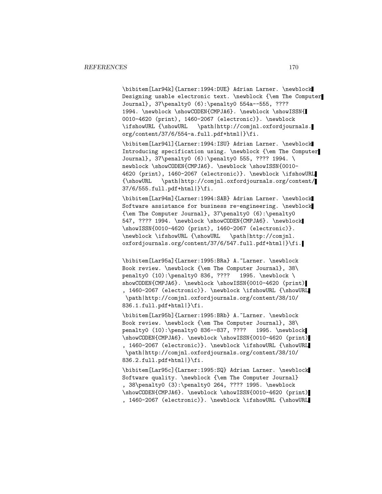\bibitem[Lar94k]{Larner:1994:DUE} Adrian Larner. \newblock Designing usable electronic text. \newblock {\em The Computer Journal}, 37\penalty0 (6):\penalty0 554a--555, ???? 1994. \newblock \showCODEN{CMPJA6}. \newblock \showISSN{ 0010-4620 (print), 1460-2067 (electronic)}. \newblock \ifshowURL {\showURL \path|http://comjnl.oxfordjournals. org/content/37/6/554-a.full.pdf+html|}\fi.

\bibitem[Lar94l]{Larner:1994:ISU} Adrian Larner. \newblock Introducing specification using. \newblock {\em The Computer Journal}, 37\penalty0 (6):\penalty0 555, ???? 1994. \ newblock \showCODEN{CMPJA6}. \newblock \showISSN{0010-4620 (print), 1460-2067 (electronic)}. \newblock \ifshowURL {\showURL \path|http://comjnl.oxfordjournals.org/content/ 37/6/555.full.pdf+html|}\fi.

\bibitem[Lar94m]{Larner:1994:SAB} Adrian Larner. \newblock Software assistance for business re-engineering. \newblock {\em The Computer Journal}, 37\penalty0 (6):\penalty0 547, ???? 1994. \newblock \showCODEN{CMPJA6}. \newblock \showISSN{0010-4620 (print), 1460-2067 (electronic)}. \newblock \ifshowURL {\showURL \path|http://comjnl. oxfordjournals.org/content/37/6/547.full.pdf+html|}\fi.

\bibitem[Lar95a]{Larner:1995:BRa} A.~Larner. \newblock Book review. \newblock {\em The Computer Journal}, 38\ penalty0 (10):\penalty0 836, ???? 1995. \newblock \ showCODEN{CMPJA6}. \newblock \showISSN{0010-4620 (print) , 1460-2067 (electronic)}. \newblock \ifshowURL {\showURL \path|http://comjnl.oxfordjournals.org/content/38/10/ 836.1.full.pdf+html|}\fi.

\bibitem[Lar95b]{Larner:1995:BRb} A.~Larner. \newblock Book review. \newblock {\em The Computer Journal}, 38\ penalty0 (10):\penalty0 836--837, ???? 1995. \newblock \showCODEN{CMPJA6}. \newblock \showISSN{0010-4620 (print) , 1460-2067 (electronic)}. \newblock \ifshowURL {\showURL \path|http://comjnl.oxfordjournals.org/content/38/10/ 836.2.full.pdf+html|}\fi.

\bibitem[Lar95c]{Larner:1995:SQ} Adrian Larner. \newblock Software quality. \newblock {\em The Computer Journal} , 38\penalty0 (3):\penalty0 264, ???? 1995. \newblock \showCODEN{CMPJA6}. \newblock \showISSN{0010-4620 (print) , 1460-2067 (electronic)}. \newblock \ifshowURL {\showURL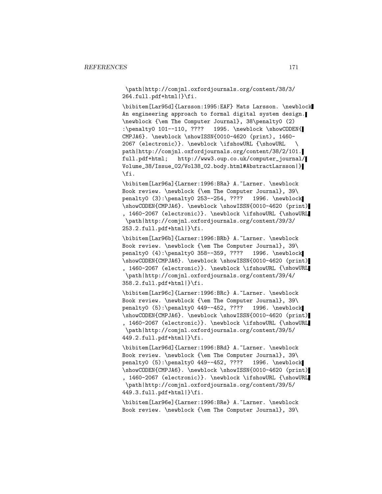\path|http://comjnl.oxfordjournals.org/content/38/3/ 264.full.pdf+html|}\fi.

\bibitem[Lar95d]{Larsson:1995:EAF} Mats Larsson. \newblock An engineering approach to formal digital system design. \newblock {\em The Computer Journal}, 38\penalty0 (2) :\penalty0 101--110, ???? 1995. \newblock \showCODEN{ CMPJA6}. \newblock \showISSN{0010-4620 (print), 1460- 2067 (electronic)}. \newblock \ifshowURL {\showURL \ path|http://comjnl.oxfordjournals.org/content/38/2/101. full.pdf+html; http://www3.oup.co.uk/computer\_journal/ Volume\_38/Issue\_02/Vol38\_02.body.html#AbstractLarsson|} \fi.

\bibitem[Lar96a]{Larner:1996:BRa} A.~Larner. \newblock Book review. \newblock {\em The Computer Journal}, 39\ penalty0 (3):\penalty0 253--254, ???? 1996. \newblock \showCODEN{CMPJA6}. \newblock \showISSN{0010-4620 (print) , 1460-2067 (electronic)}. \newblock \ifshowURL {\showURL \path|http://comjnl.oxfordjournals.org/content/39/3/ 253.2.full.pdf+html|}\fi.

\bibitem[Lar96b]{Larner:1996:BRb} A.~Larner. \newblock Book review. \newblock {\em The Computer Journal}, 39\ penalty0 (4):\penalty0 358--359, ???? 1996. \newblock \showCODEN{CMPJA6}. \newblock \showISSN{0010-4620 (print) , 1460-2067 (electronic)}. \newblock \ifshowURL {\showURL \path|http://comjnl.oxfordjournals.org/content/39/4/ 358.2.full.pdf+html|}\fi.

\bibitem[Lar96c]{Larner:1996:BRc} A.~Larner. \newblock Book review. \newblock {\em The Computer Journal}, 39\ penalty0 (5):\penalty0 449--452, ???? 1996. \newblock \showCODEN{CMPJA6}. \newblock \showISSN{0010-4620 (print) , 1460-2067 (electronic)}. \newblock \ifshowURL {\showURL \path|http://comjnl.oxfordjournals.org/content/39/5/ 449.2.full.pdf+html|}\fi.

\bibitem[Lar96d]{Larner:1996:BRd} A.~Larner. \newblock Book review. \newblock {\em The Computer Journal}, 39\ penalty0 (5):\penalty0 449--452, ???? 1996. \newblock \showCODEN{CMPJA6}. \newblock \showISSN{0010-4620 (print) , 1460-2067 (electronic)}. \newblock \ifshowURL {\showURL \path|http://comjnl.oxfordjournals.org/content/39/5/ 449.3.full.pdf+html|}\fi.

\bibitem[Lar96e]{Larner:1996:BRe} A.~Larner. \newblock Book review. \newblock {\em The Computer Journal}, 39\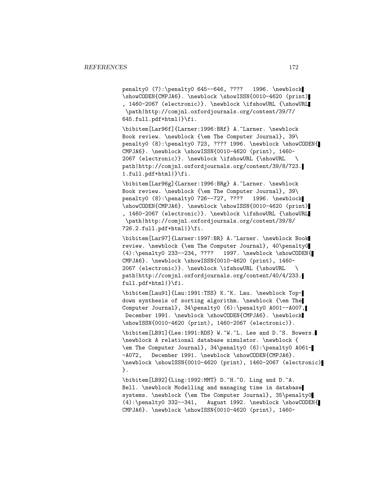penalty0 (7):\penalty0 645--646, ???? 1996. \newblock \showCODEN{CMPJA6}. \newblock \showISSN{0010-4620 (print) , 1460-2067 (electronic)}. \newblock \ifshowURL {\showURL \path|http://comjnl.oxfordjournals.org/content/39/7/ 645.full.pdf+html|}\fi.

\bibitem[Lar96f]{Larner:1996:BRf} A.~Larner. \newblock Book review. \newblock {\em The Computer Journal}, 39\ penalty0 (8):\penalty0 723, ???? 1996. \newblock \showCODEN{ CMPJA6}. \newblock \showISSN{0010-4620 (print), 1460- 2067 (electronic)}. \newblock \ifshowURL {\showURL \ path|http://comjnl.oxfordjournals.org/content/39/8/723. 1.full.pdf+html|}\fi.

\bibitem[Lar96g]{Larner:1996:BRg} A.~Larner. \newblock Book review. \newblock {\em The Computer Journal}, 39\ penalty0 (8):\penalty0 726--727, ???? 1996. \newblock \showCODEN{CMPJA6}. \newblock \showISSN{0010-4620 (print) , 1460-2067 (electronic)}. \newblock \ifshowURL {\showURL \path|http://comjnl.oxfordjournals.org/content/39/8/ 726.2.full.pdf+html|}\fi.

\bibitem[Lar97]{Larner:1997:BR} A.~Larner. \newblock Book review. \newblock {\em The Computer Journal}, 40\penalty0 (4):\penalty0 233--234, ???? 1997. \newblock \showCODEN{ CMPJA6}. \newblock \showISSN{0010-4620 (print), 1460- 2067 (electronic)}. \newblock \ifshowURL {\showURL \ path|http://comjnl.oxfordjournals.org/content/40/4/233. full.pdf+html|}\fi.

\bibitem[Lau91]{Lau:1991:TSS} K.~K. Lau. \newblock Topdown synthesis of sorting algorithm. \newblock {\em The Computer Journal}, 34\penalty0 (6):\penalty0 A001--A007, December 1991. \newblock \showCODEN{CMPJA6}. \newblock \showISSN{0010-4620 (print), 1460-2067 (electronic)}.

\bibitem[LB91]{Lee:1991:RDS} W.~W.~L. Lee and D.~S. Bowers. \newblock A relational database simulator. \newblock { \em The Computer Journal}, 34\penalty0 (6):\penalty0 A061- -A072, December 1991. \newblock \showCODEN{CMPJA6}. \newblock \showISSN{0010-4620 (print), 1460-2067 (electronic) }.

\bibitem[LB92]{Ling:1992:MMT} D.~H.~O. Ling and D.~A. Bell. \newblock Modelling and managing time in database systems. \newblock {\em The Computer Journal}, 35\penalty0 (4):\penalty0 332--341, August 1992. \newblock \showCODEN{ CMPJA6}. \newblock \showISSN{0010-4620 (print), 1460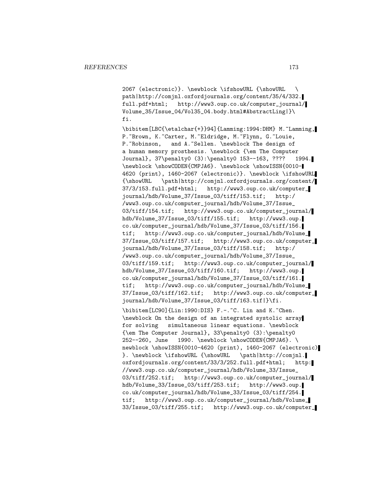2067 (electronic)}. \newblock \ifshowURL {\showURL \ path|http://comjnl.oxfordjournals.org/content/35/4/332. full.pdf+html; http://www3.oup.co.uk/computer\_journal/ Volume\_35/Issue\_04/Vol35\_04.body.html#AbstractLing|}\ fi.

\bibitem[LBC{\etalchar{+}}94]{Lamming:1994:DHM} M.~Lamming, P. "Brown, K. "Carter, M. "Eldridge, M. "Flynn, G. "Louie, P. Abobinson, and A. Sellen. \newblock The design of a human memory prosthesis. \newblock {\em The Computer Journal}, 37\penalty0 (3):\penalty0 153--163, ???? 1994. \newblock \showCODEN{CMPJA6}. \newblock \showISSN{0010- 4620 (print), 1460-2067 (electronic)}. \newblock \ifshowURL {\showURL \path|http://comjnl.oxfordjournals.org/content/ 37/3/153.full.pdf+html; http://www3.oup.co.uk/computer\_ journal/hdb/Volume\_37/Issue\_03/tiff/153.tif; http:/ /www3.oup.co.uk/computer\_journal/hdb/Volume\_37/Issue\_ 03/tiff/154.tif; http://www3.oup.co.uk/computer\_journal/ hdb/Volume\_37/Issue\_03/tiff/155.tif; http://www3.oup. co.uk/computer\_journal/hdb/Volume\_37/Issue\_03/tiff/156. tif; http://www3.oup.co.uk/computer\_journal/hdb/Volume\_ 37/Issue\_03/tiff/157.tif; http://www3.oup.co.uk/computer\_ journal/hdb/Volume\_37/Issue\_03/tiff/158.tif; http:/ /www3.oup.co.uk/computer\_journal/hdb/Volume\_37/Issue\_ 03/tiff/159.tif; http://www3.oup.co.uk/computer\_journal/ hdb/Volume\_37/Issue\_03/tiff/160.tif; http://www3.oup. co.uk/computer\_journal/hdb/Volume\_37/Issue\_03/tiff/161. tif; http://www3.oup.co.uk/computer\_journal/hdb/Volume\_ 37/Issue\_03/tiff/162.tif; http://www3.oup.co.uk/computer\_ journal/hdb/Volume\_37/Issue\_03/tiff/163.tif|}\fi.

\bibitem[LC90]{Lin:1990:DIS} F.-.~C. Lin and K.~Chen. \newblock On the design of an integrated systolic array for solving simultaneous linear equations. \newblock {\em The Computer Journal}, 33\penalty0 (3):\penalty0 252--260, June 1990. \newblock \showCODEN{CMPJA6}. \ newblock \showISSN{0010-4620 (print), 1460-2067 (electronic) }. \newblock \ifshowURL {\showURL \path|http://comjnl. oxfordjournals.org/content/33/3/252.full.pdf+html; http: //www3.oup.co.uk/computer\_journal/hdb/Volume\_33/Issue\_ 03/tiff/252.tif; http://www3.oup.co.uk/computer\_journal/ hdb/Volume\_33/Issue\_03/tiff/253.tif; http://www3.oup. co.uk/computer\_journal/hdb/Volume\_33/Issue\_03/tiff/254. tif; http://www3.oup.co.uk/computer\_journal/hdb/Volume\_ 33/Issue\_03/tiff/255.tif; http://www3.oup.co.uk/computer\_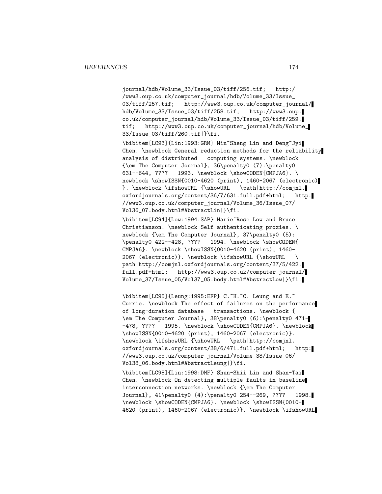journal/hdb/Volume\_33/Issue\_03/tiff/256.tif; http:/ /www3.oup.co.uk/computer\_journal/hdb/Volume\_33/Issue\_ 03/tiff/257.tif; http://www3.oup.co.uk/computer\_journal/ hdb/Volume\_33/Issue\_03/tiff/258.tif; http://www3.oup. co.uk/computer\_journal/hdb/Volume\_33/Issue\_03/tiff/259. tif; http://www3.oup.co.uk/computer\_journal/hdb/Volume\_ 33/Issue\_03/tiff/260.tif|}\fi.

\bibitem[LC93]{Lin:1993:GRM} Min~Sheng Lin and Deng~Jyi Chen. \newblock General reduction methods for the reliability analysis of distributed computing systems. \newblock {\em The Computer Journal}, 36\penalty0 (7):\penalty0 631--644, ???? 1993. \newblock \showCODEN{CMPJA6}. \ newblock \showISSN{0010-4620 (print), 1460-2067 (electronic) }. \newblock \ifshowURL {\showURL \path|http://comjnl. oxfordjournals.org/content/36/7/631.full.pdf+html; http: //www3.oup.co.uk/computer\_journal/Volume\_36/Issue\_07/ Vol36\_07.body.html#AbstractLin|}\fi.

\bibitem[LC94]{Low:1994:SAP} Marie~Rose Low and Bruce Christianson. \newblock Self authenticating proxies. \ newblock {\em The Computer Journal}, 37\penalty0 (5): \penalty0 422--428, ???? 1994. \newblock \showCODEN{ CMPJA6}. \newblock \showISSN{0010-4620 (print), 1460- 2067 (electronic)}. \newblock \ifshowURL {\showURL \ path|http://comjnl.oxfordjournals.org/content/37/5/422. full.pdf+html; http://www3.oup.co.uk/computer\_journal/ Volume\_37/Issue\_05/Vol37\_05.body.html#AbstractLow|}\fi.

\bibitem[LC95]{Leung:1995:EFP} C.~H.~C. Leung and E.~ Currie. \newblock The effect of failures on the performance of long-duration database transactions. \newblock { \em The Computer Journal}, 38\penalty0 (6):\penalty0 471- -478, ???? 1995. \newblock \showCODEN{CMPJA6}. \newblock \showISSN{0010-4620 (print), 1460-2067 (electronic)}. \newblock \ifshowURL {\showURL \path|http://comjnl. oxfordjournals.org/content/38/6/471.full.pdf+html; http: //www3.oup.co.uk/computer\_journal/Volume\_38/Issue\_06/ Vol38\_06.body.html#AbstractLeung|}\fi.

\bibitem[LC98]{Lin:1998:DMF} Shun-Shii Lin and Shan-Tai Chen. \newblock On detecting multiple faults in baseline interconnection networks. \newblock {\em The Computer Journal}, 41\penalty0 (4):\penalty0 254--269, ???? 1998. \newblock \showCODEN{CMPJA6}. \newblock \showISSN{0010- 4620 (print), 1460-2067 (electronic)}. \newblock \ifshowURL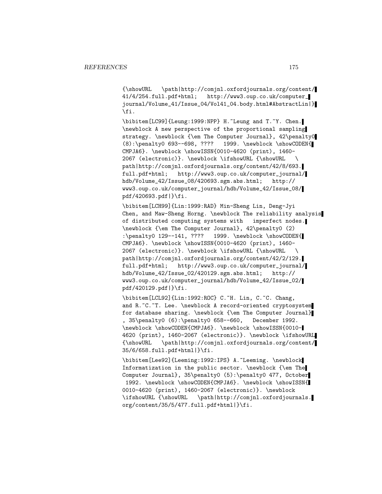{\showURL \path|http://comjnl.oxfordjournals.org/content/ 41/4/254.full.pdf+html; http://www3.oup.co.uk/computer\_ journal/Volume\_41/Issue\_04/Vol41\_04.body.html#AbstractLin|} \fi.

\bibitem[LC99]{Leung:1999:NPP} H.~Leung and T.~Y. Chen. \newblock A new perspective of the proportional sampling strategy. \newblock {\em The Computer Journal}, 42\penalty0 (8):\penalty0 693--698, ???? 1999. \newblock \showCODEN{ CMPJA6}. \newblock \showISSN{0010-4620 (print), 1460- 2067 (electronic)}. \newblock \ifshowURL {\showURL \ path|http://comjnl.oxfordjournals.org/content/42/8/693. full.pdf+html; http://www3.oup.co.uk/computer\_journal/ hdb/Volume\_42/Issue\_08/420693.sgm.abs.html; http:// www3.oup.co.uk/computer\_journal/hdb/Volume\_42/Issue\_08/ pdf/420693.pdf|}\fi.

\bibitem[LCH99]{Lin:1999:RAD} Min-Sheng Lin, Deng-Jyi Chen, and Maw-Sheng Horng. \newblock The reliability analysis of distributed computing systems with imperfect nodes. \newblock {\em The Computer Journal}, 42\penalty0 (2) :\penalty0 129--141, ???? 1999. \newblock \showCODEN{ CMPJA6}. \newblock \showISSN{0010-4620 (print), 1460- 2067 (electronic)}. \newblock \ifshowURL {\showURL \ path|http://comjnl.oxfordjournals.org/content/42/2/129. full.pdf+html; http://www3.oup.co.uk/computer\_journal/ hdb/Volume\_42/Issue\_02/420129.sgm.abs.html; http:// www3.oup.co.uk/computer\_journal/hdb/Volume\_42/Issue\_02/ pdf/420129.pdf|}\fi.

\bibitem[LCL92]{Lin:1992:ROC} C.~H. Lin, C.~C. Chang, and R.~C.~T. Lee. \newblock A record-oriented cryptosystem for database sharing. \newblock {\em The Computer Journal} , 35\penalty0 (6):\penalty0 658--660, December 1992. \newblock \showCODEN{CMPJA6}. \newblock \showISSN{0010- 4620 (print), 1460-2067 (electronic)}. \newblock \ifshowURL {\showURL \path|http://comjnl.oxfordjournals.org/content/ 35/6/658.full.pdf+html|}\fi.

\bibitem[Lee92]{Leeming:1992:IPS} A.~Leeming. \newblock Informatization in the public sector. \newblock {\em The Computer Journal}, 35\penalty0 (5):\penalty0 477, October 1992. \newblock \showCODEN{CMPJA6}. \newblock \showISSN{ 0010-4620 (print), 1460-2067 (electronic)}. \newblock \ifshowURL {\showURL \path|http://comjnl.oxfordjournals. org/content/35/5/477.full.pdf+html|}\fi.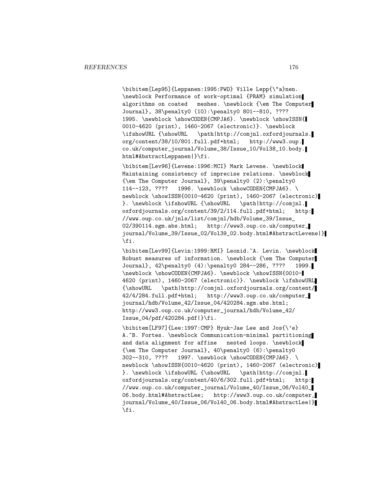\bibitem[Lep95]{Leppanen:1995:PWO} Ville Lepp{\"a}nen. \newblock Performance of work-optimal {PRAM} simulation algorithms on coated meshes. \newblock {\em The Computer Journal}, 38\penalty0 (10):\penalty0 801--810, ???? 1995. \newblock \showCODEN{CMPJA6}. \newblock \showISSN{ 0010-4620 (print), 1460-2067 (electronic)}. \newblock \ifshowURL {\showURL \path|http://comjnl.oxfordjournals. org/content/38/10/801.full.pdf+html; http://www3.oup. co.uk/computer\_journal/Volume\_38/Issue\_10/Vol38\_10.body. html#AbstractLeppanen|}\fi.

\bibitem[Lev96]{Levene:1996:MCI} Mark Levene. \newblock Maintaining consistency of imprecise relations. \newblock {\em The Computer Journal}, 39\penalty0 (2):\penalty0 114--123, ???? 1996. \newblock \showCODEN{CMPJA6}. \ newblock \showISSN{0010-4620 (print), 1460-2067 (electronic) }. \newblock \ifshowURL {\showURL \path|http://comjnl. oxfordjournals.org/content/39/2/114.full.pdf+html; http: //www.oup.co.uk/jnls/list/comjnl/hdb/Volume\_39/Issue\_ 02/390114.sgm.abs.html; http://www3.oup.co.uk/computer\_ journal/Volume\_39/Issue\_02/Vol39\_02.body.html#AbstractLevene|} \fi.

\bibitem[Lev99]{Levin:1999:RMI} Leonid.~A. Levin. \newblock Robust measures of information. \newblock {\em The Computer Journal}, 42\penalty0 (4):\penalty0 284--286, ???? 1999. \newblock \showCODEN{CMPJA6}. \newblock \showISSN{0010- 4620 (print), 1460-2067 (electronic)}. \newblock \ifshowURL {\showURL \path|http://comjnl.oxfordjournals.org/content/ 42/4/284.full.pdf+html; http://www3.oup.co.uk/computer\_ journal/hdb/Volume\_42/Issue\_04/420284.sgm.abs.html; http://www3.oup.co.uk/computer\_journal/hdb/Volume\_42/ Issue\_04/pdf/420284.pdf|}\fi.

\bibitem[LF97]{Lee:1997:CMP} Hyuk-Jae Lee and Jos{\'e} A. "B. Fortes. \newblock Communication-minimal partitioning and data alignment for affine nested loops. \newblock {\em The Computer Journal}, 40\penalty0 (6):\penalty0 302--310, ???? 1997. \newblock \showCODEN{CMPJA6}. \ newblock \showISSN{0010-4620 (print), 1460-2067 (electronic) }. \newblock \ifshowURL {\showURL \path|http://comjnl. oxfordjournals.org/content/40/6/302.full.pdf+html; http: //www.oup.co.uk/computer\_journal/Volume\_40/Issue\_06/Vol40\_ 06.body.html#AbstractLee; http://www3.oup.co.uk/computer\_ journal/Volume\_40/Issue\_06/Vol40\_06.body.html#AbstractLee|} \fi.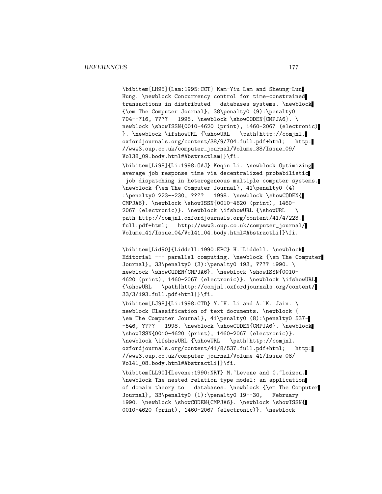\bibitem[LH95]{Lam:1995:CCT} Kam-Yiu Lam and Sheung-Lun Hung. \newblock Concurrency control for time-constrained transactions in distributed databases systems. \newblock {\em The Computer Journal}, 38\penalty0 (9):\penalty0 704--716, ???? 1995. \newblock \showCODEN{CMPJA6}. \ newblock \showISSN{0010-4620 (print), 1460-2067 (electronic) }. \newblock \ifshowURL {\showURL \path|http://comjnl. oxfordjournals.org/content/38/9/704.full.pdf+html; http: //www3.oup.co.uk/computer\_journal/Volume\_38/Issue\_09/ Vol38\_09.body.html#AbstractLam|}\fi.

\bibitem[Li98]{Li:1998:OAJ} Keqin Li. \newblock Optimizing average job response time via decentralized probabilistic job dispatching in heterogeneous multiple computer systems. \newblock {\em The Computer Journal}, 41\penalty0 (4) :\penalty0 223--230, ???? 1998. \newblock \showCODEN{ CMPJA6}. \newblock \showISSN{0010-4620 (print), 1460- 2067 (electronic)}. \newblock \ifshowURL {\showURL \ path|http://comjnl.oxfordjournals.org/content/41/4/223. full.pdf+html; http://www3.oup.co.uk/computer\_journal/ Volume\_41/Issue\_04/Vol41\_04.body.html#AbstractLi|}\fi.

\bibitem[Lid90]{Liddell:1990:EPC} H.~Liddell. \newblock Editorial --- parallel computing. \newblock {\em The Computer Journal}, 33\penalty0 (3):\penalty0 193, ???? 1990. \ newblock \showCODEN{CMPJA6}. \newblock \showISSN{0010-4620 (print), 1460-2067 (electronic)}. \newblock \ifshowURL {\showURL \path|http://comjnl.oxfordjournals.org/content/ 33/3/193.full.pdf+html|}\fi.

 $\big\{\begin{bmatrix} LJ98 \end{bmatrix} \begin{bmatrix} Li:1998:CTD \end{bmatrix} Y.$  H. Li and A. K. Jain. \ newblock Classification of text documents. \newblock { \em The Computer Journal}, 41\penalty0 (8):\penalty0 537- -546, ???? 1998. \newblock \showCODEN{CMPJA6}. \newblock \showISSN{0010-4620 (print), 1460-2067 (electronic)}. \newblock \ifshowURL {\showURL \path|http://comjnl. oxfordjournals.org/content/41/8/537.full.pdf+html; http: //www3.oup.co.uk/computer\_journal/Volume\_41/Issue\_08/ Vol41\_08.body.html#AbstractLi|}\fi.

\bibitem[LL90]{Levene:1990:NRT} M.~Levene and G.~Loizou. \newblock The nested relation type model: an application of domain theory to databases. \newblock {\em The Computer Journal}, 33\penalty0 (1):\penalty0 19--30, February 1990. \newblock \showCODEN{CMPJA6}. \newblock \showISSN{ 0010-4620 (print), 1460-2067 (electronic)}. \newblock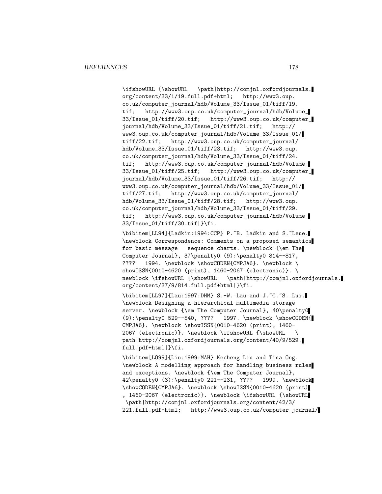\ifshowURL {\showURL \path|http://comjnl.oxfordjournals. org/content/33/1/19.full.pdf+html; http://www3.oup. co.uk/computer\_journal/hdb/Volume\_33/Issue\_01/tiff/19. tif; http://www3.oup.co.uk/computer\_journal/hdb/Volume\_ 33/Issue\_01/tiff/20.tif; http://www3.oup.co.uk/computer\_ journal/hdb/Volume\_33/Issue\_01/tiff/21.tif; http:// www3.oup.co.uk/computer\_journal/hdb/Volume\_33/Issue\_01/ tiff/22.tif; http://www3.oup.co.uk/computer\_journal/ hdb/Volume\_33/Issue\_01/tiff/23.tif; http://www3.oup. co.uk/computer\_journal/hdb/Volume\_33/Issue\_01/tiff/24. tif; http://www3.oup.co.uk/computer\_journal/hdb/Volume\_ 33/Issue\_01/tiff/25.tif; http://www3.oup.co.uk/computer\_ journal/hdb/Volume\_33/Issue\_01/tiff/26.tif; http:// www3.oup.co.uk/computer\_journal/hdb/Volume\_33/Issue\_01/ tiff/27.tif; http://www3.oup.co.uk/computer\_journal/ hdb/Volume\_33/Issue\_01/tiff/28.tif; http://www3.oup. co.uk/computer\_journal/hdb/Volume\_33/Issue\_01/tiff/29. tif; http://www3.oup.co.uk/computer\_journal/hdb/Volume\_ 33/Issue\_01/tiff/30.tif|}\fi.

\bibitem[LL94]{Ladkin:1994:CCP} P.~B. Ladkin and S.~Leue. \newblock Correspondence: Comments on a proposed semantics for basic message sequence charts. \newblock {\em The Computer Journal}, 37\penalty0 (9):\penalty0 814--817, ???? 1994. \newblock \showCODEN{CMPJA6}. \newblock \ showISSN{0010-4620 (print), 1460-2067 (electronic)}. \ newblock \ifshowURL {\showURL \path|http://comjnl.oxfordjournals. org/content/37/9/814.full.pdf+html|}\fi.

\bibitem[LL97]{Lau:1997:DHM} S.-W. Lau and J.~C.~S. Lui. \newblock Designing a hierarchical multimedia storage server. \newblock {\em The Computer Journal}, 40\penalty0 (9):\penalty0 529--540, ???? 1997. \newblock \showCODEN{ CMPJA6}. \newblock \showISSN{0010-4620 (print), 1460- 2067 (electronic)}. \newblock \ifshowURL {\showURL \ path|http://comjnl.oxfordjournals.org/content/40/9/529. full.pdf+html|}\fi.

\bibitem[LO99]{Liu:1999:MAH} Kecheng Liu and Tina Ong. \newblock A modelling approach for handling business rules and exceptions. \newblock {\em The Computer Journal}, 42\penalty0 (3):\penalty0 221--231, ???? 1999. \newblock \showCODEN{CMPJA6}. \newblock \showISSN{0010-4620 (print) , 1460-2067 (electronic)}. \newblock \ifshowURL {\showURL \path|http://comjnl.oxfordjournals.org/content/42/3/ 221.full.pdf+html; http://www3.oup.co.uk/computer\_journal/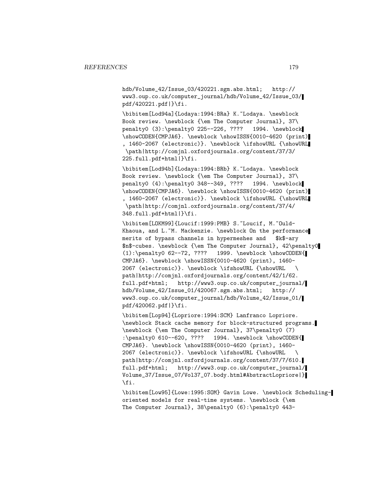hdb/Volume\_42/Issue\_03/420221.sgm.abs.html; http:// www3.oup.co.uk/computer\_journal/hdb/Volume\_42/Issue\_03/ pdf/420221.pdf|}\fi.

\bibitem[Lod94a]{Lodaya:1994:BRa} K.~Lodaya. \newblock Book review. \newblock {\em The Computer Journal}, 37\ penalty0 (3):\penalty0 225--226, ???? 1994. \newblock \showCODEN{CMPJA6}. \newblock \showISSN{0010-4620 (print) , 1460-2067 (electronic)}. \newblock \ifshowURL {\showURL \path|http://comjnl.oxfordjournals.org/content/37/3/ 225.full.pdf+html|}\fi.

\bibitem[Lod94b]{Lodaya:1994:BRb} K.~Lodaya. \newblock Book review. \newblock {\em The Computer Journal}, 37\ penalty0 (4):\penalty0 348--349, ???? 1994. \newblock \showCODEN{CMPJA6}. \newblock \showISSN{0010-4620 (print) , 1460-2067 (electronic)}. \newblock \ifshowURL {\showURL \path|http://comjnl.oxfordjournals.org/content/37/4/ 348.full.pdf+html|}\fi.

\bibitem[LOKM99]{Loucif:1999:PMB} S.~Loucif, M.~Ould-Khaoua, and L.~M. Mackenzie. \newblock On the performance merits of bypass channels in hypermeshes and \$k\$-ary \$n\$-cubes. \newblock {\em The Computer Journal}, 42\penalty0 (1):\penalty0 62--72, ???? 1999. \newblock \showCODEN{ CMPJA6}. \newblock \showISSN{0010-4620 (print), 1460- 2067 (electronic)}. \newblock \ifshowURL {\showURL \ path|http://comjnl.oxfordjournals.org/content/42/1/62. full.pdf+html; http://www3.oup.co.uk/computer\_journal/ hdb/Volume\_42/Issue\_01/420067.sgm.abs.html; http:// www3.oup.co.uk/computer\_journal/hdb/Volume\_42/Issue\_01/ pdf/420062.pdf|}\fi.

\bibitem[Lop94]{Lopriore:1994:SCM} Lanfranco Lopriore. \newblock Stack cache memory for block-structured programs. \newblock {\em The Computer Journal}, 37\penalty0 (7) :\penalty0 610--620, ???? 1994. \newblock \showCODEN{ CMPJA6}. \newblock \showISSN{0010-4620 (print), 1460- 2067 (electronic)}. \newblock \ifshowURL {\showURL \ path|http://comjnl.oxfordjournals.org/content/37/7/610. full.pdf+html; http://www3.oup.co.uk/computer\_journal/ Volume\_37/Issue\_07/Vol37\_07.body.html#AbstractLopriore|} \fi.

\bibitem[Low95]{Lowe:1995:SOM} Gavin Lowe. \newblock Schedulingoriented models for real-time systems. \newblock {\em The Computer Journal}, 38\penalty0 (6):\penalty0 443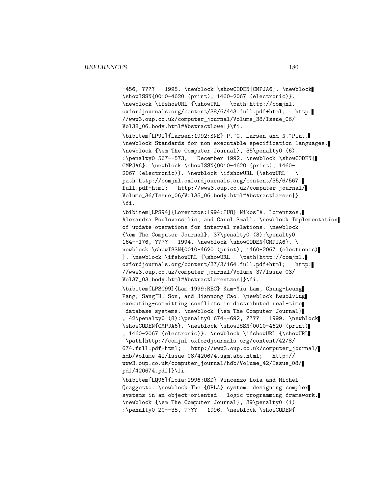-456, ???? 1995. \newblock \showCODEN{CMPJA6}. \newblock \showISSN{0010-4620 (print), 1460-2067 (electronic)}. \newblock \ifshowURL {\showURL \path|http://comjnl. oxfordjournals.org/content/38/6/443.full.pdf+html; http: //www3.oup.co.uk/computer\_journal/Volume\_38/Issue\_06/ Vol38\_06.body.html#AbstractLowe|}\fi.

\bibitem[LP92]{Larsen:1992:SNE} P.~G. Larsen and N.~Plat. \newblock Standards for non-executable specification languages. \newblock {\em The Computer Journal}, 35\penalty0 (6) :\penalty0 567--573, December 1992. \newblock \showCODEN{ CMPJA6}. \newblock \showISSN{0010-4620 (print), 1460- 2067 (electronic)}. \newblock \ifshowURL {\showURL \ path|http://comjnl.oxfordjournals.org/content/35/6/567. full.pdf+html; http://www3.oup.co.uk/computer\_journal/ Volume\_36/Issue\_06/Vol35\_06.body.html#AbstractLarsen|} \fi.

\bibitem[LPS94]{Lorentzos:1994:IUO} Nikos~A. Lorentzos, Alexandra Poulovassilis, and Carol Small. \newblock Implementation of update operations for interval relations. \newblock {\em The Computer Journal}, 37\penalty0 (3):\penalty0 164--176, ???? 1994. \newblock \showCODEN{CMPJA6}. \ newblock \showISSN{0010-4620 (print), 1460-2067 (electronic) }. \newblock \ifshowURL {\showURL \path|http://comjnl. oxfordjournals.org/content/37/3/164.full.pdf+html; http: //www3.oup.co.uk/computer\_journal/Volume\_37/Issue\_03/ Vol37\_03.body.html#AbstractLorentzos|}\fi.

\bibitem[LPSC99]{Lam:1999:REC} Kam-Yiu Lam, Chung-Leung Pang, Sang~H. Son, and Jiannong Cao. \newblock Resolving executing-committing conflicts in distributed real-time database systems. \newblock {\em The Computer Journal} , 42\penalty0 (8):\penalty0 674--692, ???? 1999. \newblock \showCODEN{CMPJA6}. \newblock \showISSN{0010-4620 (print) , 1460-2067 (electronic)}. \newblock \ifshowURL {\showURL \path|http://comjnl.oxfordjournals.org/content/42/8/ 674.full.pdf+html; http://www3.oup.co.uk/computer\_journal/ hdb/Volume\_42/Issue\_08/420674.sgm.abs.html; http:// www3.oup.co.uk/computer\_journal/hdb/Volume\_42/Issue\_08/ pdf/420674.pdf|}\fi.

\bibitem[LQ96]{Loia:1996:OSD} Vincenzo Loia and Michel Quaggetto. \newblock The {OPLA} system: designing complex systems in an object-oriented logic programming framework. \newblock {\em The Computer Journal}, 39\penalty0 (1) :\penalty0 20--35, ???? 1996. \newblock \showCODEN{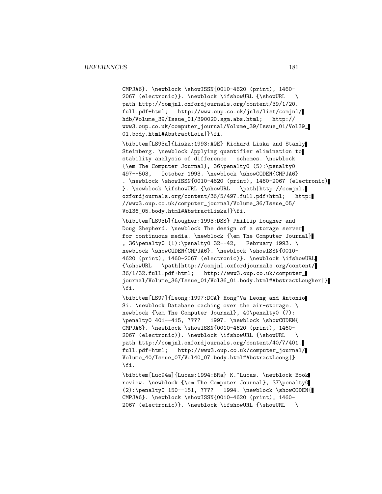CMPJA6}. \newblock \showISSN{0010-4620 (print), 1460- 2067 (electronic)}. \newblock \ifshowURL {\showURL \ path|http://comjnl.oxfordjournals.org/content/39/1/20. full.pdf+html; http://www.oup.co.uk/jnls/list/comjnl/ hdb/Volume\_39/Issue\_01/390020.sgm.abs.html; http:// www3.oup.co.uk/computer\_journal/Volume\_39/Issue\_01/Vol39\_ 01.body.html#AbstractLoia|}\fi.

\bibitem[LS93a]{Liska:1993:AQE} Richard Liska and Stanly Steinberg. \newblock Applying quantifier elimination to stability analysis of difference schemes. \newblock {\em The Computer Journal}, 36\penalty0 (5):\penalty0 497--503, October 1993. \newblock \showCODEN{CMPJA6} . \newblock \showISSN{0010-4620 (print), 1460-2067 (electronic) }. \newblock \ifshowURL {\showURL \path|http://comjnl. oxfordjournals.org/content/36/5/497.full.pdf+html; http: //www3.oup.co.uk/computer\_journal/Volume\_36/Issue\_05/ Vol36\_05.body.html#AbstractLiska|}\fi.

\bibitem[LS93b]{Lougher:1993:DSS} Phillip Lougher and Doug Shepherd. \newblock The design of a storage server for continuous media. \newblock {\em The Computer Journal} , 36\penalty0 (1):\penalty0 32--42, February 1993. \ newblock \showCODEN{CMPJA6}. \newblock \showISSN{0010-4620 (print), 1460-2067 (electronic)}. \newblock \ifshowURL {\showURL \path|http://comjnl.oxfordjournals.org/content/ 36/1/32.full.pdf+html; http://www3.oup.co.uk/computer\_ journal/Volume\_36/Issue\_01/Vol36\_01.body.html#AbstractLougher|} \fi.

\bibitem[LS97]{Leong:1997:DCA} Hong~Va Leong and Antonio Si. \newblock Database caching over the air-storage. \ newblock {\em The Computer Journal}, 40\penalty0 (7): \penalty0 401--415, ???? 1997. \newblock \showCODEN{ CMPJA6}. \newblock \showISSN{0010-4620 (print), 1460- 2067 (electronic)}. \newblock \ifshowURL {\showURL \ path|http://comjnl.oxfordjournals.org/content/40/7/401. full.pdf+html; http://www3.oup.co.uk/computer\_journal/ Volume\_40/Issue\_07/Vol40\_07.body.html#AbstractLeong|} \fi.

\bibitem[Luc94a]{Lucas:1994:BRa} K.~Lucas. \newblock Book review. \newblock {\em The Computer Journal}, 37\penalty0  $(2): \penalty0 150--151, ???? 1994. \newblock \showCODEN{$ CMPJA6}. \newblock \showISSN{0010-4620 (print), 1460- 2067 (electronic)}. \newblock \ifshowURL {\showURL \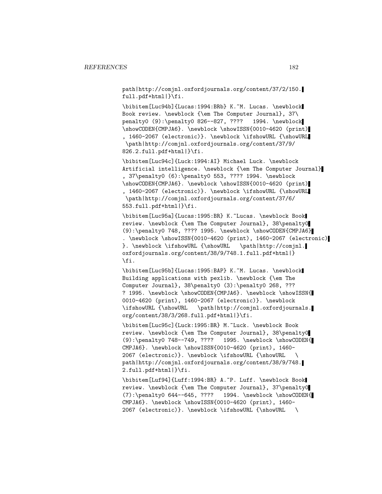path|http://comjnl.oxfordjournals.org/content/37/2/150. full.pdf+html|}\fi.

\bibitem[Luc94b]{Lucas:1994:BRb} K.~M. Lucas. \newblock Book review. \newblock {\em The Computer Journal}, 37\ penalty0 (9):\penalty0 826--827, ???? 1994. \newblock \showCODEN{CMPJA6}. \newblock \showISSN{0010-4620 (print) , 1460-2067 (electronic)}. \newblock \ifshowURL {\showURL \path|http://comjnl.oxfordjournals.org/content/37/9/ 826.2.full.pdf+html|}\fi.

\bibitem[Luc94c]{Luck:1994:AI} Michael Luck. \newblock Artificial intelligence. \newblock {\em The Computer Journal} , 37\penalty0 (6):\penalty0 553, ???? 1994. \newblock \showCODEN{CMPJA6}. \newblock \showISSN{0010-4620 (print) , 1460-2067 (electronic)}. \newblock \ifshowURL {\showURL \path|http://comjnl.oxfordjournals.org/content/37/6/ 553.full.pdf+html|}\fi.

\bibitem[Luc95a]{Lucas:1995:BR} K.~Lucas. \newblock Book review. \newblock {\em The Computer Journal}, 38\penalty0 (9):\penalty0 748, ???? 1995. \newblock \showCODEN{CMPJA6} . \newblock \showISSN{0010-4620 (print), 1460-2067 (electronic) }. \newblock \ifshowURL {\showURL \path|http://comjnl. oxfordjournals.org/content/38/9/748.1.full.pdf+html|} \fi.

\bibitem[Luc95b]{Lucas:1995:BAP} K.~M. Lucas. \newblock Building applications with pexlib. \newblock {\em The Computer Journal}, 38\penalty0 (3):\penalty0 268, ??? ? 1995. \newblock \showCODEN{CMPJA6}. \newblock \showISSN{ 0010-4620 (print), 1460-2067 (electronic)}. \newblock \ifshowURL {\showURL \path|http://comjnl.oxfordjournals. org/content/38/3/268.full.pdf+html|}\fi.

\bibitem[Luc95c]{Luck:1995:BR} M.~Luck. \newblock Book review. \newblock {\em The Computer Journal}, 38\penalty0 (9):\penalty0 748--749, ???? 1995. \newblock \showCODEN{ CMPJA6}. \newblock \showISSN{0010-4620 (print), 1460- 2067 (electronic)}. \newblock \ifshowURL {\showURL \ path|http://comjnl.oxfordjournals.org/content/38/9/748. 2.full.pdf+html|}\fi.

\bibitem[Luf94]{Luff:1994:BR} A.~P. Luff. \newblock Book review. \newblock {\em The Computer Journal}, 37\penalty0 (7):\penalty0 644--645, ???? 1994. \newblock \showCODEN{ CMPJA6}. \newblock \showISSN{0010-4620 (print), 1460- 2067 (electronic)}. \newblock \ifshowURL {\showURL \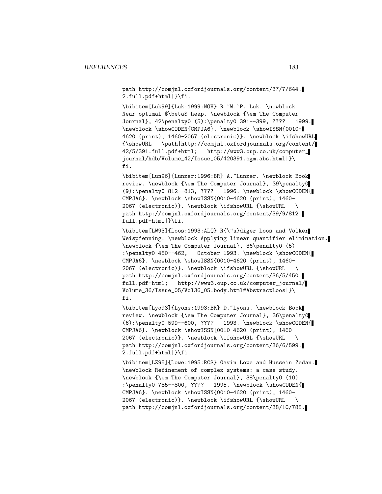path|http://comjnl.oxfordjournals.org/content/37/7/644. 2.full.pdf+html|}\fi.

\bibitem[Luk99]{Luk:1999:NOH} R.~W.~P. Luk. \newblock Near optimal \$\beta\$ heap. \newblock {\em The Computer Journal}, 42\penalty0 (5):\penalty0 391--399, ???? 1999. \newblock \showCODEN{CMPJA6}. \newblock \showISSN{0010- 4620 (print), 1460-2067 (electronic)}. \newblock \ifshowURL {\showURL \path|http://comjnl.oxfordjournals.org/content/ 42/5/391.full.pdf+html; http://www3.oup.co.uk/computer\_ journal/hdb/Volume\_42/Issue\_05/420391.sgm.abs.html|}\ fi.

\bibitem[Lun96]{Lunzer:1996:BR} A.~Lunzer. \newblock Book review. \newblock {\em The Computer Journal}, 39\penalty0 (9):\penalty0 812--813, ???? 1996. \newblock \showCODEN{ CMPJA6}. \newblock \showISSN{0010-4620 (print), 1460- 2067 (electronic)}. \newblock \ifshowURL {\showURL \ path|http://comjnl.oxfordjournals.org/content/39/9/812. full.pdf+html|}\fi.

\bibitem[LW93]{Loos:1993:ALQ} R{\"u}diger Loos and Volker Weispfenning. \newblock Applying linear quantifier elimination. \newblock {\em The Computer Journal}, 36\penalty0 (5) :\penalty0 450--462, October 1993. \newblock \showCODEN{ CMPJA6}. \newblock \showISSN{0010-4620 (print), 1460- 2067 (electronic)}. \newblock \ifshowURL {\showURL \ path|http://comjnl.oxfordjournals.org/content/36/5/450. full.pdf+html; http://www3.oup.co.uk/computer\_journal/ Volume\_36/Issue\_05/Vol36\_05.body.html#AbstractLoos|}\ fi.

\bibitem[Lyo93]{Lyons:1993:BR} D.~Lyons. \newblock Book review. \newblock {\em The Computer Journal}, 36\penalty0 (6):\penalty0 599--600, ???? 1993. \newblock \showCODEN{ CMPJA6}. \newblock \showISSN{0010-4620 (print), 1460- 2067 (electronic)}. \newblock \ifshowURL {\showURL \ path|http://comjnl.oxfordjournals.org/content/36/6/599. 2.full.pdf+html|}\fi.

\bibitem[LZ95]{Lowe:1995:RCS} Gavin Lowe and Hussein Zedan. \newblock Refinement of complex systems: a case study. \newblock {\em The Computer Journal}, 38\penalty0 (10) :\penalty0 785--800, ???? 1995. \newblock \showCODEN{ CMPJA6}. \newblock \showISSN{0010-4620 (print), 1460- 2067 (electronic)}. \newblock \ifshowURL {\showURL \ path|http://comjnl.oxfordjournals.org/content/38/10/785.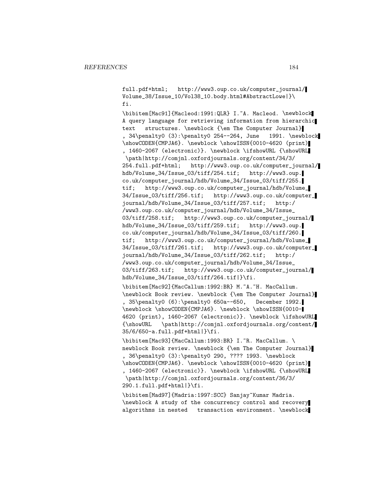full.pdf+html; http://www3.oup.co.uk/computer\_journal/ Volume\_38/Issue\_10/Vol38\_10.body.html#AbstractLowe|}\ fi.

\bibitem[Mac91]{Macleod:1991:QLR} I.~A. Macleod. \newblock A query language for retrieving information from hierarchic text structures. \newblock {\em The Computer Journal} , 34\penalty0 (3):\penalty0 254--264, June 1991. \newblock \showCODEN{CMPJA6}. \newblock \showISSN{0010-4620 (print) , 1460-2067 (electronic)}. \newblock \ifshowURL {\showURL \path|http://comjnl.oxfordjournals.org/content/34/3/ 254.full.pdf+html; http://www3.oup.co.uk/computer\_journal/ hdb/Volume\_34/Issue\_03/tiff/254.tif; http://www3.oup. co.uk/computer\_journal/hdb/Volume\_34/Issue\_03/tiff/255. tif; http://www3.oup.co.uk/computer\_journal/hdb/Volume\_ 34/Issue\_03/tiff/256.tif; http://www3.oup.co.uk/computer\_ journal/hdb/Volume\_34/Issue\_03/tiff/257.tif; http:/ /www3.oup.co.uk/computer\_journal/hdb/Volume\_34/Issue\_ 03/tiff/258.tif; http://www3.oup.co.uk/computer\_journal/ hdb/Volume\_34/Issue\_03/tiff/259.tif; http://www3.oup. co.uk/computer\_journal/hdb/Volume\_34/Issue\_03/tiff/260. tif; http://www3.oup.co.uk/computer\_journal/hdb/Volume\_ 34/Issue\_03/tiff/261.tif; http://www3.oup.co.uk/computer\_ journal/hdb/Volume\_34/Issue\_03/tiff/262.tif; http:/ /www3.oup.co.uk/computer\_journal/hdb/Volume\_34/Issue\_ 03/tiff/263.tif; http://www3.oup.co.uk/computer\_journal/ hdb/Volume\_34/Issue\_03/tiff/264.tif|}\fi.

\bibitem[Mac92]{MacCallum:1992:BR} M.~A.~H. MacCallum. \newblock Book review. \newblock {\em The Computer Journal} , 35\penalty0 (6):\penalty0 650a--650, December 1992. \newblock \showCODEN{CMPJA6}. \newblock \showISSN{0010- 4620 (print), 1460-2067 (electronic)}. \newblock \ifshowURL {\showURL \path|http://comjnl.oxfordjournals.org/content/ 35/6/650-a.full.pdf+html|}\fi.

\bibitem[Mac93]{MacCallum:1993:BR} I.~R. MacCallum. \ newblock Book review. \newblock {\em The Computer Journal} , 36\penalty0 (3):\penalty0 290, ???? 1993. \newblock \showCODEN{CMPJA6}. \newblock \showISSN{0010-4620 (print) , 1460-2067 (electronic)}. \newblock \ifshowURL {\showURL \path|http://comjnl.oxfordjournals.org/content/36/3/ 290.1.full.pdf+html|}\fi.

\bibitem[Mad97]{Madria:1997:SCC} Sanjay~Kumar Madria. \newblock A study of the concurrency control and recovery algorithms in nested transaction environment. \newblock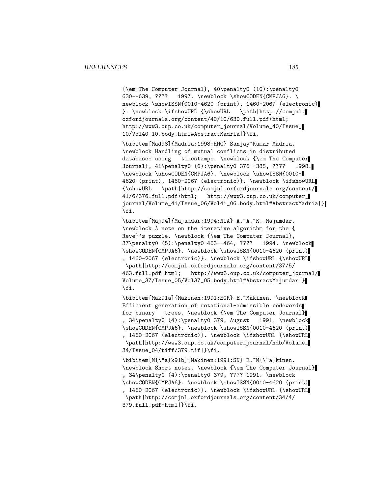{\em The Computer Journal}, 40\penalty0 (10):\penalty0 630--639, ???? 1997. \newblock \showCODEN{CMPJA6}. \ newblock \showISSN{0010-4620 (print), 1460-2067 (electronic) }. \newblock \ifshowURL {\showURL \path|http://comjnl. oxfordjournals.org/content/40/10/630.full.pdf+html; http://www3.oup.co.uk/computer\_journal/Volume\_40/Issue\_ 10/Vol40\_10.body.html#AbstractMadria|}\fi.

\bibitem[Mad98]{Madria:1998:HMC} Sanjay~Kumar Madria. \newblock Handling of mutual conflicts in distributed databases using timestamps. \newblock {\em The Computer Journal}, 41\penalty0 (6):\penalty0 376--385, ???? 1998. \newblock \showCODEN{CMPJA6}. \newblock \showISSN{0010- 4620 (print), 1460-2067 (electronic)}. \newblock \ifshowURL {\showURL \path|http://comjnl.oxfordjournals.org/content/ 41/6/376.full.pdf+html; http://www3.oup.co.uk/computer\_ journal/Volume\_41/Issue\_06/Vol41\_06.body.html#AbstractMadria|} \fi.

\bibitem[Maj94]{Majumdar:1994:NIA} A.~A.~K. Majumdar. \newblock A note on the iterative algorithm for the { Reve}'s puzzle. \newblock {\em The Computer Journal}, 37\penalty0 (5):\penalty0 463--464, ???? 1994. \newblock \showCODEN{CMPJA6}. \newblock \showISSN{0010-4620 (print) , 1460-2067 (electronic)}. \newblock \ifshowURL {\showURL \path|http://comjnl.oxfordjournals.org/content/37/5/ 463.full.pdf+html; http://www3.oup.co.uk/computer\_journal/ Volume\_37/Issue\_05/Vol37\_05.body.html#AbstractMajumdar|} \fi.

\bibitem[Mak91a]{Makinen:1991:EGR} E.~Makinen. \newblock Efficient generation of rotational-admissible codewords for binary trees. \newblock {\em The Computer Journal} , 34\penalty0 (4):\penalty0 379, August 1991. \newblock \showCODEN{CMPJA6}. \newblock \showISSN{0010-4620 (print) , 1460-2067 (electronic)}. \newblock \ifshowURL {\showURL \path|http://www3.oup.co.uk/computer\_journal/hdb/Volume\_ 34/Issue\_04/tiff/379.tif|}\fi.

\bibitem[M{\"a}k91b]{Makinen:1991:SN} E.~M{\"a}kinen. \newblock Short notes. \newblock {\em The Computer Journal} , 34\penalty0 (4):\penalty0 379, ???? 1991. \newblock \showCODEN{CMPJA6}. \newblock \showISSN{0010-4620 (print) , 1460-2067 (electronic)}. \newblock \ifshowURL {\showURL \path|http://comjnl.oxfordjournals.org/content/34/4/ 379.full.pdf+html|}\fi.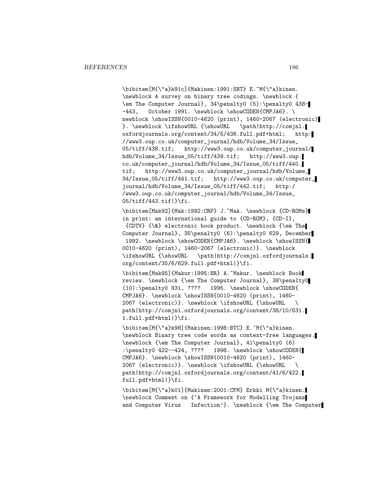\bibitem[M{\"a}k91c]{Makinen:1991:SBT} E.~M{\"a}kinen. \newblock A survey on binary tree codings. \newblock { \em The Computer Journal}, 34\penalty0 (5):\penalty0 438- -443, October 1991. \newblock \showCODEN{CMPJA6}. \ newblock \showISSN{0010-4620 (print), 1460-2067 (electronic) }. \newblock \ifshowURL {\showURL \path|http://comjnl. oxfordjournals.org/content/34/5/438.full.pdf+html; http: //www3.oup.co.uk/computer\_journal/hdb/Volume\_34/Issue\_ 05/tiff/438.tif; http://www3.oup.co.uk/computer\_journal/ hdb/Volume\_34/Issue\_05/tiff/439.tif; http://www3.oup. co.uk/computer\_journal/hdb/Volume\_34/Issue\_05/tiff/440. tif; http://www3.oup.co.uk/computer\_journal/hdb/Volume\_ 34/Issue\_05/tiff/441.tif; http://www3.oup.co.uk/computer\_ journal/hdb/Volume\_34/Issue\_05/tiff/442.tif; http:/ /www3.oup.co.uk/computer\_journal/hdb/Volume\_34/Issue\_ 05/tiff/443.tif|}\fi.

\bibitem[Mak92]{Mak:1992:CRP} J.~Mak. \newblock {CD-ROMs} in print: an international guide to {CD-ROM}, {CD-I}, {CDTV} {\&} electronic book product. \newblock {\em The Computer Journal}, 35\penalty0 (6):\penalty0 629, December 1992. \newblock \showCODEN{CMPJA6}. \newblock \showISSN{ 0010-4620 (print), 1460-2067 (electronic)}. \newblock \ifshowURL {\showURL \path|http://comjnl.oxfordjournals. org/content/35/6/629.full.pdf+html|}\fi.

\bibitem[Mak95]{Makur:1995:BR} A.~Makur. \newblock Book review. \newblock {\em The Computer Journal}, 38\penalty0 (10):\penalty0 831, ???? 1995. \newblock \showCODEN{ CMPJA6}. \newblock \showISSN{0010-4620 (print), 1460- 2067 (electronic)}. \newblock \ifshowURL {\showURL \ path|http://comjnl.oxfordjournals.org/content/38/10/831. 1.full.pdf+html|}\fi.

\bibitem[M{\"a}k98]{Makinen:1998:BTC} E.~M{\"a}kinen. \newblock Binary tree code words as context-free languages. \newblock {\em The Computer Journal}, 41\penalty0 (6) :\penalty0 422--424, ???? 1998. \newblock \showCODEN{ CMPJA6}. \newblock \showISSN{0010-4620 (print), 1460- 2067 (electronic)}. \newblock \ifshowURL {\showURL \ path|http://comjnl.oxfordjournals.org/content/41/6/422. full.pdf+html|}\fi.

\bibitem[M{\"a}k01]{Makinen:2001:CFM} Erkki M{\"a}kinen. \newblock Comment on {'A Framework for Modelling Trojans and Computer Virus Infection'}. \newblock {\em The Computer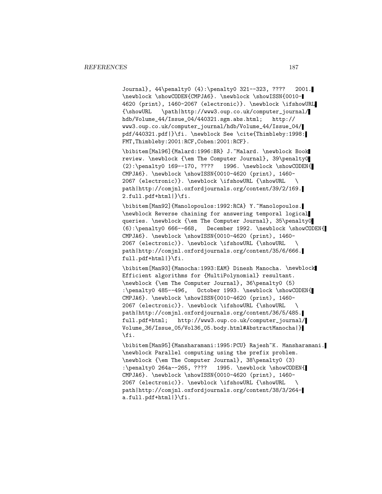Journal}, 44\penalty0 (4):\penalty0 321--323, ???? 2001. \newblock \showCODEN{CMPJA6}. \newblock \showISSN{0010- 4620 (print), 1460-2067 (electronic)}. \newblock \ifshowURL {\showURL \path|http://www3.oup.co.uk/computer\_journal/ hdb/Volume\_44/Issue\_04/440321.sgm.abs.html; http:// www3.oup.co.uk/computer\_journal/hdb/Volume\_44/Issue\_04/ pdf/440321.pdf|}\fi. \newblock See \cite{Thimbleby:1998: FMT,Thimbleby:2001:RCF,Cohen:2001:RCF}.

\bibitem[Mal96]{Malard:1996:BR} J.~Malard. \newblock Book review. \newblock {\em The Computer Journal}, 39\penalty0  $(2):\penalty0 169--170, ???? 1996. \newblock \showCODEN{$ CMPJA6}. \newblock \showISSN{0010-4620 (print), 1460- 2067 (electronic)}. \newblock \ifshowURL {\showURL \ path|http://comjnl.oxfordjournals.org/content/39/2/169. 2.full.pdf+html|}\fi.

\bibitem[Man92]{Manolopoulos:1992:RCA} Y.~Manolopoulos. \newblock Reverse chaining for answering temporal logical queries. \newblock {\em The Computer Journal}, 35\penalty0 (6):\penalty0 666--668, December 1992. \newblock \showCODEN{ CMPJA6}. \newblock \showISSN{0010-4620 (print), 1460- 2067 (electronic)}. \newblock \ifshowURL {\showURL \ path|http://comjnl.oxfordjournals.org/content/35/6/666. full.pdf+html|}\fi.

\bibitem[Man93]{Manocha:1993:EAM} Dinesh Manocha. \newblock Efficient algorithms for {MultiPolynomial} resultant. \newblock {\em The Computer Journal}, 36\penalty0 (5) :\penalty0 485--496, October 1993. \newblock \showCODEN{ CMPJA6}. \newblock \showISSN{0010-4620 (print), 1460- 2067 (electronic)}. \newblock \ifshowURL {\showURL \ path|http://comjnl.oxfordjournals.org/content/36/5/485. full.pdf+html; http://www3.oup.co.uk/computer\_journal/ Volume\_36/Issue\_05/Vol36\_05.body.html#AbstractManocha|} \fi.

\bibitem[Man95]{Mansharamani:1995:PCU} Rajesh~K. Mansharamani. \newblock Parallel computing using the prefix problem. \newblock {\em The Computer Journal}, 38\penalty0 (3) :\penalty0 264a--265, ???? 1995. \newblock \showCODEN{ CMPJA6}. \newblock \showISSN{0010-4620 (print), 1460- 2067 (electronic)}. \newblock \ifshowURL {\showURL \ path|http://comjnl.oxfordjournals.org/content/38/3/264 a.full.pdf+html|}\fi.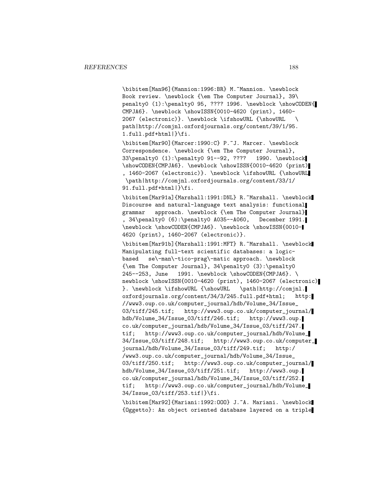\bibitem[Man96]{Mannion:1996:BR} M.~Mannion. \newblock Book review. \newblock {\em The Computer Journal}, 39\ penalty0 (1):\penalty0 95, ???? 1996. \newblock \showCODEN{ CMPJA6}. \newblock \showISSN{0010-4620 (print), 1460- 2067 (electronic)}. \newblock \ifshowURL {\showURL \ path|http://comjnl.oxfordjournals.org/content/39/1/95. 1.full.pdf+html|}\fi.

\bibitem[Mar90]{Marcer:1990:C} P.~J. Marcer. \newblock Correspondence. \newblock {\em The Computer Journal}, 33\penalty0 (1):\penalty0 91--92, ???? 1990. \newblock \showCODEN{CMPJA6}. \newblock \showISSN{0010-4620 (print) , 1460-2067 (electronic)}. \newblock \ifshowURL {\showURL \path|http://comjnl.oxfordjournals.org/content/33/1/ 91.full.pdf+html|}\fi.

\bibitem[Mar91a]{Marshall:1991:DNL} R.~Marshall. \newblock Discourse and natural-language text analysis: functional grammar approach. \newblock {\em The Computer Journal} , 34\penalty0 (6):\penalty0 A035--A060, December 1991. \newblock \showCODEN{CMPJA6}. \newblock \showISSN{0010- 4620 (print), 1460-2067 (electronic)}.

\bibitem[Mar91b]{Marshall:1991:MFT} R.~Marshall. \newblock Manipulating full-text scientific databases: a logicbased se\-man\-tico-prag\-matic approach. \newblock {\em The Computer Journal}, 34\penalty0 (3):\penalty0 245--253, June 1991. \newblock \showCODEN{CMPJA6}. \ newblock \showISSN{0010-4620 (print), 1460-2067 (electronic) }. \newblock \ifshowURL {\showURL \path|http://comjnl. oxfordjournals.org/content/34/3/245.full.pdf+html; http: //www3.oup.co.uk/computer\_journal/hdb/Volume\_34/Issue\_ 03/tiff/245.tif; http://www3.oup.co.uk/computer\_journal/ hdb/Volume\_34/Issue\_03/tiff/246.tif; http://www3.oup. co.uk/computer\_journal/hdb/Volume\_34/Issue\_03/tiff/247. tif; http://www3.oup.co.uk/computer\_journal/hdb/Volume\_ 34/Issue\_03/tiff/248.tif; http://www3.oup.co.uk/computer\_ journal/hdb/Volume\_34/Issue\_03/tiff/249.tif; http:/ /www3.oup.co.uk/computer\_journal/hdb/Volume\_34/Issue\_ 03/tiff/250.tif; http://www3.oup.co.uk/computer\_journal/ hdb/Volume\_34/Issue\_03/tiff/251.tif; http://www3.oup. co.uk/computer\_journal/hdb/Volume\_34/Issue\_03/tiff/252. tif; http://www3.oup.co.uk/computer\_journal/hdb/Volume\_ 34/Issue\_03/tiff/253.tif|}\fi.

\bibitem[Mar92]{Mariani:1992:OOO} J.~A. Mariani. \newblock {Oggetto}: An object oriented database layered on a triple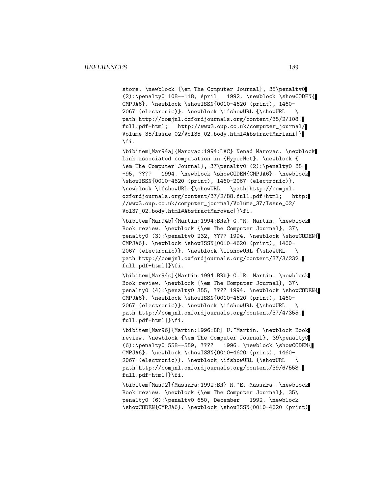store. \newblock {\em The Computer Journal}, 35\penalty0 (2):\penalty0 108--118, April 1992. \newblock \showCODEN{ CMPJA6}. \newblock \showISSN{0010-4620 (print), 1460- 2067 (electronic)}. \newblock \ifshowURL {\showURL \ path|http://comjnl.oxfordjournals.org/content/35/2/108. full.pdf+html; http://www3.oup.co.uk/computer\_journal/ Volume\_35/Issue\_02/Vol35\_02.body.html#AbstractMariani|} \fi.

\bibitem[Mar94a]{Marovac:1994:LAC} Nenad Marovac. \newblock Link associated computation in {HyperNet}. \newblock { \em The Computer Journal}, 37\penalty0 (2):\penalty0 88- -95, ???? 1994. \newblock \showCODEN{CMPJA6}. \newblock \showISSN{0010-4620 (print), 1460-2067 (electronic)}. \newblock \ifshowURL {\showURL \path|http://comjnl. oxfordjournals.org/content/37/2/88.full.pdf+html; http: //www3.oup.co.uk/computer\_journal/Volume\_37/Issue\_02/ Vol37\_02.body.html#AbstractMarovac|}\fi.

\bibitem[Mar94b]{Martin:1994:BRa} G.~R. Martin. \newblock Book review. \newblock {\em The Computer Journal}, 37\ penalty0 (3):\penalty0 232, ???? 1994. \newblock \showCODEN{ CMPJA6}. \newblock \showISSN{0010-4620 (print), 1460- 2067 (electronic)}. \newblock \ifshowURL {\showURL \ path|http://comjnl.oxfordjournals.org/content/37/3/232. full.pdf+html|}\fi.

\bibitem[Mar94c]{Martin:1994:BRb} G.~R. Martin. \newblock Book review. \newblock {\em The Computer Journal}, 37\ penalty0 (4):\penalty0 355, ???? 1994. \newblock \showCODEN{ CMPJA6}. \newblock \showISSN{0010-4620 (print), 1460- 2067 (electronic)}. \newblock \ifshowURL {\showURL \ path|http://comjnl.oxfordjournals.org/content/37/4/355. full.pdf+html|}\fi.

\bibitem[Mar96]{Martin:1996:BR} U.~Martin. \newblock Book review. \newblock {\em The Computer Journal}, 39\penalty0 (6):\penalty0 558--559, ???? 1996. \newblock \showCODEN{ CMPJA6}. \newblock \showISSN{0010-4620 (print), 1460- 2067 (electronic)}. \newblock \ifshowURL {\showURL \ path|http://comjnl.oxfordjournals.org/content/39/6/558. full.pdf+html|}\fi.

\bibitem[Mas92]{Massara:1992:BR} R.~E. Massara. \newblock Book review. \newblock {\em The Computer Journal}, 35\ penalty0 (6):\penalty0 650, December 1992. \newblock \showCODEN{CMPJA6}. \newblock \showISSN{0010-4620 (print)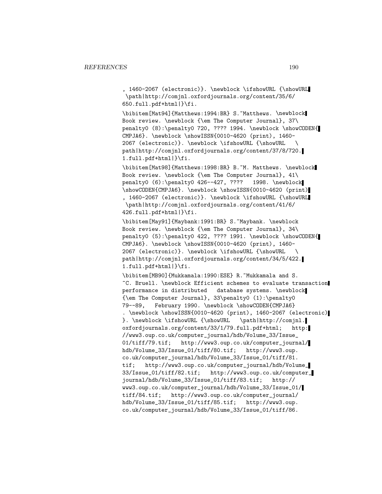, 1460-2067 (electronic)}. \newblock \ifshowURL {\showURL \path|http://comjnl.oxfordjournals.org/content/35/6/ 650.full.pdf+html|}\fi.

\bibitem[Mat94]{Matthews:1994:BR} S.~Matthews. \newblock Book review. \newblock {\em The Computer Journal}, 37\ penalty0 (8):\penalty0 720, ???? 1994. \newblock \showCODEN{ CMPJA6}. \newblock \showISSN{0010-4620 (print), 1460- 2067 (electronic)}. \newblock \ifshowURL {\showURL \ path|http://comjnl.oxfordjournals.org/content/37/8/720. 1.full.pdf+html|}\fi.

\bibitem[Mat98]{Matthews:1998:BR} B.~M. Matthews. \newblock Book review. \newblock {\em The Computer Journal}, 41\ penalty0 (6):\penalty0 426--427, ???? 1998. \newblock \showCODEN{CMPJA6}. \newblock \showISSN{0010-4620 (print) , 1460-2067 (electronic)}. \newblock \ifshowURL {\showURL \path|http://comjnl.oxfordjournals.org/content/41/6/ 426.full.pdf+html|}\fi.

\bibitem[May91]{Maybank:1991:BR} S.~Maybank. \newblock Book review. \newblock {\em The Computer Journal}, 34\ penalty0 (5):\penalty0 422, ???? 1991. \newblock \showCODEN{ CMPJA6}. \newblock \showISSN{0010-4620 (print), 1460- 2067 (electronic)}. \newblock \ifshowURL {\showURL \ path|http://comjnl.oxfordjournals.org/content/34/5/422. 1.full.pdf+html|}\fi.

\bibitem[MB90]{Mukkamala:1990:ESE} R.~Mukkamala and S. ~C. Bruell. \newblock Efficient schemes to evaluate transaction performance in distributed database systems. \newblock {\em The Computer Journal}, 33\penalty0 (1):\penalty0 79--89, February 1990. \newblock \showCODEN{CMPJA6} . \newblock \showISSN{0010-4620 (print), 1460-2067 (electronic) }. \newblock \ifshowURL {\showURL \path|http://comjnl. oxfordjournals.org/content/33/1/79.full.pdf+html; http: //www3.oup.co.uk/computer\_journal/hdb/Volume\_33/Issue\_ 01/tiff/79.tif; http://www3.oup.co.uk/computer\_journal/ hdb/Volume\_33/Issue\_01/tiff/80.tif; http://www3.oup. co.uk/computer\_journal/hdb/Volume\_33/Issue\_01/tiff/81. tif; http://www3.oup.co.uk/computer\_journal/hdb/Volume\_ 33/Issue\_01/tiff/82.tif; http://www3.oup.co.uk/computer\_ journal/hdb/Volume\_33/Issue\_01/tiff/83.tif; http:// www3.oup.co.uk/computer\_journal/hdb/Volume\_33/Issue\_01/ tiff/84.tif; http://www3.oup.co.uk/computer\_journal/ hdb/Volume\_33/Issue\_01/tiff/85.tif; http://www3.oup. co.uk/computer\_journal/hdb/Volume\_33/Issue\_01/tiff/86.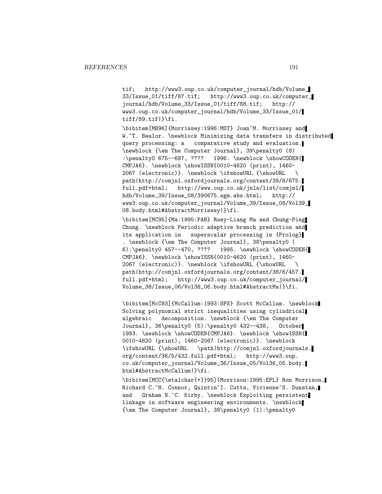tif; http://www3.oup.co.uk/computer\_journal/hdb/Volume\_ 33/Issue\_01/tiff/87.tif; http://www3.oup.co.uk/computer\_ journal/hdb/Volume\_33/Issue\_01/tiff/88.tif; http:// www3.oup.co.uk/computer\_journal/hdb/Volume\_33/Issue\_01/ tiff/89.tif|}\fi.

\bibitem[MB96]{Morrissey:1996:MDT} Joan~M. Morrissey and W."T. Bealor. \newblock Minimizing data transfers in distributed query processing: a comparative study and evaluation. \newblock {\em The Computer Journal}, 39\penalty0 (8) :\penalty0 675--687, ???? 1996. \newblock \showCODEN{ CMPJA6}. \newblock \showISSN{0010-4620 (print), 1460- 2067 (electronic)}. \newblock \ifshowURL {\showURL \ path|http://comjnl.oxfordjournals.org/content/39/8/675. full.pdf+html; http://www.oup.co.uk/jnls/list/comjnl/ hdb/Volume\_39/Issue\_08/390675.sgm.abs.html; http:// www3.oup.co.uk/computer\_journal/Volume\_39/Issue\_08/Vol39\_ 08.body.html#AbstractMorrissey|}\fi.

\bibitem[MC95]{Ma:1995:PAB} Ruey-Liang Ma and Chung-Ping Chung. \newblock Periodic adaptive branch prediction and its application in superscalar processing in {Prolog} . \newblock {\em The Computer Journal}, 38\penalty0 ( 6):\penalty0 457--470, ???? 1995. \newblock \showCODEN{ CMPJA6}. \newblock \showISSN{0010-4620 (print), 1460- 2067 (electronic)}. \newblock \ifshowURL {\showURL \ path|http://comjnl.oxfordjournals.org/content/38/6/457. full.pdf+html; http://www3.oup.co.uk/computer\_journal/ Volume\_38/Issue\_06/Vol38\_06.body.html#AbstractMa|}\fi.

\bibitem[McC93]{McCallum:1993:SPS} Scott McCallum. \newblock Solving polynomial strict inequalities using cylindrical algebraic decomposition. \newblock {\em The Computer Journal}, 36\penalty0 (5):\penalty0 432--438, October 1993. \newblock \showCODEN{CMPJA6}. \newblock \showISSN{ 0010-4620 (print), 1460-2067 (electronic)}. \newblock \ifshowURL {\showURL \path|http://comjnl.oxfordjournals. org/content/36/5/432.full.pdf+html; http://www3.oup. co.uk/computer\_journal/Volume\_36/Issue\_05/Vol36\_05.body. html#AbstractMcCallum|}\fi.

\bibitem[MCC{\etalchar{+}}95]{Morrison:1995:EPL} Ron Morrison, Richard C.~H. Connor, Quintin~I. Cutts, Vivienne~S. Dunstan, and Graham N.~C. Kirby. \newblock Exploiting persistent linkage in software engineering environments. \newblock {\em The Computer Journal}, 38\penalty0 (1):\penalty0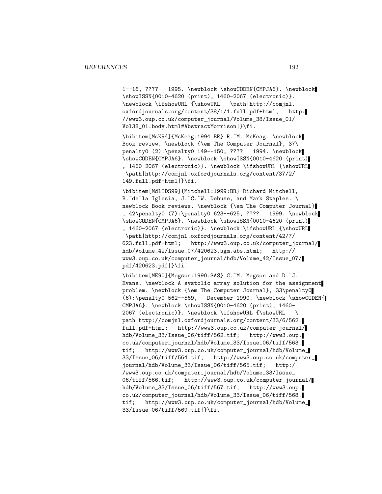1--16, ???? 1995. \newblock \showCODEN{CMPJA6}. \newblock \showISSN{0010-4620 (print), 1460-2067 (electronic)}. \newblock \ifshowURL {\showURL \path|http://comjnl. oxfordjournals.org/content/38/1/1.full.pdf+html; http: //www3.oup.co.uk/computer\_journal/Volume\_38/Issue\_01/ Vol38\_01.body.html#AbstractMorrison|}\fi.

\bibitem[McK94]{McKeag:1994:BR} R.~M. McKeag. \newblock Book review. \newblock {\em The Computer Journal}, 37\ penalty0 (2):\penalty0 149--150, ???? 1994. \newblock \showCODEN{CMPJA6}. \newblock \showISSN{0010-4620 (print) , 1460-2067 (electronic)}. \newblock \ifshowURL {\showURL \path|http://comjnl.oxfordjournals.org/content/37/2/ 149.full.pdf+html|}\fi.

\bibitem[MdlIDS99]{Mitchell:1999:BR} Richard Mitchell, B.~de~la Iglesia, J.~C.~W. Debuse, and Mark Staples. \ newblock Book reviews. \newblock {\em The Computer Journal} , 42\penalty0 (7):\penalty0 623--625, ???? 1999. \newblock \showCODEN{CMPJA6}. \newblock \showISSN{0010-4620 (print) , 1460-2067 (electronic)}. \newblock \ifshowURL {\showURL \path|http://comjnl.oxfordjournals.org/content/42/7/ 623.full.pdf+html; http://www3.oup.co.uk/computer\_journal/ hdb/Volume\_42/Issue\_07/420623.sgm.abs.html; http:// www3.oup.co.uk/computer\_journal/hdb/Volume\_42/Issue\_07/ pdf/420623.pdf|}\fi.

\bibitem[ME90]{Megson:1990:SAS} G.~M. Megson and D.~J. Evans. \newblock A systolic array solution for the assignment problem. \newblock {\em The Computer Journal}, 33\penalty0 (6):\penalty0 562--569, December 1990. \newblock \showCODEN{ CMPJA6}. \newblock \showISSN{0010-4620 (print), 1460- 2067 (electronic)}. \newblock \ifshowURL {\showURL \ path|http://comjnl.oxfordjournals.org/content/33/6/562. full.pdf+html; http://www3.oup.co.uk/computer\_journal/ hdb/Volume\_33/Issue\_06/tiff/562.tif; http://www3.oup. co.uk/computer\_journal/hdb/Volume\_33/Issue\_06/tiff/563. tif; http://www3.oup.co.uk/computer\_journal/hdb/Volume\_ 33/Issue\_06/tiff/564.tif; http://www3.oup.co.uk/computer\_ journal/hdb/Volume\_33/Issue\_06/tiff/565.tif; http:/ /www3.oup.co.uk/computer\_journal/hdb/Volume\_33/Issue\_ 06/tiff/566.tif; http://www3.oup.co.uk/computer\_journal/ hdb/Volume\_33/Issue\_06/tiff/567.tif; http://www3.oup. co.uk/computer\_journal/hdb/Volume\_33/Issue\_06/tiff/568. tif; http://www3.oup.co.uk/computer\_journal/hdb/Volume\_ 33/Issue\_06/tiff/569.tif|}\fi.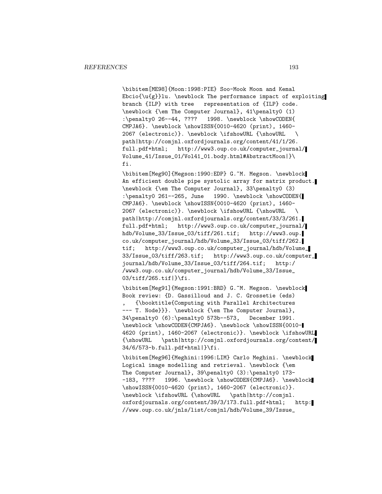\bibitem[ME98]{Moon:1998:PIE} Soo-Mook Moon and Kemal Ebcio{\u{g}}lu. \newblock The performance impact of exploiting branch {ILP} with tree representation of {ILP} code. \newblock {\em The Computer Journal}, 41\penalty0 (1) :\penalty0 26--44, ???? 1998. \newblock \showCODEN{ CMPJA6}. \newblock \showISSN{0010-4620 (print), 1460- 2067 (electronic)}. \newblock \ifshowURL {\showURL \ path|http://comjnl.oxfordjournals.org/content/41/1/26. full.pdf+html; http://www3.oup.co.uk/computer\_journal/ Volume\_41/Issue\_01/Vol41\_01.body.html#AbstractMoon|}\ fi.

\bibitem[Meg90]{Megson:1990:EDP} G.~M. Megson. \newblock An efficient double pipe systolic array for matrix product. \newblock {\em The Computer Journal}, 33\penalty0 (3) :\penalty0 261--265, June 1990. \newblock \showCODEN{ CMPJA6}. \newblock \showISSN{0010-4620 (print), 1460- 2067 (electronic)}. \newblock \ifshowURL {\showURL \ path|http://comjnl.oxfordjournals.org/content/33/3/261. full.pdf+html; http://www3.oup.co.uk/computer\_journal/ hdb/Volume\_33/Issue\_03/tiff/261.tif; http://www3.oup. co.uk/computer\_journal/hdb/Volume\_33/Issue\_03/tiff/262. tif; http://www3.oup.co.uk/computer\_journal/hdb/Volume\_ 33/Issue\_03/tiff/263.tif; http://www3.oup.co.uk/computer\_ journal/hdb/Volume\_33/Issue\_03/tiff/264.tif; http:/ /www3.oup.co.uk/computer\_journal/hdb/Volume\_33/Issue\_ 03/tiff/265.tif|}\fi.

\bibitem[Meg91]{Megson:1991:BRD} G.~M. Megson. \newblock Book review: {D. Gassilloud and J. C. Grossetie (eds) , {\booktitle{Computing with Parallel Architectures --- T. Node}}}. \newblock {\em The Computer Journal}, 34\penalty0 (6):\penalty0 573b--573, December 1991. \newblock \showCODEN{CMPJA6}. \newblock \showISSN{0010- 4620 (print), 1460-2067 (electronic)}. \newblock \ifshowURL {\showURL \path|http://comjnl.oxfordjournals.org/content/ 34/6/573-b.full.pdf+html|}\fi.

\bibitem[Meg96]{Meghini:1996:LIM} Carlo Meghini. \newblock Logical image modelling and retrieval. \newblock {\em The Computer Journal}, 39\penalty0 (3):\penalty0 173- -183, ???? 1996. \newblock \showCODEN{CMPJA6}. \newblock \showISSN{0010-4620 (print), 1460-2067 (electronic)}. \newblock \ifshowURL {\showURL \path|http://comjnl. oxfordjournals.org/content/39/3/173.full.pdf+html; http: //www.oup.co.uk/jnls/list/comjnl/hdb/Volume\_39/Issue\_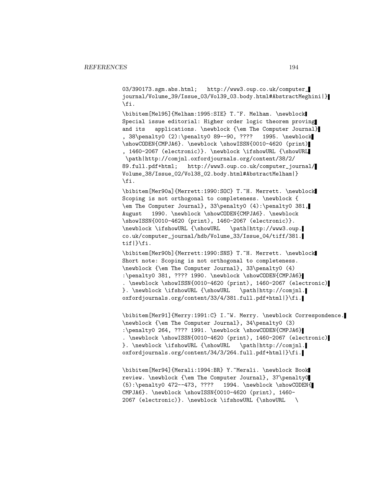03/390173.sgm.abs.html; http://www3.oup.co.uk/computer\_ journal/Volume\_39/Issue\_03/Vol39\_03.body.html#AbstractMeghini|} \fi.

\bibitem[Mel95]{Melham:1995:SIE} T.~F. Melham. \newblock Special issue editorial: Higher order logic theorem proving and its applications. \newblock {\em The Computer Journal} , 38\penalty0 (2):\penalty0 89--90, ???? 1995. \newblock \showCODEN{CMPJA6}. \newblock \showISSN{0010-4620 (print) , 1460-2067 (electronic)}. \newblock \ifshowURL {\showURL \path|http://comjnl.oxfordjournals.org/content/38/2/ 89.full.pdf+html; http://www3.oup.co.uk/computer\_journal/ Volume\_38/Issue\_02/Vol38\_02.body.html#AbstractMelham|} \fi.

\bibitem[Mer90a]{Merrett:1990:SOC} T.~H. Merrett. \newblock Scoping is not orthogonal to completeness. \newblock { \em The Computer Journal}, 33\penalty0 (4):\penalty0 381, August 1990. \newblock \showCODEN{CMPJA6}. \newblock \showISSN{0010-4620 (print), 1460-2067 (electronic)}. \newblock \ifshowURL {\showURL \path|http://www3.oup. co.uk/computer\_journal/hdb/Volume\_33/Issue\_04/tiff/381. tif|}\fi.

\bibitem[Mer90b]{Merrett:1990:SNS} T.~H. Merrett. \newblock Short note: Scoping is not orthogonal to completeness. \newblock {\em The Computer Journal}, 33\penalty0 (4) :\penalty0 381, ???? 1990. \newblock \showCODEN{CMPJA6} . \newblock \showISSN{0010-4620 (print), 1460-2067 (electronic) }. \newblock \ifshowURL {\showURL \path|http://comjnl. oxfordjournals.org/content/33/4/381.full.pdf+html|}\fi.

\bibitem[Mer91]{Merry:1991:C} I.~W. Merry. \newblock Correspondence. \newblock {\em The Computer Journal}, 34\penalty0 (3) :\penalty0 264, ???? 1991. \newblock \showCODEN{CMPJA6} . \newblock \showISSN{0010-4620 (print), 1460-2067 (electronic) }. \newblock \ifshowURL {\showURL \path|http://comjnl. oxfordjournals.org/content/34/3/264.full.pdf+html|}\fi.

\bibitem[Mer94]{Merali:1994:BR} Y.~Merali. \newblock Book review. \newblock {\em The Computer Journal}, 37\penalty0 (5):\penalty0 472--473, ???? 1994. \newblock \showCODEN{ CMPJA6}. \newblock \showISSN{0010-4620 (print), 1460- 2067 (electronic)}. \newblock \ifshowURL {\showURL \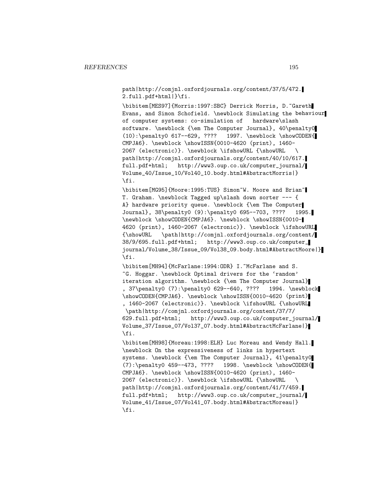path|http://comjnl.oxfordjournals.org/content/37/5/472. 2.full.pdf+html|}\fi.

\bibitem[MES97]{Morris:1997:SBC} Derrick Morris, D.~Gareth Evans, and Simon Schofield. \newblock Simulating the behaviour of computer systems: co-simulation of hardware\slash software. \newblock {\em The Computer Journal}, 40\penalty0 (10):\penalty0 617--629, ???? 1997. \newblock \showCODEN{ CMPJA6}. \newblock \showISSN{0010-4620 (print), 1460- 2067 (electronic)}. \newblock \ifshowURL {\showURL \ path|http://comjnl.oxfordjournals.org/content/40/10/617. full.pdf+html; http://www3.oup.co.uk/computer\_journal/ Volume\_40/Issue\_10/Vol40\_10.body.html#AbstractMorris|} \fi.

\bibitem[MG95]{Moore:1995:TUS} Simon~W. Moore and Brian~ T. Graham. \newblock Tagged up\slash down sorter --- { A} hardware priority queue. \newblock {\em The Computer Journal}, 38\penalty0 (9):\penalty0 695--703, ???? 1995. \newblock \showCODEN{CMPJA6}. \newblock \showISSN{0010- 4620 (print), 1460-2067 (electronic)}. \newblock \ifshowURL {\showURL \path|http://comjnl.oxfordjournals.org/content/ 38/9/695.full.pdf+html; http://www3.oup.co.uk/computer\_ journal/Volume\_38/Issue\_09/Vol38\_09.body.html#AbstractMoore|} \fi.

\bibitem[MH94]{McFarlane:1994:ODR} I. "McFarlane and S. ~G. Hoggar. \newblock Optimal drivers for the 'random' iteration algorithm. \newblock {\em The Computer Journal} , 37\penalty0 (7):\penalty0 629--640, ???? 1994. \newblock \showCODEN{CMPJA6}. \newblock \showISSN{0010-4620 (print) , 1460-2067 (electronic)}. \newblock \ifshowURL {\showURL \path|http://comjnl.oxfordjournals.org/content/37/7/ 629.full.pdf+html; http://www3.oup.co.uk/computer\_journal/ Volume\_37/Issue\_07/Vol37\_07.body.html#AbstractMcFarlane|} \fi.

\bibitem[MH98]{Moreau:1998:ELH} Luc Moreau and Wendy Hall. \newblock On the expressiveness of links in hypertext systems. \newblock {\em The Computer Journal}, 41\penalty0 (7):\penalty0 459--473, ???? 1998. \newblock \showCODEN{ CMPJA6}. \newblock \showISSN{0010-4620 (print), 1460- 2067 (electronic)}. \newblock \ifshowURL {\showURL \ path|http://comjnl.oxfordjournals.org/content/41/7/459. full.pdf+html; http://www3.oup.co.uk/computer\_journal/ Volume\_41/Issue\_07/Vol41\_07.body.html#AbstractMoreau|} \fi.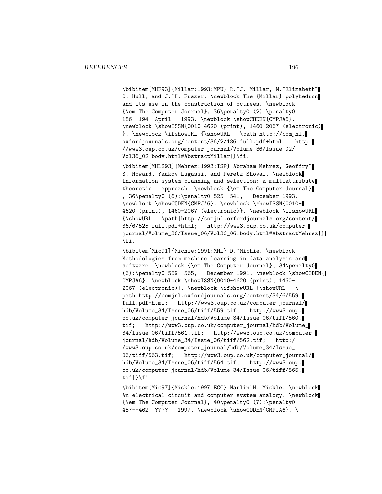\bibitem[MHF93]{Millar:1993:MPU} R.~J. Millar, M.~Elizabeth~ C. Hull, and J.~H. Frazer. \newblock The {Millar} polyhedron and its use in the construction of octrees. \newblock  ${\text{The Computer Journal}, 36\penalty0 (2): \penalty0}$ 186--194, April 1993. \newblock \showCODEN{CMPJA6}. \newblock \showISSN{0010-4620 (print), 1460-2067 (electronic) }. \newblock \ifshowURL {\showURL \path|http://comjnl. oxfordjournals.org/content/36/2/186.full.pdf+html; http: //www3.oup.co.uk/computer\_journal/Volume\_36/Issue\_02/ Vol36\_02.body.html#AbstractMillar|}\fi.

\bibitem[MHLS93]{Mehrez:1993:ISP} Abraham Mehrez, Geoffry~ S. Howard, Yaakov Lugassi, and Peretz Shoval. \newblock Information system planning and selection: a multiattribute theoretic approach. \newblock {\em The Computer Journal} , 36\penalty0 (6):\penalty0 525--541, December 1993. \newblock \showCODEN{CMPJA6}. \newblock \showISSN{0010- 4620 (print), 1460-2067 (electronic)}. \newblock \ifshowURL {\showURL \path|http://comjnl.oxfordjournals.org/content/ 36/6/525.full.pdf+html; http://www3.oup.co.uk/computer\_ journal/Volume\_36/Issue\_06/Vol36\_06.body.html#AbstractMehrez|} \fi.

\bibitem[Mic91]{Michie:1991:MML} D.~Michie. \newblock Methodologies from machine learning in data analysis and software. \newblock {\em The Computer Journal}, 34\penalty0 (6):\penalty0 559--565, December 1991. \newblock \showCODEN{ CMPJA6}. \newblock \showISSN{0010-4620 (print), 1460- 2067 (electronic)}. \newblock \ifshowURL {\showURL \ path|http://comjnl.oxfordjournals.org/content/34/6/559. full.pdf+html; http://www3.oup.co.uk/computer\_journal/ hdb/Volume\_34/Issue\_06/tiff/559.tif; http://www3.oup. co.uk/computer\_journal/hdb/Volume\_34/Issue\_06/tiff/560. tif; http://www3.oup.co.uk/computer\_journal/hdb/Volume\_ 34/Issue\_06/tiff/561.tif; http://www3.oup.co.uk/computer\_ journal/hdb/Volume\_34/Issue\_06/tiff/562.tif; http:/ /www3.oup.co.uk/computer\_journal/hdb/Volume\_34/Issue\_ 06/tiff/563.tif; http://www3.oup.co.uk/computer\_journal/ hdb/Volume\_34/Issue\_06/tiff/564.tif; http://www3.oup. co.uk/computer\_journal/hdb/Volume\_34/Issue\_06/tiff/565. tif|}\fi.

\bibitem[Mic97]{Mickle:1997:ECC} Marlin~H. Mickle. \newblock An electrical circuit and computer system analogy. \newblock {\em The Computer Journal}, 40\penalty0 (7):\penalty0 457--462, ???? 1997. \newblock \showCODEN{CMPJA6}. \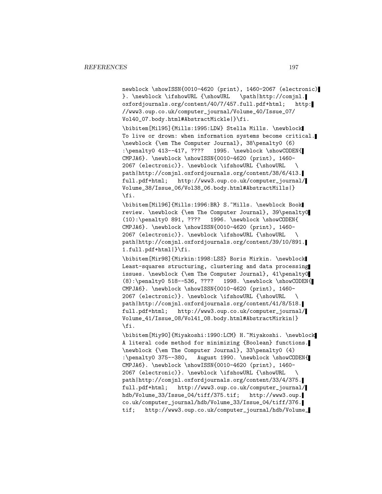newblock \showISSN{0010-4620 (print), 1460-2067 (electronic) }. \newblock \ifshowURL {\showURL \path|http://comjnl. oxfordjournals.org/content/40/7/457.full.pdf+html; http: //www3.oup.co.uk/computer\_journal/Volume\_40/Issue\_07/ Vol40\_07.body.html#AbstractMickle|}\fi.

\bibitem[Mil95]{Mills:1995:LDW} Stella Mills. \newblock To live or drown: when information systems become critical. \newblock {\em The Computer Journal}, 38\penalty0 (6) :\penalty0 413--417, ???? 1995. \newblock \showCODEN{ CMPJA6}. \newblock \showISSN{0010-4620 (print), 1460- 2067 (electronic)}. \newblock \ifshowURL {\showURL \ path|http://comjnl.oxfordjournals.org/content/38/6/413. full.pdf+html; http://www3.oup.co.uk/computer\_journal/ Volume\_38/Issue\_06/Vol38\_06.body.html#AbstractMills|} \fi.

\bibitem[Mil96]{Mills:1996:BR} S.~Mills. \newblock Book review. \newblock {\em The Computer Journal}, 39\penalty0 (10):\penalty0 891, ???? 1996. \newblock \showCODEN{ CMPJA6}. \newblock \showISSN{0010-4620 (print), 1460- 2067 (electronic)}. \newblock \ifshowURL {\showURL \ path|http://comjnl.oxfordjournals.org/content/39/10/891. 1.full.pdf+html|}\fi.

\bibitem[Mir98]{Mirkin:1998:LSS} Boris Mirkin. \newblock Least-squares structuring, clustering and data processing issues. \newblock {\em The Computer Journal}, 41\penalty0 (8):\penalty0 518--536, ???? 1998. \newblock \showCODEN{ CMPJA6}. \newblock \showISSN{0010-4620 (print), 1460- 2067 (electronic)}. \newblock \ifshowURL {\showURL \ path|http://comjnl.oxfordjournals.org/content/41/8/518. full.pdf+html; http://www3.oup.co.uk/computer\_journal/ Volume\_41/Issue\_08/Vol41\_08.body.html#AbstractMirkin|} \fi.

\bibitem[Miy90]{Miyakoshi:1990:LCM} H.~Miyakoshi. \newblock A literal code method for minimizing {Boolean} functions. \newblock {\em The Computer Journal}, 33\penalty0 (4) :\penalty0 375--380, August 1990. \newblock \showCODEN{ CMPJA6}. \newblock \showISSN{0010-4620 (print), 1460- 2067 (electronic)}. \newblock \ifshowURL {\showURL \ path|http://comjnl.oxfordjournals.org/content/33/4/375. full.pdf+html; http://www3.oup.co.uk/computer\_journal/ hdb/Volume\_33/Issue\_04/tiff/375.tif; http://www3.oup. co.uk/computer\_journal/hdb/Volume\_33/Issue\_04/tiff/376. tif; http://www3.oup.co.uk/computer\_journal/hdb/Volume\_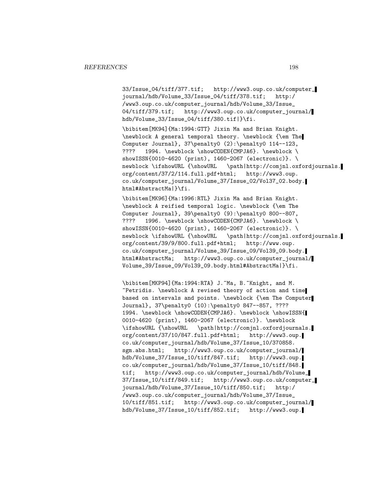33/Issue\_04/tiff/377.tif; http://www3.oup.co.uk/computer\_ journal/hdb/Volume\_33/Issue\_04/tiff/378.tif; http:/ /www3.oup.co.uk/computer\_journal/hdb/Volume\_33/Issue\_ 04/tiff/379.tif; http://www3.oup.co.uk/computer\_journal/ hdb/Volume\_33/Issue\_04/tiff/380.tif|}\fi.

\bibitem[MK94]{Ma:1994:GTT} Jixin Ma and Brian Knight. \newblock A general temporal theory. \newblock {\em The Computer Journal}, 37\penalty0 (2):\penalty0 114--123, ???? 1994. \newblock \showCODEN{CMPJA6}. \newblock \ showISSN{0010-4620 (print), 1460-2067 (electronic)}. \ newblock \ifshowURL {\showURL \path|http://comjnl.oxfordjournals. org/content/37/2/114.full.pdf+html; http://www3.oup. co.uk/computer\_journal/Volume\_37/Issue\_02/Vol37\_02.body. html#AbstractMa|}\fi.

\bibitem[MK96]{Ma:1996:RTL} Jixin Ma and Brian Knight. \newblock A reified temporal logic. \newblock {\em The Computer Journal}, 39\penalty0 (9):\penalty0 800--807, ???? 1996. \newblock \showCODEN{CMPJA6}. \newblock \ showISSN{0010-4620 (print), 1460-2067 (electronic)}. \ newblock \ifshowURL {\showURL \path|http://comjnl.oxfordjournals. org/content/39/9/800.full.pdf+html; http://www.oup. co.uk/computer\_journal/Volume\_39/Issue\_09/Vol39\_09.body. html#AbstractMa; http://www3.oup.co.uk/computer\_journal/ Volume\_39/Issue\_09/Vol39\_09.body.html#AbstractMa|}\fi.

\bibitem[MKP94]{Ma:1994:RTA} J.~Ma, B.~Knight, and M. ~Petridis. \newblock A revised theory of action and time based on intervals and points. \newblock {\em The Computer Journal}, 37\penalty0 (10):\penalty0 847--857, ???? 1994. \newblock \showCODEN{CMPJA6}. \newblock \showISSN{ 0010-4620 (print), 1460-2067 (electronic)}. \newblock \ifshowURL {\showURL \path|http://comjnl.oxfordjournals. org/content/37/10/847.full.pdf+html; http://www3.oup. co.uk/computer\_journal/hdb/Volume\_37/Issue\_10/370858. sgm.abs.html; http://www3.oup.co.uk/computer\_journal/ hdb/Volume\_37/Issue\_10/tiff/847.tif; http://www3.oup. co.uk/computer\_journal/hdb/Volume\_37/Issue\_10/tiff/848. tif; http://www3.oup.co.uk/computer\_journal/hdb/Volume\_ 37/Issue\_10/tiff/849.tif; http://www3.oup.co.uk/computer\_ journal/hdb/Volume\_37/Issue\_10/tiff/850.tif; http:/ /www3.oup.co.uk/computer\_journal/hdb/Volume\_37/Issue\_ 10/tiff/851.tif; http://www3.oup.co.uk/computer\_journal/ hdb/Volume\_37/Issue\_10/tiff/852.tif; http://www3.oup.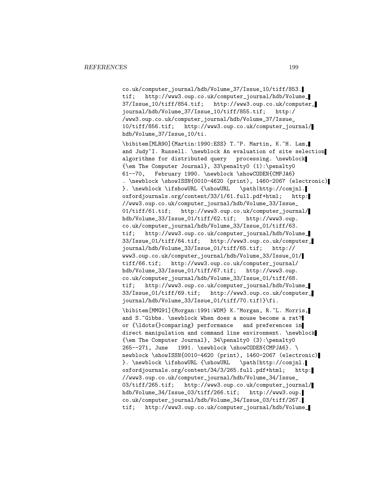co.uk/computer\_journal/hdb/Volume\_37/Issue\_10/tiff/853. tif; http://www3.oup.co.uk/computer\_journal/hdb/Volume\_ 37/Issue\_10/tiff/854.tif; http://www3.oup.co.uk/computer\_ journal/hdb/Volume\_37/Issue\_10/tiff/855.tif; http:/ /www3.oup.co.uk/computer\_journal/hdb/Volume\_37/Issue\_ 10/tiff/856.tif; http://www3.oup.co.uk/computer\_journal/ hdb/Volume\_37/Issue\_10/ti.

\bibitem[MLR90]{Martin:1990:ESS} T.~P. Martin, K.~H. Lam, and Judy~I. Russell. \newblock An evaluation of site selection algorithms for distributed query processing. \newblock {\em The Computer Journal}, 33\penalty0 (1):\penalty0 61--70, February 1990. \newblock \showCODEN{CMPJA6} . \newblock \showISSN{0010-4620 (print), 1460-2067 (electronic) }. \newblock \ifshowURL {\showURL \path|http://comjnl. oxfordjournals.org/content/33/1/61.full.pdf+html; http: //www3.oup.co.uk/computer\_journal/hdb/Volume\_33/Issue\_ 01/tiff/61.tif; http://www3.oup.co.uk/computer\_journal/ hdb/Volume\_33/Issue\_01/tiff/62.tif; http://www3.oup. co.uk/computer\_journal/hdb/Volume\_33/Issue\_01/tiff/63. tif; http://www3.oup.co.uk/computer\_journal/hdb/Volume\_ 33/Issue\_01/tiff/64.tif; http://www3.oup.co.uk/computer\_ journal/hdb/Volume\_33/Issue\_01/tiff/65.tif; http:// www3.oup.co.uk/computer\_journal/hdb/Volume\_33/Issue\_01/ tiff/66.tif; http://www3.oup.co.uk/computer\_journal/ hdb/Volume\_33/Issue\_01/tiff/67.tif; http://www3.oup. co.uk/computer\_journal/hdb/Volume\_33/Issue\_01/tiff/68. tif; http://www3.oup.co.uk/computer\_journal/hdb/Volume\_ 33/Issue\_01/tiff/69.tif; http://www3.oup.co.uk/computer\_ journal/hdb/Volume\_33/Issue\_01/tiff/70.tif|}\fi.

\bibitem[MMG91]{Morgan:1991:WDM} K.~Morgan, R.~L. Morris, and S. "Gibbs. \newblock When does a mouse become a rat? or {\ldots{}comparing} performance and preferences in direct manipulation and command line environment. \newblock {\em The Computer Journal}, 34\penalty0 (3):\penalty0 265--271, June 1991. \newblock \showCODEN{CMPJA6}. \ newblock \showISSN{0010-4620 (print), 1460-2067 (electronic) }. \newblock \ifshowURL {\showURL \path|http://comjnl. oxfordjournals.org/content/34/3/265.full.pdf+html; http: //www3.oup.co.uk/computer\_journal/hdb/Volume\_34/Issue\_ 03/tiff/265.tif; http://www3.oup.co.uk/computer\_journal/ hdb/Volume\_34/Issue\_03/tiff/266.tif; http://www3.oup. co.uk/computer\_journal/hdb/Volume\_34/Issue\_03/tiff/267. tif; http://www3.oup.co.uk/computer\_journal/hdb/Volume\_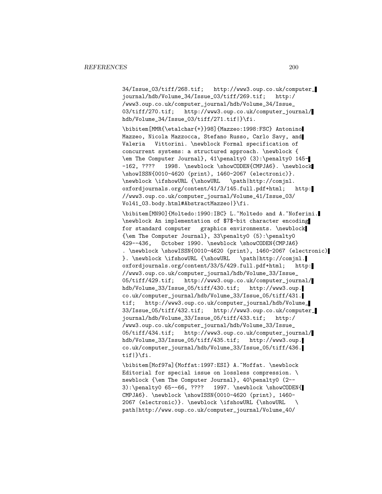34/Issue\_03/tiff/268.tif; http://www3.oup.co.uk/computer\_ journal/hdb/Volume\_34/Issue\_03/tiff/269.tif; http:/ /www3.oup.co.uk/computer\_journal/hdb/Volume\_34/Issue\_ 03/tiff/270.tif; http://www3.oup.co.uk/computer\_journal/ hdb/Volume\_34/Issue\_03/tiff/271.tif|}\fi.

\bibitem[MMR{\etalchar{+}}98]{Mazzeo:1998:FSC} Antonino Mazzeo, Nicola Mazzocca, Stefano Russo, Carlo Savy, and Valeria Vittorini. \newblock Formal specification of concurrent systems: a structured approach. \newblock { \em The Computer Journal}, 41\penalty0 (3):\penalty0 145- -162, ???? 1998. \newblock \showCODEN{CMPJA6}. \newblock \showISSN{0010-4620 (print), 1460-2067 (electronic)}. \newblock \ifshowURL {\showURL \path|http://comjnl. oxfordjournals.org/content/41/3/145.full.pdf+html; http: //www3.oup.co.uk/computer\_journal/Volume\_41/Issue\_03/ Vol41\_03.body.html#AbstractMazzeo|}\fi.

\bibitem[MN90]{Moltedo:1990:IBC} L.~Moltedo and A.~Noferini. \newblock An implementation of \$7\$-bit character encoding for standard computer graphics environments. \newblock {\em The Computer Journal}, 33\penalty0 (5):\penalty0 429--436, October 1990. \newblock \showCODEN{CMPJA6} . \newblock \showISSN{0010-4620 (print), 1460-2067 (electronic) }. \newblock \ifshowURL {\showURL \path|http://comjnl. oxfordjournals.org/content/33/5/429.full.pdf+html; http: //www3.oup.co.uk/computer\_journal/hdb/Volume\_33/Issue\_ 05/tiff/429.tif; http://www3.oup.co.uk/computer\_journal/ hdb/Volume\_33/Issue\_05/tiff/430.tif; http://www3.oup. co.uk/computer\_journal/hdb/Volume\_33/Issue\_05/tiff/431. tif; http://www3.oup.co.uk/computer\_journal/hdb/Volume\_ 33/Issue\_05/tiff/432.tif; http://www3.oup.co.uk/computer\_ journal/hdb/Volume\_33/Issue\_05/tiff/433.tif; http:/ /www3.oup.co.uk/computer\_journal/hdb/Volume\_33/Issue\_ 05/tiff/434.tif; http://www3.oup.co.uk/computer\_journal/ hdb/Volume\_33/Issue\_05/tiff/435.tif; http://www3.oup. co.uk/computer\_journal/hdb/Volume\_33/Issue\_05/tiff/436. tif|}\fi.

\bibitem[Mof97a]{Moffat:1997:ESI} A.~Moffat. \newblock Editorial for special issue on lossless compression. \ newblock {\em The Computer Journal}, 40\penalty0 (2-- 3):\penalty0 65--66, ???? 1997. \newblock \showCODEN{ CMPJA6}. \newblock \showISSN{0010-4620 (print), 1460- 2067 (electronic)}. \newblock \ifshowURL {\showURL \ path|http://www.oup.co.uk/computer\_journal/Volume\_40/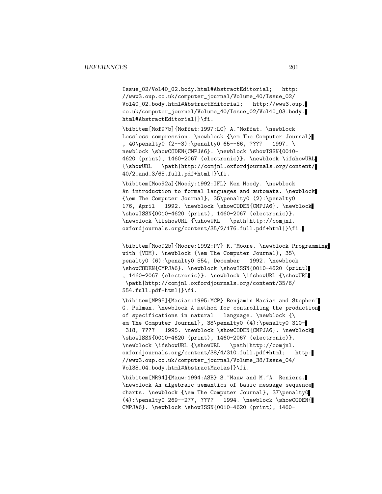Issue\_02/Vol40\_02.body.html#AbstractEditorial; http: //www3.oup.co.uk/computer\_journal/Volume\_40/Issue\_02/ Vol40\_02.body.html#AbstractEditorial; http://www3.oup. co.uk/computer\_journal/Volume\_40/Issue\_02/Vol40\_03.body. html#AbstractEditorial|}\fi.

\bibitem[Mof97b]{Moffat:1997:LC} A.~Moffat. \newblock Lossless compression. \newblock {\em The Computer Journal} , 40\penalty0 (2--3):\penalty0 65--66, ???? 1997. \ newblock \showCODEN{CMPJA6}. \newblock \showISSN{0010-4620 (print), 1460-2067 (electronic)}. \newblock \ifshowURL {\showURL \path|http://comjnl.oxfordjournals.org/content/ 40/2\_and\_3/65.full.pdf+html|}\fi.

\bibitem[Moo92a]{Moody:1992:IFL} Ken Moody. \newblock An introduction to formal languages and automata. \newblock {\em The Computer Journal}, 35\penalty0 (2):\penalty0 176, April 1992. \newblock \showCODEN{CMPJA6}. \newblock \showISSN{0010-4620 (print), 1460-2067 (electronic)}. \newblock \ifshowURL {\showURL \path|http://comjnl. oxfordjournals.org/content/35/2/176.full.pdf+html|}\fi.

\bibitem[Moo92b]{Moore:1992:PV} R.~Moore. \newblock Programming with {VDM}. \newblock {\em The Computer Journal}, 35\ penalty0 (6):\penalty0 554, December 1992. \newblock \showCODEN{CMPJA6}. \newblock \showISSN{0010-4620 (print) , 1460-2067 (electronic)}. \newblock \ifshowURL {\showURL \path|http://comjnl.oxfordjournals.org/content/35/6/ 554.full.pdf+html|}\fi.

\bibitem[MP95]{Macias:1995:MCP} Benjamin Macias and Stephen~ G. Pulman. \newblock A method for controlling the production of specifications in natural language. \newblock {\ em The Computer Journal}, 38\penalty0 (4):\penalty0 310--318, ???? 1995. \newblock \showCODEN{CMPJA6}. \newblock \showISSN{0010-4620 (print), 1460-2067 (electronic)}. \newblock \ifshowURL {\showURL \path|http://comjnl. oxfordjournals.org/content/38/4/310.full.pdf+html; http: //www3.oup.co.uk/computer\_journal/Volume\_38/Issue\_04/ Vol38\_04.body.html#AbstractMacias|}\fi.

\bibitem[MR94]{Mauw:1994:ASB} S.~Mauw and M.~A. Reniers. \newblock An algebraic semantics of basic message sequence charts. \newblock {\em The Computer Journal}, 37\penalty0 (4):\penalty0 269--277, ???? 1994. \newblock \showCODEN{ CMPJA6}. \newblock \showISSN{0010-4620 (print), 1460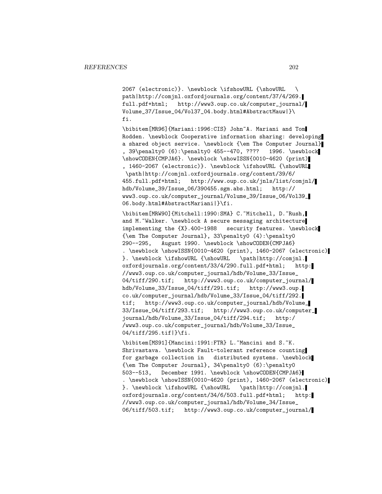2067 (electronic)}. \newblock \ifshowURL {\showURL \ path|http://comjnl.oxfordjournals.org/content/37/4/269. full.pdf+html; http://www3.oup.co.uk/computer\_journal/ Volume\_37/Issue\_04/Vol37\_04.body.html#AbstractMauw|}\ fi.

\bibitem[MR96]{Mariani:1996:CIS} John~A. Mariani and Tom Rodden. \newblock Cooperative information sharing: developing a shared object service. \newblock {\em The Computer Journal} , 39\penalty0 (6):\penalty0 455--470, ???? 1996. \newblock \showCODEN{CMPJA6}. \newblock \showISSN{0010-4620 (print) , 1460-2067 (electronic)}. \newblock \ifshowURL {\showURL \path|http://comjnl.oxfordjournals.org/content/39/6/ 455.full.pdf+html; http://www.oup.co.uk/jnls/list/comjnl/ hdb/Volume\_39/Issue\_06/390455.sgm.abs.html; http:// www3.oup.co.uk/computer\_journal/Volume\_39/Issue\_06/Vol39\_ 06.body.html#AbstractMariani|}\fi.

\bibitem[MRW90]{Mitchell:1990:SMA} C.~Mitchell, D.~Rush, and M.~Walker. \newblock A secure messaging architecture implementing the {X}.400-1988 security features. \newblock {\em The Computer Journal}, 33\penalty0 (4):\penalty0 290--295, August 1990. \newblock \showCODEN{CMPJA6} . \newblock \showISSN{0010-4620 (print), 1460-2067 (electronic) }. \newblock \ifshowURL {\showURL \path|http://comjnl. oxfordjournals.org/content/33/4/290.full.pdf+html; http: //www3.oup.co.uk/computer\_journal/hdb/Volume\_33/Issue\_ 04/tiff/290.tif; http://www3.oup.co.uk/computer\_journal/ hdb/Volume\_33/Issue\_04/tiff/291.tif; http://www3.oup. co.uk/computer\_journal/hdb/Volume\_33/Issue\_04/tiff/292. tif; http://www3.oup.co.uk/computer\_journal/hdb/Volume\_ 33/Issue\_04/tiff/293.tif; http://www3.oup.co.uk/computer\_ journal/hdb/Volume\_33/Issue\_04/tiff/294.tif; http:/ /www3.oup.co.uk/computer\_journal/hdb/Volume\_33/Issue\_ 04/tiff/295.tif|}\fi.

\bibitem[MS91]{Mancini:1991:FTR} L.~Mancini and S.~K. Shrivastava. \newblock Fault-tolerant reference counting for garbage collection in distributed systems. \newblock {\em The Computer Journal}, 34\penalty0 (6):\penalty0 503--513, December 1991. \newblock \showCODEN{CMPJA6} . \newblock \showISSN{0010-4620 (print), 1460-2067 (electronic) }. \newblock \ifshowURL {\showURL \path|http://comjnl. oxfordjournals.org/content/34/6/503.full.pdf+html; http: //www3.oup.co.uk/computer\_journal/hdb/Volume\_34/Issue\_ 06/tiff/503.tif; http://www3.oup.co.uk/computer\_journal/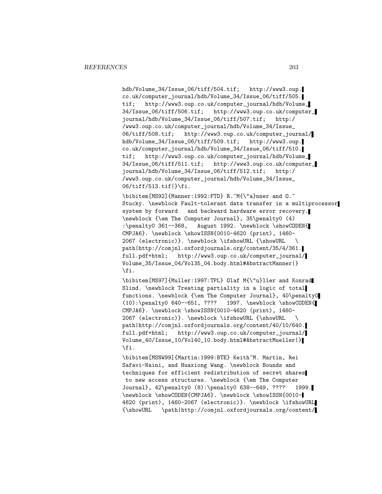hdb/Volume\_34/Issue\_06/tiff/504.tif; http://www3.oup. co.uk/computer\_journal/hdb/Volume\_34/Issue\_06/tiff/505. tif; http://www3.oup.co.uk/computer\_journal/hdb/Volume\_ 34/Issue\_06/tiff/506.tif; http://www3.oup.co.uk/computer\_ journal/hdb/Volume\_34/Issue\_06/tiff/507.tif; http:/ /www3.oup.co.uk/computer\_journal/hdb/Volume\_34/Issue\_ 06/tiff/508.tif; http://www3.oup.co.uk/computer\_journal/ hdb/Volume\_34/Issue\_06/tiff/509.tif; http://www3.oup. co.uk/computer\_journal/hdb/Volume\_34/Issue\_06/tiff/510. tif; http://www3.oup.co.uk/computer\_journal/hdb/Volume\_ 34/Issue\_06/tiff/511.tif; http://www3.oup.co.uk/computer\_ journal/hdb/Volume\_34/Issue\_06/tiff/512.tif; http:/ /www3.oup.co.uk/computer\_journal/hdb/Volume\_34/Issue\_ 06/tiff/513.tif|}\fi.

\bibitem[MS92]{Manner:1992:FTD} R.~M{\"a}nner and 0.~ Stucky. \newblock Fault-tolerant data transfer in a multiprocessor system by forward and backward hardware error recovery. \newblock {\em The Computer Journal}, 35\penalty0 (4) :\penalty0 361--368, August 1992. \newblock \showCODEN{ CMPJA6}. \newblock \showISSN{0010-4620 (print), 1460- 2067 (electronic)}. \newblock \ifshowURL {\showURL \ path|http://comjnl.oxfordjournals.org/content/35/4/361. full.pdf+html; http://www3.oup.co.uk/computer\_journal/ Volume\_35/Issue\_04/Vol35\_04.body.html#AbstractManner|} \fi.

\bibitem[MS97]{Muller:1997:TPL} Olaf M{\"u}ller and Konrad Slind. \newblock Treating partiality in a logic of total functions. \newblock {\em The Computer Journal}, 40\penalty0 (10):\penalty0 640--651, ???? 1997. \newblock \showCODEN{ CMPJA6}. \newblock \showISSN{0010-4620 (print), 1460- 2067 (electronic)}. \newblock \ifshowURL {\showURL \ path|http://comjnl.oxfordjournals.org/content/40/10/640. full.pdf+html; http://www3.oup.co.uk/computer\_journal/ Volume\_40/Issue\_10/Vol40\_10.body.html#AbstractMueller|} \fi.

\bibitem[MSNW99]{Martin:1999:BTE} Keith~M. Martin, Rei Safavi-Naini, and Huaxiong Wang. \newblock Bounds and techniques for efficient redistribution of secret shares to new access structures. \newblock {\em The Computer Journal}, 42\penalty0 (8):\penalty0 638--649, ???? 1999. \newblock \showCODEN{CMPJA6}. \newblock \showISSN{0010- 4620 (print), 1460-2067 (electronic)}. \newblock \ifshowURL {\showURL \path|http://comjnl.oxfordjournals.org/content/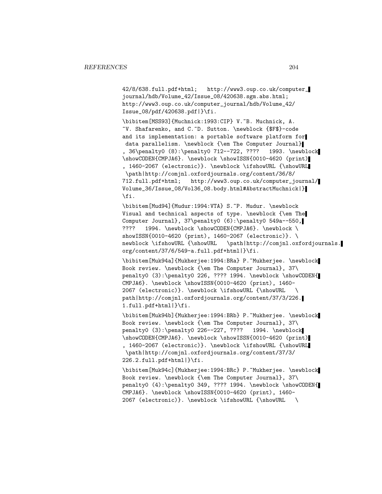42/8/638.full.pdf+html; http://www3.oup.co.uk/computer\_ journal/hdb/Volume\_42/Issue\_08/420638.sgm.abs.html; http://www3.oup.co.uk/computer\_journal/hdb/Volume\_42/ Issue\_08/pdf/420638.pdf|}\fi.

\bibitem[MSS93]{Muchnick:1993:CIP} V.~B. Muchnick, A. ~V. Shafarenko, and C.~D. Sutton. \newblock {\$F\$}-code and its implementation: a portable software platform for data parallelism. \newblock {\em The Computer Journal} , 36\penalty0 (8):\penalty0 712--722, ???? 1993. \newblock \showCODEN{CMPJA6}. \newblock \showISSN{0010-4620 (print) , 1460-2067 (electronic)}. \newblock \ifshowURL {\showURL \path|http://comjnl.oxfordjournals.org/content/36/8/ 712.full.pdf+html; http://www3.oup.co.uk/computer\_journal/ Volume\_36/Issue\_08/Vol36\_08.body.html#AbstractMuchnick|} \fi.

\bibitem[Mud94]{Mudur:1994:VTA} S.~P. Mudur. \newblock Visual and technical aspects of type. \newblock {\em The Computer Journal},  $37\pendity0 (6):\penalty0 549a--550,$ ???? 1994. \newblock \showCODEN{CMPJA6}. \newblock \ showISSN{0010-4620 (print), 1460-2067 (electronic)}. \ newblock \ifshowURL {\showURL \path|http://comjnl.oxfordjournals. org/content/37/6/549-a.full.pdf+html|}\fi.

\bibitem[Muk94a]{Mukherjee:1994:BRa} P.~Mukherjee. \newblock Book review. \newblock {\em The Computer Journal}, 37\ penalty0 (3):\penalty0 226, ???? 1994. \newblock \showCODEN{ CMPJA6}. \newblock \showISSN{0010-4620 (print), 1460- 2067 (electronic)}. \newblock \ifshowURL {\showURL \ path|http://comjnl.oxfordjournals.org/content/37/3/226. 1.full.pdf+html|}\fi.

\bibitem[Muk94b]{Mukherjee:1994:BRb} P.~Mukherjee. \newblock Book review. \newblock {\em The Computer Journal}, 37\ penalty0 (3):\penalty0 226--227, ???? 1994. \newblock \showCODEN{CMPJA6}. \newblock \showISSN{0010-4620 (print) , 1460-2067 (electronic)}. \newblock \ifshowURL {\showURL \path|http://comjnl.oxfordjournals.org/content/37/3/ 226.2.full.pdf+html|}\fi.

\bibitem[Muk94c]{Mukherjee:1994:BRc} P.~Mukherjee. \newblock Book review. \newblock {\em The Computer Journal}, 37\ penalty0 (4):\penalty0 349, ???? 1994. \newblock \showCODEN{ CMPJA6}. \newblock \showISSN{0010-4620 (print), 1460- 2067 (electronic)}. \newblock \ifshowURL {\showURL \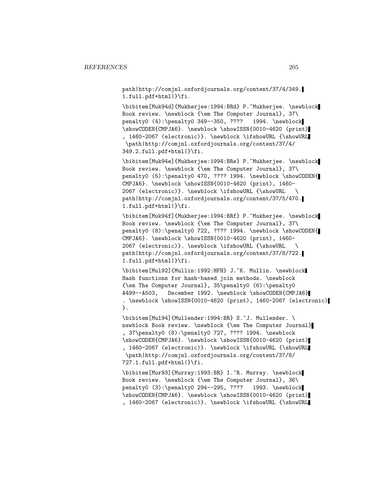path|http://comjnl.oxfordjournals.org/content/37/4/349. 1.full.pdf+html|}\fi.

\bibitem[Muk94d]{Mukherjee:1994:BRd} P.~Mukherjee. \newblock Book review. \newblock {\em The Computer Journal}, 37\ penalty0 (4):\penalty0 349--350, ???? 1994. \newblock \showCODEN{CMPJA6}. \newblock \showISSN{0010-4620 (print) , 1460-2067 (electronic)}. \newblock \ifshowURL {\showURL \path|http://comjnl.oxfordjournals.org/content/37/4/ 349.2.full.pdf+html|}\fi.

\bibitem[Muk94e]{Mukherjee:1994:BRe} P.~Mukherjee. \newblock Book review. \newblock {\em The Computer Journal}, 37\ penalty0 (5):\penalty0 470, ???? 1994. \newblock \showCODEN{ CMPJA6}. \newblock \showISSN{0010-4620 (print), 1460- 2067 (electronic)}. \newblock \ifshowURL {\showURL \ path|http://comjnl.oxfordjournals.org/content/37/5/470. 1.full.pdf+html|}\fi.

\bibitem[Muk94f]{Mukherjee:1994:BRf} P.~Mukherjee. \newblock Book review. \newblock {\em The Computer Journal}, 37\ penalty0 (8):\penalty0 722, ???? 1994. \newblock \showCODEN{ CMPJA6}. \newblock \showISSN{0010-4620 (print), 1460- 2067 (electronic)}. \newblock \ifshowURL {\showURL \ path|http://comjnl.oxfordjournals.org/content/37/8/722. 1.full.pdf+html|}\fi.

\bibitem[Mul92]{Mullin:1992:HFH} J.~K. Mullin. \newblock Hash functions for hash-based join methods. \newblock {\em The Computer Journal}, 35\penalty0 (6):\penalty0 A499--A503, December 1992. \newblock \showCODEN{CMPJA6} . \newblock \showISSN{0010-4620 (print), 1460-2067 (electronic) }.

\bibitem[Mul94]{Mullender:1994:BR} S.~J. Mullender. \ newblock Book review. \newblock {\em The Computer Journal} , 37\penalty0 (8):\penalty0 727, ???? 1994. \newblock \showCODEN{CMPJA6}. \newblock \showISSN{0010-4620 (print) , 1460-2067 (electronic)}. \newblock \ifshowURL {\showURL \path|http://comjnl.oxfordjournals.org/content/37/8/ 727.1.full.pdf+html|}\fi.

\bibitem[Mur93]{Murray:1993:BR} I.~R. Murray. \newblock Book review. \newblock {\em The Computer Journal}, 36\ penalty0 (3):\penalty0 294--295, ???? 1993. \newblock \showCODEN{CMPJA6}. \newblock \showISSN{0010-4620 (print) , 1460-2067 (electronic)}. \newblock \ifshowURL {\showURL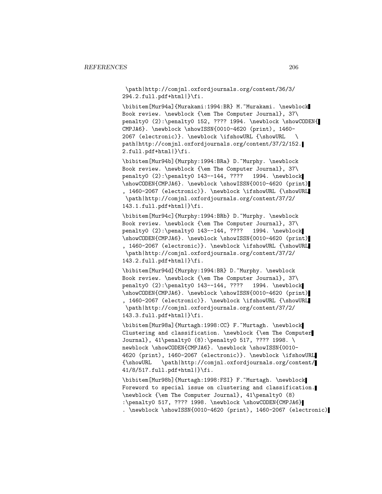\path|http://comjnl.oxfordjournals.org/content/36/3/ 294.2.full.pdf+html|}\fi.

\bibitem[Mur94a]{Murakami:1994:BR} M.~Murakami. \newblock Book review. \newblock {\em The Computer Journal}, 37\ penalty0 (2):\penalty0 152, ???? 1994. \newblock \showCODEN{ CMPJA6}. \newblock \showISSN{0010-4620 (print), 1460- 2067 (electronic)}. \newblock \ifshowURL {\showURL \ path|http://comjnl.oxfordjournals.org/content/37/2/152. 2.full.pdf+html|}\fi.

\bibitem[Mur94b]{Murphy:1994:BRa} D.~Murphy. \newblock Book review. \newblock {\em The Computer Journal}, 37\ penalty0 (2):\penalty0 143--144, ???? 1994. \newblock \showCODEN{CMPJA6}. \newblock \showISSN{0010-4620 (print) , 1460-2067 (electronic)}. \newblock \ifshowURL {\showURL \path|http://comjnl.oxfordjournals.org/content/37/2/ 143.1.full.pdf+html|}\fi.

\bibitem[Mur94c]{Murphy:1994:BRb} D.~Murphy. \newblock Book review. \newblock {\em The Computer Journal}, 37\ penalty0 (2):\penalty0 143--144, ???? 1994. \newblock \showCODEN{CMPJA6}. \newblock \showISSN{0010-4620 (print) , 1460-2067 (electronic)}. \newblock \ifshowURL {\showURL \path|http://comjnl.oxfordjournals.org/content/37/2/ 143.2.full.pdf+html|}\fi.

\bibitem[Mur94d]{Murphy:1994:BR} D.~Murphy. \newblock Book review. \newblock {\em The Computer Journal}, 37\ penalty0 (2):\penalty0 143--144, ???? 1994. \newblock \showCODEN{CMPJA6}. \newblock \showISSN{0010-4620 (print) , 1460-2067 (electronic)}. \newblock \ifshowURL {\showURL \path|http://comjnl.oxfordjournals.org/content/37/2/ 143.3.full.pdf+html|}\fi.

\bibitem[Mur98a]{Murtagh:1998:CC} F.~Murtagh. \newblock Clustering and classification. \newblock {\em The Computer Journal}, 41\penalty0 (8):\penalty0 517, ???? 1998. \ newblock \showCODEN{CMPJA6}. \newblock \showISSN{0010-4620 (print), 1460-2067 (electronic)}. \newblock \ifshowURL {\showURL \path|http://comjnl.oxfordjournals.org/content/ 41/8/517.full.pdf+html|}\fi.

\bibitem[Mur98b]{Murtagh:1998:FSI} F.~Murtagh. \newblock Foreword to special issue on clustering and classification. \newblock {\em The Computer Journal}, 41\penalty0 (8) :\penalty0 517, ???? 1998. \newblock \showCODEN{CMPJA6} . \newblock \showISSN{0010-4620 (print), 1460-2067 (electronic)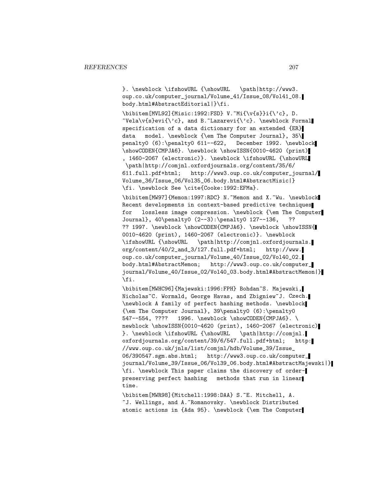}. \newblock \ifshowURL {\showURL \path|http://www3. oup.co.uk/computer\_journal/Volume\_41/Issue\_08/Vol41\_08. body.html#AbstractEditorial|}\fi.

\bibitem[MVL92]{Misic:1992:FSD} V.~Mi{\v{s}}i{\'c}, D.  $\text{Vela}\v{\s}evi{\\c}, \text{ and } B.\text{Lazarevi}\c}. \text{ Newtonal}$ specification of a data dictionary for an extended {ER} data model. \newblock {\em The Computer Journal}, 35\ penalty0 (6):\penalty0 611--622, December 1992. \newblock \showCODEN{CMPJA6}. \newblock \showISSN{0010-4620 (print) , 1460-2067 (electronic)}. \newblock \ifshowURL {\showURL \path|http://comjnl.oxfordjournals.org/content/35/6/ 611.full.pdf+html; http://www3.oup.co.uk/computer\_journal/ Volume\_36/Issue\_06/Vol35\_06.body.html#AbstractMisic|} \fi. \newblock See \cite{Cooke:1992:EFMa}.

\bibitem[MW97]{Memon:1997:RDC} N.~Memon and X.~Wu. \newblock Recent developments in context-based predictive techniques for lossless image compression. \newblock {\em The Computer Journal}, 40\penalty0 (2--3):\penalty0 127--136, ?? ?? 1997. \newblock \showCODEN{CMPJA6}. \newblock \showISSN{ 0010-4620 (print), 1460-2067 (electronic)}. \newblock \ifshowURL {\showURL \path|http://comjnl.oxfordjournals. org/content/40/2\_and\_3/127.full.pdf+html; http://www. oup.co.uk/computer\_journal/Volume\_40/Issue\_02/Vol40\_02. body.html#AbstractMemon; http://www3.oup.co.uk/computer\_ journal/Volume\_40/Issue\_02/Vol40\_03.body.html#AbstractMemon|} \fi.

\bibitem[MWHC96]{Majewski:1996:FPH} Bohdan~S. Majewski, Nicholas~C. Wormald, George Havas, and Zbigniew~J. Czech. \newblock A family of perfect hashing methods. \newblock {\em The Computer Journal}, 39\penalty0 (6):\penalty0 547--554, ???? 1996. \newblock \showCODEN{CMPJA6}. \ newblock \showISSN{0010-4620 (print), 1460-2067 (electronic) }. \newblock \ifshowURL {\showURL \path|http://comjnl. oxfordjournals.org/content/39/6/547.full.pdf+html; http: //www.oup.co.uk/jnls/list/comjnl/hdb/Volume\_39/Issue\_ 06/390547.sgm.abs.html; http://www3.oup.co.uk/computer\_ journal/Volume\_39/Issue\_06/Vol39\_06.body.html#AbstractMajewski|} \fi. \newblock This paper claims the discovery of orderpreserving perfect hashing methods that run in linear time.

\bibitem[MWR98]{Mitchell:1998:DAA} S.~E. Mitchell, A. ~J. Wellings, and A.~Romanovsky. \newblock Distributed atomic actions in {Ada 95}. \newblock {\em The Computer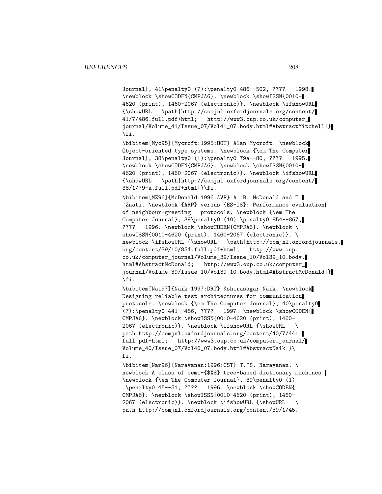Journal}, 41\penalty0 (7):\penalty0 486--502, ???? 1998. \newblock \showCODEN{CMPJA6}. \newblock \showISSN{0010- 4620 (print), 1460-2067 (electronic)}. \newblock \ifshowURL {\showURL \path|http://comjnl.oxfordjournals.org/content/ 41/7/486.full.pdf+html; http://www3.oup.co.uk/computer\_ journal/Volume\_41/Issue\_07/Vol41\_07.body.html#AbstractMitchell|} \fi.

\bibitem[Myc95]{Mycroft:1995:OOT} Alan Mycroft. \newblock Object-oriented type systems. \newblock {\em The Computer Journal}, 38\penalty0 (1):\penalty0 79a--80, ???? 1995. \newblock \showCODEN{CMPJA6}. \newblock \showISSN{0010- 4620 (print), 1460-2067 (electronic)}. \newblock \ifshowURL {\showURL \path|http://comjnl.oxfordjournals.org/content/ 38/1/79-a.full.pdf+html|}\fi.

\bibitem[MZ96]{McDonald:1996:AVP} A.~B. McDonald and T. ~Znati. \newblock {ARP} versus {ES-IS}: Performance evaluation of neighbour-greeting protocols. \newblock {\em The Computer Journal}, 39\penalty0 (10):\penalty0 854--867, ???? 1996. \newblock \showCODEN{CMPJA6}. \newblock \ showISSN{0010-4620 (print), 1460-2067 (electronic)}. \ newblock \ifshowURL {\showURL \path|http://comjnl.oxfordjournals. org/content/39/10/854.full.pdf+html; http://www.oup. co.uk/computer\_journal/Volume\_39/Issue\_10/Vol39\_10.body. html#AbstractMcDonald; http://www3.oup.co.uk/computer\_ journal/Volume\_39/Issue\_10/Vol39\_10.body.html#AbstractMcDonald|} \fi.

\bibitem[Nai97]{Naik:1997:DRT} Kshirasagar Naik. \newblock Designing reliable test architectures for communication protocols. \newblock {\em The Computer Journal}, 40\penalty0 (7):\penalty0 441--456, ???? 1997. \newblock \showCODEN{ CMPJA6}. \newblock \showISSN{0010-4620 (print), 1460- 2067 (electronic)}. \newblock \ifshowURL {\showURL \ path|http://comjnl.oxfordjournals.org/content/40/7/441. full.pdf+html; http://www3.oup.co.uk/computer\_journal/ Volume\_40/Issue\_07/Vol40\_07.body.html#AbstractNaik|}\ fi.

\bibitem[Nar96]{Narayanan:1996:CST} T.~S. Narayanan. \ newblock A class of semi-{\$X\$} tree-based dictionary machines. \newblock {\em The Computer Journal}, 39\penalty0 (1) :\penalty0 45--51, ???? 1996. \newblock \showCODEN{ CMPJA6}. \newblock \showISSN{0010-4620 (print), 1460- 2067 (electronic)}. \newblock \ifshowURL {\showURL \ path|http://comjnl.oxfordjournals.org/content/39/1/45.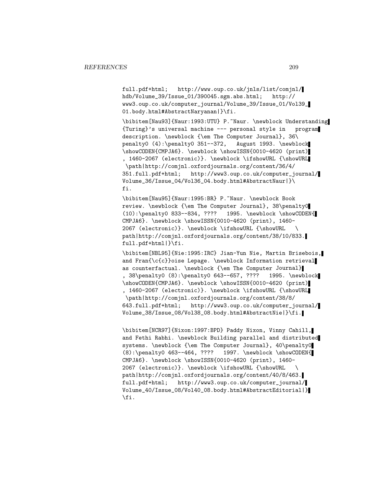full.pdf+html; http://www.oup.co.uk/jnls/list/comjnl/ hdb/Volume\_39/Issue\_01/390045.sgm.abs.html; http:// www3.oup.co.uk/computer\_journal/Volume\_39/Issue\_01/Vol39\_ 01.body.html#AbstractNaryanan|}\fi.

\bibitem[Nau93]{Naur:1993:UTU} P.~Naur. \newblock Understanding {Turing}'s universal machine --- personal style in program description. \newblock {\em The Computer Journal}, 36\ penalty0 (4):\penalty0 351--372, August 1993. \newblock \showCODEN{CMPJA6}. \newblock \showISSN{0010-4620 (print) , 1460-2067 (electronic)}. \newblock \ifshowURL {\showURL \path|http://comjnl.oxfordjournals.org/content/36/4/ 351.full.pdf+html; http://www3.oup.co.uk/computer\_journal/ Volume\_36/Issue\_04/Vol36\_04.body.html#AbstractNaur|}\ fi.

\bibitem[Nau95]{Naur:1995:BR} P.~Naur. \newblock Book review. \newblock {\em The Computer Journal}, 38\penalty0 (10):\penalty0 833--834, ???? 1995. \newblock \showCODEN{ CMPJA6}. \newblock \showISSN{0010-4620 (print), 1460- 2067 (electronic)}. \newblock \ifshowURL {\showURL \ path|http://comjnl.oxfordjournals.org/content/38/10/833. full.pdf+html|}\fi.

\bibitem[NBL95]{Nie:1995:IRC} Jian-Yun Nie, Martin Brisebois, and Fran{\c{c}}oise Lepage. \newblock Information retrieval as counterfactual. \newblock {\em The Computer Journal} , 38\penalty0 (8):\penalty0 643--657, ???? 1995. \newblock \showCODEN{CMPJA6}. \newblock \showISSN{0010-4620 (print) , 1460-2067 (electronic)}. \newblock \ifshowURL {\showURL \path|http://comjnl.oxfordjournals.org/content/38/8/ 643.full.pdf+html; http://www3.oup.co.uk/computer\_journal/ Volume\_38/Issue\_08/Vol38\_08.body.html#AbstractNie|}\fi.

\bibitem[NCR97]{Nixon:1997:BPD} Paddy Nixon, Vinny Cahill, and Fethi Rabhi. \newblock Building parallel and distributed systems. \newblock {\em The Computer Journal}, 40\penalty0 (8):\penalty0 463--464, ???? 1997. \newblock \showCODEN{ CMPJA6}. \newblock \showISSN{0010-4620 (print), 1460- 2067 (electronic)}. \newblock \ifshowURL {\showURL \ path|http://comjnl.oxfordjournals.org/content/40/8/463. full.pdf+html; http://www3.oup.co.uk/computer\_journal/ Volume\_40/Issue\_08/Vol40\_08.body.html#AbstractEditorial|} \fi.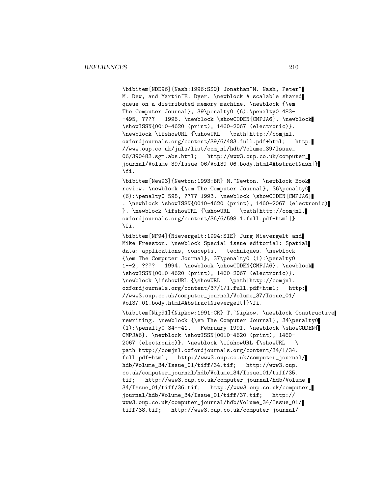\bibitem[NDD96]{Nash:1996:SSQ} Jonathan~M. Nash, Peter~ M. Dew, and Martin~E. Dyer. \newblock A scalable shared queue on a distributed memory machine. \newblock {\em The Computer Journal}, 39\penalty0 (6):\penalty0 483- -495, ???? 1996. \newblock \showCODEN{CMPJA6}. \newblock \showISSN{0010-4620 (print), 1460-2067 (electronic)}. \newblock \ifshowURL {\showURL \path|http://comjnl. oxfordjournals.org/content/39/6/483.full.pdf+html; http: //www.oup.co.uk/jnls/list/comjnl/hdb/Volume\_39/Issue\_ 06/390483.sgm.abs.html; http://www3.oup.co.uk/computer\_ journal/Volume\_39/Issue\_06/Vol39\_06.body.html#AbstractNash|} \fi.

\bibitem[New93]{Newton:1993:BR} M.~Newton. \newblock Book review. \newblock {\em The Computer Journal}, 36\penalty0 (6):\penalty0 598, ???? 1993. \newblock \showCODEN{CMPJA6} . \newblock \showISSN{0010-4620 (print), 1460-2067 (electronic) }. \newblock \ifshowURL {\showURL \path|http://comjnl. oxfordjournals.org/content/36/6/598.1.full.pdf+html|} \fi.

\bibitem[NF94]{Nievergelt:1994:SIE} Jurg Nievergelt and Mike Freeston. \newblock Special issue editorial: Spatial data: applications, concepts, techniques. \newblock {\em The Computer Journal}, 37\penalty0 (1):\penalty0 1--2, ???? 1994. \newblock \showCODEN{CMPJA6}. \newblock \showISSN{0010-4620 (print), 1460-2067 (electronic)}. \newblock \ifshowURL {\showURL \path|http://comjnl. oxfordjournals.org/content/37/1/1.full.pdf+html; http: //www3.oup.co.uk/computer\_journal/Volume\_37/Issue\_01/ Vol37\_01.body.html#AbstractNievergelt|}\fi.

\bibitem[Nip91]{Nipkow:1991:CR} T.~Nipkow. \newblock Constructive rewriting. \newblock {\em The Computer Journal}, 34\penalty0 (1):\penalty0 34--41, February 1991. \newblock \showCODEN{ CMPJA6}. \newblock \showISSN{0010-4620 (print), 1460- 2067 (electronic)}. \newblock \ifshowURL {\showURL \ path|http://comjnl.oxfordjournals.org/content/34/1/34. full.pdf+html; http://www3.oup.co.uk/computer\_journal/ hdb/Volume\_34/Issue\_01/tiff/34.tif; http://www3.oup. co.uk/computer\_journal/hdb/Volume\_34/Issue\_01/tiff/35. tif; http://www3.oup.co.uk/computer\_journal/hdb/Volume\_ 34/Issue\_01/tiff/36.tif; http://www3.oup.co.uk/computer\_ journal/hdb/Volume\_34/Issue\_01/tiff/37.tif; http:// www3.oup.co.uk/computer\_journal/hdb/Volume\_34/Issue\_01/ tiff/38.tif; http://www3.oup.co.uk/computer\_journal/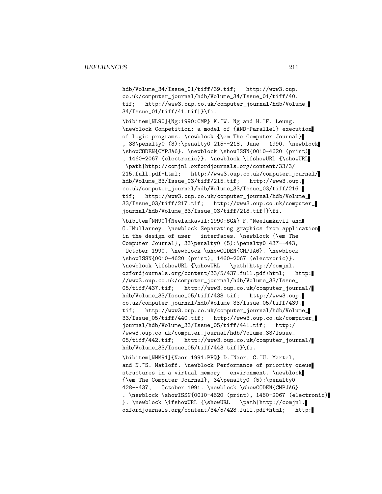hdb/Volume\_34/Issue\_01/tiff/39.tif; http://www3.oup. co.uk/computer\_journal/hdb/Volume\_34/Issue\_01/tiff/40. tif; http://www3.oup.co.uk/computer\_journal/hdb/Volume\_ 34/Issue\_01/tiff/41.tif|}\fi.

\bibitem[NL90]{Ng:1990:CMP} K.~W. Ng and H.~F. Leung. \newblock Competition: a model of {AND-Parallel} execution of logic programs. \newblock {\em The Computer Journal} , 33\penalty0 (3):\penalty0 215--218, June 1990. \newblock \showCODEN{CMPJA6}. \newblock \showISSN{0010-4620 (print) , 1460-2067 (electronic)}. \newblock \ifshowURL {\showURL \path|http://comjnl.oxfordjournals.org/content/33/3/ 215.full.pdf+html; http://www3.oup.co.uk/computer\_journal/ hdb/Volume\_33/Issue\_03/tiff/215.tif; http://www3.oup. co.uk/computer\_journal/hdb/Volume\_33/Issue\_03/tiff/216. tif; http://www3.oup.co.uk/computer\_journal/hdb/Volume\_ 33/Issue\_03/tiff/217.tif; http://www3.oup.co.uk/computer\_ journal/hdb/Volume\_33/Issue\_03/tiff/218.tif|}\fi.

\bibitem[NM90]{Neelamkavil:1990:SGA} F.~Neelamkavil and O. "Mullarney. \newblock Separating graphics from application in the design of user interfaces. \newblock {\em The Computer Journal}, 33\penalty0 (5):\penalty0 437--443, October 1990. \newblock \showCODEN{CMPJA6}. \newblock \showISSN{0010-4620 (print), 1460-2067 (electronic)}. \newblock \ifshowURL {\showURL \path|http://comjnl. oxfordjournals.org/content/33/5/437.full.pdf+html; http: //www3.oup.co.uk/computer\_journal/hdb/Volume\_33/Issue\_ 05/tiff/437.tif; http://www3.oup.co.uk/computer\_journal/ hdb/Volume\_33/Issue\_05/tiff/438.tif; http://www3.oup. co.uk/computer\_journal/hdb/Volume\_33/Issue\_05/tiff/439. tif; http://www3.oup.co.uk/computer\_journal/hdb/Volume\_ 33/Issue\_05/tiff/440.tif; http://www3.oup.co.uk/computer\_ journal/hdb/Volume\_33/Issue\_05/tiff/441.tif; http:/ /www3.oup.co.uk/computer\_journal/hdb/Volume\_33/Issue\_ 05/tiff/442.tif; http://www3.oup.co.uk/computer\_journal/ hdb/Volume\_33/Issue\_05/tiff/443.tif|}\fi.

\bibitem[NMM91]{Naor:1991:PPQ} D.~Naor, C.~U. Martel, and N.~S. Matloff. \newblock Performance of priority queue structures in a virtual memory environment. \newblock {\em The Computer Journal}, 34\penalty0 (5):\penalty0 428--437, October 1991. \newblock \showCODEN{CMPJA6} . \newblock \showISSN{0010-4620 (print), 1460-2067 (electronic) }. \newblock \ifshowURL {\showURL \path|http://comjnl. oxfordjournals.org/content/34/5/428.full.pdf+html; http: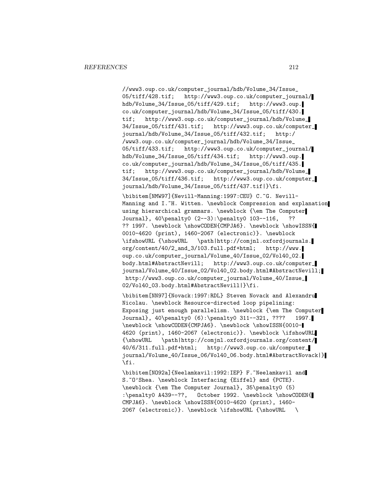//www3.oup.co.uk/computer\_journal/hdb/Volume\_34/Issue\_ 05/tiff/428.tif; http://www3.oup.co.uk/computer\_journal/ hdb/Volume\_34/Issue\_05/tiff/429.tif; http://www3.oup. co.uk/computer\_journal/hdb/Volume\_34/Issue\_05/tiff/430. tif; http://www3.oup.co.uk/computer\_journal/hdb/Volume\_ 34/Issue\_05/tiff/431.tif; http://www3.oup.co.uk/computer\_ journal/hdb/Volume\_34/Issue\_05/tiff/432.tif; http:/ /www3.oup.co.uk/computer\_journal/hdb/Volume\_34/Issue\_ 05/tiff/433.tif; http://www3.oup.co.uk/computer\_journal/ hdb/Volume\_34/Issue\_05/tiff/434.tif; http://www3.oup. co.uk/computer\_journal/hdb/Volume\_34/Issue\_05/tiff/435. tif; http://www3.oup.co.uk/computer\_journal/hdb/Volume\_ 34/Issue\_05/tiff/436.tif; http://www3.oup.co.uk/computer\_ journal/hdb/Volume\_34/Issue\_05/tiff/437.tif|}\fi.

\bibitem[NMW97]{Nevill-Manning:1997:CEU} C.~G. Nevill-Manning and I.<sup>~</sup>H. Witten. \newblock Compression and explanation using hierarchical grammars. \newblock {\em The Computer Journal}, 40\penalty0 (2--3):\penalty0 103--116, ?? ?? 1997. \newblock \showCODEN{CMPJA6}. \newblock \showISSN{ 0010-4620 (print), 1460-2067 (electronic)}. \newblock \ifshowURL {\showURL \path|http://comjnl.oxfordjournals. org/content/40/2\_and\_3/103.full.pdf+html; http://www. oup.co.uk/computer\_journal/Volume\_40/Issue\_02/Vol40\_02. body.html#AbstractNevill; http://www3.oup.co.uk/computer\_ journal/Volume\_40/Issue\_02/Vol40\_02.body.html#AbstractNevill; http://www3.oup.co.uk/computer\_journal/Volume\_40/Issue\_ 02/Vol40\_03.body.html#AbstractNevill|}\fi.

\bibitem[NN97]{Novack:1997:RDL} Steven Novack and Alexandru Nicolau. \newblock Resource-directed loop pipelining: Exposing just enough parallelism. \newblock {\em The Computer Journal}, 40\penalty0 (6):\penalty0 311--321, ???? 1997. \newblock \showCODEN{CMPJA6}. \newblock \showISSN{0010- 4620 (print), 1460-2067 (electronic)}. \newblock \ifshowURL {\showURL \path|http://comjnl.oxfordjournals.org/content/ 40/6/311.full.pdf+html; http://www3.oup.co.uk/computer\_ journal/Volume\_40/Issue\_06/Vol40\_06.body.html#AbstractNovack|} \fi.

\bibitem[NO92a]{Neelamkavil:1992:IEP} F.~Neelamkavil and S.~O'Shea. \newblock Interfacing {Eiffel} and {PCTE}. \newblock {\em The Computer Journal}, 35\penalty0 (5) :\penalty0 A439--??, October 1992. \newblock \showCODEN{ CMPJA6}. \newblock \showISSN{0010-4620 (print), 1460- 2067 (electronic)}. \newblock \ifshowURL {\showURL \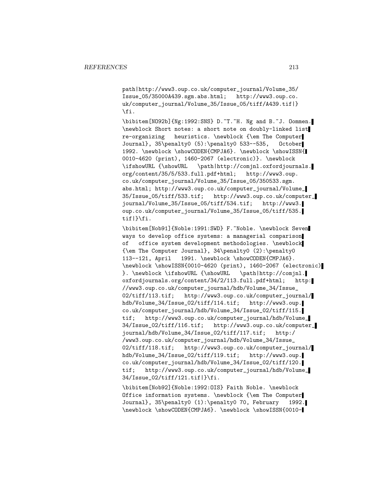path|http://www3.oup.co.uk/computer\_journal/Volume\_35/ Issue\_05/35000A439.sgm.abs.html; http://www3.oup.co. uk/computer\_journal/Volume\_35/Issue\_05/tiff/A439.tif|} \fi.

\bibitem[NO92b]{Ng:1992:SNS} D.~T.~H. Ng and B.~J. Oommen. \newblock Short notes: a short note on doubly-linked list re-organizing heuristics. \newblock {\em The Computer Journal}, 35\penalty0 (5):\penalty0 533--535, October 1992. \newblock \showCODEN{CMPJA6}. \newblock \showISSN{ 0010-4620 (print), 1460-2067 (electronic)}. \newblock \ifshowURL {\showURL \path|http://comjnl.oxfordjournals. org/content/35/5/533.full.pdf+html; http://www3.oup. co.uk/computer\_journal/Volume\_35/Issue\_05/350533.sgm. abs.html; http://www3.oup.co.uk/computer\_journal/Volume\_ 35/Issue\_05/tiff/533.tif; http://www3.oup.co.uk/computer\_ journal/Volume\_35/Issue\_05/tiff/534.tif; http://www3. oup.co.uk/computer\_journal/Volume\_35/Issue\_05/tiff/535. tif|}\fi.

\bibitem[Nob91]{Noble:1991:SWD} F.~Noble. \newblock Seven ways to develop office systems: a managerial comparison of office system development methodologies. \newblock {\em The Computer Journal}, 34\penalty0 (2):\penalty0 113--121, April 1991. \newblock \showCODEN{CMPJA6}. \newblock \showISSN{0010-4620 (print), 1460-2067 (electronic) }. \newblock \ifshowURL {\showURL \path|http://comjnl. oxfordjournals.org/content/34/2/113.full.pdf+html; http: //www3.oup.co.uk/computer\_journal/hdb/Volume\_34/Issue\_ 02/tiff/113.tif; http://www3.oup.co.uk/computer\_journal/ hdb/Volume\_34/Issue\_02/tiff/114.tif; http://www3.oup. co.uk/computer\_journal/hdb/Volume\_34/Issue\_02/tiff/115. tif; http://www3.oup.co.uk/computer\_journal/hdb/Volume\_ 34/Issue\_02/tiff/116.tif; http://www3.oup.co.uk/computer\_ journal/hdb/Volume\_34/Issue\_02/tiff/117.tif; http:/ /www3.oup.co.uk/computer\_journal/hdb/Volume\_34/Issue\_ 02/tiff/118.tif; http://www3.oup.co.uk/computer\_journal/ hdb/Volume\_34/Issue\_02/tiff/119.tif; http://www3.oup. co.uk/computer\_journal/hdb/Volume\_34/Issue\_02/tiff/120. tif; http://www3.oup.co.uk/computer\_journal/hdb/Volume\_ 34/Issue\_02/tiff/121.tif|}\fi.

\bibitem[Nob92]{Noble:1992:OIS} Faith Noble. \newblock Office information systems. \newblock {\em The Computer Journal}, 35\penalty0 (1):\penalty0 70, February 1992. \newblock \showCODEN{CMPJA6}. \newblock \showISSN{0010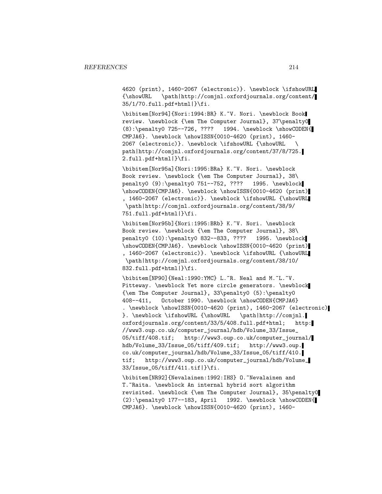4620 (print), 1460-2067 (electronic)}. \newblock \ifshowURL {\showURL \path|http://comjnl.oxfordjournals.org/content/ 35/1/70.full.pdf+html|}\fi.

\bibitem[Nor94]{Nori:1994:BR} K.~V. Nori. \newblock Book review. \newblock {\em The Computer Journal}, 37\penalty0 (8):\penalty0 725--726, ???? 1994. \newblock \showCODEN{ CMPJA6}. \newblock \showISSN{0010-4620 (print), 1460- 2067 (electronic)}. \newblock \ifshowURL {\showURL \ path|http://comjnl.oxfordjournals.org/content/37/8/725. 2.full.pdf+html|}\fi.

\bibitem[Nor95a]{Nori:1995:BRa} K.~V. Nori. \newblock Book review. \newblock {\em The Computer Journal}, 38\ penalty0 (9):\penalty0 751--752, ???? 1995. \newblock \showCODEN{CMPJA6}. \newblock \showISSN{0010-4620 (print) , 1460-2067 (electronic)}. \newblock \ifshowURL {\showURL \path|http://comjnl.oxfordjournals.org/content/38/9/ 751.full.pdf+html|}\fi.

\bibitem[Nor95b]{Nori:1995:BRb} K.~V. Nori. \newblock Book review. \newblock {\em The Computer Journal}, 38\ penalty0 (10):\penalty0 832--833, ???? 1995. \newblock \showCODEN{CMPJA6}. \newblock \showISSN{0010-4620 (print) , 1460-2067 (electronic)}. \newblock \ifshowURL {\showURL \path|http://comjnl.oxfordjournals.org/content/38/10/ 832.full.pdf+html|}\fi.

\bibitem[NP90]{Neal:1990:YMC} L.~R. Neal and M.~L.~V. Pitteway. \newblock Yet more circle generators. \newblock {\em The Computer Journal}, 33\penalty0 (5):\penalty0 408--411, October 1990. \newblock \showCODEN{CMPJA6} . \newblock \showISSN{0010-4620 (print), 1460-2067 (electronic) }. \newblock \ifshowURL {\showURL \path|http://comjnl. oxfordjournals.org/content/33/5/408.full.pdf+html; http: //www3.oup.co.uk/computer\_journal/hdb/Volume\_33/Issue\_ 05/tiff/408.tif; http://www3.oup.co.uk/computer\_journal/ hdb/Volume\_33/Issue\_05/tiff/409.tif; http://www3.oup. co.uk/computer\_journal/hdb/Volume\_33/Issue\_05/tiff/410. tif; http://www3.oup.co.uk/computer\_journal/hdb/Volume\_ 33/Issue\_05/tiff/411.tif|}\fi.

\bibitem[NR92]{Nevalainen:1992:IHS} 0.~Nevalainen and T. Aaita. \newblock An internal hybrid sort algorithm revisited. \newblock {\em The Computer Journal}, 35\penalty0  $(2): \penalty0 177--183, April 1992. \newblock \showCODEN{$ CMPJA6}. \newblock \showISSN{0010-4620 (print), 1460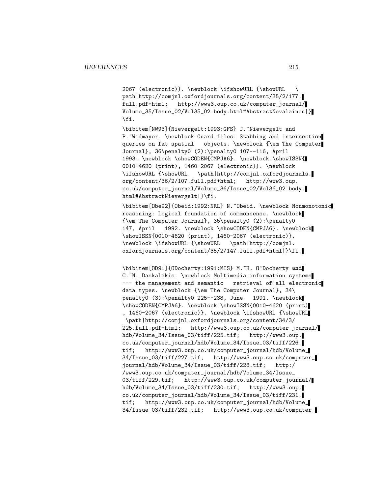2067 (electronic)}. \newblock \ifshowURL {\showURL \ path|http://comjnl.oxfordjournals.org/content/35/2/177. full.pdf+html; http://www3.oup.co.uk/computer\_journal/ Volume\_35/Issue\_02/Vol35\_02.body.html#AbstractNevalainen|} \fi.

\bibitem[NW93]{Nievergelt:1993:GFS} J.~Nievergelt and P. "Widmayer. \newblock Guard files: Stabbing and intersection queries on fat spatial objects. \newblock {\em The Computer Journal}, 36\penalty0 (2):\penalty0 107--116, April 1993. \newblock \showCODEN{CMPJA6}. \newblock \showISSN{ 0010-4620 (print), 1460-2067 (electronic)}. \newblock \ifshowURL {\showURL \path|http://comjnl.oxfordjournals. org/content/36/2/107.full.pdf+html; http://www3.oup. co.uk/computer\_journal/Volume\_36/Issue\_02/Vol36\_02.body. html#AbstractNievergelt|}\fi.

\bibitem[Obe92]{Obeid:1992:NRL} N.~Obeid. \newblock Nonmonotonic reasoning: Logical foundation of commonsense. \newblock {\em The Computer Journal}, 35\penalty0 (2):\penalty0 147, April 1992. \newblock \showCODEN{CMPJA6}. \newblock \showISSN{0010-4620 (print), 1460-2067 (electronic)}. \newblock \ifshowURL {\showURL \path|http://comjnl. oxfordjournals.org/content/35/2/147.full.pdf+html|}\fi.

\bibitem[OD91]{ODocherty:1991:MIS} M.~H. O'Docherty and C. "N. Daskalakis. \newblock Multimedia information systems --- the management and semantic retrieval of all electronic data types. \newblock {\em The Computer Journal}, 34\ penalty0 (3):\penalty0 225--238, June 1991. \newblock \showCODEN{CMPJA6}. \newblock \showISSN{0010-4620 (print) , 1460-2067 (electronic)}. \newblock \ifshowURL {\showURL \path|http://comjnl.oxfordjournals.org/content/34/3/ 225.full.pdf+html; http://www3.oup.co.uk/computer\_journal/ hdb/Volume\_34/Issue\_03/tiff/225.tif; http://www3.oup. co.uk/computer\_journal/hdb/Volume\_34/Issue\_03/tiff/226. tif; http://www3.oup.co.uk/computer\_journal/hdb/Volume\_ 34/Issue\_03/tiff/227.tif; http://www3.oup.co.uk/computer\_ journal/hdb/Volume\_34/Issue\_03/tiff/228.tif; http:/ /www3.oup.co.uk/computer\_journal/hdb/Volume\_34/Issue\_ 03/tiff/229.tif; http://www3.oup.co.uk/computer\_journal/ hdb/Volume\_34/Issue\_03/tiff/230.tif; http://www3.oup. co.uk/computer\_journal/hdb/Volume\_34/Issue\_03/tiff/231. tif; http://www3.oup.co.uk/computer\_journal/hdb/Volume\_ 34/Issue\_03/tiff/232.tif; http://www3.oup.co.uk/computer\_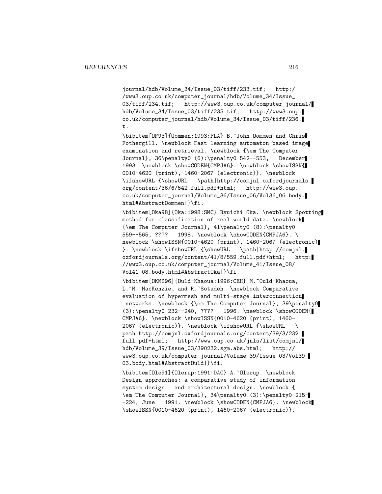journal/hdb/Volume\_34/Issue\_03/tiff/233.tif; http:/ /www3.oup.co.uk/computer\_journal/hdb/Volume\_34/Issue\_ 03/tiff/234.tif; http://www3.oup.co.uk/computer\_journal/ hdb/Volume\_34/Issue\_03/tiff/235.tif; http://www3.oup. co.uk/computer\_journal/hdb/Volume\_34/Issue\_03/tiff/236. t.

\bibitem[OF93]{Oommen:1993:FLA} B.~John Oommen and Chris Fothergill. \newblock Fast learning automaton-based image examination and retrieval. \newblock {\em The Computer Journal}, 36\penalty0 (6):\penalty0 542--553, December 1993. \newblock \showCODEN{CMPJA6}. \newblock \showISSN{ 0010-4620 (print), 1460-2067 (electronic)}. \newblock \ifshowURL {\showURL \path|http://comjnl.oxfordjournals. org/content/36/6/542.full.pdf+html; http://www3.oup. co.uk/computer\_journal/Volume\_36/Issue\_06/Vol36\_06.body. html#AbstractOommen|}\fi.

\bibitem[Oka98]{Oka:1998:SMC} Ryuichi Oka. \newblock Spotting method for classification of real world data. \newblock {\em The Computer Journal}, 41\penalty0 (8):\penalty0 559--565, ???? 1998. \newblock \showCODEN{CMPJA6}. \ newblock \showISSN{0010-4620 (print), 1460-2067 (electronic) }. \newblock \ifshowURL {\showURL \path|http://comjnl. oxfordjournals.org/content/41/8/559.full.pdf+html; http: //www3.oup.co.uk/computer\_journal/Volume\_41/Issue\_08/ Vol41\_08.body.html#AbstractOka|}\fi.

\bibitem[OKMS96]{Ould-Khaoua:1996:CEH} M.~Ould-Khaoua, L. "M. MacKenzie, and R. "Sotudeh. \newblock Comparative evaluation of hypermesh and multi-stage interconnection networks. \newblock {\em The Computer Journal}, 39\penalty0 (3):\penalty0 232--240, ???? 1996. \newblock \showCODEN{ CMPJA6}. \newblock \showISSN{0010-4620 (print), 1460- 2067 (electronic)}. \newblock \ifshowURL {\showURL \ path|http://comjnl.oxfordjournals.org/content/39/3/232. full.pdf+html; http://www.oup.co.uk/jnls/list/comjnl/ hdb/Volume\_39/Issue\_03/390232.sgm.abs.html; http:// www3.oup.co.uk/computer\_journal/Volume\_39/Issue\_03/Vol39\_ 03.body.html#AbstractOuld|}\fi.

\bibitem[Ole91]{Olerup:1991:DAC} A.~Olerup. \newblock Design approaches: a comparative study of information system design and architectural design. \newblock { \em The Computer Journal}, 34\penalty0 (3):\penalty0 215- -224, June 1991. \newblock \showCODEN{CMPJA6}. \newblock \showISSN{0010-4620 (print), 1460-2067 (electronic)}.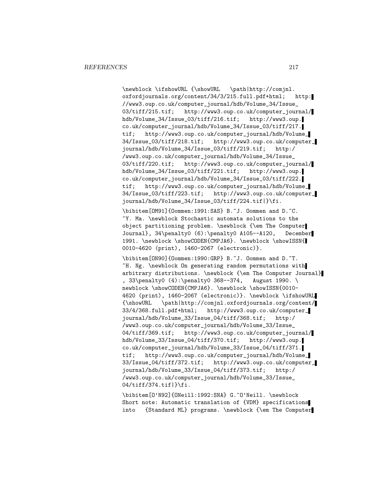\newblock \ifshowURL {\showURL \path|http://comjnl. oxfordjournals.org/content/34/3/215.full.pdf+html; http: //www3.oup.co.uk/computer\_journal/hdb/Volume\_34/Issue\_ 03/tiff/215.tif; http://www3.oup.co.uk/computer\_journal/ hdb/Volume\_34/Issue\_03/tiff/216.tif; http://www3.oup. co.uk/computer\_journal/hdb/Volume\_34/Issue\_03/tiff/217. tif; http://www3.oup.co.uk/computer\_journal/hdb/Volume\_ 34/Issue\_03/tiff/218.tif; http://www3.oup.co.uk/computer\_ journal/hdb/Volume\_34/Issue\_03/tiff/219.tif; http:/ /www3.oup.co.uk/computer\_journal/hdb/Volume\_34/Issue\_ 03/tiff/220.tif; http://www3.oup.co.uk/computer\_journal/ hdb/Volume\_34/Issue\_03/tiff/221.tif; http://www3.oup. co.uk/computer\_journal/hdb/Volume\_34/Issue\_03/tiff/222. tif; http://www3.oup.co.uk/computer\_journal/hdb/Volume\_ 34/Issue\_03/tiff/223.tif; http://www3.oup.co.uk/computer\_ journal/hdb/Volume\_34/Issue\_03/tiff/224.tif|}\fi.

\bibitem[OM91]{Oommen:1991:SAS} B.~J. Oommen and D.~C. ~Y. Ma. \newblock Stochastic automata solutions to the object partitioning problem. \newblock {\em The Computer Journal}, 34\penalty0 (6):\penalty0 A105--A120, December 1991. \newblock \showCODEN{CMPJA6}. \newblock \showISSN{ 0010-4620 (print), 1460-2067 (electronic)}.

\bibitem[ON90]{Oommen:1990:GRP} B.~J. Oommen and D.~T. ~H. Ng. \newblock On generating random permutations with arbitrary distributions. \newblock {\em The Computer Journal} , 33\penalty0 (4):\penalty0 368--374, August 1990. \ newblock \showCODEN{CMPJA6}. \newblock \showISSN{0010-4620 (print), 1460-2067 (electronic)}. \newblock \ifshowURL {\showURL \path|http://comjnl.oxfordjournals.org/content/ 33/4/368.full.pdf+html; http://www3.oup.co.uk/computer\_ journal/hdb/Volume\_33/Issue\_04/tiff/368.tif; http:/ /www3.oup.co.uk/computer\_journal/hdb/Volume\_33/Issue\_ 04/tiff/369.tif; http://www3.oup.co.uk/computer\_journal/ hdb/Volume\_33/Issue\_04/tiff/370.tif; http://www3.oup. co.uk/computer\_journal/hdb/Volume\_33/Issue\_04/tiff/371. tif; http://www3.oup.co.uk/computer\_journal/hdb/Volume\_ 33/Issue\_04/tiff/372.tif; http://www3.oup.co.uk/computer\_ journal/hdb/Volume\_33/Issue\_04/tiff/373.tif; http:/ /www3.oup.co.uk/computer\_journal/hdb/Volume\_33/Issue\_ 04/tiff/374.tif|}\fi.

\bibitem[O'N92]{ONeill:1992:SNA} G.~O'Neill. \newblock Short note: Automatic translation of {VDM} specifications into {Standard ML} programs. \newblock {\em The Computer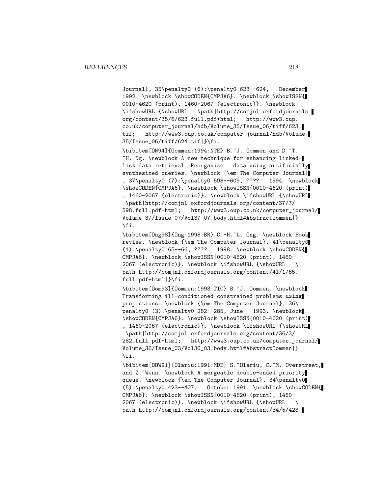Journal}, 35\penalty0 (6):\penalty0 623--624, December 1992. \newblock \showCODEN{CMPJA6}. \newblock \showISSN{ 0010-4620 (print), 1460-2067 (electronic)}. \newblock \ifshowURL {\showURL \path|http://comjnl.oxfordjournals. org/content/35/6/623.full.pdf+html; http://www3.oup. co.uk/computer\_journal/hdb/Volume\_35/Issue\_06/tiff/623. tif; http://www3.oup.co.uk/computer\_journal/hdb/Volume\_ 35/Issue\_06/tiff/624.tif|}\fi.

\bibitem[ON94]{Oommen:1994:NTE} B.~J. Oommen and D.~T. ~H. Ng. \newblock A new technique for enhancing linkedlist data retrieval: Reorganize data using artificially synthesized queries. \newblock {\em The Computer Journal} , 37\penalty0 (7):\penalty0 598--609, ???? 1994. \newblock \showCODEN{CMPJA6}. \newblock \showISSN{0010-4620 (print) , 1460-2067 (electronic)}. \newblock \ifshowURL {\showURL \path|http://comjnl.oxfordjournals.org/content/37/7/ 598.full.pdf+html; http://www3.oup.co.uk/computer\_journal/ Volume\_37/Issue\_07/Vol37\_07.body.html#AbstractOommen|} \fi.

\bibitem[Ong98]{Ong:1998:BR} C.-H.~L. Ong. \newblock Book review. \newblock {\em The Computer Journal}, 41\penalty0 (1):\penalty0 65--66, ???? 1998. \newblock \showCODEN{ CMPJA6}. \newblock \showISSN{0010-4620 (print), 1460- 2067 (electronic)}. \newblock \ifshowURL {\showURL \ path|http://comjnl.oxfordjournals.org/content/41/1/65. full.pdf+html|}\fi.

\bibitem[Oom93]{Oommen:1993:TIC} B.~J. Oommen. \newblock Transforming ill-conditioned constrained problems using projections. \newblock {\em The Computer Journal}, 36\ penalty0 (3):\penalty0 282--285, June 1993. \newblock \showCODEN{CMPJA6}. \newblock \showISSN{0010-4620 (print) , 1460-2067 (electronic)}. \newblock \ifshowURL {\showURL \path|http://comjnl.oxfordjournals.org/content/36/3/ 282.full.pdf+html; http://www3.oup.co.uk/computer\_journal/ Volume\_36/Issue\_03/Vol36\_03.body.html#AbstractOommen|} \fi.

\bibitem[OOW91]{Olariu:1991:MDE} S.~Olariu, C.~M. Overstreet, and Z.~Wenn. \newblock A mergeable double-ended priority queue. \newblock {\em The Computer Journal}, 34\penalty0 (5):\penalty0 423--427, October 1991. \newblock \showCODEN{ CMPJA6}. \newblock \showISSN{0010-4620 (print), 1460- 2067 (electronic)}. \newblock \ifshowURL {\showURL \ path|http://comjnl.oxfordjournals.org/content/34/5/423.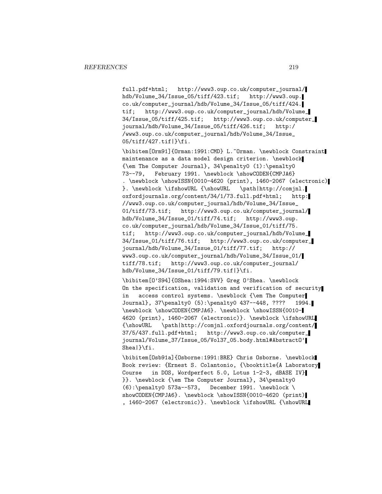full.pdf+html; http://www3.oup.co.uk/computer\_journal/ hdb/Volume\_34/Issue\_05/tiff/423.tif; http://www3.oup. co.uk/computer\_journal/hdb/Volume\_34/Issue\_05/tiff/424. tif; http://www3.oup.co.uk/computer\_journal/hdb/Volume\_ 34/Issue\_05/tiff/425.tif; http://www3.oup.co.uk/computer\_ journal/hdb/Volume\_34/Issue\_05/tiff/426.tif; http:/ /www3.oup.co.uk/computer\_journal/hdb/Volume\_34/Issue\_ 05/tiff/427.tif|}\fi.

\bibitem[Orm91]{Orman:1991:CMD} L.~Orman. \newblock Constraint maintenance as a data model design criterion. \newblock {\em The Computer Journal}, 34\penalty0 (1):\penalty0 73--79, February 1991. \newblock \showCODEN{CMPJA6} . \newblock \showISSN{0010-4620 (print), 1460-2067 (electronic) }. \newblock \ifshowURL {\showURL \path|http://comjnl. oxfordjournals.org/content/34/1/73.full.pdf+html; http: //www3.oup.co.uk/computer\_journal/hdb/Volume\_34/Issue\_ 01/tiff/73.tif; http://www3.oup.co.uk/computer\_journal/ hdb/Volume\_34/Issue\_01/tiff/74.tif; http://www3.oup. co.uk/computer\_journal/hdb/Volume\_34/Issue\_01/tiff/75. tif; http://www3.oup.co.uk/computer\_journal/hdb/Volume\_ 34/Issue\_01/tiff/76.tif; http://www3.oup.co.uk/computer\_ journal/hdb/Volume\_34/Issue\_01/tiff/77.tif; http:// www3.oup.co.uk/computer\_journal/hdb/Volume\_34/Issue\_01/ tiff/78.tif; http://www3.oup.co.uk/computer\_journal/ hdb/Volume\_34/Issue\_01/tiff/79.tif|}\fi.

\bibitem[O'S94]{OShea:1994:SVV} Greg O'Shea. \newblock On the specification, validation and verification of security in access control systems. \newblock {\em The Computer Journal}, 37\penalty0 (5):\penalty0 437--448, ???? 1994. \newblock \showCODEN{CMPJA6}. \newblock \showISSN{0010- 4620 (print), 1460-2067 (electronic)}. \newblock \ifshowURL {\showURL \path|http://comjnl.oxfordjournals.org/content/ 37/5/437.full.pdf+html; http://www3.oup.co.uk/computer\_ journal/Volume\_37/Issue\_05/Vol37\_05.body.html#AbstractO' Shea|}\fi.

\bibitem[Osb91a]{Osborne:1991:BRE} Chris Osborne. \newblock Book review: {Ernest S. Colantonio, {\booktitle{A Laboratory Course in DOS, Wordperfect 5.0, Lotus 1-2-3, dBASE IV} }}. \newblock {\em The Computer Journal}, 34\penalty0  $(6): \penalty0 573a--573, December 1991. \newblock \n$ showCODEN{CMPJA6}. \newblock \showISSN{0010-4620 (print)| , 1460-2067 (electronic)}. \newblock \ifshowURL {\showURL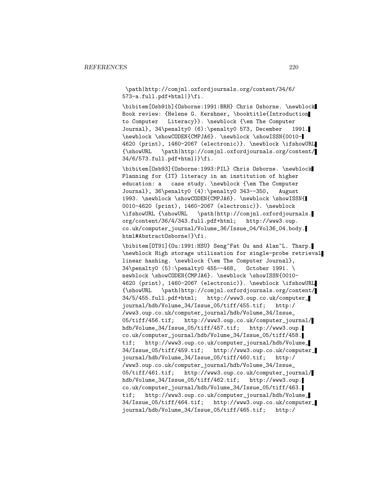\path|http://comjnl.oxfordjournals.org/content/34/6/ 573-a.full.pdf+html|}\fi.

\bibitem[Osb91b]{Osborne:1991:BRH} Chris Osborne. \newblock Book review: {Helene G. Kershner, \booktitle{Introduction to Computer Literacy}}. \newblock {\em The Computer Journal}, 34\penalty0 (6):\penalty0 573, December 1991. \newblock \showCODEN{CMPJA6}. \newblock \showISSN{0010-4620 (print), 1460-2067 (electronic)}. \newblock \ifshowURL {\showURL \path|http://comjnl.oxfordjournals.org/content/ 34/6/573.full.pdf+html|}\fi.

\bibitem[Osb93]{Osborne:1993:PIL} Chris Osborne. \newblock Planning for {IT} literacy in an institution of higher education: a case study. \newblock {\em The Computer Journal}, 36\penalty0 (4):\penalty0 343--350, August 1993. \newblock \showCODEN{CMPJA6}. \newblock \showISSN{ 0010-4620 (print), 1460-2067 (electronic)}. \newblock \ifshowURL {\showURL \path|http://comjnl.oxfordjournals. org/content/36/4/343.full.pdf+html; http://www3.oup. co.uk/computer\_journal/Volume\_36/Issue\_04/Vol36\_04.body. html#AbstractOsborne|}\fi.

\bibitem[OT91]{Ou:1991:HSU} Seng~Fat Ou and Alan~L. Tharp. \newblock High storage utilisation for single-probe retrieval linear hashing. \newblock {\em The Computer Journal}, 34\penalty0 (5):\penalty0 455--468, October 1991. \ newblock \showCODEN{CMPJA6}. \newblock \showISSN{0010-4620 (print), 1460-2067 (electronic)}. \newblock \ifshowURL {\showURL \path|http://comjnl.oxfordjournals.org/content/ 34/5/455.full.pdf+html; http://www3.oup.co.uk/computer\_ journal/hdb/Volume\_34/Issue\_05/tiff/455.tif; http:/ /www3.oup.co.uk/computer\_journal/hdb/Volume\_34/Issue\_ 05/tiff/456.tif; http://www3.oup.co.uk/computer\_journal/ hdb/Volume\_34/Issue\_05/tiff/457.tif; http://www3.oup. co.uk/computer\_journal/hdb/Volume\_34/Issue\_05/tiff/458. tif; http://www3.oup.co.uk/computer\_journal/hdb/Volume\_ 34/Issue\_05/tiff/459.tif; http://www3.oup.co.uk/computer\_ journal/hdb/Volume\_34/Issue\_05/tiff/460.tif; http:/ /www3.oup.co.uk/computer\_journal/hdb/Volume\_34/Issue\_ 05/tiff/461.tif; http://www3.oup.co.uk/computer\_journal/ hdb/Volume\_34/Issue\_05/tiff/462.tif; http://www3.oup. co.uk/computer\_journal/hdb/Volume\_34/Issue\_05/tiff/463. tif; http://www3.oup.co.uk/computer\_journal/hdb/Volume\_ 34/Issue\_05/tiff/464.tif; http://www3.oup.co.uk/computer\_ journal/hdb/Volume\_34/Issue\_05/tiff/465.tif; http:/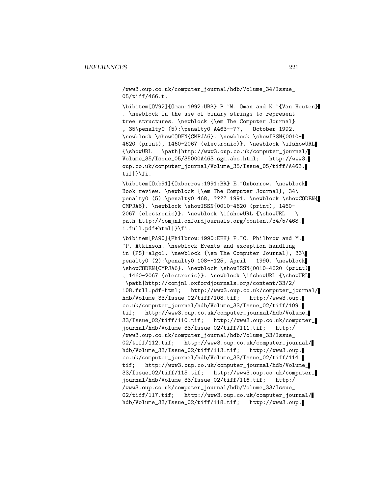/www3.oup.co.uk/computer\_journal/hdb/Volume\_34/Issue\_ 05/tiff/466.t.

\bibitem[OV92]{Oman:1992:UBS} P.~W. Oman and K.~{Van Houten} . \newblock On the use of binary strings to represent tree structures. \newblock {\em The Computer Journal} , 35\penalty0 (5):\penalty0 A463--??, October 1992. \newblock \showCODEN{CMPJA6}. \newblock \showISSN{0010- 4620 (print), 1460-2067 (electronic)}. \newblock \ifshowURL {\showURL \path|http://www3.oup.co.uk/computer\_journal/ Volume\_35/Issue\_05/35000A463.sgm.abs.html; http://www3. oup.co.uk/computer\_journal/Volume\_35/Issue\_05/tiff/A463. tif|}\fi.

\bibitem[Oxb91]{Oxborrow:1991:BR} E.~Oxborrow. \newblock Book review. \newblock {\em The Computer Journal}, 34\ penalty0 (5):\penalty0 468, ???? 1991. \newblock \showCODEN{ CMPJA6}. \newblock \showISSN{0010-4620 (print), 1460- 2067 (electronic)}. \newblock \ifshowURL {\showURL \ path|http://comjnl.oxfordjournals.org/content/34/5/468. 1.full.pdf+html|}\fi.

\bibitem[PA90]{Philbrow:1990:EEH} P.~C. Philbrow and M. ~P. Atkinson. \newblock Events and exception handling in {PS}-algol. \newblock {\em The Computer Journal}, 33\ penalty0 (2):\penalty0 108--125, April 1990. \newblock \showCODEN{CMPJA6}. \newblock \showISSN{0010-4620 (print) , 1460-2067 (electronic)}. \newblock \ifshowURL {\showURL \path|http://comjnl.oxfordjournals.org/content/33/2/ 108.full.pdf+html; http://www3.oup.co.uk/computer\_journal/ hdb/Volume\_33/Issue\_02/tiff/108.tif; http://www3.oup. co.uk/computer\_journal/hdb/Volume\_33/Issue\_02/tiff/109. tif; http://www3.oup.co.uk/computer\_journal/hdb/Volume\_ 33/Issue\_02/tiff/110.tif; http://www3.oup.co.uk/computer\_ journal/hdb/Volume\_33/Issue\_02/tiff/111.tif; http:/ /www3.oup.co.uk/computer\_journal/hdb/Volume\_33/Issue\_ 02/tiff/112.tif; http://www3.oup.co.uk/computer\_journal/ hdb/Volume\_33/Issue\_02/tiff/113.tif; http://www3.oup. co.uk/computer\_journal/hdb/Volume\_33/Issue\_02/tiff/114. tif; http://www3.oup.co.uk/computer\_journal/hdb/Volume\_ 33/Issue\_02/tiff/115.tif; http://www3.oup.co.uk/computer\_ journal/hdb/Volume\_33/Issue\_02/tiff/116.tif; http:/ /www3.oup.co.uk/computer\_journal/hdb/Volume\_33/Issue\_ 02/tiff/117.tif; http://www3.oup.co.uk/computer\_journal/ hdb/Volume\_33/Issue\_02/tiff/118.tif; http://www3.oup.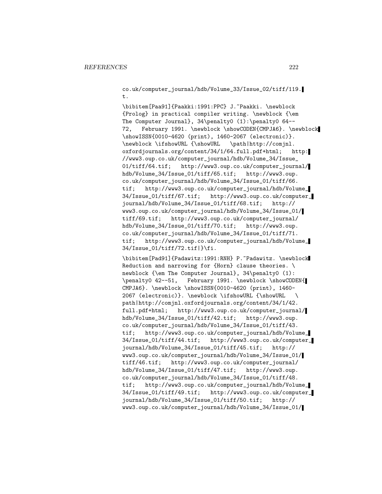co.uk/computer\_journal/hdb/Volume\_33/Issue\_02/tiff/119. t.

\bibitem[Paa91]{Paakki:1991:PPC} J.~Paakki. \newblock {Prolog} in practical compiler writing. \newblock {\em The Computer Journal}, 34\penalty0 (1):\penalty0 64-- 72, February 1991. \newblock \showCODEN{CMPJA6}. \newblock \showISSN{0010-4620 (print), 1460-2067 (electronic)}. \newblock \ifshowURL {\showURL \path|http://comjnl. oxfordjournals.org/content/34/1/64.full.pdf+html; http: //www3.oup.co.uk/computer\_journal/hdb/Volume\_34/Issue\_ 01/tiff/64.tif; http://www3.oup.co.uk/computer\_journal/ hdb/Volume\_34/Issue\_01/tiff/65.tif; http://www3.oup. co.uk/computer\_journal/hdb/Volume\_34/Issue\_01/tiff/66. tif; http://www3.oup.co.uk/computer\_journal/hdb/Volume\_ 34/Issue\_01/tiff/67.tif; http://www3.oup.co.uk/computer\_ journal/hdb/Volume\_34/Issue\_01/tiff/68.tif; http:// www3.oup.co.uk/computer\_journal/hdb/Volume\_34/Issue\_01/ tiff/69.tif; http://www3.oup.co.uk/computer\_journal/ hdb/Volume\_34/Issue\_01/tiff/70.tif; http://www3.oup. co.uk/computer\_journal/hdb/Volume\_34/Issue\_01/tiff/71. tif; http://www3.oup.co.uk/computer\_journal/hdb/Volume\_ 34/Issue\_01/tiff/72.tif|}\fi.

\bibitem[Pad91]{Padawitz:1991:RNH} P.~Padawitz. \newblock Reduction and narrowing for {Horn} clause theories. \ newblock {\em The Computer Journal}, 34\penalty0 (1): \penalty0 42--51, February 1991. \newblock \showCODEN{ CMPJA6}. \newblock \showISSN{0010-4620 (print), 1460- 2067 (electronic)}. \newblock \ifshowURL {\showURL \ path|http://comjnl.oxfordjournals.org/content/34/1/42. full.pdf+html; http://www3.oup.co.uk/computer\_journal/ hdb/Volume\_34/Issue\_01/tiff/42.tif; http://www3.oup. co.uk/computer\_journal/hdb/Volume\_34/Issue\_01/tiff/43. tif; http://www3.oup.co.uk/computer\_journal/hdb/Volume\_ 34/Issue\_01/tiff/44.tif; http://www3.oup.co.uk/computer\_ journal/hdb/Volume\_34/Issue\_01/tiff/45.tif; http:// www3.oup.co.uk/computer\_journal/hdb/Volume\_34/Issue\_01/ tiff/46.tif; http://www3.oup.co.uk/computer\_journal/ hdb/Volume\_34/Issue\_01/tiff/47.tif; http://www3.oup. co.uk/computer\_journal/hdb/Volume\_34/Issue\_01/tiff/48. tif; http://www3.oup.co.uk/computer\_journal/hdb/Volume\_ 34/Issue\_01/tiff/49.tif; http://www3.oup.co.uk/computer\_ journal/hdb/Volume\_34/Issue\_01/tiff/50.tif; http:// www3.oup.co.uk/computer\_journal/hdb/Volume\_34/Issue\_01/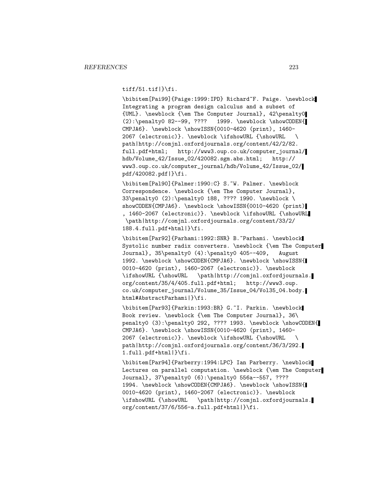tiff/51.tif|}\fi.

\bibitem[Pai99]{Paige:1999:IPD} Richard~F. Paige. \newblock Integrating a program design calculus and a subset of {UML}. \newblock {\em The Computer Journal}, 42\penalty0 (2):\penalty0 82--99, ???? 1999. \newblock \showCODEN{ CMPJA6}. \newblock \showISSN{0010-4620 (print), 1460- 2067 (electronic)}. \newblock \ifshowURL {\showURL \ path|http://comjnl.oxfordjournals.org/content/42/2/82. full.pdf+html; http://www3.oup.co.uk/computer\_journal/ hdb/Volume\_42/Issue\_02/420082.sgm.abs.html; http:// www3.oup.co.uk/computer\_journal/hdb/Volume\_42/Issue\_02/ pdf/420082.pdf|}\fi.

\bibitem[Pal90]{Palmer:1990:C} S.~W. Palmer. \newblock Correspondence. \newblock {\em The Computer Journal}, 33\penalty0 (2):\penalty0 188, ???? 1990. \newblock \ showCODEN{CMPJA6}. \newblock \showISSN{0010-4620 (print) , 1460-2067 (electronic)}. \newblock \ifshowURL {\showURL \path|http://comjnl.oxfordjournals.org/content/33/2/ 188.4.full.pdf+html|}\fi.

\bibitem[Par92]{Parhami:1992:SNR} B.~Parhami. \newblock Systolic number radix converters. \newblock {\em The Computer Journal}, 35\penalty0 (4):\penalty0 405--409, August 1992. \newblock \showCODEN{CMPJA6}. \newblock \showISSN{ 0010-4620 (print), 1460-2067 (electronic)}. \newblock \ifshowURL {\showURL \path|http://comjnl.oxfordjournals. org/content/35/4/405.full.pdf+html; http://www3.oup. co.uk/computer\_journal/Volume\_35/Issue\_04/Vol35\_04.body. html#AbstractParhami|}\fi.

\bibitem[Par93]{Parkin:1993:BR} G.~I. Parkin. \newblock Book review. \newblock {\em The Computer Journal}, 36\ penalty0 (3):\penalty0 292, ???? 1993. \newblock \showCODEN{ CMPJA6}. \newblock \showISSN{0010-4620 (print), 1460- 2067 (electronic)}. \newblock \ifshowURL {\showURL \ path|http://comjnl.oxfordjournals.org/content/36/3/292. 1.full.pdf+html|}\fi.

\bibitem[Par94]{Parberry:1994:LPC} Ian Parberry. \newblock Lectures on parallel computation. \newblock {\em The Computer Journal}, 37\penalty0 (6):\penalty0 556a--557, ???? 1994. \newblock \showCODEN{CMPJA6}. \newblock \showISSN{ 0010-4620 (print), 1460-2067 (electronic)}. \newblock \ifshowURL {\showURL \path|http://comjnl.oxfordjournals. org/content/37/6/556-a.full.pdf+html|}\fi.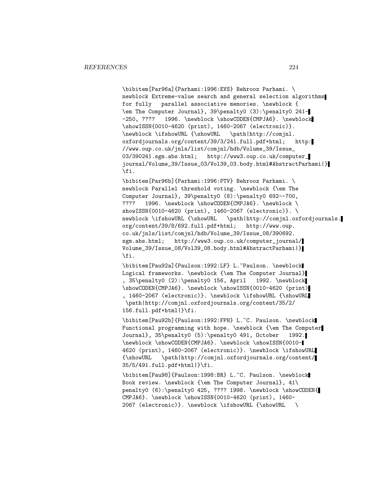\bibitem[Par96a]{Parhami:1996:EVS} Behrooz Parhami. \ newblock Extreme-value search and general selection algorithms for fully parallel associative memories. \newblock { \em The Computer Journal}, 39\penalty0 (3):\penalty0 241- -250, ???? 1996. \newblock \showCODEN{CMPJA6}. \newblock \showISSN{0010-4620 (print), 1460-2067 (electronic)}. \newblock \ifshowURL {\showURL \path|http://comjnl. oxfordjournals.org/content/39/3/241.full.pdf+html; http: //www.oup.co.uk/jnls/list/comjnl/hdb/Volume\_39/Issue\_ 03/390241.sgm.abs.html; http://www3.oup.co.uk/computer\_ journal/Volume\_39/Issue\_03/Vol39\_03.body.html#AbstractParhami|} \fi.

\bibitem[Par96b]{Parhami:1996:PTV} Behrooz Parhami. \ newblock Parallel threshold voting. \newblock {\em The Computer Journal}, 39\penalty0 (8):\penalty0 692--700, ???? 1996. \newblock \showCODEN{CMPJA6}. \newblock \ showISSN{0010-4620 (print), 1460-2067 (electronic)}. \ newblock \ifshowURL {\showURL \path|http://comjnl.oxfordjournals. org/content/39/8/692.full.pdf+html; http://www.oup. co.uk/jnls/list/comjnl/hdb/Volume\_39/Issue\_08/390692. sgm.abs.html; http://www3.oup.co.uk/computer\_journal/ Volume\_39/Issue\_08/Vol39\_08.body.html#AbstractParhami|} \fi.

\bibitem[Pau92a]{Paulson:1992:LF} L.~Paulson. \newblock Logical frameworks. \newblock {\em The Computer Journal} , 35\penalty0 (2):\penalty0 156, April 1992. \newblock \showCODEN{CMPJA6}. \newblock \showISSN{0010-4620 (print) , 1460-2067 (electronic)}. \newblock \ifshowURL {\showURL \path|http://comjnl.oxfordjournals.org/content/35/2/ 156.full.pdf+html|}\fi.

\bibitem[Pau92b]{Paulson:1992:FPH} L.~C. Paulson. \newblock Functional programming with hope. \newblock {\em The Computer Journal}, 35\penalty0 (5):\penalty0 491, October 1992. \newblock \showCODEN{CMPJA6}. \newblock \showISSN{0010- 4620 (print), 1460-2067 (electronic)}. \newblock \ifshowURL {\showURL \path|http://comjnl.oxfordjournals.org/content/ 35/5/491.full.pdf+html|}\fi.

\bibitem[Pau98]{Paulson:1998:BR} L.~C. Paulson. \newblock Book review. \newblock {\em The Computer Journal}, 41\ penalty0 (6):\penalty0 425, ???? 1998. \newblock \showCODEN{ CMPJA6}. \newblock \showISSN{0010-4620 (print), 1460- 2067 (electronic)}. \newblock \ifshowURL {\showURL \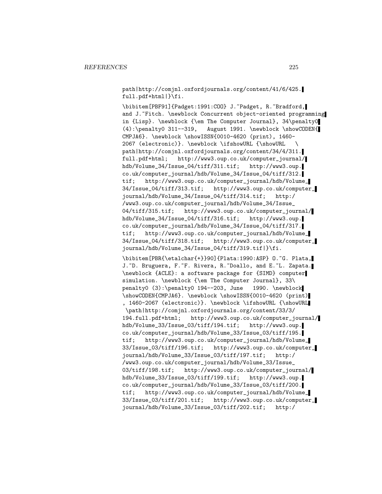path|http://comjnl.oxfordjournals.org/content/41/6/425. full.pdf+html|}\fi.

\bibitem[PBF91]{Padget:1991:COO} J.~Padget, R.~Bradford, and J. "Fitch. \newblock Concurrent object-oriented programming in {Lisp}. \newblock {\em The Computer Journal}, 34\penalty0 (4):\penalty0 311--319, August 1991. \newblock \showCODEN{ CMPJA6}. \newblock \showISSN{0010-4620 (print), 1460- 2067 (electronic)}. \newblock \ifshowURL {\showURL \ path|http://comjnl.oxfordjournals.org/content/34/4/311. full.pdf+html; http://www3.oup.co.uk/computer\_journal/ hdb/Volume\_34/Issue\_04/tiff/311.tif; http://www3.oup. co.uk/computer\_journal/hdb/Volume\_34/Issue\_04/tiff/312. tif; http://www3.oup.co.uk/computer\_journal/hdb/Volume\_ 34/Issue\_04/tiff/313.tif; http://www3.oup.co.uk/computer\_ journal/hdb/Volume\_34/Issue\_04/tiff/314.tif; http:/ /www3.oup.co.uk/computer\_journal/hdb/Volume\_34/Issue\_ 04/tiff/315.tif; http://www3.oup.co.uk/computer\_journal/ hdb/Volume\_34/Issue\_04/tiff/316.tif; http://www3.oup. co.uk/computer\_journal/hdb/Volume\_34/Issue\_04/tiff/317. tif; http://www3.oup.co.uk/computer\_journal/hdb/Volume\_ 34/Issue\_04/tiff/318.tif; http://www3.oup.co.uk/computer\_ journal/hdb/Volume\_34/Issue\_04/tiff/319.tif|}\fi. \bibitem[PBR{\etalchar{+}}90]{Plata:1990:ASP} O.~G. Plata, J. D. Bruguera, F. F. Rivera, R. Doallo, and E. L. Zapata. \newblock {ACLE}: a software package for {SIMD} computer simulation. \newblock {\em The Computer Journal}, 33\ penalty0 (3):\penalty0 194--203, June 1990. \newblock \showCODEN{CMPJA6}. \newblock \showISSN{0010-4620 (print) , 1460-2067 (electronic)}. \newblock \ifshowURL {\showURL \path|http://comjnl.oxfordjournals.org/content/33/3/ 194.full.pdf+html; http://www3.oup.co.uk/computer\_journal/ hdb/Volume\_33/Issue\_03/tiff/194.tif; http://www3.oup. co.uk/computer\_journal/hdb/Volume\_33/Issue\_03/tiff/195. tif; http://www3.oup.co.uk/computer\_journal/hdb/Volume\_ 33/Issue\_03/tiff/196.tif; http://www3.oup.co.uk/computer\_ journal/hdb/Volume\_33/Issue\_03/tiff/197.tif; http:/ /www3.oup.co.uk/computer\_journal/hdb/Volume\_33/Issue\_ 03/tiff/198.tif; http://www3.oup.co.uk/computer\_journal/ hdb/Volume\_33/Issue\_03/tiff/199.tif; http://www3.oup. co.uk/computer\_journal/hdb/Volume\_33/Issue\_03/tiff/200. tif; http://www3.oup.co.uk/computer\_journal/hdb/Volume\_ 33/Issue\_03/tiff/201.tif; http://www3.oup.co.uk/computer\_ journal/hdb/Volume\_33/Issue\_03/tiff/202.tif; http:/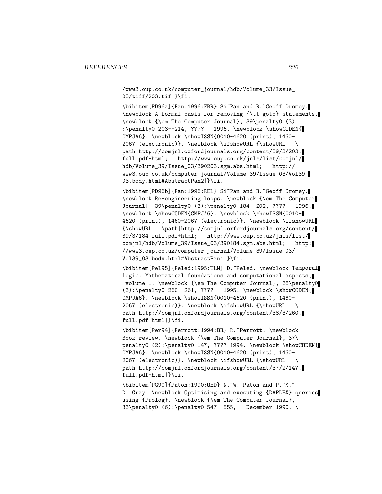/www3.oup.co.uk/computer\_journal/hdb/Volume\_33/Issue\_ 03/tiff/203.tif|}\fi.

\bibitem[PD96a]{Pan:1996:FBR} Si~Pan and R.~Geoff Dromey. \newblock A formal basis for removing {\tt goto} statements. \newblock {\em The Computer Journal}, 39\penalty0 (3) :\penalty0 203--214, ???? 1996. \newblock \showCODEN{ CMPJA6}. \newblock \showISSN{0010-4620 (print), 1460- 2067 (electronic)}. \newblock \ifshowURL {\showURL \ path|http://comjnl.oxfordjournals.org/content/39/3/203. full.pdf+html; http://www.oup.co.uk/jnls/list/comjnl/ hdb/Volume\_39/Issue\_03/390203.sgm.abs.html; http:// www3.oup.co.uk/computer\_journal/Volume\_39/Issue\_03/Vol39\_ 03.body.html#AbstractPan2|}\fi.

\bibitem[PD96b]{Pan:1996:REL} Si~Pan and R.~Geoff Dromey. \newblock Re-engineering loops. \newblock {\em The Computer Journal}, 39\penalty0 (3):\penalty0 184--202, ???? 1996. \newblock \showCODEN{CMPJA6}. \newblock \showISSN{0010- 4620 (print), 1460-2067 (electronic)}. \newblock \ifshowURL {\showURL \path|http://comjnl.oxfordjournals.org/content/ 39/3/184.full.pdf+html; http://www.oup.co.uk/jnls/list/ comjnl/hdb/Volume\_39/Issue\_03/390184.sgm.abs.html; http: //www3.oup.co.uk/computer\_journal/Volume\_39/Issue\_03/ Vol39\_03.body.html#AbstractPan1|}\fi.

\bibitem[Pel95]{Peled:1995:TLM} D.~Peled. \newblock Temporal logic: Mathematical foundations and computational aspects, volume 1. \newblock {\em The Computer Journal}, 38\penalty0 (3):\penalty0 260--261, ???? 1995. \newblock \showCODEN{ CMPJA6}. \newblock \showISSN{0010-4620 (print), 1460- 2067 (electronic)}. \newblock \ifshowURL {\showURL \ path|http://comjnl.oxfordjournals.org/content/38/3/260. full.pdf+html|}\fi.

\bibitem[Per94]{Perrott:1994:BR} R.~Perrott. \newblock Book review. \newblock {\em The Computer Journal}, 37\ penalty0 (2):\penalty0 147, ???? 1994. \newblock \showCODEN{ CMPJA6}. \newblock \showISSN{0010-4620 (print), 1460- 2067 (electronic)}. \newblock \ifshowURL {\showURL \ path|http://comjnl.oxfordjournals.org/content/37/2/147. full.pdf+html|}\fi.

\bibitem[PG90]{Paton:1990:OED} N.~W. Paton and P.~M.~ D. Gray. \newblock Optimising and executing {DAPLEX} queries using {Prolog}. \newblock {\em The Computer Journal}, 33\penalty0 (6):\penalty0 547--555, December 1990. \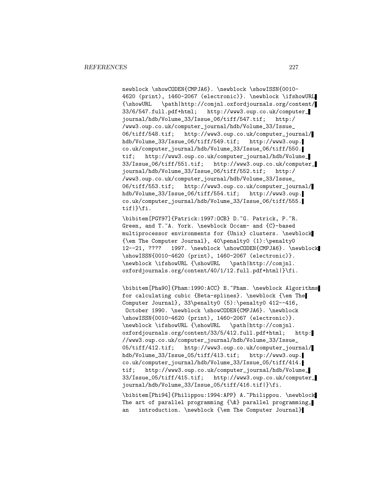newblock \showCODEN{CMPJA6}. \newblock \showISSN{0010-4620 (print), 1460-2067 (electronic)}. \newblock \ifshowURL {\showURL \path|http://comjnl.oxfordjournals.org/content/ 33/6/547.full.pdf+html; http://www3.oup.co.uk/computer\_ journal/hdb/Volume\_33/Issue\_06/tiff/547.tif; http:/ /www3.oup.co.uk/computer\_journal/hdb/Volume\_33/Issue\_ 06/tiff/548.tif; http://www3.oup.co.uk/computer\_journal/ hdb/Volume\_33/Issue\_06/tiff/549.tif; http://www3.oup. co.uk/computer\_journal/hdb/Volume\_33/Issue\_06/tiff/550. tif; http://www3.oup.co.uk/computer\_journal/hdb/Volume\_ 33/Issue\_06/tiff/551.tif; http://www3.oup.co.uk/computer\_ journal/hdb/Volume\_33/Issue\_06/tiff/552.tif; http:/ /www3.oup.co.uk/computer\_journal/hdb/Volume\_33/Issue\_ 06/tiff/553.tif; http://www3.oup.co.uk/computer\_journal/ hdb/Volume\_33/Issue\_06/tiff/554.tif; http://www3.oup. co.uk/computer\_journal/hdb/Volume\_33/Issue\_06/tiff/555. tif|}\fi.

\bibitem[PGY97]{Patrick:1997:OCB} D.~G. Patrick, P.~R. Green, and T.<sup>~</sup>A. York. \newblock Occam- and {C}-based multiprocessor environments for {Unix} clusters. \newblock {\em The Computer Journal}, 40\penalty0 (1):\penalty0 12--21, ???? 1997. \newblock \showCODEN{CMPJA6}. \newblock \showISSN{0010-4620 (print), 1460-2067 (electronic)}. \newblock \ifshowURL {\showURL \path|http://comjnl. oxfordjournals.org/content/40/1/12.full.pdf+html|}\fi.

\bibitem[Pha90]{Pham:1990:ACC} B.~Pham. \newblock Algorithms for calculating cubic {Beta-splines}. \newblock {\em The Computer Journal}, 33\penalty0 (5):\penalty0 412--416, October 1990. \newblock \showCODEN{CMPJA6}. \newblock \showISSN{0010-4620 (print), 1460-2067 (electronic)}. \newblock \ifshowURL {\showURL \path|http://comjnl. oxfordjournals.org/content/33/5/412.full.pdf+html; http: //www3.oup.co.uk/computer\_journal/hdb/Volume\_33/Issue\_ 05/tiff/412.tif; http://www3.oup.co.uk/computer\_journal/ hdb/Volume\_33/Issue\_05/tiff/413.tif; http://www3.oup. co.uk/computer\_journal/hdb/Volume\_33/Issue\_05/tiff/414. tif; http://www3.oup.co.uk/computer\_journal/hdb/Volume\_ 33/Issue\_05/tiff/415.tif; http://www3.oup.co.uk/computer\_ journal/hdb/Volume\_33/Issue\_05/tiff/416.tif|}\fi. \bibitem[Phi94]{Philippou:1994:APP} A.~Philippou. \newblock The art of parallel programming  $\{\&\}$  parallel programming, an introduction. \newblock {\em The Computer Journal}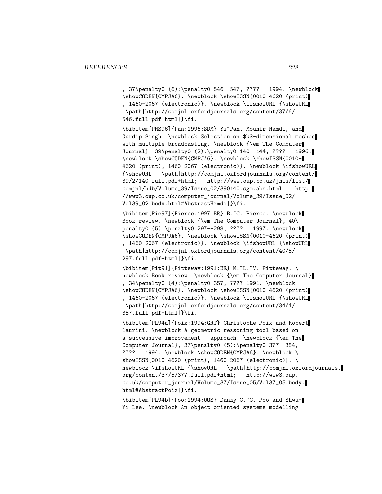, 37\penalty0 (6):\penalty0 546--547, ???? 1994. \newblock \showCODEN{CMPJA6}. \newblock \showISSN{0010-4620 (print) , 1460-2067 (electronic)}. \newblock \ifshowURL {\showURL \path|http://comjnl.oxfordjournals.org/content/37/6/ 546.full.pdf+html|}\fi.

\bibitem[PHS96]{Pan:1996:SDM} Yi~Pan, Mounir Hamdi, and Gurdip Singh. \newblock Selection on \$k\$-dimensional meshes with multiple broadcasting. \newblock {\em The Computer Journal}, 39\penalty0 (2):\penalty0 140--144, ???? 1996. \newblock \showCODEN{CMPJA6}. \newblock \showISSN{0010- 4620 (print), 1460-2067 (electronic)}. \newblock \ifshowURL {\showURL \path|http://comjnl.oxfordjournals.org/content/ 39/2/140.full.pdf+html; http://www.oup.co.uk/jnls/list/ comjnl/hdb/Volume\_39/Issue\_02/390140.sgm.abs.html; http: //www3.oup.co.uk/computer\_journal/Volume\_39/Issue\_02/ Vol39\_02.body.html#AbstractHamdi|}\fi.

\bibitem[Pie97]{Pierce:1997:BR} B.~C. Pierce. \newblock Book review. \newblock {\em The Computer Journal}, 40\ penalty0 (5):\penalty0 297--298, ???? 1997. \newblock \showCODEN{CMPJA6}. \newblock \showISSN{0010-4620 (print) , 1460-2067 (electronic)}. \newblock \ifshowURL {\showURL \path|http://comjnl.oxfordjournals.org/content/40/5/ 297.full.pdf+html|}\fi.

\bibitem[Pit91]{Pitteway:1991:BR} M.~L.~V. Pitteway. \ newblock Book review. \newblock {\em The Computer Journal} , 34\penalty0 (4):\penalty0 357, ???? 1991. \newblock \showCODEN{CMPJA6}. \newblock \showISSN{0010-4620 (print) , 1460-2067 (electronic)}. \newblock \ifshowURL {\showURL \path|http://comjnl.oxfordjournals.org/content/34/4/ 357.full.pdf+html|}\fi.

\bibitem[PL94a]{Poix:1994:GRT} Christophe Poix and Robert Laurini. \newblock A geometric reasoning tool based on a successive improvement approach. \newblock {\em The Computer Journal}, 37\penalty0 (5):\penalty0 377--384, ???? 1994. \newblock \showCODEN{CMPJA6}. \newblock \ showISSN{0010-4620 (print), 1460-2067 (electronic)}. \ newblock \ifshowURL {\showURL \path|http://comjnl.oxfordjournals. org/content/37/5/377.full.pdf+html; http://www3.oup. co.uk/computer\_journal/Volume\_37/Issue\_05/Vol37\_05.body. html#AbstractPoix|}\fi.

\bibitem[PL94b]{Poo:1994:OOS} Danny C.~C. Poo and Shwu-Yi Lee. \newblock An object-oriented systems modelling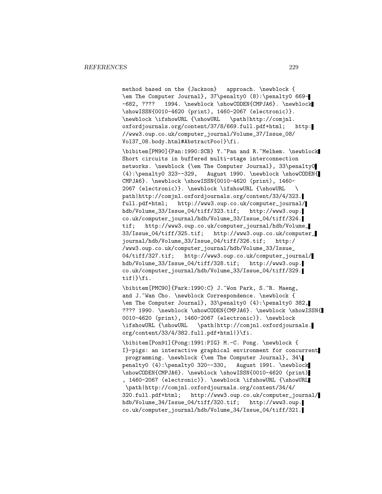method based on the {Jackson} approach. \newblock { \em The Computer Journal}, 37\penalty0 (8):\penalty0 669- -682, ???? 1994. \newblock \showCODEN{CMPJA6}. \newblock \showISSN{0010-4620 (print), 1460-2067 (electronic)}.<br>\newblock \ifshowURL {\showURL \path|http://comjnl.  $\newblock \iflambda {\showURL}$ oxfordjournals.org/content/37/8/669.full.pdf+html; http: //www3.oup.co.uk/computer\_journal/Volume\_37/Issue\_08/ Vol37\_08.body.html#AbstractPoo|}\fi.

\bibitem[PM90]{Pan:1990:SCB} Y.~Pan and R.~Melhem. \newblock Short circuits in buffered multi-stage interconnection networks. \newblock {\em The Computer Journal}, 33\penalty0 (4):\penalty0 323--329, August 1990. \newblock \showCODEN{ CMPJA6}. \newblock \showISSN{0010-4620 (print), 1460- 2067 (electronic)}. \newblock \ifshowURL {\showURL \ path|http://comjnl.oxfordjournals.org/content/33/4/323. full.pdf+html; http://www3.oup.co.uk/computer\_journal/ hdb/Volume\_33/Issue\_04/tiff/323.tif; http://www3.oup. co.uk/computer\_journal/hdb/Volume\_33/Issue\_04/tiff/324. tif; http://www3.oup.co.uk/computer\_journal/hdb/Volume\_ 33/Issue\_04/tiff/325.tif; http://www3.oup.co.uk/computer\_ journal/hdb/Volume\_33/Issue\_04/tiff/326.tif; http:/ /www3.oup.co.uk/computer\_journal/hdb/Volume\_33/Issue\_ 04/tiff/327.tif; http://www3.oup.co.uk/computer\_journal/ hdb/Volume\_33/Issue\_04/tiff/328.tif; http://www3.oup. co.uk/computer\_journal/hdb/Volume\_33/Issue\_04/tiff/329. tif|}\fi.

\bibitem[PMC90]{Park:1990:C} J.~Won Park, S.~R. Maeng, and J.~Wan Cho. \newblock Correspondence. \newblock { \em The Computer Journal}, 33\penalty0 (4):\penalty0 382, ???? 1990. \newblock \showCODEN{CMPJA6}. \newblock \showISSN{ 0010-4620 (print), 1460-2067 (electronic)}. \newblock \ifshowURL {\showURL \path|http://comjnl.oxfordjournals. org/content/33/4/382.full.pdf+html|}\fi.

\bibitem[Pon91]{Pong:1991:PIG} M.-C. Pong. \newblock { I}-pigs: an interactive graphical environment for concurrent programming. \newblock {\em The Computer Journal}, 34\ penalty0 (4):\penalty0 320--330, August 1991. \newblock \showCODEN{CMPJA6}. \newblock \showISSN{0010-4620 (print) , 1460-2067 (electronic)}. \newblock \ifshowURL {\showURL \path|http://comjnl.oxfordjournals.org/content/34/4/ 320.full.pdf+html; http://www3.oup.co.uk/computer\_journal/ hdb/Volume\_34/Issue\_04/tiff/320.tif; http://www3.oup. co.uk/computer\_journal/hdb/Volume\_34/Issue\_04/tiff/321.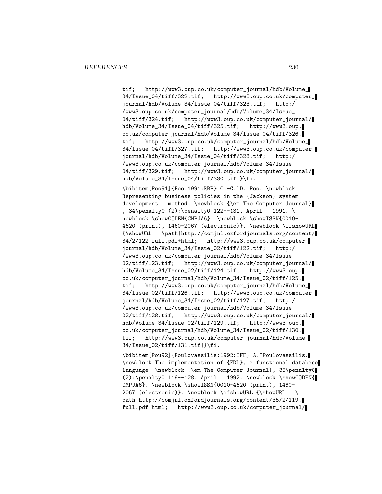tif; http://www3.oup.co.uk/computer\_journal/hdb/Volume\_ 34/Issue\_04/tiff/322.tif; http://www3.oup.co.uk/computer\_ journal/hdb/Volume\_34/Issue\_04/tiff/323.tif; http:/ /www3.oup.co.uk/computer\_journal/hdb/Volume\_34/Issue\_ 04/tiff/324.tif; http://www3.oup.co.uk/computer\_journal/ hdb/Volume\_34/Issue\_04/tiff/325.tif; http://www3.oup. co.uk/computer\_journal/hdb/Volume\_34/Issue\_04/tiff/326. tif; http://www3.oup.co.uk/computer\_journal/hdb/Volume\_ 34/Issue\_04/tiff/327.tif; http://www3.oup.co.uk/computer\_ journal/hdb/Volume\_34/Issue\_04/tiff/328.tif; http:/ /www3.oup.co.uk/computer\_journal/hdb/Volume\_34/Issue\_ 04/tiff/329.tif; http://www3.oup.co.uk/computer\_journal/ hdb/Volume\_34/Issue\_04/tiff/330.tif|}\fi.

\bibitem[Poo91]{Poo:1991:RBP} C.-C.~D. Poo. \newblock Representing business policies in the {Jackson} system development method. \newblock {\em The Computer Journal} , 34\penalty0 (2):\penalty0 122--131, April 1991. \ newblock \showCODEN{CMPJA6}. \newblock \showISSN{0010-4620 (print), 1460-2067 (electronic)}. \newblock \ifshowURL {\showURL \path|http://comjnl.oxfordjournals.org/content/ 34/2/122.full.pdf+html; http://www3.oup.co.uk/computer\_ journal/hdb/Volume\_34/Issue\_02/tiff/122.tif; http:/ /www3.oup.co.uk/computer\_journal/hdb/Volume\_34/Issue\_ 02/tiff/123.tif; http://www3.oup.co.uk/computer\_journal/ hdb/Volume\_34/Issue\_02/tiff/124.tif; http://www3.oup. co.uk/computer\_journal/hdb/Volume\_34/Issue\_02/tiff/125. tif; http://www3.oup.co.uk/computer\_journal/hdb/Volume\_ 34/Issue\_02/tiff/126.tif; http://www3.oup.co.uk/computer\_ journal/hdb/Volume\_34/Issue\_02/tiff/127.tif; http:/ /www3.oup.co.uk/computer\_journal/hdb/Volume\_34/Issue\_ 02/tiff/128.tif; http://www3.oup.co.uk/computer\_journal/ hdb/Volume\_34/Issue\_02/tiff/129.tif; http://www3.oup. co.uk/computer\_journal/hdb/Volume\_34/Issue\_02/tiff/130. tif; http://www3.oup.co.uk/computer\_journal/hdb/Volume\_ 34/Issue\_02/tiff/131.tif|}\fi.

\bibitem[Pou92]{Poulovassilis:1992:IFF} A.~Poulovassilis. \newblock The implementation of {FDL}, a functional database language. \newblock {\em The Computer Journal}, 35\penalty0 (2):\penalty0 119--128, April 1992. \newblock \showCODEN{ CMPJA6}. \newblock \showISSN{0010-4620 (print), 1460- 2067 (electronic)}. \newblock \ifshowURL {\showURL \ path|http://comjnl.oxfordjournals.org/content/35/2/119. full.pdf+html; http://www3.oup.co.uk/computer\_journal/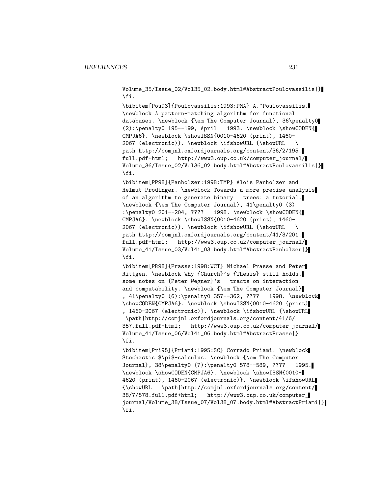Volume\_35/Issue\_02/Vol35\_02.body.html#AbstractPoulovassilis|} \fi.

\bibitem[Pou93]{Poulovassilis:1993:PMA} A.~Poulovassilis. \newblock A pattern-matching algorithm for functional databases. \newblock {\em The Computer Journal}, 36\penalty0  $(2): \penalty0 195--199, April 1993. \newblock \showCODEN{$ CMPJA6}. \newblock \showISSN{0010-4620 (print), 1460- 2067 (electronic)}. \newblock \ifshowURL {\showURL \ path|http://comjnl.oxfordjournals.org/content/36/2/195. full.pdf+html; http://www3.oup.co.uk/computer\_journal/ Volume\_36/Issue\_02/Vol36\_02.body.html#AbstractPoulovassilis|} \fi.

\bibitem[PP98]{Panholzer:1998:TMP} Alois Panholzer and Helmut Prodinger. \newblock Towards a more precise analysis of an algorithm to generate binary trees: a tutorial. \newblock {\em The Computer Journal}, 41\penalty0 (3) :\penalty0 201--204, ???? 1998. \newblock \showCODEN{ CMPJA6}. \newblock \showISSN{0010-4620 (print), 1460- 2067 (electronic)}. \newblock \ifshowURL {\showURL \ path|http://comjnl.oxfordjournals.org/content/41/3/201. full.pdf+html; http://www3.oup.co.uk/computer\_journal/ Volume\_41/Issue\_03/Vol41\_03.body.html#AbstractPanholzer|} \fi.

\bibitem[PR98]{Prasse:1998:WCT} Michael Prasse and Peter Rittgen. \newblock Why {Church}'s {Thesis} still holds. some notes on {Peter Wegner}'s tracts on interaction and computability. \newblock {\em The Computer Journal} , 41\penalty0 (6):\penalty0 357--362, ???? 1998. \newblock \showCODEN{CMPJA6}. \newblock \showISSN{0010-4620 (print) , 1460-2067 (electronic)}. \newblock \ifshowURL {\showURL \path|http://comjnl.oxfordjournals.org/content/41/6/ 357.full.pdf+html; http://www3.oup.co.uk/computer\_journal/ Volume\_41/Issue\_06/Vol41\_06.body.html#AbstractPrasse|} \fi.

\bibitem[Pri95]{Priami:1995:SC} Corrado Priami. \newblock Stochastic \$\pi\$-calculus. \newblock {\em The Computer Journal}, 38\penalty0 (7):\penalty0 578--589, ???? 1995. \newblock \showCODEN{CMPJA6}. \newblock \showISSN{0010- 4620 (print), 1460-2067 (electronic)}. \newblock \ifshowURL {\showURL \path|http://comjnl.oxfordjournals.org/content/ 38/7/578.full.pdf+html; http://www3.oup.co.uk/computer\_ journal/Volume\_38/Issue\_07/Vol38\_07.body.html#AbstractPriami|} \fi.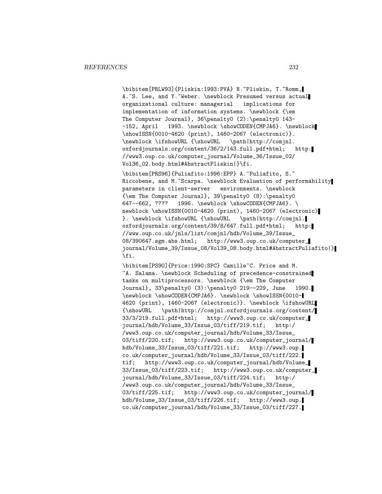\bibitem[PRLW93]{Pliskin:1993:PVA} N.~Pliskin, T.~Romm, A.~S. Lee, and Y.~Weber. \newblock Presumed versus actual organizational culture: managerial implications for implementation of information systems. \newblock {\em The Computer Journal}, 36\penalty0 (2):\penalty0 143- -152, April 1993. \newblock \showCODEN{CMPJA6}. \newblock \showISSN{0010-4620 (print), 1460-2067 (electronic)}. \newblock \ifshowURL {\showURL \path|http://comjnl. oxfordjournals.org/content/36/2/143.full.pdf+html; http: //www3.oup.co.uk/computer\_journal/Volume\_36/Issue\_02/ Vol36\_02.body.html#AbstractPliskin|}\fi.

\bibitem[PRS96]{Puliafito:1996:EPP} A.~Puliafito, S.~ Riccobene, and M.~Scarpa. \newblock Evaluation of performability parameters in client-server environments. \newblock {\em The Computer Journal}, 39\penalty0 (8):\penalty0 647--662, ???? 1996. \newblock \showCODEN{CMPJA6}. \ newblock \showISSN{0010-4620 (print), 1460-2067 (electronic) }. \newblock \ifshowURL {\showURL \path|http://comjnl. oxfordjournals.org/content/39/8/647.full.pdf+html; http: //www.oup.co.uk/jnls/list/comjnl/hdb/Volume\_39/Issue\_ 08/390647.sgm.abs.html; http://www3.oup.co.uk/computer\_ journal/Volume\_39/Issue\_08/Vol39\_08.body.html#AbstractPuliafito|} \fi.

\bibitem[PS90]{Price:1990:SPC} Camille~C. Price and M. ~A. Salama. \newblock Scheduling of precedence-constrained tasks on multiprocessors. \newblock {\em The Computer Journal}, 33\penalty0 (3):\penalty0 219--229, June 1990. \newblock \showCODEN{CMPJA6}. \newblock \showISSN{0010- 4620 (print), 1460-2067 (electronic)}. \newblock \ifshowURL {\showURL \path|http://comjnl.oxfordjournals.org/content/ 33/3/219.full.pdf+html; http://www3.oup.co.uk/computer\_ journal/hdb/Volume\_33/Issue\_03/tiff/219.tif; http:/ /www3.oup.co.uk/computer\_journal/hdb/Volume\_33/Issue\_ 03/tiff/220.tif; http://www3.oup.co.uk/computer\_journal/ hdb/Volume\_33/Issue\_03/tiff/221.tif; http://www3.oup. co.uk/computer\_journal/hdb/Volume\_33/Issue\_03/tiff/222. tif; http://www3.oup.co.uk/computer\_journal/hdb/Volume\_ 33/Issue\_03/tiff/223.tif; http://www3.oup.co.uk/computer\_ journal/hdb/Volume\_33/Issue\_03/tiff/224.tif; http:/ /www3.oup.co.uk/computer\_journal/hdb/Volume\_33/Issue\_ 03/tiff/225.tif; http://www3.oup.co.uk/computer\_journal/ hdb/Volume\_33/Issue\_03/tiff/226.tif; http://www3.oup. co.uk/computer\_journal/hdb/Volume\_33/Issue\_03/tiff/227.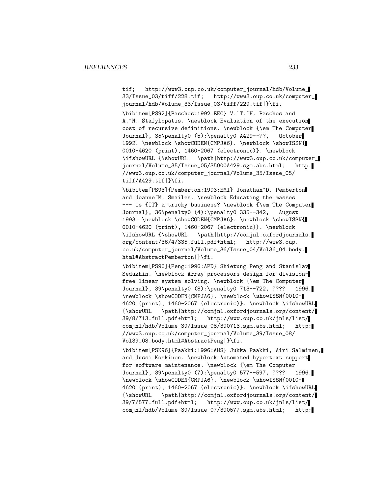tif; http://www3.oup.co.uk/computer\_journal/hdb/Volume\_<br>33/Issue\_03/tiff/228.tif; http://www3.oup.co.uk/computer http://www3.oup.co.uk/computer\_ journal/hdb/Volume\_33/Issue\_03/tiff/229.tif|}\fi.

\bibitem[PS92]{Paschos:1992:EEC} V.~T.~H. Paschos and A. N. Stafylopatis. \newblock Evaluation of the execution cost of recursive definitions. \newblock {\em The Computer Journal}, 35\penalty0 (5):\penalty0 A429--??, October 1992. \newblock \showCODEN{CMPJA6}. \newblock \showISSN{ 0010-4620 (print), 1460-2067 (electronic)}. \newblock \ifshowURL {\showURL \path|http://www3.oup.co.uk/computer\_ journal/Volume\_35/Issue\_05/35000A429.sgm.abs.html; http: //www3.oup.co.uk/computer\_journal/Volume\_35/Issue\_05/  $\text{tf}/\text{A}429.\text{tf}$ 

\bibitem[PS93]{Pemberton:1993:EMI} Jonathan~D. Pemberton and Joanne<sup>~</sup>M. Smailes. \newblock Educating the masses --- is {IT} a tricky business? \newblock {\em The Computer Journal}, 36\penalty0 (4):\penalty0 335--342, August 1993. \newblock \showCODEN{CMPJA6}. \newblock \showISSN{ 0010-4620 (print), 1460-2067 (electronic)}. \newblock \ifshowURL {\showURL \path|http://comjnl.oxfordjournals. org/content/36/4/335.full.pdf+html; http://www3.oup. co.uk/computer\_journal/Volume\_36/Issue\_04/Vol36\_04.body. html#AbstractPemberton|}\fi.

\bibitem[PS96]{Peng:1996:APD} Shietung Peng and Stanislav Sedukhin. \newblock Array processors design for divisionfree linear system solving. \newblock {\em The Computer Journal}, 39\penalty0 (8):\penalty0 713--722, ???? 1996. \newblock \showCODEN{CMPJA6}. \newblock \showISSN{0010- 4620 (print), 1460-2067 (electronic)}. \newblock \ifshowURL {\showURL \path|http://comjnl.oxfordjournals.org/content/ 39/8/713.full.pdf+html; http://www.oup.co.uk/jnls/list/ comjnl/hdb/Volume\_39/Issue\_08/390713.sgm.abs.html; http: //www3.oup.co.uk/computer\_journal/Volume\_39/Issue\_08/ Vol39\_08.body.html#AbstractPeng|}\fi.

\bibitem[PSK96]{Paakki:1996:AHS} Jukka Paakki, Airi Salminen, and Jussi Koskinen. \newblock Automated hypertext support for software maintenance. \newblock {\em The Computer Journal}, 39\penalty0 (7):\penalty0 577--597, ???? 1996. \newblock \showCODEN{CMPJA6}. \newblock \showISSN{0010- 4620 (print), 1460-2067 (electronic)}. \newblock \ifshowURL {\showURL \path|http://comjnl.oxfordjournals.org/content/ 39/7/577.full.pdf+html; http://www.oup.co.uk/jnls/list/ comjnl/hdb/Volume\_39/Issue\_07/390577.sgm.abs.html; http: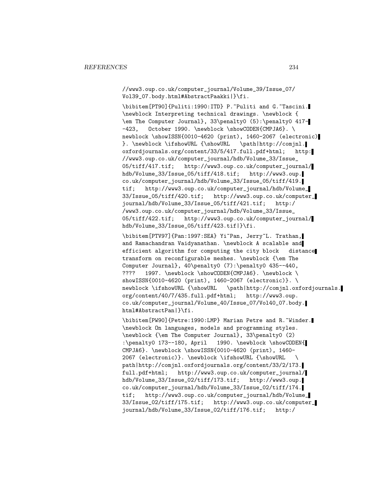//www3.oup.co.uk/computer\_journal/Volume\_39/Issue\_07/ Vol39\_07.body.html#AbstractPaakki|}\fi.

\bibitem[PT90]{Puliti:1990:ITD} P.~Puliti and G.~Tascini. \newblock Interpreting technical drawings. \newblock { \em The Computer Journal}, 33\penalty0 (5):\penalty0 417- -423, October 1990. \newblock \showCODEN{CMPJA6}. \ newblock \showISSN{0010-4620 (print), 1460-2067 (electronic) }. \newblock \ifshowURL {\showURL \path|http://comjnl. oxfordjournals.org/content/33/5/417.full.pdf+html; http: //www3.oup.co.uk/computer\_journal/hdb/Volume\_33/Issue\_ 05/tiff/417.tif; http://www3.oup.co.uk/computer\_journal/ hdb/Volume\_33/Issue\_05/tiff/418.tif; http://www3.oup. co.uk/computer\_journal/hdb/Volume\_33/Issue\_05/tiff/419. tif; http://www3.oup.co.uk/computer\_journal/hdb/Volume\_ 33/Issue\_05/tiff/420.tif; http://www3.oup.co.uk/computer\_ journal/hdb/Volume\_33/Issue\_05/tiff/421.tif; http:/ /www3.oup.co.uk/computer\_journal/hdb/Volume\_33/Issue\_ 05/tiff/422.tif; http://www3.oup.co.uk/computer\_journal/ hdb/Volume\_33/Issue\_05/tiff/423.tif|}\fi.

\bibitem[PTV97]{Pan:1997:SEA} Yi~Pan, Jerry~L. Trathan, and Ramachandran Vaidyanathan. \newblock A scalable and efficient algorithm for computing the city block distance transform on reconfigurable meshes. \newblock {\em The Computer Journal}, 40\penalty0 (7):\penalty0 435--440, ???? 1997. \newblock \showCODEN{CMPJA6}. \newblock \ showISSN{0010-4620 (print), 1460-2067 (electronic)}. \ newblock \ifshowURL {\showURL \path|http://comjnl.oxfordjournals. org/content/40/7/435.full.pdf+html; http://www3.oup. co.uk/computer\_journal/Volume\_40/Issue\_07/Vol40\_07.body. html#AbstractPan|}\fi.

\bibitem[PW90]{Petre:1990:LMP} Marian Petre and R.~Winder. \newblock On languages, models and programming styles. \newblock {\em The Computer Journal}, 33\penalty0 (2) :\penalty0 173--180, April 1990. \newblock \showCODEN{ CMPJA6}. \newblock \showISSN{0010-4620 (print), 1460- 2067 (electronic)}. \newblock \ifshowURL {\showURL \ path|http://comjnl.oxfordjournals.org/content/33/2/173. full.pdf+html; http://www3.oup.co.uk/computer\_journal/ hdb/Volume\_33/Issue\_02/tiff/173.tif; http://www3.oup. co.uk/computer\_journal/hdb/Volume\_33/Issue\_02/tiff/174. tif; http://www3.oup.co.uk/computer\_journal/hdb/Volume\_ 33/Issue\_02/tiff/175.tif; http://www3.oup.co.uk/computer\_ journal/hdb/Volume\_33/Issue\_02/tiff/176.tif; http:/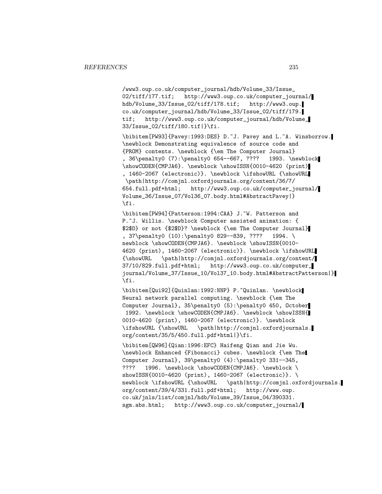/www3.oup.co.uk/computer\_journal/hdb/Volume\_33/Issue\_ 02/tiff/177.tif; http://www3.oup.co.uk/computer\_journal/ hdb/Volume\_33/Issue\_02/tiff/178.tif; http://www3.oup. co.uk/computer\_journal/hdb/Volume\_33/Issue\_02/tiff/179. tif; http://www3.oup.co.uk/computer\_journal/hdb/Volume\_ 33/Issue\_02/tiff/180.tif|}\fi.

\bibitem[PW93]{Pavey:1993:DES} D.~J. Pavey and L.~A. Winsborrow. \newblock Demonstrating equivalence of source code and {PROM} contents. \newblock {\em The Computer Journal} , 36\penalty0 (7):\penalty0 654--667, ???? 1993. \newblock \showCODEN{CMPJA6}. \newblock \showISSN{0010-4620 (print) , 1460-2067 (electronic)}. \newblock \ifshowURL {\showURL \path|http://comjnl.oxfordjournals.org/content/36/7/ 654.full.pdf+html; http://www3.oup.co.uk/computer\_journal/ Volume\_36/Issue\_07/Vol36\_07.body.html#AbstractPavey|} \fi.

\bibitem[PW94]{Patterson:1994:CAA} J.~W. Patterson and P.~J. Willis. \newblock Computer assisted animation: { \$2\$D} or not {\$2\$D}? \newblock {\em The Computer Journal} , 37\penalty0 (10):\penalty0 829--839, ???? 1994. \ newblock \showCODEN{CMPJA6}. \newblock \showISSN{0010-4620 (print), 1460-2067 (electronic)}. \newblock \ifshowURL {\showURL \path|http://comjnl.oxfordjournals.org/content/ 37/10/829.full.pdf+html; http://www3.oup.co.uk/computer\_ journal/Volume\_37/Issue\_10/Vol37\_10.body.html#AbstractPatterson|} \fi.

\bibitem[Qui92]{Quinlan:1992:NNP} P.~Quinlan. \newblock Neural network parallel computing. \newblock {\em The Computer Journal}, 35\penalty0 (5):\penalty0 450, October 1992. \newblock \showCODEN{CMPJA6}. \newblock \showISSN{ 0010-4620 (print), 1460-2067 (electronic)}. \newblock \ifshowURL {\showURL \path|http://comjnl.oxfordjournals. org/content/35/5/450.full.pdf+html|}\fi.

\bibitem[QW96]{Qian:1996:EFC} Haifeng Qian and Jie Wu. \newblock Enhanced {Fibonacci} cubes. \newblock {\em The Computer Journal}, 39\penalty0 (4):\penalty0 331--345, ???? 1996. \newblock \showCODEN{CMPJA6}. \newblock \ showISSN{0010-4620 (print), 1460-2067 (electronic)}. \ newblock \ifshowURL {\showURL \path|http://comjnl.oxfordjournals. org/content/39/4/331.full.pdf+html; http://www.oup. co.uk/jnls/list/comjnl/hdb/Volume\_39/Issue\_04/390331. sgm.abs.html; http://www3.oup.co.uk/computer\_journal/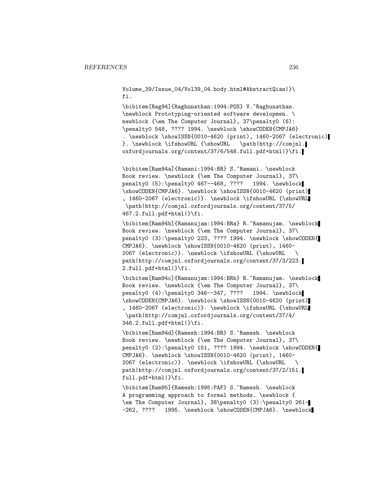Volume\_39/Issue\_04/Vol39\_04.body.html#AbstractQian|}\ fi.

\bibitem[Rag94]{Raghunathan:1994:POS} V.~Raghunathan. \newblock Prototyping-oriented software developmen. \ newblock {\em The Computer Journal}, 37\penalty0 (6): \penalty0 548, ???? 1994. \newblock \showCODEN{CMPJA6} . \newblock \showISSN{0010-4620 (print), 1460-2067 (electronic) }. \newblock \ifshowURL {\showURL \path|http://comjnl. oxfordjournals.org/content/37/6/548.full.pdf+html|}\fi.

\bibitem[Ram94a]{Ramani:1994:BR} S.~Ramani. \newblock Book review. \newblock {\em The Computer Journal}, 37\ penalty0 (5):\penalty0 467--468, ???? 1994. \newblock \showCODEN{CMPJA6}. \newblock \showISSN{0010-4620 (print) , 1460-2067 (electronic)}. \newblock \ifshowURL {\showURL \path|http://comjnl.oxfordjournals.org/content/37/5/ 467.2.full.pdf+html|}\fi.

\bibitem[Ram94b]{Ramanujam:1994:BRa} R.~Ramanujam. \newblock Book review. \newblock {\em The Computer Journal}, 37\ penalty0 (3):\penalty0 223, ???? 1994. \newblock \showCODEN{ CMPJA6}. \newblock \showISSN{0010-4620 (print), 1460- 2067 (electronic)}. \newblock \ifshowURL {\showURL \ path|http://comjnl.oxfordjournals.org/content/37/3/223. 2.full.pdf+html|}\fi.

\bibitem[Ram94c]{Ramanujam:1994:BRb} R.~Ramanujam. \newblock Book review. \newblock {\em The Computer Journal}, 37\ penalty0 (4):\penalty0 346--347, ???? 1994. \newblock \showCODEN{CMPJA6}. \newblock \showISSN{0010-4620 (print) , 1460-2067 (electronic)}. \newblock \ifshowURL {\showURL \path|http://comjnl.oxfordjournals.org/content/37/4/ 346.2.full.pdf+html|}\fi.

\bibitem[Ram94d]{Ramesh:1994:BR} S.~Ramesh. \newblock Book review. \newblock {\em The Computer Journal}, 37\ penalty0 (2):\penalty0 151, ???? 1994. \newblock \showCODEN{ CMPJA6}. \newblock \showISSN{0010-4620 (print), 1460- 2067 (electronic)}. \newblock \ifshowURL {\showURL \ path|http://comjnl.oxfordjournals.org/content/37/2/151. full.pdf+html|}\fi.

\bibitem[Ram95]{Ramesh:1995:PAF} S.~Ramesh. \newblock A programming approach to formal methods. \newblock { \em The Computer Journal}, 38\penalty0 (3):\penalty0 261- -262, ???? 1995. \newblock \showCODEN{CMPJA6}. \newblock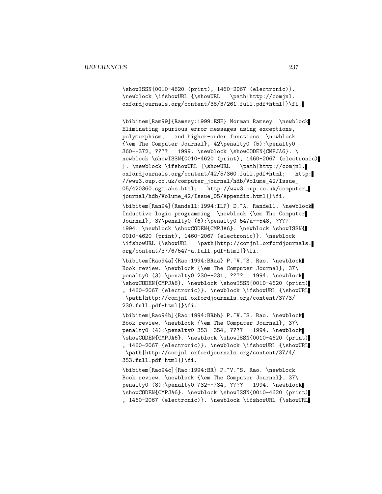\showISSN{0010-4620 (print), 1460-2067 (electronic)}. \newblock \ifshowURL {\showURL \path|http://comjnl. oxfordjournals.org/content/38/3/261.full.pdf+html|}\fi.

\bibitem[Ram99]{Ramsey:1999:ESE} Norman Ramsey. \newblock Eliminating spurious error messages using exceptions, polymorphism, and higher-order functions. \newblock {\em The Computer Journal}, 42\penalty0 (5):\penalty0 360--372, ???? 1999. \newblock \showCODEN{CMPJA6}. \ newblock \showISSN{0010-4620 (print), 1460-2067 (electronic) }. \newblock \ifshowURL {\showURL \path|http://comjnl. oxfordjournals.org/content/42/5/360.full.pdf+html; http: //www3.oup.co.uk/computer\_journal/hdb/Volume\_42/Issue\_ 05/420360.sgm.abs.html; http://www3.oup.co.uk/computer\_ journal/hdb/Volume\_42/Issue\_05/Appendix.html|}\fi.

\bibitem[Ran94]{Randell:1994:ILP} D.~A. Randell. \newblock Inductive logic programming. \newblock {\em The Computer Journal}, 37\penalty0 (6):\penalty0 547a--548, ???? 1994. \newblock \showCODEN{CMPJA6}. \newblock \showISSN{ 0010-4620 (print), 1460-2067 (electronic)}. \newblock \ifshowURL {\showURL \path|http://comjnl.oxfordjournals. org/content/37/6/547-a.full.pdf+html|}\fi.

\bibitem[Rao94a]{Rao:1994:BRaa} P.~V.~S. Rao. \newblock Book review. \newblock {\em The Computer Journal}, 37\ penalty0 (3):\penalty0 230--231, ???? 1994. \newblock \showCODEN{CMPJA6}. \newblock \showISSN{0010-4620 (print) , 1460-2067 (electronic)}. \newblock \ifshowURL {\showURL \path|http://comjnl.oxfordjournals.org/content/37/3/ 230.full.pdf+html|}\fi.

\bibitem[Rao94b]{Rao:1994:BRbb} P.~V.~S. Rao. \newblock Book review. \newblock {\em The Computer Journal}, 37\ penalty0 (4):\penalty0 353--354, ???? 1994. \newblock \showCODEN{CMPJA6}. \newblock \showISSN{0010-4620 (print) , 1460-2067 (electronic)}. \newblock \ifshowURL {\showURL \path|http://comjnl.oxfordjournals.org/content/37/4/ 353.full.pdf+html|}\fi.

\bibitem[Rao94c]{Rao:1994:BR} P.~V.~S. Rao. \newblock Book review. \newblock {\em The Computer Journal}, 37\ penalty0 (8):\penalty0 732--734, ???? 1994. \newblock \showCODEN{CMPJA6}. \newblock \showISSN{0010-4620 (print) , 1460-2067 (electronic)}. \newblock \ifshowURL {\showURL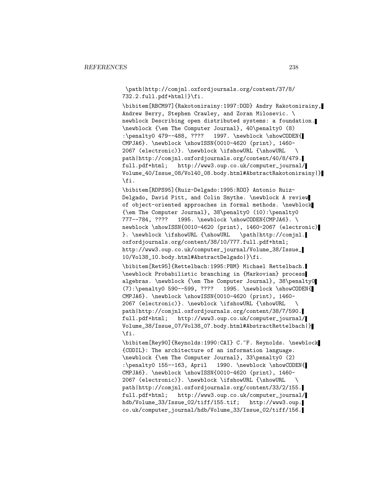\path|http://comjnl.oxfordjournals.org/content/37/8/ 732.2.full.pdf+html|}\fi.

\bibitem[RBCM97]{Rakotonirainy:1997:DOD} Andry Rakotonirainy, Andrew Berry, Stephen Crawley, and Zoran Milosevic. \ newblock Describing open distributed systems: a foundation. \newblock {\em The Computer Journal}, 40\penalty0 (8) :\penalty0 479--488, ???? 1997. \newblock \showCODEN{ CMPJA6}. \newblock \showISSN{0010-4620 (print), 1460- 2067 (electronic)}. \newblock \ifshowURL {\showURL \ path|http://comjnl.oxfordjournals.org/content/40/8/479. full.pdf+html; http://www3.oup.co.uk/computer\_journal/ Volume\_40/Issue\_08/Vol40\_08.body.html#AbstractRakotonirainy|} \fi.

\bibitem[RDPS95]{Ruiz-Delgado:1995:ROO} Antonio Ruiz-Delgado, David Pitt, and Colin Smythe. \newblock A review of object-oriented approaches in formal methods. \newblock {\em The Computer Journal}, 38\penalty0 (10):\penalty0 777--784, ???? 1995. \newblock \showCODEN{CMPJA6}. \ newblock \showISSN{0010-4620 (print), 1460-2067 (electronic) }. \newblock \ifshowURL {\showURL \path|http://comjnl. oxfordjournals.org/content/38/10/777.full.pdf+html; http://www3.oup.co.uk/computer\_journal/Volume\_38/Issue\_ 10/Vol38\_10.body.html#AbstractDelgado|}\fi.

\bibitem[Ret95]{Rettelbach:1995:PBM} Michael Rettelbach. \newblock Probabilistic branching in {Markovian} process algebras. \newblock {\em The Computer Journal}, 38\penalty0 (7):\penalty0 590--599, ???? 1995. \newblock \showCODEN{ CMPJA6}. \newblock \showISSN{0010-4620 (print), 1460- 2067 (electronic)}. \newblock \ifshowURL {\showURL \ path|http://comjnl.oxfordjournals.org/content/38/7/590. full.pdf+html; http://www3.oup.co.uk/computer\_journal/ Volume\_38/Issue\_07/Vol38\_07.body.html#AbstractRettelbach|} \fi.

\bibitem[Rey90]{Reynolds:1990:CAI} C.~F. Reynolds. \newblock {CODIL}: The architecture of an information language. \newblock {\em The Computer Journal}, 33\penalty0 (2) :\penalty0 155--163, April 1990. \newblock \showCODEN{ CMPJA6}. \newblock \showISSN{0010-4620 (print), 1460- 2067 (electronic)}. \newblock \ifshowURL {\showURL \ path|http://comjnl.oxfordjournals.org/content/33/2/155. full.pdf+html; http://www3.oup.co.uk/computer\_journal/ hdb/Volume\_33/Issue\_02/tiff/155.tif; http://www3.oup. co.uk/computer\_journal/hdb/Volume\_33/Issue\_02/tiff/156.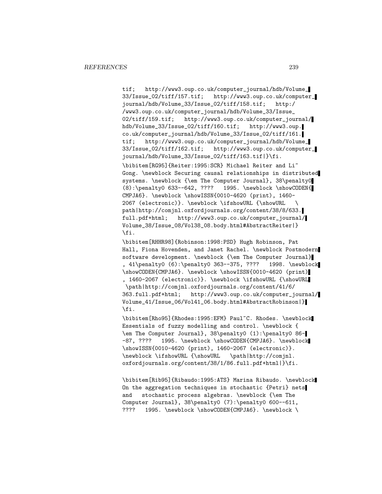tif; http://www3.oup.co.uk/computer\_journal/hdb/Volume\_ 33/Issue\_02/tiff/157.tif; http://www3.oup.co.uk/computer\_ journal/hdb/Volume\_33/Issue\_02/tiff/158.tif; http:/ /www3.oup.co.uk/computer\_journal/hdb/Volume\_33/Issue\_ 02/tiff/159.tif; http://www3.oup.co.uk/computer\_journal/ hdb/Volume\_33/Issue\_02/tiff/160.tif; http://www3.oup. co.uk/computer\_journal/hdb/Volume\_33/Issue\_02/tiff/161. tif; http://www3.oup.co.uk/computer\_journal/hdb/Volume\_ 33/Issue\_02/tiff/162.tif; http://www3.oup.co.uk/computer\_ journal/hdb/Volume\_33/Issue\_02/tiff/163.tif|}\fi. \bibitem[RG95]{Reiter:1995:SCR} Michael Reiter and Li~ Gong. \newblock Securing causal relationships in distributed systems. \newblock {\em The Computer Journal}, 38\penalty0 (8):\penalty0 633--642, ???? 1995. \newblock \showCODEN{ CMPJA6}. \newblock \showISSN{0010-4620 (print), 1460- 2067 (electronic)}. \newblock \ifshowURL {\showURL \ path|http://comjnl.oxfordjournals.org/content/38/8/633. full.pdf+html; http://www3.oup.co.uk/computer\_journal/ Volume\_38/Issue\_08/Vol38\_08.body.html#AbstractReiter|} \fi.

\bibitem[RHHR98]{Robinson:1998:PSD} Hugh Robinson, Pat Hall, Fiona Hovenden, and Janet Rachel. \newblock Postmodern software development. \newblock {\em The Computer Journal} , 41\penalty0 (6):\penalty0 363--375, ???? 1998. \newblock \showCODEN{CMPJA6}. \newblock \showISSN{0010-4620 (print) , 1460-2067 (electronic)}. \newblock \ifshowURL {\showURL \path|http://comjnl.oxfordjournals.org/content/41/6/ 363.full.pdf+html; http://www3.oup.co.uk/computer\_journal/ Volume\_41/Issue\_06/Vol41\_06.body.html#AbstractRobinson|} \fi.

\bibitem[Rho95]{Rhodes:1995:EFM} Paul~C. Rhodes. \newblock Essentials of fuzzy modelling and control. \newblock { \em The Computer Journal}, 38\penalty0 (1):\penalty0 86- -87, ???? 1995. \newblock \showCODEN{CMPJA6}. \newblock \showISSN{0010-4620 (print), 1460-2067 (electronic)}. \newblock \ifshowURL {\showURL \path|http://comjnl. oxfordjournals.org/content/38/1/86.full.pdf+html|}\fi.

\bibitem[Rib95]{Ribaudo:1995:ATS} Marina Ribaudo. \newblock On the aggregation techniques in stochastic {Petri} nets and stochastic process algebras. \newblock {\em The Computer Journal}, 38\penalty0 (7):\penalty0 600--611, ???? 1995. \newblock \showCODEN{CMPJA6}. \newblock \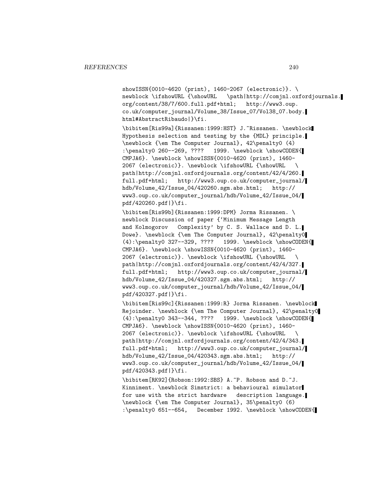showISSN{0010-4620 (print), 1460-2067 (electronic)}. \ newblock \ifshowURL {\showURL \path|http://comjnl.oxfordjournals. org/content/38/7/600.full.pdf+html; http://www3.oup. co.uk/computer\_journal/Volume\_38/Issue\_07/Vol38\_07.body. html#AbstractRibaudo|}\fi.

\bibitem[Ris99a]{Rissanen:1999:HST} J.~Rissanen. \newblock Hypothesis selection and testing by the {MDL} principle. \newblock {\em The Computer Journal}, 42\penalty0 (4) :\penalty0 260--269, ???? 1999. \newblock \showCODEN{ CMPJA6}. \newblock \showISSN{0010-4620 (print), 1460- 2067 (electronic)}. \newblock \ifshowURL {\showURL \ path|http://comjnl.oxfordjournals.org/content/42/4/260. full.pdf+html; http://www3.oup.co.uk/computer\_journal/ hdb/Volume\_42/Issue\_04/420260.sgm.abs.html; http:// www3.oup.co.uk/computer\_journal/hdb/Volume\_42/Issue\_04/ pdf/420260.pdf|}\fi.

\bibitem[Ris99b]{Rissanen:1999:DPM} Jorma Rissanen. \ newblock Discussion of paper {'Minimum Message Length and Kolmogorov Complexity' by C. S. Wallace and D. L. Dowe}. \newblock {\em The Computer Journal}, 42\penalty0 (4):\penalty0 327--329, ???? 1999. \newblock \showCODEN{ CMPJA6}. \newblock \showISSN{0010-4620 (print), 1460- 2067 (electronic)}. \newblock \ifshowURL {\showURL \ path|http://comjnl.oxfordjournals.org/content/42/4/327. full.pdf+html; http://www3.oup.co.uk/computer\_journal/ hdb/Volume\_42/Issue\_04/420327.sgm.abs.html; http:// www3.oup.co.uk/computer\_journal/hdb/Volume\_42/Issue\_04/ pdf/420327.pdf|}\fi.

\bibitem[Ris99c]{Rissanen:1999:R} Jorma Rissanen. \newblock Rejoinder. \newblock {\em The Computer Journal}, 42\penalty0 (4):\penalty0 343--344, ???? 1999. \newblock \showCODEN{ CMPJA6}. \newblock \showISSN{0010-4620 (print), 1460- 2067 (electronic)}. \newblock \ifshowURL {\showURL \ path|http://comjnl.oxfordjournals.org/content/42/4/343. full.pdf+html; http://www3.oup.co.uk/computer\_journal/ hdb/Volume\_42/Issue\_04/420343.sgm.abs.html; http:// www3.oup.co.uk/computer\_journal/hdb/Volume\_42/Issue\_04/ pdf/420343.pdf|}\fi.

\bibitem[RK92]{Robson:1992:SBS} A.~P. Robson and D.~J. Kinniment. \newblock Simstrict: a behavioural simulator for use with the strict hardware description language. \newblock {\em The Computer Journal}, 35\penalty0 (6) :\penalty0 651--654, December 1992. \newblock \showCODEN{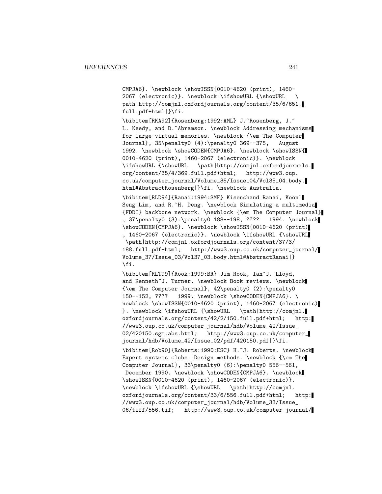CMPJA6}. \newblock \showISSN{0010-4620 (print), 1460- 2067 (electronic)}. \newblock \ifshowURL {\showURL \ path|http://comjnl.oxfordjournals.org/content/35/6/651. full.pdf+html|}\fi.

\bibitem[RKA92]{Rosenberg:1992:AML} J.~Rosenberg, J.~ L. Keedy, and D. Abramson. \newblock Addressing mechanisms for large virtual memories. \newblock {\em The Computer Journal}, 35\penalty0 (4):\penalty0 369--375, August 1992. \newblock \showCODEN{CMPJA6}. \newblock \showISSN{ 0010-4620 (print), 1460-2067 (electronic)}. \newblock \ifshowURL {\showURL \path|http://comjnl.oxfordjournals. org/content/35/4/369.full.pdf+html; http://www3.oup. co.uk/computer\_journal/Volume\_35/Issue\_04/Vol35\_04.body. html#AbstractRosenberg|}\fi. \newblock Australia.

\bibitem[RLD94]{Ranai:1994:SMF} Kisenchand Ranai, Koon~ Seng Lim, and R.<sup>~</sup>H. Deng. \newblock Simulating a multimedia {FDDI} backbone network. \newblock {\em The Computer Journal} , 37\penalty0 (3):\penalty0 188--198, ???? 1994. \newblock \showCODEN{CMPJA6}. \newblock \showISSN{0010-4620 (print) , 1460-2067 (electronic)}. \newblock \ifshowURL {\showURL \path|http://comjnl.oxfordjournals.org/content/37/3/ 188.full.pdf+html; http://www3.oup.co.uk/computer\_journal/ Volume\_37/Issue\_03/Vol37\_03.body.html#AbstractRanai|} \fi.

\bibitem[RLT99]{Rook:1999:BR} Jim Rook, Ian~J. Lloyd, and Kenneth~J. Turner. \newblock Book reviews. \newblock {\em The Computer Journal}, 42\penalty0 (2):\penalty0 150--152, ???? 1999. \newblock \showCODEN{CMPJA6}. \ newblock \showISSN{0010-4620 (print), 1460-2067 (electronic) }. \newblock \ifshowURL {\showURL \path|http://comjnl. oxfordjournals.org/content/42/2/150.full.pdf+html; http: //www3.oup.co.uk/computer\_journal/hdb/Volume\_42/Issue\_ 02/420150.sgm.abs.html; http://www3.oup.co.uk/computer\_ journal/hdb/Volume\_42/Issue\_02/pdf/420150.pdf|}\fi.

\bibitem[Rob90]{Roberts:1990:ESC} H.~J. Roberts. \newblock Expert systems clubs: Design methods. \newblock {\em The Computer Journal}, 33\penalty0 (6):\penalty0 556--561, December 1990. \newblock \showCODEN{CMPJA6}. \newblock \showISSN{0010-4620 (print), 1460-2067 (electronic)}. \newblock \ifshowURL {\showURL \path|http://comjnl. oxfordjournals.org/content/33/6/556.full.pdf+html; http: //www3.oup.co.uk/computer\_journal/hdb/Volume\_33/Issue\_ 06/tiff/556.tif; http://www3.oup.co.uk/computer\_journal/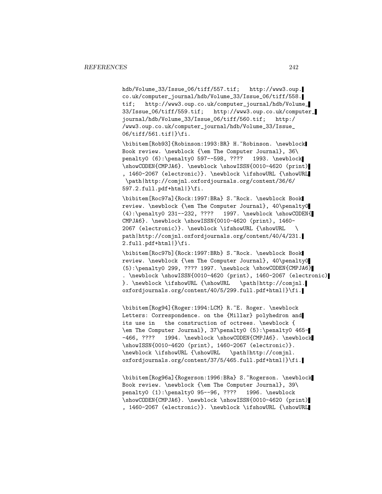hdb/Volume\_33/Issue\_06/tiff/557.tif; http://www3.oup. co.uk/computer\_journal/hdb/Volume\_33/Issue\_06/tiff/558. tif; http://www3.oup.co.uk/computer\_journal/hdb/Volume\_ 33/Issue\_06/tiff/559.tif; http://www3.oup.co.uk/computer\_ journal/hdb/Volume\_33/Issue\_06/tiff/560.tif; http:/ /www3.oup.co.uk/computer\_journal/hdb/Volume\_33/Issue\_ 06/tiff/561.tif|}\fi.

\bibitem[Rob93]{Robinson:1993:BR} H.~Robinson. \newblock Book review. \newblock {\em The Computer Journal}, 36\ penalty0 (6):\penalty0 597--598, ???? 1993. \newblock \showCODEN{CMPJA6}. \newblock \showISSN{0010-4620 (print) , 1460-2067 (electronic)}. \newblock \ifshowURL {\showURL \path|http://comjnl.oxfordjournals.org/content/36/6/ 597.2.full.pdf+html|}\fi.

\bibitem[Roc97a]{Rock:1997:BRa} S.~Rock. \newblock Book review. \newblock {\em The Computer Journal}, 40\penalty0 (4):\penalty0 231--232, ???? 1997. \newblock \showCODEN{ CMPJA6}. \newblock \showISSN{0010-4620 (print), 1460- 2067 (electronic)}. \newblock \ifshowURL {\showURL \ path|http://comjnl.oxfordjournals.org/content/40/4/231. 2.full.pdf+html|}\fi.

\bibitem[Roc97b]{Rock:1997:BRb} S.~Rock. \newblock Book review. \newblock {\em The Computer Journal}, 40\penalty0 (5):\penalty0 299, ???? 1997. \newblock \showCODEN{CMPJA6} . \newblock \showISSN{0010-4620 (print), 1460-2067 (electronic) }. \newblock \ifshowURL {\showURL \path|http://comjnl. oxfordjournals.org/content/40/5/299.full.pdf+html|}\fi.

\bibitem[Rog94]{Roger:1994:LCM} R.~E. Roger. \newblock Letters: Correspondence. on the {Millar} polyhedron and its use in the construction of octrees. \newblock { \em The Computer Journal}, 37\penalty0 (5):\penalty0 465- -466, ???? 1994. \newblock \showCODEN{CMPJA6}. \newblock \showISSN{0010-4620 (print), 1460-2067 (electronic)}. \newblock \ifshowURL {\showURL \path|http://comjnl. oxfordjournals.org/content/37/5/465.full.pdf+html|}\fi.

\bibitem[Rog96a]{Rogerson:1996:BRa} S.~Rogerson. \newblock Book review. \newblock {\em The Computer Journal}, 39\ penalty0 (1):\penalty0 95--96, ???? 1996. \newblock \showCODEN{CMPJA6}. \newblock \showISSN{0010-4620 (print) , 1460-2067 (electronic)}. \newblock \ifshowURL {\showURL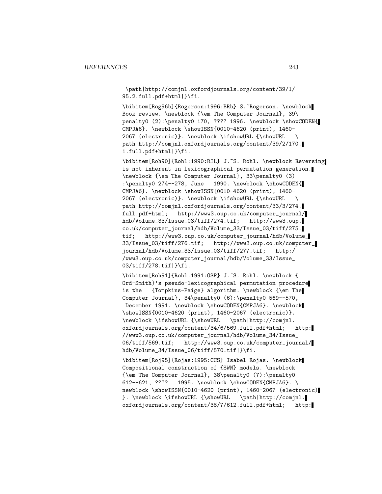\path|http://comjnl.oxfordjournals.org/content/39/1/ 95.2.full.pdf+html|}\fi.

\bibitem[Rog96b]{Rogerson:1996:BRb} S.~Rogerson. \newblock Book review. \newblock {\em The Computer Journal}, 39\ penalty0 (2):\penalty0 170, ???? 1996. \newblock \showCODEN{ CMPJA6}. \newblock \showISSN{0010-4620 (print), 1460- 2067 (electronic)}. \newblock \ifshowURL {\showURL \ path|http://comjnl.oxfordjournals.org/content/39/2/170. 1.full.pdf+html|}\fi.

\bibitem[Roh90]{Rohl:1990:RIL} J.~S. Rohl. \newblock Reversing is not inherent in lexicographical permutation generation. \newblock {\em The Computer Journal}, 33\penalty0 (3) :\penalty0 274--278, June 1990. \newblock \showCODEN{ CMPJA6}. \newblock \showISSN{0010-4620 (print), 1460- 2067 (electronic)}. \newblock \ifshowURL {\showURL \ path|http://comjnl.oxfordjournals.org/content/33/3/274. full.pdf+html; http://www3.oup.co.uk/computer\_journal/ hdb/Volume\_33/Issue\_03/tiff/274.tif; http://www3.oup. co.uk/computer\_journal/hdb/Volume\_33/Issue\_03/tiff/275. tif; http://www3.oup.co.uk/computer\_journal/hdb/Volume\_ 33/Issue\_03/tiff/276.tif; http://www3.oup.co.uk/computer\_ journal/hdb/Volume\_33/Issue\_03/tiff/277.tif; http:/ /www3.oup.co.uk/computer\_journal/hdb/Volume\_33/Issue\_ 03/tiff/278.tif|}\fi.

\bibitem[Roh91]{Rohl:1991:OSP} J.~S. Rohl. \newblock { Ord-Smith}'s pseudo-lexicographical permutation procedure is the {Tompkins-Paige} algorithm. \newblock {\em The Computer Journal}, 34\penalty0 (6):\penalty0 569--570, December 1991. \newblock \showCODEN{CMPJA6}. \newblock \showISSN{0010-4620 (print), 1460-2067 (electronic)}. \newblock \ifshowURL {\showURL \path|http://comjnl. oxfordjournals.org/content/34/6/569.full.pdf+html; http: //www3.oup.co.uk/computer\_journal/hdb/Volume\_34/Issue\_ 06/tiff/569.tif; http://www3.oup.co.uk/computer\_journal/ hdb/Volume\_34/Issue\_06/tiff/570.tif|}\fi.

\bibitem[Roj95]{Rojas:1995:CCS} Isabel Rojas. \newblock Compositional construction of {SWN} models. \newblock {\em The Computer Journal}, 38\penalty0 (7):\penalty0 612--621, ???? 1995. \newblock \showCODEN{CMPJA6}. \ newblock \showISSN{0010-4620 (print), 1460-2067 (electronic) }. \newblock \ifshowURL {\showURL \path|http://comjnl. oxfordjournals.org/content/38/7/612.full.pdf+html; http: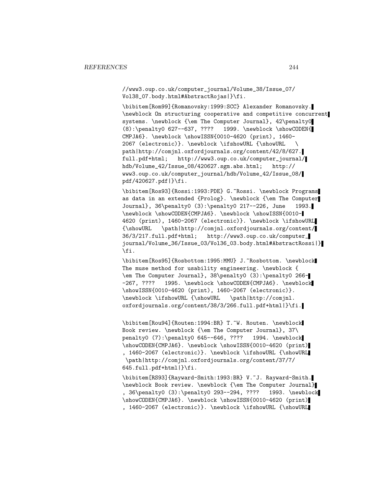//www3.oup.co.uk/computer\_journal/Volume\_38/Issue\_07/ Vol38\_07.body.html#AbstractRojas|}\fi.

\bibitem[Rom99]{Romanovsky:1999:SCC} Alexander Romanovsky. \newblock On structuring cooperative and competitive concurrent systems. \newblock {\em The Computer Journal}, 42\penalty0 (8):\penalty0 627--637, ???? 1999. \newblock \showCODEN{ CMPJA6}. \newblock \showISSN{0010-4620 (print), 1460- 2067 (electronic)}. \newblock \ifshowURL {\showURL \ path|http://comjnl.oxfordjournals.org/content/42/8/627. full.pdf+html; http://www3.oup.co.uk/computer\_journal/ hdb/Volume\_42/Issue\_08/420627.sgm.abs.html; http:// www3.oup.co.uk/computer\_journal/hdb/Volume\_42/Issue\_08/ pdf/420627.pdf|}\fi.

\bibitem[Ros93]{Rossi:1993:PDE} G.~Rossi. \newblock Programs as data in an extended {Prolog}. \newblock {\em The Computer Journal}, 36\penalty0 (3):\penalty0 217--226, June 1993. \newblock \showCODEN{CMPJA6}. \newblock \showISSN{0010- 4620 (print), 1460-2067 (electronic)}. \newblock \ifshowURL {\showURL \path|http://comjnl.oxfordjournals.org/content/ 36/3/217.full.pdf+html; http://www3.oup.co.uk/computer\_ journal/Volume\_36/Issue\_03/Vol36\_03.body.html#AbstractRossi|} \fi.

\bibitem[Ros95]{Rosbottom:1995:MMU} J.~Rosbottom. \newblock The muse method for usability engineering. \newblock { \em The Computer Journal}, 38\penalty0 (3):\penalty0 266- -267, ???? 1995. \newblock \showCODEN{CMPJA6}. \newblock \showISSN{0010-4620 (print), 1460-2067 (electronic)}. \newblock \ifshowURL {\showURL \path|http://comjnl. oxfordjournals.org/content/38/3/266.full.pdf+html|}\fi.

\bibitem[Rou94]{Routen:1994:BR} T.~W. Routen. \newblock Book review. \newblock {\em The Computer Journal}, 37\ penalty0 (7):\penalty0 645--646, ???? 1994. \newblock \showCODEN{CMPJA6}. \newblock \showISSN{0010-4620 (print) , 1460-2067 (electronic)}. \newblock \ifshowURL {\showURL \path|http://comjnl.oxfordjournals.org/content/37/7/ 645.full.pdf+html|}\fi.

\bibitem[RS93]{Rayward-Smith:1993:BR} V.~J. Rayward-Smith. \newblock Book review. \newblock {\em The Computer Journal} , 36\penalty0 (3):\penalty0 293--294, ???? 1993. \newblock \showCODEN{CMPJA6}. \newblock \showISSN{0010-4620 (print) , 1460-2067 (electronic)}. \newblock \ifshowURL {\showURL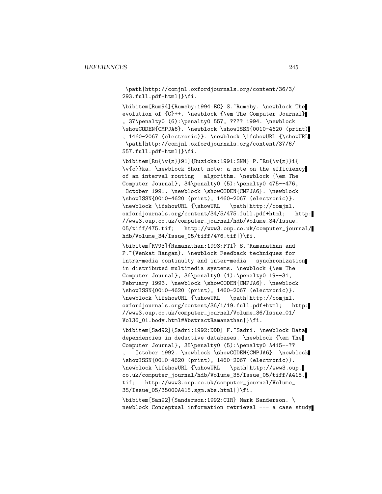\path|http://comjnl.oxfordjournals.org/content/36/3/ 293.full.pdf+html|}\fi.

\bibitem[Rum94]{Rumsby:1994:EC} S.~Rumsby. \newblock The evolution of {C}++. \newblock {\em The Computer Journal} , 37\penalty0 (6):\penalty0 557, ???? 1994. \newblock \showCODEN{CMPJA6}. \newblock \showISSN{0010-4620 (print) , 1460-2067 (electronic)}. \newblock \ifshowURL {\showURL \path|http://comjnl.oxfordjournals.org/content/37/6/ 557.full.pdf+html|}\fi.

 $\b{b}$ ibitem[Ru{\v{z}}91]{Ruzicka:1991:SNN} P.~Ru{\v{z}}i{ \v{c}}ka. \newblock Short note: a note on the efficiency of an interval routing algorithm. \newblock {\em The Computer Journal}, 34\penalty0 (5):\penalty0 475--476, October 1991. \newblock \showCODEN{CMPJA6}. \newblock \showISSN{0010-4620 (print), 1460-2067 (electronic)}. \newblock \ifshowURL {\showURL \path|http://comjnl. oxfordjournals.org/content/34/5/475.full.pdf+html; http: //www3.oup.co.uk/computer\_journal/hdb/Volume\_34/Issue\_ 05/tiff/475.tif; http://www3.oup.co.uk/computer\_journal/ hdb/Volume\_34/Issue\_05/tiff/476.tif|}\fi.

\bibitem[RV93]{Ramanathan:1993:FTI} S.~Ramanathan and P. "{Venkat Rangan}. \newblock Feedback techniques for intra-media continuity and inter-media synchronization in distributed multimedia systems. \newblock {\em The Computer Journal}, 36\penalty0 (1):\penalty0 19--31, February 1993. \newblock \showCODEN{CMPJA6}. \newblock \showISSN{0010-4620 (print), 1460-2067 (electronic)}. \newblock \ifshowURL {\showURL \path|http://comjnl. oxfordjournals.org/content/36/1/19.full.pdf+html; http: //www3.oup.co.uk/computer\_journal/Volume\_36/Issue\_01/ Vol36\_01.body.html#AbstractRamanathan|}\fi.

\bibitem[Sad92]{Sadri:1992:DDD} F.~Sadri. \newblock Data dependencies in deductive databases. \newblock {\em The Computer Journal}, 35\penalty0 (5):\penalty0 A415--?? October 1992. \newblock \showCODEN{CMPJA6}. \newblock \showISSN{0010-4620 (print), 1460-2067 (electronic)}. \newblock \ifshowURL {\showURL \path|http://www3.oup. co.uk/computer\_journal/hdb/Volume\_35/Issue\_05/tiff/A415. tif; http://www3.oup.co.uk/computer\_journal/Volume\_ 35/Issue\_05/35000A415.sgm.abs.html|}\fi.

\bibitem[San92]{Sanderson:1992:CIR} Mark Sanderson. \ newblock Conceptual information retrieval --- a case study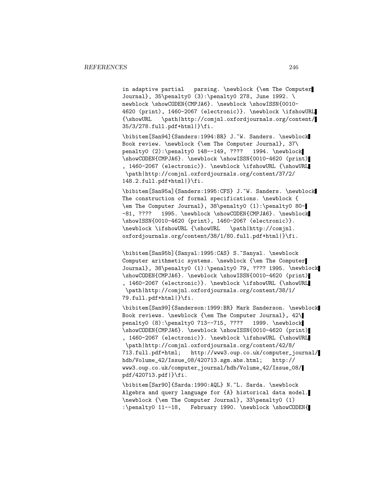in adaptive partial parsing. \newblock {\em The Computer Journal}, 35\penalty0  $(3)$ :\penalty0 278, June 1992. newblock \showCODEN{CMPJA6}. \newblock \showISSN{0010-4620 (print), 1460-2067 (electronic)}. \newblock \ifshowURL {\showURL \path|http://comjnl.oxfordjournals.org/content/ 35/3/278.full.pdf+html|}\fi.

\bibitem[San94]{Sanders:1994:BR} J.~W. Sanders. \newblock Book review. \newblock {\em The Computer Journal}, 37\ penalty0 (2):\penalty0 148--149, ???? 1994. \newblock \showCODEN{CMPJA6}. \newblock \showISSN{0010-4620 (print) , 1460-2067 (electronic)}. \newblock \ifshowURL {\showURL \path|http://comjnl.oxfordjournals.org/content/37/2/ 148.2.full.pdf+html|}\fi.

\bibitem[San95a]{Sanders:1995:CFS} J.~W. Sanders. \newblock The construction of formal specifications. \newblock { \em The Computer Journal}, 38\penalty0 (1):\penalty0 80- -81, ???? 1995. \newblock \showCODEN{CMPJA6}. \newblock \showISSN{0010-4620 (print), 1460-2067 (electronic)}. \newblock \ifshowURL {\showURL \path|http://comjnl. oxfordjournals.org/content/38/1/80.full.pdf+html|}\fi.

\bibitem[San95b]{Sanyal:1995:CAS} S.~Sanyal. \newblock Computer arithmetic systems. \newblock {\em The Computer Journal}, 38\penalty0 (1):\penalty0 79, ???? 1995. \newblock \showCODEN{CMPJA6}. \newblock \showISSN{0010-4620 (print) , 1460-2067 (electronic)}. \newblock \ifshowURL {\showURL \path|http://comjnl.oxfordjournals.org/content/38/1/ 79.full.pdf+html|}\fi.

\bibitem[San99]{Sanderson:1999:BR} Mark Sanderson. \newblock Book reviews. \newblock {\em The Computer Journal}, 42\ penalty0 (8):\penalty0 713--715, ???? 1999. \newblock \showCODEN{CMPJA6}. \newblock \showISSN{0010-4620 (print) , 1460-2067 (electronic)}. \newblock \ifshowURL {\showURL \path|http://comjnl.oxfordjournals.org/content/42/8/ 713.full.pdf+html; http://www3.oup.co.uk/computer\_journal/ hdb/Volume\_42/Issue\_08/420713.sgm.abs.html; http:// www3.oup.co.uk/computer\_journal/hdb/Volume\_42/Issue\_08/ pdf/420713.pdf|}\fi.

\bibitem[Sar90]{Sarda:1990:AQL} N.~L. Sarda. \newblock Algebra and query language for {A} historical data model. \newblock {\em The Computer Journal}, 33\penalty0 (1) :\penalty0 11--18, February 1990. \newblock \showCODEN{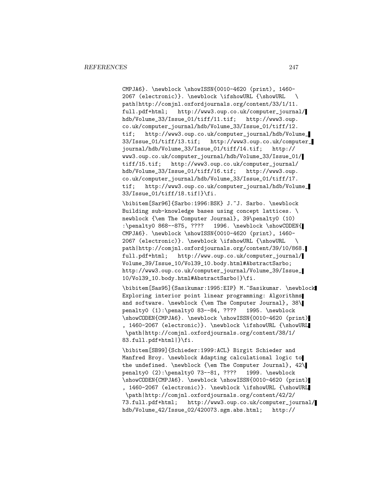CMPJA6}. \newblock \showISSN{0010-4620 (print), 1460- 2067 (electronic)}. \newblock \ifshowURL {\showURL \ path|http://comjnl.oxfordjournals.org/content/33/1/11. full.pdf+html; http://www3.oup.co.uk/computer\_journal/ hdb/Volume\_33/Issue\_01/tiff/11.tif; http://www3.oup. co.uk/computer\_journal/hdb/Volume\_33/Issue\_01/tiff/12. tif; http://www3.oup.co.uk/computer\_journal/hdb/Volume\_ 33/Issue\_01/tiff/13.tif; http://www3.oup.co.uk/computer\_ journal/hdb/Volume\_33/Issue\_01/tiff/14.tif; http:// www3.oup.co.uk/computer\_journal/hdb/Volume\_33/Issue\_01/ tiff/15.tif; http://www3.oup.co.uk/computer\_journal/ hdb/Volume\_33/Issue\_01/tiff/16.tif; http://www3.oup. co.uk/computer\_journal/hdb/Volume\_33/Issue\_01/tiff/17. tif; http://www3.oup.co.uk/computer\_journal/hdb/Volume\_ 33/Issue\_01/tiff/18.tif|}\fi.

\bibitem[Sar96]{Sarbo:1996:BSK} J.~J. Sarbo. \newblock Building sub-knowledge bases using concept lattices. \ newblock {\em The Computer Journal}, 39\penalty0 (10) :\penalty0 868--875, ???? 1996. \newblock \showCODEN{ CMPJA6}. \newblock \showISSN{0010-4620 (print), 1460- 2067 (electronic)}. \newblock \ifshowURL {\showURL \ path|http://comjnl.oxfordjournals.org/content/39/10/868. full.pdf+html; http://www.oup.co.uk/computer\_journal/ Volume\_39/Issue\_10/Vol39\_10.body.html#AbstractSarbo; http://www3.oup.co.uk/computer\_journal/Volume\_39/Issue\_ 10/Vol39\_10.body.html#AbstractSarbo|}\fi.

\bibitem[Sas95]{Sasikumar:1995:EIP} M.~Sasikumar. \newblock Exploring interior point linear programming: Algorithms and software. \newblock {\em The Computer Journal}, 38\ penalty0 (1):\penalty0 83--84, ???? 1995. \newblock \showCODEN{CMPJA6}. \newblock \showISSN{0010-4620 (print) , 1460-2067 (electronic)}. \newblock \ifshowURL {\showURL \path|http://comjnl.oxfordjournals.org/content/38/1/ 83.full.pdf+html|}\fi.

\bibitem[SB99]{Schieder:1999:ACL} Birgit Schieder and Manfred Broy. \newblock Adapting calculational logic to the undefined. \newblock {\em The Computer Journal}, 42\ penalty0 (2):\penalty0 73--81, ???? 1999. \newblock \showCODEN{CMPJA6}. \newblock \showISSN{0010-4620 (print) , 1460-2067 (electronic)}. \newblock \ifshowURL {\showURL \path|http://comjnl.oxfordjournals.org/content/42/2/ 73.full.pdf+html; http://www3.oup.co.uk/computer\_journal/ hdb/Volume\_42/Issue\_02/420073.sgm.abs.html; http://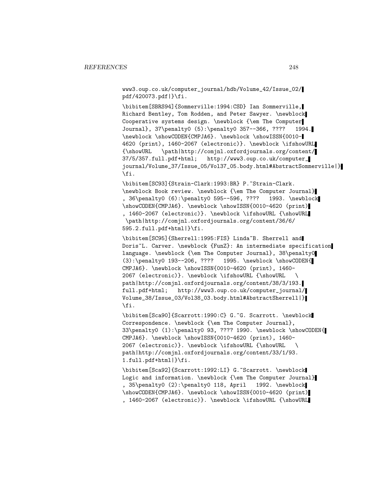www3.oup.co.uk/computer\_journal/hdb/Volume\_42/Issue\_02/ pdf/420073.pdf|}\fi.

\bibitem[SBRS94]{Sommerville:1994:CSD} Ian Sommerville, Richard Bentley, Tom Rodden, and Peter Sawyer. \newblock Cooperative systems design. \newblock {\em The Computer Journal}, 37\penalty0 (5):\penalty0 357--366, ???? 1994. \newblock \showCODEN{CMPJA6}. \newblock \showISSN{0010- 4620 (print), 1460-2067 (electronic)}. \newblock \ifshowURL {\showURL \path|http://comjnl.oxfordjournals.org/content/ 37/5/357.full.pdf+html; http://www3.oup.co.uk/computer\_ journal/Volume\_37/Issue\_05/Vol37\_05.body.html#AbstractSommerville|} \fi.

\bibitem[SC93]{Strain-Clark:1993:BR} P.~Strain-Clark. \newblock Book review. \newblock {\em The Computer Journal} , 36\penalty0 (6):\penalty0 595--596, ???? 1993. \newblock \showCODEN{CMPJA6}. \newblock \showISSN{0010-4620 (print) , 1460-2067 (electronic)}. \newblock \ifshowURL {\showURL \path|http://comjnl.oxfordjournals.org/content/36/6/ 595.2.full.pdf+html|}\fi.

\bibitem[SC95]{Sherrell:1995:FIS} Linda~B. Sherrell and Doris~L. Carver. \newblock {FunZ}: An intermediate specification language. \newblock {\em The Computer Journal}, 38\penalty0 (3):\penalty0 193--206, ???? 1995. \newblock \showCODEN{ CMPJA6}. \newblock \showISSN{0010-4620 (print), 1460- 2067 (electronic)}. \newblock \ifshowURL {\showURL \ path|http://comjnl.oxfordjournals.org/content/38/3/193. full.pdf+html; http://www3.oup.co.uk/computer\_journal/ Volume\_38/Issue\_03/Vol38\_03.body.html#AbstractSherrell|} \fi.

\bibitem[Sca90]{Scarrott:1990:C} G.~G. Scarrott. \newblock Correspondence. \newblock {\em The Computer Journal}, 33\penalty0 (1):\penalty0 93, ???? 1990. \newblock \showCODEN{ CMPJA6}. \newblock \showISSN{0010-4620 (print), 1460- 2067 (electronic)}. \newblock \ifshowURL {\showURL \ path|http://comjnl.oxfordjournals.org/content/33/1/93. 1.full.pdf+html|}\fi.

\bibitem[Sca92]{Scarrott:1992:LI} G.~Scarrott. \newblock Logic and information. \newblock {\em The Computer Journal} , 35\penalty0 (2):\penalty0 118, April 1992. \newblock \showCODEN{CMPJA6}. \newblock \showISSN{0010-4620 (print) , 1460-2067 (electronic)}. \newblock \ifshowURL {\showURL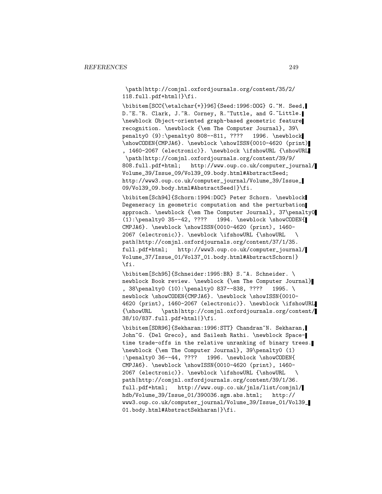\path|http://comjnl.oxfordjournals.org/content/35/2/ 118.full.pdf+html|}\fi.

\bibitem[SCC{\etalchar{+}}96]{Seed:1996:OOG} G.~M. Seed, D. "E. "R. Clark, J. "R. Corney, R. "Tuttle, and G. "Little. \newblock Object-oriented graph-based geometric feature recognition. \newblock {\em The Computer Journal}, 39\ penalty0 (9):\penalty0 808--811, ???? 1996. \newblock \showCODEN{CMPJA6}. \newblock \showISSN{0010-4620 (print) , 1460-2067 (electronic)}. \newblock \ifshowURL {\showURL \path|http://comjnl.oxfordjournals.org/content/39/9/ 808.full.pdf+html; http://www.oup.co.uk/computer\_journal/ Volume\_39/Issue\_09/Vol39\_09.body.html#AbstractSeed; http://www3.oup.co.uk/computer\_journal/Volume\_39/Issue\_ 09/Vol39\_09.body.html#AbstractSeed|}\fi.

\bibitem[Sch94]{Schorn:1994:DGC} Peter Schorn. \newblock Degeneracy in geometric computation and the perturbation approach. \newblock {\em The Computer Journal}, 37\penalty0 (1):\penalty0 35--42, ???? 1994. \newblock \showCODEN{ CMPJA6}. \newblock \showISSN{0010-4620 (print), 1460- 2067 (electronic)}. \newblock \ifshowURL {\showURL \ path|http://comjnl.oxfordjournals.org/content/37/1/35. full.pdf+html; http://www3.oup.co.uk/computer\_journal/ Volume\_37/Issue\_01/Vol37\_01.body.html#AbstractSchorn|} \fi.

\bibitem[Sch95]{Schneider:1995:BR} S.~A. Schneider. \ newblock Book review. \newblock {\em The Computer Journal} , 38\penalty0 (10):\penalty0 837--838, ???? 1995. \ newblock \showCODEN{CMPJA6}. \newblock \showISSN{0010-4620 (print), 1460-2067 (electronic)}. \newblock \ifshowURL {\showURL \path|http://comjnl.oxfordjournals.org/content/ 38/10/837.full.pdf+html|}\fi.

\bibitem[SDR96]{Sekharan:1996:STT} Chandran~N. Sekharan, John~G. {Del Greco}, and Sailesh Rathi. \newblock Spacetime trade-offs in the relative unranking of binary trees. \newblock {\em The Computer Journal}, 39\penalty0 (1) :\penalty0 36--44, ???? 1996. \newblock \showCODEN{ CMPJA6}. \newblock \showISSN{0010-4620 (print), 1460- 2067 (electronic)}. \newblock \ifshowURL {\showURL  $\backslash$ path|http://comjnl.oxfordjournals.org/content/39/1/36. full.pdf+html; http://www.oup.co.uk/jnls/list/comjnl/ hdb/Volume\_39/Issue\_01/390036.sgm.abs.html; http:// www3.oup.co.uk/computer\_journal/Volume\_39/Issue\_01/Vol39\_ 01.body.html#AbstractSekharan|}\fi.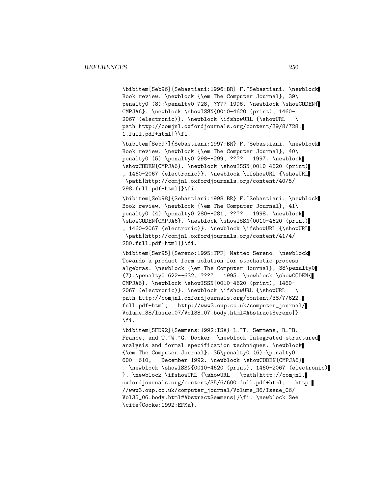\bibitem[Seb96]{Sebastiani:1996:BR} F.~Sebastiani. \newblock Book review. \newblock {\em The Computer Journal}, 39\ penalty0 (8):\penalty0 728, ???? 1996. \newblock \showCODEN{ CMPJA6}. \newblock \showISSN{0010-4620 (print), 1460- 2067 (electronic)}. \newblock \ifshowURL {\showURL \ path|http://comjnl.oxfordjournals.org/content/39/8/728. 1.full.pdf+html|}\fi.

\bibitem[Seb97]{Sebastiani:1997:BR} F.~Sebastiani. \newblock Book review. \newblock {\em The Computer Journal}, 40\ penalty0 (5):\penalty0 298--299, ???? 1997. \newblock \showCODEN{CMPJA6}. \newblock \showISSN{0010-4620 (print) , 1460-2067 (electronic)}. \newblock \ifshowURL {\showURL \path|http://comjnl.oxfordjournals.org/content/40/5/ 298.full.pdf+html|}\fi.

\bibitem[Seb98]{Sebastiani:1998:BR} F.~Sebastiani. \newblock Book review. \newblock {\em The Computer Journal}, 41\ penalty0 (4):\penalty0 280--281, ???? 1998. \newblock \showCODEN{CMPJA6}. \newblock \showISSN{0010-4620 (print) , 1460-2067 (electronic)}. \newblock \ifshowURL {\showURL \path|http://comjnl.oxfordjournals.org/content/41/4/ 280.full.pdf+html|}\fi.

\bibitem[Ser95]{Sereno:1995:TPF} Matteo Sereno. \newblock Towards a product form solution for stochastic process algebras. \newblock {\em The Computer Journal}, 38\penalty0  $(7):$  penalty0 622--632, ???? 1995. \newblock \showCODEN{ CMPJA6}. \newblock \showISSN{0010-4620 (print), 1460- 2067 (electronic)}. \newblock \ifshowURL {\showURL \ path|http://comjnl.oxfordjournals.org/content/38/7/622. full.pdf+html; http://www3.oup.co.uk/computer\_journal/ Volume\_38/Issue\_07/Vol38\_07.body.html#AbstractSereno|} \fi.

\bibitem[SFD92]{Semmens:1992:ISA} L.~T. Semmens, R.~B. France, and T.~W.~G. Docker. \newblock Integrated structured analysis and formal specification techniques. \newblock {\em The Computer Journal}, 35\penalty0 (6):\penalty0 600--610, December 1992. \newblock \showCODEN{CMPJA6} . \newblock \showISSN{0010-4620 (print), 1460-2067 (electronic) }. \newblock \ifshowURL {\showURL \path|http://comjnl. oxfordjournals.org/content/35/6/600.full.pdf+html; http: //www3.oup.co.uk/computer\_journal/Volume\_36/Issue\_06/ Vol35\_06.body.html#AbstractSemmens|}\fi. \newblock See \cite{Cooke:1992:EFMa}.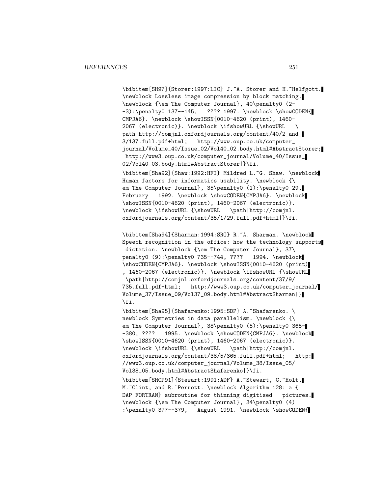\bibitem[SH97]{Storer:1997:LIC} J.~A. Storer and H.~Helfgott. \newblock Lossless image compression by block matching. \newblock {\em The Computer Journal}, 40\penalty0 (2- -3):\penalty0 137--145, ???? 1997. \newblock \showCODEN{ CMPJA6}. \newblock \showISSN{0010-4620 (print), 1460- 2067 (electronic)}. \newblock \ifshowURL {\showURL \ path|http://comjnl.oxfordjournals.org/content/40/2\_and\_ 3/137.full.pdf+html; http://www.oup.co.uk/computer\_ journal/Volume\_40/Issue\_02/Vol40\_02.body.html#AbstractStorer; http://www3.oup.co.uk/computer\_journal/Volume\_40/Issue\_ 02/Vol40\_03.body.html#AbstractStorer|}\fi.

\bibitem[Sha92]{Shaw:1992:HFI} Mildred L.~G. Shaw. \newblock Human factors for informatics usability. \newblock {\ em The Computer Journal}, 35\penalty0 (1):\penalty0 29, February 1992. \newblock \showCODEN{CMPJA6}. \newblock \showISSN{0010-4620 (print), 1460-2067 (electronic)}. \newblock \ifshowURL {\showURL \path|http://comjnl. oxfordjournals.org/content/35/1/29.full.pdf+html|}\fi.

\bibitem[Sha94]{Sharman:1994:SRO} R.~A. Sharman. \newblock Speech recognition in the office: how the technology supports dictation. \newblock {\em The Computer Journal}, 37\ penalty0 (9):\penalty0 735--744, ???? 1994. \newblock \showCODEN{CMPJA6}. \newblock \showISSN{0010-4620 (print) , 1460-2067 (electronic)}. \newblock \ifshowURL {\showURL \path|http://comjnl.oxfordjournals.org/content/37/9/ 735.full.pdf+html; http://www3.oup.co.uk/computer\_journal/ Volume\_37/Issue\_09/Vol37\_09.body.html#AbstractSharman|} \fi.

\bibitem[Sha95]{Shafarenko:1995:SDP} A.~Shafarenko. \ newblock Symmetries in data parallelism. \newblock {\ em The Computer Journal}, 38\penalty0 (5):\penalty0 365--380, ???? 1995. \newblock \showCODEN{CMPJA6}. \newblock \showISSN{0010-4620 (print), 1460-2067 (electronic)}. \newblock \ifshowURL {\showURL \path|http://comjnl. oxfordjournals.org/content/38/5/365.full.pdf+html; http: //www3.oup.co.uk/computer\_journal/Volume\_38/Issue\_05/ Vol38\_05.body.html#AbstractShafarenko|}\fi.

\bibitem[SHCP91]{Stewart:1991:ADF} A.~Stewart, C.~Holt, M. "Clint, and R. "Perrott. \newblock Algorithm 128: a { DAP FORTRAN} subroutine for thinning digitised pictures. \newblock {\em The Computer Journal}, 34\penalty0 (4) :\penalty0 377--379, August 1991. \newblock \showCODEN{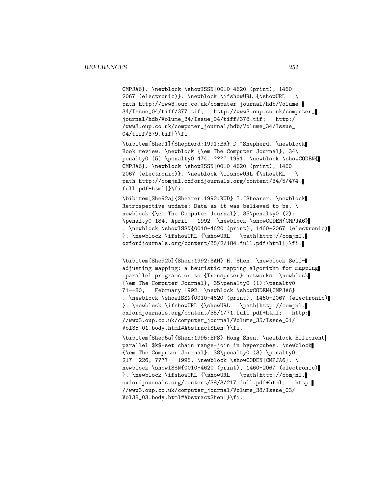CMPJA6}. \newblock \showISSN{0010-4620 (print), 1460- 2067 (electronic)}. \newblock \ifshowURL {\showURL \ path|http://www3.oup.co.uk/computer\_journal/hdb/Volume\_ 34/Issue\_04/tiff/377.tif; http://www3.oup.co.uk/computer\_ journal/hdb/Volume\_34/Issue\_04/tiff/378.tif; http:/ /www3.oup.co.uk/computer\_journal/hdb/Volume\_34/Issue\_ 04/tiff/379.tif|}\fi.

\bibitem[She91]{Shepherd:1991:BR} D.~Shepherd. \newblock Book review. \newblock {\em The Computer Journal}, 34\ penalty0 (5):\penalty0 474, ???? 1991. \newblock \showCODEN{ CMPJA6}. \newblock \showISSN{0010-4620 (print), 1460- 2067 (electronic)}. \newblock \ifshowURL {\showURL \ path|http://comjnl.oxfordjournals.org/content/34/5/474. full.pdf+html|}\fi.

\bibitem[She92a]{Shearer:1992:RUD} I.~Shearer. \newblock Retrospective update: Data as it was believed to be. \ newblock {\em The Computer Journal}, 35\penalty0 (2): \penalty0 184, April 1992. \newblock \showCODEN{CMPJA6} . \newblock \showISSN{0010-4620 (print), 1460-2067 (electronic) }. \newblock \ifshowURL {\showURL \path|http://comjnl. oxfordjournals.org/content/35/2/184.full.pdf+html|}\fi.

\bibitem[She92b]{Shen:1992:SAM} H.~Shen. \newblock Selfadjusting mapping: a heuristic mapping algorithm for mapping parallel programs on to {Transputer} networks. \newblock  ${\rm The Computer Journal}, 35\penalty0 (1):\penalty0$ 71--80, February 1992. \newblock \showCODEN{CMPJA6} . \newblock \showISSN{0010-4620 (print), 1460-2067 (electronic) }. \newblock \ifshowURL {\showURL \path|http://comjnl. oxfordjournals.org/content/35/1/71.full.pdf+html; http: //www3.oup.co.uk/computer\_journal/Volume\_35/Issue\_01/ Vol35\_01.body.html#AbstractShen|}\fi.

\bibitem[She95a]{Shen:1995:EPS} Hong Shen. \newblock Efficient parallel \$k\$-set chain range-join in hypercubes. \newblock {\em The Computer Journal}, 38\penalty0 (3):\penalty0 217--226, ???? 1995. \newblock \showCODEN{CMPJA6}. \ newblock \showISSN{0010-4620 (print), 1460-2067 (electronic) }. \newblock \ifshowURL {\showURL \path|http://comjnl. oxfordjournals.org/content/38/3/217.full.pdf+html; http: //www3.oup.co.uk/computer\_journal/Volume\_38/Issue\_03/ Vol38\_03.body.html#AbstractShen|}\fi.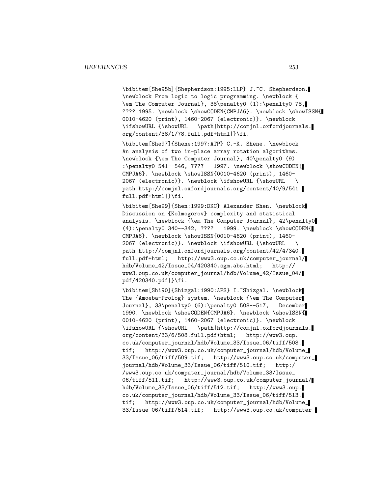\bibitem[She95b]{Shepherdson:1995:LLP} J.~C. Shepherdson. \newblock From logic to logic programming. \newblock { \em The Computer Journal}, 38\penalty0 (1):\penalty0 78, ???? 1995. \newblock \showCODEN{CMPJA6}. \newblock \showISSN{ 0010-4620 (print), 1460-2067 (electronic)}. \newblock \ifshowURL {\showURL \path|http://comjnl.oxfordjournals. org/content/38/1/78.full.pdf+html|}\fi.

\bibitem[She97]{Shene:1997:ATP} C.-K. Shene. \newblock An analysis of two in-place array rotation algorithms. \newblock {\em The Computer Journal}, 40\penalty0 (9) :\penalty0 541--546, ???? 1997. \newblock \showCODEN{ CMPJA6}. \newblock \showISSN{0010-4620 (print), 1460- 2067 (electronic)}. \newblock \ifshowURL {\showURL \ path|http://comjnl.oxfordjournals.org/content/40/9/541. full.pdf+html|}\fi.

\bibitem[She99]{Shen:1999:DKC} Alexander Shen. \newblock Discussion on {Kolmogorov} complexity and statistical analysis. \newblock {\em The Computer Journal}, 42\penalty0 (4):\penalty0 340--342, ???? 1999. \newblock \showCODEN{ CMPJA6}. \newblock \showISSN{0010-4620 (print), 1460- 2067 (electronic)}. \newblock \ifshowURL {\showURL \ path|http://comjnl.oxfordjournals.org/content/42/4/340. full.pdf+html; http://www3.oup.co.uk/computer\_journal/ hdb/Volume\_42/Issue\_04/420340.sgm.abs.html; http:// www3.oup.co.uk/computer\_journal/hdb/Volume\_42/Issue\_04/ pdf/420340.pdf|}\fi.

\bibitem[Shi90]{Shizgal:1990:APS} I.~Shizgal. \newblock The {Amoeba-Prolog} system. \newblock {\em The Computer Journal}, 33\penalty0 (6):\penalty0 508--517, December 1990. \newblock \showCODEN{CMPJA6}. \newblock \showISSN{ 0010-4620 (print), 1460-2067 (electronic)}. \newblock \ifshowURL {\showURL \path|http://comjnl.oxfordjournals. org/content/33/6/508.full.pdf+html; http://www3.oup. co.uk/computer\_journal/hdb/Volume\_33/Issue\_06/tiff/508. tif; http://www3.oup.co.uk/computer\_journal/hdb/Volume\_ 33/Issue\_06/tiff/509.tif; http://www3.oup.co.uk/computer\_ journal/hdb/Volume\_33/Issue\_06/tiff/510.tif; http:/ /www3.oup.co.uk/computer\_journal/hdb/Volume\_33/Issue\_ 06/tiff/511.tif; http://www3.oup.co.uk/computer\_journal/ hdb/Volume\_33/Issue\_06/tiff/512.tif; http://www3.oup. co.uk/computer\_journal/hdb/Volume\_33/Issue\_06/tiff/513. tif; http://www3.oup.co.uk/computer\_journal/hdb/Volume\_ 33/Issue\_06/tiff/514.tif; http://www3.oup.co.uk/computer\_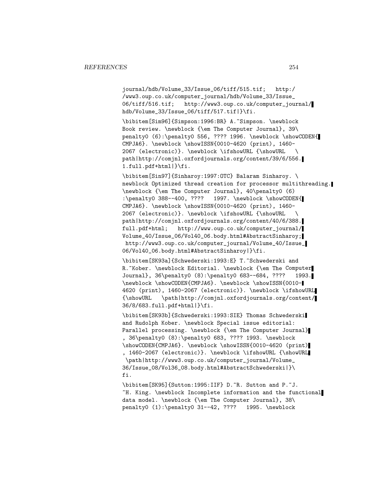journal/hdb/Volume\_33/Issue\_06/tiff/515.tif; http:/ /www3.oup.co.uk/computer\_journal/hdb/Volume\_33/Issue\_ 06/tiff/516.tif; http://www3.oup.co.uk/computer\_journal/ hdb/Volume\_33/Issue\_06/tiff/517.tif|}\fi.

\bibitem[Sim96]{Simpson:1996:BR} A.~Simpson. \newblock Book review. \newblock {\em The Computer Journal}, 39\ penalty0 (6):\penalty0 556, ???? 1996. \newblock \showCODEN{ CMPJA6}. \newblock \showISSN{0010-4620 (print), 1460- 2067 (electronic)}. \newblock \ifshowURL {\showURL \ path|http://comjnl.oxfordjournals.org/content/39/6/556. 1.full.pdf+html|}\fi.

\bibitem[Sin97]{Sinharoy:1997:OTC} Balaram Sinharoy. \ newblock Optimized thread creation for processor multithreading. \newblock {\em The Computer Journal}, 40\penalty0 (6) :\penalty0 388--400, ???? 1997. \newblock \showCODEN{ CMPJA6}. \newblock \showISSN{0010-4620 (print), 1460- 2067 (electronic)}. \newblock \ifshowURL {\showURL \ path|http://comjnl.oxfordjournals.org/content/40/6/388. full.pdf+html; http://www.oup.co.uk/computer\_journal/ Volume\_40/Issue\_06/Vol40\_06.body.html#AbstractSinharoy; http://www3.oup.co.uk/computer\_journal/Volume\_40/Issue\_ 06/Vol40\_06.body.html#AbstractSinharoy|}\fi.

\bibitem[SK93a]{Schwederski:1993:E} T.~Schwederski and R. "Kober. \newblock Editorial. \newblock {\em The Computer Journal}, 36\penalty0 (8):\penalty0 683--684, ???? 1993. \newblock \showCODEN{CMPJA6}. \newblock \showISSN{0010- 4620 (print), 1460-2067 (electronic)}. \newblock \ifshowURL {\showURL \path|http://comjnl.oxfordjournals.org/content/ 36/8/683.full.pdf+html|}\fi.

\bibitem[SK93b]{Schwederski:1993:SIE} Thomas Schwederski and Rudolph Kober. \newblock Special issue editorial: Parallel processing. \newblock {\em The Computer Journal} , 36\penalty0 (8):\penalty0 683, ???? 1993. \newblock \showCODEN{CMPJA6}. \newblock \showISSN{0010-4620 (print) , 1460-2067 (electronic)}. \newblock \ifshowURL {\showURL \path|http://www3.oup.co.uk/computer\_journal/Volume\_ 36/Issue\_08/Vol36\_08.body.html#AbstractSchwederski|}\ fi.

\bibitem[SK95]{Sutton:1995:IIF} D.~R. Sutton and P.~J. ~H. King. \newblock Incomplete information and the functional data model. \newblock {\em The Computer Journal}, 38\ penalty0 (1):\penalty0 31--42, ???? 1995. \newblock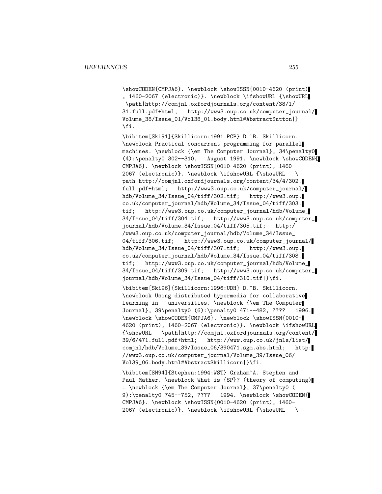\showCODEN{CMPJA6}. \newblock \showISSN{0010-4620 (print) , 1460-2067 (electronic)}. \newblock \ifshowURL {\showURL \path|http://comjnl.oxfordjournals.org/content/38/1/ 31.full.pdf+html; http://www3.oup.co.uk/computer\_journal/ Volume\_38/Issue\_01/Vol38\_01.body.html#AbstractSutton|} \fi.

\bibitem[Ski91]{Skillicorn:1991:PCP} D.~B. Skillicorn. \newblock Practical concurrent programming for parallel machines. \newblock {\em The Computer Journal}, 34\penalty0 (4):\penalty0 302--310, August 1991. \newblock \showCODEN{ CMPJA6}. \newblock \showISSN{0010-4620 (print), 1460- 2067 (electronic)}. \newblock \ifshowURL {\showURL \ path|http://comjnl.oxfordjournals.org/content/34/4/302. full.pdf+html; http://www3.oup.co.uk/computer\_journal/ hdb/Volume\_34/Issue\_04/tiff/302.tif; http://www3.oup. co.uk/computer\_journal/hdb/Volume\_34/Issue\_04/tiff/303. tif; http://www3.oup.co.uk/computer\_journal/hdb/Volume\_ 34/Issue\_04/tiff/304.tif; http://www3.oup.co.uk/computer\_ journal/hdb/Volume\_34/Issue\_04/tiff/305.tif; http:/ /www3.oup.co.uk/computer\_journal/hdb/Volume\_34/Issue\_ 04/tiff/306.tif; http://www3.oup.co.uk/computer\_journal/ hdb/Volume\_34/Issue\_04/tiff/307.tif; http://www3.oup. co.uk/computer\_journal/hdb/Volume\_34/Issue\_04/tiff/308. tif; http://www3.oup.co.uk/computer\_journal/hdb/Volume\_ 34/Issue\_04/tiff/309.tif; http://www3.oup.co.uk/computer\_ journal/hdb/Volume\_34/Issue\_04/tiff/310.tif|}\fi.

\bibitem[Ski96]{Skillicorn:1996:UDH} D.~B. Skillicorn. \newblock Using distributed hypermedia for collaborative learning in universities. \newblock {\em The Computer Journal}, 39\penalty0 (6):\penalty0 471--482, ???? 1996. \newblock \showCODEN{CMPJA6}. \newblock \showISSN{0010- 4620 (print), 1460-2067 (electronic)}. \newblock \ifshowURL {\showURL \path|http://comjnl.oxfordjournals.org/content/ 39/6/471.full.pdf+html; http://www.oup.co.uk/jnls/list/ comjnl/hdb/Volume\_39/Issue\_06/390471.sgm.abs.html; http: //www3.oup.co.uk/computer\_journal/Volume\_39/Issue\_06/ Vol39\_06.body.html#AbstractSkillicorn|}\fi.

\bibitem[SM94]{Stephen:1994:WST} Graham~A. Stephen and Paul Mather. \newblock What is {SP}? (theory of computing) . \newblock {\em The Computer Journal}, 37\penalty0 ( 9):\penalty0 745--752, ???? 1994. \newblock \showCODEN{ CMPJA6}. \newblock \showISSN{0010-4620 (print), 1460- 2067 (electronic)}. \newblock \ifshowURL {\showURL \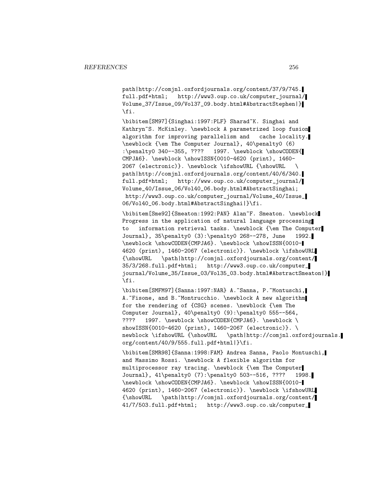path|http://comjnl.oxfordjournals.org/content/37/9/745. full.pdf+html; http://www3.oup.co.uk/computer\_journal/ Volume\_37/Issue\_09/Vol37\_09.body.html#AbstractStephen|} \fi.

\bibitem[SM97]{Singhai:1997:PLF} Sharad~K. Singhai and Kathryn~S. McKinley. \newblock A parametrized loop fusion algorithm for improving parallelism and cache locality. \newblock {\em The Computer Journal}, 40\penalty0 (6) :\penalty0 340--355, ???? 1997. \newblock \showCODEN{ CMPJA6}. \newblock \showISSN{0010-4620 (print), 1460- 2067 (electronic)}. \newblock \ifshowURL {\showURL \ path|http://comjnl.oxfordjournals.org/content/40/6/340. full.pdf+html; http://www.oup.co.uk/computer\_journal/ Volume\_40/Issue\_06/Vol40\_06.body.html#AbstractSinghai; http://www3.oup.co.uk/computer\_journal/Volume\_40/Issue\_ 06/Vol40\_06.body.html#AbstractSinghai|}\fi.

\bibitem[Sme92]{Smeaton:1992:PAN} Alan~F. Smeaton. \newblock Progress in the application of natural language processing to information retrieval tasks. \newblock {\em The Computer Journal}, 35\penalty0 (3):\penalty0 268--278, June 1992. \newblock \showCODEN{CMPJA6}. \newblock \showISSN{0010- 4620 (print), 1460-2067 (electronic)}. \newblock \ifshowURL {\showURL \path|http://comjnl.oxfordjournals.org/content/ 35/3/268.full.pdf+html; http://www3.oup.co.uk/computer\_ journal/Volume\_35/Issue\_03/Vol35\_03.body.html#AbstractSmeaton|} \fi.

\bibitem[SMFM97]{Sanna:1997:NAR} A.~Sanna, P.~Montuschi, A. "Fisone, and B. "Montrucchio. \newblock A new algorithm for the rendering of {CSG} scenes. \newblock {\em The Computer Journal}, 40\penalty0 (9):\penalty0 555--564, ???? 1997. \newblock \showCODEN{CMPJA6}. \newblock \ showISSN{0010-4620 (print), 1460-2067 (electronic)}. \ newblock \ifshowURL {\showURL \path|http://comjnl.oxfordjournals. org/content/40/9/555.full.pdf+html|}\fi.

\bibitem[SMR98]{Sanna:1998:FAM} Andrea Sanna, Paolo Montuschi, and Massimo Rossi. \newblock A flexible algorithm for multiprocessor ray tracing. \newblock {\em The Computer Journal}, 41\penalty0 (7):\penalty0 503--516, ???? 1998. \newblock \showCODEN{CMPJA6}. \newblock \showISSN{0010- 4620 (print), 1460-2067 (electronic)}. \newblock \ifshowURL {\showURL \path|http://comjnl.oxfordjournals.org/content/ 41/7/503.full.pdf+html; http://www3.oup.co.uk/computer\_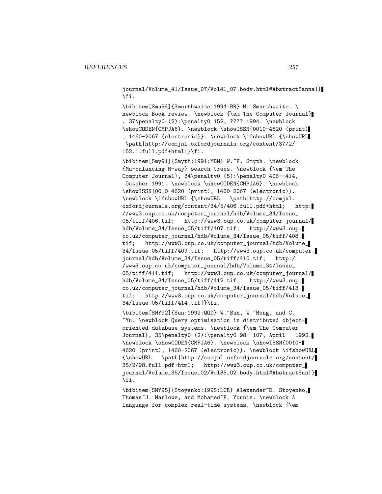journal/Volume\_41/Issue\_07/Vol41\_07.body.html#AbstractSanna|} \fi.

\bibitem[Smu94]{Smurthwaite:1994:BR} M.~Smurthwaite. \ newblock Book review. \newblock {\em The Computer Journal} , 37\penalty0 (2):\penalty0 152, ???? 1994. \newblock \showCODEN{CMPJA6}. \newblock \showISSN{0010-4620 (print) , 1460-2067 (electronic)}. \newblock \ifshowURL {\showURL \path|http://comjnl.oxfordjournals.org/content/37/2/ 152.1.full.pdf+html|}\fi.

\bibitem[Smy91]{Smyth:1991:MBM} W.~F. Smyth. \newblock {Mu-balancing M-way} search trees. \newblock {\em The Computer Journal}, 34\penalty0 (5):\penalty0 406--414, October 1991. \newblock \showCODEN{CMPJA6}. \newblock \showISSN{0010-4620 (print), 1460-2067 (electronic)}. \newblock \ifshowURL {\showURL \path|http://comjnl. oxfordjournals.org/content/34/5/406.full.pdf+html; http: //www3.oup.co.uk/computer\_journal/hdb/Volume\_34/Issue\_ 05/tiff/406.tif; http://www3.oup.co.uk/computer\_journal/ hdb/Volume\_34/Issue\_05/tiff/407.tif; http://www3.oup. co.uk/computer\_journal/hdb/Volume\_34/Issue\_05/tiff/408. tif; http://www3.oup.co.uk/computer\_journal/hdb/Volume\_ 34/Issue\_05/tiff/409.tif; http://www3.oup.co.uk/computer\_ journal/hdb/Volume\_34/Issue\_05/tiff/410.tif; http:/ /www3.oup.co.uk/computer\_journal/hdb/Volume\_34/Issue\_ 05/tiff/411.tif; http://www3.oup.co.uk/computer\_journal/ hdb/Volume\_34/Issue\_05/tiff/412.tif; http://www3.oup. co.uk/computer\_journal/hdb/Volume\_34/Issue\_05/tiff/413. tif; http://www3.oup.co.uk/computer\_journal/hdb/Volume\_ 34/Issue\_05/tiff/414.tif|}\fi.

\bibitem[SMY92]{Sun:1992:QOD} W.~Sun, W.~Meng, and C. ~Yu. \newblock Query optimisation in distributed objectoriented database systems. \newblock {\em The Computer Journal}, 35\penalty0 (2):\penalty0 98--107, April 1992. \newblock \showCODEN{CMPJA6}. \newblock \showISSN{0010- 4620 (print), 1460-2067 (electronic)}. \newblock \ifshowURL {\showURL \path|http://comjnl.oxfordjournals.org/content/ 35/2/98.full.pdf+html; http://www3.oup.co.uk/computer\_ journal/Volume\_35/Issue\_02/Vol35\_02.body.html#AbstractSun|} \fi.

\bibitem[SMY95]{Stoyenko:1995:LCR} Alexander~D. Stoyenko, Thomas~J. Marlowe, and Mohamed~F. Younis. \newblock A language for complex real-time systems. \newblock {\em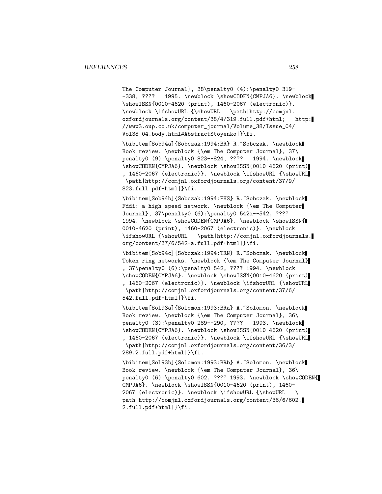The Computer Journal}, 38\penalty0 (4):\penalty0 319- -338, ???? 1995. \newblock \showCODEN{CMPJA6}. \newblock \showISSN{0010-4620 (print), 1460-2067 (electronic)}. \newblock \ifshowURL {\showURL \path|http://comjnl. oxfordjournals.org/content/38/4/319.full.pdf+html; http: //www3.oup.co.uk/computer\_journal/Volume\_38/Issue\_04/ Vol38\_04.body.html#AbstractStoyenko|}\fi.

\bibitem[Sob94a]{Sobczak:1994:BR} R.~Sobczak. \newblock Book review. \newblock {\em The Computer Journal}, 37\ penalty0 (9):\penalty0 823--824, ???? 1994. \newblock \showCODEN{CMPJA6}. \newblock \showISSN{0010-4620 (print) , 1460-2067 (electronic)}. \newblock \ifshowURL {\showURL \path|http://comjnl.oxfordjournals.org/content/37/9/ 823.full.pdf+html|}\fi.

\bibitem[Sob94b]{Sobczak:1994:FHS} R.~Sobczak. \newblock Fddi: a high speed network. \newblock {\em The Computer Journal}, 37\penalty0 (6):\penalty0 542a--542, ???? 1994. \newblock \showCODEN{CMPJA6}. \newblock \showISSN{ 0010-4620 (print), 1460-2067 (electronic)}. \newblock \ifshowURL {\showURL \path|http://comjnl.oxfordjournals. org/content/37/6/542-a.full.pdf+html|}\fi.

\bibitem[Sob94c]{Sobczak:1994:TRN} R.~Sobczak. \newblock Token ring networks. \newblock {\em The Computer Journal} , 37\penalty0 (6):\penalty0 542, ???? 1994. \newblock \showCODEN{CMPJA6}. \newblock \showISSN{0010-4620 (print) , 1460-2067 (electronic)}. \newblock \ifshowURL {\showURL \path|http://comjnl.oxfordjournals.org/content/37/6/ 542.full.pdf+html|}\fi.

\bibitem[Sol93a]{Solomon:1993:BRa} A.~Solomon. \newblock Book review. \newblock {\em The Computer Journal}, 36\ penalty0 (3):\penalty0 289--290, ???? 1993. \newblock \showCODEN{CMPJA6}. \newblock \showISSN{0010-4620 (print) , 1460-2067 (electronic)}. \newblock \ifshowURL {\showURL \path|http://comjnl.oxfordjournals.org/content/36/3/ 289.2.full.pdf+html|}\fi.

\bibitem[Sol93b]{Solomon:1993:BRb} A.~Solomon. \newblock Book review. \newblock {\em The Computer Journal}, 36\ penalty0 (6):\penalty0 602, ???? 1993. \newblock \showCODEN{ CMPJA6}. \newblock \showISSN{0010-4620 (print), 1460- 2067 (electronic)}. \newblock \ifshowURL {\showURL \ path|http://comjnl.oxfordjournals.org/content/36/6/602. 2.full.pdf+html|}\fi.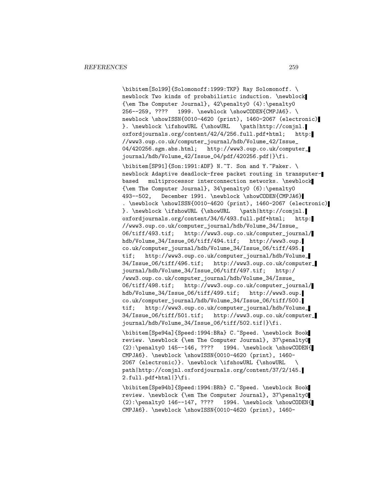\bibitem[Sol99]{Solomonoff:1999:TKP} Ray Solomonoff. \ newblock Two kinds of probabilistic induction. \newblock {\em The Computer Journal}, 42\penalty0 (4):\penalty0 256--259, ???? 1999. \newblock \showCODEN{CMPJA6}. \ newblock \showISSN{0010-4620 (print), 1460-2067 (electronic) }. \newblock \ifshowURL {\showURL \path|http://comjnl. oxfordjournals.org/content/42/4/256.full.pdf+html; http: //www3.oup.co.uk/computer\_journal/hdb/Volume\_42/Issue\_ 04/420256.sgm.abs.html; http://www3.oup.co.uk/computer\_ journal/hdb/Volume\_42/Issue\_04/pdf/420256.pdf|}\fi.

\bibitem[SP91]{Son:1991:ADF} N.~T. Son and Y.~Paker. \ newblock Adaptive deadlock-free packet routing in transputerbased multiprocessor interconnection networks. \newblock {\em The Computer Journal}, 34\penalty0 (6):\penalty0 493--502, December 1991. \newblock \showCODEN{CMPJA6} . \newblock \showISSN{0010-4620 (print), 1460-2067 (electronic) }. \newblock \ifshowURL {\showURL \path|http://comjnl. oxfordjournals.org/content/34/6/493.full.pdf+html; http: //www3.oup.co.uk/computer\_journal/hdb/Volume\_34/Issue\_ 06/tiff/493.tif; http://www3.oup.co.uk/computer\_journal/ hdb/Volume\_34/Issue\_06/tiff/494.tif; http://www3.oup. co.uk/computer\_journal/hdb/Volume\_34/Issue\_06/tiff/495. tif; http://www3.oup.co.uk/computer\_journal/hdb/Volume\_ 34/Issue\_06/tiff/496.tif; http://www3.oup.co.uk/computer\_ journal/hdb/Volume\_34/Issue\_06/tiff/497.tif; http:/ /www3.oup.co.uk/computer\_journal/hdb/Volume\_34/Issue\_ 06/tiff/498.tif; http://www3.oup.co.uk/computer\_journal/ hdb/Volume\_34/Issue\_06/tiff/499.tif; http://www3.oup. co.uk/computer\_journal/hdb/Volume\_34/Issue\_06/tiff/500. tif; http://www3.oup.co.uk/computer\_journal/hdb/Volume\_ 34/Issue\_06/tiff/501.tif; http://www3.oup.co.uk/computer\_ journal/hdb/Volume\_34/Issue\_06/tiff/502.tif|}\fi.

\bibitem[Spe94a]{Speed:1994:BRa} C.~Speed. \newblock Book review. \newblock {\em The Computer Journal}, 37\penalty0  $(2): \penalty0 145-146, ???? 1994. \newblock \showCODEN{$ CMPJA6}. \newblock \showISSN{0010-4620 (print), 1460- 2067 (electronic)}. \newblock \ifshowURL {\showURL \ path|http://comjnl.oxfordjournals.org/content/37/2/145. 2.full.pdf+html|}\fi.

\bibitem[Spe94b]{Speed:1994:BRb} C.~Speed. \newblock Book review. \newblock {\em The Computer Journal}, 37\penalty0 (2):\penalty0 146--147, ???? 1994. \newblock \showCODEN{ CMPJA6}. \newblock \showISSN{0010-4620 (print), 1460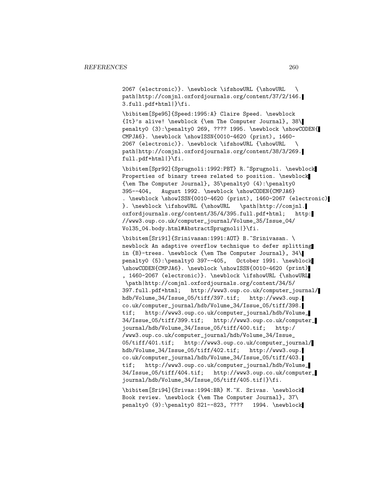2067 (electronic)}. \newblock \ifshowURL {\showURL \ path|http://comjnl.oxfordjournals.org/content/37/2/146. 3.full.pdf+html|}\fi.

\bibitem[Spe95]{Speed:1995:A} Claire Speed. \newblock {It}'s alive! \newblock {\em The Computer Journal}, 38\ penalty0 (3):\penalty0 269, ???? 1995. \newblock \showCODEN{ CMPJA6}. \newblock \showISSN{0010-4620 (print), 1460- 2067 (electronic)}. \newblock \ifshowURL {\showURL \ path|http://comjnl.oxfordjournals.org/content/38/3/269. full.pdf+html|}\fi.

\bibitem[Spr92]{Sprugnoli:1992:PBT} R.~Sprugnoli. \newblock Properties of binary trees related to position. \newblock {\em The Computer Journal}, 35\penalty0 (4):\penalty0 395--404, August 1992. \newblock \showCODEN{CMPJA6} . \newblock \showISSN{0010-4620 (print), 1460-2067 (electronic)

}. \newblock \ifshowURL {\showURL \path|http://comjnl. oxfordjournals.org/content/35/4/395.full.pdf+html; http: //www3.oup.co.uk/computer\_journal/Volume\_35/Issue\_04/ Vol35\_04.body.html#AbstractSprugnoli|}\fi.

\bibitem[Sri91]{Srinivasan:1991:AOT} B.~Srinivasan. \ newblock An adaptive overflow technique to defer splitting in {B}-trees. \newblock {\em The Computer Journal}, 34\ penalty0 (5):\penalty0 397--405, October 1991. \newblock \showCODEN{CMPJA6}. \newblock \showISSN{0010-4620 (print) , 1460-2067 (electronic)}. \newblock \ifshowURL {\showURL \path|http://comjnl.oxfordjournals.org/content/34/5/ 397.full.pdf+html; http://www3.oup.co.uk/computer\_journal/ hdb/Volume\_34/Issue\_05/tiff/397.tif; http://www3.oup. co.uk/computer\_journal/hdb/Volume\_34/Issue\_05/tiff/398. tif; http://www3.oup.co.uk/computer\_journal/hdb/Volume\_ 34/Issue\_05/tiff/399.tif; http://www3.oup.co.uk/computer\_ journal/hdb/Volume\_34/Issue\_05/tiff/400.tif; http:/ /www3.oup.co.uk/computer\_journal/hdb/Volume\_34/Issue\_ 05/tiff/401.tif; http://www3.oup.co.uk/computer\_journal/ hdb/Volume\_34/Issue\_05/tiff/402.tif; http://www3.oup. co.uk/computer\_journal/hdb/Volume\_34/Issue\_05/tiff/403. tif; http://www3.oup.co.uk/computer\_journal/hdb/Volume\_ 34/Issue\_05/tiff/404.tif; http://www3.oup.co.uk/computer\_ journal/hdb/Volume\_34/Issue\_05/tiff/405.tif|}\fi.

\bibitem[Sri94]{Srivas:1994:BR} M.~K. Srivas. \newblock Book review. \newblock {\em The Computer Journal}, 37\ penalty0 (9):\penalty0 821--823, ???? 1994. \newblock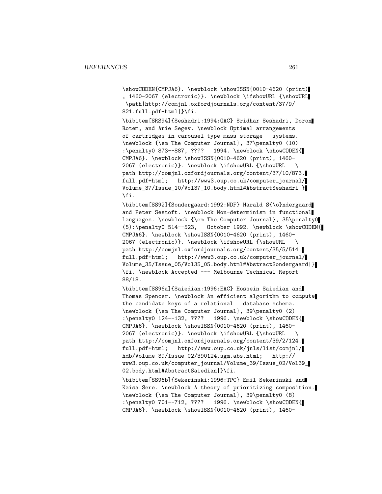\showCODEN{CMPJA6}. \newblock \showISSN{0010-4620 (print) , 1460-2067 (electronic)}. \newblock \ifshowURL {\showURL \path|http://comjnl.oxfordjournals.org/content/37/9/ 821.full.pdf+html|}\fi.

\bibitem[SRS94]{Seshadri:1994:OAC} Sridhar Seshadri, Doron Rotem, and Arie Segev. \newblock Optimal arrangements of cartridges in carousel type mass storage systems. \newblock {\em The Computer Journal}, 37\penalty0 (10) :\penalty0 873--887, ???? 1994. \newblock \showCODEN{ CMPJA6}. \newblock \showISSN{0010-4620 (print), 1460- 2067 (electronic)}. \newblock \ifshowURL {\showURL \ path|http://comjnl.oxfordjournals.org/content/37/10/873. full.pdf+html; http://www3.oup.co.uk/computer\_journal/ Volume\_37/Issue\_10/Vol37\_10.body.html#AbstractSeshadri|} \fi.

\bibitem[SS92]{Sondergaard:1992:NDF} Harald S{\o}ndergaard and Peter Sestoft. \newblock Non-determinism in functional languages. \newblock {\em The Computer Journal}, 35\penalty0 (5):\penalty0 514--523, October 1992. \newblock \showCODEN{ CMPJA6}. \newblock \showISSN{0010-4620 (print), 1460- 2067 (electronic)}. \newblock \ifshowURL {\showURL \ path|http://comjnl.oxfordjournals.org/content/35/5/514. full.pdf+html; http://www3.oup.co.uk/computer\_journal/ Volume\_35/Issue\_05/Vol35\_05.body.html#AbstractSondergaard|} \fi. \newblock Accepted --- Melbourne Technical Report 88/18.

\bibitem[SS96a]{Saiedian:1996:EAC} Hossein Saiedian and Thomas Spencer. \newblock An efficient algorithm to compute the candidate keys of a relational database schema. \newblock {\em The Computer Journal}, 39\penalty0 (2) :\penalty0 124--132, ???? 1996. \newblock \showCODEN{ CMPJA6}. \newblock \showISSN{0010-4620 (print), 1460- 2067 (electronic)}. \newblock \ifshowURL {\showURL \ path|http://comjnl.oxfordjournals.org/content/39/2/124. full.pdf+html; http://www.oup.co.uk/jnls/list/comjnl/ hdb/Volume\_39/Issue\_02/390124.sgm.abs.html; http:// www3.oup.co.uk/computer\_journal/Volume\_39/Issue\_02/Vol39\_ 02.body.html#AbstractSaiedian|}\fi.

\bibitem[SS96b]{Sekerinski:1996:TPC} Emil Sekerinski and Kaisa Sere. \newblock A theory of prioritizing composition. \newblock {\em The Computer Journal}, 39\penalty0 (8) :\penalty0 701--712, ???? 1996. \newblock \showCODEN{ CMPJA6}. \newblock \showISSN{0010-4620 (print), 1460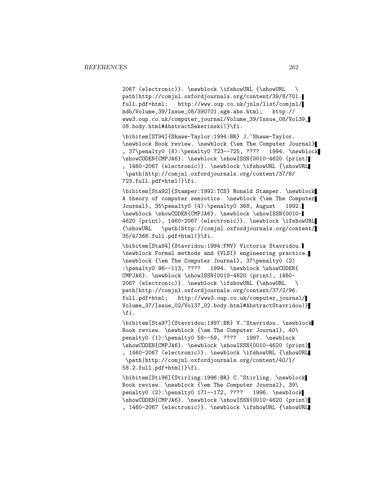2067 (electronic)}. \newblock \ifshowURL {\showURL \ path|http://comjnl.oxfordjournals.org/content/39/8/701. full.pdf+html; http://www.oup.co.uk/jnls/list/comjnl/ hdb/Volume\_39/Issue\_08/390701.sgm.abs.html; http:// www3.oup.co.uk/computer\_journal/Volume\_39/Issue\_08/Vol39\_ 08.body.html#AbstractSekerinski|}\fi.

\bibitem[ST94]{Shawe-Taylor:1994:BR} J.~Shawe-Taylor. \newblock Book review. \newblock {\em The Computer Journal} , 37\penalty0 (8):\penalty0 723--725, ???? 1994. \newblock \showCODEN{CMPJA6}. \newblock \showISSN{0010-4620 (print) , 1460-2067 (electronic)}. \newblock \ifshowURL {\showURL \path|http://comjnl.oxfordjournals.org/content/37/8/ 723.full.pdf+html|}\fi.

\bibitem[Sta92]{Stamper:1992:TCS} Ronald Stamper. \newblock A theory of computer semiotics. \newblock {\em The Computer Journal}, 35\penalty0 (4):\penalty0 368, August 1992. \newblock \showCODEN{CMPJA6}. \newblock \showISSN{0010- 4620 (print), 1460-2067 (electronic)}. \newblock \ifshowURL {\showURL \path|http://comjnl.oxfordjournals.org/content/ 35/4/368.full.pdf+html|}\fi.

\bibitem[Sta94]{Stavridou:1994:FMV} Victoria Stavridou. \newblock Formal methods and {VLSI} engineering practice. \newblock {\em The Computer Journal}, 37\penalty0 (2) :\penalty0 96--113, ???? 1994. \newblock \showCODEN{ CMPJA6}. \newblock \showISSN{0010-4620 (print), 1460- 2067 (electronic)}. \newblock \ifshowURL {\showURL \ path|http://comjnl.oxfordjournals.org/content/37/2/96. full.pdf+html; http://www3.oup.co.uk/computer\_journal/ Volume\_37/Issue\_02/Vol37\_02.body.html#AbstractStavridou|} \fi.

\bibitem[Sta97]{Stavridou:1997:BR} V.~Stavridou. \newblock Book review. \newblock {\em The Computer Journal}, 40\ penalty0 (1):\penalty0 58--59, ???? 1997. \newblock \showCODEN{CMPJA6}. \newblock \showISSN{0010-4620 (print) , 1460-2067 (electronic)}. \newblock \ifshowURL {\showURL \path|http://comjnl.oxfordjournals.org/content/40/1/ 58.2.full.pdf+html|}\fi.

\bibitem[Sti96]{Stirling:1996:BR} C.~Stirling. \newblock Book review. \newblock {\em The Computer Journal}, 39\ penalty0 (2):\penalty0 171--172, ???? 1996. \newblock \showCODEN{CMPJA6}. \newblock \showISSN{0010-4620 (print) , 1460-2067 (electronic)}. \newblock \ifshowURL {\showURL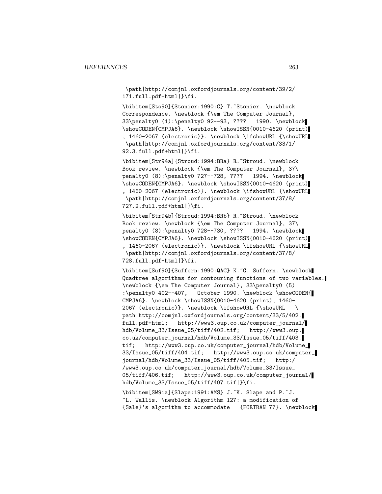\path|http://comjnl.oxfordjournals.org/content/39/2/ 171.full.pdf+html|}\fi.

\bibitem[Sto90]{Stonier:1990:C} T.~Stonier. \newblock Correspondence. \newblock {\em The Computer Journal}, 33\penalty0 (1):\penalty0 92--93, ???? 1990. \newblock \showCODEN{CMPJA6}. \newblock \showISSN{0010-4620 (print) , 1460-2067 (electronic)}. \newblock \ifshowURL {\showURL \path|http://comjnl.oxfordjournals.org/content/33/1/ 92.3.full.pdf+html|}\fi.

\bibitem[Str94a]{Stroud:1994:BRa} R.~Stroud. \newblock Book review. \newblock {\em The Computer Journal}, 37\ penalty0 (8):\penalty0 727--728, ???? 1994. \newblock \showCODEN{CMPJA6}. \newblock \showISSN{0010-4620 (print) , 1460-2067 (electronic)}. \newblock \ifshowURL {\showURL \path|http://comjnl.oxfordjournals.org/content/37/8/ 727.2.full.pdf+html|}\fi.

\bibitem[Str94b]{Stroud:1994:BRb} R.~Stroud. \newblock Book review. \newblock {\em The Computer Journal}, 37\ penalty0 (8):\penalty0 728--730, ???? 1994. \newblock \showCODEN{CMPJA6}. \newblock \showISSN{0010-4620 (print) , 1460-2067 (electronic)}. \newblock \ifshowURL {\showURL \path|http://comjnl.oxfordjournals.org/content/37/8/ 728.full.pdf+html|}\fi.

\bibitem[Suf90]{Suffern:1990:QAC} K.~G. Suffern. \newblock Quadtree algorithms for contouring functions of two variables. \newblock {\em The Computer Journal}, 33\penalty0 (5) :\penalty0 402--407, October 1990. \newblock \showCODEN{ CMPJA6}. \newblock \showISSN{0010-4620 (print), 1460- 2067 (electronic)}. \newblock \ifshowURL {\showURL \ path|http://comjnl.oxfordjournals.org/content/33/5/402. full.pdf+html; http://www3.oup.co.uk/computer\_journal/ hdb/Volume\_33/Issue\_05/tiff/402.tif; http://www3.oup. co.uk/computer\_journal/hdb/Volume\_33/Issue\_05/tiff/403. tif; http://www3.oup.co.uk/computer\_journal/hdb/Volume\_ 33/Issue\_05/tiff/404.tif; http://www3.oup.co.uk/computer\_ journal/hdb/Volume\_33/Issue\_05/tiff/405.tif; http:/ /www3.oup.co.uk/computer\_journal/hdb/Volume\_33/Issue\_ 05/tiff/406.tif; http://www3.oup.co.uk/computer\_journal/ hdb/Volume\_33/Issue\_05/tiff/407.tif|}\fi.

\bibitem[SW91a]{Slape:1991:AMS} J.~K. Slape and P.~J. ~L. Wallis. \newblock Algorithm 127: a modification of {Sale}'s algorithm to accommodate {FORTRAN 77}. \newblock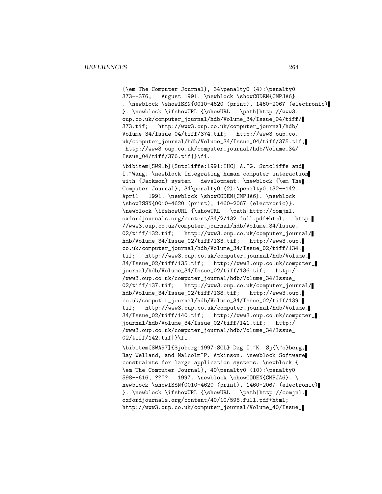{\em The Computer Journal}, 34\penalty0 (4):\penalty0 373--376, August 1991. \newblock \showCODEN{CMPJA6} . \newblock \showISSN{0010-4620 (print), 1460-2067 (electronic) }. \newblock \ifshowURL {\showURL \path|http://www3. oup.co.uk/computer\_journal/hdb/Volume\_34/Issue\_04/tiff/ 373.tif; http://www3.oup.co.uk/computer\_journal/hdb/ Volume\_34/Issue\_04/tiff/374.tif; http://www3.oup.co. uk/computer\_journal/hdb/Volume\_34/Issue\_04/tiff/375.tif; http://www3.oup.co.uk/computer\_journal/hdb/Volume\_34/ Issue\_04/tiff/376.tif|}\fi.

\bibitem[SW91b]{Sutcliffe:1991:IHC} A.~G. Sutcliffe and I. "Wang. \newblock Integrating human computer interaction with {Jackson} system development. \newblock {\em The Computer Journal}, 34\penalty0 (2):\penalty0 132--142, April 1991. \newblock \showCODEN{CMPJA6}. \newblock \showISSN{0010-4620 (print), 1460-2067 (electronic)}. \newblock \ifshowURL {\showURL \path|http://comjnl. oxfordjournals.org/content/34/2/132.full.pdf+html; http: //www3.oup.co.uk/computer\_journal/hdb/Volume\_34/Issue\_ 02/tiff/132.tif; http://www3.oup.co.uk/computer\_journal/ hdb/Volume\_34/Issue\_02/tiff/133.tif; http://www3.oup. co.uk/computer\_journal/hdb/Volume\_34/Issue\_02/tiff/134. tif; http://www3.oup.co.uk/computer\_journal/hdb/Volume\_ 34/Issue\_02/tiff/135.tif; http://www3.oup.co.uk/computer\_ journal/hdb/Volume\_34/Issue\_02/tiff/136.tif; http:/ /www3.oup.co.uk/computer\_journal/hdb/Volume\_34/Issue\_ 02/tiff/137.tif; http://www3.oup.co.uk/computer\_journal/ hdb/Volume\_34/Issue\_02/tiff/138.tif; http://www3.oup. co.uk/computer\_journal/hdb/Volume\_34/Issue\_02/tiff/139. tif; http://www3.oup.co.uk/computer\_journal/hdb/Volume\_ 34/Issue\_02/tiff/140.tif; http://www3.oup.co.uk/computer\_ journal/hdb/Volume\_34/Issue\_02/tiff/141.tif; http:/ /www3.oup.co.uk/computer\_journal/hdb/Volume\_34/Issue\_ 02/tiff/142.tif|}\fi.

\bibitem[SWA97]{Sjoberg:1997:SCL} Dag I.~K. Sj{\"o}berg, Ray Welland, and Malcolm~P. Atkinson. \newblock Software constraints for large application systems. \newblock { \em The Computer Journal}, 40\penalty0 (10):\penalty0 598--616, ???? 1997. \newblock \showCODEN{CMPJA6}. \ newblock \showISSN{0010-4620 (print), 1460-2067 (electronic) }. \newblock \ifshowURL {\showURL \path|http://comjnl. oxfordjournals.org/content/40/10/598.full.pdf+html; http://www3.oup.co.uk/computer\_journal/Volume\_40/Issue\_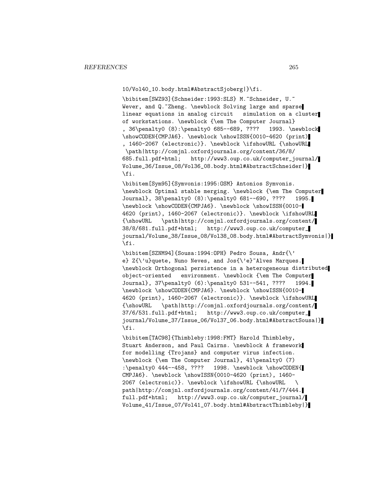10/Vol40\_10.body.html#AbstractSjoberg|}\fi.

\bibitem[SWZ93]{Schneider:1993:SLS} M.~Schneider, U.~ Wever, and Q.~Zheng. \newblock Solving large and sparse linear equations in analog circuit simulation on a cluster of workstations. \newblock {\em The Computer Journal} , 36\penalty0 (8):\penalty0 685--689, ???? 1993. \newblock \showCODEN{CMPJA6}. \newblock \showISSN{0010-4620 (print) , 1460-2067 (electronic)}. \newblock \ifshowURL {\showURL \path|http://comjnl.oxfordjournals.org/content/36/8/ 685.full.pdf+html; http://www3.oup.co.uk/computer\_journal/ Volume\_36/Issue\_08/Vol36\_08.body.html#AbstractSchneider|} \fi.

\bibitem[Sym95]{Symvonis:1995:OSM} Antonios Symvonis. \newblock Optimal stable merging. \newblock {\em The Computer Journal}, 38\penalty0 (8):\penalty0 681--690, ???? 1995. \newblock \showCODEN{CMPJA6}. \newblock \showISSN{0010- 4620 (print), 1460-2067 (electronic)}. \newblock \ifshowURL {\showURL \path|http://comjnl.oxfordjournals.org/content/ 38/8/681.full.pdf+html; http://www3.oup.co.uk/computer\_ journal/Volume\_38/Issue\_08/Vol38\_08.body.html#AbstractSymvonis|} \fi.

\bibitem[SZNM94]{Sousa:1994:OPH} Pedro Sousa, Andr{\' e} Z{\'u}quete, Nuno Neves, and Jos{\'e}<sup>~</sup>Alves Marques. \newblock Orthogonal persistence in a heterogeneous distributed object-oriented environment. \newblock {\em The Computer Journal}, 37\penalty0 (6):\penalty0 531--541, ???? 1994. \newblock \showCODEN{CMPJA6}. \newblock \showISSN{0010- 4620 (print), 1460-2067 (electronic)}. \newblock \ifshowURL {\showURL \path|http://comjnl.oxfordjournals.org/content/ 37/6/531.full.pdf+html; http://www3.oup.co.uk/computer\_ journal/Volume\_37/Issue\_06/Vol37\_06.body.html#AbstractSousa|} \fi.

\bibitem[TAC98]{Thimbleby:1998:FMT} Harold Thimbleby, Stuart Anderson, and Paul Cairns. \newblock A framework for modelling {Trojans} and computer virus infection. \newblock {\em The Computer Journal}, 41\penalty0 (7) :\penalty0 444--458, ???? 1998. \newblock \showCODEN{ CMPJA6}. \newblock \showISSN{0010-4620 (print), 1460- 2067 (electronic)}. \newblock \ifshowURL {\showURL \ path|http://comjnl.oxfordjournals.org/content/41/7/444. full.pdf+html; http://www3.oup.co.uk/computer\_journal/ Volume\_41/Issue\_07/Vol41\_07.body.html#AbstractThimbleby|}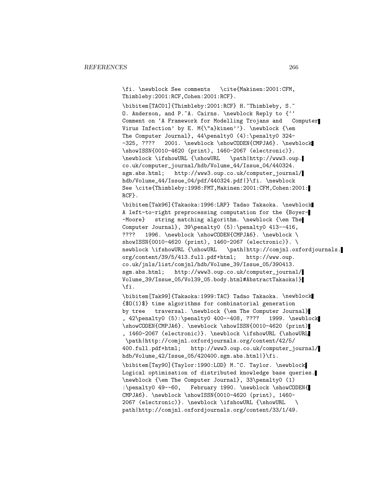\fi. \newblock See comments \cite{Makinen:2001:CFM, Thimbleby:2001:RCF,Cohen:2001:RCF}. \bibitem[TAC01]{Thimbleby:2001:RCF} H.~Thimbleby, S.~ O. Anderson, and P. A. Cairns. \newblock Reply to {'' Comment on 'A Framework for Modelling Trojans and Computer Virus Infection' by E. M{\"a}kinen''}. \newblock {\em The Computer Journal}, 44\penalty0 (4):\penalty0 324- -325, ???? 2001. \newblock \showCODEN{CMPJA6}. \newblock \showISSN{0010-4620 (print), 1460-2067 (electronic)}. \newblock \ifshowURL {\showURL \path|http://www3.oup. co.uk/computer\_journal/hdb/Volume\_44/Issue\_04/440324. sgm.abs.html; http://www3.oup.co.uk/computer\_journal/ hdb/Volume\_44/Issue\_04/pdf/440324.pdf|}\fi. \newblock See \cite{Thimbleby:1998:FMT,Makinen:2001:CFM,Cohen:2001: RCF}. \bibitem[Tak96]{Takaoka:1996:LRP} Tadao Takaoka. \newblock A left-to-right preprocessing computation for the {Boyer- -Moore} string matching algorithm. \newblock {\em The Computer Journal}, 39\penalty0 (5):\penalty0 413--416, ???? 1996. \newblock \showCODEN{CMPJA6}. \newblock \ showISSN{0010-4620 (print), 1460-2067 (electronic)}. \ newblock \ifshowURL {\showURL \path|http://comjnl.oxfordjournals. org/content/39/5/413.full.pdf+html; http://www.oup. co.uk/jnls/list/comjnl/hdb/Volume\_39/Issue\_05/390413. sgm.abs.html; http://www3.oup.co.uk/computer\_journal/ Volume\_39/Issue\_05/Vol39\_05.body.html#AbstractTakaoka|} \fi. \bibitem[Tak99]{Takaoka:1999:TAC} Tadao Takaoka. \newblock {\$O(1)\$} time algorithms for combinatorial generation by tree traversal. \newblock {\em The Computer Journal} , 42\penalty0 (5):\penalty0 400--408, ???? 1999. \newblock \showCODEN{CMPJA6}. \newblock \showISSN{0010-4620 (print) , 1460-2067 (electronic)}. \newblock \ifshowURL {\showURL \path|http://comjnl.oxfordjournals.org/content/42/5/ 400.full.pdf+html; http://www3.oup.co.uk/computer\_journal/ hdb/Volume\_42/Issue\_05/420400.sgm.abs.html|}\fi. \bibitem[Tay90]{Taylor:1990:LOD} M.~C. Taylor. \newblock Logical optimisation of distributed knowledge base queries. \newblock {\em The Computer Journal}, 33\penalty0 (1) :\penalty0 49--60, February 1990. \newblock \showCODEN{ CMPJA6}. \newblock \showISSN{0010-4620 (print), 1460- 2067 (electronic)}. \newblock \ifshowURL {\showURL \ path|http://comjnl.oxfordjournals.org/content/33/1/49.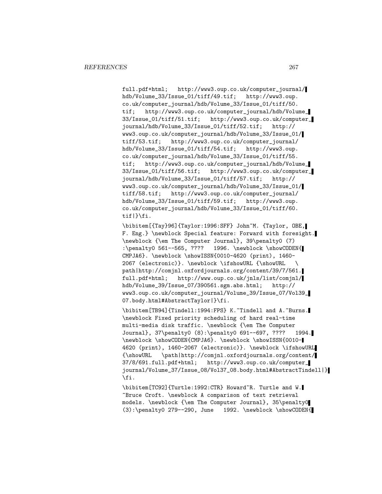full.pdf+html; http://www3.oup.co.uk/computer\_journal/ hdb/Volume\_33/Issue\_01/tiff/49.tif; http://www3.oup. co.uk/computer\_journal/hdb/Volume\_33/Issue\_01/tiff/50. tif; http://www3.oup.co.uk/computer\_journal/hdb/Volume\_ 33/Issue\_01/tiff/51.tif; http://www3.oup.co.uk/computer\_ journal/hdb/Volume\_33/Issue\_01/tiff/52.tif; http:// www3.oup.co.uk/computer\_journal/hdb/Volume\_33/Issue\_01/ tiff/53.tif; http://www3.oup.co.uk/computer\_journal/ hdb/Volume\_33/Issue\_01/tiff/54.tif; http://www3.oup. co.uk/computer\_journal/hdb/Volume\_33/Issue\_01/tiff/55. tif; http://www3.oup.co.uk/computer\_journal/hdb/Volume\_ 33/Issue\_01/tiff/56.tif; http://www3.oup.co.uk/computer\_ journal/hdb/Volume\_33/Issue\_01/tiff/57.tif; http:// www3.oup.co.uk/computer\_journal/hdb/Volume\_33/Issue\_01/ tiff/58.tif; http://www3.oup.co.uk/computer\_journal/ hdb/Volume\_33/Issue\_01/tiff/59.tif; http://www3.oup. co.uk/computer\_journal/hdb/Volume\_33/Issue\_01/tiff/60. tif|}\fi.

\bibitem[{Tay}96]{Taylor:1996:SFF} John~M. {Taylor, OBE, F. Eng.} \newblock Special feature: Forward with foresight. \newblock {\em The Computer Journal}, 39\penalty0 (7) :\penalty0 561--565, ???? 1996. \newblock \showCODEN{ CMPJA6}. \newblock \showISSN{0010-4620 (print), 1460- 2067 (electronic)}. \newblock \ifshowURL {\showURL \ path|http://comjnl.oxfordjournals.org/content/39/7/561. full.pdf+html; http://www.oup.co.uk/jnls/list/comjnl/ hdb/Volume\_39/Issue\_07/390561.sgm.abs.html; http:// www3.oup.co.uk/computer\_journal/Volume\_39/Issue\_07/Vol39\_ 07.body.html#AbstractTaylor|}\fi.

\bibitem[TB94]{Tindell:1994:FPS} K.~Tindell and A.~Burns. \newblock Fixed priority scheduling of hard real-time multi-media disk traffic. \newblock {\em The Computer Journal}, 37\penalty0 (8):\penalty0 691--697, ???? 1994. \newblock \showCODEN{CMPJA6}. \newblock \showISSN{0010- 4620 (print), 1460-2067 (electronic)}. \newblock \ifshowURL {\showURL \path|http://comjnl.oxfordjournals.org/content/ 37/8/691.full.pdf+html; http://www3.oup.co.uk/computer\_ journal/Volume\_37/Issue\_08/Vol37\_08.body.html#AbstractTindell|} \fi.

\bibitem[TC92]{Turtle:1992:CTR} Howard~R. Turtle and W. ~Bruce Croft. \newblock A comparison of text retrieval models. \newblock {\em The Computer Journal}, 35\penalty0  $(3):$  penalty0 279--290, June 1992. \newblock \showCODEN{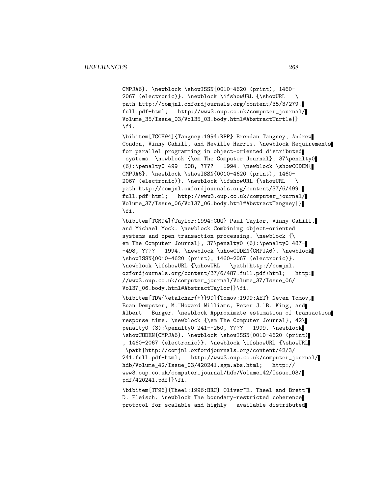CMPJA6}. \newblock \showISSN{0010-4620 (print), 1460- 2067 (electronic)}. \newblock \ifshowURL {\showURL \ path|http://comjnl.oxfordjournals.org/content/35/3/279. full.pdf+html; http://www3.oup.co.uk/computer\_journal/ Volume\_35/Issue\_03/Vol35\_03.body.html#AbstractTurtle|} \fi.

\bibitem[TCCH94]{Tangney:1994:RPP} Brendan Tangney, Andrew Condon, Vinny Cahill, and Neville Harris. \newblock Requirements for parallel programming in object-oriented distributed systems. \newblock {\em The Computer Journal}, 37\penalty0 (6):\penalty0 499--508, ???? 1994. \newblock \showCODEN{ CMPJA6}. \newblock \showISSN{0010-4620 (print), 1460- 2067 (electronic)}. \newblock \ifshowURL {\showURL \ path|http://comjnl.oxfordjournals.org/content/37/6/499. full.pdf+html; http://www3.oup.co.uk/computer\_journal/ Volume\_37/Issue\_06/Vol37\_06.body.html#AbstractTangney|} \fi.

\bibitem[TCM94]{Taylor:1994:COO} Paul Taylor, Vinny Cahill, and Michael Mock. \newblock Combining object-oriented systems and open transaction processing. \newblock {\ em The Computer Journal}, 37\penalty0 (6):\penalty0 487--498, ???? 1994. \newblock \showCODEN{CMPJA6}. \newblock \showISSN{0010-4620 (print), 1460-2067 (electronic)}. \newblock \ifshowURL {\showURL \path|http://comjnl. oxfordjournals.org/content/37/6/487.full.pdf+html; http: //www3.oup.co.uk/computer\_journal/Volume\_37/Issue\_06/ Vol37\_06.body.html#AbstractTaylor|}\fi.

\bibitem[TDW{\etalchar{+}}99]{Tomov:1999:AET} Neven Tomov, Euan Dempster, M.~Howard Williams, Peter J.~B. King, and Albert Burger. \newblock Approximate estimation of transaction response time. \newblock {\em The Computer Journal}, 42\ penalty0 (3):\penalty0 241--250, ???? 1999. \newblock \showCODEN{CMPJA6}. \newblock \showISSN{0010-4620 (print) , 1460-2067 (electronic)}. \newblock \ifshowURL {\showURL \path|http://comjnl.oxfordjournals.org/content/42/3/ 241.full.pdf+html; http://www3.oup.co.uk/computer\_journal/ hdb/Volume\_42/Issue\_03/420241.sgm.abs.html; http:// www3.oup.co.uk/computer\_journal/hdb/Volume\_42/Issue\_03/ pdf/420241.pdf|}\fi.

\bibitem[TF96]{Theel:1996:BRC} Oliver~E. Theel and Brett~ D. Fleisch. \newblock The boundary-restricted coherence protocol for scalable and highly available distributed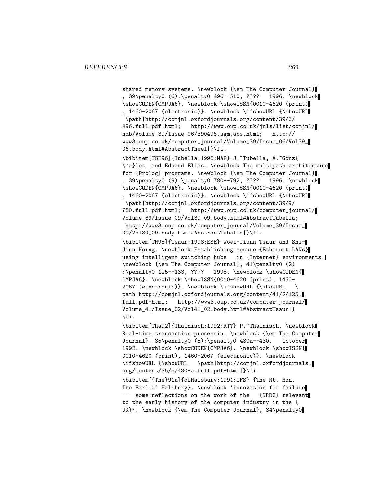shared memory systems. \newblock {\em The Computer Journal} , 39\penalty0 (6):\penalty0 496--510, ???? 1996. \newblock \showCODEN{CMPJA6}. \newblock \showISSN{0010-4620 (print) , 1460-2067 (electronic)}. \newblock \ifshowURL {\showURL \path|http://comjnl.oxfordjournals.org/content/39/6/ 496.full.pdf+html; http://www.oup.co.uk/jnls/list/comjnl/ hdb/Volume\_39/Issue\_06/390496.sgm.abs.html; http:// www3.oup.co.uk/computer\_journal/Volume\_39/Issue\_06/Vol39\_ 06.body.html#AbstractTheel|}\fi.

\bibitem[TGE96]{Tubella:1996:MAP} J.~Tubella, A.~Gonz{ \'a}lez, and Eduard Elias. \newblock The multipath architecture for {Prolog} programs. \newblock {\em The Computer Journal} , 39\penalty0 (9):\penalty0 780--792, ???? 1996. \newblock \showCODEN{CMPJA6}. \newblock \showISSN{0010-4620 (print) , 1460-2067 (electronic)}. \newblock \ifshowURL {\showURL \path|http://comjnl.oxfordjournals.org/content/39/9/ 780.full.pdf+html; http://www.oup.co.uk/computer\_journal/ Volume\_39/Issue\_09/Vol39\_09.body.html#AbstractTubella; http://www3.oup.co.uk/computer\_journal/Volume\_39/Issue\_ 09/Vol39\_09.body.html#AbstractTubella|}\fi.

\bibitem[TH98]{Tsaur:1998:ESE} Woei-Jiunn Tsaur and Shi-Jinn Horng. \newblock Establishing secure {Ethernet LANs} using intelligent switching hubs in {Internet} environments. \newblock {\em The Computer Journal}, 41\penalty0 (2) :\penalty0 125--133, ???? 1998. \newblock \showCODEN{ CMPJA6}. \newblock \showISSN{0010-4620 (print), 1460- 2067 (electronic)}. \newblock \ifshowURL {\showURL \ path|http://comjnl.oxfordjournals.org/content/41/2/125. full.pdf+html; http://www3.oup.co.uk/computer\_journal/ Volume\_41/Issue\_02/Vol41\_02.body.html#AbstractTsaur|} \fi.

\bibitem[Tha92]{Thainisch:1992:RTT} P.~Thainisch. \newblock Real-time transaction processin. \newblock {\em The Computer Journal}, 35\penalty0 (5):\penalty0 430a--430, October 1992. \newblock \showCODEN{CMPJA6}. \newblock \showISSN{ 0010-4620 (print), 1460-2067 (electronic)}. \newblock \ifshowURL {\showURL \path|http://comjnl.oxfordjournals. org/content/35/5/430-a.full.pdf+html|}\fi.

\bibitem[{The}91a]{ofHalsbury:1991:IFS} {The Rt. Hon. The Earl of Halsbury}. \newblock 'innovation for failure --- some reflections on the work of the {NRDC} relevant to the early history of the computer industry in the { UK}'. \newblock {\em The Computer Journal}, 34\penalty0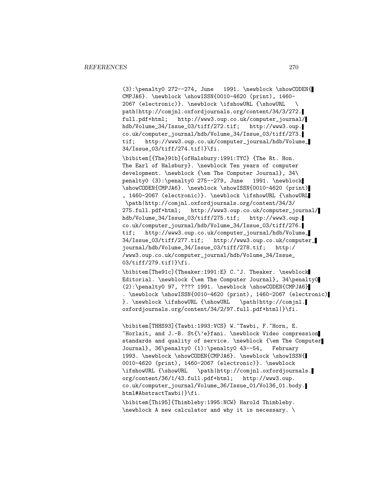$(3): \penalty0 272--274, June 1991. \newblock \showCODEN{$ CMPJA6}. \newblock \showISSN{0010-4620 (print), 1460- 2067 (electronic)}. \newblock \ifshowURL {\showURL \ path|http://comjnl.oxfordjournals.org/content/34/3/272. full.pdf+html; http://www3.oup.co.uk/computer\_journal/ hdb/Volume\_34/Issue\_03/tiff/272.tif; http://www3.oup. co.uk/computer\_journal/hdb/Volume\_34/Issue\_03/tiff/273. tif; http://www3.oup.co.uk/computer\_journal/hdb/Volume\_ 34/Issue\_03/tiff/274.tif|}\fi.

\bibitem[{The}91b]{ofHalsbury:1991:TYC} {The Rt. Hon. The Earl of Halsbury}. \newblock Ten years of computer development. \newblock {\em The Computer Journal}, 34\ penalty0 (3):\penalty0 275--279, June 1991. \newblock \showCODEN{CMPJA6}. \newblock \showISSN{0010-4620 (print) , 1460-2067 (electronic)}. \newblock \ifshowURL {\showURL \path|http://comjnl.oxfordjournals.org/content/34/3/ 275.full.pdf+html; http://www3.oup.co.uk/computer\_journal/ hdb/Volume\_34/Issue\_03/tiff/275.tif; http://www3.oup. co.uk/computer\_journal/hdb/Volume\_34/Issue\_03/tiff/276. tif; http://www3.oup.co.uk/computer\_journal/hdb/Volume\_ 34/Issue\_03/tiff/277.tif; http://www3.oup.co.uk/computer\_ journal/hdb/Volume\_34/Issue\_03/tiff/278.tif; http:/ /www3.oup.co.uk/computer\_journal/hdb/Volume\_34/Issue\_ 03/tiff/279.tif|}\fi.

\bibitem[The91c]{Theaker:1991:E} C.~J. Theaker. \newblock Editorial. \newblock {\em The Computer Journal}, 34\penalty0 (2):\penalty0 97, ???? 1991. \newblock \showCODEN{CMPJA6} . \newblock \showISSN{0010-4620 (print), 1460-2067 (electronic) }. \newblock \ifshowURL {\showURL \path|http://comjnl. oxfordjournals.org/content/34/2/97.full.pdf+html|}\fi.

\bibitem[THHS93]{Tawbi:1993:VCS} W.~Tawbi, F.~Horn, E. ~Horlait, and J.-B. St{\'e}fani. \newblock Video compression standards and quality of service. \newblock {\em The Computer Journal}, 36\penalty0 (1):\penalty0 43--54, February 1993. \newblock \showCODEN{CMPJA6}. \newblock \showISSN{ 0010-4620 (print), 1460-2067 (electronic)}. \newblock \ifshowURL {\showURL \path|http://comjnl.oxfordjournals. org/content/36/1/43.full.pdf+html; http://www3.oup. co.uk/computer\_journal/Volume\_36/Issue\_01/Vol36\_01.body. html#AbstractTawbi|}\fi.

\bibitem[Thi95]{Thimbleby:1995:NCW} Harold Thimbleby. \newblock A new calculator and why it is necessary. \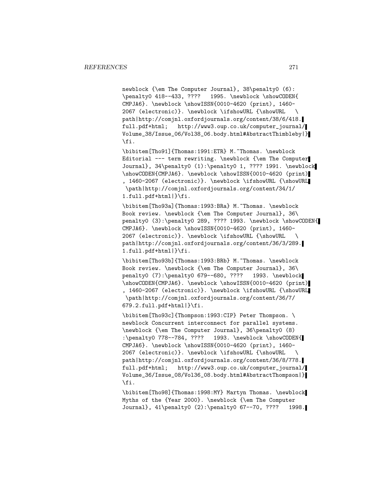newblock {\em The Computer Journal}, 38\penalty0 (6): \penalty0 418--433, ???? 1995. \newblock \showCODEN{ CMPJA6}. \newblock \showISSN{0010-4620 (print), 1460- 2067 (electronic)}. \newblock \ifshowURL {\showURL \ path|http://comjnl.oxfordjournals.org/content/38/6/418. full.pdf+html; http://www3.oup.co.uk/computer\_journal/ Volume\_38/Issue\_06/Vol38\_06.body.html#AbstractThimbleby|} \fi.

\bibitem[Tho91]{Thomas:1991:ETR} M.~Thomas. \newblock Editorial --- term rewriting. \newblock {\em The Computer Journal}, 34\penalty0 (1):\penalty0 1, ???? 1991. \newblock \showCODEN{CMPJA6}. \newblock \showISSN{0010-4620 (print) , 1460-2067 (electronic)}. \newblock \ifshowURL {\showURL \path|http://comjnl.oxfordjournals.org/content/34/1/ 1.full.pdf+html|}\fi.

\bibitem[Tho93a]{Thomas:1993:BRa} M.~Thomas. \newblock Book review. \newblock {\em The Computer Journal}, 36\ penalty0 (3):\penalty0 289, ???? 1993. \newblock \showCODEN{ CMPJA6}. \newblock \showISSN{0010-4620 (print), 1460- 2067 (electronic)}. \newblock \ifshowURL {\showURL \ path|http://comjnl.oxfordjournals.org/content/36/3/289. 1.full.pdf+html|}\fi.

\bibitem[Tho93b]{Thomas:1993:BRb} M.~Thomas. \newblock Book review. \newblock {\em The Computer Journal}, 36\ penalty0 (7):\penalty0 679--680, ???? 1993. \newblock \showCODEN{CMPJA6}. \newblock \showISSN{0010-4620 (print) , 1460-2067 (electronic)}. \newblock \ifshowURL {\showURL \path|http://comjnl.oxfordjournals.org/content/36/7/ 679.2.full.pdf+html|}\fi.

\bibitem[Tho93c]{Thompson:1993:CIP} Peter Thompson. \ newblock Concurrent interconnect for parallel systems. \newblock {\em The Computer Journal}, 36\penalty0 (8) :\penalty0 778--784, ???? 1993. \newblock \showCODEN{ CMPJA6}. \newblock \showISSN{0010-4620 (print), 1460- 2067 (electronic)}. \newblock \ifshowURL {\showURL \ path|http://comjnl.oxfordjournals.org/content/36/8/778. full.pdf+html; http://www3.oup.co.uk/computer\_journal/ Volume\_36/Issue\_08/Vol36\_08.body.html#AbstractThompson|} \fi.

\bibitem[Tho98]{Thomas:1998:MY} Martyn Thomas. \newblock Myths of the {Year 2000}. \newblock {\em The Computer Journal}, 41\penalty0 (2):\penalty0 67--70, ???? 1998.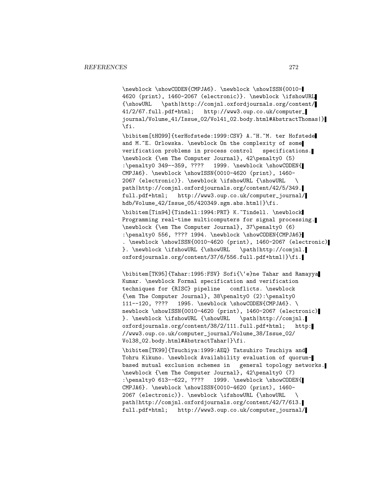\newblock \showCODEN{CMPJA6}. \newblock \showISSN{0010- 4620 (print), 1460-2067 (electronic)}. \newblock \ifshowURL {\showURL \path|http://comjnl.oxfordjournals.org/content/ 41/2/67.full.pdf+html; http://www3.oup.co.uk/computer\_ journal/Volume\_41/Issue\_02/Vol41\_02.body.html#AbstractThomas|} \fi.

\bibitem[tHO99]{terHofstede:1999:CSV} A.~H.~M. ter Hofstede and M.~E. Orlowska. \newblock On the complexity of some verification problems in process control specifications. \newblock {\em The Computer Journal}, 42\penalty0 (5) :\penalty0 349--359, ???? 1999. \newblock \showCODEN{ CMPJA6}. \newblock \showISSN{0010-4620 (print), 1460- 2067 (electronic)}. \newblock \ifshowURL {\showURL \ path|http://comjnl.oxfordjournals.org/content/42/5/349. full.pdf+html; http://www3.oup.co.uk/computer\_journal/ hdb/Volume\_42/Issue\_05/420349.sgm.abs.html|}\fi. \bibitem[Tin94]{Tindell:1994:PRT} K.~Tindell. \newblock Programming real-time multicomputers for signal processing. \newblock {\em The Computer Journal}, 37\penalty0 (6) :\penalty0 556, ???? 1994. \newblock \showCODEN{CMPJA6} . \newblock \showISSN{0010-4620 (print), 1460-2067 (electronic) }. \newblock \ifshowURL {\showURL \path|http://comjnl. oxfordjournals.org/content/37/6/556.full.pdf+html|}\fi.

\bibitem[TK95]{Tahar:1995:FSV} Sofi{\'e}ne Tahar and Ramayya Kumar. \newblock Formal specification and verification techniques for {RISC} pipeline conflicts. \newblock {\em The Computer Journal}, 38\penalty0 (2):\penalty0 111--120, ???? 1995. \newblock \showCODEN{CMPJA6}. \ newblock \showISSN{0010-4620 (print), 1460-2067 (electronic) }. \newblock \ifshowURL {\showURL \path|http://comjnl. oxfordjournals.org/content/38/2/111.full.pdf+html; http: //www3.oup.co.uk/computer\_journal/Volume\_38/Issue\_02/ Vol38\_02.body.html#AbstractTahar|}\fi.

\bibitem[TK99]{Tsuchiya:1999:AEQ} Tatsuhiro Tsuchiya and Tohru Kikuno. \newblock Availability evaluation of quorumbased mutual exclusion schemes in general topology networks. \newblock {\em The Computer Journal}, 42\penalty0 (7) :\penalty0 613--622, ???? 1999. \newblock \showCODEN{ CMPJA6}. \newblock \showISSN{0010-4620 (print), 1460- 2067 (electronic)}. \newblock \ifshowURL {\showURL \ path|http://comjnl.oxfordjournals.org/content/42/7/613. full.pdf+html; http://www3.oup.co.uk/computer\_journal/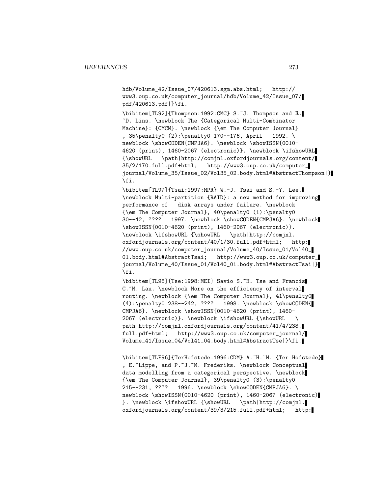hdb/Volume\_42/Issue\_07/420613.sgm.abs.html; http:// www3.oup.co.uk/computer\_journal/hdb/Volume\_42/Issue\_07/ pdf/420613.pdf|}\fi.

\bibitem[TL92]{Thompson:1992:CMC} S.~J. Thompson and R. ~D. Lins. \newblock The {Categorical Multi-Combinator Machine}: {CMCM}. \newblock {\em The Computer Journal} , 35\penalty0 (2):\penalty0 170--176, April 1992. \ newblock \showCODEN{CMPJA6}. \newblock \showISSN{0010-4620 (print), 1460-2067 (electronic)}. \newblock \ifshowURL {\showURL \path|http://comjnl.oxfordjournals.org/content/ 35/2/170.full.pdf+html; http://www3.oup.co.uk/computer\_ journal/Volume\_35/Issue\_02/Vol35\_02.body.html#AbstractThompson|} \fi.

\bibitem[TL97]{Tsai:1997:MPR} W.-J. Tsai and S.-Y. Lee. \newblock Multi-partition {RAID}: a new method for improving performance of disk arrays under failure. \newblock {\em The Computer Journal}, 40\penalty0 (1):\penalty0 30--42, ???? 1997. \newblock \showCODEN{CMPJA6}. \newblock \showISSN{0010-4620 (print), 1460-2067 (electronic)}. \newblock \ifshowURL {\showURL \path|http://comjnl. oxfordjournals.org/content/40/1/30.full.pdf+html; http: //www.oup.co.uk/computer\_journal/Volume\_40/Issue\_01/Vol40\_ 01.body.html#AbstractTsai; http://www3.oup.co.uk/computer\_ journal/Volume\_40/Issue\_01/Vol40\_01.body.html#AbstractTsai|} \fi.

\bibitem[TL98]{Tse:1998:MEI} Savio S.~H. Tse and Francis C. "M. Lau. \newblock More on the efficiency of interval routing. \newblock {\em The Computer Journal}, 41\penalty0 (4):\penalty0 238--242, ???? 1998. \newblock \showCODEN{ CMPJA6}. \newblock \showISSN{0010-4620 (print), 1460- 2067 (electronic)}. \newblock \ifshowURL {\showURL \ path|http://comjnl.oxfordjournals.org/content/41/4/238. full.pdf+html; http://www3.oup.co.uk/computer\_journal/ Volume\_41/Issue\_04/Vol41\_04.body.html#AbstractTse|}\fi.

\bibitem[TLF96]{TerHofstede:1996:CDM} A.~H.~M. {Ter Hofstede} , E.~Lippe, and P.~J.~M. Frederiks. \newblock Conceptual data modelling from a categorical perspective. \newblock {\em The Computer Journal},  $39\pquad0 (3):\pquad215--231, ???? 1996. \newblock \showCODEN{CMPJAG}.$ 1996. \newblock \showCODEN{CMPJA6}. \ newblock \showISSN{0010-4620 (print), 1460-2067 (electronic) }. \newblock \ifshowURL {\showURL \path|http://comjnl. oxfordjournals.org/content/39/3/215.full.pdf+html; http: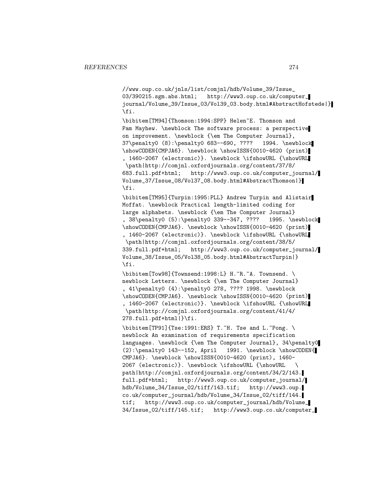//www.oup.co.uk/jnls/list/comjnl/hdb/Volume\_39/Issue\_ 03/390215.sgm.abs.html; http://www3.oup.co.uk/computer\_ journal/Volume\_39/Issue\_03/Vol39\_03.body.html#AbstractHofstede|} \fi.

\bibitem[TM94]{Thomson:1994:SPP} Helen~E. Thomson and Pam Mayhew. \newblock The software process: a perspective on improvement. \newblock {\em The Computer Journal}, 37\penalty0 (8):\penalty0 683--690, ???? 1994. \newblock \showCODEN{CMPJA6}. \newblock \showISSN{0010-4620 (print) , 1460-2067 (electronic)}. \newblock \ifshowURL {\showURL \path|http://comjnl.oxfordjournals.org/content/37/8/ 683.full.pdf+html; http://www3.oup.co.uk/computer\_journal/ Volume\_37/Issue\_08/Vol37\_08.body.html#AbstractThomson|} \fi.

\bibitem[TM95]{Turpin:1995:PLL} Andrew Turpin and Alistair Moffat. \newblock Practical length-limited coding for large alphabets. \newblock {\em The Computer Journal} , 38\penalty0 (5):\penalty0 339--347, ???? 1995. \newblock \showCODEN{CMPJA6}. \newblock \showISSN{0010-4620 (print) , 1460-2067 (electronic)}. \newblock \ifshowURL {\showURL \path|http://comjnl.oxfordjournals.org/content/38/5/ 339.full.pdf+html; http://www3.oup.co.uk/computer\_journal/ Volume\_38/Issue\_05/Vol38\_05.body.html#AbstractTurpin|} \fi.

\bibitem[Tow98]{Townsend:1998:L} H.~R.~A. Townsend. \ newblock Letters. \newblock {\em The Computer Journal} , 41\penalty0 (4):\penalty0 278, ???? 1998. \newblock \showCODEN{CMPJA6}. \newblock \showISSN{0010-4620 (print) , 1460-2067 (electronic)}. \newblock \ifshowURL {\showURL \path|http://comjnl.oxfordjournals.org/content/41/4/ 278.full.pdf+html|}\fi.

 $\big\{\begin{bmatrix} TP91 \end{bmatrix}\begin{bmatrix} Tse:1991:ERS \end{bmatrix} T. "H. Tse and L." Pong. \big\}$ newblock An examination of requirements specification languages. \newblock {\em The Computer Journal}, 34\penalty0 (2):\penalty0 143--152, April 1991. \newblock \showCODEN{ CMPJA6}. \newblock \showISSN{0010-4620 (print), 1460- 2067 (electronic)}. \newblock \ifshowURL {\showURL \ path|http://comjnl.oxfordjournals.org/content/34/2/143. full.pdf+html; http://www3.oup.co.uk/computer\_journal/ hdb/Volume\_34/Issue\_02/tiff/143.tif; http://www3.oup. co.uk/computer\_journal/hdb/Volume\_34/Issue\_02/tiff/144. tif; http://www3.oup.co.uk/computer\_journal/hdb/Volume\_ 34/Issue\_02/tiff/145.tif; http://www3.oup.co.uk/computer\_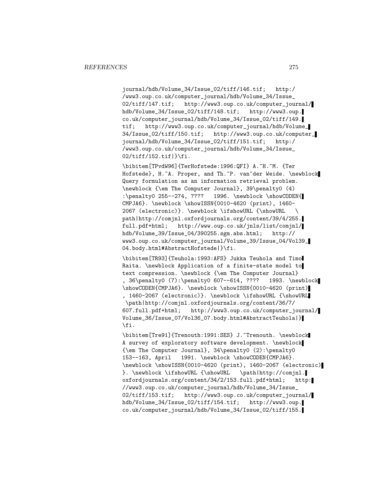journal/hdb/Volume\_34/Issue\_02/tiff/146.tif; http:/ /www3.oup.co.uk/computer\_journal/hdb/Volume\_34/Issue\_ 02/tiff/147.tif; http://www3.oup.co.uk/computer\_journal/ hdb/Volume\_34/Issue\_02/tiff/148.tif; http://www3.oup. co.uk/computer\_journal/hdb/Volume\_34/Issue\_02/tiff/149. tif; http://www3.oup.co.uk/computer\_journal/hdb/Volume\_ 34/Issue\_02/tiff/150.tif; http://www3.oup.co.uk/computer\_ journal/hdb/Volume\_34/Issue\_02/tiff/151.tif; http:/ /www3.oup.co.uk/computer\_journal/hdb/Volume\_34/Issue\_  $02/t$ iff/152.tif $|\}$ fi.

\bibitem[TPvdW96]{TerHofstede:1996:QFI} A.~H.~M. {Ter Hofstede}, H.~A. Proper, and Th.~P. van~der Weide. \newblock Query formulation as an information retrieval problem. \newblock {\em The Computer Journal}, 39\penalty0 (4) :\penalty0 255--274, ???? 1996. \newblock \showCODEN{ CMPJA6}. \newblock \showISSN{0010-4620 (print), 1460- 2067 (electronic)}. \newblock \ifshowURL {\showURL \ path|http://comjnl.oxfordjournals.org/content/39/4/255. full.pdf+html; http://www.oup.co.uk/jnls/list/comjnl/ hdb/Volume\_39/Issue\_04/390255.sgm.abs.html; http:// www3.oup.co.uk/computer\_journal/Volume\_39/Issue\_04/Vol39\_ 04.body.html#AbstractHofstede|}\fi.

\bibitem[TR93]{Teuhola:1993:AFS} Jukka Teuhola and Timo Raita. \newblock Application of a finite-state model to text compression. \newblock {\em The Computer Journal} , 36\penalty0 (7):\penalty0 607--614, ???? 1993. \newblock \showCODEN{CMPJA6}. \newblock \showISSN{0010-4620 (print) , 1460-2067 (electronic)}. \newblock \ifshowURL {\showURL \path|http://comjnl.oxfordjournals.org/content/36/7/ 607.full.pdf+html; http://www3.oup.co.uk/computer\_journal/ Volume\_36/Issue\_07/Vol36\_07.body.html#AbstractTeuhola|} \fi.

\bibitem[Tre91]{Trenouth:1991:SES} J.~Trenouth. \newblock A survey of exploratory software development. \newblock {\em The Computer Journal}, 34\penalty0 (2):\penalty0 153--163, April 1991. \newblock \showCODEN{CMPJA6}. \newblock \showISSN{0010-4620 (print), 1460-2067 (electronic) }. \newblock \ifshowURL {\showURL \path|http://comjnl. oxfordjournals.org/content/34/2/153.full.pdf+html; http: //www3.oup.co.uk/computer\_journal/hdb/Volume\_34/Issue\_ 02/tiff/153.tif; http://www3.oup.co.uk/computer\_journal/ hdb/Volume\_34/Issue\_02/tiff/154.tif; http://www3.oup. co.uk/computer\_journal/hdb/Volume\_34/Issue\_02/tiff/155.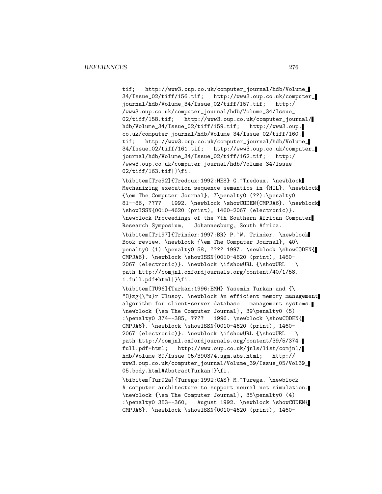tif; http://www3.oup.co.uk/computer\_journal/hdb/Volume\_ 34/Issue\_02/tiff/156.tif; http://www3.oup.co.uk/computer\_ journal/hdb/Volume\_34/Issue\_02/tiff/157.tif; http:/ /www3.oup.co.uk/computer\_journal/hdb/Volume\_34/Issue\_ 02/tiff/158.tif; http://www3.oup.co.uk/computer\_journal/ hdb/Volume\_34/Issue\_02/tiff/159.tif; http://www3.oup. co.uk/computer\_journal/hdb/Volume\_34/Issue\_02/tiff/160. tif; http://www3.oup.co.uk/computer\_journal/hdb/Volume\_ 34/Issue\_02/tiff/161.tif; http://www3.oup.co.uk/computer\_ journal/hdb/Volume\_34/Issue\_02/tiff/162.tif; http:/ /www3.oup.co.uk/computer\_journal/hdb/Volume\_34/Issue\_ 02/tiff/163.tif|}\fi.

\bibitem[Tre92]{Tredoux:1992:MES} G.~Tredoux. \newblock Mechanizing execution sequence semantics in {HOL}. \newblock {\em The Computer Journal}, 7\penalty0 (??):\penalty0 81--86, ???? 1992. \newblock \showCODEN{CMPJA6}. \newblock \showISSN{0010-4620 (print), 1460-2067 (electronic)}. \newblock Proceedings of the 7th Southern African Computer Research Symposium, Johannesburg, South Africa. \bibitem[Tri97]{Trinder:1997:BR} P.~W. Trinder. \newblock Book review. \newblock {\em The Computer Journal}, 40\ penalty0 (1):\penalty0 58, ???? 1997. \newblock \showCODEN{ CMPJA6}. \newblock \showISSN{0010-4620 (print), 1460-

2067 (electronic)}. \newblock \ifshowURL {\showURL \ path|http://comjnl.oxfordjournals.org/content/40/1/58. 1.full.pdf+html|}\fi.

\bibitem[TU96]{Turkan:1996:EMM} Yasemin Turkan and {\ "O}zg{\"u}r Ulusoy. \newblock An efficient memory management algorithm for client-server database management systems. \newblock {\em The Computer Journal}, 39\penalty0 (5) :\penalty0 374--385, ???? 1996. \newblock \showCODEN{ CMPJA6}. \newblock \showISSN{0010-4620 (print), 1460- 2067 (electronic)}. \newblock \ifshowURL {\showURL \ path|http://comjnl.oxfordjournals.org/content/39/5/374. full.pdf+html; http://www.oup.co.uk/jnls/list/comjnl/ hdb/Volume\_39/Issue\_05/390374.sgm.abs.html; http:// www3.oup.co.uk/computer\_journal/Volume\_39/Issue\_05/Vol39\_ 05.body.html#AbstractTurkan|}\fi.

\bibitem[Tur92a]{Turega:1992:CAS} M.~Turega. \newblock A computer architecture to support neural net simulation. \newblock {\em The Computer Journal}, 35\penalty0 (4) :\penalty0 353--360, August 1992. \newblock \showCODEN{ CMPJA6}. \newblock \showISSN{0010-4620 (print), 1460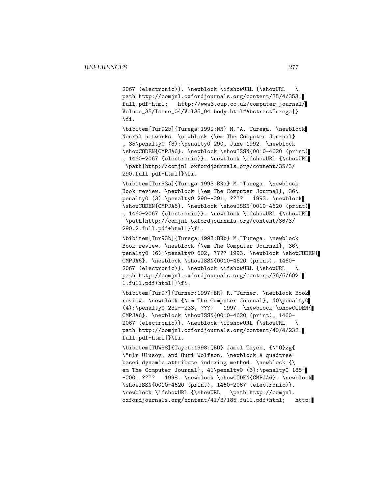2067 (electronic)}. \newblock \ifshowURL {\showURL \ path|http://comjnl.oxfordjournals.org/content/35/4/353. full.pdf+html; http://www3.oup.co.uk/computer\_journal/ Volume\_35/Issue\_04/Vol35\_04.body.html#AbstractTurega|} \fi.

\bibitem[Tur92b]{Turega:1992:NN} M.~A. Turega. \newblock Neural networks. \newblock {\em The Computer Journal} , 35\penalty0 (3):\penalty0 290, June 1992. \newblock \showCODEN{CMPJA6}. \newblock \showISSN{0010-4620 (print) , 1460-2067 (electronic)}. \newblock \ifshowURL {\showURL \path|http://comjnl.oxfordjournals.org/content/35/3/ 290.full.pdf+html|}\fi.

\bibitem[Tur93a]{Turega:1993:BRa} M.~Turega. \newblock Book review. \newblock {\em The Computer Journal}, 36\ penalty0 (3):\penalty0 290--291, ???? 1993. \newblock \showCODEN{CMPJA6}. \newblock \showISSN{0010-4620 (print) , 1460-2067 (electronic)}. \newblock \ifshowURL {\showURL \path|http://comjnl.oxfordjournals.org/content/36/3/ 290.2.full.pdf+html|}\fi.

\bibitem[Tur93b]{Turega:1993:BRb} M.~Turega. \newblock Book review. \newblock {\em The Computer Journal}, 36\ penalty0 (6):\penalty0 602, ???? 1993. \newblock \showCODEN{ CMPJA6}. \newblock \showISSN{0010-4620 (print), 1460- 2067 (electronic)}. \newblock \ifshowURL {\showURL \ path|http://comjnl.oxfordjournals.org/content/36/6/602. 1.full.pdf+html|}\fi.

\bibitem[Tur97]{Turner:1997:BR} R.~Turner. \newblock Book review. \newblock {\em The Computer Journal}, 40\penalty0  $(4): \penalty0 232--233, ???? 1997. \newblock \showCODEN{$ CMPJA6}. \newblock \showISSN{0010-4620 (print), 1460- 2067 (electronic)}. \newblock \ifshowURL {\showURL \ path|http://comjnl.oxfordjournals.org/content/40/4/232. full.pdf+html|}\fi.

\bibitem[TUW98]{Tayeb:1998:QBD} Jamel Tayeb, {\"O}zg{ \"u}r Ulusoy, and Ouri Wolfson. \newblock A quadtreebased dynamic attribute indexing method. \newblock {\ em The Computer Journal}, 41\penalty0 (3):\penalty0 185--200, ???? 1998. \newblock \showCODEN{CMPJA6}. \newblock \showISSN{0010-4620 (print), 1460-2067 (electronic)}. \newblock \ifshowURL {\showURL \path|http://comjnl. oxfordjournals.org/content/41/3/185.full.pdf+html; http: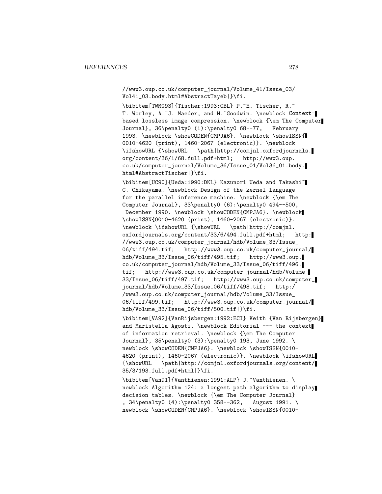//www3.oup.co.uk/computer\_journal/Volume\_41/Issue\_03/ Vol41\_03.body.html#AbstractTayeb|}\fi.

\bibitem[TWMG93]{Tischer:1993:CBL} P.~E. Tischer, R.~ T. Worley, A.~J. Maeder, and M.~Goodwin. \newblock Contextbased lossless image compression. \newblock {\em The Computer Journal}, 36\penalty0 (1):\penalty0 68--77, February 1993. \newblock \showCODEN{CMPJA6}. \newblock \showISSN{ 0010-4620 (print), 1460-2067 (electronic)}. \newblock<br>\ifshowURL {\showURL \path|http://comjnl.oxfordjourn \path|http://comjnl.oxfordjournals. org/content/36/1/68.full.pdf+html; http://www3.oup. co.uk/computer\_journal/Volume\_36/Issue\_01/Vol36\_01.body. html#AbstractTischer|}\fi.

\bibitem[UC90]{Ueda:1990:DKL} Kazunori Ueda and Takashi~ C. Chikayama. \newblock Design of the kernel language for the parallel inference machine. \newblock {\em The Computer Journal}, 33\penalty0 (6):\penalty0 494--500, December 1990. \newblock \showCODEN{CMPJA6}. \newblock \showISSN{0010-4620 (print), 1460-2067 (electronic)}. \newblock \ifshowURL {\showURL \path|http://comjnl. oxfordjournals.org/content/33/6/494.full.pdf+html; http: //www3.oup.co.uk/computer\_journal/hdb/Volume\_33/Issue\_ 06/tiff/494.tif; http://www3.oup.co.uk/computer\_journal/ hdb/Volume\_33/Issue\_06/tiff/495.tif; http://www3.oup. co.uk/computer\_journal/hdb/Volume\_33/Issue\_06/tiff/496. tif; http://www3.oup.co.uk/computer\_journal/hdb/Volume\_ 33/Issue\_06/tiff/497.tif; http://www3.oup.co.uk/computer\_ journal/hdb/Volume\_33/Issue\_06/tiff/498.tif; http:/ /www3.oup.co.uk/computer\_journal/hdb/Volume\_33/Issue\_ 06/tiff/499.tif; http://www3.oup.co.uk/computer\_journal/ hdb/Volume\_33/Issue\_06/tiff/500.tif|}\fi.

\bibitem[VA92]{VanRijsbergen:1992:ECI} Keith {Van Rijsbergen} and Maristella Agosti. \newblock Editorial --- the context of information retrieval. \newblock {\em The Computer Journal}, 35\penalty0 (3):\penalty0 193, June 1992. \ newblock \showCODEN{CMPJA6}. \newblock \showISSN{0010-4620 (print), 1460-2067 (electronic)}. \newblock \ifshowURL {\showURL \path|http://comjnl.oxfordjournals.org/content/ 35/3/193.full.pdf+html|}\fi.

\bibitem[Van91]{Vanthienen:1991:ALP} J.~Vanthienen. \ newblock Algorithm 124: a longest path algorithm to display decision tables. \newblock {\em The Computer Journal} , 34\penalty0 (4):\penalty0 358--362, August 1991. \ newblock \showCODEN{CMPJA6}. \newblock \showISSN{0010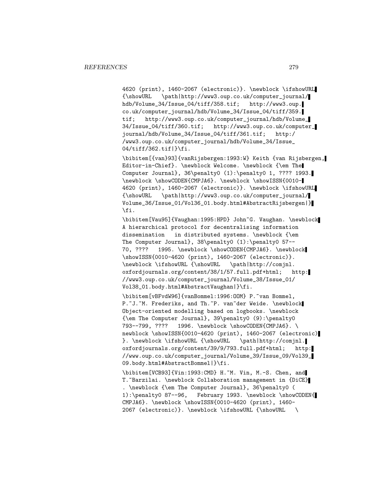4620 (print), 1460-2067 (electronic)}. \newblock \ifshowURL {\showURL \path|http://www3.oup.co.uk/computer\_journal/ hdb/Volume\_34/Issue\_04/tiff/358.tif; http://www3.oup. co.uk/computer\_journal/hdb/Volume\_34/Issue\_04/tiff/359. tif; http://www3.oup.co.uk/computer\_journal/hdb/Volume\_ 34/Issue\_04/tiff/360.tif; http://www3.oup.co.uk/computer\_ journal/hdb/Volume\_34/Issue\_04/tiff/361.tif; http:/ /www3.oup.co.uk/computer\_journal/hdb/Volume\_34/Issue\_ 04/tiff/362.tif|}\fi.

\bibitem[{van}93]{vanRijsbergen:1993:W} Keith {van Rijsbergen, Editor-in-Chief}. \newblock Welcome. \newblock {\em The Computer Journal}, 36\penalty0 (1):\penalty0 1, ???? 1993. \newblock \showCODEN{CMPJA6}. \newblock \showISSN{0010- 4620 (print), 1460-2067 (electronic)}. \newblock \ifshowURL {\showURL \path|http://www3.oup.co.uk/computer\_journal/ Volume\_36/Issue\_01/Vol36\_01.body.html#AbstractRijsbergen|} \fi.

\bibitem[Vau95]{Vaughan:1995:HPD} John~G. Vaughan. \newblock A hierarchical protocol for decentralising information dissemination in distributed systems. \newblock {\em The Computer Journal}, 38\penalty0 (1):\penalty0 57-- 70, ???? 1995. \newblock \showCODEN{CMPJA6}. \newblock \showISSN{0010-4620 (print), 1460-2067 (electronic)}.<br>\newblock \ifshowURL {\showURL \path|http://comjnl.  $\newblock \ifshowURL {\showURL}$ oxfordjournals.org/content/38/1/57.full.pdf+html; http: //www3.oup.co.uk/computer\_journal/Volume\_38/Issue\_01/ Vol38\_01.body.html#AbstractVaughan|}\fi.

\bibitem[vBFvdW96]{vanBommel:1996:00M} P.~van Bommel, P.~J.~M. Frederiks, and Th.~P. van~der Weide. \newblock Object-oriented modelling based on logbooks. \newblock {\em The Computer Journal}, 39\penalty0 (9):\penalty0 793--799, ???? 1996. \newblock \showCODEN{CMPJA6}. \ newblock \showISSN{0010-4620 (print), 1460-2067 (electronic) }. \newblock \ifshowURL {\showURL \path|http://comjnl. oxfordjournals.org/content/39/9/793.full.pdf+html; http: //www.oup.co.uk/computer\_journal/Volume\_39/Issue\_09/Vol39\_ 09.body.html#AbstractBommel|}\fi.

\bibitem[VCB93]{Vin:1993:CMD} H.~M. Vin, M.-S. Chen, and T. "Barzilai. \newblock Collaboration management in {DiCE} . \newblock {\em The Computer Journal}, 36\penalty0 ( 1):\penalty0 87--96, February 1993. \newblock \showCODEN{ CMPJA6}. \newblock \showISSN{0010-4620 (print), 1460- 2067 (electronic)}. \newblock \ifshowURL {\showURL \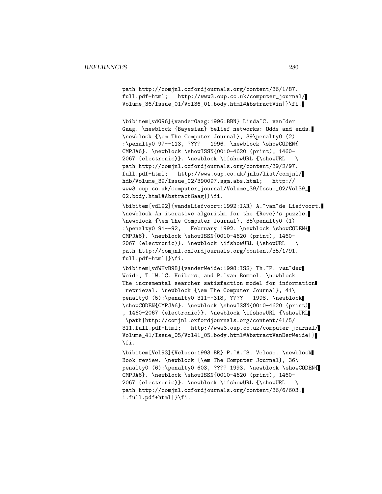path|http://comjnl.oxfordjournals.org/content/36/1/87. full.pdf+html; http://www3.oup.co.uk/computer\_journal/ Volume\_36/Issue\_01/Vol36\_01.body.html#AbstractVin|}\fi.

\bibitem[vdG96]{vanderGaag:1996:BBN} Linda~C. van~der Gaag. \newblock {Bayesian} belief networks: Odds and ends. \newblock {\em The Computer Journal}, 39\penalty0 (2) :\penalty0 97--113, ???? 1996. \newblock \showCODEN{ CMPJA6}. \newblock \showISSN{0010-4620 (print), 1460- 2067 (electronic)}. \newblock \ifshowURL {\showURL \ path|http://comjnl.oxfordjournals.org/content/39/2/97. full.pdf+html; http://www.oup.co.uk/jnls/list/comjnl/ hdb/Volume\_39/Issue\_02/390097.sgm.abs.html; http:// www3.oup.co.uk/computer\_journal/Volume\_39/Issue\_02/Vol39\_ 02.body.html#AbstractGaag|}\fi.

\bibitem[vdL92]{vandeLiefvoort:1992:IAR} A.~van~de Liefvoort. \newblock An iterative algorithm for the {Reve}'s puzzle. \newblock {\em The Computer Journal}, 35\penalty0 (1) :\penalty0 91--92, February 1992. \newblock \showCODEN{ CMPJA6}. \newblock \showISSN{0010-4620 (print), 1460- 2067 (electronic)}. \newblock \ifshowURL {\showURL \ path|http://comjnl.oxfordjournals.org/content/35/1/91. full.pdf+html|}\fi.

\bibitem[vdWHvB98]{vanderWeide:1998:ISS} Th.~P. van~der Weide, T.~W.~C. Huibers, and P.~van Bommel. \newblock The incremental searcher satisfaction model for information retrieval. \newblock {\em The Computer Journal}, 41\ penalty0 (5):\penalty0 311--318, ???? 1998. \newblock \showCODEN{CMPJA6}. \newblock \showISSN{0010-4620 (print) , 1460-2067 (electronic)}. \newblock \ifshowURL {\showURL \path|http://comjnl.oxfordjournals.org/content/41/5/ 311.full.pdf+html; http://www3.oup.co.uk/computer\_journal/ Volume\_41/Issue\_05/Vol41\_05.body.html#AbstractVanDerWeide|} \fi.

\bibitem[Vel93]{Veloso:1993:BR} P.~A.~S. Veloso. \newblock Book review. \newblock {\em The Computer Journal}, 36\ penalty0 (6):\penalty0 603, ???? 1993. \newblock \showCODEN{ CMPJA6}. \newblock \showISSN{0010-4620 (print), 1460- 2067 (electronic)}. \newblock \ifshowURL {\showURL \ path|http://comjnl.oxfordjournals.org/content/36/6/603. 1.full.pdf+html|}\fi.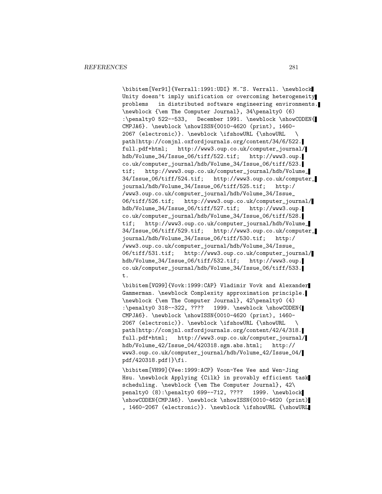\bibitem[Ver91]{Verrall:1991:UDI} M.~S. Verrall. \newblock Unity doesn't imply unification or overcoming heterogeneity problems in distributed software engineering environments. \newblock {\em The Computer Journal}, 34\penalty0 (6) :\penalty0 522--533, December 1991. \newblock \showCODEN{ CMPJA6}. \newblock \showISSN{0010-4620 (print), 1460- 2067 (electronic)}. \newblock \ifshowURL {\showURL \ path|http://comjnl.oxfordjournals.org/content/34/6/522. full.pdf+html; http://www3.oup.co.uk/computer\_journal/ hdb/Volume\_34/Issue\_06/tiff/522.tif; http://www3.oup. co.uk/computer\_journal/hdb/Volume\_34/Issue\_06/tiff/523. tif; http://www3.oup.co.uk/computer\_journal/hdb/Volume\_ 34/Issue\_06/tiff/524.tif; http://www3.oup.co.uk/computer\_ journal/hdb/Volume\_34/Issue\_06/tiff/525.tif; http:/ /www3.oup.co.uk/computer\_journal/hdb/Volume\_34/Issue\_ 06/tiff/526.tif; http://www3.oup.co.uk/computer\_journal/ hdb/Volume\_34/Issue\_06/tiff/527.tif; http://www3.oup. co.uk/computer\_journal/hdb/Volume\_34/Issue\_06/tiff/528. tif; http://www3.oup.co.uk/computer\_journal/hdb/Volume\_ 34/Issue\_06/tiff/529.tif; http://www3.oup.co.uk/computer\_ journal/hdb/Volume\_34/Issue\_06/tiff/530.tif; http:/ /www3.oup.co.uk/computer\_journal/hdb/Volume\_34/Issue\_ 06/tiff/531.tif; http://www3.oup.co.uk/computer\_journal/ hdb/Volume\_34/Issue\_06/tiff/532.tif; http://www3.oup. co.uk/computer\_journal/hdb/Volume\_34/Issue\_06/tiff/533. t.

\bibitem[VG99]{Vovk:1999:CAP} Vladimir Vovk and Alexander Gammerman. \newblock Complexity approximation principle. \newblock {\em The Computer Journal}, 42\penalty0 (4) :\penalty0 318--322, ???? 1999. \newblock \showCODEN{ CMPJA6}. \newblock \showISSN{0010-4620 (print), 1460- 2067 (electronic)}. \newblock \ifshowURL {\showURL \ path|http://comjnl.oxfordjournals.org/content/42/4/318. full.pdf+html; http://www3.oup.co.uk/computer\_journal/ hdb/Volume\_42/Issue\_04/420318.sgm.abs.html; http:// www3.oup.co.uk/computer\_journal/hdb/Volume\_42/Issue\_04/ pdf/420318.pdf|}\fi.

\bibitem[VH99]{Vee:1999:ACP} Voon-Yee Vee and Wen-Jing Hsu. \newblock Applying {Cilk} in provably efficient task scheduling. \newblock {\em The Computer Journal}, 42\ penalty0 (8):\penalty0 699--712, ???? 1999. \newblock \showCODEN{CMPJA6}. \newblock \showISSN{0010-4620 (print) , 1460-2067 (electronic)}. \newblock \ifshowURL {\showURL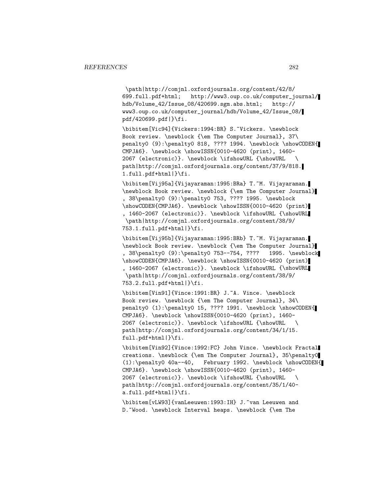\path|http://comjnl.oxfordjournals.org/content/42/8/ 699.full.pdf+html; http://www3.oup.co.uk/computer\_journal/ hdb/Volume\_42/Issue\_08/420699.sgm.abs.html; http:// www3.oup.co.uk/computer\_journal/hdb/Volume\_42/Issue\_08/ pdf/420699.pdf|}\fi.

\bibitem[Vic94]{Vickers:1994:BR} S.~Vickers. \newblock Book review. \newblock {\em The Computer Journal}, 37\ penalty0 (9):\penalty0 818, ???? 1994. \newblock \showCODEN{ CMPJA6}. \newblock \showISSN{0010-4620 (print), 1460- 2067 (electronic)}. \newblock \ifshowURL {\showURL \ path|http://comjnl.oxfordjournals.org/content/37/9/818. 1.full.pdf+html|}\fi.

\bibitem[Vij95a]{Vijayaraman:1995:BRa} T.~M. Vijayaraman. \newblock Book review. \newblock {\em The Computer Journal} , 38\penalty0 (9):\penalty0 753, ???? 1995. \newblock \showCODEN{CMPJA6}. \newblock \showISSN{0010-4620 (print) , 1460-2067 (electronic)}. \newblock \ifshowURL {\showURL \path|http://comjnl.oxfordjournals.org/content/38/9/ 753.1.full.pdf+html|}\fi.

\bibitem[Vij95b]{Vijayaraman:1995:BRb} T.~M. Vijayaraman. \newblock Book review. \newblock {\em The Computer Journal} , 38\penalty0 (9):\penalty0 753--754, ???? 1995. \newblock \showCODEN{CMPJA6}. \newblock \showISSN{0010-4620 (print) , 1460-2067 (electronic)}. \newblock \ifshowURL {\showURL \path|http://comjnl.oxfordjournals.org/content/38/9/ 753.2.full.pdf+html|}\fi.

\bibitem[Vin91]{Vince:1991:BR} J.~A. Vince. \newblock Book review. \newblock {\em The Computer Journal}, 34\ penalty0 (1):\penalty0 15, ???? 1991. \newblock \showCODEN{ CMPJA6}. \newblock \showISSN{0010-4620 (print), 1460- 2067 (electronic)}. \newblock \ifshowURL {\showURL \ path|http://comjnl.oxfordjournals.org/content/34/1/15. full.pdf+html|}\fi.

\bibitem[Vin92]{Vince:1992:FC} John Vince. \newblock Fractal creations. \newblock {\em The Computer Journal}, 35\penalty0 (1):\penalty0 40a--40, February 1992. \newblock \showCODEN{ CMPJA6}. \newblock \showISSN{0010-4620 (print), 1460- 2067 (electronic)}. \newblock \ifshowURL {\showURL \ path|http://comjnl.oxfordjournals.org/content/35/1/40 a.full.pdf+html|}\fi.

\bibitem[vLW93]{vanLeeuwen:1993:IH} J.~van Leeuwen and D.~Wood. \newblock Interval heaps. \newblock {\em The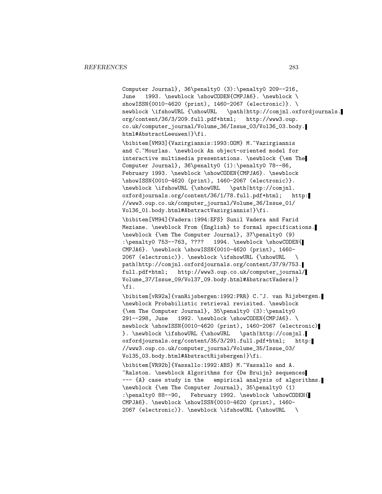Computer Journal}, 36\penalty0 (3):\penalty0 209--216, June 1993. \newblock \showCODEN{CMPJA6}. \newblock \ showISSN{0010-4620 (print), 1460-2067 (electronic)}. \ newblock \ifshowURL {\showURL \path|http://comjnl.oxfordjournals. org/content/36/3/209.full.pdf+html; http://www3.oup. co.uk/computer\_journal/Volume\_36/Issue\_03/Vol36\_03.body. html#AbstractLeeuwen|}\fi.

\bibitem[VM93]{Vazirgiannis:1993:OOM} M.~Vazirgiannis and C.~Mourlas. \newblock An object-oriented model for interactive multimedia presentations. \newblock {\em The Computer Journal}, 36\penalty0 (1):\penalty0 78--86, February 1993. \newblock \showCODEN{CMPJA6}. \newblock \showISSN{0010-4620 (print), 1460-2067 (electronic)}. \newblock \ifshowURL {\showURL \path|http://comjnl. oxfordjournals.org/content/36/1/78.full.pdf+html; http: //www3.oup.co.uk/computer\_journal/Volume\_36/Issue\_01/ Vol36\_01.body.html#AbstractVazirgiannis|}\fi.

\bibitem[VM94]{Vadera:1994:EFS} Sunil Vadera and Farid Meziane. \newblock From {English} to formal specifications. \newblock {\em The Computer Journal}, 37\penalty0 (9) :\penalty0 753--763, ???? 1994. \newblock \showCODEN{ CMPJA6}. \newblock \showISSN{0010-4620 (print), 1460- 2067 (electronic)}. \newblock \ifshowURL {\showURL \ path|http://comjnl.oxfordjournals.org/content/37/9/753. full.pdf+html; http://www3.oup.co.uk/computer\_journal/ Volume\_37/Issue\_09/Vol37\_09.body.html#AbstractVadera|} \fi.

\bibitem[vR92a]{vanRijsbergen:1992:PRR} C.~J. van Rijsbergen. \newblock Probabilistic retrieval revisited. \newblock {\em The Computer Journal}, 35\penalty0 (3):\penalty0 291--298, June 1992. \newblock \showCODEN{CMPJA6}. \ newblock \showISSN{0010-4620 (print), 1460-2067 (electronic) }. \newblock \ifshowURL {\showURL \path|http://comjnl. oxfordjournals.org/content/35/3/291.full.pdf+html; http: //www3.oup.co.uk/computer\_journal/Volume\_35/Issue\_03/ Vol35\_03.body.html#AbstractRijsbergen|}\fi.

\bibitem[VR92b]{Vassallo:1992:ABS} M.~Vassallo and A. ~Ralston. \newblock Algorithms for {De Bruijn} sequences --- {A} case study in the empirical analysis of algorithms. \newblock {\em The Computer Journal}, 35\penalty0 (1) :\penalty0 88--90, February 1992. \newblock \showCODEN{ CMPJA6}. \newblock \showISSN{0010-4620 (print), 1460- 2067 (electronic)}. \newblock \ifshowURL {\showURL \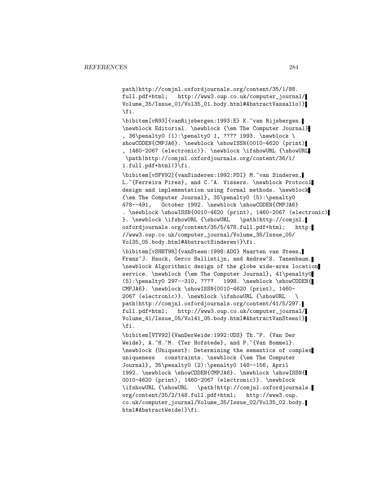path|http://comjnl.oxfordjournals.org/content/35/1/88. full.pdf+html; http://www3.oup.co.uk/computer\_journal/ Volume\_35/Issue\_01/Vol35\_01.body.html#AbstractVassallo|} \fi.

\bibitem[vR93]{vanRijsbergen:1993:E} K.~van Rijsbergen. \newblock Editorial. \newblock {\em The Computer Journal} , 36\penalty0 (1):\penalty0 1, ???? 1993. \newblock \ showCODEN{CMPJA6}. \newblock \showISSN{0010-4620 (print) , 1460-2067 (electronic)}. \newblock \ifshowURL {\showURL \path|http://comjnl.oxfordjournals.org/content/36/1/ 1.full.pdf+html|}\fi.

\bibitem[vSFV92]{vanSinderen:1992:PDI} M.~van Sinderen, L. "{Ferreira Pires}, and C. "A. Vissers. \newblock Protocol design and implementation using formal methods. \newblock {\em The Computer Journal}, 35\penalty0 (5):\penalty0 478--491, October 1992. \newblock \showCODEN{CMPJA6} . \newblock \showISSN{0010-4620 (print), 1460-2067 (electronic) }. \newblock \ifshowURL {\showURL \path|http://comjnl. oxfordjournals.org/content/35/5/478.full.pdf+html; http: //www3.oup.co.uk/computer\_journal/Volume\_35/Issue\_05/ Vol35\_05.body.html#AbstractSinderen|}\fi.

\bibitem[vSHBT98]{vanSteen:1998:ADG} Maarten van Steen, Franz~J. Hauck, Gerco Ballintijn, and Andrew~S. Tanenbaum. \newblock Algorithmic design of the globe wide-area location service. \newblock {\em The Computer Journal}, 41\penalty0 (5):\penalty0 297--310, ???? 1998. \newblock \showCODEN{ CMPJA6}. \newblock \showISSN{0010-4620 (print), 1460- 2067 (electronic)}. \newblock \ifshowURL {\showURL \ path|http://comjnl.oxfordjournals.org/content/41/5/297. full.pdf+html; http://www3.oup.co.uk/computer\_journal/ Volume\_41/Issue\_05/Vol41\_05.body.html#AbstractVanSteen|} \fi.

\bibitem[VTV92]{VanDerWeide:1992:UDS} Th.~P. {Van Der Weide}, A.~H.~M. {Ter Hofstede}, and P.~{Van Bommel}. \newblock {Uniquest}: Determining the semantics of complex uniqueness constraints. \newblock {\em The Computer Journal}, 35\penalty0 (2):\penalty0 148--156, April 1992. \newblock \showCODEN{CMPJA6}. \newblock \showISSN{ 0010-4620 (print), 1460-2067 (electronic)}. \newblock \ifshowURL {\showURL \path|http://comjnl.oxfordjournals. org/content/35/2/148.full.pdf+html; http://www3.oup. co.uk/computer\_journal/Volume\_35/Issue\_02/Vol35\_02.body. html#AbstractWeide|}\fi.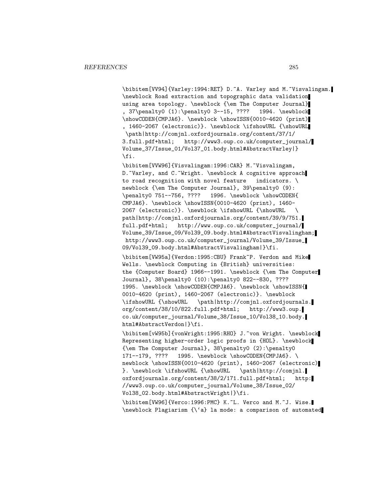\bibitem[VV94]{Varley:1994:RET} D.~A. Varley and M.~Visvalingam. \newblock Road extraction and topographic data validation using area topology. \newblock {\em The Computer Journal} , 37\penalty0 (1):\penalty0 3--15, ???? 1994. \newblock \showCODEN{CMPJA6}. \newblock \showISSN{0010-4620 (print) , 1460-2067 (electronic)}. \newblock \ifshowURL {\showURL \path|http://comjnl.oxfordjournals.org/content/37/1/ 3.full.pdf+html; http://www3.oup.co.uk/computer\_journal/ Volume\_37/Issue\_01/Vol37\_01.body.html#AbstractVarley|} \fi.

\bibitem[VVW96]{Visvalingam:1996:CAR} M.~Visvalingam, D.~Varley, and C.~Wright. \newblock A cognitive approach to road recognition with novel feature indicators. \ newblock {\em The Computer Journal}, 39\penalty0 (9): \penalty0 751--756, ???? 1996. \newblock \showCODEN{ CMPJA6}. \newblock \showISSN{0010-4620 (print), 1460- 2067 (electronic)}. \newblock \ifshowURL {\showURL \ path|http://comjnl.oxfordjournals.org/content/39/9/751. full.pdf+html; http://www.oup.co.uk/computer\_journal/ Volume\_39/Issue\_09/Vol39\_09.body.html#AbstractVisvalingham; http://www3.oup.co.uk/computer\_journal/Volume\_39/Issue\_ 09/Vol39\_09.body.html#AbstractVisvalingham|}\fi.

\bibitem[VW95a]{Verdon:1995:CBU} Frank~P. Verdon and Mike Wells. \newblock Computing in {British} universities: the {Computer Board} 1966--1991. \newblock {\em The Computer Journal}, 38\penalty0 (10):\penalty0 822--830, ???? 1995. \newblock \showCODEN{CMPJA6}. \newblock \showISSN{ 0010-4620 (print), 1460-2067 (electronic)}. \newblock \ifshowURL {\showURL \path|http://comjnl.oxfordjournals. org/content/38/10/822.full.pdf+html; http://www3.oup. co.uk/computer\_journal/Volume\_38/Issue\_10/Vol38\_10.body. html#AbstractVerdon|}\fi.

\bibitem[vW95b]{vonWright:1995:RHO} J.~von Wright. \newblock Representing higher-order logic proofs in {HOL}. \newblock {\em The Computer Journal}, 38\penalty0 (2):\penalty0 171--179, ???? 1995. \newblock \showCODEN{CMPJA6}. \ newblock \showISSN{0010-4620 (print), 1460-2067 (electronic) }. \newblock \ifshowURL {\showURL \path|http://comjnl. oxfordjournals.org/content/38/2/171.full.pdf+html; http: //www3.oup.co.uk/computer\_journal/Volume\_38/Issue\_02/ Vol38\_02.body.html#AbstractWright|}\fi.

\bibitem[VW96]{Verco:1996:PMC} K.~L. Verco and M.~J. Wise. \newblock Plagiarism {\'a} la mode: a comparison of automated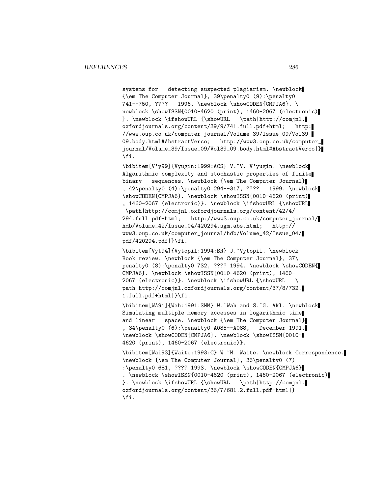systems for detecting suspected plagiarism. \newblock {\em The Computer Journal}, 39\penalty0 (9):\penalty0 741--750, ???? 1996. \newblock \showCODEN{CMPJA6}. \ newblock \showISSN{0010-4620 (print), 1460-2067 (electronic) }. \newblock \ifshowURL {\showURL \path|http://comjnl. oxfordjournals.org/content/39/9/741.full.pdf+html; http: //www.oup.co.uk/computer\_journal/Volume\_39/Issue\_09/Vol39\_ 09.body.html#AbstractVerco; http://www3.oup.co.uk/computer\_ journal/Volume\_39/Issue\_09/Vol39\_09.body.html#AbstractVerco|} \fi.

\bibitem[V'y99]{Vyugin:1999:ACS} V.~V. V'yugin. \newblock Algorithmic complexity and stochastic properties of finite binary sequences. \newblock {\em The Computer Journal} , 42\penalty0 (4):\penalty0 294--317, ???? 1999. \newblock \showCODEN{CMPJA6}. \newblock \showISSN{0010-4620 (print) , 1460-2067 (electronic)}. \newblock \ifshowURL {\showURL

\path|http://comjnl.oxfordjournals.org/content/42/4/ 294.full.pdf+html; http://www3.oup.co.uk/computer\_journal/ hdb/Volume\_42/Issue\_04/420294.sgm.abs.html; http:// www3.oup.co.uk/computer\_journal/hdb/Volume\_42/Issue\_04/ pdf/420294.pdf|}\fi.

\bibitem[Vyt94]{Vytopil:1994:BR} J.~Vytopil. \newblock Book review. \newblock {\em The Computer Journal}, 37\ penalty0 (8):\penalty0 732, ???? 1994. \newblock \showCODEN{ CMPJA6}. \newblock \showISSN{0010-4620 (print), 1460- 2067 (electronic)}. \newblock \ifshowURL {\showURL \ path|http://comjnl.oxfordjournals.org/content/37/8/732. 1.full.pdf+html|}\fi.

\bibitem[WA91]{Wah:1991:SMM} W.~Wah and S.~G. Akl. \newblock Simulating multiple memory accesses in logarithmic time and linear space. \newblock {\em The Computer Journal} , 34\penalty0 (6):\penalty0 A085--A088, December 1991. \newblock \showCODEN{CMPJA6}. \newblock \showISSN{0010- 4620 (print), 1460-2067 (electronic)}.

\bibitem[Wai93]{Waite:1993:C} W.~M. Waite. \newblock Correspondence. \newblock {\em The Computer Journal}, 36\penalty0 (7) :\penalty0 681, ???? 1993. \newblock \showCODEN{CMPJA6} . \newblock \showISSN{0010-4620 (print), 1460-2067 (electronic) }. \newblock \ifshowURL {\showURL \path|http://comjnl. oxfordjournals.org/content/36/7/681.2.full.pdf+html|} \fi.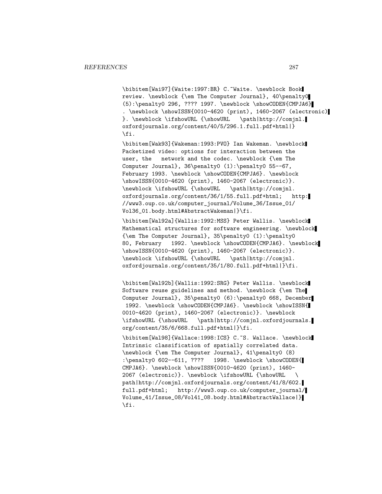\bibitem[Wai97]{Waite:1997:BR} C.~Waite. \newblock Book review. \newblock {\em The Computer Journal}, 40\penalty0  $(5): \penalty0 296, ???? 1997. \newblock \showCODEN{CMDIAG}$ . \newblock \showISSN{0010-4620 (print), 1460-2067 (electronic) }. \newblock \ifshowURL {\showURL \path|http://comjnl. oxfordjournals.org/content/40/5/296.1.full.pdf+html|} \fi.

\bibitem[Wak93]{Wakeman:1993:PVO} Ian Wakeman. \newblock Packetized video: options for interaction between the user, the network and the codec. \newblock {\em The Computer Journal}, 36\penalty0 (1):\penalty0 55--67, February 1993. \newblock \showCODEN{CMPJA6}. \newblock \showISSN{0010-4620 (print), 1460-2067 (electronic)}. \newblock \ifshowURL {\showURL \path|http://comjnl. oxfordjournals.org/content/36/1/55.full.pdf+html; http: //www3.oup.co.uk/computer\_journal/Volume\_36/Issue\_01/ Vol36\_01.body.html#AbstractWakeman|}\fi.

\bibitem[Wal92a]{Wallis:1992:MSS} Peter Wallis. \newblock Mathematical structures for software engineering. \newblock {\em The Computer Journal}, 35\penalty0 (1):\penalty0 80, February 1992. \newblock \showCODEN{CMPJA6}. \newblock \showISSN{0010-4620 (print), 1460-2067 (electronic)}. \newblock \ifshowURL {\showURL \path|http://comjnl. oxfordjournals.org/content/35/1/80.full.pdf+html|}\fi.

\bibitem[Wal92b]{Wallis:1992:SRG} Peter Wallis. \newblock Software reuse guidelines and method. \newblock {\em The Computer Journal}, 35\penalty0 (6):\penalty0 668, December 1992. \newblock \showCODEN{CMPJA6}. \newblock \showISSN{ 0010-4620 (print), 1460-2067 (electronic)}. \newblock \ifshowURL {\showURL \path|http://comjnl.oxfordjournals. org/content/35/6/668.full.pdf+html|}\fi.

\bibitem[Wal98]{Wallace:1998:ICS} C.~S. Wallace. \newblock Intrinsic classification of spatially correlated data. \newblock {\em The Computer Journal}, 41\penalty0 (8) :\penalty0 602--611, ???? 1998. \newblock \showCODEN{ CMPJA6}. \newblock \showISSN{0010-4620 (print), 1460- 2067 (electronic)}. \newblock \ifshowURL {\showURL \ path|http://comjnl.oxfordjournals.org/content/41/8/602. full.pdf+html; http://www3.oup.co.uk/computer\_journal/ Volume\_41/Issue\_08/Vol41\_08.body.html#AbstractWallace|} \fi.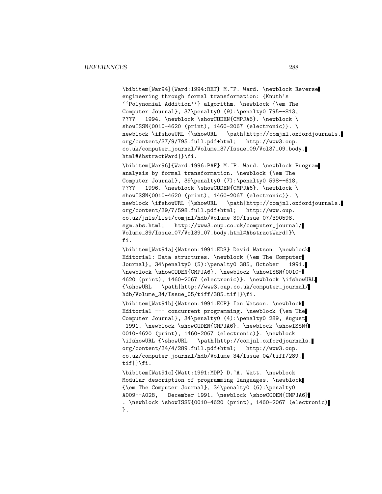\bibitem[War94]{Ward:1994:RET} M.~P. Ward. \newblock Reverse engineering through formal transformation: {Knuth's ''Polynomial Addition''} algorithm. \newblock {\em The Computer Journal}, 37\penalty0 (9):\penalty0 795--813, ???? 1994. \newblock \showCODEN{CMPJA6}. \newblock \ showISSN{0010-4620 (print), 1460-2067 (electronic)}. \<br>newblock \ifshowURL {\showURL \path|http://comjnl.ox \path|http://comjnl.oxfordjournals. org/content/37/9/795.full.pdf+html; http://www3.oup. co.uk/computer\_journal/Volume\_37/Issue\_09/Vol37\_09.body. html#AbstractWard|}\fi. \bibitem[War96]{Ward:1996:PAF} M.~P. Ward. \newblock Program analysis by formal transformation. \newblock {\em The Computer Journal}, 39\penalty0 (7):\penalty0 598--618, ???? 1996. \newblock \showCODEN{CMPJA6}. \newblock \ showISSN{0010-4620 (print), 1460-2067 (electronic)}. \ newblock \ifshowURL {\showURL \path|http://comjnl.oxfordjournals. org/content/39/7/598.full.pdf+html; http://www.oup. co.uk/jnls/list/comjnl/hdb/Volume\_39/Issue\_07/390598. sgm.abs.html; http://www3.oup.co.uk/computer\_journal/ Volume\_39/Issue\_07/Vol39\_07.body.html#AbstractWard|}\ fi. \bibitem[Wat91a]{Watson:1991:EDS} David Watson. \newblock Editorial: Data structures. \newblock {\em The Computer Journal}, 34\penalty0 (5):\penalty0 385, October 1991. \newblock \showCODEN{CMPJA6}. \newblock \showISSN{0010- 4620 (print), 1460-2067 (electronic)}. \newblock \ifshowURL {\showURL \path|http://www3.oup.co.uk/computer\_journal/ hdb/Volume\_34/Issue\_05/tiff/385.tif|}\fi. \bibitem[Wat91b]{Watson:1991:ECP} Ian Watson. \newblock Editorial  $---$  concurrent programming. \newblock {\em The Computer Journal}, 34\penalty0 (4):\penalty0 289, August 1991. \newblock \showCODEN{CMPJA6}. \newblock \showISSN{ 0010-4620 (print), 1460-2067 (electronic)}. \newblock \ifshowURL {\showURL \path|http://comjnl.oxfordjournals. org/content/34/4/289.full.pdf+html; http://www3.oup. co.uk/computer\_journal/hdb/Volume\_34/Issue\_04/tiff/289. tif|}\fi. \bibitem[Wat91c]{Watt:1991:MDP} D.~A. Watt. \newblock Modular description of programming languages. \newblock {\em The Computer Journal}, 34\penalty0 (6):\penalty0 A009--A028, December 1991. \newblock \showCODEN{CMPJA6} . \newblock \showISSN{0010-4620 (print), 1460-2067 (electronic) }.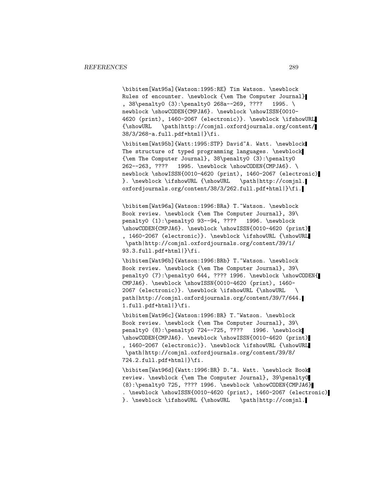\bibitem[Wat95a]{Watson:1995:RE} Tim Watson. \newblock Rules of encounter. \newblock {\em The Computer Journal} , 38\penalty0 (3):\penalty0 268a--269, ???? 1995. \ newblock \showCODEN{CMPJA6}. \newblock \showISSN{0010-4620 (print), 1460-2067 (electronic)}. \newblock \ifshowURL {\showURL \path|http://comjnl.oxfordjournals.org/content/ 38/3/268-a.full.pdf+html|}\fi.

\bibitem[Wat95b]{Watt:1995:STP} David~A. Watt. \newblock The structure of typed programming languages. \newblock {\em The Computer Journal}, 38\penalty0 (3):\penalty0 262--263, ???? 1995. \newblock \showCODEN{CMPJA6}. \ newblock \showISSN{0010-4620 (print), 1460-2067 (electronic) }. \newblock \ifshowURL {\showURL \path|http://comjnl. oxfordjournals.org/content/38/3/262.full.pdf+html|}\fi.

\bibitem[Wat96a]{Watson:1996:BRa} T.~Watson. \newblock Book review. \newblock {\em The Computer Journal}, 39\ penalty0 (1):\penalty0 93--94, ???? 1996. \newblock \showCODEN{CMPJA6}. \newblock \showISSN{0010-4620 (print) , 1460-2067 (electronic)}. \newblock \ifshowURL {\showURL \path|http://comjnl.oxfordjournals.org/content/39/1/ 93.3.full.pdf+html|}\fi.

\bibitem[Wat96b]{Watson:1996:BRb} T.~Watson. \newblock Book review. \newblock {\em The Computer Journal}, 39\ penalty0 (7):\penalty0 644, ???? 1996. \newblock \showCODEN{ CMPJA6}. \newblock \showISSN{0010-4620 (print), 1460- 2067 (electronic)}. \newblock \ifshowURL {\showURL \ path|http://comjnl.oxfordjournals.org/content/39/7/644. 1.full.pdf+html|}\fi.

\bibitem[Wat96c]{Watson:1996:BR} T.~Watson. \newblock Book review. \newblock {\em The Computer Journal}, 39\ penalty0 (8):\penalty0 724--725, ???? 1996. \newblock \showCODEN{CMPJA6}. \newblock \showISSN{0010-4620 (print) , 1460-2067 (electronic)}. \newblock \ifshowURL {\showURL \path|http://comjnl.oxfordjournals.org/content/39/8/ 724.2.full.pdf+html|}\fi.

\bibitem[Wat96d]{Watt:1996:BR} D.~A. Watt. \newblock Book review. \newblock {\em The Computer Journal}, 39\penalty0 (8):\penalty0 725, ???? 1996. \newblock \showCODEN{CMPJA6} . \newblock \showISSN{0010-4620 (print), 1460-2067 (electronic) }. \newblock \ifshowURL {\showURL \path|http://comjnl.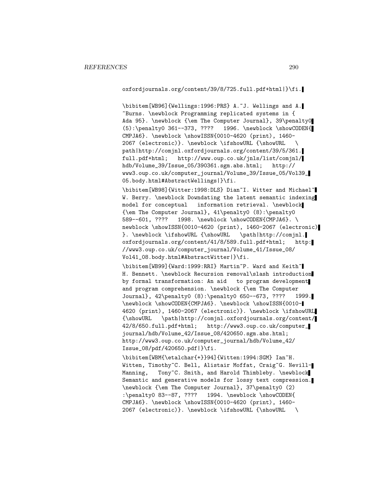oxfordjournals.org/content/39/8/725.full.pdf+html|}\fi.

\bibitem[WB96]{Wellings:1996:PRS} A.~J. Wellings and A. ~Burns. \newblock Programming replicated systems in { Ada 95}. \newblock {\em The Computer Journal}, 39\penalty0 (5):\penalty0 361--373, ???? 1996. \newblock \showCODEN{ CMPJA6}. \newblock \showISSN{0010-4620 (print), 1460- 2067 (electronic)}. \newblock \ifshowURL {\showURL \ path|http://comjnl.oxfordjournals.org/content/39/5/361. full.pdf+html; http://www.oup.co.uk/jnls/list/comjnl/ hdb/Volume\_39/Issue\_05/390361.sgm.abs.html; http:// www3.oup.co.uk/computer\_journal/Volume\_39/Issue\_05/Vol39\_ 05.body.html#AbstractWellings|}\fi.

\bibitem[WB98]{Witter:1998:DLS} Dian~I. Witter and Michael~ W. Berry. \newblock Downdating the latent semantic indexing model for conceptual information retrieval. \newblock {\em The Computer Journal}, 41\penalty0 (8):\penalty0 589--601, ???? 1998. \newblock \showCODEN{CMPJA6}. \ newblock \showISSN{0010-4620 (print), 1460-2067 (electronic) }. \newblock \ifshowURL {\showURL \path|http://comjnl. oxfordjournals.org/content/41/8/589.full.pdf+html; http: //www3.oup.co.uk/computer\_journal/Volume\_41/Issue\_08/ Vol41\_08.body.html#AbstractWitter|}\fi.

\bibitem[WB99]{Ward:1999:RRI} Martin~P. Ward and Keith~ H. Bennett. \newblock Recursion removal\slash introduction by formal transformation: An aid to program development and program comprehension. \newblock {\em The Computer Journal}, 42\penalty0 (8):\penalty0 650--673, ???? 1999. \newblock \showCODEN{CMPJA6}. \newblock \showISSN{0010- 4620 (print), 1460-2067 (electronic)}. \newblock \ifshowURL {\showURL \path|http://comjnl.oxfordjournals.org/content/ 42/8/650.full.pdf+html; http://www3.oup.co.uk/computer\_ journal/hdb/Volume\_42/Issue\_08/420650.sgm.abs.html; http://www3.oup.co.uk/computer\_journal/hdb/Volume\_42/ Issue\_08/pdf/420650.pdf|}\fi.

\bibitem[WBM{\etalchar{+}}94]{Witten:1994:SGM} Ian~H. Witten, Timothy~C. Bell, Alistair Moffat, Craig~G. Nevill-Manning, Tony~C. Smith, and Harold Thimbleby. \newblock Semantic and generative models for lossy text compression. \newblock {\em The Computer Journal}, 37\penalty0 (2) :\penalty0 83--87, ???? 1994. \newblock \showCODEN{ CMPJA6}. \newblock \showISSN{0010-4620 (print), 1460- 2067 (electronic)}. \newblock \ifshowURL {\showURL \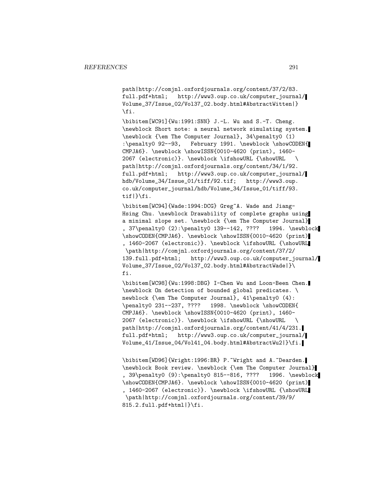path|http://comjnl.oxfordjournals.org/content/37/2/83. full.pdf+html; http://www3.oup.co.uk/computer\_journal/ Volume\_37/Issue\_02/Vol37\_02.body.html#AbstractWitten|} \fi.

\bibitem[WC91]{Wu:1991:SNN} J.-L. Wu and S.-T. Cheng. \newblock Short note: a neural network simulating system. \newblock {\em The Computer Journal}, 34\penalty0 (1) :\penalty0 92--93, February 1991. \newblock \showCODEN{ CMPJA6}. \newblock \showISSN{0010-4620 (print), 1460- 2067 (electronic)}. \newblock \ifshowURL {\showURL \ path|http://comjnl.oxfordjournals.org/content/34/1/92. full.pdf+html; http://www3.oup.co.uk/computer\_journal/ hdb/Volume\_34/Issue\_01/tiff/92.tif; http://www3.oup. co.uk/computer\_journal/hdb/Volume\_34/Issue\_01/tiff/93. tif|}\fi.

\bibitem[WC94]{Wade:1994:DCG} Greg~A. Wade and Jiang-Hsing Chu. \newblock Drawability of complete graphs using a minimal slope set. \newblock {\em The Computer Journal} , 37\penalty0 (2):\penalty0 139--142, ???? 1994. \newblock \showCODEN{CMPJA6}. \newblock \showISSN{0010-4620 (print) , 1460-2067 (electronic)}. \newblock \ifshowURL {\showURL \path|http://comjnl.oxfordjournals.org/content/37/2/ 139.full.pdf+html; http://www3.oup.co.uk/computer\_journal/ Volume\_37/Issue\_02/Vol37\_02.body.html#AbstractWade|}\ fi.

\bibitem[WC98]{Wu:1998:DBG} I-Chen Wu and Loon-Been Chen. \newblock On detection of bounded global predicates. \ newblock {\em The Computer Journal}, 41\penalty0 (4): \penalty0 231--237, ???? 1998. \newblock \showCODEN{ CMPJA6}. \newblock \showISSN{0010-4620 (print), 1460- 2067 (electronic)}. \newblock \ifshowURL {\showURL \ path|http://comjnl.oxfordjournals.org/content/41/4/231. full.pdf+html; http://www3.oup.co.uk/computer\_journal/ Volume\_41/Issue\_04/Vol41\_04.body.html#AbstractWu2|}\fi.

\bibitem[WD96]{Wright:1996:BR} P.~Wright and A.~Dearden. \newblock Book review. \newblock {\em The Computer Journal} , 39\penalty0 (9):\penalty0 815--816, ???? 1996. \newblock \showCODEN{CMPJA6}. \newblock \showISSN{0010-4620 (print) , 1460-2067 (electronic)}. \newblock \ifshowURL {\showURL \path|http://comjnl.oxfordjournals.org/content/39/9/ 815.2.full.pdf+html|}\fi.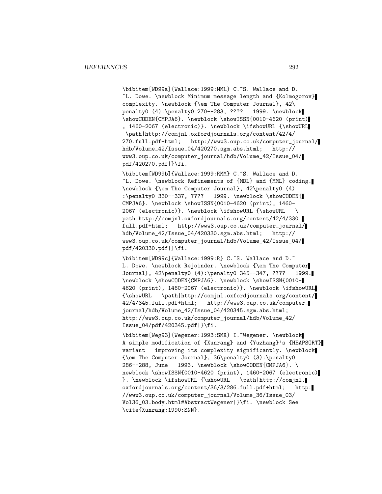\bibitem[WD99a]{Wallace:1999:MML} C.~S. Wallace and D. ~L. Dowe. \newblock Minimum message length and {Kolmogorov} complexity. \newblock {\em The Computer Journal}, 42\ penalty0 (4):\penalty0 270--283, ???? 1999. \newblock \showCODEN{CMPJA6}. \newblock \showISSN{0010-4620 (print) , 1460-2067 (electronic)}. \newblock \ifshowURL {\showURL \path|http://comjnl.oxfordjournals.org/content/42/4/ 270.full.pdf+html; http://www3.oup.co.uk/computer\_journal/<br>hdb/Volume\_42/Issue\_04/420270.sgm.abs.html; http://  $hdb/Volume_42/Issue_04/420270.sgm.abs.html;$ www3.oup.co.uk/computer\_journal/hdb/Volume\_42/Issue\_04/ pdf/420270.pdf|}\fi.

\bibitem[WD99b]{Wallace:1999:RMM} C.~S. Wallace and D. ~L. Dowe. \newblock Refinements of {MDL} and {MML} coding. \newblock {\em The Computer Journal}, 42\penalty0 (4) :\penalty0 330--337, ???? 1999. \newblock \showCODEN{ CMPJA6}. \newblock \showISSN{0010-4620 (print), 1460- 2067 (electronic)}. \newblock \ifshowURL {\showURL \ path|http://comjnl.oxfordjournals.org/content/42/4/330. full.pdf+html; http://www3.oup.co.uk/computer\_journal/ hdb/Volume\_42/Issue\_04/420330.sgm.abs.html; http:// www3.oup.co.uk/computer\_journal/hdb/Volume\_42/Issue\_04/ pdf/420330.pdf|}\fi.

\bibitem[WD99c]{Wallace:1999:R} C.~S. Wallace and D.~ L. Dowe. \newblock Rejoinder. \newblock {\em The Computer Journal}, 42\penalty0 (4):\penalty0 345--347, ???? 1999. \newblock \showCODEN{CMPJA6}. \newblock \showISSN{0010- 4620 (print), 1460-2067 (electronic)}. \newblock \ifshowURL {\showURL \path|http://comjnl.oxfordjournals.org/content/ 42/4/345.full.pdf+html; http://www3.oup.co.uk/computer\_ journal/hdb/Volume\_42/Issue\_04/420345.sgm.abs.html; http://www3.oup.co.uk/computer\_journal/hdb/Volume\_42/ Issue\_04/pdf/420345.pdf|}\fi.

\bibitem[Weg93]{Wegener:1993:SMX} I.~Wegener. \newblock A simple modification of {Xunrang} and {Yuzhang}'s {HEAPSORT} variant improving its complexity significantly. \newblock {\em The Computer Journal}, 36\penalty0 (3):\penalty0 286--288, June 1993. \newblock \showCODEN{CMPJA6}. \ newblock \showISSN{0010-4620 (print), 1460-2067 (electronic) }. \newblock \ifshowURL {\showURL \path|http://comjnl. oxfordjournals.org/content/36/3/286.full.pdf+html; http: //www3.oup.co.uk/computer\_journal/Volume\_36/Issue\_03/ Vol36\_03.body.html#AbstractWegener|}\fi. \newblock See \cite{Xunrang:1990:SNN}.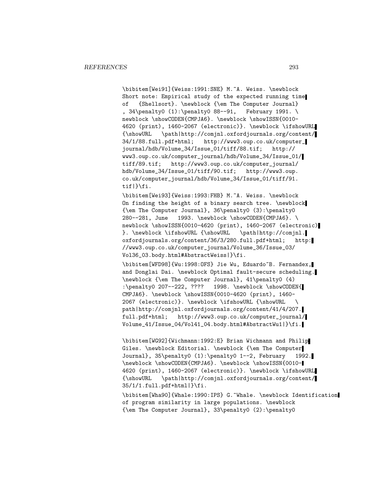\bibitem[Wei91]{Weiss:1991:SNE} M.~A. Weiss. \newblock Short note: Empirical study of the expected running time of {Shellsort}. \newblock {\em The Computer Journal} , 34\penalty0 (1):\penalty0 88--91, February 1991. \ newblock \showCODEN{CMPJA6}. \newblock \showISSN{0010-4620 (print), 1460-2067 (electronic)}. \newblock \ifshowURL {\showURL \path|http://comjnl.oxfordjournals.org/content/ 34/1/88.full.pdf+html; http://www3.oup.co.uk/computer\_ journal/hdb/Volume\_34/Issue\_01/tiff/88.tif; http:// www3.oup.co.uk/computer\_journal/hdb/Volume\_34/Issue\_01/ tiff/89.tif; http://www3.oup.co.uk/computer\_journal/ hdb/Volume\_34/Issue\_01/tiff/90.tif; http://www3.oup. co.uk/computer\_journal/hdb/Volume\_34/Issue\_01/tiff/91. tif|}\fi.

\bibitem[Wei93]{Weiss:1993:FHB} M.~A. Weiss. \newblock On finding the height of a binary search tree. \newblock {\em The Computer Journal}, 36\penalty0 (3):\penalty0 280--281, June 1993. \newblock \showCODEN{CMPJA6}. \ newblock \showISSN{0010-4620 (print), 1460-2067 (electronic) }. \newblock \ifshowURL {\showURL \path|http://comjnl. oxfordjournals.org/content/36/3/280.full.pdf+html; http: //www3.oup.co.uk/computer\_journal/Volume\_36/Issue\_03/ Vol36\_03.body.html#AbstractWeiss|}\fi.

\bibitem[WFD98]{Wu:1998:OFS} Jie Wu, Eduardo~B. Fernandex, and Donglai Dai. \newblock Optimal fault-secure scheduling. \newblock {\em The Computer Journal}, 41\penalty0 (4) :\penalty0 207--222, ???? 1998. \newblock \showCODEN{ CMPJA6}. \newblock \showISSN{0010-4620 (print), 1460- 2067 (electronic)}. \newblock \ifshowURL {\showURL \ path|http://comjnl.oxfordjournals.org/content/41/4/207. full.pdf+html; http://www3.oup.co.uk/computer\_journal/ Volume\_41/Issue\_04/Vol41\_04.body.html#AbstractWu1|}\fi.

\bibitem[WG92]{Wichmann:1992:E} Brian Wichmann and Philip Giles. \newblock Editorial. \newblock {\em The Computer Journal}, 35\penalty0 (1):\penalty0 1--2, February 1992. \newblock \showCODEN{CMPJA6}. \newblock \showISSN{0010- 4620 (print), 1460-2067 (electronic)}. \newblock \ifshowURL {\showURL \path|http://comjnl.oxfordjournals.org/content/  $35/1/1.$ full.pdf+html $|\}$ fi.

\bibitem[Wha90]{Whale:1990:IPS} G.~Whale. \newblock Identification of program similarity in large populations. \newblock {\em The Computer Journal}, 33\penalty0 (2):\penalty0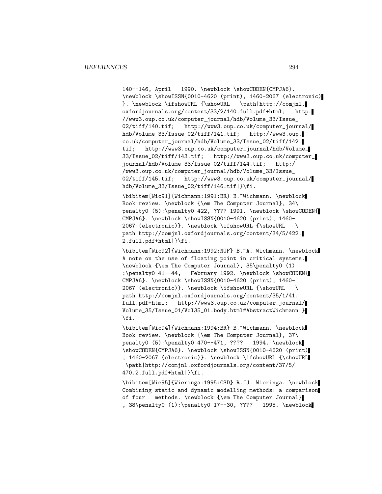140--146, April 1990. \newblock \showCODEN{CMPJA6}. \newblock \showISSN{0010-4620 (print), 1460-2067 (electronic) }. \newblock \ifshowURL {\showURL \path|http://comjnl. oxfordjournals.org/content/33/2/140.full.pdf+html; http: //www3.oup.co.uk/computer\_journal/hdb/Volume\_33/Issue\_ 02/tiff/140.tif; http://www3.oup.co.uk/computer\_journal/ hdb/Volume\_33/Issue\_02/tiff/141.tif; http://www3.oup. co.uk/computer\_journal/hdb/Volume\_33/Issue\_02/tiff/142. tif; http://www3.oup.co.uk/computer\_journal/hdb/Volume\_ 33/Issue\_02/tiff/143.tif; http://www3.oup.co.uk/computer\_ journal/hdb/Volume\_33/Issue\_02/tiff/144.tif; http:/ /www3.oup.co.uk/computer\_journal/hdb/Volume\_33/Issue\_ 02/tiff/145.tif; http://www3.oup.co.uk/computer\_journal/ hdb/Volume\_33/Issue\_02/tiff/146.tif|}\fi.

\bibitem[Wic91]{Wichmann:1991:BR} B.~Wichmann. \newblock Book review. \newblock {\em The Computer Journal}, 34\ penalty0 (5):\penalty0 422, ???? 1991. \newblock \showCODEN{ CMPJA6}. \newblock \showISSN{0010-4620 (print), 1460- 2067 (electronic)}. \newblock \ifshowURL {\showURL \ path|http://comjnl.oxfordjournals.org/content/34/5/422. 2.full.pdf+html|}\fi.

\bibitem[Wic92]{Wichmann:1992:NUF} B.~A. Wichmann. \newblock A note on the use of floating point in critical systems. \newblock {\em The Computer Journal}, 35\penalty0 (1) :\penalty0 41--44, February 1992. \newblock \showCODEN{ CMPJA6}. \newblock \showISSN{0010-4620 (print), 1460- 2067 (electronic)}. \newblock \ifshowURL {\showURL \ path|http://comjnl.oxfordjournals.org/content/35/1/41. full.pdf+html; http://www3.oup.co.uk/computer\_journal/ Volume\_35/Issue\_01/Vol35\_01.body.html#AbstractWichmann|} \fi.

\bibitem[Wic94]{Wichmann:1994:BR} B.~Wichmann. \newblock Book review. \newblock {\em The Computer Journal}, 37\ penalty0 (5):\penalty0 470--471, ???? 1994. \newblock \showCODEN{CMPJA6}. \newblock \showISSN{0010-4620 (print) , 1460-2067 (electronic)}. \newblock \ifshowURL {\showURL \path|http://comjnl.oxfordjournals.org/content/37/5/ 470.2.full.pdf+html|}\fi.

\bibitem[Wie95]{Wieringa:1995:CSD} R.~J. Wieringa. \newblock Combining static and dynamic modelling methods: a comparison of four methods. \newblock {\em The Computer Journal} , 38\penalty0 (1):\penalty0 17--30, ???? 1995. \newblock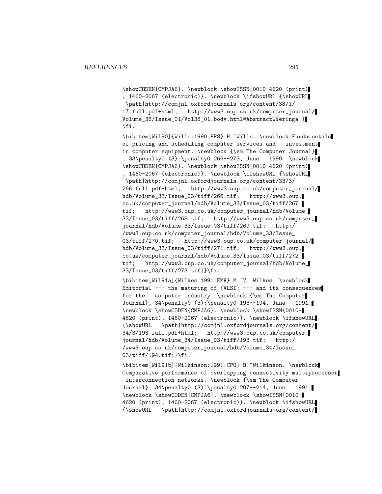\showCODEN{CMPJA6}. \newblock \showISSN{0010-4620 (print) , 1460-2067 (electronic)}. \newblock \ifshowURL {\showURL \path|http://comjnl.oxfordjournals.org/content/38/1/ 17.full.pdf+html; http://www3.oup.co.uk/computer\_journal/ Volume\_38/Issue\_01/Vol38\_01.body.html#AbstractWieringa|} \fi.

\bibitem[Wil90]{Wills:1990:FPS} H.~Wills. \newblock Fundamentals of pricing and scheduling computer services and investment in computer equipment. \newblock {\em The Computer Journal} , 33\penalty0 (3):\penalty0 266--273, June 1990. \newblock \showCODEN{CMPJA6}. \newblock \showISSN{0010-4620 (print) , 1460-2067 (electronic)}. \newblock \ifshowURL {\showURL \path|http://comjnl.oxfordjournals.org/content/33/3/ 266.full.pdf+html; http://www3.oup.co.uk/computer\_journal/ hdb/Volume\_33/Issue\_03/tiff/266.tif; http://www3.oup. co.uk/computer\_journal/hdb/Volume\_33/Issue\_03/tiff/267. tif; http://www3.oup.co.uk/computer\_journal/hdb/Volume\_ 33/Issue\_03/tiff/268.tif; http://www3.oup.co.uk/computer\_ journal/hdb/Volume\_33/Issue\_03/tiff/269.tif; http:/ /www3.oup.co.uk/computer\_journal/hdb/Volume\_33/Issue\_ 03/tiff/270.tif; http://www3.oup.co.uk/computer\_journal/ hdb/Volume\_33/Issue\_03/tiff/271.tif; http://www3.oup. co.uk/computer\_journal/hdb/Volume\_33/Issue\_03/tiff/272. tif; http://www3.oup.co.uk/computer\_journal/hdb/Volume\_ 33/Issue\_03/tiff/273.tif|}\fi.

\bibitem[Wil91a]{Wilkes:1991:EMV} M.~V. Wilkes. \newblock Editorial  $---$  the maturing of  $\{VLSI\}$  --- and its consequences for the computer industry. \newblock {\em The Computer Journal}, 34\penalty0 (3):\penalty0 193--194, June 1991. \newblock \showCODEN{CMPJA6}. \newblock \showISSN{0010- 4620 (print), 1460-2067 (electronic)}. \newblock \ifshowURL {\showURL \path|http://comjnl.oxfordjournals.org/content/ 34/3/193.full.pdf+html; http://www3.oup.co.uk/computer\_ journal/hdb/Volume\_34/Issue\_03/tiff/193.tif; http:/ /www3.oup.co.uk/computer\_journal/hdb/Volume\_34/Issue\_ 03/tiff/194.tif|}\fi.

\bibitem[Wil91b]{Wilkinson:1991:CPO} B.~Wilkinson. \newblock Comparative performance of overlapping connectivity multiprocessor interconnection networks. \newblock {\em The Computer Journal}, 34\penalty0 (3):\penalty0 207--214, June 1991. \newblock \showCODEN{CMPJA6}. \newblock \showISSN{0010- 4620 (print), 1460-2067 (electronic)}. \newblock \ifshowURL {\showURL \path|http://comjnl.oxfordjournals.org/content/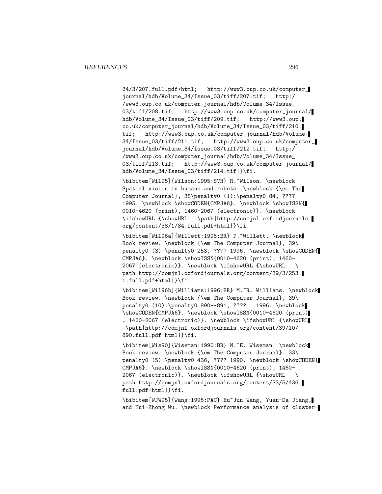34/3/207.full.pdf+html; http://www3.oup.co.uk/computer\_ journal/hdb/Volume\_34/Issue\_03/tiff/207.tif; http:/ /www3.oup.co.uk/computer\_journal/hdb/Volume\_34/Issue\_ 03/tiff/208.tif; http://www3.oup.co.uk/computer\_journal/ hdb/Volume\_34/Issue\_03/tiff/209.tif; http://www3.oup. co.uk/computer\_journal/hdb/Volume\_34/Issue\_03/tiff/210. tif; http://www3.oup.co.uk/computer\_journal/hdb/Volume\_ 34/Issue\_03/tiff/211.tif; http://www3.oup.co.uk/computer\_ journal/hdb/Volume\_34/Issue\_03/tiff/212.tif; http:/ /www3.oup.co.uk/computer\_journal/hdb/Volume\_34/Issue\_ 03/tiff/213.tif; http://www3.oup.co.uk/computer\_journal/ hdb/Volume\_34/Issue\_03/tiff/214.tif|}\fi.

\bibitem[Wil95]{Wilson:1995:SVH} R.~Wilson. \newblock Spatial vision in humans and robots. \newblock {\em The Computer Journal}, 38\penalty0 (1):\penalty0 84, ???? 1995. \newblock \showCODEN{CMPJA6}. \newblock \showISSN{ 0010-4620 (print), 1460-2067 (electronic)}. \newblock \ifshowURL {\showURL \path|http://comjnl.oxfordjournals. org/content/38/1/84.full.pdf+html|}\fi.

\bibitem[Wil96a]{Willett:1996:BR} P.~Willett. \newblock Book review. \newblock {\em The Computer Journal}, 39\ penalty0 (3):\penalty0 253, ???? 1996. \newblock \showCODEN{ CMPJA6}. \newblock \showISSN{0010-4620 (print), 1460- 2067 (electronic)}. \newblock \ifshowURL {\showURL \ path|http://comjnl.oxfordjournals.org/content/39/3/253. 1.full.pdf+html|}\fi.

\bibitem[Wil96b]{Williams:1996:BR} M.~R. Williams. \newblock Book review. \newblock {\em The Computer Journal}, 39\ penalty0 (10):\penalty0 890--891, ???? 1996. \newblock \showCODEN{CMPJA6}. \newblock \showISSN{0010-4620 (print) , 1460-2067 (electronic)}. \newblock \ifshowURL {\showURL \path|http://comjnl.oxfordjournals.org/content/39/10/ 890.full.pdf+html|}\fi.

\bibitem[Wis90]{Wiseman:1990:BR} N.~E. Wiseman. \newblock Book review. \newblock {\em The Computer Journal}, 33\ penalty0 (5):\penalty0 436, ???? 1990. \newblock \showCODEN{ CMPJA6}. \newblock \showISSN{0010-4620 (print), 1460- 2067 (electronic)}. \newblock \ifshowURL {\showURL path|http://comjnl.oxfordjournals.org/content/33/5/436. full.pdf+html|}\fi.

\bibitem[WJW95]{Wang:1995:PAC} Hu~Jun Wang, Yuan-Da Jiang, and Hui-Zhong Wu. \newblock Performance analysis of cluster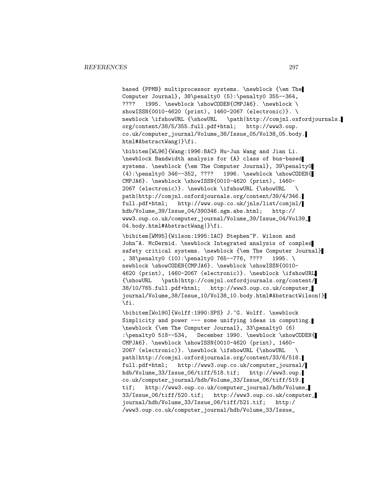based {PPMB} multiprocessor systems. \newblock {\em The Computer Journal}, 38\penalty0 (5):\penalty0 355--364, ???? 1995. \newblock \showCODEN{CMPJA6}. \newblock \ showISSN{0010-4620 (print), 1460-2067 (electronic)}. \ newblock \ifshowURL {\showURL \path|http://comjnl.oxfordjournals. org/content/38/5/355.full.pdf+html; http://www3.oup. co.uk/computer\_journal/Volume\_38/Issue\_05/Vol38\_05.body. html#AbstractWang|}\fi.

\bibitem[WL96]{Wang:1996:BAC} Hu-Jun Wang and Jian Li. \newblock Bandwidth analysis for {A} class of bus-based systems. \newblock {\em The Computer Journal}, 39\penalty0 (4):\penalty0 346--352, ???? 1996. \newblock \showCODEN{ CMPJA6}. \newblock \showISSN{0010-4620 (print), 1460- 2067 (electronic)}. \newblock \ifshowURL {\showURL \ path|http://comjnl.oxfordjournals.org/content/39/4/346. full.pdf+html; http://www.oup.co.uk/jnls/list/comjnl/ hdb/Volume\_39/Issue\_04/390346.sgm.abs.html; http:// www3.oup.co.uk/computer\_journal/Volume\_39/Issue\_04/Vol39\_ 04.body.html#AbstractWang|}\fi.

\bibitem[WM95]{Wilson:1995:IAC} Stephen~P. Wilson and John~A. McDermid. \newblock Integrated analysis of complex safety critical systems. \newblock {\em The Computer Journal} , 38\penalty0 (10):\penalty0 765--776, ???? 1995. \ newblock \showCODEN{CMPJA6}. \newblock \showISSN{0010-4620 (print), 1460-2067 (electronic)}. \newblock \ifshowURL {\showURL \path|http://comjnl.oxfordjournals.org/content/ 38/10/765.full.pdf+html; http://www3.oup.co.uk/computer\_ journal/Volume\_38/Issue\_10/Vol38\_10.body.html#AbstractWilson|} \fi.

\bibitem[Wol90]{Wolff:1990:SPS} J.~G. Wolff. \newblock Simplicity and power --- some unifying ideas in computing. \newblock {\em The Computer Journal}, 33\penalty0 (6) :\penalty0 518--534, December 1990. \newblock \showCODEN{ CMPJA6}. \newblock \showISSN{0010-4620 (print), 1460- 2067 (electronic)}. \newblock \ifshowURL {\showURL \ path|http://comjnl.oxfordjournals.org/content/33/6/518. full.pdf+html; http://www3.oup.co.uk/computer\_journal/ hdb/Volume\_33/Issue\_06/tiff/518.tif; http://www3.oup. co.uk/computer\_journal/hdb/Volume\_33/Issue\_06/tiff/519. tif; http://www3.oup.co.uk/computer\_journal/hdb/Volume\_ 33/Issue\_06/tiff/520.tif; http://www3.oup.co.uk/computer\_ journal/hdb/Volume\_33/Issue\_06/tiff/521.tif; http:/ /www3.oup.co.uk/computer\_journal/hdb/Volume\_33/Issue\_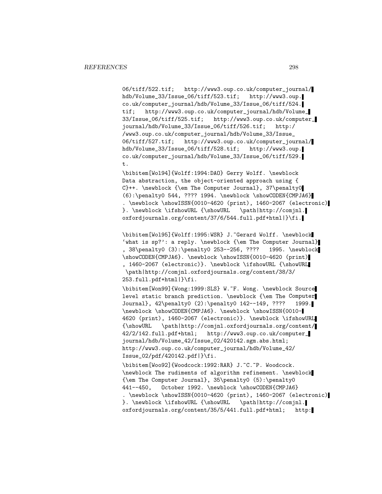06/tiff/522.tif; http://www3.oup.co.uk/computer\_journal/ hdb/Volume\_33/Issue\_06/tiff/523.tif; http://www3.oup. co.uk/computer\_journal/hdb/Volume\_33/Issue\_06/tiff/524. tif; http://www3.oup.co.uk/computer\_journal/hdb/Volume\_ 33/Issue\_06/tiff/525.tif; http://www3.oup.co.uk/computer\_ journal/hdb/Volume\_33/Issue\_06/tiff/526.tif; http:/ /www3.oup.co.uk/computer\_journal/hdb/Volume\_33/Issue\_ 06/tiff/527.tif; http://www3.oup.co.uk/computer\_journal/ hdb/Volume\_33/Issue\_06/tiff/528.tif; http://www3.oup. co.uk/computer\_journal/hdb/Volume\_33/Issue\_06/tiff/529. t.

\bibitem[Wol94]{Wolff:1994:DAO} Gerry Wolff. \newblock Data abstraction, the object-oriented approach using { C}++. \newblock {\em The Computer Journal}, 37\penalty0 (6):\penalty0 544, ???? 1994. \newblock \showCODEN{CMPJA6} . \newblock \showISSN{0010-4620 (print), 1460-2067 (electronic) }. \newblock \ifshowURL {\showURL \path|http://comjnl. oxfordjournals.org/content/37/6/544.full.pdf+html|}\fi.

\bibitem[Wol95]{Wolff:1995:WSR} J.~Gerard Wolff. \newblock 'what is sp?': a reply. \newblock {\em The Computer Journal} , 38\penalty0 (3):\penalty0 253--256, ???? 1995. \newblock \showCODEN{CMPJA6}. \newblock \showISSN{0010-4620 (print) , 1460-2067 (electronic)}. \newblock \ifshowURL {\showURL \path|http://comjnl.oxfordjournals.org/content/38/3/ 253.full.pdf+html|}\fi.

\bibitem[Won99]{Wong:1999:SLS} W.~F. Wong. \newblock Source level static branch prediction. \newblock {\em The Computer Journal}, 42\penalty0 (2):\penalty0 142--149, ???? 1999. \newblock \showCODEN{CMPJA6}. \newblock \showISSN{0010- 4620 (print), 1460-2067 (electronic)}. \newblock \ifshowURL {\showURL \path|http://comjnl.oxfordjournals.org/content/ 42/2/142.full.pdf+html; http://www3.oup.co.uk/computer\_ journal/hdb/Volume\_42/Issue\_02/420142.sgm.abs.html; http://www3.oup.co.uk/computer\_journal/hdb/Volume\_42/ Issue\_02/pdf/420142.pdf|}\fi.

\bibitem[Woo92]{Woodcock:1992:RAR} J.~C.~P. Woodcock. \newblock The rudiments of algorithm refinement. \newblock {\em The Computer Journal}, 35\penalty0 (5):\penalty0 441--450, October 1992. \newblock \showCODEN{CMPJA6} . \newblock \showISSN{0010-4620 (print), 1460-2067 (electronic) }. \newblock \ifshowURL {\showURL \path|http://comjnl. oxfordjournals.org/content/35/5/441.full.pdf+html; http: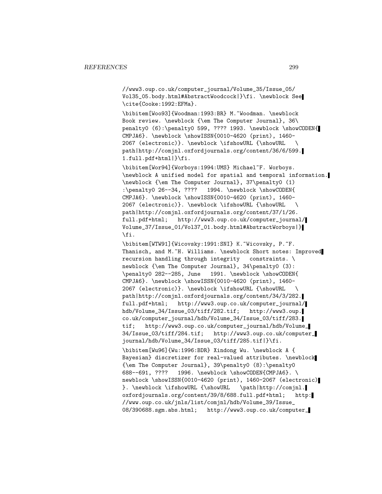//www3.oup.co.uk/computer\_journal/Volume\_35/Issue\_05/ Vol35\_05.body.html#AbstractWoodcock|}\fi. \newblock See \cite{Cooke:1992:EFMa}.

\bibitem[Woo93]{Woodman:1993:BR} M.~Woodman. \newblock Book review. \newblock {\em The Computer Journal}, 36\ penalty0 (6):\penalty0 599, ???? 1993. \newblock \showCODEN{ CMPJA6}. \newblock \showISSN{0010-4620 (print), 1460- 2067 (electronic)}. \newblock \ifshowURL {\showURL \ path|http://comjnl.oxfordjournals.org/content/36/6/599. 1.full.pdf+html|}\fi.

\bibitem[Wor94]{Worboys:1994:UMS} Michael~F. Worboys. \newblock A unified model for spatial and temporal information. \newblock {\em The Computer Journal}, 37\penalty0 (1) :\penalty0 26--34, ???? 1994. \newblock \showCODEN{ CMPJA6}. \newblock \showISSN{0010-4620 (print), 1460- 2067 (electronic)}. \newblock \ifshowURL {\showURL \ path|http://comjnl.oxfordjournals.org/content/37/1/26. full.pdf+html; http://www3.oup.co.uk/computer\_journal/ Volume\_37/Issue\_01/Vol37\_01.body.html#AbstractWorboys|} \fi.

\bibitem[WTW91]{Wicovsky:1991:SNI} K.~Wicovsky, P.~F. Thanisch, and M.~H. Williams. \newblock Short notes: Improved recursion handling through integrity constraints. \ newblock {\em The Computer Journal}, 34\penalty0 (3): \penalty0 282--285, June 1991. \newblock \showCODEN{ CMPJA6}. \newblock \showISSN{0010-4620 (print), 1460- 2067 (electronic)}. \newblock \ifshowURL {\showURL \ path|http://comjnl.oxfordjournals.org/content/34/3/282. full.pdf+html; http://www3.oup.co.uk/computer\_journal/ hdb/Volume\_34/Issue\_03/tiff/282.tif; http://www3.oup. co.uk/computer\_journal/hdb/Volume\_34/Issue\_03/tiff/283. tif; http://www3.oup.co.uk/computer\_journal/hdb/Volume\_ 34/Issue\_03/tiff/284.tif; http://www3.oup.co.uk/computer\_ journal/hdb/Volume\_34/Issue\_03/tiff/285.tif|}\fi. \bibitem[Wu96]{Wu:1996:BDR} Xindong Wu. \newblock A { Bayesian} discretizer for real-valued attributes. \newblock {\em The Computer Journal}, 39\penalty0 (8):\penalty0 688--691, ???? 1996. \newblock \showCODEN{CMPJA6}. \ newblock \showISSN{0010-4620 (print), 1460-2067 (electronic) }. \newblock \ifshowURL {\showURL \path|http://comjnl. oxfordjournals.org/content/39/8/688.full.pdf+html; http: //www.oup.co.uk/jnls/list/comjnl/hdb/Volume\_39/Issue\_ 08/390688.sgm.abs.html; http://www3.oup.co.uk/computer\_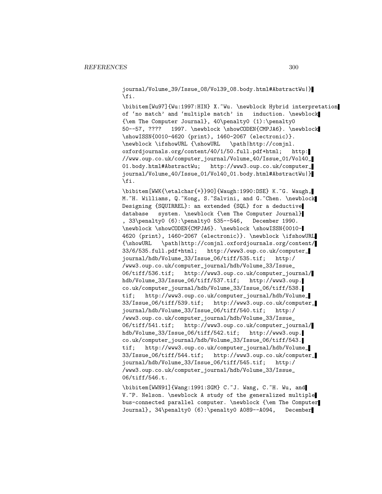journal/Volume\_39/Issue\_08/Vol39\_08.body.html#AbstractWu|} \fi.

\bibitem[Wu97]{Wu:1997:HIN} X.~Wu. \newblock Hybrid interpretation of 'no match' and 'multiple match' in induction. \newblock {\em The Computer Journal}, 40\penalty0 (1):\penalty0 50--57, ???? 1997. \newblock \showCODEN{CMPJA6}. \newblock \showISSN{0010-4620 (print), 1460-2067 (electronic)}. \newblock \ifshowURL {\showURL \path|http://comjnl. oxfordjournals.org/content/40/1/50.full.pdf+html; http: //www.oup.co.uk/computer\_journal/Volume\_40/Issue\_01/Vol40\_ 01.body.html#AbstractWu; http://www3.oup.co.uk/computer\_ journal/Volume\_40/Issue\_01/Vol40\_01.body.html#AbstractWu|} \fi.

\bibitem[WWK{\etalchar{+}}90]{Waugh:1990:DSE} K.~G. Waugh, M.~H. Williams, Q.~Kong, S.~Salvini, and G.~Chen. \newblock Designing {SQUIRREL}: an extended {SQL} for a deductive database system. \newblock {\em The Computer Journal} , 33\penalty0 (6):\penalty0 535--546, December 1990. \newblock \showCODEN{CMPJA6}. \newblock \showISSN{0010- 4620 (print), 1460-2067 (electronic)}. \newblock \ifshowURL {\showURL \path|http://comjnl.oxfordjournals.org/content/ 33/6/535.full.pdf+html; http://www3.oup.co.uk/computer\_ journal/hdb/Volume\_33/Issue\_06/tiff/535.tif; http:/ /www3.oup.co.uk/computer\_journal/hdb/Volume\_33/Issue\_ 06/tiff/536.tif; http://www3.oup.co.uk/computer\_journal/ hdb/Volume\_33/Issue\_06/tiff/537.tif; http://www3.oup. co.uk/computer\_journal/hdb/Volume\_33/Issue\_06/tiff/538. tif; http://www3.oup.co.uk/computer\_journal/hdb/Volume\_ 33/Issue\_06/tiff/539.tif; http://www3.oup.co.uk/computer\_ journal/hdb/Volume\_33/Issue\_06/tiff/540.tif; http:/ /www3.oup.co.uk/computer\_journal/hdb/Volume\_33/Issue\_ 06/tiff/541.tif; http://www3.oup.co.uk/computer\_journal/ hdb/Volume\_33/Issue\_06/tiff/542.tif; http://www3.oup. co.uk/computer\_journal/hdb/Volume\_33/Issue\_06/tiff/543. tif; http://www3.oup.co.uk/computer\_journal/hdb/Volume\_ 33/Issue\_06/tiff/544.tif; http://www3.oup.co.uk/computer\_ journal/hdb/Volume\_33/Issue\_06/tiff/545.tif; http:/ /www3.oup.co.uk/computer\_journal/hdb/Volume\_33/Issue\_ 06/tiff/546.t.

\bibitem[WWN91]{Wang:1991:SGM} C.~J. Wang, C.~H. Wu, and V. "P. Nelson. \newblock A study of the generalized multiple bus-connected parallel computer. \newblock {\em The Computer Journal}, 34\penalty0 (6):\penalty0 A089--A094, December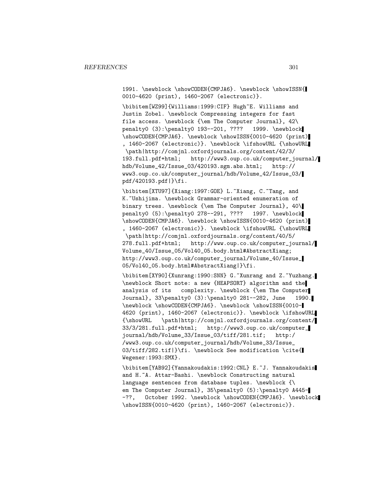1991. \newblock \showCODEN{CMPJA6}. \newblock \showISSN{ 0010-4620 (print), 1460-2067 (electronic)}.

\bibitem[WZ99]{Williams:1999:CIF} Hugh~E. Williams and Justin Zobel. \newblock Compressing integers for fast file access. \newblock {\em The Computer Journal}, 42\ penalty0 (3):\penalty0 193--201, ???? 1999. \newblock \showCODEN{CMPJA6}. \newblock \showISSN{0010-4620 (print) , 1460-2067 (electronic)}. \newblock \ifshowURL {\showURL \path|http://comjnl.oxfordjournals.org/content/42/3/ 193.full.pdf+html; http://www3.oup.co.uk/computer\_journal/ hdb/Volume\_42/Issue\_03/420193.sgm.abs.html; http:// www3.oup.co.uk/computer\_journal/hdb/Volume\_42/Issue\_03/ pdf/420193.pdf|}\fi.

\bibitem[XTU97]{Xiang:1997:GOE} L.~Xiang, C.~Tang, and K.~Ushijima. \newblock Grammar-oriented enumeration of binary trees. \newblock {\em The Computer Journal}, 40\ penalty0 (5):\penalty0 278--291, ???? 1997. \newblock \showCODEN{CMPJA6}. \newblock \showISSN{0010-4620 (print) , 1460-2067 (electronic)}. \newblock \ifshowURL {\showURL \path|http://comjnl.oxfordjournals.org/content/40/5/ 278.full.pdf+html; http://www.oup.co.uk/computer\_journal/ Volume\_40/Issue\_05/Vol40\_05.body.html#AbstractXiang; http://www3.oup.co.uk/computer\_journal/Volume\_40/Issue\_ 05/Vol40\_05.body.html#AbstractXiang|}\fi.

\bibitem[XY90]{Xunrang:1990:SNN} G.~Xunrang and Z.~Yuzhang. \newblock Short note: a new {HEAPSORT} algorithm and the analysis of its complexity. \newblock {\em The Computer Journal}, 33\penalty0 (3):\penalty0 281--282, June 1990. \newblock \showCODEN{CMPJA6}. \newblock \showISSN{0010- 4620 (print), 1460-2067 (electronic)}. \newblock \ifshowURL {\showURL \path|http://comjnl.oxfordjournals.org/content/ 33/3/281.full.pdf+html; http://www3.oup.co.uk/computer\_ journal/hdb/Volume\_33/Issue\_03/tiff/281.tif; http:/ /www3.oup.co.uk/computer\_journal/hdb/Volume\_33/Issue\_ 03/tiff/282.tif|}\fi. \newblock See modification \cite{ Wegener:1993:SMX}.

\bibitem[YAB92]{Yannakoudakis:1992:CNL} E.~J. Yannakoudakis and H.~A. Attar-Bashi. \newblock Constructing natural language sentences from database tuples. \newblock {\ em The Computer Journal}, 35\penalty0 (5):\penalty0 A445--??, October 1992. \newblock \showCODEN{CMPJA6}. \newblock \showISSN{0010-4620 (print), 1460-2067 (electronic)}.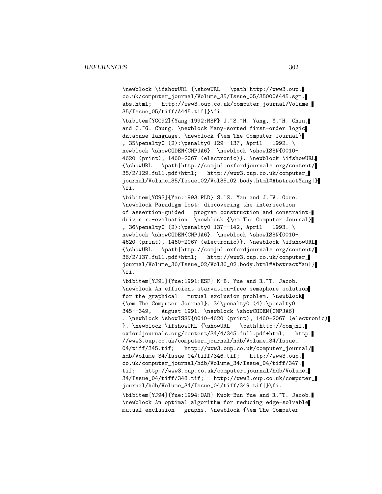\newblock \ifshowURL {\showURL \path|http://www3.oup. co.uk/computer\_journal/Volume\_35/Issue\_05/35000A445.sgm. abs.html; http://www3.oup.co.uk/computer\_journal/Volume\_ 35/Issue\_05/tiff/A445.tif|}\fi.

\bibitem[YCC92]{Yang:1992:MSF} J.~S.~H. Yang, Y.~H. Chin, and C.~G. Chung. \newblock Many-sorted first-order logic database language. \newblock {\em The Computer Journal} , 35\penalty0 (2):\penalty0 129--137, April 1992. \ newblock \showCODEN{CMPJA6}. \newblock \showISSN{0010-4620 (print), 1460-2067 (electronic)}. \newblock \ifshowURL {\showURL \path|http://comjnl.oxfordjournals.org/content/ 35/2/129.full.pdf+html; http://www3.oup.co.uk/computer\_ journal/Volume\_35/Issue\_02/Vol35\_02.body.html#AbstractYang|} \fi.

\bibitem[YG93]{Yau:1993:PLD} S.~S. Yau and J.~V. Gore. \newblock Paradigm lost: discovering the intersection of assertion-guided program construction and constraintdriven re-evaluation. \newblock {\em The Computer Journal} , 36\penalty0 (2):\penalty0 137--142, April 1993. \ newblock \showCODEN{CMPJA6}. \newblock \showISSN{0010-4620 (print), 1460-2067 (electronic)}. \newblock \ifshowURL {\showURL \path|http://comjnl.oxfordjournals.org/content/ 36/2/137.full.pdf+html; http://www3.oup.co.uk/computer\_ journal/Volume\_36/Issue\_02/Vol36\_02.body.html#AbstractYau|} \fi.

\bibitem[YJ91]{Yue:1991:ESF} K-B. Yue and R.~T. Jacob. \newblock An efficient starvation-free semaphore solution for the graphical mutual exclusion problem. \newblock {\em The Computer Journal}, 34\penalty0 (4):\penalty0 345--349, August 1991. \newblock \showCODEN{CMPJA6} . \newblock \showISSN{0010-4620 (print), 1460-2067 (electronic) }. \newblock \ifshowURL {\showURL \path|http://comjnl. oxfordjournals.org/content/34/4/345.full.pdf+html; http: //www3.oup.co.uk/computer\_journal/hdb/Volume\_34/Issue\_ 04/tiff/345.tif; http://www3.oup.co.uk/computer\_journal/ hdb/Volume\_34/Issue\_04/tiff/346.tif; http://www3.oup. co.uk/computer\_journal/hdb/Volume\_34/Issue\_04/tiff/347. tif; http://www3.oup.co.uk/computer\_journal/hdb/Volume\_ 34/Issue\_04/tiff/348.tif; http://www3.oup.co.uk/computer\_ journal/hdb/Volume\_34/Issue\_04/tiff/349.tif|}\fi. \bibitem[YJ94]{Yue:1994:OAR} Kwok-Bun Yue and R.~T. Jacob. \newblock An optimal algorithm for reducing edge-solvable mutual exclusion graphs. \newblock {\em The Computer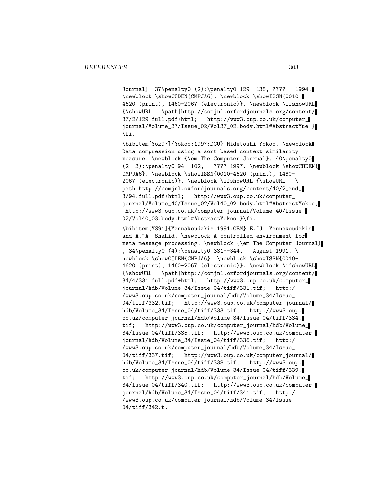Journal}, 37\penalty0 (2):\penalty0 129--138, ???? 1994. \newblock \showCODEN{CMPJA6}. \newblock \showISSN{0010- 4620 (print), 1460-2067 (electronic)}. \newblock \ifshowURL {\showURL \path|http://comjnl.oxfordjournals.org/content/ 37/2/129.full.pdf+html; http://www3.oup.co.uk/computer\_ journal/Volume\_37/Issue\_02/Vol37\_02.body.html#AbstractYue|} \fi.

\bibitem[Yok97]{Yokoo:1997:DCU} Hidetoshi Yokoo. \newblock Data compression using a sort-based context similarity measure. \newblock {\em The Computer Journal}, 40\penalty0 (2--3):\penalty0 94--102, ???? 1997. \newblock \showCODEN{ CMPJA6}. \newblock \showISSN{0010-4620 (print), 1460- 2067 (electronic)}. \newblock \ifshowURL {\showURL \ path|http://comjnl.oxfordjournals.org/content/40/2\_and\_ 3/94.full.pdf+html; http://www3.oup.co.uk/computer\_ journal/Volume\_40/Issue\_02/Vol40\_02.body.html#AbstractYokoo; http://www3.oup.co.uk/computer\_journal/Volume\_40/Issue\_ 02/Vol40\_03.body.html#AbstractYokoo|}\fi.

\bibitem[YS91]{Yannakoudakis:1991:CEM} E.~J. Yannakoudakis and A.~A. Shahid. \newblock A controlled environment for meta-message processing. \newblock {\em The Computer Journal} , 34\penalty0 (4):\penalty0 331--344, August 1991. \ newblock \showCODEN{CMPJA6}. \newblock \showISSN{0010-4620 (print), 1460-2067 (electronic)}. \newblock \ifshowURL {\showURL \path|http://comjnl.oxfordjournals.org/content/ 34/4/331.full.pdf+html; http://www3.oup.co.uk/computer\_ journal/hdb/Volume\_34/Issue\_04/tiff/331.tif; http:/ /www3.oup.co.uk/computer\_journal/hdb/Volume\_34/Issue\_ 04/tiff/332.tif; http://www3.oup.co.uk/computer\_journal/ hdb/Volume\_34/Issue\_04/tiff/333.tif; http://www3.oup. co.uk/computer\_journal/hdb/Volume\_34/Issue\_04/tiff/334. tif; http://www3.oup.co.uk/computer\_journal/hdb/Volume\_ 34/Issue\_04/tiff/335.tif; http://www3.oup.co.uk/computer\_ journal/hdb/Volume\_34/Issue\_04/tiff/336.tif; http:/ /www3.oup.co.uk/computer\_journal/hdb/Volume\_34/Issue\_ 04/tiff/337.tif; http://www3.oup.co.uk/computer\_journal/ hdb/Volume\_34/Issue\_04/tiff/338.tif; http://www3.oup. co.uk/computer\_journal/hdb/Volume\_34/Issue\_04/tiff/339. tif; http://www3.oup.co.uk/computer\_journal/hdb/Volume\_ 34/Issue\_04/tiff/340.tif; http://www3.oup.co.uk/computer\_ journal/hdb/Volume\_34/Issue\_04/tiff/341.tif; http:/ /www3.oup.co.uk/computer\_journal/hdb/Volume\_34/Issue\_ 04/tiff/342.t.